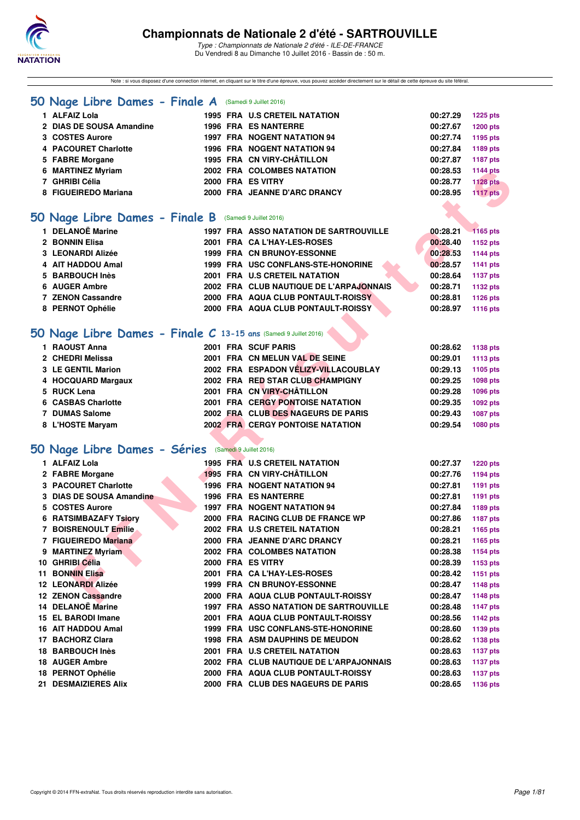

Note : si vous disposez d'une connection internet, en cliquant sur le titre d'une épreuve, vous pouvez accéder directement sur le détail de cette épreuve du site féféral.

### **[50 Nage Libre Dames - Finale A](http://www.ffnatation.fr/webffn/resultats.php?idact=nat&go=epr&idcpt=39837&idepr=1)** (Samedi 9 Juillet 2016)

| 1 ALFAIZ Lola            |  | 1995 FRA U.S CRETEIL NATATION      | 00:27.29 | <b>1225 pts</b> |
|--------------------------|--|------------------------------------|----------|-----------------|
| 2 DIAS DE SOUSA Amandine |  | 1996 FRA ES NANTERRE               | 00:27.67 | <b>1200 pts</b> |
| 3 COSTES Aurore          |  | <b>1997 FRA NOGENT NATATION 94</b> | 00:27.74 | 1195 pts        |
| 4 PACOURET Charlotte     |  | 1996 FRA NOGENT NATATION 94        | 00:27.84 | 1189 pts        |
| 5 FABRE Morgane          |  | 1995 FRA CN VIRY-CHÂTILLON         | 00:27.87 | 1187 pts        |
| 6 MARTINEZ Myriam        |  | 2002 FRA COLOMBES NATATION         | 00:28.53 | 1144 pts        |
| 7 GHRIBI Célia           |  | 2000 FRA ES VITRY                  | 00:28.77 | <b>1128 pts</b> |
| 8 FIGUEIREDO Mariana     |  | 2000 FRA JEANNE D'ARC DRANCY       | 00:28.95 | <b>1117 pts</b> |
|                          |  |                                    |          |                 |

## **[50 Nage Libre Dames - Finale B](http://www.ffnatation.fr/webffn/resultats.php?idact=nat&go=epr&idcpt=39837&idepr=1)** (Samedi 9 Juillet 2016)

| 1 DELANOË Marine  |  | <b>1997 FRA ASSO NATATION DE SARTROUVILLE</b> | 00:28.21 | $-1165$ pts |
|-------------------|--|-----------------------------------------------|----------|-------------|
| 2 BONNIN Elisa    |  | 2001 FRA CA L'HAY-LES-ROSES                   | 00:28.40 | 1152 pts    |
| 3 LEONARDI Alizée |  | 1999 FRA CN BRUNOY-ESSONNE                    | 00:28.53 | 1144 pts    |
| 4 AIT HADDOU Amal |  | 1999 FRA USC CONFLANS-STE-HONORINE            | 00:28.57 | 1141 pts    |
| 5 BARBOUCH Inès   |  | 2001 FRA U.S CRETEIL NATATION                 | 00:28.64 | 1137 pts    |
| 6 AUGER Ambre     |  | 2002 FRA CLUB NAUTIQUE DE L'ARPAJONNAIS       | 00:28.71 | 1132 pts    |
| 7 ZENON Cassandre |  | 2000 FRA AQUA CLUB PONTAULT-ROISSY            | 00:28.81 | 1126 pts    |
| 8 PERNOT Ophélie  |  | 2000 FRA AQUA CLUB PONTAULT-ROISSY            | 00:28.97 | 1116 pts    |
|                   |  |                                               |          |             |

## **[50 Nage Libre Dames - Finale C](http://www.ffnatation.fr/webffn/resultats.php?idact=nat&go=epr&idcpt=39837&idepr=1) 13-15 ans** (Samedi 9 Juillet 2016)

| 1 RAOUST Anna      | 2001 FRA SCUF PARIS                     | 00:28.62 | 1138 pts |
|--------------------|-----------------------------------------|----------|----------|
| 2 CHEDRI Melissa   | 2001 FRA CN MELUN VAL DE SEINE          | 00:29.01 | 1113 pts |
| 3 LE GENTIL Marion | 2002 FRA ESPADON VÉLIZY-VILLACOUBLAY    | 00:29.13 | 1105 pts |
| 4 HOCQUARD Margaux | 2002 FRA RED STAR CLUB CHAMPIGNY        | 00:29.25 | 1098 pts |
| 5 RUCK Lena        | 2001 FRA CN VIRY-CHÂTILLON              | 00:29.28 | 1096 pts |
| 6 CASBAS Charlotte | 2001 FRA CERGY PONTOISE NATATION        | 00:29.35 | 1092 pts |
| 7 DUMAS Salome     | 2002 FRA CLUB DES NAGEURS DE PARIS      | 00:29.43 | 1087 pts |
| 8 L'HOSTE Maryam   | <b>2002 FRA CERGY PONTOISE NATATION</b> | 00:29.54 | 1080 pts |

## **[50 Nage Libre Dames - Séries](http://www.ffnatation.fr/webffn/resultats.php?idact=nat&go=epr&idcpt=39837&idepr=1)** (Samedi 9 Juillet 2016)

| 6 MARTINEZ Myriam                                               |  | 2002 FRA COLOMBES NATATION              | 00:28.53 | <b>1144 pts</b> |
|-----------------------------------------------------------------|--|-----------------------------------------|----------|-----------------|
| 7 GHRIBI Célia                                                  |  | 2000 FRA ES VITRY                       | 00:28.77 | <b>1128 pts</b> |
| 8 FIGUEIREDO Mariana                                            |  | 2000 FRA JEANNE D'ARC DRANCY            | 00:28.95 | <b>1117 pts</b> |
|                                                                 |  |                                         |          |                 |
| O Nage Libre Dames - Finale B (Samedi 9 Juillet 2016)           |  |                                         |          |                 |
|                                                                 |  |                                         |          |                 |
| 1 DELANOË Marine                                                |  | 1997 FRA ASSO NATATION DE SARTROUVILLE  | 00:28.21 | 1165 pts        |
| 2 BONNIN Elisa                                                  |  | 2001 FRA CA L'HAY-LES-ROSES             | 00:28.40 | 1152 pts        |
| 3 LEONARDI Alizée                                               |  | 1999 FRA CN BRUNOY-ESSONNE              | 00:28.53 | <b>1144 pts</b> |
| 4 AIT HADDOU Amal                                               |  | 1999 FRA USC CONFLANS-STE-HONORINE      | 00:28.57 | <b>1141 pts</b> |
| 5 BARBOUCH Inès                                                 |  | 2001 FRA U.S CRETEIL NATATION           | 00:28.64 | 1137 pts        |
| 6 AUGER Ambre                                                   |  | 2002 FRA CLUB NAUTIQUE DE L'ARPAJONNAIS | 00:28.71 | <b>1132 pts</b> |
| 7 ZENON Cassandre                                               |  | 2000 FRA AQUA CLUB PONTAULT-ROISSY      | 00:28.81 | 1126 pts        |
| 8 PERNOT Ophélie                                                |  | 2000 FRA AQUA CLUB PONTAULT-ROISSY      | 00:28.97 | 1116 pts        |
|                                                                 |  |                                         |          |                 |
| O Nage Libre Dames - Finale C 13-15 ans (Samedi 9 Juillet 2016) |  |                                         |          |                 |
| 1 RAOUST Anna                                                   |  | 2001 FRA SCUF PARIS                     | 00:28.62 | 1138 pts        |
| 2 CHEDRI Melissa                                                |  | 2001 FRA CN MELUN VAL DE SEINE          | 00:29.01 | 1113 pts        |
| 3 LE GENTIL Marion                                              |  | 2002 FRA ESPADON VÉLIZY-VILLACOUBLAY    | 00:29.13 | 1105 pts        |
| 4 HOCQUARD Margaux                                              |  | 2002 FRA RED STAR CLUB CHAMPIGNY        | 00:29.25 | 1098 pts        |
| 5 RUCK Lena                                                     |  | 2001 FRA CN VIRY-CHÂTILLON              | 00:29.28 | 1096 pts        |
| 6 CASBAS Charlotte                                              |  | <b>2001 FRA CERGY PONTOISE NATATION</b> | 00:29.35 | 1092 pts        |
| 7 DUMAS Salome                                                  |  | 2002 FRA CLUB DES NAGEURS DE PARIS      | 00:29.43 | <b>1087 pts</b> |
| 8 L'HOSTE Maryam                                                |  | <b>2002 FRA CERGY PONTOISE NATATION</b> | 00:29.54 | <b>1080 pts</b> |
|                                                                 |  |                                         |          |                 |
| <b>O Nage Libre Dames - Séries</b> (Samedi 9 Juillet 2016)      |  |                                         |          |                 |
| 1 ALFAIZ Lola                                                   |  | 1995 FRA U.S CRETEIL NATATION           | 00:27.37 | <b>1220 pts</b> |
| 2 FABRE Morgane                                                 |  | 1995 FRA CN VIRY-CHÂTILLON              | 00:27.76 | 1194 pts        |
| 3 PACOURET Charlotte                                            |  | 1996 FRA NOGENT NATATION 94             | 00:27.81 | 1191 pts        |
| 3 DIAS DE SOUSA Amandine                                        |  | <b>1996 FRA ES NANTERRE</b>             | 00:27.81 | 1191 pts        |
| 5 COSTES Aurore                                                 |  | <b>1997 FRA NOGENT NATATION 94</b>      | 00:27.84 | 1189 pts        |
| <b>6 RATSIMBAZAFY Tsiory</b>                                    |  | 2000 FRA RACING CLUB DE FRANCE WP       | 00:27.86 | <b>1187 pts</b> |
| 7 BOISRENOULT Emilie                                            |  | 2002 FRA U.S CRETEIL NATATION           | 00:28.21 | 1165 pts        |
| 7 FIGUEIREDO Mariana                                            |  | 2000 FRA JEANNE D'ARC DRANCY            | 00:28.21 | 1165 pts        |
| 9 MARTINEZ Myriam                                               |  | 2002 FRA COLOMBES NATATION              | 00:28.38 | 1154 pts        |
| 10 GHRIBI Célia                                                 |  | 2000 FRA ES VITRY                       | 00:28.39 | 1153 pts        |
| <b>11 BONNIN Elisa</b>                                          |  | 2001 FRA CA L'HAY-LES-ROSES             | 00:28.42 | 1151 pts        |
| <b>12 LEONARDI Alizée</b>                                       |  | 1999 FRA CN BRUNOY-ESSONNE              | 00:28.47 | <b>1148 pts</b> |
| 12 ZENON Cassandre                                              |  | 2000 FRA AQUA CLUB PONTAULT-ROISSY      | 00:28.47 | <b>1148 pts</b> |
| 14 DELANOË Marine                                               |  | 1997 FRA ASSO NATATION DE SARTROUVILLE  | 00:28.48 | <b>1147 pts</b> |
| 15 EL BARODI Imane                                              |  | 2001 FRA AQUA CLUB PONTAULT-ROISSY      | 00:28.56 | 1142 pts        |
| 16 AIT HADDOU Amal                                              |  | 1999 FRA USC CONFLANS-STE-HONORINE      | 00:28.60 | 1139 pts        |
| 17 BACHORZ Clara                                                |  | 1998 FRA ASM DAUPHINS DE MEUDON         | 00:28.62 | 1138 pts        |
| 18 BARBOUCH Inès                                                |  | 2001 FRA U.S CRETEIL NATATION           | 00:28.63 | <b>1137 pts</b> |
| 18 AUGER Ambre                                                  |  | 2002 FRA CLUB NAUTIQUE DE L'ARPAJONNAIS | 00:28.63 |                 |
| 18 PERNOT Ophélie                                               |  | 2000 FRA AQUA CLUB PONTAULT-ROISSY      | 00:28.63 | <b>1137 pts</b> |
|                                                                 |  |                                         |          | <b>1137 pts</b> |
| 21 DESMAIZIERES Alix                                            |  | 2000 FRA CLUB DES NAGEURS DE PARIS      | 00:28.65 | 1136 pts        |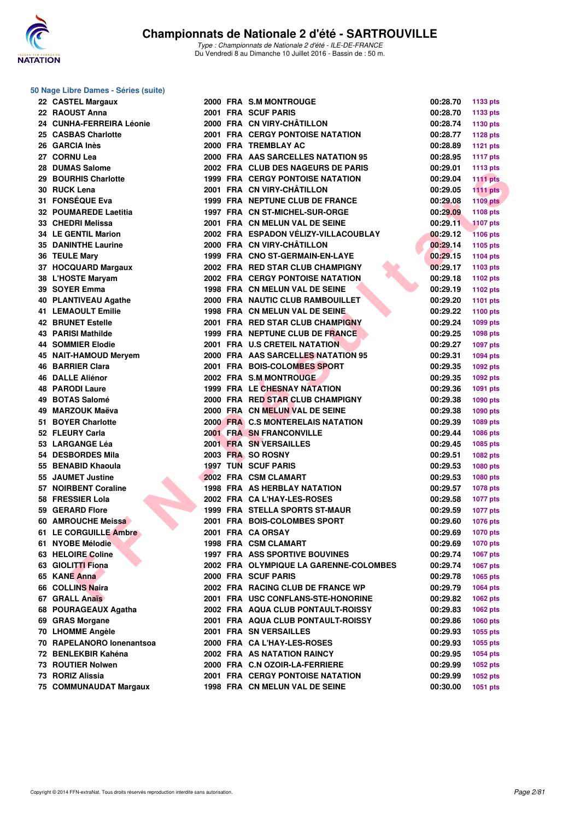

### **50 Nage Libre Dames - Séries (suite)**

| 22 CASTEL Margaux          |  | 2000 FRA S.M MONTROUGE                  | 00:28.70 | 1133 pts        |
|----------------------------|--|-----------------------------------------|----------|-----------------|
| 22 RAOUST Anna             |  | 2001 FRA SCUF PARIS                     | 00:28.70 | 1133 pts        |
| 24 CUNHA-FERREIRA Léonie   |  | 2000 FRA CN VIRY-CHÂTILLON              | 00:28.74 | 1130 pts        |
| 25 CASBAS Charlotte        |  | 2001 FRA CERGY PONTOISE NATATION        | 00:28.77 | <b>1128 pts</b> |
| 26 GARCIA Inès             |  | 2000 FRA TREMBLAY AC                    | 00:28.89 | <b>1121 pts</b> |
| 27 CORNU Lea               |  | 2000 FRA AAS SARCELLES NATATION 95      | 00:28.95 | <b>1117 pts</b> |
| 28 DUMAS Salome            |  | 2002 FRA CLUB DES NAGEURS DE PARIS      | 00:29.01 | <b>1113 pts</b> |
| 29 BOURHIS Charlotte       |  | 1999 FRA CERGY PONTOISE NATATION        | 00:29.04 | <b>1111 pts</b> |
| 30 RUCK Lena               |  | 2001 FRA CN VIRY-CHÂTILLON              | 00:29.05 | <b>1111 pts</b> |
| 31 FONSÉQUE Eva            |  | 1999 FRA NEPTUNE CLUB DE FRANCE         | 00:29.08 | <b>1109 pts</b> |
| 32 POUMAREDE Laetitia      |  | 1997 FRA CN ST-MICHEL-SUR-ORGE          | 00:29.09 | 1108 pts        |
| 33 CHEDRI Melissa          |  | 2001 FRA CN MELUN VAL DE SEINE          | 00:29.11 | <b>1107 pts</b> |
| <b>34 LE GENTIL Marion</b> |  | 2002 FRA ESPADON VÉLIZY-VILLACOUBLAY    | 00:29.12 | <b>1106 pts</b> |
| <b>35 DANINTHE Laurine</b> |  | 2000 FRA CN VIRY-CHÂTILLON              | 00:29.14 | 1105 pts        |
| 36 TEULE Mary              |  | 1999 FRA CNO ST-GERMAIN-EN-LAYE         | 00:29.15 | <b>1104 pts</b> |
| 37 HOCQUARD Margaux        |  | 2002 FRA RED STAR CLUB CHAMPIGNY        | 00:29.17 | 1103 pts        |
| 38 L'HOSTE Maryam          |  | <b>2002 FRA CERGY PONTOISE NATATION</b> | 00:29.18 | 1102 pts        |
| 39 SOYER Emma              |  | 1998 FRA CN MELUN VAL DE SEINE          | 00:29.19 | 1102 pts        |
| 40 PLANTIVEAU Agathe       |  | 2000 FRA NAUTIC CLUB RAMBOUILLET        | 00:29.20 | 1101 pts        |
| <b>41 LEMAOULT Emilie</b>  |  | 1998 FRA CN MELUN VAL DE SEINE          | 00:29.22 | 1100 pts        |
| <b>42 BRUNET Estelle</b>   |  | 2001 FRA RED STAR CLUB CHAMPIGNY        | 00:29.24 | 1099 pts        |
| <b>43 PARISI Mathilde</b>  |  | 1999 FRA NEPTUNE CLUB DE FRANCE         | 00:29.25 | 1098 pts        |
| <b>44 SOMMIER Elodie</b>   |  | 2001 FRA U.S CRETEIL NATATION           | 00:29.27 | 1097 pts        |
| 45 NAIT-HAMOUD Meryem      |  | 2000 FRA AAS SARCELLES NATATION 95      | 00:29.31 | 1094 pts        |
| <b>46 BARRIER Clara</b>    |  | 2001 FRA BOIS-COLOMBES SPORT            | 00:29.35 | 1092 pts        |
| <b>46 DALLE Aliénor</b>    |  | 2002 FRA S.M. MONTROUGE                 | 00:29.35 | 1092 pts        |
| <b>48 PARODI Laure</b>     |  | 1999 FRA LE CHESNAY NATATION            | 00:29.36 |                 |
| 49 BOTAS Salomé            |  |                                         |          | 1091 pts        |
| 49 MARZOUK Maëva           |  | 2000 FRA RED STAR CLUB CHAMPIGNY        | 00:29.38 | 1090 pts        |
|                            |  | 2000 FRA CN MELUN VAL DE SEINE          | 00:29.38 | 1090 pts        |
| 51 BOYER Charlotte         |  | 2000 FRA C.S MONTERELAIS NATATION       | 00:29.39 | 1089 pts        |
| 52 FLEURY Carla            |  | 2001 FRA SN FRANCONVILLE                | 00:29.44 | 1086 pts        |
| 53 LARGANGE Léa            |  | 2001 FRA SN VERSAILLES                  | 00:29.45 | 1085 pts        |
| 54 DESBORDES Mila          |  | 2003 FRA SO ROSNY                       | 00:29.51 | 1082 pts        |
| 55 BENABID Khaoula         |  | <b>1997 TUN SCUF PARIS</b>              | 00:29.53 | 1080 pts        |
| 55 JAUMET Justine          |  | 2002 FRA CSM CLAMART                    | 00:29.53 | 1080 pts        |
| 57 NOIRBENT Coraline       |  | <b>1998 FRA AS HERBLAY NATATION</b>     | 00:29.57 | 1078 pts        |
| 58 FRESSIER Lola           |  | 2002 FRA CA L'HAY-LES-ROSES             | 00:29.58 | <b>1077 pts</b> |
| 59 GERARD Flore            |  | <b>1999 FRA STELLA SPORTS ST-MAUR</b>   | 00:29.59 | <b>1077 pts</b> |
| 60 AMROUCHE Meissa         |  | 2001 FRA BOIS-COLOMBES SPORT            | 00:29.60 | <b>1076 pts</b> |
| 61 LE CORGUILLE Ambre      |  | 2001 FRA CA ORSAY                       | 00:29.69 | <b>1070 pts</b> |
| 61 NYOBE Mélodie           |  | 1998 FRA CSM CLAMART                    | 00:29.69 | <b>1070 pts</b> |
| 63 HELOIRE Coline          |  | <b>1997 FRA ASS SPORTIVE BOUVINES</b>   | 00:29.74 | 1067 pts        |
| 63 GIOLITTI Fiona          |  | 2002 FRA OLYMPIQUE LA GARENNE-COLOMBES  | 00:29.74 | 1067 pts        |
| 65 KANE Anna               |  | 2000 FRA SCUF PARIS                     | 00:29.78 | 1065 pts        |
| 66 COLLINS Naira           |  | 2002 FRA RACING CLUB DE FRANCE WP       | 00:29.79 | 1064 pts        |
| 67 GRALL Anaïs             |  | 2001 FRA USC CONFLANS-STE-HONORINE      | 00:29.82 | 1062 pts        |
| 68 POURAGEAUX Agatha       |  | 2002 FRA AQUA CLUB PONTAULT-ROISSY      | 00:29.83 | 1062 pts        |
| 69 GRAS Morgane            |  | 2001 FRA AQUA CLUB PONTAULT-ROISSY      | 00:29.86 | 1060 pts        |
| 70 LHOMME Angèle           |  | 2001 FRA SN VERSAILLES                  | 00:29.93 | 1055 pts        |
| 70 RAPELANORO lonenantsoa  |  | 2000 FRA CA L'HAY-LES-ROSES             | 00:29.93 | 1055 pts        |
| 72 BENLEKBIR Kahéna        |  | 2002 FRA AS NATATION RAINCY             | 00:29.95 | 1054 pts        |
| 73 ROUTIER Nolwen          |  | 2000 FRA C.N OZOIR-LA-FERRIERE          | 00:29.99 | 1052 pts        |
| 73 RORIZ Alissia           |  | <b>2001 FRA CERGY PONTOISE NATATION</b> | 00:29.99 | 1052 pts        |
| 75 COMMUNAUDAT Margaux     |  | 1998 FRA CN MELUN VAL DE SEINE          | 00:30.00 | 1051 pts        |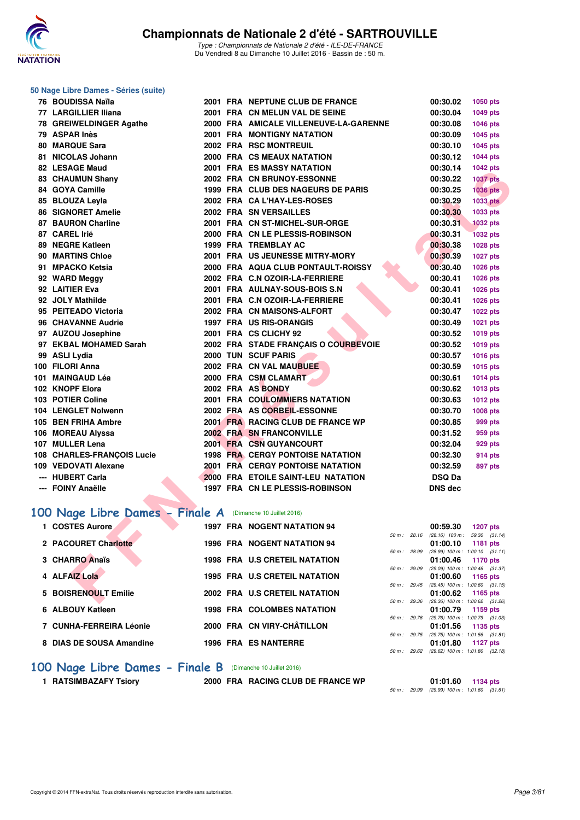

#### **50 Nage Libre Dames - Séries (suite)**

| 76 BOUDISSA Naïla                                         |  | 2001 FRA NEPTUNE CLUB DE FRANCE         |              | 00:30.02          | 1050 pts                                        |
|-----------------------------------------------------------|--|-----------------------------------------|--------------|-------------------|-------------------------------------------------|
| 77 LARGILLIER Iliana                                      |  | 2001 FRA CN MELUN VAL DE SEINE          |              | 00:30.04          | 1049 pts                                        |
| 78 GREIWELDINGER Agathe                                   |  | 2000 FRA AMICALE VILLENEUVE-LA-GARENNE  |              | 00:30.08          | 1046 pts                                        |
| 79 ASPAR Inès                                             |  | <b>2001 FRA MONTIGNY NATATION</b>       |              | 00:30.09          | 1045 pts                                        |
| 80 MARQUE Sara                                            |  | 2002 FRA RSC MONTREUIL                  |              | 00:30.10          | 1045 pts                                        |
| 81 NICOLAS Johann                                         |  | 2000 FRA CS MEAUX NATATION              |              | 00:30.12          | 1044 pts                                        |
| 82 LESAGE Maud                                            |  | <b>2001 FRA ES MASSY NATATION</b>       |              | 00:30.14          | 1042 pts                                        |
| 83 CHAUMUN Shany                                          |  | 2002 FRA CN BRUNOY-ESSONNE              |              | 00:30.22          | <b>1037 pts</b>                                 |
| 84 GOYA Camille                                           |  | 1999 FRA CLUB DES NAGEURS DE PARIS      |              | 00:30.25          | <b>1036 pts</b>                                 |
| 85 BLOUZA Leyla                                           |  | 2002 FRA CA L'HAY-LES-ROSES             |              | 00:30.29          | <b>1033 pts</b>                                 |
| <b>86 SIGNORET Amelie</b>                                 |  | 2002 FRA SN VERSAILLES                  |              | 00:30.30          | 1033 pts                                        |
| 87 BAURON Charline                                        |  | 2001 FRA CN ST-MICHEL-SUR-ORGE          |              | 00:30.31          | <b>1032 pts</b>                                 |
| 87 CAREL Irié                                             |  | 2000 FRA CN LE PLESSIS-ROBINSON         |              | 00:30.31          | <b>1032 pts</b>                                 |
| 89 NEGRE Katleen                                          |  | 1999 FRA TREMBLAY AC                    |              | 00:30.38          | 1028 pts                                        |
| 90 MARTINS Chloe                                          |  | 2001 FRA US JEUNESSE MITRY-MORY         |              | 00:30.39          | 1027 pts                                        |
| 91 MPACKO Ketsia                                          |  | 2000 FRA AQUA CLUB PONTAULT-ROISSY      |              | 00:30.40          | 1026 pts                                        |
| 92 WARD Meggy                                             |  | 2002 FRA C.N OZOIR-LA-FERRIERE          |              | 00:30.41          | 1026 pts                                        |
| 92 LAITIER Eva                                            |  | 2001 FRA AULNAY-SOUS-BOIS S.N           |              | 00:30.41          | 1026 pts                                        |
| 92 JOLY Mathilde                                          |  | 2001 FRA C.N OZOIR-LA-FERRIERE          |              | 00:30.41          | 1026 pts                                        |
| 95 PEITEADO Victoria                                      |  | 2002 FRA CN MAISONS-ALFORT              |              | 00:30.47          | 1022 pts                                        |
| 96 CHAVANNE Audrie                                        |  | 1997 FRA US RIS-ORANGIS                 |              | 00:30.49          | 1021 pts                                        |
| 97 AUZOU Josephine                                        |  | 2001 FRA CS CLICHY 92                   |              | 00:30.52          | <b>1019 pts</b>                                 |
| 97 EKBAL MOHAMED Sarah                                    |  | 2002 FRA STADE FRANÇAIS O COURBEVOIE    |              | 00:30.52          | 1019 pts                                        |
| 99 ASLI Lydia                                             |  | 2000 TUN SCUF PARIS                     |              | 00:30.57          | <b>1016 pts</b>                                 |
| 100 FILORI Anna                                           |  | 2002 FRA CN VAL MAUBUEE                 |              | 00:30.59          | 1015 pts                                        |
| 101 MAINGAUD Léa                                          |  | 2000 FRA CSM CLAMART                    |              | 00:30.61          | 1014 pts                                        |
| 102 KNOPF Elora                                           |  | 2002 FRA AS BONDY                       |              | 00:30.62          | 1013 pts                                        |
| 103 POTIER Coline                                         |  | 2001 FRA COULOMMIERS NATATION           |              | 00:30.63          | <b>1012 pts</b>                                 |
| 104 LENGLET Nolwenn                                       |  | 2002 FRA AS CORBEIL-ESSONNE             |              | 00:30.70          | <b>1008 pts</b>                                 |
| 105 BEN FRIHA Ambre                                       |  | 2001 FRA RACING CLUB DE FRANCE WP       |              | 00:30.85          | 999 pts                                         |
| 106 MOREAU Alyssa                                         |  | 2002 FRA SN FRANCONVILLE                |              | 00:31.52          | 959 pts                                         |
| 107 MULLER Lena                                           |  | 2001 FRA CSN GUYANCOURT                 |              | 00:32.04          | <b>929 pts</b>                                  |
| 108 CHARLES-FRANÇOIS Lucie                                |  | <b>1998 FRA CERGY PONTOISE NATATION</b> |              | 00:32.30          | <b>914 pts</b>                                  |
| 109 VEDOVATI Alexane                                      |  | 2001 FRA CERGY PONTOISE NATATION        |              | 00:32.59          | 897 pts                                         |
| --- HUBERT Carla                                          |  | 2000 FRA ETOILE SAINT-LEU NATATION      |              | <b>DSQ Da</b>     |                                                 |
| --- FOINY Anaëlle                                         |  | 1997 FRA CN LE PLESSIS-ROBINSON         |              | <b>DNS dec</b>    |                                                 |
|                                                           |  |                                         |              |                   |                                                 |
| 00 Nage Libre Dames - Finale A (Dimanche 10 Juillet 2016) |  |                                         |              |                   |                                                 |
| 1 COSTES Aurore                                           |  | <b>1997 FRA NOGENT NATATION 94</b>      |              | 00:59.30          | <b>1207 pts</b>                                 |
|                                                           |  |                                         | 50 m: 28.16  |                   | $(28.16)$ 100 m : 59.30 $(31.14)$               |
| 2 PACOURET Charlotte                                      |  | <b>1996 FRA NOGENT NATATION 94</b>      |              | 01:00.10          | 1181 pts                                        |
| 3 CHARRO Anaïs                                            |  | <b>1998 FRA U.S CRETEIL NATATION</b>    | 50 m : 28.99 | 01:00.46          | $(28.99)$ 100 m : 1:00.10 $(31.11)$<br>1170 pts |
|                                                           |  |                                         | 50 m: 29.09  |                   | (29.09) 100 m: 1:00.46 (31.37)                  |
| 4 ALFAIZ Lola                                             |  | 1995 FRA U.S CRETEIL NATATION           |              | 01:00.60          | 1165 pts                                        |
| 5 BOISRENOULT Emilie                                      |  | 2002 FRA U.S CRETEIL NATATION           |              | 01:00.62 1165 pts | 50 m: 29.45 (29.45) 100 m: 1:00.60 (31.15)      |
|                                                           |  |                                         |              |                   | 50 m: 29.36 (29.36) 100 m: 1:00.62 (31.26)      |

## **[100 Nage Libre Dames - Finale A](http://www.ffnatation.fr/webffn/resultats.php?idact=nat&go=epr&idcpt=39837&idepr=2)** (Dimanche 10 Juillet 2016)

| 1 COSTES Aurore          | <b>1997 FRA NOGENT NATATION 94</b>   | 00:59.30                                                             | 1207 pts     |
|--------------------------|--------------------------------------|----------------------------------------------------------------------|--------------|
|                          |                                      | $(28.16)$ 100 m :<br>$50 m$ : 28.16                                  | 59.30 (31.14 |
| 2 PACOURET Charlotte     | <b>1996 FRA NOGENT NATATION 94</b>   | 01:00.10                                                             | 1181 pts     |
| 3 CHARRO Anaïs           | <b>1998 FRA U.S CRETEIL NATATION</b> | (28.99) 100 m: 1:00.10 (31.11<br>50 m: 28.99<br>01:00.46<br>1170 pts |              |
|                          |                                      | (29.09) 100 m: 1:00.46 (31.37<br>50 m: 29.09                         |              |
| 4 ALFAIZ Lola            | 1995 FRA U.S CRETEIL NATATION        | $01:00.60$ 1165 pts                                                  |              |
|                          |                                      | $(29.45)$ 100 m : 1:00.60 $(31.15)$<br>$50 m$ : 29.45                |              |
| 5 BOISRENOULT Emilie     | 2002 FRA U.S CRETEIL NATATION        | $01:00.62$ 1165 pts                                                  |              |
| 6 ALBOUY Katleen         | <b>1998 FRA COLOMBES NATATION</b>    | (29.36) 100 m: 1:00.62 (31.26<br>50 m: 29.36                         |              |
|                          |                                      | 01:00.79 1159 pts<br>(29.76) 100 m: 1:00.79 (31.03<br>$50 m$ : 29.76 |              |
| 7 CUNHA-FERREIRA Léonie  | 2000 FRA CN VIRY-CHÂTILLON           | 01:01.56<br>1135 pts                                                 |              |
|                          |                                      | (29.75) 100 m: 1:01.56 (31.81)<br>$50 m$ : 29.75                     |              |
| 8 DIAS DE SOUSA Amandine | <b>1996 FRA ES NANTERRE</b>          | 01:01.80<br>1127 pts                                                 |              |
|                          |                                      | (29.62) 100 m : 1:01.80 (32.18)<br>50 m: 29.62                       |              |

# **100 Nage Libre Dames - Finale B** (Dimanche 10 Juillet 2016)<br>1 RATSIMBAZAFY Tsiory 2000 FRA RACING CLUB

**1 RATSIMBAZAFY Tsiory 2000 FRA RACING CLUB DE FRANCE WP 01:01.60 1134 pts**

50 m : 29.99 (29.99) 100 m : 1:01.60 (31.61)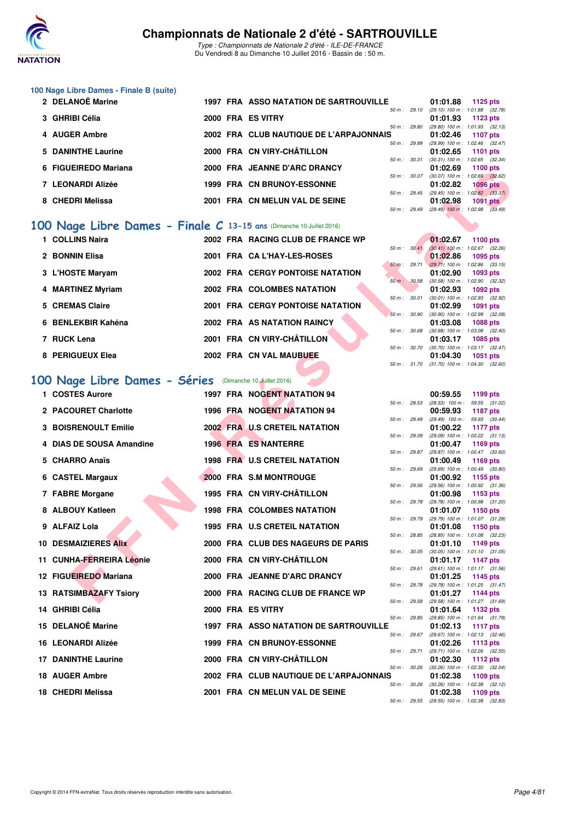

### **100 Nage Libre Dames - Finale B (suite)**

| 2 DELANOE Marine     |  | 1997 FRA ASSO NATATION DE SARTROUVILLE  |                        | 01:01.88                                     | 1125 $p$ ts     |  |
|----------------------|--|-----------------------------------------|------------------------|----------------------------------------------|-----------------|--|
|                      |  |                                         | $50 \text{ m}$ : 29.10 | $(29.10)$ 100 m : 1:01.88 $(32.78)$          |                 |  |
| 3 GHRIBI Célia       |  | 2000 FRA ES VITRY                       |                        | $01:01.93$ 1123 pts                          |                 |  |
|                      |  |                                         | 50 m: 29.80            | $(29.80)$ 100 m : 1:01.93 $(32.13)$          |                 |  |
| 4 AUGER Ambre        |  | 2002 FRA CLUB NAUTIQUE DE L'ARPAJONNAIS |                        | $01:02.46$ 1107 pts                          |                 |  |
|                      |  |                                         | 50 m: 29.99            | $(29.99)$ 100 m : 1:02.46 $(32.47)$          |                 |  |
| 5 DANINTHE Laurine   |  | 2000 FRA CN VIRY-CHÂTILLON              |                        | $01:02.65$ 1101 pts                          |                 |  |
|                      |  |                                         | 50 m: 30.31            | $(30.31)$ 100 m : 1:02.65 $(32.34)$          |                 |  |
| 6 FIGUEIREDO Mariana |  | 2000 FRA JEANNE D'ARC DRANCY            |                        | $01:02.69$ 1100 pts                          |                 |  |
|                      |  |                                         | $50 m$ : $30.07$       | $(30.07)$ 100 m : 1:02.69 $(32.62)$          |                 |  |
| 7 LEONARDI Alizée    |  | <b>1999 FRA CN BRUNOY-ESSONNE</b>       |                        | 01:02.82                                     | <b>1096 pts</b> |  |
|                      |  |                                         | $50 \text{ m}$ : 29.45 | $(29.45)$ 100 m : 1:02.82 $(33.37)$          |                 |  |
| 8 CHEDRI Melissa     |  | 2001 FRA CN MELUN VAL DE SEINE          |                        | 01:02.98                                     | 1091 pts        |  |
|                      |  |                                         |                        | 50 m : 29.49 (29.49) 100 m : 1:02.98 (33.49) |                 |  |

## **[100 Nage Libre Dames - Finale C](http://www.ffnatation.fr/webffn/resultats.php?idact=nat&go=epr&idcpt=39837&idepr=2) 13-15 ans** (Dimanche 10 Juillet 2016)

| 1 COLLINS Naira    |  | 2002 FRA RACING CLUB DE FRANCE WP       |              |                          | 01:02.67                                                 | 1100 $pts$      |  |
|--------------------|--|-----------------------------------------|--------------|--------------------------|----------------------------------------------------------|-----------------|--|
| 2 BONNIN Elisa     |  | 2001 FRA CA L'HAY-LES-ROSES             |              | $50 \text{ m}$ : $30.41$ | $(30.41)$ 100 m : 1:02.67 $(32.26)$<br>01:02.86          | 1095 pts        |  |
| 3 L'HOSTE Maryam   |  | <b>2002 FRA CERGY PONTOISE NATATION</b> |              |                          | 50 m : 29.71 (29.71) 100 m : 1:02.86 (33.15)<br>01:02.90 | 1093 pts        |  |
| 4 MARTINEZ Myriam  |  | 2002 FRA COLOMBES NATATION              | 50 m: 30.58  |                          | $(30.58)$ 100 m : 1:02.90 $(32.32)$<br>01:02.93          | $1092$ pts      |  |
| 5 CREMAS Claire    |  | <b>2001 FRA CERGY PONTOISE NATATION</b> | 50 m: 30.01  |                          | $(30.01)$ 100 m : 1:02.93 $(32.92)$<br>01:02.99          | <b>1091 pts</b> |  |
| 6 BENLEKBIR Kahéna |  | 2002 FRA AS NATATION RAINCY             | 50 m: 30.90  |                          | $(30.90)$ 100 m : 1:02.99 $(32.09)$<br>01:03.08          | <b>1088 pts</b> |  |
| 7 RUCK Lena        |  | 2001 FRA CN VIRY-CHÂTILLON              | 50 m: 30.68  |                          | $(30.68)$ 100 m : 1:03.08 $(32.40)$<br>01:03.17          | <b>1085 pts</b> |  |
| 8 PERIGUEUX Elea   |  | 2002 FRA CN VAL MAUBUEE                 | 50 m : 30.70 |                          | $(30.70)$ 100 m : 1:03.17 $(32.47)$<br>01:04.30          | <b>1051 pts</b> |  |
|                    |  |                                         |              |                          | 50 m: 31.70 (31.70) 100 m: 1:04.30 (32.60)               |                 |  |

## **[100 Nage Libre Dames - Séries](http://www.ffnatation.fr/webffn/resultats.php?idact=nat&go=epr&idcpt=39837&idepr=2)** (Dimanche 10 Juillet 2016)

| <b>FIGULINEDO MAHAHA</b>                                            |  | <b>FRA JEANNE D'ARG DRANGE</b>                |                |              | U I .UZ.UJ                                      | ່າ 100 ນເອ      |  |
|---------------------------------------------------------------------|--|-----------------------------------------------|----------------|--------------|-------------------------------------------------|-----------------|--|
| 7 LEONARDI Alizée                                                   |  | 1999 FRA CN BRUNOY-ESSONNE                    |                | 50 m : 30.07 | $(30.07)$ 100 m : 1:02.69 $(32.62)$<br>01:02.82 | <b>1096 pts</b> |  |
|                                                                     |  |                                               |                |              | 50 m: 29.45 (29.45) 100 m: 1:02.82 (33.37)      |                 |  |
| 8 CHEDRI Melissa                                                    |  | 2001 FRA CN MELUN VAL DE SEINE                | 50 m : 29.49   |              | 01:02.98<br>$(29.49)$ 100 m : 1:02.98 $(33.49)$ | <b>1091 pts</b> |  |
|                                                                     |  |                                               |                |              |                                                 |                 |  |
| 00 Nage Libre Dames - Finale C 13-15 ans (Dimanche 10 Juillet 2016) |  |                                               |                |              |                                                 |                 |  |
| 1 COLLINS Naira                                                     |  | 2002 FRA RACING CLUB DE FRANCE WP             | 50 m: 30.41    |              | 01:02.67<br>$(30.41)$ 100 m : 1:02.67 $(32.26)$ | <b>1100 pts</b> |  |
| 2 BONNIN Elisa                                                      |  | 2001 FRA CA L'HAY-LES-ROSES                   |                |              | 01:02.86                                        | 1095 pts        |  |
| 3 L'HOSTE Maryam                                                    |  | <b>2002 FRA CERGY PONTOISE NATATION</b>       | $50 m$ : 29.71 |              | $(29.71)$ 100 m : 1:02.86 $(33.15)$<br>01:02.90 | 1093 pts        |  |
|                                                                     |  |                                               | 50 m: 30.58    |              | $(30.58)$ 100 m : 1:02.90 $(32.32)$             |                 |  |
| 4 MARTINEZ Myriam                                                   |  | 2002 FRA COLOMBES NATATION                    |                |              | 01:02.93                                        | 1092 pts        |  |
| 5 CREMAS Claire                                                     |  | <b>2001 FRA CERGY PONTOISE NATATION</b>       | 50 m : 30.01   |              | (30.01) 100 m: 1:02.93 (32.92)<br>01:02.99      | <b>1091 pts</b> |  |
| 6 BENLEKBIR Kahéna                                                  |  |                                               | 50 m: 30.90    |              | (30.90) 100 m: 1:02.99 (32.09)                  |                 |  |
|                                                                     |  | 2002 FRA AS NATATION RAINCY                   | 50 m : 30.68   |              | 01:03.08<br>$(30.68)$ 100 m : 1:03.08 $(32.40)$ | 1088 pts        |  |
| 7 RUCK Lena                                                         |  | 2001 FRA CN VIRY-CHÂTILLON                    |                |              | 01:03.17                                        | 1085 pts        |  |
| 8 PERIGUEUX Elea                                                    |  | 2002 FRA CN VAL MAUBUEE                       | 50 m : 30.70   |              | (30.70) 100 m: 1:03.17 (32.47)<br>01:04.30      | 1051 pts        |  |
|                                                                     |  |                                               | 50 m : 31.70   |              | $(31.70)$ 100 m : 1:04.30 $(32.60)$             |                 |  |
| 00 Nage Libre Dames - Séries (Dimanche 10 Juillet 2016)             |  |                                               |                |              |                                                 |                 |  |
| 1 COSTES Aurore                                                     |  | 1997 FRA NOGENT NATATION 94                   |                |              | 00:59.55                                        | 1199 pts        |  |
|                                                                     |  |                                               | 50 m: 28.53    |              | (28.53) 100 m: 59.55 (31.02)                    |                 |  |
| 2 PACOURET Charlotte                                                |  | 1996 FRA NOGENT NATATION 94                   | 50 m : 29.49   |              | 00:59.93<br>(29.49) 100 m: 59.93 (30.44)        | <b>1187 pts</b> |  |
| <b>3 BOISRENOULT Emilie</b>                                         |  | 2002 FRA U.S CRETEIL NATATION                 |                |              | 01:00.22                                        | <b>1177 pts</b> |  |
| 4 DIAS DE SOUSA Amandine                                            |  | 1996 FRA ES NANTERRE                          | 50 m: 29.09    |              | (29.09) 100 m: 1:00.22 (31.13)                  |                 |  |
|                                                                     |  |                                               | 50 m : 29.87   |              | 01:00.47<br>(29.87) 100 m : 1:00.47 (30.60)     | 1169 pts        |  |
| 5 CHARRO Anaïs                                                      |  | 1998 FRA U.S CRETEIL NATATION                 |                |              | 01:00.49                                        | 1169 pts        |  |
| 6 CASTEL Margaux                                                    |  | 2000 FRA S.M MONTROUGE                        | 50 m : 29.69   |              | (29.69) 100 m: 1:00.49 (30.80)<br>01:00.92      | 1155 pts        |  |
|                                                                     |  |                                               | 50 m: 29.56    |              | (29.56) 100 m: 1:00.92 (31.36)                  |                 |  |
| 7 FABRE Morgane                                                     |  | 1995 FRA CN VIRY-CHÂTILLON                    | 50 m : 29.78   |              | 01:00.98<br>$(29.78)$ 100 m : 1:00.98 $(31.20)$ | 1153 pts        |  |
| 8 ALBOUY Katleen                                                    |  | <b>1998 FRA COLOMBES NATATION</b>             |                |              | 01:01.07                                        | 1150 pts        |  |
| 9 ALFAIZ Lola                                                       |  | <b>1995 FRA U.S CRETEIL NATATION</b>          | 50 m : 29.79   |              | (29.79) 100 m: 1:01.07 (31.28)<br>01:01.08      | 1150 pts        |  |
|                                                                     |  |                                               | 50 m : 28.85   |              | $(28.85)$ 100 m : 1:01.08 $(32.23)$             |                 |  |
| <b>10 DESMAIZIERES Alix</b>                                         |  | 2000 FRA CLUB DES NAGEURS DE PARIS            | 50 m : 30.05   |              | 01:01.10<br>$(30.05)$ 100 m : 1:01.10 $(31.05)$ | 1149 pts        |  |
| 11 CUNHA-FERREIRA Léonie                                            |  | 2000 FRA CN VIRY-CHÂTILLON                    |                |              | 01:01.17                                        | <b>1147 pts</b> |  |
| 12 FIGUEIREDO Mariana                                               |  | 2000 FRA JEANNE D'ARC DRANCY                  | 50 m : 29.61   |              | (29.61) 100 m: 1:01.17 (31.56)<br>01:01.25      | 1145 pts        |  |
|                                                                     |  |                                               |                | 50 m : 29.78 | (29.78) 100 m: 1:01.25 (31.47)                  |                 |  |
| <b>13 RATSIMBAZAFY Tsiory</b>                                       |  | 2000 FRA RACING CLUB DE FRANCE WP             | 50 m: 29.58    |              | 01:01.27<br>(29.58) 100 m: 1:01.27 (31.69)      | 1144 pts        |  |
| 14 GHRIBI Célia                                                     |  | 2000 FRA ES VITRY                             |                |              | 01:01.64                                        | 1132 pts        |  |
| 15 DELANOË Marine                                                   |  | <b>1997 FRA ASSO NATATION DE SARTROUVILLE</b> | 50 m : 29.85   |              | (29.85) 100 m: 1:01.64 (31.79)<br>01:02.13      | <b>1117 pts</b> |  |
|                                                                     |  |                                               | 50 m: 29.67    |              | (29.67) 100 m: 1:02.13 (32.46)                  |                 |  |
| <b>16 LEONARDI Alizée</b>                                           |  | <b>1999 FRA CN BRUNOY-ESSONNE</b>             |                |              | 01:02.26                                        | 1113 pts        |  |
| <b>17 DANINTHE Laurine</b>                                          |  | 2000 FRA CN VIRY-CHATILLON                    | 50 m : 29.71   |              | (29.71) 100 m : 1:02.26 (32.55)<br>01:02.30     | 1112 pts        |  |
| 18 AUGER Ambre                                                      |  | 2002 FRA CLUB NAUTIQUE DE L'ARPAJONNAIS       | 50 m: 30.26    |              | (30.26) 100 m: 1:02.30 (32.04)                  |                 |  |
|                                                                     |  |                                               |                | 50 m : 30.26 | 01:02.38<br>$(30.26)$ 100 m : 1:02.38 $(32.12)$ | 1109 pts        |  |
| 18 CHEDRI Melissa                                                   |  | 2001 FRA CN MELUN VAL DE SEINE                |                |              | 01:02.38                                        | 1109 pts        |  |
|                                                                     |  |                                               |                |              | 50 m: 29.55 (29.55) 100 m: 1:02.38 (32.83)      |                 |  |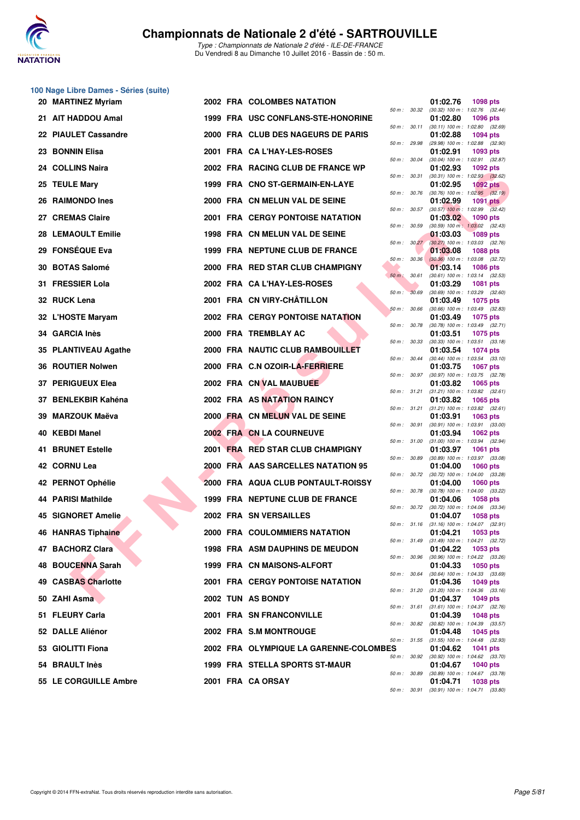

### **100 Nage Libre Dames - Séries (suite)**

| 20 MARTINEZ Myriam        |  | <b>2002 FRA COLOMBES NATATION</b>       |              |                  | 01:02.76                                                 | 1098 pts        |  |
|---------------------------|--|-----------------------------------------|--------------|------------------|----------------------------------------------------------|-----------------|--|
| 21 AIT HADDOU Amal        |  | 1999 FRA USC CONFLANS-STE-HONORINE      | 50 m: 30.32  |                  | $(30.32)$ 100 m : 1:02.76 $(32.44)$<br>01:02.80          | <b>1096 pts</b> |  |
| 22 PIAULET Cassandre      |  | 2000 FRA CLUB DES NAGEURS DE PARIS      |              | 50 m : 30.11     | $(30.11)$ 100 m : 1:02.80 $(32.69)$<br>01:02.88          | <b>1094 pts</b> |  |
| 23 BONNIN Elisa           |  | 2001 FRA CA L'HAY-LES-ROSES             | 50 m : 29.98 |                  | (29.98) 100 m: 1:02.88 (32.90)<br>01:02.91               | 1093 pts        |  |
| 24 COLLINS Naira          |  | 2002 FRA RACING CLUB DE FRANCE WP       | 50 m : 30.04 |                  | $(30.04)$ 100 m : 1:02.91 $(32.87)$<br>01:02.93          | 1092 pts        |  |
| 25 TEULE Mary             |  | 1999 FRA CNO ST-GERMAIN-EN-LAYE         |              | 50 m : 30.31     | $(30.31)$ 100 m : 1:02.93 $(32.62)$<br>01:02.95          | 1092 $pts$      |  |
| 26 RAIMONDO Ines          |  | 2000 FRA CN MELUN VAL DE SEINE          | 50 m : 30.76 |                  | $(30.76)$ 100 m : 1:02.95 $(32.19)$<br>01:02.99          | 1091 pts        |  |
| 27 CREMAS Claire          |  | <b>2001 FRA CERGY PONTOISE NATATION</b> | 50 m : 30.57 |                  | $(30.57)$ 100 m : 1:02.99 $(32.42)$<br>01:03.02          | 1090 pts        |  |
| <b>28 LEMAOULT Emilie</b> |  | 1998 FRA CN MELUN VAL DE SEINE          | 50 m : 30.59 |                  | $(30.59)$ 100 m : 1:03.02 $(32.43)$<br>01:03.03          | <b>1089 pts</b> |  |
| 29 FONSEQUE Eva           |  | 1999 FRA NEPTUNE CLUB DE FRANCE         |              | $50 m$ : $30.27$ | $(30.27)$ 100 m : 1:03.03 $(32.76)$<br>01:03.08          | <b>1088 pts</b> |  |
| 30 BOTAS Salomé           |  | 2000 FRA RED STAR CLUB CHAMPIGNY        |              | 50 m: 30.36      | $(30.36)$ 100 m : 1:03.08 $(32.72)$<br>01:03.14          | <b>1086 pts</b> |  |
| 31 FRESSIER Lola          |  | 2002 FRA CA L'HAY-LES-ROSES             | 50 m: 30.61  |                  | $(30.61)$ 100 m : 1:03.14 $(32.53)$<br>01:03.29          | <b>1081 pts</b> |  |
| 32 RUCK Lena              |  | 2001 FRA CN VIRY-CHÂTILLON              | 50 m: 30.69  |                  | $(30.69)$ 100 m : 1:03.29 $(32.60)$                      |                 |  |
|                           |  |                                         | 50 m: 30.66  |                  | 01:03.49<br>$(30.66)$ 100 m : 1:03.49 $(32.83)$          | 1075 pts        |  |
| 32 L'HOSTE Maryam         |  | <b>2002 FRA CERGY PONTOISE NATATION</b> | 50 m : 30.78 |                  | 01:03.49<br>$(30.78)$ 100 m : 1:03.49 $(32.71)$          | <b>1075 pts</b> |  |
| 34 GARCIA Inès            |  | 2000 FRA TREMBLAY AC                    | 50 m: 30.33  |                  | 01:03.51<br>$(30.33)$ 100 m : 1:03.51 $(33.18)$          | <b>1075 pts</b> |  |
| 35 PLANTIVEAU Agathe      |  | 2000 FRA NAUTIC CLUB RAMBOUILLET        | 50 m : 30.44 |                  | 01:03.54<br>$(30.44)$ 100 m : 1:03.54 $(33.10)$          | <b>1074 pts</b> |  |
| 36 ROUTIER Nolwen         |  | 2000 FRA C.N OZOIR-LA-FERRIERE          |              |                  | 01:03.75<br>50 m: 30.97 (30.97) 100 m: 1:03.75 (32.78)   | <b>1067 pts</b> |  |
| 37 PERIGUEUX Elea         |  | 2002 FRA CN VAL MAUBUEE                 |              | 50 m : 31.21     | 01:03.82<br>$(31.21)$ 100 m : 1:03.82 $(32.61)$          | 1065 pts        |  |
| 37 BENLEKBIR Kahéna       |  | 2002 FRA AS NATATION RAINCY             |              |                  | 01:03.82<br>50 m: 31.21 (31.21) 100 m: 1:03.82 (32.61)   | 1065 pts        |  |
| 39 MARZOUK Maëva          |  | 2000 FRA CN MELUN VAL DE SEINE          | 50 m: 30.91  |                  | 01:03.91<br>$(30.91)$ 100 m : 1:03.91 $(33.00)$          | 1063 pts        |  |
| 40 KEBDI Manel            |  | 2002 FRA CN LA COURNEUVE                |              | 50 m : 31.00     | 01:03.94<br>$(31.00)$ 100 m : 1:03.94 $(32.94)$          | <b>1062 pts</b> |  |
| <b>41 BRUNET Estelle</b>  |  | 2001 FRA RED STAR CLUB CHAMPIGNY        |              | 50 m : 30.89     | 01:03.97<br>$(30.89)$ 100 m : 1:03.97 $(33.08)$          | <b>1061 pts</b> |  |
| 42 CORNU Lea              |  | 2000 FRA AAS SARCELLES NATATION 95      |              | 50 m : 30.72     | 01:04.00<br>$(30.72)$ 100 m : 1:04.00 $(33.28)$          | <b>1060 pts</b> |  |
| 42 PERNOT Ophélie         |  | 2000 FRA AQUA CLUB PONTAULT-ROISSY      |              |                  | 01:04.00                                                 | <b>1060 pts</b> |  |
| 44 PARISI Mathilde        |  | 1999 FRA NEPTUNE CLUB DE FRANCE         |              |                  | 50 m : 30.78 (30.78) 100 m : 1:04.00 (33.22)<br>01:04.06 | 1058 pts        |  |
| 45 SIGNORET Amelie        |  | 2002 FRA SN VERSAILLES                  |              |                  | 50 m : 30.72 (30.72) 100 m : 1:04.06 (33.34)<br>01:04.07 | 1058 pts        |  |
| 46 HANRAS Tiphaine        |  | 2000 FRA COULOMMIERS NATATION           | 50 m: 31.16  |                  | $(31.16)$ 100 m : 1:04.07 $(32.91)$<br>01:04.21          | 1053 pts        |  |
| 47 BACHORZ Clara          |  | <b>1998 FRA ASM DAUPHINS DE MEUDON</b>  |              |                  | 50 m: 31.49 (31.49) 100 m: 1:04.21 (32.72)<br>01:04.22   | 1053 pts        |  |
| 48 BOUCENNA Sarah         |  | 1999 FRA CN MAISONS-ALFORT              |              | 50 m : 30.96     | $(30.96)$ 100 m : 1:04.22 $(33.26)$<br>01:04.33          | <b>1050 pts</b> |  |
| 49 CASBAS Charlotte       |  | <b>2001 FRA CERGY PONTOISE NATATION</b> | 50 m : 30.64 |                  | $(30.64)$ 100 m : 1:04.33 $(33.69)$<br>01:04.36          | 1049 pts        |  |
| 50 ZAHI Asma              |  | 2002 TUN AS BONDY                       |              |                  | 50 m : 31.20 (31.20) 100 m : 1:04.36 (33.16)<br>01:04.37 | 1049 pts        |  |
| 51 FLEURY Carla           |  | <b>2001 FRA SN FRANCONVILLE</b>         |              | 50 m : 31.61     | $(31.61)$ 100 m : 1:04.37 $(32.76)$<br>01:04.39          | 1048 pts        |  |
| 52 DALLE Aliénor          |  | 2002 FRA S.M MONTROUGE                  | 50 m : 30.82 |                  | $(30.82)$ 100 m : 1:04.39 $(33.57)$<br>01:04.48          | 1045 pts        |  |
| 53 GIOLITTI Fiona         |  | 2002 FRA OLYMPIQUE LA GARENNE-COLOMBES  |              | 50 m : 31.55     | $(31.55)$ 100 m : 1:04.48 $(32.93)$<br>01:04.62          | 1041 pts        |  |
| 54 BRAULT Inès            |  | 1999 FRA STELLA SPORTS ST-MAUR          |              | 50 m : 30.92     | $(30.92)$ 100 m : 1:04.62 $(33.70)$<br>01:04.67          | <b>1040 pts</b> |  |
| 55 LE CORGUILLE Ambre     |  | 2001 FRA CA ORSAY                       | 50 m : 30.89 |                  | $(30.89)$ 100 m : 1:04.67 $(33.78)$<br>01:04.71          | <b>1038 pts</b> |  |
|                           |  |                                         |              |                  |                                                          |                 |  |

|              |       | 01:02.76                      | 1098 pts                              |
|--------------|-------|-------------------------------|---------------------------------------|
| $50 m$ :     | 30.32 | $(30.32)$ 100 m :<br>01:02.80 | 1:02.76<br>(32.44)<br>1096 pts        |
| $50 m$ :     | 30.11 | $(30.11)$ 100 m :             | 1:02.80<br>(32.69)                    |
| $50 m$ :     | 29.98 | 01:02.88<br>(29.98) 100 m :   | 1094 pts<br>1:02.88<br>(32.90)        |
|              |       | 01:02.91                      | 1093 pts                              |
| $50 m$ :     | 30.04 | $(30.04)$ 100 m :<br>01:02.93 | 1:02.91<br>(32.87)<br>1092 pts        |
| $50 m$ :     | 30.31 | $(30.31)$ 100 m :             | 1:02.93<br>(32.62)                    |
| $50 m$ :     | 30.76 | 01:02.95<br>$(30.76)$ 100 m : | 1092 pts<br>1:02.95<br>(32.19)        |
|              |       | 01:02.99                      | 1091<br>pts                           |
| $50 m$ :     | 30.57 | $(30.57)$ 100 m :<br>01:03.02 | 1:02.99<br>(32.42)<br>1090 pts        |
| $50 m$ :     | 30.59 | $(30.59)$ 100 m :             | 1:03.02<br>(32.43)                    |
| $50 m$ :     | 30.27 | 01:03.03                      | 1089 pts                              |
|              |       | $(30.27)$ 100 m :<br>01:03.08 | (32.76)<br>1:03.03<br>1088 pts        |
| $50 m$ :     | 30.36 | $(30.36)$ 100 m :             | 1:03.08<br>(32.72)                    |
| $50 m$ :     | 30.61 | 01:03.14<br>$(30.61)$ 100 m : | 1086 pts<br>1:03.14<br>(32.53)        |
|              |       | 01:03.29                      | 1081<br>pts                           |
| $50 m$ :     | 30.69 | $(30.69)$ 100 m :<br>01:03.49 | 1:03.29<br>(32.60)<br>1075<br>pts     |
| $50 m$ :     | 30.66 | $(30.66) 100 m$ :             | 1:03.49<br>(32.83)                    |
| $50 m$ :     | 30.78 | 01:03.49<br>$(30.78) 100 m$ : | 1075 pts<br>1:03.49<br>(32.71)        |
|              |       | 01:03.51                      | 1075 pts                              |
| $50 m$ :     | 30.33 | $(30.33) 100 m$ :<br>01:03.54 | 1:03.51<br>(33.18)<br>1074 pts        |
| $50 m$ :     | 30.44 | $(30.44)$ 100 m :             | 1:03.54<br>(33.10)                    |
| $50 m$ :     | 30.97 | 01:03.75<br>$(30.97)$ 100 m : | 1067<br>pts<br>1:03.75<br>(32.78)     |
|              |       | 01:03.82                      | 1065 pts                              |
| $50 m$ :     | 31.21 | $(31.21)$ 100 m :             | 1:03.82<br>(32.61)                    |
| $50 m$ :     | 31.21 | 01:03.82<br>$(31.21)$ 100 m : | 1065<br>pts<br>1:03.82<br>(32.61)     |
|              |       | 01:03.91                      | 1063 pts                              |
| $50 m$ :     | 30.91 | $(30.91)$ 100 m :<br>01:03.94 | 1:03.91<br>(33.00)<br>1062 pts        |
| $50 m$ :     | 31.00 | $(31.00) 100 m$ :             | (32.94)<br>1:03.94                    |
| $50 m$ :     | 30.89 | 01:03.97<br>$(30.89)$ 100 m : | 1061<br>pts<br>1:03.97<br>(33.08)     |
|              |       | 01:04.00                      | 1060 pts                              |
| $50 m$ :     | 30.72 | (30.72) 100 m :<br>01:04.00   | 1:04.00<br>(33.28)<br>1060 pts        |
| $50 m$ :     | 30.78 | $(30.78) 100 m$ :             | 1:04.00<br>(33.22)                    |
| $50 m$ :     | 30.72 | 01:04.06<br>(30.72) 100 m :   | 1058 pts<br>1:04.06<br>(33.34)        |
|              |       | 01:04.07                      | 1058 pts                              |
| 50 m : 31.16 |       | $(31.16) 100 m$ :<br>01:04.21 | 1:04.07 (32.91)<br>1053 pts           |
| $50 m$ :     | 31.49 | $(31.49) 100 m$ :             | 1:04.21<br>(32.72)                    |
| $50 m$ :     | 30.96 | 01:04.22<br>$(30.96)$ 100 m : | 1053 pts<br>1:04.22<br>(33.26)        |
|              |       | 01:04.33                      | 1050 pts                              |
| $50 m$ :     | 30.64 | $(30.64) 100 m$ :<br>01:04.36 | 1:04.33<br>(33.69)<br>1049 pts        |
| $50 m$ :     | 31.20 | $(31.20)$ 100 m :             | 1:04.36<br>(33.16)                    |
| $50 m$ :     | 31.61 | 01:04.37<br>$(31.61) 100 m$ : | 1049 pts<br>1:04.37<br>(32.76)        |
|              |       | 01:04.39                      | 1048 pts                              |
| $50 m$ :     | 30.82 | $(30.82)$ 100 m :             | 1:04.39<br>(33.57)                    |
| $50 m$ :     | 31.55 | 01:04.48<br>$(31.55) 100 m$ : | 1045 pts<br>1:04.48<br>(32.93)        |
| ΞS           |       | 01:04.62                      | 1041<br>pts                           |
| $50 m$ :     | 30.92 | $(30.92)$ 100 m :<br>01:04.67 | 1:04.62<br>(33.70)<br><b>1040 pts</b> |
| $50 m$ :     | 30.89 | $(30.89)$ 100 m :             | 1:04.67<br>(33.78)                    |
| 50 m :       | 30.91 | 01:04.71<br>$(30.91)$ 100 m : | 1038 pts<br>1:04.71 (33.80)           |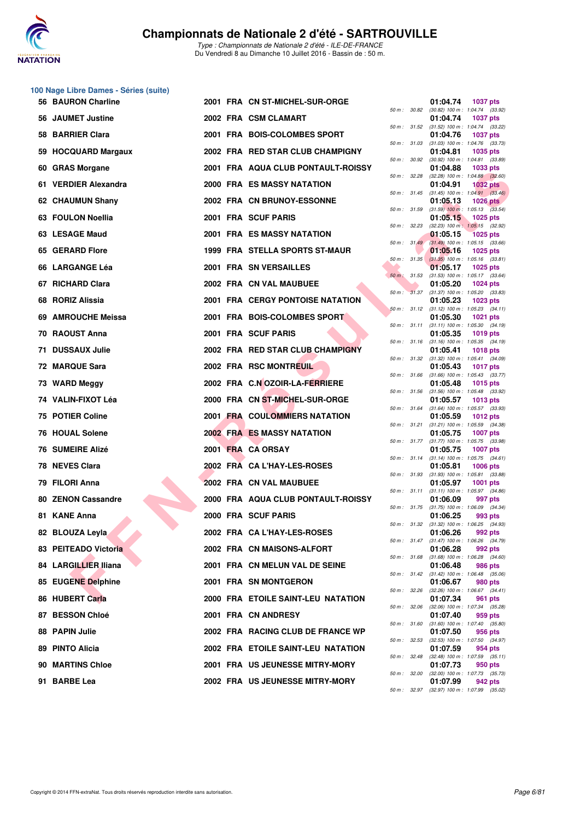

|                           |                                                                                                                                       |                    |                                                                                                                                                                                                                                                                                                                                                                                                                                                                                                                                                                                                                                                                                                                                                                                                                                                                                                                                                                                                                                                                                                                                                                            | 01:04.74<br><b>1037 pts</b>                                                                                                                                                                                                                                                                                                                                                                                                         |                                                                                                                                                                                                                                                                                                                                                                                                                                                                                                                                                                                                                                                                                                                                                                                                                                                                                                                                                                                                                  |
|---------------------------|---------------------------------------------------------------------------------------------------------------------------------------|--------------------|----------------------------------------------------------------------------------------------------------------------------------------------------------------------------------------------------------------------------------------------------------------------------------------------------------------------------------------------------------------------------------------------------------------------------------------------------------------------------------------------------------------------------------------------------------------------------------------------------------------------------------------------------------------------------------------------------------------------------------------------------------------------------------------------------------------------------------------------------------------------------------------------------------------------------------------------------------------------------------------------------------------------------------------------------------------------------------------------------------------------------------------------------------------------------|-------------------------------------------------------------------------------------------------------------------------------------------------------------------------------------------------------------------------------------------------------------------------------------------------------------------------------------------------------------------------------------------------------------------------------------|------------------------------------------------------------------------------------------------------------------------------------------------------------------------------------------------------------------------------------------------------------------------------------------------------------------------------------------------------------------------------------------------------------------------------------------------------------------------------------------------------------------------------------------------------------------------------------------------------------------------------------------------------------------------------------------------------------------------------------------------------------------------------------------------------------------------------------------------------------------------------------------------------------------------------------------------------------------------------------------------------------------|
| 56 JAUMET Justine         |                                                                                                                                       |                    |                                                                                                                                                                                                                                                                                                                                                                                                                                                                                                                                                                                                                                                                                                                                                                                                                                                                                                                                                                                                                                                                                                                                                                            | 01:04.74<br><b>1037 pts</b>                                                                                                                                                                                                                                                                                                                                                                                                         |                                                                                                                                                                                                                                                                                                                                                                                                                                                                                                                                                                                                                                                                                                                                                                                                                                                                                                                                                                                                                  |
| 58 BARRIER Clara          |                                                                                                                                       |                    |                                                                                                                                                                                                                                                                                                                                                                                                                                                                                                                                                                                                                                                                                                                                                                                                                                                                                                                                                                                                                                                                                                                                                                            | 01:04.76<br><b>1037 pts</b>                                                                                                                                                                                                                                                                                                                                                                                                         |                                                                                                                                                                                                                                                                                                                                                                                                                                                                                                                                                                                                                                                                                                                                                                                                                                                                                                                                                                                                                  |
| 59 HOCQUARD Margaux       |                                                                                                                                       |                    |                                                                                                                                                                                                                                                                                                                                                                                                                                                                                                                                                                                                                                                                                                                                                                                                                                                                                                                                                                                                                                                                                                                                                                            | 01:04.81<br>1035 pts                                                                                                                                                                                                                                                                                                                                                                                                                |                                                                                                                                                                                                                                                                                                                                                                                                                                                                                                                                                                                                                                                                                                                                                                                                                                                                                                                                                                                                                  |
| 60 GRAS Morgane           |                                                                                                                                       |                    |                                                                                                                                                                                                                                                                                                                                                                                                                                                                                                                                                                                                                                                                                                                                                                                                                                                                                                                                                                                                                                                                                                                                                                            | 01:04.88<br>1033 pts                                                                                                                                                                                                                                                                                                                                                                                                                |                                                                                                                                                                                                                                                                                                                                                                                                                                                                                                                                                                                                                                                                                                                                                                                                                                                                                                                                                                                                                  |
| 61 VERDIER Alexandra      |                                                                                                                                       |                    |                                                                                                                                                                                                                                                                                                                                                                                                                                                                                                                                                                                                                                                                                                                                                                                                                                                                                                                                                                                                                                                                                                                                                                            | $(32.28)$ 100 m : 1:04.88 $(32.60)$<br>01:04.91<br><b>1032 pts</b>                                                                                                                                                                                                                                                                                                                                                                  |                                                                                                                                                                                                                                                                                                                                                                                                                                                                                                                                                                                                                                                                                                                                                                                                                                                                                                                                                                                                                  |
| 62 CHAUMUN Shany          |                                                                                                                                       |                    |                                                                                                                                                                                                                                                                                                                                                                                                                                                                                                                                                                                                                                                                                                                                                                                                                                                                                                                                                                                                                                                                                                                                                                            | $(31.45)$ 100 m : 1:04.91 $(33.46)$<br>01:05.13<br><b>1026 pts</b>                                                                                                                                                                                                                                                                                                                                                                  |                                                                                                                                                                                                                                                                                                                                                                                                                                                                                                                                                                                                                                                                                                                                                                                                                                                                                                                                                                                                                  |
| 63 FOULON Noellia         |                                                                                                                                       |                    |                                                                                                                                                                                                                                                                                                                                                                                                                                                                                                                                                                                                                                                                                                                                                                                                                                                                                                                                                                                                                                                                                                                                                                            | $(31.59)$ 100 m : 1:05.13 $(33.54)$<br>01:05.15<br>1025 pts                                                                                                                                                                                                                                                                                                                                                                         |                                                                                                                                                                                                                                                                                                                                                                                                                                                                                                                                                                                                                                                                                                                                                                                                                                                                                                                                                                                                                  |
| 63 LESAGE Maud            |                                                                                                                                       |                    |                                                                                                                                                                                                                                                                                                                                                                                                                                                                                                                                                                                                                                                                                                                                                                                                                                                                                                                                                                                                                                                                                                                                                                            | $(32.23)$ 100 m : 1:05.15 $(32.92)$<br>01:05.15<br><b>1025 pts</b>                                                                                                                                                                                                                                                                                                                                                                  |                                                                                                                                                                                                                                                                                                                                                                                                                                                                                                                                                                                                                                                                                                                                                                                                                                                                                                                                                                                                                  |
| 65 GERARD Flore           |                                                                                                                                       |                    |                                                                                                                                                                                                                                                                                                                                                                                                                                                                                                                                                                                                                                                                                                                                                                                                                                                                                                                                                                                                                                                                                                                                                                            | $(31.49)$ 100 m : 1:05.15 $(33.66)$<br>01:05.16<br><b>1025 pts</b>                                                                                                                                                                                                                                                                                                                                                                  |                                                                                                                                                                                                                                                                                                                                                                                                                                                                                                                                                                                                                                                                                                                                                                                                                                                                                                                                                                                                                  |
| 66 LARGANGE Léa           |                                                                                                                                       |                    |                                                                                                                                                                                                                                                                                                                                                                                                                                                                                                                                                                                                                                                                                                                                                                                                                                                                                                                                                                                                                                                                                                                                                                            | $(31.35)$ 100 m : 1:05.16 $(33.81)$<br>01:05.17<br><b>1025 pts</b>                                                                                                                                                                                                                                                                                                                                                                  |                                                                                                                                                                                                                                                                                                                                                                                                                                                                                                                                                                                                                                                                                                                                                                                                                                                                                                                                                                                                                  |
| 67 RICHARD Clara          |                                                                                                                                       |                    |                                                                                                                                                                                                                                                                                                                                                                                                                                                                                                                                                                                                                                                                                                                                                                                                                                                                                                                                                                                                                                                                                                                                                                            | $(31.53)$ 100 m : 1:05.17 $(33.64)$<br>01:05.20                                                                                                                                                                                                                                                                                                                                                                                     |                                                                                                                                                                                                                                                                                                                                                                                                                                                                                                                                                                                                                                                                                                                                                                                                                                                                                                                                                                                                                  |
|                           |                                                                                                                                       |                    |                                                                                                                                                                                                                                                                                                                                                                                                                                                                                                                                                                                                                                                                                                                                                                                                                                                                                                                                                                                                                                                                                                                                                                            | $(31.37)$ 100 m : 1:05.20 $(33.83)$                                                                                                                                                                                                                                                                                                                                                                                                 |                                                                                                                                                                                                                                                                                                                                                                                                                                                                                                                                                                                                                                                                                                                                                                                                                                                                                                                                                                                                                  |
|                           |                                                                                                                                       |                    |                                                                                                                                                                                                                                                                                                                                                                                                                                                                                                                                                                                                                                                                                                                                                                                                                                                                                                                                                                                                                                                                                                                                                                            |                                                                                                                                                                                                                                                                                                                                                                                                                                     |                                                                                                                                                                                                                                                                                                                                                                                                                                                                                                                                                                                                                                                                                                                                                                                                                                                                                                                                                                                                                  |
|                           |                                                                                                                                       |                    |                                                                                                                                                                                                                                                                                                                                                                                                                                                                                                                                                                                                                                                                                                                                                                                                                                                                                                                                                                                                                                                                                                                                                                            |                                                                                                                                                                                                                                                                                                                                                                                                                                     |                                                                                                                                                                                                                                                                                                                                                                                                                                                                                                                                                                                                                                                                                                                                                                                                                                                                                                                                                                                                                  |
|                           |                                                                                                                                       |                    |                                                                                                                                                                                                                                                                                                                                                                                                                                                                                                                                                                                                                                                                                                                                                                                                                                                                                                                                                                                                                                                                                                                                                                            | $(31.16)$ 100 m : 1:05.35 $(34.19)$                                                                                                                                                                                                                                                                                                                                                                                                 |                                                                                                                                                                                                                                                                                                                                                                                                                                                                                                                                                                                                                                                                                                                                                                                                                                                                                                                                                                                                                  |
|                           |                                                                                                                                       |                    |                                                                                                                                                                                                                                                                                                                                                                                                                                                                                                                                                                                                                                                                                                                                                                                                                                                                                                                                                                                                                                                                                                                                                                            | $(31.32)$ 100 m : 1:05.41 $(34.09)$                                                                                                                                                                                                                                                                                                                                                                                                 |                                                                                                                                                                                                                                                                                                                                                                                                                                                                                                                                                                                                                                                                                                                                                                                                                                                                                                                                                                                                                  |
|                           |                                                                                                                                       |                    |                                                                                                                                                                                                                                                                                                                                                                                                                                                                                                                                                                                                                                                                                                                                                                                                                                                                                                                                                                                                                                                                                                                                                                            | $(31.66)$ 100 m : 1:05.43 $(33.77)$                                                                                                                                                                                                                                                                                                                                                                                                 |                                                                                                                                                                                                                                                                                                                                                                                                                                                                                                                                                                                                                                                                                                                                                                                                                                                                                                                                                                                                                  |
|                           |                                                                                                                                       |                    |                                                                                                                                                                                                                                                                                                                                                                                                                                                                                                                                                                                                                                                                                                                                                                                                                                                                                                                                                                                                                                                                                                                                                                            | $(31.56)$ 100 m : 1:05.48 $(33.92)$                                                                                                                                                                                                                                                                                                                                                                                                 |                                                                                                                                                                                                                                                                                                                                                                                                                                                                                                                                                                                                                                                                                                                                                                                                                                                                                                                                                                                                                  |
|                           |                                                                                                                                       |                    |                                                                                                                                                                                                                                                                                                                                                                                                                                                                                                                                                                                                                                                                                                                                                                                                                                                                                                                                                                                                                                                                                                                                                                            | 01:05.57<br>1013 pts                                                                                                                                                                                                                                                                                                                                                                                                                |                                                                                                                                                                                                                                                                                                                                                                                                                                                                                                                                                                                                                                                                                                                                                                                                                                                                                                                                                                                                                  |
| 75 POTIER Coline          |                                                                                                                                       |                    |                                                                                                                                                                                                                                                                                                                                                                                                                                                                                                                                                                                                                                                                                                                                                                                                                                                                                                                                                                                                                                                                                                                                                                            | 01:05.59<br><b>1012 pts</b><br>$(31.21)$ 100 m : 1:05.59 $(34.38)$                                                                                                                                                                                                                                                                                                                                                                  |                                                                                                                                                                                                                                                                                                                                                                                                                                                                                                                                                                                                                                                                                                                                                                                                                                                                                                                                                                                                                  |
| 76 HOUAL Solene           |                                                                                                                                       |                    |                                                                                                                                                                                                                                                                                                                                                                                                                                                                                                                                                                                                                                                                                                                                                                                                                                                                                                                                                                                                                                                                                                                                                                            | 01:05.75<br>1007 pts                                                                                                                                                                                                                                                                                                                                                                                                                |                                                                                                                                                                                                                                                                                                                                                                                                                                                                                                                                                                                                                                                                                                                                                                                                                                                                                                                                                                                                                  |
| 76 SUMEIRE Alizé          |                                                                                                                                       |                    |                                                                                                                                                                                                                                                                                                                                                                                                                                                                                                                                                                                                                                                                                                                                                                                                                                                                                                                                                                                                                                                                                                                                                                            | 01:05.75<br>1007 pts                                                                                                                                                                                                                                                                                                                                                                                                                |                                                                                                                                                                                                                                                                                                                                                                                                                                                                                                                                                                                                                                                                                                                                                                                                                                                                                                                                                                                                                  |
| 78 NEVES Clara            |                                                                                                                                       |                    |                                                                                                                                                                                                                                                                                                                                                                                                                                                                                                                                                                                                                                                                                                                                                                                                                                                                                                                                                                                                                                                                                                                                                                            | 01:05.81<br><b>1006 pts</b>                                                                                                                                                                                                                                                                                                                                                                                                         |                                                                                                                                                                                                                                                                                                                                                                                                                                                                                                                                                                                                                                                                                                                                                                                                                                                                                                                                                                                                                  |
| 79 FILORI Anna            |                                                                                                                                       |                    |                                                                                                                                                                                                                                                                                                                                                                                                                                                                                                                                                                                                                                                                                                                                                                                                                                                                                                                                                                                                                                                                                                                                                                            | 01:05.97<br>1001 pts                                                                                                                                                                                                                                                                                                                                                                                                                |                                                                                                                                                                                                                                                                                                                                                                                                                                                                                                                                                                                                                                                                                                                                                                                                                                                                                                                                                                                                                  |
| <b>80 ZENON Cassandre</b> |                                                                                                                                       |                    |                                                                                                                                                                                                                                                                                                                                                                                                                                                                                                                                                                                                                                                                                                                                                                                                                                                                                                                                                                                                                                                                                                                                                                            | 01:06.09<br>997 pts                                                                                                                                                                                                                                                                                                                                                                                                                 |                                                                                                                                                                                                                                                                                                                                                                                                                                                                                                                                                                                                                                                                                                                                                                                                                                                                                                                                                                                                                  |
| 81 KANE Anna              |                                                                                                                                       |                    |                                                                                                                                                                                                                                                                                                                                                                                                                                                                                                                                                                                                                                                                                                                                                                                                                                                                                                                                                                                                                                                                                                                                                                            | 01:06.25<br>993 pts                                                                                                                                                                                                                                                                                                                                                                                                                 |                                                                                                                                                                                                                                                                                                                                                                                                                                                                                                                                                                                                                                                                                                                                                                                                                                                                                                                                                                                                                  |
| 82 BLOUZA Leyla           |                                                                                                                                       |                    |                                                                                                                                                                                                                                                                                                                                                                                                                                                                                                                                                                                                                                                                                                                                                                                                                                                                                                                                                                                                                                                                                                                                                                            | 01:06.26<br>992 pts                                                                                                                                                                                                                                                                                                                                                                                                                 |                                                                                                                                                                                                                                                                                                                                                                                                                                                                                                                                                                                                                                                                                                                                                                                                                                                                                                                                                                                                                  |
| 83 PEITEADO Victoria      |                                                                                                                                       |                    |                                                                                                                                                                                                                                                                                                                                                                                                                                                                                                                                                                                                                                                                                                                                                                                                                                                                                                                                                                                                                                                                                                                                                                            | 01:06.28<br>992 pts                                                                                                                                                                                                                                                                                                                                                                                                                 |                                                                                                                                                                                                                                                                                                                                                                                                                                                                                                                                                                                                                                                                                                                                                                                                                                                                                                                                                                                                                  |
| 84 LARGILLIER Iliana      |                                                                                                                                       |                    |                                                                                                                                                                                                                                                                                                                                                                                                                                                                                                                                                                                                                                                                                                                                                                                                                                                                                                                                                                                                                                                                                                                                                                            | 01:06.48<br>986 pts                                                                                                                                                                                                                                                                                                                                                                                                                 |                                                                                                                                                                                                                                                                                                                                                                                                                                                                                                                                                                                                                                                                                                                                                                                                                                                                                                                                                                                                                  |
| 85 EUGENE Delphine        |                                                                                                                                       |                    |                                                                                                                                                                                                                                                                                                                                                                                                                                                                                                                                                                                                                                                                                                                                                                                                                                                                                                                                                                                                                                                                                                                                                                            | 01:06.67<br>980 pts                                                                                                                                                                                                                                                                                                                                                                                                                 |                                                                                                                                                                                                                                                                                                                                                                                                                                                                                                                                                                                                                                                                                                                                                                                                                                                                                                                                                                                                                  |
| 86 HUBERT Carla           |                                                                                                                                       |                    |                                                                                                                                                                                                                                                                                                                                                                                                                                                                                                                                                                                                                                                                                                                                                                                                                                                                                                                                                                                                                                                                                                                                                                            | 01:07.34<br>961 pts                                                                                                                                                                                                                                                                                                                                                                                                                 |                                                                                                                                                                                                                                                                                                                                                                                                                                                                                                                                                                                                                                                                                                                                                                                                                                                                                                                                                                                                                  |
| 87 BESSON Chloé           |                                                                                                                                       |                    |                                                                                                                                                                                                                                                                                                                                                                                                                                                                                                                                                                                                                                                                                                                                                                                                                                                                                                                                                                                                                                                                                                                                                                            | 01:07.40<br>959 pts                                                                                                                                                                                                                                                                                                                                                                                                                 |                                                                                                                                                                                                                                                                                                                                                                                                                                                                                                                                                                                                                                                                                                                                                                                                                                                                                                                                                                                                                  |
| 88 PAPIN Julie            |                                                                                                                                       |                    |                                                                                                                                                                                                                                                                                                                                                                                                                                                                                                                                                                                                                                                                                                                                                                                                                                                                                                                                                                                                                                                                                                                                                                            | 01:07.50<br>956 pts                                                                                                                                                                                                                                                                                                                                                                                                                 |                                                                                                                                                                                                                                                                                                                                                                                                                                                                                                                                                                                                                                                                                                                                                                                                                                                                                                                                                                                                                  |
| 89 PINTO Alicia           |                                                                                                                                       |                    |                                                                                                                                                                                                                                                                                                                                                                                                                                                                                                                                                                                                                                                                                                                                                                                                                                                                                                                                                                                                                                                                                                                                                                            | (32.53) 100 m: 1:07.50 (34.97)<br>01:07.59<br>954 pts                                                                                                                                                                                                                                                                                                                                                                               |                                                                                                                                                                                                                                                                                                                                                                                                                                                                                                                                                                                                                                                                                                                                                                                                                                                                                                                                                                                                                  |
| 90 MARTINS Chloe          |                                                                                                                                       |                    |                                                                                                                                                                                                                                                                                                                                                                                                                                                                                                                                                                                                                                                                                                                                                                                                                                                                                                                                                                                                                                                                                                                                                                            | $(32.48)$ 100 m : 1:07.59 $(35.11)$<br>01:07.73<br>950 pts                                                                                                                                                                                                                                                                                                                                                                          |                                                                                                                                                                                                                                                                                                                                                                                                                                                                                                                                                                                                                                                                                                                                                                                                                                                                                                                                                                                                                  |
| 91 BARBE Lea              |                                                                                                                                       |                    |                                                                                                                                                                                                                                                                                                                                                                                                                                                                                                                                                                                                                                                                                                                                                                                                                                                                                                                                                                                                                                                                                                                                                                            | (32.00) 100 m: 1:07.73 (35.73)<br>01:07.99<br>942 pts                                                                                                                                                                                                                                                                                                                                                                               |                                                                                                                                                                                                                                                                                                                                                                                                                                                                                                                                                                                                                                                                                                                                                                                                                                                                                                                                                                                                                  |
|                           | 68 RORIZ Alissia<br>69 AMROUCHE Meissa<br>70 RAOUST Anna<br>71 DUSSAUX Julie<br>72 MARQUE Sara<br>73 WARD Meggy<br>74 VALIN-FIXOT Léa | 56 BAURON Charline | 2001 FRA CN ST-MICHEL-SUR-ORGE<br>2002 FRA CSM CLAMART<br>2001 FRA BOIS-COLOMBES SPORT<br>2002 FRA RED STAR CLUB CHAMPIGNY<br>2001 FRA AQUA CLUB PONTAULT-ROISSY<br>2000 FRA ES MASSY NATATION<br>2002 FRA CN BRUNOY-ESSONNE<br>2001 FRA SCUF PARIS<br>2001 FRA ES MASSY NATATION<br>1999 FRA STELLA SPORTS ST-MAUR<br>2001 FRA SN VERSAILLES<br>2002 FRA CN VAL MAUBUEE<br><b>2001 FRA CERGY PONTOISE NATATION</b><br>2001 FRA BOIS-COLOMBES SPORT<br>2001 FRA SCUF PARIS<br>2002 FRA RED STAR CLUB CHAMPIGNY<br>2002 FRA RSC MONTREUIL<br>2002 FRA C.N OZOIR-LA-FERRIERE<br>2000 FRA CN ST-MICHEL-SUR-ORGE<br><b>2001 FRA COULOMMIERS NATATION</b><br><b>2002 FRA ES MASSY NATATION</b><br>2001 FRA CA ORSAY<br>2002 FRA CA L'HAY-LES-ROSES<br>2002 FRA CN VAL MAUBUEE<br>2000 FRA AQUA CLUB PONTAULT-ROISSY<br>2000 FRA SCUF PARIS<br>2002 FRA CAL'HAY-LES-ROSES<br>2002 FRA CN MAISONS-ALFORT<br>2001 FRA CN MELUN VAL DE SEINE<br>2001 FRA SN MONTGERON<br>2000 FRA ETOILE SAINT-LEU NATATION<br>2001 FRA CN ANDRESY<br>2002 FRA RACING CLUB DE FRANCE WP<br>2002 FRA ETOILE SAINT-LEU NATATION<br>2001 FRA US JEUNESSE MITRY-MORY<br>2002 FRA US JEUNESSE MITRY-MORY | 50 m : 30.82<br>50 m: 31.03<br>50 m: 30.92<br>50 m: 32.28<br>50 m : 31.45<br>50 m : 31.59<br>50 m: 32.23<br>50 m: 31.49<br>$50 m$ : 31.35<br>50 m : 31.53<br>50 m: 31.37<br>50 m: 31.16<br>50 m : 31.32<br>50 m : 31.66<br>50 m : 31.56<br>50 m : 31.21<br>50 m: 31.14<br>50 m : 31.93<br>50 m : 31.75<br>50 m : 31.47<br>50 m : 31.68<br>50 m: 31.42<br>50 m : 32.06<br>50 m : 31.60<br>50 m : 32.53<br>50 m: 32.48<br>50 m: 32.00 | (30.82) 100 m: 1:04.74 (33.92)<br>50 m: 31.52 (31.52) 100 m: 1:04.74 (33.22)<br>$(31.03)$ 100 m : 1:04.76 $(33.73)$<br>$(30.92)$ 100 m : 1:04.81 $(33.89)$<br><b>1024 pts</b><br>01:05.23<br>1023 pts<br>50 m: 31.12 (31.12) 100 m: 1:05.23 (34.11)<br>01:05.30<br><b>1021 pts</b><br>50 m: 31.11 (31.11) 100 m: 1:05.30 (34.19)<br>01:05.35<br><b>1019 pts</b><br>01:05.41<br><b>1018 pts</b><br>01:05.43<br><b>1017 pts</b><br>01:05.48<br>1015 pts<br>50 m: 31.64 (31.64) 100 m: 1:05.57 (33.93)<br>50 m: 31.77 (31.77) 100 m: 1:05.75 (33.98)<br>$(31.14)$ 100 m : 1:05.75 $(34.61)$<br>$(31.93)$ 100 m : 1:05.81 $(33.88)$<br>50 m: 31.11 (31.11) 100 m: 1:05.97 (34.86)<br>$(31.75)$ 100 m : 1:06.09 $(34.34)$<br>50 m : 31.32 (31.32) 100 m : 1:06.25 (34.93)<br>$(31.47)$ 100 m : 1:06.26 $(34.79)$<br>$(31.68)$ 100 m : 1:06.28 $(34.60)$<br>$(31.42)$ 100 m : 1:06.48 $(35.06)$<br>50 m: 32.26 (32.26) 100 m: 1:06.67 (34.41)<br>(32.06) 100 m: 1:07.34 (35.28)<br>$(31.60)$ 100 m : 1:07.40 $(35.80)$ |

|          |       | 01:04.74                      | <b>1037 pts</b>                       |
|----------|-------|-------------------------------|---------------------------------------|
| 50 m :   | 30.82 | $(30.82)$ 100 m :             | 1:04.74<br>(33.92)                    |
| $50 m$ : | 31.52 | 01:04.74<br>$(31.52)$ 100 m : | 1037 pts<br>(33.22)<br>1:04.74        |
|          |       | 01:04.76                      | <b>1037 pts</b>                       |
| $50 m$ : | 31.03 | $(31.03) 100 m$ :             | 1:04.76<br>(33.73)                    |
| $50 m$ : | 30.92 | 01:04.81<br>$(30.92)$ 100 m : | 1035 pts<br>1:04.81<br>(33.89)        |
|          |       | 01:04.88                      | 1033 pts                              |
| 50 m :   | 32.28 | $(32.28)$ 100 m :<br>01:04.91 | 1:04.88<br>(32.60)<br><b>1032 pts</b> |
| $50 m$ : | 31.45 | $(31.45) 100 m$ :             | 1:04.91<br>(33.46)                    |
|          |       | 01:05.13                      | <b>1026 pts</b>                       |
| $50 m$ : | 31.59 | $(31.59)$ 100 m :<br>01:05.15 | 1:05.13<br>(33.54)<br>1025 pts        |
| $50 m$ : | 32.23 | $(32.23)$ 100 m :             | 1:05.15<br>(32.92)                    |
| $50 m$ : | 31.49 | 01:05.15<br>$(31.49) 100 m$ : | 1025 pts<br>1:05.15<br>(33.66)        |
|          |       | 01:05.16                      | 1025 pts                              |
| $50 m$ : | 31.35 | $(31.35) 100 m$ :             | 1:05.16<br>(33.81)                    |
| $50 m$ : | 31.53 | 01:05.17<br>$(31.53) 100 m$ : | 1025 pts<br>1:05.17<br>(33.64)        |
|          |       | 01:05.20                      | 1024 pts                              |
| $50 m$ : | 31.37 | $(31.37) 100 m$ :             | 1:05.20<br>(33.83)                    |
| 50 m :   | 31.12 | 01:05.23<br>$(31.12) 100 m$ : | 1023 pts<br>1:05.23<br>(34.11)        |
|          |       | 01:05.30                      | 1021<br>pts                           |
| $50 m$ : | 31.11 | $(31.11) 100 m$ :<br>01:05.35 | (34.19)<br>1:05.30<br>1019 pts        |
| $50 m$ : | 31.16 | $(31.16) 100 m$ :             | 1:05.35<br>(34.19)                    |
|          |       | 01:05.41                      | <b>1018 pts</b>                       |
| $50 m$ : | 31.32 | $(31.32) 100 m$ :<br>01:05.43 | 1:05.41<br>(34.09)<br>1017<br>pts     |
| 50 m :   | 31.66 | $(31.66) 100 m$ :             | 1:05.43<br>(33.77)                    |
| $50 m$ : | 31.56 | 01:05.48<br>$(31.56) 100 m$ : | 1015 pts<br>1:05.48<br>(33.92)        |
|          |       | 01:05.57                      | 1013 pts                              |
| $50 m$ : | 31.64 | $(31.64) 100 m$ :             | 1:05.57<br>(33.93)                    |
| $50 m$ : | 31.21 | 01:05.59<br>$(31.21)$ 100 m : | 1012 pts<br>1:05.59<br>(34.38)        |
|          |       | 01:05.75                      | <b>1007 pts</b>                       |
| $50 m$ : | 31.77 | $(31.77) 100 m$ :<br>01:05.75 | 1:05.75<br>(33.98)<br>1007<br>pts     |
| $50 m$ : | 31.14 | $(31.14) 100 m$ :             | 1:05.75<br>(34.61)                    |
|          |       | 01:05.81                      | 1006 pts                              |
| $50 m$ : | 31.93 | $(31.93) 100 m$ :<br>01:05.97 | 1:05.81<br>(33.88)<br>1001<br>pts     |
| $50 m$ : | 31.11 | $(31.11) 100 m$ :             | 1:05.97<br>(34.86)                    |
| $50 m$ : | 31.75 | 01:06.09<br>$(31.75) 100 m$ : | 997<br>pts<br>(34.34)<br>1:06.09      |
|          |       | 01:06.25                      | 993 pts                               |
| $50 m$ : | 31.32 | $(31.32) 100 m$ :<br>01:06.26 | 1:06.25<br>(34.93)<br>992 pts         |
| $50 m$ : | 31.47 | $(31.47) 100 m$ :             | 1:06.26<br>(34.79)                    |
|          |       | 01:06.28                      | 992 pts                               |
| $50 m$ : | 31.68 | $(31.68) 100 m$ :<br>01:06.48 | 1:06.28<br>(34.60)<br><b>986 pts</b>  |
| $50 m$ : | 31.42 | $(31.42)$ 100 m :             | 1:06.48<br>(35.06)                    |
| $50 m$ : | 32.26 | 01:06.67<br>$(32.26)$ 100 m : | 980 pts<br>1:06.67<br>(34.41)         |
|          |       | 01:07.34                      | 961<br>pts                            |
| $50 m$ : | 32.06 | $(32.06)$ 100 m :             | 1:07.34<br>(35.28)                    |
| $50 m$ : | 31.60 | 01:07.40<br>$(31.60) 100 m$ : | 959 pts<br>1:07.40<br>(35.80)         |
|          |       | 01:07.50                      | 956 pts                               |
| $50 m$ : | 32.53 | $(32.53) 100 m$ :             | 1:07.50<br>(34.97)                    |
| $50 m$ : | 32.48 | 01:07.59<br>$(32.48) 100 m$ : | 954 pts<br>1:07.59<br>(35.11)         |
|          |       | 01:07.73                      | 950 pts                               |
| $50 m$ : | 32.00 | $(32.00)$ 100 m :<br>01:07.99 | 1:07.73<br>(35.73)<br>942 pts         |
| $50 m$ : | 32.97 | $(32.97)$ 100 m :             | 1:07.99<br>(35.02)                    |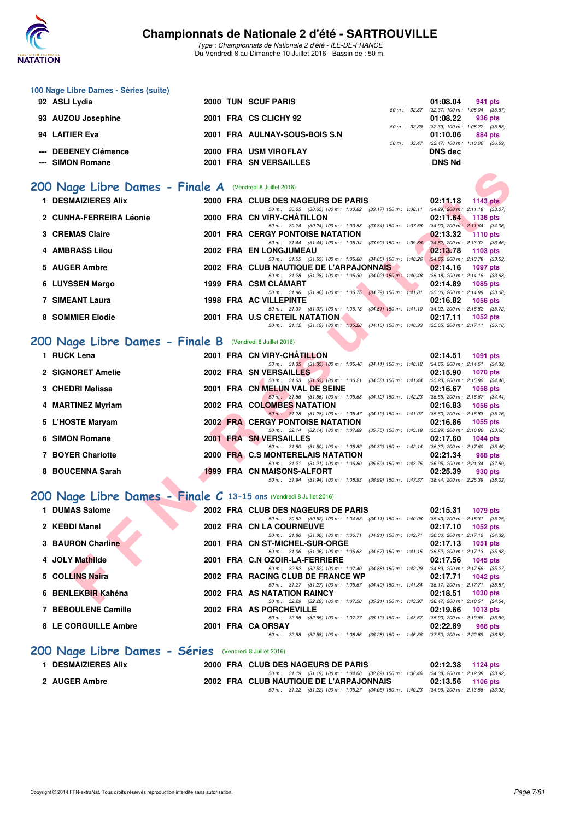

**100 Nage Libre Dames - Séries (suite)**

93 AUZOU Josephine 2001 FRA CS CLICHY 92

## **Championnats de Nationale 2 d'été - SARTROUVILLE**

Type : Championnats de Nationale 2 d'été - ILE-DE-FRANCE Du Vendredi 8 au Dimanche 10 Juillet 2016 - Bassin de : 50 m.

50 m : 32.37 (32.37) 100 m : 1:08.04 (35.67)<br>**01:08.22 936 pts** 

**92 ASLI Lydia 2000 TUN SCUF PARIS 01:08.04 941 pts**

|                                                                     |                                                           |  | 50 m : 32.39                                                                                                                        | $(32.39)$ 100 m : 1:08.22 $(35.83)$                                |  |  |  |  |  |
|---------------------------------------------------------------------|-----------------------------------------------------------|--|-------------------------------------------------------------------------------------------------------------------------------------|--------------------------------------------------------------------|--|--|--|--|--|
| 94 LAITIER Eva                                                      |                                                           |  | 2001 FRA AULNAY-SOUS-BOIS S.N                                                                                                       | 01:10.06<br>884 pts<br>50 m: 33.47 (33.47) 100 m: 1:10.06 (36.59)  |  |  |  |  |  |
| --- DEBENEY Clémence                                                |                                                           |  | 2000 FRA USM VIROFLAY                                                                                                               | <b>DNS dec</b>                                                     |  |  |  |  |  |
| --- SIMON Romane                                                    |                                                           |  | 2001 FRA SN VERSAILLES                                                                                                              | <b>DNS Nd</b>                                                      |  |  |  |  |  |
|                                                                     |                                                           |  |                                                                                                                                     |                                                                    |  |  |  |  |  |
|                                                                     | 200 Nage Libre Dames - Finale A (Vendredi 8 Juillet 2016) |  |                                                                                                                                     |                                                                    |  |  |  |  |  |
|                                                                     |                                                           |  |                                                                                                                                     |                                                                    |  |  |  |  |  |
| <b>1 DESMAIZIERES Alix</b>                                          |                                                           |  | 2000 FRA CLUB DES NAGEURS DE PARIS                                                                                                  | 02:11.18<br>1143 pts                                               |  |  |  |  |  |
| 2 CUNHA-FERREIRA Léonie                                             |                                                           |  | 50 m: 30.65 (30.65) 100 m: 1:03.82 (33.17) 150 m: 1:38.11 (34.29) 200 m: 2:11.18 (33.07)<br>2000 FRA CN VIRY-CHATILLON              | 02:11.64<br>1136 pts                                               |  |  |  |  |  |
|                                                                     |                                                           |  | 50 m: 30.24 (30.24) 100 m: 1:03.58 (33.34) 150 m: 1:37.58                                                                           | $(34.00)$ 200 m : 2:11.64 $(34.06)$                                |  |  |  |  |  |
| 3 CREMAS Claire                                                     |                                                           |  | <b>2001 FRA CERGY PONTOISE NATATION</b>                                                                                             | 02:13.32<br><b>1110 pts</b>                                        |  |  |  |  |  |
|                                                                     |                                                           |  | 50 m: 31.44 (31.44) 100 m: 1:05.34 (33.90) 150 m: 1:39.86                                                                           | $(34.52)$ 200 m : 2:13.32 $(33.46)$                                |  |  |  |  |  |
| <b>4 AMBRASS Lilou</b>                                              |                                                           |  | 2002 FRA EN LONGJUMEAU<br>50 m: 31.55 (31.55) 100 m: 1:05.60 (34.05) 150 m: 1:40.26                                                 | 02:13.78<br>1103 $pts$<br>$(34.66)$ 200 m : 2:13.78 $(33.52)$      |  |  |  |  |  |
| 5 AUGER Ambre                                                       |                                                           |  | 2002 FRA CLUB NAUTIQUE DE L'ARPAJONNAIS                                                                                             | 02:14.16<br><b>1097 pts</b>                                        |  |  |  |  |  |
|                                                                     |                                                           |  | 50 m: 31.28 (31.28) 100 m: 1:05.30 (34.02) 150 m: 1:40.48                                                                           | $(35.18)$ 200 m : 2:14.16 $(33.68)$                                |  |  |  |  |  |
| 6 LUYSSEN Margo                                                     |                                                           |  | 1999 FRA CSM CLAMART                                                                                                                | 02:14.89<br><b>1085 pts</b>                                        |  |  |  |  |  |
|                                                                     |                                                           |  | 50 m: 31.96 (31.96) 100 m: 1:06.75 (34.79) 150 m: 1:41.81                                                                           | $(35.06)$ 200 m : 2:14.89 $(33.08)$                                |  |  |  |  |  |
| <b>7 SIMEANT Laura</b>                                              |                                                           |  | <b>1998 FRA AC VILLEPINTE</b><br>50 m: 31.37 (31.37) 100 m: 1:06.18 (34.81) 150 m: 1:41.10                                          | 02:16.82<br><b>1056 pts</b><br>$(34.92)$ 200 m : 2:16.82 $(35.72)$ |  |  |  |  |  |
| 8 SOMMIER Elodie                                                    |                                                           |  | 2001 FRA U.S CRETEIL NATATION                                                                                                       | 02:17.11<br>1052 pts                                               |  |  |  |  |  |
|                                                                     |                                                           |  | 50 m: 31.12 (31.12) 100 m: 1:05.28 (34.16) 150 m: 1:40.93                                                                           | $(35.65)$ 200 m : 2:17.11 $(36.18)$                                |  |  |  |  |  |
|                                                                     |                                                           |  |                                                                                                                                     |                                                                    |  |  |  |  |  |
| 200 Nage Libre Dames - Finale B (Vendredi 8 Juillet 2016)           |                                                           |  |                                                                                                                                     |                                                                    |  |  |  |  |  |
| 1 RUCK Lena                                                         |                                                           |  | 2001 FRA CN VIRY-CHÂTILLON                                                                                                          | 02:14.51<br>1091 pts                                               |  |  |  |  |  |
|                                                                     |                                                           |  | 50 m: 31.35 (31.35) 100 m: 1:05.46 (34.11) 150 m: 1:40.12 (34.66) 200 m: 2:14.51 (34.39)                                            |                                                                    |  |  |  |  |  |
| 2 SIGNORET Amelie                                                   |                                                           |  | 2002 FRA SN VERSAILLES<br>50 m: 31.63 (31.63) 100 m: 1:06.21 (34.58) 150 m: 1:41.44 (35.23) 200 m: 2:15.90 (34.46)                  | 02:15.90<br><b>1070 pts</b>                                        |  |  |  |  |  |
| 3 CHEDRI Melissa                                                    |                                                           |  | 2001 FRA CN MELUN VAL DE SEINE                                                                                                      | 02:16.67<br><b>1058 pts</b>                                        |  |  |  |  |  |
|                                                                     |                                                           |  | 50 m: 31.56 (31.56) 100 m: 1:05.68 (34.12) 150 m: 1:42.23 (36.55) 200 m: 2:16.67 (34.44)                                            |                                                                    |  |  |  |  |  |
| 4 MARTINEZ Myriam                                                   |                                                           |  | 2002 FRA COLOMBES NATATION                                                                                                          | 02:16.83<br><b>1056 pts</b>                                        |  |  |  |  |  |
| 5 L'HOSTE Maryam                                                    |                                                           |  | 50 m: 31.28 (31.28) 100 m: 1:05.47 (34.19) 150 m: 1:41.07 (35.60) 200 m: 2:16.83 (35.76)<br><b>2002 FRA CERGY PONTOISE NATATION</b> | 02:16.86<br>1055 pts                                               |  |  |  |  |  |
|                                                                     |                                                           |  | 50 m: 32.14 (32.14) 100 m: 1:07.89 (35.75) 150 m: 1:43.18                                                                           | $(35.29)$ 200 m : 2:16.86 $(33.68)$                                |  |  |  |  |  |
| 6 SIMON Romane                                                      |                                                           |  | <b>2001 FRA SN VERSAILLES</b>                                                                                                       | 02:17.60<br><b>1044 pts</b>                                        |  |  |  |  |  |
|                                                                     |                                                           |  | 50 m : 31.50 (31.50) 100 m : 1:05.82                                                                                                | (34.32) 150 m: 1:42.14 (36.32) 200 m: 2:17.60 (35.46)              |  |  |  |  |  |
| 7 BOYER Charlotte                                                   |                                                           |  | 2000 FRA C.S MONTERELAIS NATATION<br>50 m: 31.21 (31.21) 100 m: 1:06.80<br>$(35.59)$ 150 m : 1:43.75                                | 02:21.34<br>988 pts<br>$(36.95)$ 200 m : 2:21.34 $(37.59)$         |  |  |  |  |  |
| 8 BOUCENNA Sarah                                                    |                                                           |  | <b>1999 FRA CN MAISONS-ALFORT</b>                                                                                                   | 02:25.39<br>930 pts                                                |  |  |  |  |  |
|                                                                     |                                                           |  | 50 m: 31.94 (31.94) 100 m: 1:08.93 (36.99) 150 m: 1:47.37                                                                           | $(38.44)$ 200 m : 2:25.39 $(38.02)$                                |  |  |  |  |  |
|                                                                     |                                                           |  |                                                                                                                                     |                                                                    |  |  |  |  |  |
| 200 Nage Libre Dames - Finale C 13-15 ans (Vendredi 8 Juillet 2016) |                                                           |  |                                                                                                                                     |                                                                    |  |  |  |  |  |
| 1 DUMAS Salome                                                      |                                                           |  | 2002 FRA CLUB DES NAGEURS DE PARIS                                                                                                  | 02:15.31<br>1079 pts                                               |  |  |  |  |  |
|                                                                     |                                                           |  | 50 m: 30.52 (30.52) 100 m: 1:04.63 (34.11) 150 m: 1:40.06 (35.43) 200 m: 2:15.31 (35.25)                                            |                                                                    |  |  |  |  |  |
| 2 KEBDI Manel                                                       |                                                           |  | 2002 FRA CN LA COURNEUVE<br>50 m: 31.80 (31.80) 100 m: 1:06.71 (34.91) 150 m: 1:42.71                                               | 02:17.10<br>1052 pts<br>(36.00) 200 m : 2:17.10 (34.39)            |  |  |  |  |  |
| 3 BAURON Charline                                                   |                                                           |  | 2001 FRA CN ST-MICHEL-SUR-ORGE                                                                                                      | 02:17.13<br><b>1051 pts</b>                                        |  |  |  |  |  |
|                                                                     |                                                           |  | 50 m: 31.06 (31.06) 100 m: 1:05.63 (34.57) 150 m: 1:41.15 (35.52) 200 m: 2:17.13 (35.98)                                            |                                                                    |  |  |  |  |  |
| 4 JOLY Mathilde                                                     |                                                           |  | 2001 FRA C.N OZOIR-LA-FERRIERE                                                                                                      | 02:17.56<br>1045 pts                                               |  |  |  |  |  |
| 5 COLLINS Naira                                                     |                                                           |  | 50 m: 32.52 (32.52) 100 m: 1:07.40 (34.88) 150 m: 1:42.29 (34.89) 200 m: 2:17.56 (35.27)<br>2002 FRA RACING CLUB DE FRANCE WP       | 02:17.71<br><b>1042 pts</b>                                        |  |  |  |  |  |
|                                                                     |                                                           |  | 50 m: 31.27 (31.27) 100 m: 1:05.67 (34.40) 150 m: 1:41.84 (36.17) 200 m: 2:17.71 (35.87)                                            |                                                                    |  |  |  |  |  |
| 6 BENLEKBIR Kahéna                                                  |                                                           |  | 2002 FRA AS NATATION RAINCY                                                                                                         | 02:18.51<br><b>1030 pts</b>                                        |  |  |  |  |  |
|                                                                     |                                                           |  | 50 m: 32.29 (32.29) 100 m: 1:07.50 (35.21) 150 m: 1:43.97 (36.47) 200 m: 2:18.51 (34.54)                                            |                                                                    |  |  |  |  |  |

### **[200 Nage Libre Dames - Séries](http://www.ffnatation.fr/webffn/resultats.php?idact=nat&go=epr&idcpt=39837&idepr=3)** (Vendredi 8 Juillet 2016)

| 1 DESMAIZIERES Alix |  |  | 2000 FRA CLUB DES NAGEURS DE PARIS      |                                                                                             |                   |  |
|---------------------|--|--|-----------------------------------------|---------------------------------------------------------------------------------------------|-------------------|--|
| 2 AUGER Ambre       |  |  | 2002 FRA CLUB NAUTIQUE DE L'ARPAJONNAIS | 50 m : 31.19 (31.19) 100 m : 1:04.08 (32.89) 150 m : 1:38.46 (34.38) 200 m : 2:12.38 (33.92 | 02:13.56 1106 pts |  |
|                     |  |  |                                         | 50 m : 31.22 (31.22) 100 m : 1:05.27 (34.05) 150 m : 1:40.23 (34.96) 200 m : 2:13.56 (33.33 |                   |  |

**7 BEBOULENE Camille 2002 FRA AS PORCHEVILLE 02:19.66 1013 pts** 50 m : 32.65 (32.65) 100 m : 1:07.77 (35.12) 150 m : 1:43.67 (35.90) 200 m : 2:19.66 (35.99) **8 LE CORGUILLE Ambre 2001 FRA CA ORSAY 02:22.89 966 pts**

50 m : 32.58 (32.58) 100 m : 1:08.86 (36.28) 150 m : 1:46.36 (37.50) 200 m : 2:22.89 (36.53)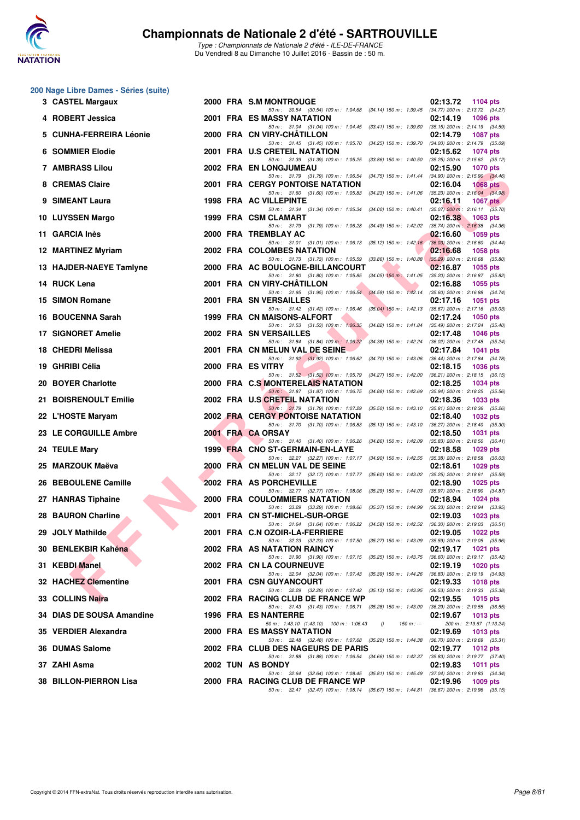

Type : Championnats de Nationale 2 d'été - ILE-DE-FRANCE Du Vendredi 8 au Dimanche 10 Juillet 2016 - Bassin de : 50 m.

### **200 Nage Libre Dames - Séries (suite)**

| 3 CASTEL Margaux          |  | 2000 FRA S.M MONTROUGE                                                                                                              | 02:13.72<br><b>1104 pts</b>                                                          |
|---------------------------|--|-------------------------------------------------------------------------------------------------------------------------------------|--------------------------------------------------------------------------------------|
| 4 ROBERT Jessica          |  | 50 m: 30.54 (30.54) 100 m: 1:04.68 (34.14) 150 m: 1:39.45 (34.77) 200 m: 2:13.72 (34.27)<br>2001 FRA ES MASSY NATATION              | 02:14.19<br>1096 pts                                                                 |
| 5 CUNHA-FERREIRA Léonie   |  | 50 m: 31.04 (31.04) 100 m: 1:04.45 (33.41) 150 m: 1:39.60 (35.15) 200 m: 2:14.19 (34.59)<br>2000 FRA CN VIRY-CHATILLON              | 02:14.79<br><b>1087 pts</b>                                                          |
| 6 SOMMIER Elodie          |  | 50 m : 31.45 (31.45) 100 m : 1:05.70 (34.25) 150 m : 1:39.70<br>2001 FRA U.S CRETEIL NATATION                                       | $(34.00)$ 200 m : 2:14.79 $(35.09)$<br>02:15.62<br><b>1074 pts</b>                   |
| 7 AMBRASS Lilou           |  | 50 m: 31.39 (31.39) 100 m: 1:05.25<br>(33.86) 150 m : 1:40.50<br>2002 FRA EN LONGJUMEAU                                             | $(35.25)$ 200 m : 2:15.62 $(35.12)$<br>02:15.90<br><b>1070 pts</b>                   |
| 8 CREMAS Claire           |  | 50 m: 31.79 (31.79) 100 m: 1:06.54 (34.75) 150 m: 1:41.44 (34.90) 200 m: 2:15.90 (34.46)<br><b>2001 FRA CERGY PONTOISE NATATION</b> | 02:16.04<br>1068 $pts$                                                               |
| 9 SIMEANT Laura           |  | 50 m: 31.60 (31.60) 100 m: 1:05.83 (34.23) 150 m: 1:41.06 (35.23) 200 m: 2:16.04 (34.98)<br><b>1998 FRA AC VILLEPINTE</b>           | 02:16.11<br>1067 $p$ ts                                                              |
| 10 LUYSSEN Margo          |  | 50 m: 31.34 (31.34) 100 m: 1:05.34 (34.00) 150 m: 1:40.41<br>1999 FRA CSM CLAMART                                                   | $(35.07)$ 200 m : 2:16.11 $(35.70)$<br>02:16.38<br>1063 pts                          |
| 11 GARCIA Inès            |  | 50 m: 31.79 (31.79) 100 m: 1:06.28 (34.49) 150 m: 1:42.02<br>2000 FRA TREMBLAY AC                                                   | $(35.74)$ 200 m : 2:16.38 $(34.36)$<br>02:16.60<br><b>1059 pts</b>                   |
| 12 MARTINEZ Myriam        |  | 50 m: 31.01 (31.01) 100 m: 1:06.13 (35.12) 150 m: 1:42.16 (36.03) 200 m: 2:16.60 (34.44)<br>2002 FRA COLOMBES NATATION              | 02:16.68<br><b>1058 pts</b>                                                          |
| 13 HAJDER-NAEYE Tamlyne   |  | 50 m: 31.73 (31.73) 100 m: 1:05.59 (33.86) 150 m: 1:40.88 (35.29) 200 m: 2:16.68 (35.80)<br>2000 FRA AC BOULOGNE-BILLANCOURT        | 02:16.87<br>1055 pts                                                                 |
| 14 RUCK Lena              |  | 50 m: 31.80 (31.80) 100 m: 1:05.85 (34.05) 150 m: 1:41.05 (35.20) 200 m: 2:16.87 (35.82)<br>2001 FRA CN VIRY-CHATILLON              | 02:16.88<br>1055 pts                                                                 |
| 15 SIMON Romane           |  | 50 m: 31.95 (31.95) 100 m: 1:06.54 (34.59) 150 m: 1:42.14 (35.60) 200 m: 2:16.88 (34.74)<br>2001 FRA SN VERSAILLES                  | 02:17.16<br><b>1051 pts</b>                                                          |
| 16 BOUCENNA Sarah         |  | 50 m: 31.42 (31.42) 100 m: 1:06.46 (35.04) 150 m: 1:42.13 (35.67) 200 m: 2:17.16 (35.03)<br>1999 FRA CN MAISONS-ALFORT              | 02:17.24<br><b>1050 pts</b>                                                          |
| <b>17 SIGNORET Amelie</b> |  | 50 m: 31.53 (31.53) 100 m: 1:06.35<br>(34.82) 150 m : 1:41.84<br>2002 FRA SN VERSAILLES                                             | $(35.49)$ 200 m : 2:17.24 $(35.40)$<br>02:17.48<br><b>1046 pts</b>                   |
| 18 CHEDRI Melissa         |  | 50 m: 31.84 (31.84) 100 m: 1:06.22<br>$(34.38)$ 150 m : 1:42.24<br>2001 FRA CN MELUN VAL DE SEINE                                   | $(36.02)$ 200 m : 2:17.48 $(35.24)$<br>02:17.84<br><b>1041 pts</b>                   |
| 19 GHRIBI Célia           |  | 50 m : 31.92 (31.92) 100 m : 1:06.62<br>2000 FRA ES VITRY                                                                           | (34.70) 150 m : 1:43.06 (36.44) 200 m : 2:17.84 (34.78)<br>02:18.15<br>1036 pts      |
| 20 BOYER Charlotte        |  | 50 m : 31.52 (31.52) 100 m : 1:05.79<br>2000 FRA C.S MONTERELAIS NATATION                                                           | (34.27) 150 m: 1:42.00 (36.21) 200 m: 2:18.15 (36.15)<br>02:18.25<br><b>1034 pts</b> |
| 21 BOISRENOULT Emilie     |  | 50 m: 31.87 (31.87) 100 m: 1:06.75 (34.88) 150 m: 1:42.69 (35.94) 200 m: 2:18.25 (35.56)<br>2002 FRA U.S CRETEIL NATATION           | 02:18.36<br><b>1033 pts</b>                                                          |
| 22 L'HOSTE Maryam         |  | 50 m: 31.79 (31.79) 100 m: 1:07.29 (35.50) 150 m: 1:43.10 (35.81) 200 m: 2:18.36 (35.26)<br><b>2002 FRA CERGY PONTOISE NATATION</b> | 02:18.40<br><b>1032 pts</b>                                                          |
| 23 LE CORGUILLE Ambre     |  | 50 m: 31.70 (31.70) 100 m: 1:06.83<br>$(35.13)$ 150 m : 1:43.10<br>2001 FRA CA ORSAY                                                | $(36.27)$ 200 m : 2:18.40 $(35.30)$<br>02:18.50<br><b>1031 pts</b>                   |
|                           |  | 50 m: 31.40 (31.40) 100 m: 1:06.26 (34.86) 150 m: 1:42.09 (35.83) 200 m: 2:18.50 (36.41)<br>1999 FRA CNO ST-GERMAIN-EN-LAYE         | <b>1029 pts</b>                                                                      |
| 24 TEULE Mary             |  | 50 m: 32.27 (32.27) 100 m: 1:07.17 (34.90) 150 m: 1:42.55 (35.38) 200 m: 2:18.58 (36.03)                                            | 02:18.58                                                                             |
| 25 MARZOUK Maëva          |  | 2000 FRA CN MELUN VAL DE SEINE<br>50 m: 32.17 (32.17) 100 m: 1:07.77 (35.60) 150 m: 1:43.02 (35.25) 200 m: 2:18.61 (35.59)          | 02:18.61<br>1029 pts                                                                 |
| 26 BEBOULENE Camille      |  | 2002 FRA AS PORCHEVILLE<br>50 m: 32.77 (32.77) 100 m: 1:08.06 (35.29) 150 m: 1:44.03 (35.97) 200 m: 2:18.90 (34.87)                 | 02:18.90<br>1025 pts                                                                 |
| 27 HANRAS Tiphaine        |  | <b>2000 FRA COULOMMIERS NATATION</b><br>50 m: 33.29 (33.29) 100 m: 1:08.66 (35.37) 150 m: 1:44.99 (36.33) 200 m: 2:18.94 (33.95)    | 02:18.94<br><b>1024 pts</b>                                                          |
| 28 BAURON Charline        |  | 2001 FRA CN ST-MICHEL-SUR-ORGE<br>50 m: 31.64 (31.64) 100 m: 1:06.22 (34.58) 150 m: 1:42.52                                         | 02:19.03<br>$1023$ pts<br>$(36.30)$ 200 m : 2:19.03 $(36.51)$                        |
| 29 JOLY Mathilde          |  | 2001 FRA C.N OZOIR-LA-FERRIERE<br>50 m: 32.23 (32.23) 100 m: 1:07.50 (35.27) 150 m: 1:43.09 (35.59) 200 m: 2:19.05 (35.96)          | 02:19.05<br><b>1022 pts</b>                                                          |
| 30 BENLEKBIR Kahéna       |  | 2002 FRA AS NATATION RAINCY<br>50 m: 31.90 (31.90) 100 m: 1:07.15 (35.25) 150 m: 1:43.75 (36.60) 200 m: 2:19.17 (35.42)             | 02:19.17<br>1021 $pts$                                                               |
| 31 KEBDI Manel            |  | 2002 FRA CN LA COURNEUVE<br>50 m : 32.04 (32.04) 100 m : 1:07.43 (35.39) 150 m : 1:44.26 (36.83) 200 m : 2:19.19 (34.93)            | 02:19.19<br>1020 pts                                                                 |
| 32 HACHEZ Clementine      |  | 2001 FRA CSN GUYANCOURT<br>50 m: 32.29 (32.29) 100 m: 1:07.42 (35.13) 150 m: 1:43.95 (36.53) 200 m: 2:19.33 (35.38)                 | 02:19.33<br><b>1018 pts</b>                                                          |
| 33 COLLINS Naira          |  | 2002 FRA RACING CLUB DE FRANCE WP<br>50 m: 31.43 (31.43) 100 m: 1:06.71 (35.28) 150 m: 1:43.00 (36.29) 200 m: 2:19.55 (36.55)       | 02:19.55<br><b>1015 pts</b>                                                          |
| 34 DIAS DE SOUSA Amandine |  | <b>1996 FRA ES NANTERRE</b><br>50 m: 1:43.10 (1:43.10) 100 m: 1:06.43<br>$\theta$<br>$150 m: -$                                     | 02:19.67<br><b>1013 pts</b><br>200 m: 2:19.67 (1:13.24)                              |
| 35 VERDIER Alexandra      |  | 2000 FRA ES MASSY NATATION<br>50 m: 32.48 (32.48) 100 m: 1:07.68 (35.20) 150 m: 1:44.38 (36.70) 200 m: 2:19.69 (35.31)              | 02:19.69<br>1013 pts                                                                 |
| 36 DUMAS Salome           |  | 2002 FRA CLUB DES NAGEURS DE PARIS<br>50 m: 31.88 (31.88) 100 m: 1:06.54 (34.66) 150 m: 1:42.37 (35.83) 200 m: 2:19.77 (37.40)      | 02:19.77<br><b>1012 pts</b>                                                          |
| 37 ZAHI Asma              |  | 2002 TUN AS BONDY<br>50 m : 32.64 (32.64) 100 m : 1:08.45 (35.81) 150 m : 1:45.49 (37.04) 200 m : 2:19.83 (34.34)                   | 02:19.83<br><b>1011 pts</b>                                                          |
| 38 BILLON-PIERRON Lisa    |  | 2000 FRA RACING CLUB DE FRANCE WP<br>50 m : 32.47 (32.47) 100 m : 1:08.14 (35.67) 150 m : 1:44.81 (36.67) 200 m : 2:19.96 (35.15)   | 02:19.96<br>1009 pts                                                                 |
|                           |  |                                                                                                                                     |                                                                                      |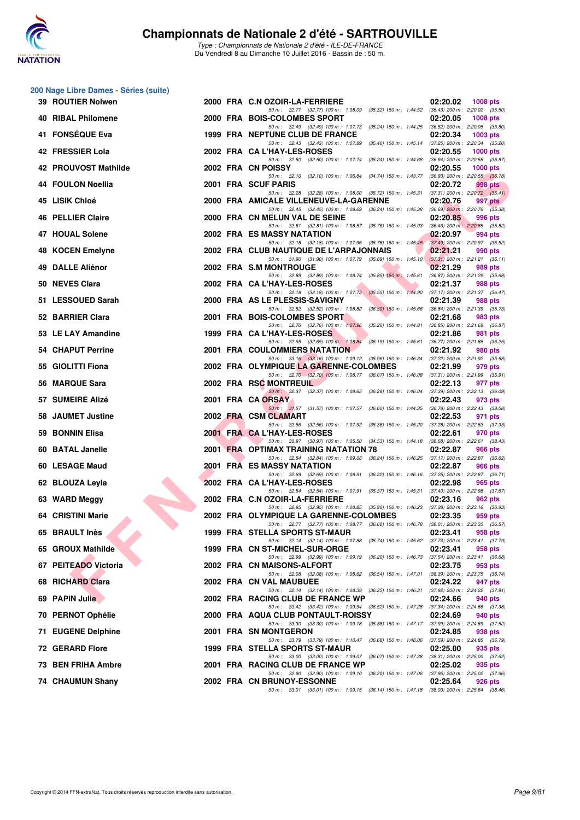

|    | 200 Nage Libre Dames - Séries (suite) |  |                                                                                                                                     |          |                                                       |
|----|---------------------------------------|--|-------------------------------------------------------------------------------------------------------------------------------------|----------|-------------------------------------------------------|
|    | 39 ROUTIER Nolwen                     |  | 2000 FRA C.N OZOIR-LA-FERRIERE<br>50 m: 32.77 (32.77) 100 m: 1:08.09 (35.32) 150 m: 1:44.52 (36.43) 200 m: 2:20.02 (35.50)          | 02:20.02 | <b>1008 pts</b>                                       |
|    | 40 RIBAL Philomene                    |  | 2000 FRA BOIS-COLOMBES SPORT                                                                                                        | 02:20.05 | <b>1008 pts</b>                                       |
|    | 41 FONSÉQUE Eva                       |  | 50 m: 32.49 (32.49) 100 m: 1:07.73 (35.24) 150 m: 1:44.25 (36.52) 200 m: 2:20.05 (35.80)<br>1999 FRA NEPTUNE CLUB DE FRANCE         | 02:20.34 | 1003 pts                                              |
|    | 42 FRESSIER Lola                      |  | 50 m: 32.43 (32.43) 100 m: 1.07.89 (35.46) 150 m: 1.45.14 (37.25) 200 m: 2.20.34 (35.20)<br>2002 FRA CA L'HAY-LES-ROSES             | 02:20.55 | $1000$ pts                                            |
|    | 42 PROUVOST Mathilde                  |  | 50 m : 32.50 (32.50) 100 m : 1:07.74 (35.24) 150 m : 1:44.68<br>2002 FRA CN POISSY                                                  | 02:20.55 | (36.94) 200 m : 2:20.55 (35.87)<br>$1000$ pts         |
|    | 44 FOULON Noellia                     |  | 50 m: 32.10 (32.10) 100 m: 1:06.84 (34.74) 150 m: 1:43.77<br>2001 FRA SCUF PARIS                                                    | 02:20.72 | $(36.93)$ 200 m : 2:20.55 $(36.78)$<br>998 pts        |
|    | 45 LISIK Chloé                        |  | 50 m: 32.28 (32.28) 100 m: 1:08.00 (35.72) 150 m: 1:45.31<br>2000 FRA AMICALE VILLENEUVE-LA-GARENNE                                 | 02:20.76 | $(37.31)$ 200 m : 2:20.72 $(35.41)$<br>997 pts        |
|    | 46 PELLIER Claire                     |  | 50 m: 32.45 (32.45) 100 m: 1:08.69 (36.24) 150 m: 1:45.38 (36.69) 200 m: 2:20.76 (35.38)<br>2000 FRA CN MELUN VAL DE SEINE          | 02:20.85 | 996 pts                                               |
|    | 47 HOUAL Solene                       |  | 50 m: 32.81 (32.81) 100 m: 1:08.57 (35.76) 150 m: 1:45.03 (36.46) 200 m: 2:20.85 (35.82)<br>2002 FRA ES MASSY NATATION              | 02:20.97 | 994 pts                                               |
|    |                                       |  | 50 m: 32.18 (32.18) 100 m: 1:07.96 (35.78) 150 m: 1:45.45 (37.49) 200 m: 2:20.97 (35.52)                                            |          |                                                       |
|    | 48 KOCEN Emelyne                      |  | 2002 FRA CLUB NAUTIQUE DE L'ARPAJONNAIS<br>50 m: 31.90 (31.90) 100 m: 1:07.79 (35.89) 150 m: 1:45.10 (37.31) 200 m: 2:21.21 (36.11) | 02:21.21 | 990 pts                                               |
|    | 49 DALLE Aliénor                      |  | 2002 FRA S.M MONTROUGE<br>50 m: 32.89 (32.89) 100 m: 1:08.74 (35.85) 150 m: 1:45.61 (36.87) 200 m: 2:21.29 (35.68)                  | 02:21.29 | 989 pts                                               |
|    | 50 NEVES Clara                        |  | 2002 FRA CA L'HAY-LES-ROSES<br>50 m: 32.18 (32.18) 100 m: 1:07.73 (35.55) 150 m: 1:44.90 (37.17) 200 m: 2:21.37 (36.47)             | 02:21.37 | 988 pts                                               |
|    | 51 LESSOUED Sarah                     |  | 2000 FRA AS LE PLESSIS-SAVIGNY                                                                                                      | 02:21.39 | 988 pts                                               |
|    | 52 BARRIER Clara                      |  | 50 m : 32.52 (32.52) 100 m : 1:08.82 (36.30) 150 m : 1:45.66 (36.84) 200 m : 2:21.39 (35.73)<br>2001 FRA BOIS-COLOMBES SPORT        | 02:21.68 | 983 pts                                               |
|    | 53 LE LAY Amandine                    |  | 50 m: 32.76 (32.76) 100 m: 1:07.96 (35.20) 150 m: 1:44.81 (36.85) 200 m: 2:21.68 (36.87)<br>1999 FRA CA L'HAY-LES-ROSES             | 02:21.86 | 981 pts                                               |
|    | 54 CHAPUT Perrine                     |  | 50 m: 32.65 (32.65) 100 m: 1:08.84 (36.19) 150 m: 1:45.61 (36.77) 200 m: 2:21.86 (36.25)<br><b>2001 FRA COULOMMIERS NATATION</b>    | 02:21.92 | 980 pts                                               |
|    | 55 GIOLITTI Fiona                     |  | 50 m: 33.16 (33.16) 100 m: 1:09.12 (35.96) 150 m: 1:46.34 (37.22) 200 m: 2:21.92 (35.58)<br>2002 FRA OLYMPIQUE LA GARENNE-COLOMBES  | 02:21.99 | 979 pts                                               |
|    | 56 MARQUE Sara                        |  | 50 m: 32.70 (32.70) 100 m: 1:08.77 (36.07) 150 m: 1:46.08 (37.31) 200 m: 2:21.99 (35.91)<br>2002 FRA RSC MONTREUIL                  | 02:22.13 | 977 pts                                               |
|    | 57 SUMEIRE Alizé                      |  | 50 m: 32.37 (32.37) 100 m: 1:08.65 (36.28) 150 m: 1:46.04<br>2001 FRA CA ORSAY                                                      | 02:22.43 | $(37.39)$ 200 m : 2:22.13 $(36.09)$<br>973 pts        |
|    | 58 JAUMET Justine                     |  | 50 m: 31.57 (31.57) 100 m: 1:07.57 (36.00) 150 m: 1:44.35<br>2002 FRA CSM CLAMART                                                   | 02:22.53 | $(36.78)$ 200 m : 2:22.43 $(38.08)$<br>971 pts        |
| 59 | <b>BONNIN Elisa</b>                   |  | 50 m: 32.56 (32.56) 100 m: 1:07.92 (35.36) 150 m: 1:45.20<br>2001 FRA CA L'HAY-LES-ROSES                                            | 02:22.61 | (37.28) 200 m : 2:22.53 (37.33)<br>970 pts            |
|    | 60 BATAL Janelle                      |  | 50 m: 30.97 (30.97) 100 m: 1:05.50 (34.53) 150 m: 1:44.18 (38.68) 200 m: 2:22.61 (38.43)<br>2001 FRA OPTIMAX TRAINING NATATION 78   | 02:22.87 | 966 pts                                               |
|    | 60 LESAGE Maud                        |  | 50 m: 32.84 (32.84) 100 m: 1:09.08 (36.24) 150 m: 1:46.25 (37.17) 200 m: 2:22.87 (36.62)<br>2001 FRA ES MASSY NATATION              | 02:22.87 | 966 pts                                               |
|    | 62 BLOUZA Leyla                       |  | 50 m: 32.69 (32.69) 100 m: 1:08.91 (36.22) 150 m: 1:46.16 (37.25) 200 m: 2:22.87 (36.71)<br>2002 FRA CA L'HAY-LES-ROSES             | 02:22.98 | 965 pts                                               |
|    |                                       |  | 50 m: 32.54 (32.54) 100 m: 1:07.91 (35.37) 150 m: 1:45.31 (37.40) 200 m: 2:22.98 (37.67)                                            |          |                                                       |
|    | 63 WARD Meggy                         |  | 2002 FRA C.N OZOIR-LA-FERRIERE<br>50 m: 32.95 (32.95) 100 m: 1:08.85 (35.90) 150 m: 1:46.23                                         | 02:23.16 | <b>962 pts</b><br>$(37.38)$ 200 m : 2:23.16 $(36.93)$ |
|    | 64 CRISTINI Marie                     |  | 2002 FRA OLYMPIQUE LA GARENNE-COLOMBES<br>50 m: 32.77 (32.77) 100 m: 1:08.77 (36.00) 150 m: 1:46.78 (38.01) 200 m: 2:23.35 (36.57)  | 02:23.35 | 959 pts                                               |
|    | 65 BRAULT Inès                        |  | 1999 FRA STELLA SPORTS ST-MAUR<br>50 m : 32.14 (32.14) 100 m : 1:07.88 (35.74) 150 m : 1:45.62 (37.74) 200 m : 2:23.41 (37.79)      | 02:23.41 | 958 pts                                               |
|    | 65 GROUX Mathilde                     |  | 1999 FRA CN ST-MICHEL-SUR-ORGE<br>50 m: 32.99 (32.99) 100 m: 1:09.19 (36.20) 150 m: 1:46.73 (37.54) 200 m: 2:23.41 (36.68)          | 02:23.41 | 958 pts                                               |
|    | 67 PEITEADO Victoria                  |  | 2002 FRA CN MAISONS-ALFORT                                                                                                          | 02:23.75 | 953 pts                                               |
|    | 68 RICHARD Clara                      |  | 50 m: 32.08 (32.08) 100 m: 1:08.62 (36.54) 150 m: 1:47.01<br>2002 FRA CN VAL MAUBUEE                                                | 02:24.22 | (38.39) 200 m : 2:23.75 (36.74)<br>947 pts            |
|    | 69 PAPIN Julie                        |  | 50 m: 32.14 (32.14) 100 m: 1:08.39 (36.25) 150 m: 1:46.31<br>2002 FRA RACING CLUB DE FRANCE WP                                      | 02:24.66 | $(37.92)$ 200 m : 2:24.22 $(37.91)$<br>940 pts        |
|    | 70 PERNOT Ophélie                     |  | 50 m: 33.42 (33.42) 100 m: 1:09.94 (36.52) 150 m: 1:47.28<br>2000 FRA AQUA CLUB PONTAULT-ROISSY                                     | 02:24.69 | $(37.34)$ 200 m : 2:24.66 $(37.38)$<br>940 pts        |
|    | 71 EUGENE Delphine                    |  | 50 m: 33.30 (33.30) 100 m: 1:09.18 (35.88) 150 m: 1:47.17 (37.99) 200 m: 2:24.69 (37.52)<br>2001 FRA SN MONTGERON                   | 02:24.85 | 938 pts                                               |
|    | <b>72 GERARD Flore</b>                |  | 50 m: 33.79 (33.79) 100 m: 1:10.47 (36.68) 150 m: 1:48.06 (37.59) 200 m: 2:24.85 (36.79)<br>1999 FRA STELLA SPORTS ST-MAUR          | 02:25.00 | 935 pts                                               |
|    | 73 BEN FRIHA Ambre                    |  | 50 m : 33.00 (33.00) 100 m : 1:09.07 (36.07) 150 m : 1:47.38<br>2001 FRA RACING CLUB DE FRANCE WP                                   | 02:25.02 | (38.31) 200 m : 2:25.00 (37.62)<br>935 pts            |
|    | 74 CHAUMUN Shany                      |  | 50 m : 32.90 (32.90) 100 m : 1:09.10 (36.20) 150 m : 1:47.06 (37.96) 200 m : 2:25.02 (37.96)<br>2002 FRA CN BRUNOY-ESSONNE          | 02:25.64 | 926 pts                                               |
|    |                                       |  | 50 m: 33.01 (33.01) 100 m: 1:09.15 (36.14) 150 m: 1:47.18 (38.03) 200 m: 2:25.64 (38.46)                                            |          |                                                       |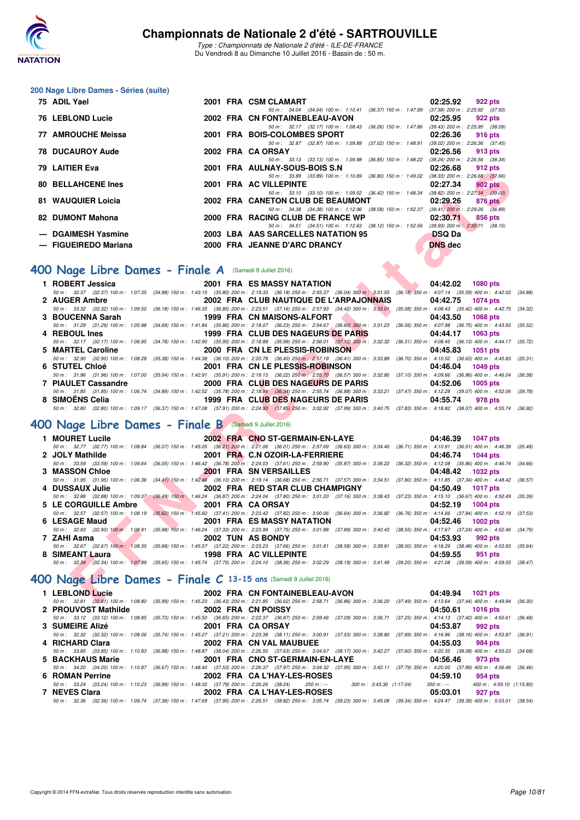

Type : Championnats de Nationale 2 d'été - ILE-DE-FRANCE Du Vendredi 8 au Dimanche 10 Juillet 2016 - Bassin de : 50 m.

#### **200 Nage Libre Dames - Séries (suite)**

| 75 ADIL Yael                                           |  | 2001 FRA CSM CLAMART                                                                     | 02:25.92            | 922 pts                             |
|--------------------------------------------------------|--|------------------------------------------------------------------------------------------|---------------------|-------------------------------------|
|                                                        |  | 50 m: 34.04 (34.04) 100 m: 1:10.41 (36.37) 150 m: 1:47.99                                |                     | $(37.58)$ 200 m : 2:25.92 $(37.93)$ |
| 76 LEBLOND Lucie                                       |  | 2002 FRA CN FONTAINEBLEAU-AVON                                                           | 02:25.95            | 922 pts                             |
|                                                        |  | 50 m: 32.17 (32.17) 100 m: 1:08.43 (36.26) 150 m: 1:47.86                                |                     | $(39.43)$ 200 m : 2:25.95 $(38.09)$ |
| 77 AMROUCHE Meissa                                     |  | 2001 FRA BOIS-COLOMBES SPORT                                                             | 02:26.36            | 916 pts                             |
|                                                        |  | 50 m: 32.87 (32.87) 100 m: 1:09.89 (37.02) 150 m: 1:48.91                                |                     | $(39.02)$ 200 m : 2:26.36 $(37.45)$ |
| <b>78 DUCAUROY Aude</b>                                |  | 2002 FRA CA ORSAY                                                                        | 02:26.56            | 913 pts                             |
|                                                        |  | 50 m : 33.13 (33.13) 100 m : 1:09.98 (36.85) 150 m : 1:48.22                             |                     | $(38.24)$ 200 m : 2:26.56 $(38.34)$ |
| 79 LAITIER Eva                                         |  | 2001 FRA AULNAY-SOUS-BOIS S.N                                                            | 02:26.68            | 912 pts                             |
|                                                        |  | 50 m : 33.89 (33.89) 100 m : 1:10.69 (36.80) 150 m : 1:49.02                             |                     | $(38.33)$ 200 m : 2:26.68 $(37.66)$ |
| <b>80 BELLAHCENE Ines</b>                              |  | 2001 FRA AC VILLEPINTE                                                                   | 02:27.34            | 902 pts                             |
|                                                        |  | 50 m: 33.10 (33.10) 100 m: 1:09.52 (36.42) 150 m: 1:48.34 (38.82) 200 m: 2:27.34 (39.00) |                     |                                     |
| 81 WAUQUIER Loicia                                     |  | 2002 FRA CANETON CLUB DE BEAUMONT                                                        | 02:29.26            | 876 pts                             |
|                                                        |  | 50 m: 34.38 (34.38) 100 m: 1:12.96 (38.58) 150 m: 1:52.37 (39.41) 200 m: 2:29.26 (36.89) |                     |                                     |
| 82 DUMONT Mahona                                       |  | 2000 FRA RACING CLUB DE FRANCE WP                                                        | 02:30.71            | 856 pts                             |
|                                                        |  | 50 m: 34.51 (34.51) 100 m: 1:12.63 (38.12) 150 m: 1:52.56                                |                     | $(39.93)$ 200 m : 2:30.71 $(38.15)$ |
| --- DGAIMESH Yasmine                                   |  | 2003 LBA AAS SARCELLES NATATION 95                                                       | <b>DSQ Da</b>       |                                     |
| --- FIGUEIREDO Mariana                                 |  | 2000 FRA JEANNE D'ARC DRANCY                                                             | DNS dec             |                                     |
|                                                        |  |                                                                                          |                     |                                     |
|                                                        |  |                                                                                          |                     |                                     |
| OO Nage Libre Dames - Finale A (Samedi 9 Juillet 2016) |  |                                                                                          |                     |                                     |
| $\blacksquare$ DADEDT $\blacksquare$                   |  | <b>FRA</b> FO MACOV NATATION                                                             |                     |                                     |
|                                                        |  |                                                                                          | $0.4.40.00$ $0.000$ |                                     |

## **[400 Nage Libre Dames - Finale A](http://www.ffnatation.fr/webffn/resultats.php?idact=nat&go=epr&idcpt=39837&idepr=4)** (Samedi 9 Juillet 2016)

| 1 ROBERT Jessica           | 2001 FRA ES MASSY NATATION AND LODGED AND LODGED AT A LODGED AT A LODGED AT A LODGED AT A LODGED AT A LODGED A | 04:42.02 1080 pts                                                                                                                                                                            |
|----------------------------|----------------------------------------------------------------------------------------------------------------|----------------------------------------------------------------------------------------------------------------------------------------------------------------------------------------------|
|                            |                                                                                                                | 50 m: 32.37 (32.37) 100 m: 1:07.35 (34.98) 150 m: 1:43.15 (35.80) 200 m: 2:19.33 (36.18) 250 m: 2:55.37 (36.04) 300 m: 3:31.55 (36.18) 350 m: 4:07.14 (35.59) 400 m: 4:42.02 (34.88)         |
| 2 AUGER Ambre              | 2002 FRA CLUB NAUTIQUE DE L'ARPAJONNAIS                                                                        | 04:42.75<br>1074 pts                                                                                                                                                                         |
|                            |                                                                                                                | 50 m: 33.32 (33.32) 100 m: 1:09.50 (36.18) 150 m: 1:46.35 (36.85) 200 m: 2:23.51 (37.16) 250 m: 2:57.93 (34.42) 300 m: 3:33.01 (35.08) 350 m: 4:08.43 (35.42) 400 m: 4:42.75 (34.32)         |
| 3 BOUCENNA Sarah           | 1999 FRA CN MAISONS-ALFORT <b>AND ALGO</b>                                                                     | 04:43.50 1068 pts                                                                                                                                                                            |
|                            |                                                                                                                | 50 m: 31.29 (31.29) 100 m: 1:05.98 (34.69) 150 m: 1:41.84 (35.86) 200 m: 2:18.07 (36.23) 250 m: 2:54.67 (36.60) 300 m: 3:31.23 (36.56) 350 m: 4:07.98 (36.75) 400 m: 4:43.50 (35.52)         |
| 4 REBOUL Ines              | 1999 FRA CLUB DES NAGEURS DE PARIS                                                                             | 04:44.17<br>1063 pts                                                                                                                                                                         |
|                            |                                                                                                                | 50 m: 32.17 (32.17) 100 m: 1:06.95 (34.78) 150 m: 1:42.90 (35.95) 200 m: 2:18.89 (35.99) 250 m: 2:56.01 (37.12) 300 m: 3:32.32 (36.31) 350 m: 4:08.45 (36.13) 400 m: 4:44.17 (35.72)         |
| 5 MARTEL Caroline          | 2000 FRA CN LE PLESSIS-ROBINSON                                                                                | 04:45.83 1051 pts                                                                                                                                                                            |
|                            |                                                                                                                | 50 m: 32.90 (32.90) 100 m: 1:08.28 (35.38) 150 m: 1:44.38 (36.10) 200 m: 2:20.78 (36.40) 250 m: 2:57.19 (36.41) 300 m: 3:33.89 (36.70) 350 m: 4:10.52 (36.63) 400 m: 4:45.83 (35.31,         |
| 6 STUTEL Chloé             | 2001 FRA CN LE PLESSIS-ROBINSON                                                                                | 04:46.04 1049 pts                                                                                                                                                                            |
|                            |                                                                                                                | 50 m : 31.96 (31.96) 100 m : 1:07.00 (35.04) 150 m : 1:42.91 (35.91) 200 m : 2:19.13 (36.22) 250 m : 2:55.70 (36.57) 300 m : 3:32.80 (37.10) 350 m : 4:09.66 (36.86) 400 m : 4:46.04 (36.38) |
| <b>7 PIAULET Cassandre</b> | 2000 FRA CLUB DES NAGEURS DE PARIS                                                                             | 04:52.06<br>$1005$ pts                                                                                                                                                                       |
|                            |                                                                                                                | 50 m: 31.85 (31.85) 100 m: 1:06.74 (34.89) 150 m: 1:42.52 (35.78) 200 m: 2:18.86 (36.34) 250 m: 2:55.74 (36.88) 300 m: 3:33.21 (37.47) 350 m: 4:12.28 (39.07) 400 m: 4:52.06 (39.78)         |
| 8 SIMOENS Celia            | 1999 FRA CLUB DES NAGEURS DE PARIS                                                                             | 04:55.74<br>978 pts                                                                                                                                                                          |
|                            |                                                                                                                | 50 m : 32.80 (32.80) 100 m : 1:09.17 (36.37) 150 m : 1:47.08 (37.91) 200 m : 2:24.93 (37.85) 250 m : 3:02.92 (37.99) 300 m : 3:40.75 (37.83) 350 m : 4:18.82 (38.07) 400 m : 4:55.74 (36.92) |

## **[400 Nage Libre Dames - Finale B](http://www.ffnatation.fr/webffn/resultats.php?idact=nat&go=epr&idcpt=39837&idepr=4)** (Samedi 9 Juillet 2016)

| <b>J</b> LAIHER EVA                                                                                                                                                                          |                                           | ZUUT FRA AULINAT-3003-DOIS 3.IN                                                                                    | <u>02.20.00 </u> | $512 \mu s$       |         |
|----------------------------------------------------------------------------------------------------------------------------------------------------------------------------------------------|-------------------------------------------|--------------------------------------------------------------------------------------------------------------------|------------------|-------------------|---------|
| <b>80 BELLAHCENE Ines</b>                                                                                                                                                                    |                                           | 50 m: 33.89 (33.89) 100 m: 1:10.69 (36.80) 150 m: 1:49.02 (38.33) 200 m: 2:26.68 (37.66)<br>2001 FRA AC VILLEPINTE | 02:27.34         | $902$ pts         |         |
|                                                                                                                                                                                              |                                           | 50 m: 33.10 (33.10) 100 m: 1:09.52 (36.42) 150 m: 1:48.34 (38.82) 200 m: 2:27.34 (39.00)                           |                  |                   |         |
| 81   WAUQUIER Loicia                                                                                                                                                                         |                                           | 2002 FRA CANETON CLUB DE BEAUMONT                                                                                  | 02:29.26         | 876 pts           |         |
|                                                                                                                                                                                              |                                           | 50 m: 34.38 (34.38) 100 m: 1:12.96 (38.58) 150 m: 1:52.37 (39.41) 200 m: 2:29.26 (36.89)                           |                  |                   |         |
| 2 DUMONT Mahona                                                                                                                                                                              |                                           | 2000 FRA RACING CLUB DE FRANCE WP                                                                                  | 02:30.71         | 856 pts           |         |
|                                                                                                                                                                                              |                                           | 50 m: 34.51 (34.51) 100 m: 1:12.63 (38.12) 150 m: 1:52.56 (39.93) 200 m: 2:30.71 (38.15)                           |                  |                   |         |
| -- DGAIMESH Yasmine                                                                                                                                                                          |                                           | 2003 LBA AAS SARCELLES NATATION 95                                                                                 | <b>DSQ Da</b>    |                   |         |
| -- FIGUEIREDO Mariana                                                                                                                                                                        |                                           | 2000 FRA JEANNE D'ARC DRANCY                                                                                       | <b>DNS</b> dec   |                   |         |
|                                                                                                                                                                                              |                                           |                                                                                                                    |                  |                   |         |
|                                                                                                                                                                                              |                                           |                                                                                                                    |                  |                   |         |
| <b>00 Nage Libre Dames - Finale A</b> (Samedi 9 Juillet 2016)                                                                                                                                |                                           |                                                                                                                    |                  |                   |         |
| 1 ROBERT Jessica                                                                                                                                                                             |                                           | <b>2001 FRA ES MASSY NATATION</b>                                                                                  | 04:42.02         | <b>1080 pts</b>   |         |
| 50 m: 32.37 (32.37) 100 m: 1:07.35 (34.98) 150 m: 1:43.15 (35.80) 200 m: 2:19.33 (36.18) 250 m: 2:55.37 (36.04) 300 m: 3:31.55 (36.18) 350 m: 4:07.14 (35.59) 400 m: 4:42.02 (34.88)         |                                           |                                                                                                                    |                  |                   |         |
| 2 AUGER Ambre                                                                                                                                                                                |                                           | 2002 FRA CLUB NAUTIQUE DE L'ARPAJONNAIS                                                                            | 04:42.75         | <b>1074 pts</b>   |         |
| 50 m : 33.32 (33.32) 100 m : 1:09.50 (36.18) 150 m : 1:46.35 (36.85) 200 m : 2:23.51 (37.16) 250 m : 2:57.93 (34.42) 300 m : 3:33.01 (35.08) 350 m : 4:08.43 (35.42) 400 m : 4:42.75 (34.32) |                                           |                                                                                                                    |                  |                   |         |
| 3 BOUCENNA Sarah                                                                                                                                                                             |                                           | 1999 FRA CN MAISONS-ALFORT                                                                                         | 04:43.50         | <b>1068 pts</b>   |         |
| 50 m: 31.29 (31.29) 100 m: 1:05.98 (34.69) 150 m: 1:41.84 (35.86) 200 m: 2:18.07 (36.23) 250 m: 2:54.67 (36.60) 300 m: 3:31.23 (36.56) 350 m: 4:07.98 (36.75) 400 m: 4:43.50 (35.52)         |                                           |                                                                                                                    |                  |                   |         |
| 4 REBOUL Ines                                                                                                                                                                                |                                           | 1999 FRA CLUB DES NAGEURS DE PARIS                                                                                 | 04:44.17         | 1063 pts          |         |
| 50 m: 32.17 (32.17) 100 m: 1:06.95 (34.78) 150 m: 1:42.90 (35.95) 200 m: 2:18.89 (35.99) 250 m: 2:56.01 (37.12) 300 m: 3:32.32 (36.31) 350 m: 4:08.45 (36.13) 400 m: 4:44.17 (35.72)         |                                           |                                                                                                                    |                  |                   |         |
| 5 MARTEL Caroline                                                                                                                                                                            |                                           | 2000 FRA CN LE PLESSIS-ROBINSON                                                                                    | 04:45.83         | 1051 pts          |         |
| 50 m : 32.90 (32.90) 100 m : 1:08.28 (35.38) 150 m : 1:44.38 (36.10) 200 m : 2:20.78 (36.40) 250 m : 2:57.19 (36.41) 300 m : 3:33.89 (36.70) 350 m : 4:10.52 (36.63) 400 m : 4:45.83 (35.31) |                                           |                                                                                                                    |                  |                   |         |
| 6 STUTEL Chloé                                                                                                                                                                               |                                           | 2001 FRA CN LE PLESSIS-ROBINSON                                                                                    | 04:46.04         | <b>1049 pts</b>   |         |
| 50 m: 31.96 (31.96) 100 m: 1:07.00 (35.04) 150 m: 1:42.91 (35.91) 200 m: 2:19.13 (36.22) 250 m: 2:55.70 (36.57) 300 m: 3:32.80 (37.10) 350 m: 4:09.66 (36.86) 400 m: 4:46.04 (36.38)         |                                           |                                                                                                                    |                  |                   |         |
| 7 PIAULET Cassandre                                                                                                                                                                          |                                           | 2000 FRA CLUB DES NAGEURS DE PARIS                                                                                 | 04:52.06         | <b>1005 pts</b>   |         |
| 50 m: 31.85 (31.85) 100 m: 1:06.74 (34.89) 150 m: 1:42.52 (35.78) 200 m: 2:18.86 (36.34) 250 m: 2:55.74 (36.88) 300 m: 3:33.21 (37.47) 350 m: 4:12.28 (39.07) 400 m: 4:52.06 (39.78)         |                                           |                                                                                                                    |                  |                   |         |
| 8 SIMOENS Celia                                                                                                                                                                              | <b>1999 FRA CLUB DES NAGEURS DE PARIS</b> |                                                                                                                    | 04:55.74         | 978 pts           |         |
| 50 m : 32.80 (32.80) 100 m : 1:09.17 (36.37) 150 m : 1:47.08 (37.91) 200 m : 2:24.93 (37.85) 250 m : 3:02.92 (37.99) 300 m : 3:40.75 (37.83) 350 m : 4:18.82 (38.07) 400 m : 4:55.74 (36.92) |                                           |                                                                                                                    |                  |                   |         |
|                                                                                                                                                                                              |                                           |                                                                                                                    |                  |                   |         |
| 00 Nage Libre Dames - Finale B (Samedi 9 Juillet 2016)                                                                                                                                       |                                           |                                                                                                                    |                  |                   |         |
| 1 MOURET Lucile                                                                                                                                                                              |                                           | 2002 FRA CNO ST-GERMAIN-EN-LAYE                                                                                    |                  | 04:46.39 1047 pts |         |
| 50 m: 32.77 (32.77) 100 m: 1:08.84 (36.07) 150 m: 1:45.05 (36.21) 200 m: 2:21.06 (36.01) 250 m: 2:57.69 (36.63) 300 m: 3:34.40 (36.71) 350 m: 4:10.91 (36.51) 400 m: 4:46.39                 |                                           |                                                                                                                    |                  |                   | (35.48) |
| 2 JOLY Mathilde                                                                                                                                                                              |                                           | 2001 FRA C.N OZOIR-LA-FERRIERE                                                                                     | 04:46.74         | <b>1044 pts</b>   |         |
| 50 m : 33.59 (33.59) 100 m : 1:09.64 (36.05) 150 m : 1:46.42 (36.78) 200 m : 2:24.03 (37.61) 250 m : 2:59.90 (35.87) 300 m : 3:36.22 (36.32) 350 m : 4:12.08 (35.86) 400 m : 4:46.74 (34.66) |                                           |                                                                                                                    |                  |                   |         |
| <b>3 MASSON Chloe</b>                                                                                                                                                                        |                                           | 2001 FRA SN VERSAILLES                                                                                             | 04:48.42         | <b>1032 pts</b>   |         |
| 50 m: 31.95 (31.95) 100 m: 1:06.36 (34.41) 150 m: 1:42.46 (36.10) 200 m: 2:19.14 (36.68) 250 m: 2:56.71 (37.57) 300 m: 3:34.51 (37.80) 350 m: 4:11.85 (37.34) 400 m: 4:48.42 (36.57)         |                                           |                                                                                                                    |                  |                   |         |
| 4 DUSSAUX Julie                                                                                                                                                                              |                                           | 2002 FRA RED STAR CLUB CHAMPIGNY                                                                                   | 04:50.49         | <b>1017 pts</b>   |         |
| 50 m: 32.88 (32.88) 100 m: 1:09.37 (36.49) 150 m: 1:46.24 (36.87) 200 m: 2:24.04 (37.80) 250 m: 3:01.20 (37.16) 300 m: 3:38.43 (37.23) 350 m: 4:15.10 (36.67) 400 m: 4:50.49                 |                                           |                                                                                                                    |                  |                   | (35.39) |
| <b>5 LE CORGUILLE Ambre</b>                                                                                                                                                                  | 2001 FRA CA ORSAY                         |                                                                                                                    | 04:52.19         | <b>1004 pts</b>   |         |
| 50 m: 32.57 (32.57) 100 m: 1:08.19 (35.62) 150 m: 1:45.60 (37.41) 200 m: 2:23.42 (37.82) 250 m: 3:00.06 (36.64) 300 m: 3:36.82 (36.76) 350 m: 4:14.66 (37.84) 400 m: 4:52.19 (37.53)         |                                           |                                                                                                                    |                  |                   |         |
| 6 LESAGE Maud                                                                                                                                                                                |                                           | 2001 FRA ES MASSY NATATION                                                                                         | 04:52.46         | 1002 pts          |         |
| 50 m : 32.93 (32.93) 100 m : 1:08.91 (35.98) 150 m : 1:46.24 (37.33) 200 m : 2:23.99 (37.75) 250 m : 3:01.88 (37.89) 300 m : 3:40.43 (38.55) 350 m : 4:17.67 (37.24) 400 m : 4:52.46 (34.79) |                                           |                                                                                                                    |                  |                   |         |
| 7 ZAHI Asma                                                                                                                                                                                  |                                           | 2002 TUN AS BONDY                                                                                                  | 04:53.93         | 992 pts           |         |
| 50 m : 32.67 (32.67) 100 m : 1:08.35 (35.68) 150 m : 1:45.57 (37.22) 200 m : 2:23.23 (37.66) 250 m : 3:01.81 (38.58) 300 m : 3:39.81 (38.00) 350 m : 4:18.29 (38.48) 400 m : 4:53.93 (35.64) | <b>The Community of the Community</b>     |                                                                                                                    |                  |                   |         |
| 8 SIMEANT Laura                                                                                                                                                                              |                                           | 1998 FRA AC VILLEPINTE                                                                                             | 04:59.55         | 951 pts           |         |
| 50 m: 32,34 (32.34) 100 m: 1:07.99 (35.65) 150 m: 1:45.74 (37.75) 200 m: 2:24.10 (38.36) 250 m: 3:02.29 (38.19) 300 m: 3:41.49 (39.20) 350 m: 4:21.08 (39.59) 400 m: 4:59.55 (38.47)         |                                           |                                                                                                                    |                  |                   |         |
|                                                                                                                                                                                              |                                           |                                                                                                                    |                  |                   |         |
| 00 Nage Libre Dames - Finale C 13-15 ans (Samedi 9 Juillet 2016)                                                                                                                             |                                           |                                                                                                                    |                  |                   |         |
| 1 LEBLOND Lucie                                                                                                                                                                              |                                           | 2002 FRA CN FONTAINEBLEAU-AVON                                                                                     |                  | 04:49.94 1021 pts |         |
| 50 m: 32.81 (32.81) 100 m: 1:08.80 (35.99) 150 m: 1:45.23 (36.43) 200 m: 2:21.85 (36.62) 250 m: 2:58.71 (36.86) 300 m: 3:36.20 (37.49) 350 m: 4:13.64 (37.44) 400 m: 4:49.94 (36.30)         |                                           |                                                                                                                    |                  |                   |         |

## **[400 Nage Libre Dames - Finale C](http://www.ffnatation.fr/webffn/resultats.php?idact=nat&go=epr&idcpt=39837&idepr=4) 13-15 ans** (Samedi 9 Juillet 2016)

| 1 LEBLOND Lucie     | 2002 FRA CN FONTAINEBLEAU-AVON                                                                           | 04:49.94 1021 pts                                                                                                                                                                            |
|---------------------|----------------------------------------------------------------------------------------------------------|----------------------------------------------------------------------------------------------------------------------------------------------------------------------------------------------|
|                     |                                                                                                          | 50 m: 32.81 (32.81) 100 m: 1:08.80 (35.99) 150 m: 1:45.23 (36.43) 200 m: 2:21.85 (36.62) 250 m: 2:58.71 (36.86) 300 m: 3:36.20 (37.49) 350 m: 4:13.64 (37.44) 400 m: 4:49.94 (36.30)         |
| 2 PROUVOST Mathilde | 2002 FRA CN POISSY                                                                                       | 04:50.61 1016 pts                                                                                                                                                                            |
|                     |                                                                                                          | 50 m: 33.12 (33.12) 100 m: 1:08.85 (35.73) 150 m: 1:45.50 (36.65) 200 m: 2:22.37 (36.87) 250 m: 2:59.46 (37.09) 300 m: 3:36.71 (37.25) 350 m: 4:14.13 (37.42) 400 m: 4:50.61 (36.48)         |
| 3 SUMEIRE Alizé     | 2001 FRA CA ORSAY                                                                                        | 04:53.87 992 pts                                                                                                                                                                             |
|                     |                                                                                                          | 50 m: 32.32 (32.32) 100 m: 1:08.06 (35.74) 150 m: 1:45.27 (37.21) 200 m: 2:23.38 (38.11) 250 m: 3:00.91 (37.53) 300 m: 3:38.80 (37.89) 350 m: 4:16.96 (38.16) 400 m: 4:53.87 (36.91)         |
| 4 RICHARD Clara     | 2002 FRA CN VAL MAUBUEE                                                                                  | 04:55.03<br>984 pts                                                                                                                                                                          |
|                     |                                                                                                          | 50 m: 33.85 (33.85) 100 m: 1:10.83 (36.98) 150 m: 1:48.87 (38.04) 200 m: 2:26.50 (37.63) 250 m: 3:04.67 (38.17) 300 m: 3:42.27 (37.60) 350 m: 4:20.35 (38.08) 400 m: 4:55.03 (34.68)         |
| 5 BACKHAUS Marie    | 2001 FRA CNO ST-GERMAIN-EN-LAYE                                                                          | 04:56.46<br>973 pts                                                                                                                                                                          |
|                     |                                                                                                          | 50 m: 34.20 (34.20) 100 m: 1:10.87 (36.67) 150 m: 1:48.40 (37.53) 200 m: 2:26.37 (37.97) 250 m: 3:04.32 (37.95) 300 m: 3:42.11 (37.79) 350 m: 4:20.00 (37.89) 400 m: 4:56.46 (36.46)         |
| 6 ROMAN Perrine     | 2002 FRA CAL'HAY-LES-ROSES                                                                               | 04:59.10<br>954 pts                                                                                                                                                                          |
|                     | 50 m : 33.24 (33.24) 100 m : 1:10.23 (36.99) 150 m : 1:48.02 (37.79) 200 m : 2:26.26 (38.24) 250 m : --- | 350 m :--- 400 m : 4:59.10 (1:15.80)<br>300 m : 3:43.30 (1:17.04)                                                                                                                            |
| 7 NEVES Clara       | 2002 FRA CAL'HAY-LES-ROSES                                                                               | 05:03.01<br>927 pts                                                                                                                                                                          |
|                     |                                                                                                          | 50 m : 32.36 (32.36) 100 m : 1:09.74 (37.38) 150 m : 1:47.69 (37.95) 200 m : 2:26.51 (38.82) 250 m : 3:05.74 (39.23) 300 m : 3:45.08 (39.34) 350 m : 4:24.47 (39.39) 400 m : 5:03.01 (38.54) |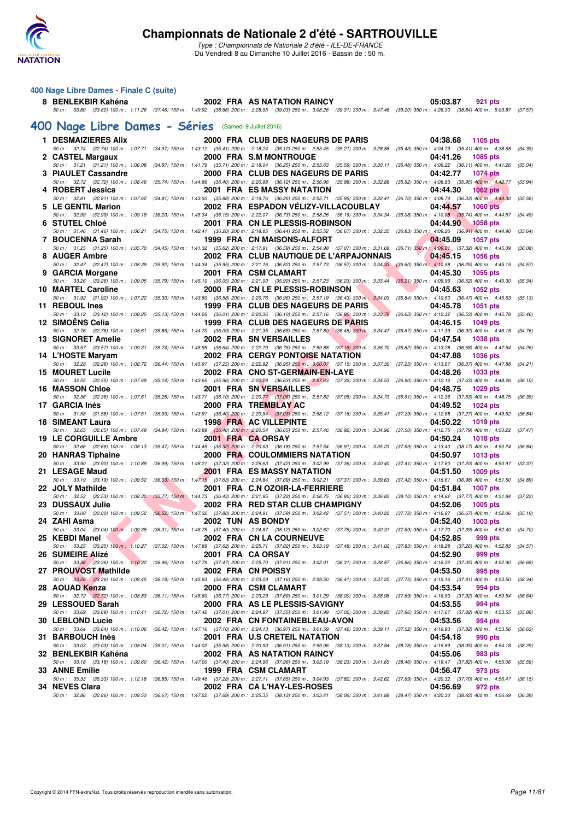

Type : Championnats de Nationale 2 d'été - ILE-DE-FRANCE Du Vendredi 8 au Dimanche 10 Juillet 2016 - Bassin de : 50 m.

### **400 Nage Libre Dames - Finale C (suite)**

## **8 BENLEKBIR Kahéna 2002 FRA AS NATATION RAINCY 05:03.87 921 pts** 50 m : 33.80 (33.80) 100 m : 1:11.26 (37.46) 150 m : 1:49.92 (38.66) 200 m : 2:28.95 (39.03) 250 m : 3:08.26 (39.31) 300 m : 3:47.46 (39.20) 350 m : 4:26.30 (38.84) 400 m : 5:03.87 (37.57)

### **[400 Nage Libre Dames - Séries](http://www.ffnatation.fr/webffn/resultats.php?idact=nat&go=epr&idcpt=39837&idepr=4)** (Samedi 9 Juillet 2016)

| 1 DESMAIZIERES Alix                                                                                                                                         |  | 2000 FRA CLUB DES NAGEURS DE PARIS      | 04:38.68<br>1105 pts                                                                                                                                                                                                        |         |
|-------------------------------------------------------------------------------------------------------------------------------------------------------------|--|-----------------------------------------|-----------------------------------------------------------------------------------------------------------------------------------------------------------------------------------------------------------------------------|---------|
| 2 CASTEL Margaux                                                                                                                                            |  | 2000 FRA S.M MONTROUGE                  | 50 m: 32.74 (32.74) 100 m: 1:07.71 (34.97) 150 m: 1:43.12 (35.41) 200 m: 2:18.24 (35.12) 250 m: 2:53.45 (35.21) 300 m: 3:28.88 (35.43) 350 m: 4:04.29 (35.41) 400 m: 4:38.68 (34.39)<br>04:41.26<br>1085 pts                |         |
|                                                                                                                                                             |  |                                         | 50 m: 31.21 (31.21) 100 m: 1:06.08 (34.87) 150 m: 1:41.79 (35.71) 200 m: 2:18.04 (36.25) 250 m: 2:53.63 (35.59) 300 m: 3:30.11 (36.48) 350 m: 4:06.22 (36.11) 400 m: 4:41.26 (35.04)                                        |         |
| 3 PIAULET Cassandre<br>50 m : 32.72 (32.72) 100 m : 1:08.46 (35.74) 150 m : 1:44.86 (36.40) 200 m : 2:20.98 (36.12) 250 m : 2:56.96 (35.98) 300 m : 3:32.88 |  | 2000 FRA CLUB DES NAGEURS DE PARIS      | 04:42.77<br><b>1074 pts</b><br>(35.92) 350 m : 4:08.83 (35.95) 400 m : 4:42.77                                                                                                                                              | (33.94) |
| 4 ROBERT Jessica                                                                                                                                            |  | <b>2001 FRA ES MASSY NATATION</b>       | 04:44.30<br><b>1062 pts</b>                                                                                                                                                                                                 |         |
| 5 LE GENTIL Marion                                                                                                                                          |  | 2002 FRA ESPADON VÉLIZY-VILLACOUBLAY    | 50 m: 32.81 (32.81) 100 m: 1:07.62 (34.81) 150 m: 1:43.50 (35.88) 200 m: 2:19.76 (36.26) 250 m: 2:55.71 (35.95) 300 m: 3:32.41 (36.70) 350 m: 4:08.74 (36.33) 400 m; 4:44.30<br><b>1060 pts</b><br>04:44.57                 | (35.56) |
|                                                                                                                                                             |  |                                         | 50 m: 32.99 (32.99) 100 m: 1:09.19 (36.20) 150 m: 1:45.34 (36.15) 200 m: 2:22.07 (36.73) 250 m: 2:58.26 (36.19) 300 m: 3:34.34 (36.08) 350 m: 4:10.08 (35.74) 400 m: 4:44.57                                                | (34.49) |
| 6 STUTEL Chloé                                                                                                                                              |  | 2001 FRA CN LE PLESSIS-ROBINSON         | 04:44.90<br><b>1058 pts</b><br>50 m : 31.46 (31.46) 100 m : 1:06.21 (34.75) 150 m : 1:42.41 (36.20) 200 m : 2:18.85 (36.44) 250 m : 2:55.52 (36.67) 300 m : 3:32.35 (36.83) 350 m : 4:09.26 (36.91) 400 m : 4:44.90         | (35.64) |
| 7 BOUCENNA Sarah                                                                                                                                            |  | 1999 FRA CN MAISONS-ALFORT              | 04:45.09<br><b>1057 pts</b>                                                                                                                                                                                                 |         |
| 8 AUGER Ambre                                                                                                                                               |  | 2002 FRA CLUB NAUTIQUE DE L'ARPAJONNAIS | 50 m : 31.25 (31.25) 100 m : 1:05.70 (34.45) 150 m : 1:41.32 (35.62) 200 m : 2:17.91 (36.59) 250 m : 2:54.98 (37.07) 300 m : 3:31.69 (36.71) 350 m : 4:09.01 (37.32) 400 m : 4:45.09 (36.08)<br>04:45.15<br><b>1056 pts</b> |         |
|                                                                                                                                                             |  |                                         | 50 m: 32.47 (32.47) 100 m: 1:08.39 (35.92) 150 m: 1:44.34 (35.95) 200 m: 2:21.16 (36.82) 250 m: 2:57.73 (36.57) 300 m: 3:34.33 (36.60) 350 m; 4:10.58 (36.25) 400 m: 4:45.15 (34.57)                                        |         |
| 9 GARCIA Morgane<br>50 m : 33.26 (33.26) 100 m : 1:09.05 (35.79) 150 m : 1:45.10 (36.05) 200 m : 2:21.00 (35.90) 250 m : 2:57.23 (36.23) 300 m : 3:33.44    |  | 2001 FRA CSM CLAMART                    | 04:45.30<br><b>1055 pts</b><br>(36.21) 350 m : 4:09.96 (36.52) 400 m : 4:45.30 (35.34)                                                                                                                                      |         |
| <b>10 MARTEL Caroline</b>                                                                                                                                   |  | 2000 FRA CN LE PLESSIS-ROBINSON         | 04:45.63<br>1052 pts                                                                                                                                                                                                        |         |
| 11 REBOUL Ines                                                                                                                                              |  | 1999 FRA CLUB DES NAGEURS DE PARIS      | 50 m: 31.92 (31.92) 100 m: 1:07.22 (35.30) 150 m: 1:43.80 (36.58) 200 m: 2:20.76 (36.96) 250 m: 2:57.19 (36.43) 300 m; 3:34.03 (36.84) 350 m: 4:10.50 (36.47) 400 m: 4:45.63<br>04:45.78<br><b>1051 pts</b>                 | (35.13) |
| 50 m : 33.12 (33.12) 100 m : 1:08.25 (35.13) 150 m : 1:44.26 (36.01) 200 m : 2:20.36 (36.10) 250 m : 2:57.16 (36.80) 300 m : 3:33.79                        |  |                                         | $(36.63)$ 350 m : 4:10.32 $(36.53)$ 400 m : 4:45.78                                                                                                                                                                         | (35.46) |
| 12 SIMOENS Celia                                                                                                                                            |  | 1999 FRA CLUB DES NAGEURS DE PARIS      | 04:46.15<br><b>1049 pts</b>                                                                                                                                                                                                 |         |
| <b>13 SIGNORET Amelie</b>                                                                                                                                   |  | 2002 FRA SN VERSAILLES                  | 50 m : 32.76 (32.76) 100 m : 1:08.61 (35.85) 150 m : 1:44.70 (36.09) 200 m : 2:21.35 (36.65) 250 m : 2:57.80 (36.45) 300 m : 3:34.47 (36.67) 350 m : 4:11.39 (36.92) 400 m : 4:46.15<br>04:47.54<br><b>1038 pts</b>         | (34.76) |
|                                                                                                                                                             |  |                                         | 50 m: 33.57 (33.57) 100 m: 1:09.31 (35.74) 150 m: 1:45.95 (36.64) 200 m: 2:22.70 (36.75) 250 m: 2:59.88 (37.18) 300 m: 3:36.70 (36.82) 350 m: 4:13.28 (36.58) 400 m: 4:47.54                                                | (34.26) |
| 14 L'HOSTE Maryam                                                                                                                                           |  | <b>2002 FRA CERGY PONTOISE NATATION</b> | 04:47.88<br><b>1036 pts</b><br>50 m : 32.28 (32.28) 100 m : 1:08.72 (36.44) 150 m : 1:45.97 (37.25) 200 m : 2:22.92 (36.95) 250 m : 3:00.07 (37.15) 300 m : 3:37.30 (37.23) 350 m : 4:13.67 (36.37) 400 m : 4:47.88 (34.21) |         |
| 15 MOURET Lucile                                                                                                                                            |  | 2002 FRA CNO ST-GERMAIN-EN-LAYE         | 04:48.26<br>1033 pts                                                                                                                                                                                                        |         |
| <b>16 MASSON Chloe</b>                                                                                                                                      |  | 2001 FRA SN VERSAILLES                  | 50 m: 32.55 (32.55) 100 m: 1:07.69 (35.14) 150 m: 1:43.65 (35.96) 200 m: 2:20.28 (36.63) 250 m: 2:57.63 (37.35) 300 m: 3:34.53 (36.90) 350 m: 4:12.16 (37.63) 400 m: 4:48.26<br>04:48.75<br><b>1029 pts</b>                 | (36.10) |
|                                                                                                                                                             |  |                                         | 50 m: 32.36 (32.36) 100 m: 1:07.61 (35.25) 150 m: 1:43.71 (36.10) 200 m: 2:20.77 (37.06) 250 m: 2:57.82 (37.05) 300 m: 3:34.73 (36.91) 350 m: 4:12.36 (37.63) 400 m: 4:48.75 (36.39)                                        |         |
| 17 GARCIA Inès<br>50 m : 31.58 (31.58) 100 m : 1:07.51 (35.93) 150 m : 1:43.91 (36.40) 200 m : 2:20.94 (37.03) 250 m : 2:58.12 (37.18) 300 m : 3:35.41      |  | 2000 FRA TREMBLAYAC                     | 04:49.52<br><b>1024 pts</b><br>(37.29) 350 m : 4:12.68 (37.27) 400 m : 4:49.52                                                                                                                                              | (36.84) |
| 18 SIMEANT Laura                                                                                                                                            |  | <b>1998 FRA AC VILLEPINTE</b>           | 04:50.22<br><b>1019 pts</b>                                                                                                                                                                                                 |         |
| <b>19 LE CORGUILLE Ambre</b>                                                                                                                                |  | 2001 FRA CA ORSAY                       | 50 m: 32.65 (32.65) 100 m: 1:07.49 (34.84) 150 m: 1:43.89 (36.40) 200 m: 2:20.54 (36.65) 250 m: 2:57.46 (36.92) 300 m: 3:34.96 (37.50) 350 m: 4:12.75 (37.79) 400 m: 4:50.22 (37.47)<br>04:50.24<br><b>1018 pts</b>         |         |
|                                                                                                                                                             |  |                                         | 50 m: 32.66 (32.66) 100 m: 1:08.13 (35.47) 150 m: 1:44.45 (36.32) 200 m: 2:20.63 (36.18) 250 m: 2:57.54 (36.91) 300 m: 3:35.23 (37.69) 350 m: 4:13.40 (38.17) 400 m: 4:50.24 (36.84)                                        |         |
| 20 HANRAS Tiphaine<br>50 m : 33.90 (33.90) 100 m : 1:10.89 (36.99) 150 m : 1:48.21 (37.32) 200 m : 2:25.63 (37.42) 250 m : 3:02.99 (37.36) 300 m : 3:40.40  |  | <b>2000 FRA COULOMMIERS NATATION</b>    | 04:50.97<br><b>1013 pts</b><br>(37.41) 350 m : 4:17.60 (37.20) 400 m : 4:50.97                                                                                                                                              | (33.37) |
| 21 LESAGE Maud                                                                                                                                              |  | <b>2001 FRA ES MASSY NATATION</b>       | 04:51.50<br>1009 pts                                                                                                                                                                                                        |         |
| 50 m: 33.19 (33.19) 100 m: 1:09.52 (36.33) 150 m: 1:47.15 (37.63) 200 m: 2:24.84 (37.69) 250 m: 3:02.21 (37.37) 300 m: 3:39.63<br>22 JOLY Mathilde          |  | 2001 FRA C.N OZOIR-LA-FERRIERE          | (37.42) 350 m: 4:16.61 (36.98) 400 m: 4:51.50 (34.89)<br>04:51.84<br><b>1007 pts</b>                                                                                                                                        |         |
| 50 m: 32.53 (32.53) 100 m: 1:08.30 (35.77) 150 m: 1:44.73 (36.43) 200 m: 2:21.95 (37.22) 250 m: 2:58.75 (36.80) 300 m: 3:36.85                              |  |                                         | (38.10) 350 m: 4:14.62 (37.77) 400 m: 4:51.84                                                                                                                                                                               | (37.22) |
| 23 DUSSAUX Julie                                                                                                                                            |  | 2002 FRA RED STAR CLUB CHAMPIGNY        | 04:52.06<br>1005 pts<br>50 m: 33.00 (33.00) 100 m: 1:09.52 (36.52) 150 m: 1:47.32 (37.80) 200 m: 2:24.91 (37.59) 250 m: 3:02.42 (37.51) 300 m: 3:40.20 (37.78) 350 m: 4:16.87 (36.67) 400 m: 4:52.06 (35.19)                |         |
| 24 ZAHI Asma                                                                                                                                                |  | 2002 TUN AS BONDY                       | 04:52.40<br>1003 pts                                                                                                                                                                                                        |         |
| 25 KEBDI Manel                                                                                                                                              |  | 2002 FRA CN LA COURNEUVE                | 50 m: 33.04 (33.04) 100 m: 1:09.35 (36.31) 150 m: 1:46.75 (37.40) 200 m: 2:24.87 (38.12) 250 m: 3:02.62 (37.75) 300 m: 3:40.31 (37.69) 350 m: 4:17.70 (37.39) 400 m: 4:52.40<br>04:52.85<br>999 pts                         | (34.70) |
|                                                                                                                                                             |  |                                         | 50 m: 33.25 (33.25) 100 m: 1.10.27 (37.02) 150 m: 1:47.89 (37.62) 200 m: 2:25.71 (37.82) 250 m: 3:03.19 (37.48) 300 m: 3:41.02 (37.83) 350 m: 4:18.28 (37.26) 400 m: 4:52.85 (34.57)                                        |         |
| 26 SUMEIRE Alizé                                                                                                                                            |  | 2001 FRA CA ORSAY                       | 04:52.90<br>999 pts<br>50 m: 33,36 (33.36) 100 m: 1:10.32 (36.96) 150 m: 1:47.79 (37.47) 200 m: 2:25.70 (37.91) 250 m: 3:02.01 (36.31) 300 m: 3:38.87 (36.86) 350 m: 4:16.22 (37.35) 400 m: 4:52.90 (36.68)                 |         |
| 27 PROUVOST Mathilde 2002 FRA CN POISSY                                                                                                                     |  |                                         | 04:53.50 995 pts                                                                                                                                                                                                            |         |
| 28 AOUAD Kenza                                                                                                                                              |  | 2000 FRA CSM CLAMART                    | 50 m: 33.26 (33.26) 100 m: 1:09.45 (36.19) 150 m: 1:45.93 (36.48) 200 m: 2:23.09 (37.16) 250 m: 2:59.50 (36.41) 300 m: 3:37.25 (37.75) 350 m: 4:15.16 (37.91) 400 m: 4:53.50 (38.34)<br>04:53.54<br>994 pts                 |         |
|                                                                                                                                                             |  |                                         | 50 m: 32.72 (32.72) 100 m: 1:08.83 (36.11) 150 m: 1:45.60 (36.77) 200 m: 2:23.29 (37.69) 250 m: 3:01.29 (38.00) 300 m: 3:38.98 (37.69) 350 m: 4:16.90 (37.92) 400 m: 4:53.54 (36.64)                                        |         |
| 29 LESSOUED Sarah                                                                                                                                           |  | 2000 FRA AS LE PLESSIS-SAVIGNY          | 04:53.55<br>994 pts<br>50 m: 33.69 (33.69) 100 m: 1:10.41 (36.72) 150 m: 1:47.42 (37.01) 200 m: 2:24.97 (37.55) 250 m: 3:01.99 (37.02) 300 m: 3:39.85 (37.86) 350 m: 4:17.67 (37.82) 400 m: 4:53.55                         | (35.88) |
| <b>30 LEBLOND Lucie</b>                                                                                                                                     |  | 2002 FRA CN FONTAINEBLEAU-AVON          | 04:53.56<br>994 pts                                                                                                                                                                                                         |         |
| 31 BARBOUCH Inès                                                                                                                                            |  | 2001 FRA U.S CRETEIL NATATION           | 50 m: 33.64 (33.64) 100 m: 1:10.06 (36.42) 150 m: 1:47.16 (37.10) 200 m: 2:24.13 (36.97) 250 m: 3:01.59 (37.46) 300 m: 3:39.11 (37.52) 350 m: 4:16.93 (37.82) 400 m: 4:53.56<br>04:54.18<br>990 pts                         | (36.63) |
|                                                                                                                                                             |  |                                         | 50 m: 33.03 (33.03) 100 m: 1:08.04 (35.01) 150 m: 1:44.02 (35.98) 200 m: 2:20.93 (36.91) 250 m: 2:59.06 (38.13) 300 m: 3:37.84 (38.78) 350 m: 4:15.89 (38.05) 400 m: 4:54.18                                                | (38.29) |
| 32 BENLEKBIR Kahéna                                                                                                                                         |  | 2002 FRA AS NATATION RAINCY             | 04:55.06<br>983 pts<br>50 m: 33.18 (33.18) 100 m: 1:09.60 (36.42) 150 m: 1:47.00 (37.40) 200 m: 2:24.96 (37.96) 250 m: 3:03.19 (38.23) 300 m: 3:41.65 (38.46) 350 m: 4:19.47 (37.82) 400 m: 4:55.06 (35.59)                 |         |
| 33 ANNE Emilie                                                                                                                                              |  | 1999 FRA CSM CLAMART                    | 04:56.47<br>973 pts                                                                                                                                                                                                         |         |
| 34 NEVES Clara                                                                                                                                              |  | 2002 FRA CA L'HAY-LES-ROSES             | 50 m: 35.33 (35.33) 100 m: 1:12.18 (36.85) 150 m: 1:49.46 (37.28) 200 m: 2:27.11 (37.65) 250 m: 3:04.93 (37.82) 300 m: 3:42.62 (37.69) 350 m: 4:20.32 (37.70) 400 m: 4:56.47 (36.15)<br>04:56.69<br>972 pts                 |         |
|                                                                                                                                                             |  |                                         | 50 m : 32.86 (32.86) 100 m : 1:09.53 (36.67) 150 m : 1:47.22 (37.69) 200 m : 2:25.35 (38.13) 250 m : 3:03.41 (38.06) 300 m : 3:41.88 (38.47) 350 m : 4:20.30 (38.42) 400 m : 4:56.69 (36.39)                                |         |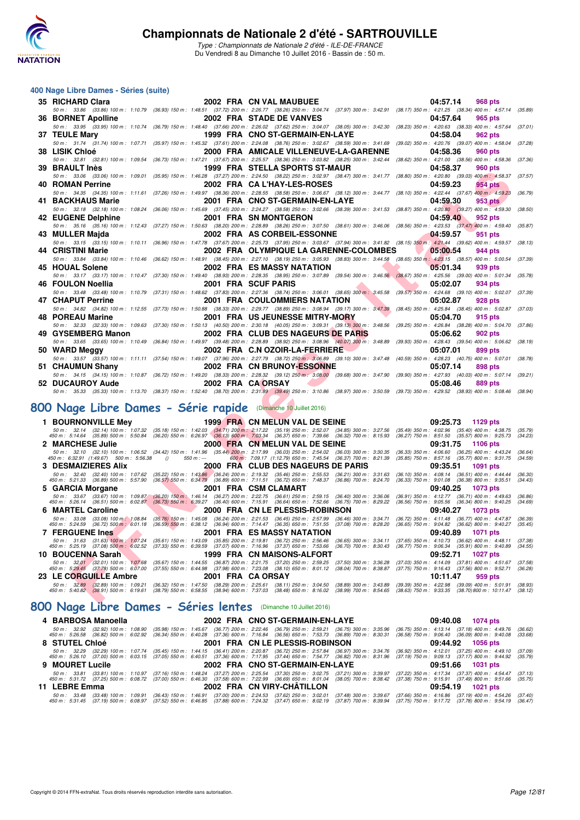

Type : Championnats de Nationale 2 d'été - ILE-DE-FRANCE Du Vendredi 8 au Dimanche 10 Juillet 2016 - Bassin de : 50 m.

#### **400 Nage Libre Dames - Séries (suite)**

| 35 RICHARD Clara                                                                                        |                                                                                                                                                                                                                                                                | 2002 FRA CN VAL MAUBUEE                                                                                                                                                                                                                                                                    | 04:57.14<br><b>968 pts</b>                                                                                                           |
|---------------------------------------------------------------------------------------------------------|----------------------------------------------------------------------------------------------------------------------------------------------------------------------------------------------------------------------------------------------------------------|--------------------------------------------------------------------------------------------------------------------------------------------------------------------------------------------------------------------------------------------------------------------------------------------|--------------------------------------------------------------------------------------------------------------------------------------|
|                                                                                                         |                                                                                                                                                                                                                                                                | 50 m: 33.86 (33.86) 100 m: 1:10.79 (36.93) 150 m: 1:48.51 (37.72) 200 m: 2:26.77 (38.26) 250 m: 3:04.74 (37.97) 300 m: 3:42.91 (38.17) 350 m: 4:21.25 (38.34) 400 m: 4:57.14                                                                                                               | (35.89)                                                                                                                              |
| 36 BORNET Apolline                                                                                      |                                                                                                                                                                                                                                                                | 2002 FRA STADE DE VANVES                                                                                                                                                                                                                                                                   | 04:57.64<br>965 pts                                                                                                                  |
|                                                                                                         |                                                                                                                                                                                                                                                                | 50 m: 33.95 (33.95) 100 m: 1:10.74 (36.79) 150 m: 1:48.40 (37.66) 200 m: 2:26.02 (37.62) 250 m: 3:04.07 (38.05) 300 m: 3:42.30 (38.23) 350 m: 4:20.63 (38.33) 400 m: 4:57.64                                                                                                               | (37.01)                                                                                                                              |
| 37 TEULE Mary                                                                                           |                                                                                                                                                                                                                                                                | 1999 FRA CNO ST-GERMAIN-EN-LAYE                                                                                                                                                                                                                                                            | 04:58.04<br>962 pts                                                                                                                  |
| 50 m: 31.74 (31.74) 100 m: 1:07.71<br>38 LISIK Chloé                                                    |                                                                                                                                                                                                                                                                | (35.97) 150 m : 1:45.32 (37.61) 200 m : 2:24.08 (38.76) 250 m : 3:02.67 (38.59) 300 m : 3:41.69<br>2000 FRA AMICALE VILLENEUVE-LA-GARENNE                                                                                                                                                  | (39.02) 350 m: 4:20.76 (39.07) 400 m: 4:58.04<br>(37.28)<br>04:58.36<br>960 pts                                                      |
| 50 m: 32.81 (32.81) 100 m: 1:09.54                                                                      |                                                                                                                                                                                                                                                                | (36.73) 150 m : 1:47.21 (37.67) 200 m : 2:25.57 (38.36) 250 m : 3:03.82 (38.25) 300 m : 3:42.44 (38.62) 350 m : 4:21.00 (38.56) 400 m : 4:58.36                                                                                                                                            | (37.36)                                                                                                                              |
| 39 BRAULT Inès                                                                                          |                                                                                                                                                                                                                                                                | 1999 FRA STELLA SPORTS ST-MAUR                                                                                                                                                                                                                                                             | 04:58.37<br>960 pts                                                                                                                  |
| 50 m: 33.06 (33.06) 100 m: 1:09.01                                                                      |                                                                                                                                                                                                                                                                | (35.95) 150 m : 1:46.28 (37.27) 200 m : 2:24.50 (38.22) 250 m : 3:02.97 (38.47) 300 m : 3:41.77 (38.80) 350 m : 4:20.80 (39.03) 400 m : 4:58.37                                                                                                                                            | (37.57)                                                                                                                              |
| 40 ROMAN Perrine                                                                                        |                                                                                                                                                                                                                                                                | 2002 FRA CA L'HAY-LES-ROSES                                                                                                                                                                                                                                                                | 04:59.23<br><b>954 pts</b>                                                                                                           |
|                                                                                                         |                                                                                                                                                                                                                                                                | 50 m: 34.35 (34.35) 100 m: 1:11.61 (37.26) 150 m: 1:49.97 (38.36) 200 m: 2:28.55 (38.58) 250 m: 3:06.67 (38.12) 300 m: 3:44.77 (38.10) 350 m: 4:22.44 (37.67) 400 m: 4:59.23                                                                                                               | (36.79)                                                                                                                              |
| 41 BACKHAUS Marie                                                                                       |                                                                                                                                                                                                                                                                | 2001 FRA CNO ST-GERMAIN-EN-LAYE                                                                                                                                                                                                                                                            | 04:59.30<br>953 pts                                                                                                                  |
|                                                                                                         |                                                                                                                                                                                                                                                                | 50 m: 32.18 (32.18) 100 m: 1:08.24 (36.06) 150 m: 1:45.69 (37.45) 200 m: 2:24.27 (38.58) 250 m: 3:02.66 (38.39) 300 m: 3:41.53 (38.87) 350 m: 4:20.80 (39.27) 400 m: 4:59.30                                                                                                               | (38.50)                                                                                                                              |
| 42 EUGENE Delphine                                                                                      |                                                                                                                                                                                                                                                                | 2001 FRA SN MONTGERON                                                                                                                                                                                                                                                                      | 04:59.40<br>952 pts                                                                                                                  |
|                                                                                                         |                                                                                                                                                                                                                                                                | 50 m: 35.16 (35.16) 100 m: 1:12.43 (37.27) 150 m: 1:50.63 (38.20) 200 m: 2:28.89 (38.26) 250 m: 3:07.50 (38.61) 300 m: 3:46.06 (38.56) 350 m: 4:23.53 (37.47) 400 m: 4:59.40                                                                                                               | (35.87)                                                                                                                              |
| 43 MULLER Majda                                                                                         |                                                                                                                                                                                                                                                                | 2002 FRA AS CORBEIL-ESSONNE                                                                                                                                                                                                                                                                | 04:59.57<br>951 pts                                                                                                                  |
|                                                                                                         |                                                                                                                                                                                                                                                                | 50 m: 33.15 (33.15) 100 m: 1:10.11 (36.96) 150 m: 1:47.78 (37.67) 200 m: 2:25.73 (37.95) 250 m: 3:03.67 (37.94) 300 m: 3:41.82 (38.15) 350 m: 4:21.44 (39.62) 400 m: 4:59.57                                                                                                               | (38.13)                                                                                                                              |
| 44 CRISTINI Marie                                                                                       |                                                                                                                                                                                                                                                                | 2002 FRA OLYMPIQUE LA GARENNE-COLOMBES                                                                                                                                                                                                                                                     | 05:00.54<br>944 pts                                                                                                                  |
| 50 m: 33.84 (33.84) 100 m: 1:10.46                                                                      |                                                                                                                                                                                                                                                                | (36.62) 150 m : 1:48.91 (38.45) 200 m : 2:27.10 (38.19) 250 m : 3:05.93 (38.83) 300 m : 3:44.58 (38.65) 350 m : 4:23.15 (38.57) 400 m : 5:00.54<br>2002 FRA ES MASSY NATATION                                                                                                              | (37.39)                                                                                                                              |
| 45 HOUAL Solene                                                                                         |                                                                                                                                                                                                                                                                | 50 m: 33.17 (33.17) 100 m: 1:10.47 (37.30) 150 m: 1:49.40 (38.93) 200 m: 2:28.35 (38.95) 250 m: 3:07.89 (39.54) 300 m: 3:46.56 (38.67) 350 m: 4:25.56 (39.00) 400 m: 5:01.34                                                                                                               | 05:01.34<br>939 pts<br>(35.78)                                                                                                       |
| 46 FOULON Noellia                                                                                       |                                                                                                                                                                                                                                                                | 2001 FRA SCUF PARIS                                                                                                                                                                                                                                                                        | 05:02.07<br>934 pts                                                                                                                  |
|                                                                                                         |                                                                                                                                                                                                                                                                | 50 m : 33.48 (33.48) 100 m : 1:10.79 (37.31) 150 m : 1:48.62 (37.83) 200 m : 2:27.36 (38.74) 250 m : 3:06.01 (38.65) 300 m : 3:45.58                                                                                                                                                       | (39.57) 350 m: 4:24.68 (39.10) 400 m: 5:02.07<br>(37.39)                                                                             |
| 47 CHAPUT Perrine                                                                                       |                                                                                                                                                                                                                                                                | 2001 FRA COULOMMIERS NATATION                                                                                                                                                                                                                                                              | 05:02.87<br><b>928 pts</b>                                                                                                           |
|                                                                                                         |                                                                                                                                                                                                                                                                | 50 m: 34.82 (34.82) 100 m: 1:12.55 (37.73) 150 m: 1:50.88 (38.33) 200 m: 2:29.77 (38.89) 250 m: 3:08.94 (39.17) 300 m: 3:47.39                                                                                                                                                             | (38.45) 350 m: 4:25.84 (38.45) 400 m: 5:02.87 (37.03)                                                                                |
| 48 POREAU Marine                                                                                        |                                                                                                                                                                                                                                                                | 2001 FRA US JEUNESSE MITRY-MORY                                                                                                                                                                                                                                                            | 05:04.70<br>915 pts                                                                                                                  |
|                                                                                                         |                                                                                                                                                                                                                                                                | 50 m : 32.33 (32.33) 100 m : 1:09.63 (37.30) 150 m : 1:50.13 (40.50) 200 m : 2:30.18 (40.05) 250 m : 3:09.31 (39.13) 300 m : 3:48.56 (39.25) 350 m : 4:26.84 (38.28) 400 m : 5:04.70                                                                                                       | (37.86)                                                                                                                              |
| 49 GYSEMBERG Manon                                                                                      |                                                                                                                                                                                                                                                                | 2002 FRA CLUB DES NAGEURS DE PARIS                                                                                                                                                                                                                                                         | 05:06.62<br><b>902 pts</b>                                                                                                           |
|                                                                                                         |                                                                                                                                                                                                                                                                | 50 m : 33.65 (33.65) 100 m : 1:10.49 (36.84) 150 m : 1:49.97 (39.48) 200 m : 2:28.89 (38.92) 250 m : 3:08.96 (40.07) 300 m : 3:48.89                                                                                                                                                       | (39.93) 350 m: 4:28.43 (39.54) 400 m: 5:06.62<br>(38.19)                                                                             |
| 50 WARD Meggy                                                                                           |                                                                                                                                                                                                                                                                | 2002 FRA C.N OZOIR-LA-FERRIERE                                                                                                                                                                                                                                                             | 05:07.01<br>899 pts                                                                                                                  |
|                                                                                                         |                                                                                                                                                                                                                                                                | 50 m: 33.57 (33.57) 100 m: 1:11.11 (37.54) 150 m: 1:49.07 (37.96) 200 m: 2:27.79 (38.72) 250 m: 3:06.89 (39.10) 300 m: 3:47.48 (40.59) 350 m: 4:28.23 (40.75) 400 m: 5:07.01                                                                                                               | (38.78)                                                                                                                              |
| 51 CHAUMUN Shany                                                                                        |                                                                                                                                                                                                                                                                | 2002 FRA CN BRUNOY-ESSONNE                                                                                                                                                                                                                                                                 | 05:07.14<br>898 pts                                                                                                                  |
|                                                                                                         |                                                                                                                                                                                                                                                                | 50 m: 34.15 (34.15) 100 m: 1:10.87 (36.72) 150 m: 1:49.20 (38.33) 200 m: 2:28.32 (39.12) 250 m: 3:08.00 (39.68) 300 m: 3:47.90 (39.90) 350 m: 4:27.93 (40.03) 400 m: 5:07.14 (39.21)                                                                                                       |                                                                                                                                      |
| 52 DUCAUROY Aude                                                                                        |                                                                                                                                                                                                                                                                | 2002 FRA CA ORSAY<br>50 m : 35.33 (35.33) 100 m : 1:13.70 (38.37) 150 m : 1:52.40 (38.70) 200 m : 2:31.89 (39.49) 250 m : 3:10.86 (38.97) 300 m : 3:50.59 (39.73) 350 m : 4:29.52 (38.93) 400 m : 5:08.46 (38.94)                                                                          | 05:08.46<br>889 pts                                                                                                                  |
|                                                                                                         |                                                                                                                                                                                                                                                                |                                                                                                                                                                                                                                                                                            |                                                                                                                                      |
| 100 Nage Libre Dames - Série rapide (Dimanche 10 Juillet 2016)                                          |                                                                                                                                                                                                                                                                |                                                                                                                                                                                                                                                                                            |                                                                                                                                      |
|                                                                                                         |                                                                                                                                                                                                                                                                |                                                                                                                                                                                                                                                                                            |                                                                                                                                      |
| 1 BOURNONVILLE Mey                                                                                      |                                                                                                                                                                                                                                                                | 1999 FRA CN MELUN VAL DE SEINE                                                                                                                                                                                                                                                             | 09:25.73<br>1129 pts                                                                                                                 |
|                                                                                                         |                                                                                                                                                                                                                                                                | 50 m : 32.14 (32.14) 100 m : 1.07.32 (35.18) 150 m : 1.42.03 (34.71) 200 <mark>m</mark> : 2:17.22 (35.19) 250 m : 2:52.07 (34.85) 300 m : 3:27.56<br>450 m : 5:14.64 (35.89) 500 m : 5:50.84 (36.20) 550 m : 6:26.97 (36.13) 600 m : 7:03.34                                               | $(35.49)$ 350 m : $4.02.96$ $(35.40)$ 400 m : $4.38.75$<br>(35.79)<br>$(36.27)$ 750 m : 8:51.50 $(35.57)$ 800 m : 9:25.73<br>(34.23) |
| 2 MARCHESE Julie                                                                                        |                                                                                                                                                                                                                                                                | 2000 FRA CN MELUN VAL DE SEINE                                                                                                                                                                                                                                                             | 09:31.75<br>1106 pts                                                                                                                 |
|                                                                                                         |                                                                                                                                                                                                                                                                |                                                                                                                                                                                                                                                                                            | $(36.33)$ 350 m : 4:06.60 $(36.25)$ 400 m : 4:43.24<br>(36.64)                                                                       |
|                                                                                                         |                                                                                                                                                                                                                                                                | $\begin{array}{cccccc} 50\ m: & 32.10 & (32.10) \ 100\ m: & 1.06.52 & (34.42) \ 150\ m: & 1.41.96 & (35.44) \ 200\ m: & 2.17.99 & (36.03) \ 250\ m: & 2.54.02 & (36.03) \ 300\ m: & 3.30.35 \\ 450\ m: & 6.32.91 & (1.49.67) & 500\ m: & 5.56.38 & () & 550\ m: & - & 600\ m: & 7.09.17 &$ | (35.85) 750 m: 8:57.16 (35.77) 800 m: 9:31.75<br>(34.59)                                                                             |
| 3 DESMAIZIERES Alix                                                                                     |                                                                                                                                                                                                                                                                | 2000 FRA CLUB DES NAGEURS DE PARIS                                                                                                                                                                                                                                                         | 09:35.51<br>1091 pts                                                                                                                 |
|                                                                                                         |                                                                                                                                                                                                                                                                | 50 m : 32.40 (32.40) 100 m : 1:07.62 (35.22) 150 m : 1:43.86 (36.24) 200 m : 2:19.32 (35.46) 250 m : 2:55.53 (36.21) 300 m : 3:31.63<br>450 m : 5:21.33 (36.89) 500 m : 5:57.90 (36.57) 550 m : 6:34.79 (36.89) 600 m : 7:11.51 (                                                          | (36.10) 350 m: 4:08.14 (36.51) 400 m: 4:44.44<br>(36.30)<br>(36.33) 750 m : 9:01.08 (36.38) 800 m : 9:35.51<br>(34.43)               |
| 5 GARCIA Morgane                                                                                        |                                                                                                                                                                                                                                                                | 2001 FRA CSM CLAMART                                                                                                                                                                                                                                                                       | 09:40.25<br>1073 pts                                                                                                                 |
| 50 m : 33.67 (33.67) 100 m : 1:09.87<br>450 m : 5:26.14 (36.51) 500 m : 6:02.87                         |                                                                                                                                                                                                                                                                |                                                                                                                                                                                                                                                                                            | $(36.91)$ 350 m : 4:12.77 $(36.71)$ 400 m : 4:49.63<br>(36.86)                                                                       |
|                                                                                                         |                                                                                                                                                                                                                                                                | (36.20) 150 m · 1:46.14 (36.27) 200 m · 2:22.75 (36.61) 250 m · 2:59.15 (36.40) 300 m · 3:36.06<br>(36.73) 550 m · 6:39.27 (36.40) 600 m · 7:15.91 (36.64) 650 m · 7:52.66 (36.75) 700 m · 8:29.22                                                                                         | (36.56) 750 m : 9:05.56 (36.34) 800 m : 9:40.25<br>(34.69)                                                                           |
| 6 MARTEL Caroline                                                                                       |                                                                                                                                                                                                                                                                | 2000 FRA CN LE PLESSIS-ROBINSON                                                                                                                                                                                                                                                            | 09:40.27<br>1073 pts                                                                                                                 |
| 50 m: 33.08 (33.08) 100 m: 1:08.84<br>450 m : 5:24.59 (36.72) 500 m : 6:01.18                           |                                                                                                                                                                                                                                                                | (35.76) 150 m : 1:45.08 (36.24) 200 m : 2:21.53 (36.45) 250 m : 2:57.99 (36.46) 300 m : 3:34.71<br>(36.59) 550 m : 6:38.12 (36.94) 600 m : 7:14.47 (36.35) 650 m : 7:51.55 (37.08) 700 m : 8:28.20<br>$(37.08)$ 700 m : 8:28.20                                                            | $(36.72)$ 350 m : 4:11.48 $(36.77)$ 400 m : 4:47.87<br>(36.39)<br>(36.65) 750 m : 9:04.82 (36.62) 800 m : 9:40.27<br>(35.45)         |
| <b>7 FERGUENE Ines</b>                                                                                  |                                                                                                                                                                                                                                                                | <b>2001 FRA ES MASSY NATATION</b>                                                                                                                                                                                                                                                          | 09:40.89<br><b>1071 pts</b>                                                                                                          |
|                                                                                                         |                                                                                                                                                                                                                                                                | $(36.65)$ 300 m : 3:34.11                                                                                                                                                                                                                                                                  | $(37.65)$ 350 m : 4:10.73 $(36.62)$ 400 m : 4:48.11<br>(37.38)                                                                       |
| 50 m : 31.63 (31.63) 100 m : 1:07.24<br>450 m : 5:25.19 (37.08) 500 m : 6:02.52                         | $\begin{array}{cccc} (35.61) \ 150 \ m \colon \ 1.43.09 & (35.85) \ 200 \ m \colon \ 2.19.81 & (36.72) \ 250 \ m \colon \ 2.56.46 \\ (37.33) \ 550 \ m \colon \ 6.39.59 & (37.07) \ 600 \ m \colon \ 7.16.96 & (37.37) \ 650 \ m \colon \ 7.53.66 \end{array}$ | $(36.70)$ 700 m : 8:30.43                                                                                                                                                                                                                                                                  | (36.77) 750 m : 9:06.34 (35.91) 800 m : 9:40.89<br>(34.55)                                                                           |
| 10 BOUCENNA Sarah                                                                                       |                                                                                                                                                                                                                                                                | 1999 FRA CN MAISONS-ALFORT                                                                                                                                                                                                                                                                 | 09:52.71<br><b>1027 pts</b>                                                                                                          |
| 50 m : 32.01 (32.01) 100 m : 1:07.68<br>450 m : 5:29.45 (37.78) 500 m : 6:07.00 (37.55) 550 m : 6:44.98 | $(37.98)$ 600 m : 7:23.08                                                                                                                                                                                                                                      | (35.67) 150 m: 1:44.55 (36.87) 200 m: 2:21.75 (37.20) 250 m: 2:59.25 (37.50) 300 m: 3:36.28<br>$(38.04)$ 700 m : 8:38.87                                                                                                                                                                   | (37.03) 350 m: 4:14.09 (37.81) 400 m: 4:51.67<br>(37.58)<br>$(37.75)$ 750 m : 9:16.43<br>$(37.56)$ 800 m : 9:52.71                   |
| 23 LE CORGUILLE Ambre                                                                                   |                                                                                                                                                                                                                                                                | $(38.10)$ 650 m : $8.01.12$<br>2001 FRA CA ORSAY                                                                                                                                                                                                                                           | (36.28)<br>10:11.47<br>959 pts                                                                                                       |
| 50 m: 32.89 (32.89) 100 m: 1:09.21                                                                      | (36.32) 150 m: 1:47.50 (38.29) 200 m: 2:25.61 (38.11) 250 m: 3:04.50                                                                                                                                                                                           |                                                                                                                                                                                                                                                                                            | $(38.89)$ 300 m : 3:43.89 $(39.39)$ 350 m : 4:22.98 $(39.09)$ 400 m : 5:01.91<br>(38.93)                                             |
| 450 m : 5:40.82 (38.91) 500 m : 6:19.61                                                                 | (38.79) 550 m : 6:58.55 (38.94) 600 m : 7:37.03 (38.48) 650 m : 8:16.02                                                                                                                                                                                        | $(38.99)$ 700 m : 8:54.65                                                                                                                                                                                                                                                                  | (38.63) 750 m : 9:33.35 (38.70) 800 m : 10:11.47<br>(38.12)                                                                          |
|                                                                                                         | ,                                                                                                                                                                                                                                                              |                                                                                                                                                                                                                                                                                            |                                                                                                                                      |

### **[800 Nage Libre Dames - Série rapide](http://www.ffnatation.fr/webffn/resultats.php?idact=nat&go=epr&idcpt=39837&idepr=5)** (Dimanche 10 Juillet 2016)

### **[800 Nage Libre Dames - Séries lentes](http://www.ffnatation.fr/webffn/resultats.php?idact=nat&go=epr&idcpt=39837&idepr=5)** (Dimanche 10 Juillet 2016)

|                 | 4 BARBOSA Manoella |  |  | 2002 FRA CNO ST-GERMAIN-EN-LAYE                                                                                                                                                                                                                                                 |  |  | 09:40.08 1074 pts                                                                                                                                                                                                                                                                                                                                                                               |         |
|-----------------|--------------------|--|--|---------------------------------------------------------------------------------------------------------------------------------------------------------------------------------------------------------------------------------------------------------------------------------|--|--|-------------------------------------------------------------------------------------------------------------------------------------------------------------------------------------------------------------------------------------------------------------------------------------------------------------------------------------------------------------------------------------------------|---------|
|                 |                    |  |  | 50 m : 32.92 (32.92) 100 m : 1:08.90 (35.98) 150 m : 1:45.67 (36.77) 200 m : 2:22.46 (36.79) 250 m : 2:59.21 (36.75) 300 m : 3:35.96<br>450 m : 5:26.58 (36.82) 500 m : 6:02.92 (36.34) 550 m : 6:40.28 (37.36) 600 m : 7:16.84 (36.56) 650 m : 7:53.73 (36.89) 700 m : 8:30.31 |  |  | $(36.75)$ 350 m : 4:13.14 $(37.18)$ 400 m : 4:49.76 $(36.62)$<br>$(36.58)$ 750 m : $9.06.40$ $(36.09)$ 800 m : $9.40.08$ $(33.68)$                                                                                                                                                                                                                                                              |         |
| 8 STUTEL Chloé  |                    |  |  | 2001 FRA CN LE PLESSIS-ROBINSON                                                                                                                                                                                                                                                 |  |  | 09:44.92 1056 pts                                                                                                                                                                                                                                                                                                                                                                               |         |
|                 |                    |  |  |                                                                                                                                                                                                                                                                                 |  |  | 50 m : 32.29 (32.29) 100 m : 1:07.74 (35.45) 150 m : 1:44.15 (36.41) 200 m : 2:20.87 (36.72) 250 m : 2:57.84 (36.97) 300 m : 3:34.76 (36.92) 350 m : 4:12.01 (37.25) 400 m : 4:49.10 (37.09)<br>450 m : 5:26.10 (37.00) 500 m : 6:03.15 (37.05) 550 m : 6:40.51 (37.36) 600 m : 7:17.95 (37.44) 650 m : 7:54.77 (36.82) 700 m : 8:31.96 (37.19) 750 m : 9:09.13 (37.17) 800 m : 9:44.92 (35.79) |         |
| 9 MOURET Lucile |                    |  |  | 2002 FRA CNO ST-GERMAIN-EN-LAYE                                                                                                                                                                                                                                                 |  |  | 09:51.66 1031 pts                                                                                                                                                                                                                                                                                                                                                                               |         |
|                 |                    |  |  |                                                                                                                                                                                                                                                                                 |  |  | 50 m: 33.81 (33.81) 100 m: 1:10.97 (37.16) 150 m: 1:48.24 (37.27) 200 m: 2:25.54 (37.30) 250 m: 3:02.75 (37.21) 300 m: 3:39.97 (37.22) 350 m: 4:17.34 (37.37) 400 m: 4:54.47 (37.13)<br>450 m : 5:31.72 (37.25) 500 m : 6:08.72 (37.00) 550 m : 6:46.30 (37.58) 600 m : 7:22.99 (36.69) 650 m : 8:01.04 (38.05) 700 m : 8:38.42 (37.38) 750 m : 9:15.91 (37.49) 800 m : 9:51.66 (35.75)         |         |
| 11 LEBRE Emma   |                    |  |  | 2002 FRA CN VIRY-CHATILLON                                                                                                                                                                                                                                                      |  |  | 09:54.19 1021 pts                                                                                                                                                                                                                                                                                                                                                                               |         |
|                 |                    |  |  |                                                                                                                                                                                                                                                                                 |  |  | 50 m: 33.48 (33.48) 100 m: 1:09.91 (36.43) 150 m: 1:46.91 (37.00) 200 m: 2:24.53 (37.62) 250 m: 3:02.01 (37.48) 300 m: 3:39.67 (37.66) 350 m: 4:16.86 (37.19) 400 m: 4:54.26 (37.40)<br>450 m : 5:31.45 (37.19) 500 m : 6:08.97 (37.52) 550 m : 6:46.85 (37.88) 600 m : 7:24.32 (37.47) 650 m : 8:02.19 (37.87) 700 m : 8:39.94 (37.75) 750 m : 9:17.72 (37.78) 800 m : 9:54.19                 | (36.47) |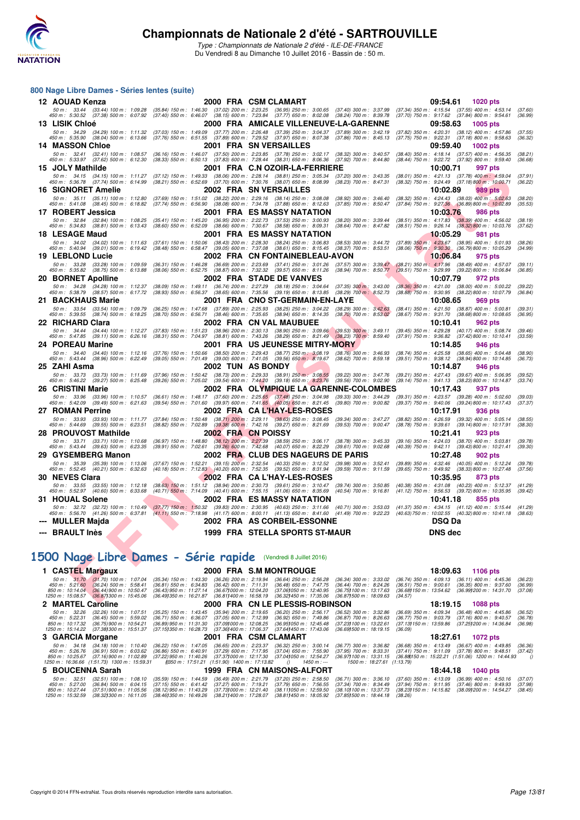

Type : Championnats de Nationale 2 d'été - ILE-DE-FRANCE Du Vendredi 8 au Dimanche 10 Juillet 2016 - Bassin de : 50 m.

### **800 Nage Libre Dames - Séries lentes (suite)**

| 12 AOUAD Kenza                                                                     |                                                                                                                                                                                                                                                                                        | 2000 FRA CSM CLAMART                                                                                                                                                                                                                                                                             | 09:54.61<br>1020 pts                                                                                                                   |
|------------------------------------------------------------------------------------|----------------------------------------------------------------------------------------------------------------------------------------------------------------------------------------------------------------------------------------------------------------------------------------|--------------------------------------------------------------------------------------------------------------------------------------------------------------------------------------------------------------------------------------------------------------------------------------------------|----------------------------------------------------------------------------------------------------------------------------------------|
| 50 m: 33.44 (33.44) 100 m: 1:09.28<br>450 m : 5:30.52 (37.38) 500 m : 6:07.92      |                                                                                                                                                                                                                                                                                        | $\begin{array}{cccc} (35.84) \ 150 \ m : & 1.46.30 & (37.02) \ 200 \ m : & 2.23.25 & (36.95) \ 250 \ m : & 3.00.65 & (37.40) \ 300 \ m : & 3.37.99 \\ (37.40) \ 550 \ m : & 6.46.07 & (38.15) \ 600 \ m : & 7.23.84 & (37.77) \ 650 \ m : & 8.02.08 & (38.24) \ 700 \ m : & 8.39.78 \end{array}$ | $(37.34)$ 350 m : 4:15.54 $(37.55)$ 400 m : 4:53.14<br>$(37.70)$ 750 m : 9:17.62 $(37.84)$ 800 m : 9:54.61<br>(37.60)<br>(36.99)       |
| 13 LISIK Chloé                                                                     |                                                                                                                                                                                                                                                                                        | 2000 FRA AMICALE VILLENEUVE-LA-GARENNE                                                                                                                                                                                                                                                           | 09:58.63<br><b>1005 pts</b>                                                                                                            |
| 50 m: 34.29 (34.29) 100 m: 1:11.32                                                 | $\begin{array}{cccc} (37.03) \ 150 \ m \ \colon \ \ 1:49.09 & (37.77) \ 200 \ m \ \colon \ \ 2:26.48 & (37.39) \ 250 \ m \ \colon \ \ 3:04.37 \\ (37.76) \ 550 \ m \ \colon \ \ 6:51.55 & (37.89) \ 600 \ m \ \colon \ \ 7:29.52 & (37.97) \ 650 \ m \ \colon \ \ 8:07.38 \end{array}$ | $(37.89)$ 300 m : 3:42.19                                                                                                                                                                                                                                                                        | (37.82) 350 m: 4:20.31 (38.12) 400 m: 4:57.86<br>(37.55)                                                                               |
| 450 m : 5:35.90 (38.04) 500 m : 6:13.66<br><b>14 MASSON Chloe</b>                  |                                                                                                                                                                                                                                                                                        | $(37.86)$ 700 m : 8:45.13<br>2001 FRA SN VERSAILLES                                                                                                                                                                                                                                              | (37.75) 750 m : 9:22.31 (37.18) 800 m : 9:58.63<br>(36.32)<br>09:59.40<br>1002 pts                                                     |
| 50 m: 32.41 (32.41) 100 m: 1:08.57                                                 | (36.16) 150 m: 1:46.07 (37.50) 200 m: 2:23.85 (37.78) 250 m: 3:02.17                                                                                                                                                                                                                   | $(38.32)$ 300 m : 3:40.57                                                                                                                                                                                                                                                                        | (38.40) 350 m : 4:18.14 (37.57) 400 m : 4:56.35<br>(38.21)                                                                             |
| 450 m : 5:33.97 (37.62) 500 m : 6:12.30                                            | $(38.33)\ 550\ m:\ 6.50.13\quad \  (37.83)\ 600\ m:\ 7.28.44\quad \  (38.31)\ 650\ m:\ 8.06.36$                                                                                                                                                                                        | $(37.92)$ 700 m : 8:44.80                                                                                                                                                                                                                                                                        | (38.44) 750 m : 9:22.72 (37.92) 800 m : 9:59.40<br>(36.68)                                                                             |
| 15 JOLY Mathilde                                                                   |                                                                                                                                                                                                                                                                                        | 2001 FRA C.N OZOIR-LA-FERRIERE                                                                                                                                                                                                                                                                   | 997 pts<br>10:00.71                                                                                                                    |
| 50 m: 34.15 (34.15) 100 m: 1:11.27<br>450 m : 5:36.78 (37.74) 500 m : 6:14.99      | $(37.12)$ 150 m : 1:49.33 $(38.06)$ 200 m : 2:28.14 $(38.81)$ 250 m : 3:05.34 $(38.21)$ 550 m : 6:52.69 $(37.70)$ 600 m : 7:30.76 $(38.07)$ 650 m : 8:08.99                                                                                                                            | $(37.20)$ 300 m : 3:43.35<br>$(38.23)$ 700 m : 8:47.31                                                                                                                                                                                                                                           | (38.01) 350 m: 4:21.13 (37.78) 400 m: 4:59.04<br>(37.91)<br>$(38.32)$ 750 m : 9:24.49 $(37.18)800$ m : 10:00.71<br>(36.22)             |
| <b>16 SIGNORET Amelie</b>                                                          |                                                                                                                                                                                                                                                                                        | 2002 FRA SN VERSAILLES                                                                                                                                                                                                                                                                           | 10:02.89<br>989 pts                                                                                                                    |
| 50 m: 35.11 (35.11) 100 m: 1:12.80<br>450 m: 5:41.08 (38.45) 500 m: 6:18.82        | $(37.69)$ 150 m : 1:51.02<br>$(37.74)$ 550 m : 6:56.90                                                                                                                                                                                                                                 | (38.22) 200 m: 2:29.16 (38.14) 250 m: 3:08.08<br>$(38.92)$ 300 m : 3:46.40<br>$(38.08)$ 600 m : 7:34.78 $(37.88)$ 650 m : 8:12.63<br>$(37.85)$ 700 m : 8:50.47                                                                                                                                   | (38.32) 350 m : 4:24.43 (38.03) 400 m : 5:02.63<br>(38.20)<br>(37.84) 750 m : 9:27.36 (36.89) 800 m : 10:02.89<br>(35.53)              |
| 17 ROBERT Jessica                                                                  |                                                                                                                                                                                                                                                                                        | 2001 FRA ES MASSY NATATION                                                                                                                                                                                                                                                                       | 10:03.76<br><b>986 pts</b>                                                                                                             |
| 50 m: 32.84 (32.84) 100 m: 1:08.25                                                 | $\begin{array}{cccc} (35.41) \ 150 \ m \colon \ 1:45.20 \quad \ (36.95) \ 200 \ m \colon \ 2:22.73 \quad \ (37.53) \ 250 \ m \colon \ 3:00.93 \\ (38.60) \ 550 \ m \colon \ 6:52.09 \quad \ (38.66) \ 600 \ m \colon \ 7:30.67 \quad \ (38.58) \ 650 \ m \colon \ 8:09.31 \end{array}$ | (38.20) 300 m : 3:39.44                                                                                                                                                                                                                                                                          | $(38.51)$ 350 m : 4:17.83 $(38.39)$ 400 m : 4:56.02<br>(38.19)                                                                         |
| 450 m : 5:34.83 (38.81) 500 m : 6:13.43<br>18 LESAGE Maud                          |                                                                                                                                                                                                                                                                                        | $(38.64)$ 700 m : 8:47.82<br>2001 FRA ES MASSY NATATION                                                                                                                                                                                                                                          | (38.51) 750 m : 9:26.14 (38.32) 800 m : 10:03.76<br>(37.62)<br>10:05.29<br>981 pts                                                     |
| 50 m: 34.02<br>$(34.02)$ 100 m : 1:11.63                                           | (37.61) 150 m: 1:50.06 (38.43) 200 m: 2:28.30 (38.24) 250 m: 3:06.83                                                                                                                                                                                                                   | $(38.53)$ 300 m : 3:44.72                                                                                                                                                                                                                                                                        | $(37.89)$ 350 m : 4:23.67 $(38.95)$ 400 m : 5:01.93<br>(38.26)                                                                         |
| 450 m : 5:40.94<br>$(39.01)$ 500 m : 6:19.42                                       | (38.48) 550 m: 6:58.47 (39.05) 600 m: 7:37.08 (38.61) 650 m: 8:15.45                                                                                                                                                                                                                   | $(38.37)$ 700 m : $8:53.51$                                                                                                                                                                                                                                                                      | (38.06) 750 m : 9:30.30 (36.79) 800 m : 10:05.29<br>(34.99)                                                                            |
| 19 LEBLOND Lucie<br>50 m: 33.28 (33.28) 100 m: 1:09.59                             |                                                                                                                                                                                                                                                                                        | 2002 FRA CN FONTAINEBLEAU-AVON<br>$(37.57)$ 300 m : 3:39.47                                                                                                                                                                                                                                      | 10:06.84<br>975 pts<br>$(38.21)$ 350 m : 4:17.96<br>(38.49) 400 m : 4:57.07<br>(39.11)                                                 |
| 450 m : 5:35.82 (38.75) 500 m : 6:13.88                                            | (36.31) 150 m : 1:46.28 (36.69) 200 m : 2:23.69 (37.41) 250 m : 3:01.26<br>(38.06) 550 m : 6:52.75 (38.87) 600 m : 7:32.32 (39.57) 650 m : 8:11.26                                                                                                                                     | $(38.94)$ 700 m : 8:50.77                                                                                                                                                                                                                                                                        | $(39.51)$ 750 m : 9:29.99<br>(39.22) 800 m : 10:06.84<br>(36.85)                                                                       |
| 20 BORNET Apolline                                                                 |                                                                                                                                                                                                                                                                                        | 2002 FRA STADE DE VANVES                                                                                                                                                                                                                                                                         | 10:07.79<br>972 pts                                                                                                                    |
| 50 m: 34.28 (34.28) 100 m: 1:12.37<br>450 m : 5:38.79 (38.57) 500 m : 6:17.72      | (38.09) 150 m: 1:49.11 (36.74) 200 m: 2:27.29 (38.18) 250 m: 3:04.64<br>(38.93) 550 m: 6:56.37 (38.65) 600 m: 7:35.56 (39.19) 650 m: 8:13.85                                                                                                                                           | $(37.35)$ 300 m: 3:43.00<br>$(38.29)$ 700 m : 8:52.73                                                                                                                                                                                                                                            | (38.36) 350 m: 4:21.00 (38.00) 400 m: 5:00.22<br>(39.22)<br>(38.88) 750 m : 9:30.95 (38.22) 800 m : 10:07.79<br>(36.84)                |
| 21 BACKHAUS Marie                                                                  |                                                                                                                                                                                                                                                                                        | 2001 FRA CNO ST-GERMAIN-EN-LAYE                                                                                                                                                                                                                                                                  | 10:08.65<br>969 pts                                                                                                                    |
| 50 m: 33.54 (33.54) 100 m: 1:09.79<br>450 m : 5:39.55 (38.74) 500 m : 6:18.25      |                                                                                                                                                                                                                                                                                        | $\begin{array}{cccc} (36.25) \ 150 \ m : & 1.47.68 & (37.89) \ 200 \ m : & 2.25.93 & (38.25) \ 250 \ m : & 3.04.22 & (38.29) \ 300 \ m : & 3.42.63 \\ (38.70) \ 550 \ m : & 6.56.71 & (38.46) \ 600 \ m : & 7.35.65 & (38.94) \ 650 \ m : & 8.14.35 & (38.70) \ 700 \ m : & 8.53.02 \end{array}$ | $(38.87)$ 400 m : 5:00.81<br>$(38.41)$ 350 m : 4:21.50<br>(39.31)<br>$(38.67)$ 750 m : $9.31.70$<br>(38.68)800 m : 10:08.65<br>(36.95) |
| 22 RICHARD Clara                                                                   |                                                                                                                                                                                                                                                                                        | 2002 FRA CN VAL MAUBUEE                                                                                                                                                                                                                                                                          | 962 pts<br>10:10.41                                                                                                                    |
| 50 m: 34.44 (34.44) 100 m: 1:12.27                                                 |                                                                                                                                                                                                                                                                                        | $(37.83)$ 150 m : 1:51.23 $(38.96)$ 200 m : 2:30.13 $(38.90)$ 250 m : 3:09.66 $(39.53)$ 300 m : 3:49.11                                                                                                                                                                                          | (39.45) 350 m : 4:29.28 (40.17) 400 m : 5:08.74<br>(39.46)                                                                             |
| 450 m : 5:47.85 (39.11) 500 m : 6:26.16<br>24 POREAU Marine                        |                                                                                                                                                                                                                                                                                        | (38.31) 550 m : 7:04.97 (38.81) 600 m : 7:43.26 (38.29) 650 m : 8:21.49 (38.23) 700 m : 8:59.40<br>2001 FRA US JEUNESSE MITRY-MORY                                                                                                                                                               | (37.91) 750 m : 9:36.82 (37.42) 800 m : 10:10.41<br>(33.59)<br>10:14.85<br>946 pts                                                     |
| $(34.40)$ 100 m : 1:12.16<br>$50 \text{ m}$ : $34.40$                              |                                                                                                                                                                                                                                                                                        | (37.76) 150 m : 1:50.66 (38.50) 200 m : 2:29.43 (38.77) 250 m : 3:08.19 (38.76) 300 m : 3:46.93                                                                                                                                                                                                  | (38.74) 350 m: 4:25.58 (38.65) 400 m: 5:04.48<br>(38.90)                                                                               |
| 450 m : 5:43.44 (38.96) 500 m : 6:22.49                                            | (39.05) 550 m : 7:01.49 (39.00) 600 m : 7:41.05 (39.56) 650 m : 8:19.67                                                                                                                                                                                                                | $(38.62)$ 700 m : 8:59.18                                                                                                                                                                                                                                                                        | (39.51) 750 m : 9:38.12 (38.94) 800 m : 10:14.85<br>(36.73)                                                                            |
| 25 ZAHI Asma<br>50 m: 33.73<br>$(33.73)$ 100 m : 1:11.69                           | (37.96) 150 m : 1:50.42 (38.73) 200 m : 2:29.33 (38.91) 250 m : 3:08.55                                                                                                                                                                                                                | <b>2002 TUN AS BONDY</b><br>$(39.22)$ 300 m : 3:47.76                                                                                                                                                                                                                                            | 10:14.87<br>946 pts<br>(39.21) 350 m: 4:27.43 (39.67) 400 m: 5:06.95<br>(39.52)                                                        |
| 450 m : 5:46.22<br>(39.27) 500 m : 6.25.48                                         | $(39.26)$ 550 m : 7:05.02                                                                                                                                                                                                                                                              | (39.54) 600 m : 7:44.20 (39.18) 650 m : 8:23.76<br>$(39.56)$ 700 m : 9:02.90                                                                                                                                                                                                                     | (39.14) 750 m: 9:41.13 (38.23) 800 m: 10:14.87<br>(33.74)                                                                              |
| 26 CRISTINI Marie                                                                  |                                                                                                                                                                                                                                                                                        | 2002 FRA OLYMPIQUE LA GARENNE-COLOMBES                                                                                                                                                                                                                                                           | 10:17.43<br>937 pts                                                                                                                    |
| 50 m: 33.96 (33.96) 100 m: 1:10.57<br>450 m : 5:42.09<br>$(39.49)$ 500 m : 6:21.63 | (36.61) 150 m : 1:48.17 (37.60) 200 m : 2:25.65 (37.48) 250 m : 3:04.98<br>(39.54) 550 m : 7:01.60 (39.97) 600 m : 7:41.65 (40.05) 650 m : 8:21.45                                                                                                                                     | $(39.33)$ 300 m : 3:44.29<br>$(39.80)$ 700 m : 9:00.82                                                                                                                                                                                                                                           | (39.31) 350 m: 4:23.57 (39.28) 400 m: 5:02.60<br>(39.03)<br>(39.37) 750 m : 9:40.06 (39.24) 800 m : 10:17.43<br>(37.37)                |
| 27 ROMAN Perrine                                                                   |                                                                                                                                                                                                                                                                                        | 2002 FRA CAL'HAY-LES-ROSES                                                                                                                                                                                                                                                                       | 10:17.91<br>936 pts                                                                                                                    |
| 50 m: 33.93 (33.93) 100 m: 1:11.77<br>450 m: 5:44.69 (39.55) 500 m: 6:23.51        | $(37.84)$ 150 m : 1:50.48 $(38.71)$ 200 m : 2:29.11<br>$(38.82)$ 550 m : 7:02.89 $(39.38)$ 600 m : 7:42.16 $(39.27)$ 650 m : 8:21.69                                                                                                                                                   | $(38.63)$ 250 m : 3:08.45 $(39.34)$ 300 m : 3:47.27<br>$(39.53)$ 700 m : 9:00.47                                                                                                                                                                                                                 | $(38.82)$ 350 m : 4:26.59 $(39.32)$ 400 m : 5:05.14<br>(38.55)<br>(38.78) 750 m : 9:39.61 (39.14) 800 m : 10:17.91<br>(38.30)          |
| 28 PROUVOST Mathilde                                                               |                                                                                                                                                                                                                                                                                        | <b>2002 FRA CN POISSY</b>                                                                                                                                                                                                                                                                        | 10:21.41<br>923 pts                                                                                                                    |
| 50 m: 33.71 (33.71) 100 m: 1:10.68                                                 | $(36.97)$ 150 m : 1:48.80                                                                                                                                                                                                                                                              | (38.12) 200 m: 2:27.39 (38.59) 250 m: 3:06.17<br>$(38.78)$ 300 m : 3:45.33                                                                                                                                                                                                                       | (39.16) 350 m: 4:24.03 (38.70) 400 m: 5:03.81<br>(39.78)                                                                               |
| 450 m : 5:43.44 (39.63) 500 m : 6:23.35<br>29 GYSEMBERG Manon                      |                                                                                                                                                                                                                                                                                        | (39.91) 550 m : 7:02.61 (39.26) 600 m : 7:42.68 (40.07) 650 m : 8:22.29 (39.61) 700 m : 9:02.68<br>2002 FRA CLUB DES NAGEURS DE PARIS                                                                                                                                                            | (40.39) 750 m : 9:42.11 (39.43) 800 m : 10:21.41<br>(39.30)<br>10:27.48<br>902 pts                                                     |
| 50 m: 35.39 (35.39) 100 m: 1:13.06                                                 |                                                                                                                                                                                                                                                                                        | (37.67) 150 m: 1:52.21 (39.15) 200 m: 2:32.54 (40.33) 250 m: 3:12.52 (39.98) 300 m: 3:52.41                                                                                                                                                                                                      | (39.89) 350 m: 4:32.46 (40.05) 400 m: 5:12.24<br>(39.78)                                                                               |
| 450 m: 5:52.45 (40.21) 500 m: 6:32.63                                              | (40.18) 550 m : 7:12.83 (40.20) 600 m : 7:52.35 (39.52) 650 m : 8:31.94                                                                                                                                                                                                                | (39.59) 700 m : 9:11.59                                                                                                                                                                                                                                                                          | (39.65) 750 m : 9:49.92 (38.33) 800 m : 10:27.48<br>(37.56)                                                                            |
| 30 NEVES Clara<br>50 m: 33.55<br>$(33.55)$ 100 m : 1:12.18                         |                                                                                                                                                                                                                                                                                        | 2002 FRA CAL'HAY-LES-ROSES<br>(38.63) 150 m: 1:51.12 (38.94) 200 m: 2:30.73 (39.61) 250 m: 3:10.47 (39.74) 300 m: 3:50.85                                                                                                                                                                        | 10:35.95<br>873 pts<br>$(40.38)$ 350 m : 4:31.08<br>$(40.23)$ 400 m : 5:12.37<br>(41.29)                                               |
| 450 m : 5:52.97 (40.60) 500 m : 6:33.68                                            | $(40.71)$ 550 m : 7:14.09 $(40.41)$ 600 m : 7:55.15 $(41.06)$ 650 m : 8:35.69                                                                                                                                                                                                          | $(40.54)$ 700 m : 9:16.81                                                                                                                                                                                                                                                                        | (41.12) 750 m : 9:56.53 (39.72) 800 m : 10:35.95<br>(39.42)                                                                            |
| 31 HOUAL Solene                                                                    |                                                                                                                                                                                                                                                                                        | 2002 FRA ES MASSY NATATION                                                                                                                                                                                                                                                                       | 10:41.18<br>855 pts                                                                                                                    |
|                                                                                    |                                                                                                                                                                                                                                                                                        | 50 m :   32.72    (32.72) 100 m :  1:10.49 <mark>(37.77) 150 m :  1:5</mark> 0.32   (39.83) 200 m :  2:30.95   (40.63) 250 m :  3:11.66   (40.71) 300 m :  3:53.03<br>450 m :  5:56.70   (41.26) 500 m :  6:37.81   (41.11) 550 m :  7:18.                                                       | (41.37) 350 m: 4:34.15 (41.12) 400 m: 5:15.44 (41.29)<br>(40.63) 750 m : 10:02.55 (40.32) 800 m : 10:41.18<br>(38.63)                  |
| --- MULLER Majda                                                                   |                                                                                                                                                                                                                                                                                        | 2002 FRA AS CORBEIL-ESSONNE                                                                                                                                                                                                                                                                      | <b>DSQ Da</b>                                                                                                                          |
| --- BRAULT Inès                                                                    |                                                                                                                                                                                                                                                                                        | 1999 FRA STELLA SPORTS ST-MAUR                                                                                                                                                                                                                                                                   | <b>DNS</b> dec                                                                                                                         |
|                                                                                    |                                                                                                                                                                                                                                                                                        |                                                                                                                                                                                                                                                                                                  |                                                                                                                                        |
| 500 Nage Libre Dames - Série rapide (Vendredi 8 Juillet 2016)                      |                                                                                                                                                                                                                                                                                        |                                                                                                                                                                                                                                                                                                  |                                                                                                                                        |
|                                                                                    |                                                                                                                                                                                                                                                                                        |                                                                                                                                                                                                                                                                                                  |                                                                                                                                        |
| 1 CASTEL Margaux<br>50 m: 31.70<br>$(31.70)$ 100 m : 1:07.04                       | $(36.26)$ 200 m : 2:19.94                                                                                                                                                                                                                                                              | 2000 FRA S.M MONTROUGE                                                                                                                                                                                                                                                                           | 18:09.63<br><b>1106 pts</b><br>$(36.74)$ 350 m : 4:09.13 $(36.11)$ 400 m : 4:45.36                                                     |
| 450 m : 5:21.60<br>$(36.24)$ 500 m : 5:58.41                                       | $(35.34)$ 150 m : 1:43.30<br>$(36.42)$ 600 m : 7:11.31<br>$(36.81)$ 550 m : 6:34.83                                                                                                                                                                                                    | $(36.64)$ 250 m : 2:56.28<br>$(36.34)$ 300 m : 3:33.02                                                                                                                                                                                                                                           | (36.23)<br>$(36.51)$ 750 m : 9:00.61                                                                                                   |
|                                                                                    |                                                                                                                                                                                                                                                                                        | $(36.48)$ 650 m : 7:47.75<br>$(36.44)$ 700 m : 8:24.26                                                                                                                                                                                                                                           | $(36.35)$ 800 m : $9:37.60$<br>(36.99)                                                                                                 |
| 850 m: 10:14.04<br>$(36.44)$ 900 m : 10:50.47<br>1250 m: 15:08.57                  | (36.43) 950 m : 11:27.14<br>(36.671000 m : 12:04.20<br>(36.87) 300 m : 15:45.06 (36.49) 350 m : 16:21.87<br>(36.811400 m : 16:58.19<br>$0000$ $FDA$                                                                                                                                    | (37.06) 050 m : 12:40.95<br>(36.75) 100 m : 13:17.63<br>(36.321450 m : 17:35.06<br>(36.871500 m: 18:09.63<br>ALLE BLECCIC BABIL                                                                                                                                                                  | (36.68) 150 m : 13:54.62 (36.99) 200 m : 14:31.70<br>(37.08)<br>(34.57)<br>40.40.4E                                                    |

## **[1500 Nage Libre Dames - Série rapide](http://www.ffnatation.fr/webffn/resultats.php?idact=nat&go=epr&idcpt=39837&idepr=6)** (Vendredi 8 Juillet 2016)

| 1 CASTEL Margaux                                                                   |                                                                                                                                  |                                                                                                                 | 2000 FRA S.M MONTROUGE                                                                                                              |                                                                                                               |                                                                                                                 | 18:09.63                                                                                      | 1106 $pts$                                                                                                                                                          |                                |  |
|------------------------------------------------------------------------------------|----------------------------------------------------------------------------------------------------------------------------------|-----------------------------------------------------------------------------------------------------------------|-------------------------------------------------------------------------------------------------------------------------------------|---------------------------------------------------------------------------------------------------------------|-----------------------------------------------------------------------------------------------------------------|-----------------------------------------------------------------------------------------------|---------------------------------------------------------------------------------------------------------------------------------------------------------------------|--------------------------------|--|
| 450 m : 5:21.60<br>850 m : 10:14.04<br>1250 m : 15:08.57                           | 50 m : 31.70 (31.70) 100 m : 1.07.04<br>$(36.24)$ 500 m : 5:58.41<br>$(36.44)$ 900 m : 10:50.47<br>(36.871300 m : 15:45.06)      | $(35.34)$ 150 m : 1:43.30<br>$(36.81)$ 550 m : 6:34.83<br>(36.43) 950 m : 11:27.14<br>(36.491350 m : 16:21.87   | (36.26) 200 m : 2:19.94<br>(36.42) 600 m : 7:11.31<br>(36.671000 m : 12:04.20<br>(36.811400 m : 16:58.19                            | $(36.64)$ 250 m : 2:56.28<br>$(36.48)$ 650 m : 7:47.75<br>(37.061050 m : 12:40.95<br>(36.32) 450 m : 17:35.06 | $(36.34)$ 300 m : 3:33.02<br>$(36.44)$ 700 m : 8:24.26<br>(36.751100 m : 13:17.63<br>(36.871500 m : 18:09.63    | $(36.74)$ 350 m : 4:09.13<br>$(36.51)$ 750 m : 9:00.61<br>(36.68) 150 m : 13:54.62<br>(34.57) | $(36.11)$ 400 m : 4:45.36<br>$(36.35)$ 800 m : 9:37.60<br>(36.991200 m : 14:31.70                                                                                   | (36.23)<br>(36.99)<br>(37.08)  |  |
| 2 MARTEL Caroline                                                                  |                                                                                                                                  |                                                                                                                 |                                                                                                                                     | 2000 FRA CN LE PLESSIS-ROBINSON                                                                               |                                                                                                                 | 18:19.15                                                                                      | 1088 pts                                                                                                                                                            |                                |  |
| $50 \text{ m}$ : 32.26<br>450 m : 5:22.31<br>850 m : 10:17.32<br>1250 m : 15:14.22 | $(32.26)$ 100 m : 1:07.51<br>$(36.45)$ 500 m : 5:59.02<br>$(36.75)$ 900 m : 10:54.21<br>(37.381300 m : 15:51.37                  | $(35.25)$ 150 m : 1:43.45<br>$(36.71)$ 550 m : 6:36.07<br>$(36.89)$ 950 m : 11:31.30<br>(37.151350 m : 16:28.73 | $(35.94)$ 200 m : 2:19.65<br>$(37.05)$ 600 m : 7:12.99<br>(37.091000 m : 12:08.25<br>(37.361400 m: 17:06.37                         | $(36.20)$ 250 m : 2:56.17<br>$(36.92)$ 650 m : 7:49.86<br>(36.95) 050 m : 12:45.48<br>(37.641450 m : 17:43.06 | $(36.52)$ 300 m : 3:32.86<br>$(36.87)$ 700 m : 8:26.63<br>(37.23) 100 m : 13:22.61<br>(36.691500 m : 18:19.15   | $(36.69)$ 350 m : 4:09.34<br>$(36.77)$ 750 m : 9:03.79<br>(36.09)                             | $(36.48)$ 400 m : 4:45.86<br>$(37.16)$ 800 m : 9:40.57<br>(37.13) 150 m: 13:59.86 (37.25) 200 m: 14:36.84                                                           | (36.52)<br>(36.78)<br>(36.98)  |  |
| 3 GARCIA Morgane                                                                   |                                                                                                                                  |                                                                                                                 | 2001 FRA CSM CLAMART                                                                                                                |                                                                                                               | 18:27.61<br>1072 pts                                                                                            |                                                                                               |                                                                                                                                                                     |                                |  |
| 50 m : 34.18<br>$450 \text{ m}$ : 5:26.76<br>850 m : 10:25.67                      | (34.18) 100 m : 1:10.40<br>$(36.91)$ 500 m : 6:03.62<br>(37.16) 900 m : 11:02.89<br>1250 m: 16:36.66 (1:51.73) 1300 m: 15:59.31  | (36.22) 150 m : 1:47.05<br>$(36.86)$ 550 m : 6:40.91<br>(37.22) 950 m : 11:40.26                                | $(36.65)$ 200 m : 2:23.37<br>$(37.29)$ 600 m : 7:17.95<br>(37.371000 m : 12:17.30<br>#1350 m : 17:51.21 (1:51.90) 1400 m : 17:13.82 | $(36.32)$ 250 m : 3.00.14<br>$(37.04)$ 650 m : 7:55.90<br>(37.041050 m : 12:54.27<br>1450 m : ---<br>$\theta$ | $(36.77)$ 300 m : 3:36.82<br>$(37.95)$ 700 m : 8:33.31<br>(36.971100 m : 13:31.15<br>1500 m: 18:27.61 (1:13.79) |                                                                                               | $(36.68)$ 350 m : 4:13.49 $(36.67)$ 400 m : 4:49.85<br>$(37.41)$ 750 m : $9:11.09$ $(37.78)$ 800 m : $9:48.51$<br>(36.88)150 m: 15:22.21 (1:51.06) 1200 m: 14:44.93 | (36.36)<br>(37.42)<br>$\theta$ |  |
| 5 BOUCENNA Sarah                                                                   |                                                                                                                                  |                                                                                                                 |                                                                                                                                     | 1999 FRA CN MAISONS-ALFORT                                                                                    |                                                                                                                 | 18:44.18                                                                                      | $1040$ pts                                                                                                                                                          |                                |  |
| 50 m: 32.51<br>$450 \text{ m}$ : 5:27.00<br>850 m : 10:27.44<br>1250 m : 15:32.59  | $(32.51)$ 100 m : 1:08.10<br>$(36.84)$ 500 m : 6.04.15<br>$(37.51)900 \text{ m}$ : 11:05.56<br>$(38.32)300 \text{ m}$ : 16:11.05 | $(35.59)$ 150 m : 1:44.59<br>$(37.15)$ 550 m : 6:41.42<br>$(38.12)$ 950 m : 11:43.29<br>(38.461350 m : 16:49.26 | (36.49) 200 m : 2:21.79<br>$(37.27)$ 600 m : 7:19.21<br>(37.731000 m : 12:21.40<br>(38.211400 m : 17:28.07                          | $(37.20)$ 250 m : 2:58.50<br>$(37.79)$ 650 m : 7:56.55<br>(38.111050 m : 12:59.50<br>(38.811450 m : 18.05.92) | $(36.71)$ 300 m : 3:36.10<br>$(37.34)$ 700 m : 8:34.49<br>(38.10) 100 m : 13:37.73<br>(37.851500 m : 18:44.18   | $(37.60)$ 350 m : 4:13.09<br>$(37.94)$ 750 m : 9:11.95<br>(38.23) 150 m : 14:15.82<br>(38.26) | $(36.99)$ 400 m : 4:50.16<br>$(37.46)$ 800 m : 9:49.93<br>(38.091200 m : 14:54.27                                                                                   | (37.07)<br>(37.98)<br>(38.45)  |  |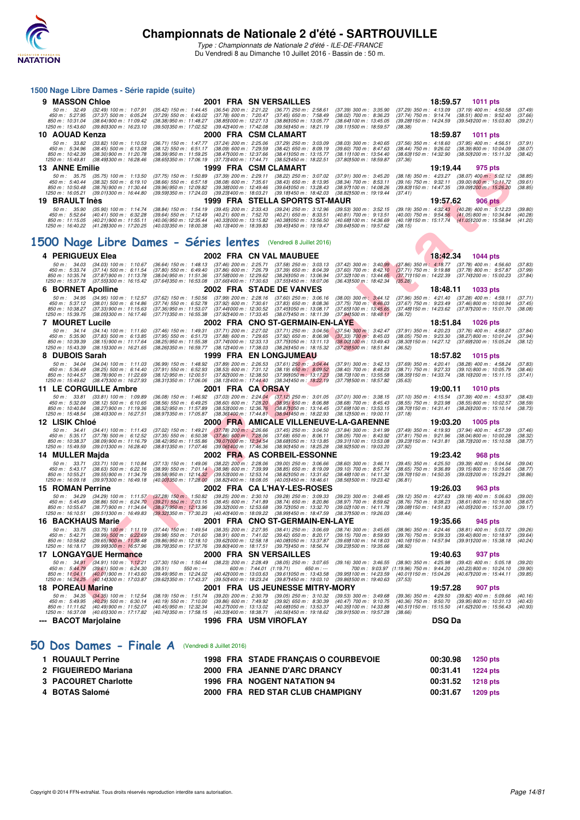

Type : Championnats de Nationale 2 d'été - ILE-DE-FRANCE Du Vendredi 8 au Dimanche 10 Juillet 2016 - Bassin de : 50 m.

## **F READER FOR A THE SECOND SECOND CONTRACT CONTRACT CONTRACT CONTRACT CONTRACT CONTRACT CONTRACT CONTRACT CONTRACT CONTRACT CONTRACT CONTRACT CONTRACT CONTRACT CONTRACT CONTRACT CONTRACT CONTRACT CONTRACT CONTRACT CONTRACT 1500 Nage Libre Dames - Série rapide (suite) 9 MASSON Chloe**<br> **9 MASSON Chloe** 2001 FRA SN VERSAILLES 18:39, 300 m: 325.80 (37.29) 350 m: 325.90 (37.29) 350 m: 4:50.57 **1011 pts**<br>
45 m: 527.85 (37.29) 350 m: 4:522 (38.29) 550 m: 6:43.02 (37.78) 500 m: 221.22 (36.77) 50 m : 32.49 (32.49) 100 m : 1:07.91 (35.42) 150 m : 1:44.45 (36.54) 200 m : 2:21.22 (36.77) 250 m : 2:58.61 (37.39) 300 m : 3:35.90 (37.29) 350 m : 4:13.09 (37.19) 400 m : 4:50.58 (37.49)<br>450 m : 5:27.95 (37.37) 500 m : 6 450 m : 5:27.95 (37.37) 500 m : 6:05.24 (37.29) 550 m : 6:43.02 (37.78) 600 m : 7:90.47 (37.45) 650 m : 7:58.49 (38.02) 700 m : 8:36.23 (37.74) 750 m : 9:14.74 (38.51) 800 m : 9:52.40 (37.66)<br>850 m : 15:4.360 (38.84)900 m **10 AOUAD Kenza**<br>**10 AOUAD Kenza** 2000 FRA CSM CLAMART 18:09.09 (38.03) 300 m: 3:40.65 (37.56) 350 m: 4:18.60 (37.95) 400 m: 4:56.51<br>190 m: 5:34.96 (38.45) 500 m: 6:13.08 (38.12) 550 m: 6:51.17 (38.09) 600 m: 7:29.59 (38.4 50 m; 33.82 (33.82) 100 m; 1:10.53 (36.71) 150 m; 1:47.77 (37.24) 200 m; 2:25.06 (37.29) 250 m; 34.059 300 m; 34.055 (37.56) 350 m; 4:18.60 (37.95) 400 m; 4:56.02 (38.39) 800 m; 4:56.02 (38.39) 800 m; 4:56.02 (38.39) 800 m 850 m : 10:42.39 (38.30)900 m : 11:20.78 (38.9)950 m : 11:59.25 (38.47)000 m : 12:37.66 (38.51)100 m : 10:577 (38.51)30 m : 14:32.90 (38.50)200 m : 15:11:32 (38.42)<br>1250 m : 15:49.81 (38.491300 m : 16:28.46 **13 ANNE Emilie**<br> **13 ANNE Emilie** 1999 FRA CSM CLAMART 1999 6:35 (35.75) 100 m : 3:45.20 (38.18) 350 m : 4:23.27 (38.07) 400 m : 5:02.12<br> **13 A**nn : 5:40.44 (38.32) 500 m : 5:02.12 (38.38) 550 m : 5:02.88 (37.39) 600 m : 50 m : 35.75 (35.75) 100 m : 1:13.50 (37.75) 150 m : 1:50.89 (37.39) 200 m : 2:29.11 (38.22) 250 m : 3:07.02 (37.91) 300 m : 3:45.20 (38.18) 350 m : 4:23.27 (38.07) 400 m : 5:02.12 (38.85)<br>450 m : 10:50.48 (38.27) 500 m : **19 BRAULT Inès 1999 FRA STELLA SPORTS ST-MAUR 19:57.62 19957.62 906 pts 1999 FRA STELLA SPORTS ST-MAUR 19:57.62 1999 618 19:57.62 1999 FRA STELLA SPORTS ST-MAUR 19:57.62 1999 100 m**: 1:14.74 (38.84) 50 m: 35.90 (35.90) 100 m: 1:14.74 (38.84) 150 m: 1:54.19 (39.45) 200 m: 2:33.43 (39.24) 250 m: 3:12.96 (39.53) 300 m: 3:52.15 (39.19) 350 m: 4:32.43 (40.28) 400 m: 5:12.23 (39.80)<br>450 m: 5:12.62 (40.41) 500 m: 6:32.28 (39 **[1500 Nage Libre Dames - Séries lentes](http://www.ffnatation.fr/webffn/resultats.php?idact=nat&go=epr&idcpt=39837&idepr=6)** (Vendredi 8 Juillet 2016) **4 PERIGUEUX Elea** 2002 FRA CN VAL MAUBUEE 50 m: 340.99 (37.86) 350 m: 340.31 (37.42) 360 m: 340.31 (37.86) 360 m: 340.31 (37.78) 400 m: 1:10.67 (36.64) 150 m: 1:48.13 (37.46) 200 m: 2:25.71 (37.58) 250 m: 3:03.13 (37.42) 50 m : 34.03 (34.03) 100 m : 1:10.67 (36.64) 150 m : 1:48.13 (37.46) 200 m : 2:25.71 (37.58) 250 m : 3:03.13 (37.42) 300 m : 3:40.99 (37.86) 350 m : 4:18.77 (37.78) 400 m : 4:56.60 (37.83)<br>450 m : 10:35.74 (37.87)900 m : 6 **6 BORNET Apolline**<br> **6 BORNET Apolline**<br> **6 BORNET Apolline**<br> **6 BORNET Apolline**<br> **6 BORNET Apolline**<br> **6 BORNET Apolline**<br> **6 BORNET Apolline**<br> **6 BORNET Apolline**<br> **6 BORNET Apolline**<br> **6 BORNET Apolline**<br> **6 BORNET Ap** 50 m : 34.95 (34.95) 100 m : 1:12.57 (37.62) 150 m : 1:50.56 (37.99) 200 m : 2:28.16 (37.60) 250 m : 3:06.16 (38.00) 300 m : 3:44.12 (37.96) 350 m : 4:21.40 (37.28) 400 m : 4:59.11 (37.71)<br>450 m : 10:38.27 (38.01) 500 m : **7 MOURET Lucile 2002 FRA CNO ST-GERMAIN-EN-LAYE 18:51.84 1026 pts**<br>
50 m: 34.14 (34.14) 100 m: 1:11.80 (37.46) 150 m: 1:49.31 (37.71) 200 m: 2:27.02 (37.71) 250 m: 3:04.56 (37.54) 300 m: 3:42.47 (37.91) 350 m: 4:20.23 50 m; 34.14 (34.14) 100 m; 1:11.60 (37.46) 150 m; 1:49.31 (37.71) 200 m; 227.02 (37.72) 500 m; 34.49 300 m; 342.47 (37.54) 350 m; 42.023 (37.76) 400 m; 4:50.32 (37.76) 400 m; 4:50.3 (37.84) 500 m; 4:50.3 (37.84) 500 m; 4:5 850 m : 10:39.39 (38.15)900 m : 11:17.64 (38.25)950 m : 11:55.38 (37.741000 m : 12:33.13 (37.751050 m : 13:11.13 (38.001100 m : 13:49.43 (38.301150 m : 14:27.12 (37.691200 m : 15:05.24 (38.12)<br>1250 **8 DUBOIS Sarah 1999 FRA EN LONGJUMEAU 18:57.82 1015 pts**<br> **8 DUBOIS Sarah** 1900 m: 1:11.03 (36.99) 150 m: 1:48.92 (37.89) 200 m: 2:26.53 (37.61) 250 m: 3:04.44 (37.91) 300 m: 3:42.13 (37.69) 350 m: 4:20.41 (38.28) 400 m: 50 m: 34.04 (34.04) 100 m: 1:11.03 (36.99) 150 m: 1:48.92 (37.89) 200 m: 2:26.53 (37.61) 250 m: 3:04.44 (37.91) 300 m: 3:42.13 (37.69) 350 m: 4:20.41 (38.28) 400 m: 4:58.24 (37.83)<br>450 m: 10:44.57 (38.25) 500 m: 61:14.48 ( **11 LE CORGUILLE Ambre 2001 FRA CA ORSAY 19:00.11 1010 pts** 50 m : 3381 (3381) 100 m : 1:09.89 (36.08) 150 m : 1:46.92 (37.03) 200 m : 2:24.04 (37.12) 250 m : 3:01.05 (37.01) 300 m : 3:38.15 (37.10) 350 m : 4:15.54 (37.39) 400 m : 4:53.97 (38.43)<br>450 m : 10:40.84 (38.27) 900 m : 11 **12 LISIK Chloé 2000 FRA AMICALE VILLENEUVE-LA-GARENNE 19:03.20 1005 pts** 50 m : 3441 (3441) 100 m : 1:11.43 (37.02) 150 m : 1:49.21 (37.78) 200 m : 2:26.66 (37.45) 250 m : 3:44.50 (37.84) 300 m : 3:41.99 (37.49) 350 m : 4:19.93 (37.94) 400 m : 4:57.39 (37.46)<br>450 m : 10:35.37 (37.69) 500 m : 11 **14 MULLER Majda 2002 FRA AS CORBEIL-ESSONNE**<br>
50 m : 33.71 (33.71) 100 m : 1:10.84 (37.13) 150 m : 1:49.06 (38.22) 200 m : 2:28.06 (39.00) 250 m : 3:06.66 (38.60) 300 m : 3:46.11 (39.45) 350 m : 4:25.50 (39.39) 400 m : 5: 50 m : 33.71 (33.71) 100 m : 1:10.84 (37.13) 150 m : 1:49.06 (38.22) 200 m : 2:28.06 (39.00) 250 m : 3:06.66 (38.60) 300 m : 3:46.11 (39.45) 350 m : 4:25.50 (39.39) 400 m : 5:04.54 (39.04)<br>450 m : 5:45.21 (38.65) 500 m : 6 **15 ROMAN Perrine 2002 FRA CA L'HAY-LES-ROSES** 19:26.03 963 pts<br>
50 m: 34.29 (34.29) 100 m: 1:11.57 (37.28) 150 m: 1:50.82 (39.25) 200 m: 2:30.10 (39.28) 250 m: 3:09.33 (39.23) 300 m: 3:48.45 (39.12) 350 m: 4:27.63 (39.18) 50 m: 34.29 (34.29) 100 m: 1:11.57 (37.28) 150 m 1:50.82 (39.25) 200 m: 2:30.10 (39.28) 250 m: 3:00.33 (39.23) 300 m: 3:48.45 (39.12) 350 m: 4:27.63 (39.18) 400 m: 5:06.63 (39.00)<br>450 m: 10:55.67 (38.66) 500 m: 6:24.70 (39 **16 BACKHAUS Marie** 2001 FRA CNO ST-GERMAIN-EN-LAYE 19:35.66 945 pts<br>
50 m: 33.75 (33.75) 100 m: 1:11.19 (37.44) 150 m: 1:49.54 (38.35) 200 m: 2:27.95 (38.41) 250 m: 3:06.69 (38.74) 300 m: 3:45.65 (38.96) 350 m: 4:24.46 (3 50 m : 33.75 (33.75) 100 m i 1:11.19 (37.44) 150 m : 1:49.54 (38.35) 200 m : 2:27.95 (38.41) 250 m : 3:06.69 (38.74) 300 m : 3:45.65 (38.96) 350 m : 4:24.46 (38.81) 400 m : 5:03.72 (39.26)<br>450 m : 10:58.62 (39.99) 500 m : 17 LONGAYGUE Hermance 2000 FRA SN VERSAILLES 19:00 78 19:40.63 937 pts<br>
50 m: 34.91 (34.91) 100 m: 1:12.21 (37.30) 150 m: 1:50.44 (38.23) 200 m: 2:28.49 (38.05) 250 m: 3:07.65 (39.16) 300 m: 3:46.55 (38.90) 350 m: 4:25.98 **18 18 POREAU Marine 18 POREAU Marine 18 POREAU Marine 2001 18:23.90 18:23.90 18:24.90 18:24.90 18:24.90 18:24.90 18:34.91 18:34.91 18:36.91 19:36.91 19:36.91 19:36.91 19:36.91 19:36.91** 50 m : 34.35 (34.35) 100 m : 1:12.54 (38.19) 150 m : 1:51.74 (39.20) 200 m : 2:30.79 (39.65) 250 m : 3:10.32 (39.53) 300 m : 3:49.68 (39.36) 350 m : 4:29.50 (39.82) 400 m : 5:09.66 (40.16)<br>450 m : 5:49.95 (40.49) 900 m : 6 **--- BACOT Marjolaine 1996 FRA USM VIROFLAY DSQ Da**

#### **[50 Dos Dames - Finale A](http://www.ffnatation.fr/webffn/resultats.php?idact=nat&go=epr&idcpt=39837&idepr=11)** (Vendredi 8 Juillet 2016)

| 1998 FRA STADE FRANÇAIS O COURBEVOIE | 00:30.98          | 1250 pts |
|--------------------------------------|-------------------|----------|
| 2000 FRA JEANNE D'ARC DRANCY         | 00:31.41 1224 pts |          |
| 1996 FRA NOGENT NATATION 94          | 00:31.52 1218 pts |          |
| 2000 FRA RED STAR CLUB CHAMPIGNY     | 00:31.67          | 1209 pts |
|                                      |                   |          |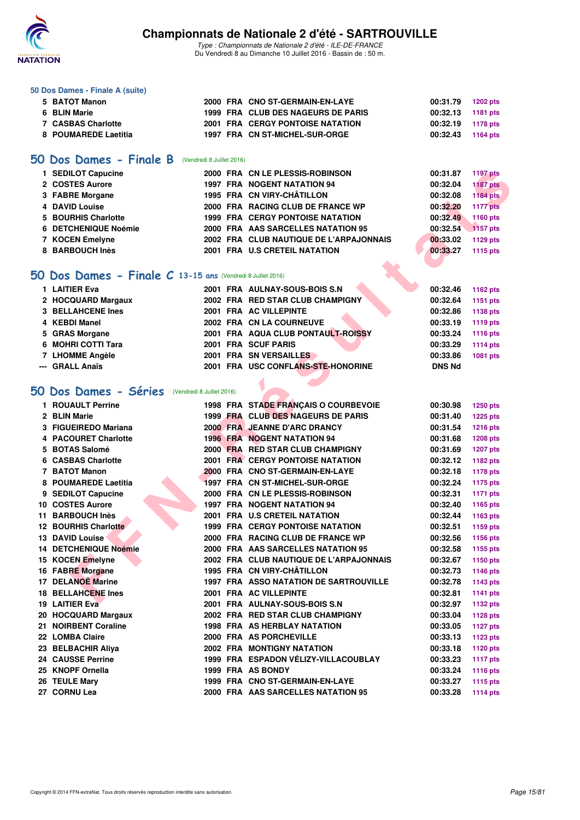

Type : Championnats de Nationale 2 d'été - ILE-DE-FRANCE Du Vendredi 8 au Dimanche 10 Juillet 2016 - Bassin de : 50 m.

#### **50 Dos Dames - Finale A (suite)**

| 5 BATOT Manon        |  | 2000 FRA CNO ST-GERMAIN-EN-LAYE         | 00:31.79          | 1202 pts |
|----------------------|--|-----------------------------------------|-------------------|----------|
| 6 BLIN Marie         |  | 1999 FRA CLUB DES NAGEURS DE PARIS      | 00:32.13 1181 pts |          |
| 7 CASBAS Charlotte   |  | <b>2001 FRA CERGY PONTOISE NATATION</b> | 00:32.19 1178 pts |          |
| 8 POUMAREDE Laetitia |  | 1997 FRA CN ST-MICHEL-SUR-ORGE          | 00:32.43 1164 pts |          |

### **[50 Dos Dames - Finale B](http://www.ffnatation.fr/webffn/resultats.php?idact=nat&go=epr&idcpt=39837&idepr=11)** (Vendredi 8 Juillet 2016)

| 2000 FRA CN LE PLESSIS-ROBINSON         | 00:31.87 | <b>1197 pts</b> |
|-----------------------------------------|----------|-----------------|
| <b>1997 FRA NOGENT NATATION 94</b>      | 00:32.04 | <b>1187 pts</b> |
| 1995 FRA CN VIRY-CHÂTILLON              | 00:32.08 | 1184 pts        |
| 2000 FRA RACING CLUB DE FRANCE WP       | 00:32.20 | <b>1177 pts</b> |
| 1999 FRA CERGY PONTOISE NATATION        | 00:32.49 | 1160 pts        |
| 2000 FRA AAS SARCELLES NATATION 95      | 00:32.54 | 1157 pts        |
| 2002 FRA CLUB NAUTIQUE DE L'ARPAJONNAIS | 00:33.02 | 1129 pts        |
| 2001 FRA U.S CRETEIL NATATION           | 00:33.27 | 1115 pts        |
|                                         |          |                 |

### **[50 Dos Dames - Finale C](http://www.ffnatation.fr/webffn/resultats.php?idact=nat&go=epr&idcpt=39837&idepr=11) 13-15 ans** (Vendredi 8 Juillet 2016)

| 1 LAITIER Eva         |                           | 2001 FRA AULNAY-SOUS-BOIS S.N      | 00:32.46      | 1162 pts                                                                                                                                                                                                                                                                                                                                                                                                                                                                                  |
|-----------------------|---------------------------|------------------------------------|---------------|-------------------------------------------------------------------------------------------------------------------------------------------------------------------------------------------------------------------------------------------------------------------------------------------------------------------------------------------------------------------------------------------------------------------------------------------------------------------------------------------|
| 2 HOCQUARD Margaux    |                           | 2002 FRA RED STAR CLUB CHAMPIGNY   | 00:32.64      | 1151 pts                                                                                                                                                                                                                                                                                                                                                                                                                                                                                  |
| 3 BELLAHCENE Ines     |                           | 2001 FRA AC VILLEPINTE             | 00:32.86      | 1138 pts                                                                                                                                                                                                                                                                                                                                                                                                                                                                                  |
| 4 KEBDI Manel         |                           | 2002 FRA CN LA COURNEUVE           | 00:33.19      | <b>1119 pts</b>                                                                                                                                                                                                                                                                                                                                                                                                                                                                           |
| 5 GRAS Morgane        |                           | 2001 FRA AQUA CLUB PONTAULT-ROISSY | 00:33.24      | <b>1116 pts</b>                                                                                                                                                                                                                                                                                                                                                                                                                                                                           |
| 6 MOHRI COTTI Tara    |                           | 2001 FRA SCUF PARIS                | 00:33.29      | <b>1114 pts</b>                                                                                                                                                                                                                                                                                                                                                                                                                                                                           |
| 7 LHOMME Angèle       |                           | 2001 FRA SN VERSAILLES             | 00:33.86      | 1081 pts                                                                                                                                                                                                                                                                                                                                                                                                                                                                                  |
| --- GRALL Anaïs       |                           | 2001 FRA USC CONFLANS-STE-HONORINE | <b>DNS Nd</b> |                                                                                                                                                                                                                                                                                                                                                                                                                                                                                           |
|                       |                           |                                    |               |                                                                                                                                                                                                                                                                                                                                                                                                                                                                                           |
| 50 Dos Dames - Séries | (Vendredi 8 Juillet 2016) |                                    |               |                                                                                                                                                                                                                                                                                                                                                                                                                                                                                           |
|                       | $\lambda$                 | <b>OTABE EDAMOMIC O COURSEVOIE</b> | 0.0000        | $\begin{array}{ccccccccccccccccc} \hline \multicolumn{1}{c}{} & \multicolumn{1}{c}{} & \multicolumn{1}{c}{} & \multicolumn{1}{c}{} & \multicolumn{1}{c}{} & \multicolumn{1}{c}{} & \multicolumn{1}{c}{} & \multicolumn{1}{c}{} & \multicolumn{1}{c}{} & \multicolumn{1}{c}{} & \multicolumn{1}{c}{} & \multicolumn{1}{c}{} & \multicolumn{1}{c}{} & \multicolumn{1}{c}{} & \multicolumn{1}{c}{} & \multicolumn{1}{c}{} & \multicolumn{1}{c}{} & \multicolumn{1}{c}{} & \multicolumn{1}{c$ |
|                       |                           |                                    |               |                                                                                                                                                                                                                                                                                                                                                                                                                                                                                           |

## **[50 Dos Dames - Séries](http://www.ffnatation.fr/webffn/resultats.php?idact=nat&go=epr&idcpt=39837&idepr=11)** (Vendredi 8 Juillet 2016)

| 1 SEDILOT Capucine                                         |  | 2000 FRA CN LE PLESSIS-ROBINSON               | 00:31.87      | <b>1197 pts</b> |
|------------------------------------------------------------|--|-----------------------------------------------|---------------|-----------------|
| 2 COSTES Aurore                                            |  | <b>1997 FRA NOGENT NATATION 94</b>            | 00:32.04      | <b>1187 pts</b> |
| 3 FABRE Morgane                                            |  | 1995 FRA CN VIRY-CHÂTILLON                    | 00:32.08      | 1184 pts        |
| 4 DAVID Louise                                             |  | 2000 FRA RACING CLUB DE FRANCE WP             | 00:32.20      | <b>1177 pts</b> |
| 5 BOURHIS Charlotte                                        |  | <b>1999 FRA CERGY PONTOISE NATATION</b>       | 00:32.49      | 1160 pts        |
| 6 DETCHENIQUE Noémie                                       |  | 2000 FRA AAS SARCELLES NATATION 95            | 00:32.54      | <b>1157 pts</b> |
| 7 KOCEN Emelyne                                            |  | 2002 FRA CLUB NAUTIQUE DE L'ARPAJONNAIS       | 00:33.02      | 1129 pts        |
| 8 BARBOUCH Inès                                            |  | 2001 FRA U.S CRETEIL NATATION                 | 00:33.27      | 1115 pts        |
|                                                            |  |                                               |               |                 |
| O Dos Dames - Finale C 13-15 ans (Vendredi 8 Juillet 2016) |  |                                               |               |                 |
| 1 LAITIER Eva                                              |  | 2001 FRA AULNAY-SOUS-BOIS S.N                 | 00:32.46      | 1162 pts        |
| 2 HOCQUARD Margaux                                         |  | 2002 FRA RED STAR CLUB CHAMPIGNY              | 00:32.64      | 1151 pts        |
| <b>3 BELLAHCENE Ines</b>                                   |  | 2001 FRA AC VILLEPINTE                        | 00:32.86      | 1138 pts        |
| 4 KEBDI Manel                                              |  | 2002 FRA CN LA COURNEUVE                      | 00:33.19      | <b>1119 pts</b> |
| 5 GRAS Morgane                                             |  | 2001 FRA AQUA CLUB PONTAULT-ROISSY            | 00:33.24      | <b>1116 pts</b> |
| 6 MOHRI COTTI Tara                                         |  | 2001 FRA SCUF PARIS                           | 00:33.29      | <b>1114 pts</b> |
| 7 LHOMME Angèle                                            |  | 2001 FRA SN VERSAILLES                        | 00:33.86      | 1081 pts        |
| --- GRALL Anaïs                                            |  | 2001 FRA USC CONFLANS-STE-HONORINE            | <b>DNS Nd</b> |                 |
|                                                            |  |                                               |               |                 |
| O Dos Dames - Séries (Vendredi 8 Juillet 2016)             |  |                                               |               |                 |
| 1 ROUAULT Perrine                                          |  | 1998 FRA STADE FRANCAIS O COURBEVOIE          | 00:30.98      | <b>1250 pts</b> |
| 2 BLIN Marie                                               |  | 1999 FRA CLUB DES NAGEURS DE PARIS            | 00:31.40      | <b>1225 pts</b> |
| 3 FIGUEIREDO Mariana                                       |  | 2000 FRA JEANNE D'ARC DRANCY                  | 00:31.54      | 1216 pts        |
| 4 PACOURET Charlotte                                       |  | <b>1996 FRA NOGENT NATATION 94</b>            | 00:31.68      | <b>1208 pts</b> |
| 5 BOTAS Salomé                                             |  | 2000 FRA RED STAR CLUB CHAMPIGNY              | 00:31.69      | 1207 pts        |
| 6 CASBAS Charlotte                                         |  | <b>2001 FRA CERGY PONTOISE NATATION</b>       | 00:32.12      | 1182 pts        |
| 7 BATOT Manon                                              |  | 2000 FRA CNO ST-GERMAIN-EN-LAYE               | 00:32.18      | 1178 pts        |
| 8 POUMAREDE Laetitia                                       |  | 1997 FRA CN ST-MICHEL-SUR-ORGE                | 00:32.24      | <b>1175 pts</b> |
| 9 SEDILOT Capucine                                         |  | 2000 FRA CN LE PLESSIS-ROBINSON               | 00:32.31      | <b>1171 pts</b> |
| 10 COSTES Aurore                                           |  | <b>1997 FRA NOGENT NATATION 94</b>            | 00:32.40      | 1165 pts        |
| 11 BARBOUCH Inès                                           |  | 2001 FRA U.S CRETEIL NATATION                 | 00:32.44      | 1163 pts        |
| 12 BOURHIS Charlotte                                       |  | <b>1999 FRA CERGY PONTOISE NATATION</b>       | 00:32.51      | 1159 pts        |
| 13 DAVID Louise                                            |  | 2000 FRA RACING CLUB DE FRANCE WP             | 00:32.56      | 1156 pts        |
| 14 DETCHENIQUE Noémie                                      |  | 2000 FRA AAS SARCELLES NATATION 95            | 00:32.58      | 1155 pts        |
| 15 KOCEN Emelyne                                           |  | 2002 FRA CLUB NAUTIQUE DE L'ARPAJONNAIS       | 00:32.67      | 1150 pts        |
| 16 FABRE Morgane                                           |  | 1995 FRA CN VIRY-CHÂTILLON                    | 00:32.73      | <b>1146 pts</b> |
| 17 DELANOË Marine                                          |  | <b>1997 FRA ASSO NATATION DE SARTROUVILLE</b> | 00:32.78      | 1143 pts        |
| <b>18 BELLAHCENE Ines</b>                                  |  | 2001 FRA AC VILLEPINTE                        | 00:32.81      | 1141 pts        |
| 19 LAITIER Eva                                             |  | 2001 FRA AULNAY-SOUS-BOIS S.N                 | 00:32.97      | 1132 pts        |
| 20 HOCQUARD Margaux                                        |  | 2002 FRA RED STAR CLUB CHAMPIGNY              | 00:33.04      | <b>1128 pts</b> |
| 21 NOIRBENT Coraline                                       |  | 1998 FRA AS HERBLAY NATATION                  | 00:33.05      | <b>1127 pts</b> |
| 22 LOMBA Claire                                            |  | 2000 FRA AS PORCHEVILLE                       | 00:33.13      | 1123 pts        |
| 23 BELBACHIR Aliya                                         |  | <b>2002 FRA MONTIGNY NATATION</b>             | 00:33.18      | <b>1120 pts</b> |
| <b>24 CAUSSE Perrine</b>                                   |  | 1999 FRA ESPADON VÉLIZY-VILLACOUBLAY          | 00:33.23      | <b>1117 pts</b> |
| 25 KNOPF Ornella                                           |  | 1999 FRA AS BONDY                             | 00:33.24      | <b>1116 pts</b> |
| 26 TEULE Mary                                              |  | 1999 FRA CNO ST-GERMAIN-EN-LAYE               | 00:33.27      | <b>1115 pts</b> |
| 27 CORNU Lea                                               |  | 2000 FRA AAS SARCELLES NATATION 95            | 00:33.28      | <b>1114 pts</b> |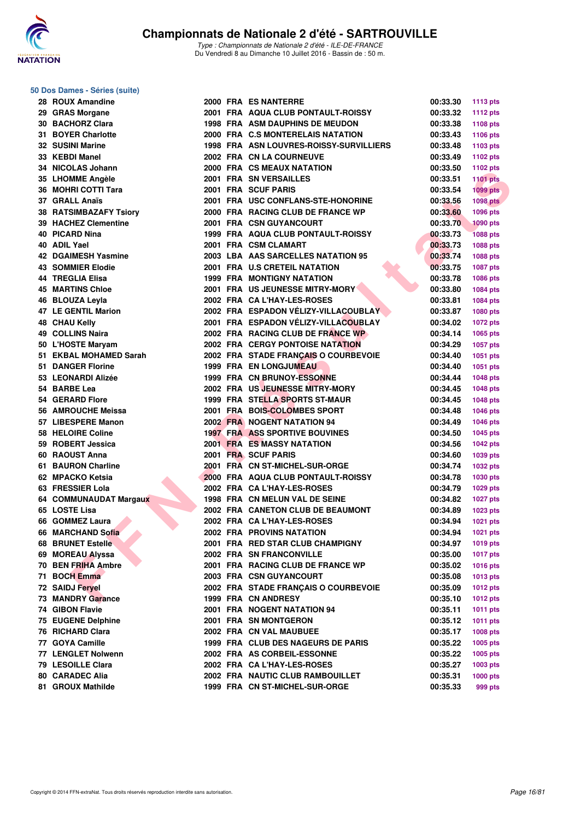

Type : Championnats de Nationale 2 d'été - ILE-DE-FRANCE Du Vendredi 8 au Dimanche 10 Juillet 2016 - Bassin de : 50 m.

### **50 Dos Dames - Séries (suite)**

| 28 | <b>ROUX Amandine</b>                       |
|----|--------------------------------------------|
|    | 29 GRAS Morgane                            |
|    | 30 BACHORZ Clara                           |
|    | 31 BOYER Charlotte                         |
|    | 32 SUSINI Marine                           |
|    | 33 KEBDI Manel                             |
|    | 34 NICOLAS Johann                          |
|    | 35 LHOMME Angèle                           |
| 36 | <b>MOHRI COTTI Tara</b>                    |
|    | 37 GRALL Anaïs                             |
| 38 | <b>RATSIMBAZAFY Tsiory</b>                 |
|    | 39 HACHEZ Clementine                       |
|    | 40 PICARD Nina                             |
|    | 40 ADIL Yael                               |
|    |                                            |
|    | 42 DGAIMESH Yasmine                        |
|    | 43 SOMMIER Elodie                          |
|    | 44 TREGLIA Elisa                           |
|    | <b>45 MARTINS Chloe</b><br>46 BLOUZA Leyla |
|    |                                            |
|    | 47 LE GENTIL Marion                        |
|    | <b>48 CHAU Kelly</b>                       |
|    | 49 COLLINS Naira                           |
|    | 50 L'HOSTE Maryam                          |
|    | 51 EKBAL MOHAMED Sarah                     |
|    | 51 DANGER Florine                          |
|    | 53 LEONARDI Alizée                         |
| 54 | <b>BARBE Lea</b>                           |
| 54 | <b>GERARD Flore</b>                        |
|    | 56 AMROUCHE Meissa                         |
|    | 57 LIBESPERE Manon                         |
|    | 58 HELOIRE Coline                          |
|    | 59 ROBERT Jessica                          |
|    | 60 RAOUST Anna                             |
|    | 61 BAURON Charline                         |
|    | 62 MPACKO Ketsia                           |
|    | 63 FRESSIER Lola                           |
|    | 64 COMMUNAUDAT Margaux                     |
|    | 65 LOSTE Lisa                              |
|    | 66 GOMMEZ Laura                            |
|    | 66 MARCHAND Sofia                          |
| 68 | <b>BRUNET Estelle</b>                      |
| 69 | <b>MOREAU Alyssa</b>                       |
| 70 | <b>BEN FRIHA Ambre</b>                     |
| 71 | <b>BOCH Emma</b>                           |
| 72 | <b>SAIDJ Feryel</b>                        |
| 73 | <b>MANDRY Garance</b>                      |
| 74 | <b>GIBON Flavie</b>                        |
| 75 |                                            |
| 76 | <b>EUGENE Delphine</b>                     |
|    | <b>RICHARD Clara</b>                       |
| 77 | <b>GOYA Camille</b>                        |
| 77 | <b>LENGLET Nolwenn</b>                     |
| 79 | <b>LESOILLE Clara</b>                      |
| 80 | <b>CARADEC Alia</b>                        |

**81 GROUX Mathilde 1999 FRA CN ST-MICHEL-SUR-ORGE 00:35.33 999 pts**

| Dos Dames - Séries (suite)            |  |                                                                    |          |                 |
|---------------------------------------|--|--------------------------------------------------------------------|----------|-----------------|
| 28 ROUX Amandine                      |  | 2000 FRA ES NANTERRE                                               | 00:33.30 | <b>1113 pts</b> |
| 29 GRAS Morgane                       |  | 2001 FRA AQUA CLUB PONTAULT-ROISSY                                 | 00:33.32 | 1112 pts        |
| 30 BACHORZ Clara                      |  | <b>1998 FRA ASM DAUPHINS DE MEUDON</b>                             | 00:33.38 | 1108 pts        |
| 31 BOYER Charlotte                    |  | 2000 FRA C.S MONTERELAIS NATATION                                  | 00:33.43 | 1106 pts        |
| 32 SUSINI Marine                      |  | 1998 FRA ASN LOUVRES-ROISSY-SURVILLIERS                            | 00:33.48 | 1103 pts        |
| 33 KEBDI Manel                        |  | 2002 FRA CN LA COURNEUVE                                           | 00:33.49 | 1102 pts        |
| 34 NICOLAS Johann                     |  | 2000 FRA CS MEAUX NATATION                                         | 00:33.50 | 1102 pts        |
| 35 LHOMME Angèle                      |  | 2001 FRA SN VERSAILLES                                             | 00:33.51 | <b>1101 pts</b> |
| 36 MOHRI COTTI Tara                   |  | 2001 FRA SCUF PARIS                                                | 00:33.54 | $1099$ pts      |
| 37 GRALL Anaïs                        |  | 2001 FRA USC CONFLANS-STE-HONORINE                                 | 00:33.56 | <b>1098 pts</b> |
| 38 RATSIMBAZAFY Tsiory                |  | 2000 FRA RACING CLUB DE FRANCE WP                                  | 00:33.60 | 1096 pts        |
| 39 HACHEZ Clementine                  |  | 2001 FRA CSN GUYANCOURT                                            | 00:33.70 | <b>1090 pts</b> |
| 40 PICARD Nina                        |  | 1999 FRA AQUA CLUB PONTAULT-ROISSY                                 | 00:33.73 | <b>1088 pts</b> |
| 40 ADIL Yael                          |  | 2001 FRA CSM CLAMART                                               | 00:33.73 | 1088 pts        |
| 42 DGAIMESH Yasmine                   |  | 2003 LBA AAS SARCELLES NATATION 95                                 | 00:33.74 |                 |
|                                       |  |                                                                    |          | 1088 pts        |
| 43 SOMMIER Elodie<br>44 TREGLIA Elisa |  | 2001 FRA U.S CRETEIL NATATION<br><b>1999 FRA MONTIGNY NATATION</b> | 00:33.75 | <b>1087 pts</b> |
|                                       |  |                                                                    | 00:33.78 | 1086 pts        |
| <b>45 MARTINS Chloe</b>               |  | 2001 FRA US JEUNESSE MITRY-MORY                                    | 00:33.80 | 1084 pts        |
| 46 BLOUZA Levla                       |  | 2002 FRA CA L'HAY-LES-ROSES                                        | 00:33.81 | 1084 pts        |
| 47 LE GENTIL Marion                   |  | 2002 FRA ESPADON VÉLIZY-VILLACOUBLAY                               | 00:33.87 | 1080 pts        |
| 48 CHAU Kelly                         |  | 2001 FRA ESPADON VÉLIZY-VILLACOUBLAY                               | 00:34.02 | 1072 pts        |
| 49 COLLINS Naira                      |  | 2002 FRA RACING CLUB DE FRANCE WP                                  | 00:34.14 | 1065 pts        |
| 50 L'HOSTE Maryam                     |  | <b>2002 FRA CERGY PONTOISE NATATION</b>                            | 00:34.29 | <b>1057 pts</b> |
| 51 EKBAL MOHAMED Sarah                |  | 2002 FRA STADE FRANÇAIS O COURBEVOIE                               | 00:34.40 | 1051 pts        |
| 51 DANGER Florine                     |  | <b>1999 FRA EN LONGJUMEAU</b>                                      | 00:34.40 | 1051 pts        |
| 53 LEONARDI Alizée                    |  | 1999 FRA CN BRUNOY-ESSONNE                                         | 00:34.44 | <b>1048 pts</b> |
| 54 BARBE Lea                          |  | 2002 FRA US JEUNESSE MITRY-MORY                                    | 00:34.45 | <b>1048 pts</b> |
| 54 GERARD Flore                       |  | 1999 FRA STELLA SPORTS ST-MAUR                                     | 00:34.45 | <b>1048 pts</b> |
| 56 AMROUCHE Meissa                    |  | 2001 FRA BOIS-COLOMBES SPORT                                       | 00:34.48 | <b>1046 pts</b> |
| 57 LIBESPERE Manon                    |  | <b>2002 FRA NOGENT NATATION 94</b>                                 | 00:34.49 | <b>1046 pts</b> |
| 58 HELOIRE Coline                     |  | <b>1997 FRA ASS SPORTIVE BOUVINES</b>                              | 00:34.50 | <b>1045 pts</b> |
| 59 ROBERT Jessica                     |  | <b>2001 FRA ES MASSY NATATION</b>                                  | 00:34.56 | <b>1042 pts</b> |
| 60 RAOUST Anna                        |  | 2001 FRA SCUF PARIS                                                | 00:34.60 | 1039 pts        |
| 61 BAURON Charline                    |  | 2001 FRA CN ST-MICHEL-SUR-ORGE                                     | 00:34.74 | <b>1032 pts</b> |
| 62 MPACKO Ketsia                      |  | 2000 FRA AQUA CLUB PONTAULT-ROISSY                                 | 00:34.78 | 1030 pts        |
| 63 FRESSIER Lola                      |  | 2002 FRA CA L'HAY-LES-ROSES                                        | 00:34.79 | 1029 pts        |
| 64 COMMUNAUDAT Margaux                |  | 1998 FRA CN MELUN VAL DE SEINE                                     | 00:34.82 | <b>1027 pts</b> |
| 65 LOSTE Lisa                         |  | 2002 FRA CANETON CLUB DE BEAUMONT                                  | 00:34.89 | 1023 pts        |
| 66 GOMMEZ Laura                       |  | 2002 FRA CA L'HAY-LES-ROSES                                        | 00:34.94 | <b>1021 pts</b> |
| 66 MARCHAND Sofia                     |  | <b>2002 FRA PROVINS NATATION</b>                                   | 00:34.94 | <b>1021 pts</b> |
| 68 BRUNET Estelle                     |  | 2001 FRA RED STAR CLUB CHAMPIGNY                                   | 00:34.97 | <b>1019 pts</b> |
| 69 MOREAU Alyssa                      |  | 2002 FRA SN FRANCONVILLE                                           | 00:35.00 | <b>1017 pts</b> |
|                                       |  |                                                                    |          |                 |
| 70 BEN FRIHA Ambre                    |  | 2001 FRA RACING CLUB DE FRANCE WP                                  | 00:35.02 | <b>1016 pts</b> |
| 71 BOCH Emma                          |  | 2003 FRA CSN GUYANCOURT                                            | 00:35.08 | <b>1013 pts</b> |
| 72 SAIDJ Feryel                       |  | 2002 FRA STADE FRANCAIS O COURBEVOIE                               | 00:35.09 | <b>1012 pts</b> |
| 73 MANDRY Garance                     |  | 1999 FRA CN ANDRESY                                                | 00:35.10 | <b>1012 pts</b> |
| 74 GIBON Flavie                       |  | 2001 FRA NOGENT NATATION 94                                        | 00:35.11 | <b>1011 pts</b> |
| 75 EUGENE Delphine                    |  | 2001 FRA SN MONTGERON                                              | 00:35.12 | <b>1011 pts</b> |
| 76 RICHARD Clara                      |  | 2002 FRA CN VAL MAUBUEE                                            | 00:35.17 | 1008 pts        |
| 77 GOYA Camille                       |  | 1999 FRA CLUB DES NAGEURS DE PARIS                                 | 00:35.22 | $1005$ pts      |
| 77 LENGLET Nolwenn                    |  | 2002 FRA AS CORBEIL-ESSONNE                                        | 00:35.22 | $1005$ pts      |
| 79 LESOILLE Clara                     |  | 2002 FRA CA L'HAY-LES-ROSES                                        | 00:35.27 | 1003 pts        |
| 80 CARADEC Alia                       |  | 2002 FRA NAUTIC CLUB RAMBOUILLET                                   | 00:35.31 | 1000 pts        |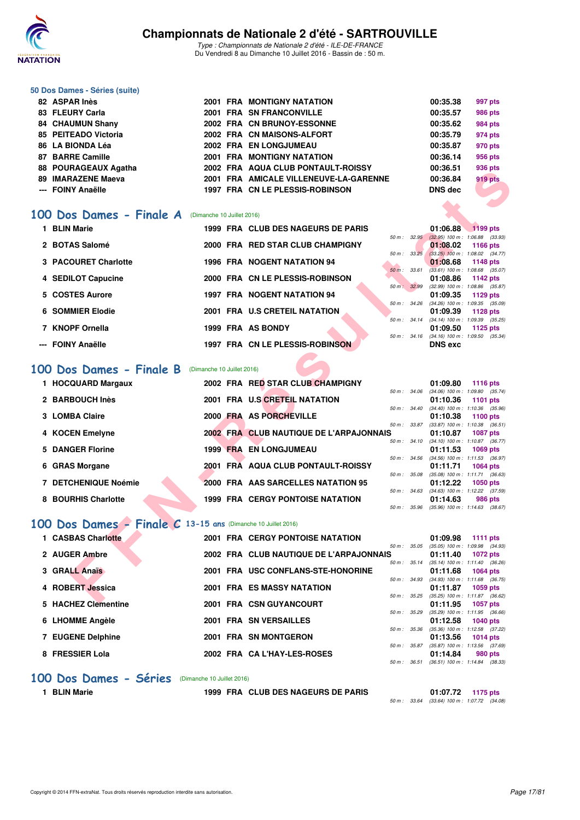

Type : Championnats de Nationale 2 d'été - ILE-DE-FRANCE Du Vendredi 8 au Dimanche 10 Juillet 2016 - Bassin de : 50 m.

#### **50 Dos Dames - Séries (suite)**

| 82 ASPAR Inès        |  | 2001 FRA MONTIGNY NATATION             | 00:35.38       | 997 pts        |
|----------------------|--|----------------------------------------|----------------|----------------|
| 83 FLEURY Carla      |  | 2001 FRA SN FRANCONVILLE               | 00:35.57       | <b>986 pts</b> |
| 84 CHAUMUN Shany     |  | 2002 FRA CN BRUNOY-ESSONNE             | 00:35.62       | 984 pts        |
| 85 PEITEADO Victoria |  | 2002 FRA CN MAISONS-ALFORT             | 00:35.79       | 974 pts        |
| 86 LA BIONDA Léa     |  | 2002 FRA EN LONGJUMEAU                 | 00:35.87       | 970 pts        |
| 87 BARRE Camille     |  | 2001 FRA MONTIGNY NATATION             | 00:36.14       | 956 pts        |
| 88 POURAGEAUX Agatha |  | 2002 FRA AQUA CLUB PONTAULT-ROISSY     | 00:36.51       | 936 pts        |
| 89 IMARAZENE Maeva   |  | 2001 FRA AMICALE VILLENEUVE-LA-GARENNE | 00:36.84       | 919 pts        |
| --- FOINY Anaëlle    |  | 1997 FRA CN LE PLESSIS-ROBINSON        | <b>DNS</b> dec |                |

### **[100 Dos Dames - Finale A](http://www.ffnatation.fr/webffn/resultats.php?idact=nat&go=epr&idcpt=39837&idepr=12)** (Dimanche 10 Juillet 2016)

| 1 BLIN Marie         |  | 1999 FRA CLUB DES NAGEURS DE PARIS     |                  |                          | 01:06.88                            | 1199 pts |  |
|----------------------|--|----------------------------------------|------------------|--------------------------|-------------------------------------|----------|--|
|                      |  |                                        | $50 m$ : $32.95$ |                          | $(32.95)$ 100 m : 1:06.88 $(33.93)$ |          |  |
| 2 BOTAS Salomé       |  | 2000 FRA RED STAR CLUB CHAMPIGNY       |                  |                          | 01:08.02                            | 1166 pts |  |
|                      |  |                                        |                  | 50 m: 33.25              | $(33.25)$ 100 m : 1:08.02 $(34.77)$ |          |  |
| 3 PACOURET Charlotte |  | <b>1996 FRA NOGENT NATATION 94</b>     |                  |                          | 01:08.68                            | 1148 pts |  |
|                      |  |                                        | $50 m$ :         | 33.61                    | $(33.61)$ 100 m : 1:08.68 $(35.07)$ |          |  |
| 4 SEDILOT Capucine   |  | 2000 FRA CN LE PLESSIS-ROBINSON        |                  |                          | 01:08.86                            | 1142 pts |  |
|                      |  |                                        | 50 m: 32.99      |                          | $(32.99)$ 100 m : 1:08.86 $(35.87)$ |          |  |
| 5 COSTES Aurore      |  | <b>1997 FRA NOGENT NATATION 94</b>     |                  |                          | 01:09.35                            | 1129 pts |  |
|                      |  |                                        | 50 m: 34.26      |                          | $(34.26)$ 100 m : 1:09.35 $(35.09)$ |          |  |
| 6 SOMMIER Elodie     |  | 2001 FRA U.S CRETEIL NATATION          |                  |                          | 01:09.39                            | 1128 pts |  |
|                      |  |                                        |                  | $50 \text{ m}$ : 34.14   | $(34.14)$ 100 m : 1:09.39 $(35.25)$ |          |  |
| 7 KNOPF Ornella      |  | 1999 FRA AS BONDY                      |                  |                          | 01:09.50                            | 1125 pts |  |
|                      |  |                                        |                  | $50 \, \text{m}$ : 34.16 | $(34.16)$ 100 m : 1:09.50 $(35.34)$ |          |  |
| --- FOINY Anaëlle    |  | <b>1997 FRA CN LE PLESSIS-ROBINSON</b> |                  |                          | <b>DNS</b> exc                      |          |  |

### **[100 Dos Dames - Finale B](http://www.ffnatation.fr/webffn/resultats.php?idact=nat&go=epr&idcpt=39837&idepr=12)** (Dimanche 10 Juillet 2016)

| 00   FUUNAULAUA AYAIHA                                       |                            | ZUUZ FRA AWUA CLUD FUNTAULT-RUIJJI      |              |                  | UU.JU.J I      | ອວບ µເວ                                                       |
|--------------------------------------------------------------|----------------------------|-----------------------------------------|--------------|------------------|----------------|---------------------------------------------------------------|
| 89 IMARAZENE Maeva                                           |                            | 2001 FRA AMICALE VILLENEUVE-LA-GARENNE  |              |                  | 00:36.84       | <b>919 pts</b>                                                |
| --- FOINY Anaëlle                                            |                            | 1997 FRA CN LE PLESSIS-ROBINSON         |              |                  | <b>DNS dec</b> |                                                               |
|                                                              |                            |                                         |              |                  |                |                                                               |
|                                                              |                            |                                         |              |                  |                |                                                               |
| <b>00 Dos Dames - Finale A</b> (Dimanche 10 Juillet 2016)    |                            |                                         |              |                  |                |                                                               |
| 1 BLIN Marie                                                 |                            | 1999 FRA CLUB DES NAGEURS DE PARIS      |              |                  | 01:06.88       | 1199 pts                                                      |
| 2 BOTAS Salomé                                               |                            | 2000 FRA RED STAR CLUB CHAMPIGNY        |              | 50 m: 32.95      |                | $(32.95)$ 100 m : 1:06.88 $(33.93)$                           |
|                                                              |                            |                                         |              | 50 m: 33.25      | 01:08.02       | 1166 pts<br>$(33.25)$ 100 m : 1:08.02 $(34.77)$               |
| 3 PACOURET Charlotte                                         |                            | <b>1996 FRA NOGENT NATATION 94</b>      |              |                  | 01:08.68       | 1148 pts                                                      |
|                                                              |                            |                                         |              | 50 m: 33.61      |                | $(33.61)$ 100 m : 1:08.68 $(35.07)$                           |
| 4 SEDILOT Capucine                                           |                            | 2000 FRA CN LE PLESSIS-ROBINSON         |              |                  | 01:08.86       | 1142 pts                                                      |
| 5 COSTES Aurore                                              |                            | <b>1997 FRA NOGENT NATATION 94</b>      |              | 50 m: 32.99      | 01:09.35       | $(32.99)$ 100 m : 1:08.86 $(35.87)$<br>1129 pts               |
|                                                              |                            |                                         |              |                  |                | 50 m: 34.26 (34.26) 100 m: 1:09.35 (35.09)                    |
| 6 SOMMIER Elodie                                             |                            | 2001 FRA U.S CRETEIL NATATION           |              |                  | 01:09.39       | 1128 pts                                                      |
|                                                              |                            |                                         |              | 50 m: 34.14      |                | $(34.14)$ 100 m : 1:09.39 $(35.25)$                           |
| 7 KNOPF Ornella                                              |                            | 1999 FRA AS BONDY                       |              |                  | 01:09.50       | 1125 pts<br>50 m: 34.16 (34.16) 100 m: 1:09.50 (35.34)        |
| --- FOINY Anaëlle                                            |                            | <b>1997 FRA CN LE PLESSIS-ROBINSON</b>  |              |                  | <b>DNS</b> exc |                                                               |
|                                                              |                            |                                         |              |                  |                |                                                               |
|                                                              |                            |                                         |              |                  |                |                                                               |
| 00 Dos Dames - Finale B                                      | (Dimanche 10 Juillet 2016) |                                         |              |                  |                |                                                               |
| 1 HOCQUARD Margaux                                           |                            | 2002 FRA RED STAR CLUB CHAMPIGNY        |              |                  | 01:09.80       | 1116 pts                                                      |
|                                                              |                            |                                         |              |                  |                | 50 m: 34.06 (34.06) 100 m: 1:09.80 (35.74)                    |
| 2 BARBOUCH Inès                                              |                            | <b>2001 FRA U.S CRETEIL NATATION</b>    |              |                  | 01:10.36       | 1101 pts<br>50 m: 34.40 (34.40) 100 m: 1:10.36 (35.96)        |
| 3 LOMBA Claire                                               |                            | 2000 FRA AS PORCHEVILLE                 |              |                  | 01:10.38       | 1100 pts                                                      |
|                                                              |                            |                                         | 50 m : 33.87 |                  |                | $(33.87)$ 100 m : 1:10.38 $(36.51)$                           |
| 4 KOCEN Emelyne                                              |                            | 2002 FRA CLUB NAUTIQUE DE L'ARPAJONNAIS |              |                  | 01:10.87       | <b>1087 pts</b>                                               |
| 5 DANGER Florine                                             |                            | <b>1999 FRA EN LONGJUMEAU</b>           |              | 50 m : 34.10     |                | $(34.10)$ 100 m : 1:10.87 $(36.77)$                           |
|                                                              |                            |                                         |              | 50 m: 34.56      | 01:11.53       | <b>1069 pts</b><br>$(34.56)$ 100 m : 1:11.53 $(36.97)$        |
| 6 GRAS Morgane                                               |                            | 2001 FRA AQUA CLUB PONTAULT-ROISSY      |              |                  | 01:11.71       | <b>1064 pts</b>                                               |
|                                                              |                            |                                         |              | 50 m : 35.08     |                | $(35.08)$ 100 m : 1:11.71 $(36.63)$                           |
| 7 DETCHENIQUE Noémie                                         |                            | 2000 FRA AAS SARCELLES NATATION 95      |              |                  | 01:12.22       | 1050 pts                                                      |
| 8 BOURHIS Charlotte                                          |                            | <b>1999 FRA CERGY PONTOISE NATATION</b> |              | 50 m : 34.63     | 01:14.63       | $(34.63)$ 100 m : 1:12.22 $(37.59)$<br>986 pts                |
|                                                              |                            |                                         |              | 50 m : 35.96     |                | $(35.96)$ 100 m : 1:14.63 $(38.67)$                           |
|                                                              |                            |                                         |              |                  |                |                                                               |
| 00 Dos Dames - Finale C 13-15 ans (Dimanche 10 Juillet 2016) |                            |                                         |              |                  |                |                                                               |
| 1 CASBAS Charlotte                                           |                            | <b>2001 FRA CERGY PONTOISE NATATION</b> |              |                  | 01:09.98       | 1111 pts                                                      |
|                                                              |                            |                                         |              | $50 m$ : $35.05$ |                | $(35.05)$ 100 m : 1:09.98 $(34.93)$                           |
| 2 AUGER Ambre                                                |                            | 2002 FRA CLUB NAUTIQUE DE L'ARPAJONNAIS |              |                  | 01:11.40       | <b>1072 pts</b>                                               |
| 3 GRALL Anaïs                                                |                            | 2001 FRA USC CONFLANS-STE-HONORINE      |              | 50 m: 35.14      |                | $(35.14)$ 100 m : 1:11.40 $(36.26)$                           |
|                                                              |                            |                                         |              |                  | 01:11.68       | <b>1064 pts</b><br>50 m: 34.93 (34.93) 100 m: 1:11.68 (36.75) |
| 4 ROBERT Jessica                                             |                            | <b>2001 FRA ES MASSY NATATION</b>       |              |                  | 01:11.87       | 1059 pts                                                      |
|                                                              |                            |                                         |              |                  |                | 50 m: 35.25 (35.25) 100 m: 1:11.87 (36.62)                    |
| $E$ , UAOUEZ Olamantina                                      |                            | <b>2004 EDA CON CUVANCOUPT</b>          |              |                  | 04.44 OF       | $-4057$ $-4$                                                  |

## **[100 Dos Dames - Finale C](http://www.ffnatation.fr/webffn/resultats.php?idact=nat&go=epr&idcpt=39837&idepr=12) 13-15 ans** (Dimanche 10 Juillet 2016)

| 1 CASBAS Charlotte  |  | <b>2001 FRA CERGY PONTOISE NATATION</b> |                        | 01:09.98                                        | 1111 $pts$      |  |
|---------------------|--|-----------------------------------------|------------------------|-------------------------------------------------|-----------------|--|
| 2 AUGER Ambre       |  | 2002 FRA CLUB NAUTIQUE DE L'ARPAJONNAIS | 50 m : 35.05           | $(35.05)$ 100 m : 1:09.98 $(34.93)$<br>01:11.40 | <b>1072 pts</b> |  |
| 3 GRALL Anaïs       |  | 2001 FRA USC CONFLANS-STE-HONORINE      | $50 m$ : $35.14$       | $(35.14)$ 100 m : 1:11.40 $(36.26)$<br>01:11.68 | <b>1064 pts</b> |  |
|                     |  |                                         | $50 m$ : $34.93$       | $(34.93)$ 100 m : 1:11.68 $(36.75)$             |                 |  |
| 4 ROBERT Jessica    |  | <b>2001 FRA ES MASSY NATATION</b>       | $50 m$ : $35.25$       | 01:11.87<br>$(35.25)$ 100 m : 1:11.87 $(36.62)$ | $1059$ pts      |  |
| 5 HACHEZ Clementine |  | 2001 FRA CSN GUYANCOURT                 | $50 \text{ m}$ : 35.29 | 01:11.95<br>$(35.29)$ 100 m : 1:11.95 $(36.66)$ | <b>1057 pts</b> |  |
| 6 LHOMME Angèle     |  | <b>2001 FRA SN VERSAILLES</b>           | 50 m: 35.36            | 01:12.58<br>$(35.36)$ 100 m : 1:12.58 $(37.22)$ | $1040$ pts      |  |
| 7 EUGENE Delphine   |  | 2001 FRA SN MONTGERON                   | 50 m: 35.87            | 01:13.56<br>$(35.87)$ 100 m : 1:13.56 $(37.69)$ | $1014$ pts      |  |
| 8 FRESSIER Lola     |  | 2002 FRA CAL'HAY-LES-ROSES              |                        | 01:14.84                                        | 980 pts         |  |
|                     |  |                                         | 50 m: 36.51            | $(36.51)$ 100 m : 1:14.84 $(38.33)$             |                 |  |

### **[100 Dos Dames - Séries](http://www.ffnatation.fr/webffn/resultats.php?idact=nat&go=epr&idcpt=39837&idepr=12)** (Dimanche 10 Juillet 2016)

**1 BLIN Marie 1999 FRA CLUB DES NAGEURS DE PARIS 01:07.72 1175 pts**

 $50 \text{ m}$ : 33.64 (33.64) 100 m : 1:07.72 (34.08)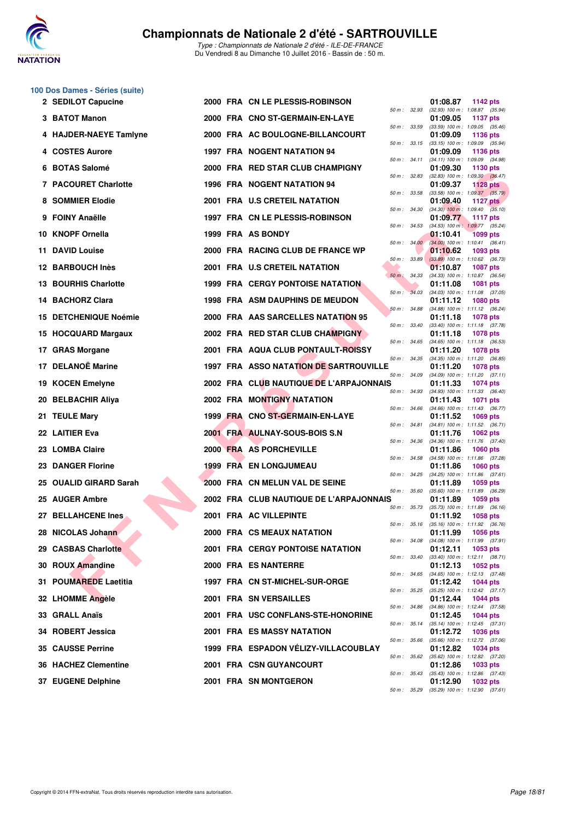

Type : Championnats de Nationale 2 d'été - ILE-DE-FRANCE Du Vendredi 8 au Dimanche 10 Juillet 2016 - Bassin de : 50 m.

## **100 Dos Dames - Séries (suite)**

| 2 SEDILOT Capucine          |  | 2000 FRA CN LE PLESSIS-ROBINSON               |              |              | 01:08.87 | 1142 pts                                                      |
|-----------------------------|--|-----------------------------------------------|--------------|--------------|----------|---------------------------------------------------------------|
| 3 BATOT Manon               |  | 2000 FRA CNO ST-GERMAIN-EN-LAYE               |              | 50 m : 32.93 | 01:09.05 | (32.93) 100 m: 1:08.87 (35.94)<br><b>1137 pts</b>             |
| 4 HAJDER-NAEYE Tamlyne      |  | 2000 FRA AC BOULOGNE-BILLANCOURT              |              | 50 m : 33.59 | 01:09.09 | $(33.59)$ 100 m : 1:09.05 $(35.46)$<br>1136 pts               |
| 4 COSTES Aurore             |  | 1997 FRA NOGENT NATATION 94                   |              | 50 m : 33.15 | 01:09.09 | $(33.15)$ 100 m : 1:09.09 $(35.94)$<br>1136 pts               |
| 6 BOTAS Salomé              |  | 2000 FRA RED STAR CLUB CHAMPIGNY              |              | 50 m : 34.11 | 01:09.30 | $(34.11)$ 100 m : 1:09.09 $(34.98)$<br>1130 pts               |
| 7 PACOURET Charlotte        |  | 1996 FRA NOGENT NATATION 94                   | 50 m : 32.83 |              | 01:09.37 | $(32.83)$ 100 m : 1:09.30 $(36.47)$<br>1128 $pts$             |
| 8 SOMMIER Elodie            |  | 2001 FRA U.S CRETEIL NATATION                 |              | 50 m : 33.58 | 01:09.40 | $(33.58)$ 100 m : 1:09.37 $(35.79)$<br><b>1127 pts</b>        |
| 9 FOINY Anaëlle             |  | 1997 FRA CN LE PLESSIS-ROBINSON               |              | 50 m: 34.30  | 01:09.77 | $(34.30)$ 100 m : 1:09.40 $(35.10)$<br><b>1117 pts</b>        |
| 10 KNOPF Ornella            |  | 1999 FRA AS BONDY                             |              | 50 m: 34.53  | 01:10.41 | $(34.53)$ 100 m : 1:09.77 $(35.24)$<br><b>1099 pts</b>        |
| 11 DAVID Louise             |  | 2000 FRA RACING CLUB DE FRANCE WP             |              | 50 m: 34.00  | 01:10.62 | $(34.00)$ 100 m : 1:10.41 $(36.41)$<br>1093 pts               |
| 12 BARBOUCH Inès            |  | 2001 FRA U.S CRETEIL NATATION                 |              | 50 m : 33.89 | 01:10.87 | $(33.89)$ 100 m : 1:10.62 $(36.73)$<br><b>1087 pts</b>        |
| <b>13 BOURHIS Charlotte</b> |  | <b>1999 FRA CERGY PONTOISE NATATION</b>       | 50 m : 34.33 |              | 01:11.08 | $(34.33)$ 100 m : 1:10.87 $(36.54)$<br>1081 pts               |
| 14 BACHORZ Clara            |  | <b>1998 FRA ASM DAUPHINS DE MEUDON</b>        |              | 50 m : 34.03 | 01:11.12 | $(34.03)$ 100 m : 1:11.08 $(37.05)$<br><b>1080 pts</b>        |
| 15 DETCHENIQUE Noémie       |  | 2000 FRA AAS SARCELLES NATATION 95            | 50 m: 34.88  |              | 01:11.18 | $(34.88)$ 100 m : 1:11.12 $(36.24)$<br><b>1078 pts</b>        |
| 15 HOCQUARD Margaux         |  | 2002 FRA RED STAR CLUB CHAMPIGNY              |              | 50 m : 33.40 | 01:11.18 | $(33.40)$ 100 m : 1:11.18 $(37.78)$<br><b>1078 pts</b>        |
| 17 GRAS Morgane             |  | <b>2001 FRA AQUA CLUB PONTAULT-ROISSY</b>     |              | 50 m : 34.65 | 01:11.20 | $(34.65)$ 100 m : 1:11.18 $(36.53)$<br><b>1078 pts</b>        |
| 17 DELANOË Marine           |  | <b>1997 FRA ASSO NATATION DE SARTROUVILLE</b> |              | 50 m : 34.35 | 01:11.20 | $(34.35)$ 100 m : 1:11.20 $(36.85)$<br><b>1078 pts</b>        |
| 19 KOCEN Emelyne            |  | 2002 FRA CLUB NAUTIQUE DE L'ARPAJONNAIS       |              | 50 m : 34.09 | 01:11.33 | $(34.09)$ 100 m : 1:11.20 $(37.11)$<br><b>1074 pts</b>        |
| 20 BELBACHIR Aliya          |  | <b>2002 FRA MONTIGNY NATATION</b>             |              | 50 m : 34.93 | 01:11.43 | $(34.93)$ 100 m : 1:11.33 $(36.40)$<br><b>1071 pts</b>        |
| 21 TEULE Mary               |  | 1999 FRA CNO ST-GERMAIN-EN-LAYE               |              | 50 m : 34.66 | 01:11.52 | $(34.66)$ 100 m : 1:11.43 $(36.77)$<br><b>1069 pts</b>        |
| 22 LAITIER Eva              |  | 2001 FRA AULNAY-SOUS-BOIS S.N                 |              | 50 m : 34.81 | 01:11.76 | $(34.81)$ 100 m : 1:11.52 $(36.71)$<br><b>1062 pts</b>        |
| 23 LOMBA Claire             |  | 2000 FRA AS PORCHEVILLE                       |              | 50 m : 34.36 | 01:11.86 | $(34.36)$ 100 m : 1:11.76 $(37.40)$<br><b>1060 pts</b>        |
| 23 DANGER Florine           |  | <b>1999 FRA EN LONGJUMEAU</b>                 |              | 50 m : 34.58 | 01:11.86 | $(34.58)$ 100 m : 1:11.86 $(37.28)$<br><b>1060 pts</b>        |
| 25 OUALID GIRARD Sarah      |  | 2000 FRA CN MELUN VAL DE SEINE                |              |              | 01:11.89 | 50 m: 34.25 (34.25) 100 m: 1:11.86 (37.61)<br>1059 pts        |
| 25 AUGER Ambre              |  | 2002 FRA CLUB NAUTIQUE DE L'ARPAJONNAIS       |              | 50 m : 35.60 | 01:11.89 | $(35.60)$ 100 m : 1:11.89 $(36.29)$<br>1059 pts               |
| 27 BELLAHCENE Ines          |  | 2001 FRA AC VILLEPINTE                        |              | 50 m : 35.73 | 01:11.92 | $(35.73)$ 100 m : 1:11.89 $(36.16)$<br><b>1058 pts</b>        |
| 28 NICOLAS Johann           |  | 2000 FRA CS MEAUX NATATION                    |              |              | 01:11.99 | 50 m: 35.16 (35.16) 100 m: 1:11.92 (36.76)<br>1056 pts        |
| 29 CASBAS Charlotte         |  | <b>2001 FRA CERGY PONTOISE NATATION</b>       |              |              | 01:12.11 | 50 m: 34.08 (34.08) 100 m: 1:11.99 (37.91)<br>1053 pts        |
| 30 ROUX Amandine            |  | 2000 FRA ES NANTERRE                          |              | 50 m : 33.40 | 01:12.13 | $(33.40)$ 100 m : 1:12.11 $(38.71)$<br>1052 pts               |
| 31 POUMAREDE Laetitia       |  | 1997 FRA CN ST-MICHEL-SUR-ORGE                |              |              | 01:12.42 | 50 m: 34.65 (34.65) 100 m: 1:12.13 (37.48)<br>1044 pts        |
| 32 LHOMME Angèle            |  | 2001 FRA SN VERSAILLES                        |              | 50 m : 35.25 | 01:12.44 | $(35.25)$ 100 m : 1:12.42 $(37.17)$<br><b>1044 pts</b>        |
| 33 GRALL Anaïs              |  | 2001 FRA USC CONFLANS-STE-HONORINE            |              | 50 m : 34.86 | 01:12.45 | $(34.86)$ 100 m : 1:12.44 $(37.58)$<br><b>1044 pts</b>        |
| 34 ROBERT Jessica           |  | <b>2001 FRA ES MASSY NATATION</b>             |              | 50 m : 35.14 | 01:12.72 | (35.14) 100 m: 1:12.45 (37.31)<br>1036 pts                    |
| <b>35 CAUSSE Perrine</b>    |  | 1999 FRA ESPADON VÉLIZY-VILLACOUBLAY          |              |              | 01:12.82 | 50 m: 35.66 (35.66) 100 m: 1:12.72 (37.06)<br><b>1034 pts</b> |
| 36 HACHEZ Clementine        |  | 2001 FRA CSN GUYANCOURT                       |              | 50 m : 35.62 | 01:12.86 | $(35.62)$ 100 m : 1:12.82 $(37.20)$<br>1033 pts               |
| 37 EUGENE Delphine          |  | 2001 FRA SN MONTGERON                         |              |              | 01:12.90 | 50 m: 35.43 (35.43) 100 m: 1:12.86 (37.43)<br><b>1032 pts</b> |
|                             |  |                                               |              |              |          | 50 m: 35.29 (35.29) 100 m: 1:12.90 (37.61)                    |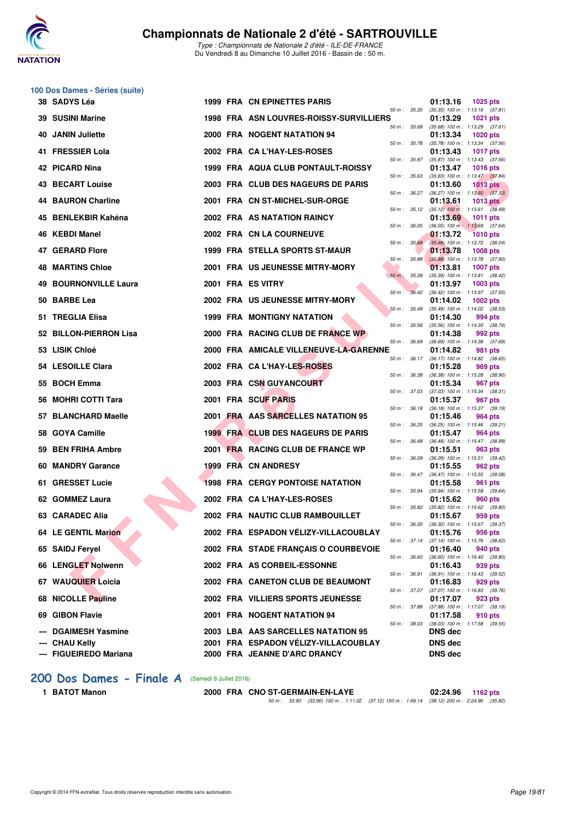

Type : Championnats de Nationale 2 d'été - ILE-DE-FRANCE Du Vendredi 8 au Dimanche 10 Juillet 2016 - Bassin de : 50 m.

|    | 100 Dos Dames - Séries (suite) |  |                                         |                   |                                                                    |
|----|--------------------------------|--|-----------------------------------------|-------------------|--------------------------------------------------------------------|
|    | 38 SADYS Léa                   |  | 1999 FRA CN EPINETTES PARIS             | 50 m : 35.35      | 01:13.16<br><b>1025 pts</b><br>$(35.35)$ 100 m : 1:13.16 $(37.81)$ |
|    | 39 SUSINI Marine               |  | 1998 FRA ASN LOUVRES-ROISSY-SURVILLIERS | 50 m: 35.68       | 01:13.29<br><b>1021 pts</b><br>$(35.68)$ 100 m : 1:13.29 $(37.61)$ |
| 40 | <b>JANIN Juliette</b>          |  | <b>2000 FRA NOGENT NATATION 94</b>      | 50 m : 35.78      | 01:13.34<br><b>1020 pts</b><br>(35.78) 100 m: 1:13.34 (37.56)      |
|    | 41 FRESSIER Lola               |  | 2002 FRA CAL'HAY-LES-ROSES              | 50 m : 35.87      | 01:13.43<br><b>1017 pts</b><br>$(35.87)$ 100 m : 1:13.43 $(37.56)$ |
|    | 42 PICARD Nina                 |  | 1999 FRA AQUA CLUB PONTAULT-ROISSY      | 50 m: 35.63       | 01:13.47<br><b>1016 pts</b><br>$(35.63)$ 100 m : 1:13.47 $(37.84)$ |
|    | 43 BECART Louise               |  | 2003 FRA CLUB DES NAGEURS DE PARIS      | 50 m: 36.27       | 01:13.60<br>$1013$ pts                                             |
| 44 | <b>BAURON Charline</b>         |  | 2001 FRA CN ST-MICHEL-SUR-ORGE          |                   | $(36.27)$ 100 m : 1:13.60 $(37.33)$<br>01:13.61<br><b>1013 pts</b> |
|    | 45 BENLEKBIR Kahéna            |  | 2002 FRA AS NATATION RAINCY             | 50 m : 35.12      | $(35.12)$ 100 m : 1:13.61 $(38.49)$<br>01:13.69<br><b>1011 pts</b> |
| 46 | KEBDI Manel                    |  | 2002 FRA CN LA COURNEUVE                | 50 m : 36.05      | $(36.05)$ 100 m : 1:13.69 $(37.64)$<br>01:13.72<br><b>1010 pts</b> |
| 47 | <b>GERARD Flore</b>            |  | 1999 FRA STELLA SPORTS ST-MAUR          | 50 m : 35.68      | $(35.68)$ 100 m : 1:13.72 $(38.04)$<br>01:13.78<br><b>1008 pts</b> |
|    | <b>48 MARTINS Chloe</b>        |  | 2001 FRA US JEUNESSE MITRY-MORY         | 50 m : 35.88      | $(35.88)$ 100 m : 1:13.78 $(37.90)$<br>01:13.81<br><b>1007 pts</b> |
| 49 | <b>BOURNONVILLE Laura</b>      |  | 2001 FRA ES VITRY                       | 50 m : 35.39      | (35.39) 100 m: 1:13.81 (38.42)<br>01:13.97<br>1003 pts             |
| 50 | <b>BARBE Lea</b>               |  | 2002 FRA US JEUNESSE MITRY-MORY         | $50 m$ :<br>36.42 | $(36.42)$ 100 m : 1:13.97 $(37.55)$<br>01:14.02<br>1002 pts        |
|    | 51 TREGLIA Elisa               |  | 1999 FRA MONTIGNY NATATION              | 50 m: 35.49       | $(35.49)$ 100 m : 1:14.02 $(38.53)$<br>01:14.30<br>994 pts         |
|    | 52 BILLON-PIERRON Lisa         |  | 2000 FRA RACING CLUB DE FRANCE WP       | 50 m: 35.56       | $(35.56)$ 100 m : 1:14.30 $(38.74)$<br>01:14.38<br>992 pts         |
|    | 53 LISIK Chloé                 |  | 2000 FRA AMICALE VILLENEUVE-LA-GARENNE  | 50 m : 36.69      | (36.69) 100 m: 1:14.38 (37.69)<br>01:14.82<br>981 pts              |
|    | 54 LESOILLE Clara              |  | 2002 FRA CA L'HAY-LES-ROSES             | 50 m : 36.17      | $(36.17)$ 100 m : 1:14.82 $(38.65)$<br>01:15.28<br>969 pts         |
|    | 55 BOCH Emma                   |  | 2003 FRA CSN GUYANCOURT                 | 50 m : 36.38      | (36.38) 100 m: 1:15.28 (38.90)<br>01:15.34<br>967 pts              |
|    | <b>MOHRI COTTI Tara</b>        |  | 2001 FRA SCUF PARIS                     | 50 m: 37.03       | $(37.03)$ 100 m : 1:15.34 $(38.31)$<br>01:15.37<br>967 pts         |
| 57 | <b>BLANCHARD Maelle</b>        |  | 2001 FRA AAS SARCELLES NATATION 95      | 50 m : 36.18      | $(36.18)$ 100 m : 1:15.37 $(39.19)$<br>01:15.46<br>964 pts         |
|    | 58 GOYA Camille                |  | 1999 FRA CLUB DES NAGEURS DE PARIS      | 50 m : 36.25      | $(36.25)$ 100 m : 1:15.46 $(39.21)$<br>01:15.47<br>964 pts         |
| 59 | <b>BEN FRIHA Ambre</b>         |  | 2001 FRA RACING CLUB DE FRANCE WP       | 50 m : 36.48      | (36.48) 100 m: 1:15.47 (38.99)<br>01:15.51<br>963 pts              |
|    | 60 MANDRY Garance              |  | <b>1999 FRA CN ANDRESY</b>              | 50 m : 36.09      | (36.09) 100 m: 1:15.51 (39.42)<br>01:15.55<br>962 pts              |
|    | 61 GRESSET Lucie               |  | 1998 FRA CERGY PONTOISE NATATION        | 50 m : 36.47      | $(36.47)$ 100 m : 1:15.55 $(39.08)$<br>01:15.58<br>961 pts         |
|    | 62 GOMMEZ Laura                |  | 2002 FRA CA L'HAY-LES-ROSES             | 50 m : 35.94      | (35.94) 100 m: 1:15.58 (39.64)<br>01:15.62<br>960 pts              |
|    | 63 CARADEC Alia                |  | 2002 FRA NAUTIC CLUB RAMBOUILLET        | 50 m : 35.82      | $(35.82)$ 100 m : 1:15.62 $(39.80)$<br>01:15.67<br>959 pts         |
|    | 64 LE GENTIL Marion            |  | 2002 FRA ESPADON VÉLIZY-VILLACOUBLAY    | 50 m : 36.30      | $(36.30)$ 100 m : 1:15.67 $(39.37)$<br>01:15.76<br>956 pts         |
|    | 65 SAIDJ Feryel                |  | 2002 FRA STADE FRANÇAIS O COURBEVOIE    |                   | 50 m: 37.14 (37.14) 100 m: 1:15.76 (38.62)<br>01:16.40<br>940 pts  |
|    | 66 LENGLET Nolwenn             |  | 2002 FRA AS CORBEIL-ESSONNE             | 50 m : 36.60      | $(36.60)$ 100 m : 1:16.40 $(39.80)$<br>01:16.43<br>939 pts         |
|    | 67 WAUQUIER Loicia             |  | 2002 FRA CANETON CLUB DE BEAUMONT       | 50 m : 36.91      | (36.91) 100 m: 1:16.43 (39.52)<br>01:16.83<br>929 pts              |
| 68 | <b>NICOLLE Pauline</b>         |  | 2002 FRA VILLIERS SPORTS JEUNESSE       | 50 m : 37.07      | (37.07) 100 m: 1:16.83 (39.76)<br>01:17.07<br>923 pts              |
| 69 | <b>GIBON Flavie</b>            |  | 2001 FRA NOGENT NATATION 94             | 50 m : 37.88      | (37.88) 100 m: 1:17.07 (39.19)<br>01:17.58<br>910 pts              |
|    | <b>DGAIMESH Yasmine</b>        |  | 2003 LBA AAS SARCELLES NATATION 95      | 50 m : 38.03      | $(38.03)$ 100 m : 1:17.58 $(39.55)$<br>DNS dec                     |
|    | <b>CHAU Kelly</b>              |  | 2001 FRA ESPADON VÉLIZY-VILLACOUBLAY    |                   | DNS dec                                                            |
|    | <b>FIGUEIREDO Mariana</b>      |  | 2000 FRA JEANNE D'ARC DRANCY            |                   | <b>DNS dec</b>                                                     |

### [200 Dos Dames - Finale A](http://www.ffnatation.fr/webffn/resultats.php?idact=nat&go=epr&idcpt=39837&idepr=13) (Samedi 9 Juillet 2016)

**1 BATOT Manon 2000 FRA CNO ST-GERMAIN-EN-LAYE 02:24.96 1162 pts** 50 m : 33.90 (33.90) 100 m : 1:11.02 (37.12) 150 m : 1:49.14 (38.12) 200 m : 2:24.96 (35.82)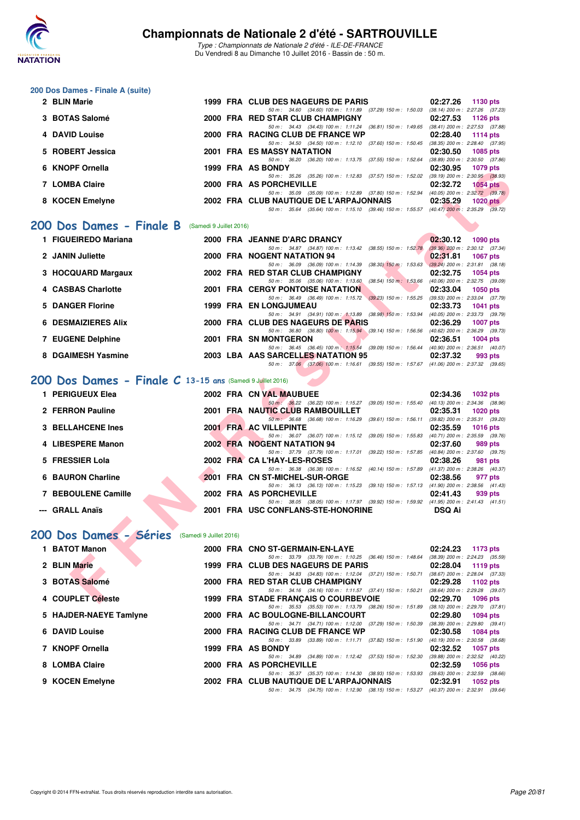

Type : Championnats de Nationale 2 d'été - ILE-DE-FRANCE Du Vendredi 8 au Dimanche 10 Juillet 2016 - Bassin de : 50 m.

#### **200 Dos Dames - Finale A (suite)**

| 2 BLIN Marie          |  | 1999 FRA CLUB DES NAGEURS DE PARIS                                                       | 02:27.26 | 1130 pts                            |
|-----------------------|--|------------------------------------------------------------------------------------------|----------|-------------------------------------|
|                       |  | 50 m: 34.60 (34.60) 100 m: 1:11.89 (37.29) 150 m: 1:50.03                                |          | $(38.14)$ 200 m : 2:27.26 $(37.23)$ |
| 3 BOTAS Salomé        |  | 2000 FRA RED STAR CLUB CHAMPIGNY                                                         | 02:27.53 | 1126 pts                            |
|                       |  | 50 m: 34.43 (34.43) 100 m: 1:11.24 (36.81) 150 m: 1:49.65                                |          | $(38.41)$ 200 m : 2:27.53 $(37.88)$ |
| <b>4 DAVID Louise</b> |  | 2000 FRA RACING CLUB DE FRANCE WP                                                        | 02:28.40 | 1114 $pts$                          |
|                       |  | 50 m: 34.50 (34.50) 100 m: 1:12.10 (37.60) 150 m: 1:50.45                                |          | $(38.35)$ 200 m : 2:28.40 $(37.95)$ |
| 5 ROBERT Jessica      |  | 2001 FRA ES MASSY NATATION                                                               | 02:30.50 | 1085 pts                            |
|                       |  | 50 m: 36.20 (36.20) 100 m: 1:13.75 (37.55) 150 m: 1:52.64                                |          | $(38.89)$ 200 m : 2:30.50 $(37.86)$ |
| 6 KNOPF Ornella       |  | 1999 FRA AS BONDY                                                                        | 02:30.95 | 1079 pts                            |
|                       |  | 50 m: 35.26 (35.26) 100 m: 1:12.83 (37.57) 150 m: 1:52.02                                |          | $(39.19)$ 200 m : 2:30.95 $(38.93)$ |
| 7 LOMBA Claire        |  | 2000 FRA AS PORCHEVILLE                                                                  | 02:32.72 | <b>1054 pts</b>                     |
|                       |  | 50 m : 35.09 (35.09) 100 m : 1:12.89 (37.80) 150 m : 1:52.94                             |          | $(40.05)$ 200 m : 2:32.72 $(39.78)$ |
| 8 KOCEN Emelyne       |  | 2002 FRA CLUB NAUTIQUE DE L'ARPAJONNAIS                                                  | 02:35.29 | $1020$ pts                          |
|                       |  | 50 m: 35.64 (35.64) 100 m: 1:15.10 (39.46) 150 m: 1:55.57 (40.47) 200 m: 2:35.29 (39.72) |          |                                     |
|                       |  |                                                                                          |          |                                     |

### [200 Dos Dames - Finale B](http://www.ffnatation.fr/webffn/resultats.php?idact=nat&go=epr&idcpt=39837&idepr=13) (Samedi 9 Juillet 2016)

| <b>NNUFF UNIGRA</b>                                       | FRA AJ DUNUT                                                                                                                   | <u>uz.ju.ju</u><br>ານ <i>າວ</i> ນເວ |
|-----------------------------------------------------------|--------------------------------------------------------------------------------------------------------------------------------|-------------------------------------|
| 7 LOMBA Claire                                            | 50 m: 35.26 (35.26) 100 m: 1:12.83 (37.57) 150 m: 1:52.02 (39.19) 200 m: 2:30.95 (38.93)<br>2000 FRA AS PORCHEVILLE            | 02:32.72<br><b>1054 pts</b>         |
|                                                           | 50 m: 35.09 (35.09) 100 m: 1:12.89 (37.80) 150 m: 1:52.94 (40.05) 200 m: 2:32.72 (39.78)                                       |                                     |
| 8 KOCEN Emelyne                                           | 2002 FRA CLUB NAUTIQUE DE L'ARPAJONNAIS                                                                                        | 02:35.29<br>$1020$ pts              |
|                                                           | 50 m: 35.64 (35.64) 100 m: 1:15.10 (39.46) 150 m: 1:55.57 (40.47) 200 m: 2:35.29 (39.72)                                       |                                     |
| <b>00 Dos Dames - Finale B</b> (Samedi 9 Juillet 2016)    |                                                                                                                                |                                     |
| 1 FIGUEIREDO Mariana                                      | 2000 FRA JEANNE D'ARC DRANCY                                                                                                   | 02:30.12<br><b>1090 pts</b>         |
|                                                           | 50 m: 34.87 (34.87) 100 m: 1:13.42 (38.55) 150 m: 1:52.78 (39.36) 200 m: 2:30.12 (37.34)                                       |                                     |
| 2 JANIN Juliette                                          | 2000 FRA NOGENT NATATION 94                                                                                                    | 02:31.81<br><b>1067 pts</b>         |
| 3 HOCQUARD Margaux                                        | 50 m: 36.09 (36.09) 100 m: 1:14.39 (38.30) 150 m: 1:53.63 (39.24) 200 m: 2:31.81 (38.18)<br>2002 FRA RED STAR CLUB CHAMPIGNY   | 02:32.75<br><b>1054 pts</b>         |
|                                                           | 50 m: 35.06 (35.06) 100 m: 1:13.60 (38.54) 150 m: 1:53.66 (40.06) 200 m: 2:32.75 (39.09)                                       |                                     |
| 4 CASBAS Charlotte                                        | 2001 FRA CERGY PONTOISE NATATION                                                                                               | 02:33.04<br>1050 pts                |
|                                                           | 50 m: 36.49 (36.49) 100 m: 1:15.72 (39.23) 150 m: 1:55.25 (39.53) 200 m: 2:33.04 (37.79)                                       |                                     |
| 5 DANGER Florine                                          | 1999 FRA EN LONGJUMEAU                                                                                                         | 02:33.73<br><b>1041 pts</b>         |
|                                                           | 50 m: 34.91 (34.91) 100 m: 1:13.89 (38.98) 150 m: 1:53.94 (40.05) 200 m: 2:33.73 (39.79)                                       |                                     |
| <b>6 DESMAIZIERES Alix</b>                                | 2000 FRA CLUB DES NAGEURS DE PARIS                                                                                             | 02:36.29<br><b>1007 pts</b>         |
|                                                           | 50 m: 36.80 (36.80) 100 m: 1:15.94 (39.14) 150 m: 1:56.56 (40.62) 200 m: 2:36.29 (39.73)                                       |                                     |
| 7 EUGENE Delphine                                         | 2001 FRA SN MONTGERON                                                                                                          | 02:36.51<br><b>1004 pts</b>         |
| 8 DGAIMESH Yasmine                                        | 50 m: 36.45 (36.45) 100 m: 1:15.54 (39.09) 150 m: 1:56.44 (40.90) 200 m: 2:36.51 (40.07)<br>2003 LBA AAS SARCELLES NATATION 95 | 02:37.32<br>993 pts                 |
|                                                           | 50 m: 37.06 (37.06) 100 m: 1:16.61 (39.55) 150 m: 1:57.67 (41.06) 200 m: 2:37.32 (39.65)                                       |                                     |
| OO Dos Dames - Finale C 13-15 ans (Samedi 9 Juillet 2016) |                                                                                                                                |                                     |
| 1 PERIGUEUX Elea                                          | 2002 FRA CN VAL MAUBUEE                                                                                                        | 02:34.36<br>1032 pts                |
|                                                           | 50 m: 36.22 (36.22) 100 m: 1:15.27 (39.05) 150 m: 1:55.40 (40.13) 200 m: 2:34.36 (38.96)                                       |                                     |
| 2 FERRON Pauline                                          | 2001 FRA NAUTIC CLUB RAMBOUILLET<br>50 m: 36.68 (36.68) 100 m: 1:16.29 (39.61) 150 m: 1:56.11 (39.82) 200 m: 2:35.31 (39.20)   | 02:35.31<br><b>1020 pts</b>         |
| <b>3 BELLAHCENE Ines</b>                                  | 2001 FRA AC VILLEPINTE                                                                                                         | 02:35.59<br><b>1016 pts</b>         |
|                                                           | 50 m: 36.07 (36.07) 100 m: 1:15.12 (39.05) 150 m: 1:55.83 (40.71) 200 m: 2:35.59 (39.76)                                       |                                     |
| 4 LIBESPERE Manon                                         | <b>2002 FRA NOGENT NATATION 94</b>                                                                                             | 02:37.60<br>989 pts                 |
|                                                           | 50 m: 37.79 (37.79) 100 m: 1:17.01 (39.22) 150 m: 1:57.85 (40.84) 200 m: 2:37.60 (39.75)                                       |                                     |
| 5 FRESSIER Lola                                           | 2002 FRA CA L'HAY-LES-ROSES                                                                                                    | 02:38.26<br>981 pts                 |
|                                                           | 50 m: 36.38 (36.38) 100 m: 1:16.52 (40.14) 150 m: 1:57.89 (41.37) 200 m: 2:38.26 (40.37)                                       |                                     |
| 6 BAURON Charline                                         | 2001 FRA CN ST-MICHEL-SUR-ORGE                                                                                                 | 02:38.56<br>977 pts                 |
| <b>7 BEBOULENE Camille</b>                                | 50 m: 36.13 (36.13) 100 m: 1:15.23 (39.10) 150 m: 1:57.13 (41.90) 200 m: 2:38.56 (41.43)<br>2002 FRA AS PORCHEVILLE            | 02:41.43                            |
|                                                           | 50 m: 38.05 (38.05) 100 m: 1:17.97 (39.92) 150 m: 1:59.92 (41.95) 200 m: 2:41.43 (41.51)                                       | 939 pts                             |
| --- GRALL Anaïs                                           | 2001 FRA USC CONFLANS-STE-HONORINE                                                                                             | <b>DSQ Ai</b>                       |
|                                                           |                                                                                                                                |                                     |
|                                                           |                                                                                                                                |                                     |
| 00 Dos Dames - Séries (Samedi 9 Juillet 2016)             |                                                                                                                                |                                     |
| 1 BATOT Manon                                             |                                                                                                                                |                                     |
|                                                           | 2000 FRA CNO ST-GERMAIN-EN-LAYE<br>50 m: 33.79 (33.79) 100 m: 1:10.25 (36.46) 150 m: 1:48.64 (38.39) 200 m: 2:24.23 (35.59)    | 02:24.23<br>1173 pts                |
| 2 BLIN Marie                                              | 1999 FRA CLUB DES NAGEURS DE PARIS                                                                                             | 02:28.04<br>1119 pts                |
|                                                           | 50 m: 34.83 (34.83) 100 m: 1:12.04 (37.21) 150 m: 1:50.71 (38.67) 200 m: 2:28.04 (37.33)                                       |                                     |
| 3 BOTAS Salomé                                            | 2000 FRA RED STAR CLUB CHAMPIGNY                                                                                               | 02:29.28<br>1102 $pts$              |
|                                                           | 50 m: 34.16 (34.16) 100 m: 1:11.57 (37.41) 150 m: 1:50.21 (38.64) 200 m: 2:29.28 (39.07)                                       |                                     |
| 4 COUPLET Céleste                                         | 1999 FRA STADE FRANÇAIS O COURBEVOIE                                                                                           | 02:29.70<br><b>1096 pts</b>         |
|                                                           |                                                                                                                                |                                     |

## **[200 Dos Dames - Finale C](http://www.ffnatation.fr/webffn/resultats.php?idact=nat&go=epr&idcpt=39837&idepr=13) 13-15 ans** (Samedi 9 Juillet 2016)

| 1 PERIGUEUX Elea         |  | 2002 FRA CN VAL MAUBUEE                                                                          |                           | 02:34.36      | 1032 pts                                      |
|--------------------------|--|--------------------------------------------------------------------------------------------------|---------------------------|---------------|-----------------------------------------------|
| 2 FERRON Pauline         |  | 50 m : 36.22 (36.22) 100 m : 1:15.27 (39.05) 150 m : 1:55.40<br>2001 FRA NAUTIC CLUB RAMBOUILLET |                           | 02:35.31      | (40.13) 200 m : 2:34.36 (38.96)<br>$1020$ pts |
|                          |  | 50 m: 36.68 (36.68) 100 m: 1:16.29                                                               | $(39.61)$ 150 m : 1:56.11 |               | (39.82) 200 m : 2:35.31 (39.20)               |
| <b>3 BELLAHCENE Ines</b> |  | 2001 FRA AC VILLEPINTE                                                                           |                           | 02:35.59      | 1016 $pts$                                    |
|                          |  | 50 m: 36.07 (36.07) 100 m: 1:15.12 (39.05) 150 m: 1:55.83                                        |                           |               | (40.71) 200 m : 2:35.59 (39.76)               |
| 4 LIBESPERE Manon        |  | 2002 FRA NOGENT NATATION 94                                                                      |                           | 02:37.60      | 989 pts                                       |
|                          |  | 50 m: 37.79 (37.79) 100 m: 1:17.01 (39.22) 150 m: 1:57.85                                        |                           |               | (40.84) 200 m : 2:37.60 (39.75)               |
| 5 FRESSIER Lola          |  | 2002 FRA CA L'HAY-LES-ROSES                                                                      |                           | 02:38.26      | 981 pts                                       |
|                          |  | 50 m: 36.38 (36.38) 100 m: 1:16.52 (40.14) 150 m: 1:57.89                                        |                           |               | (41.37) 200 m : 2:38.26 (40.37)               |
| 6 BAURON Charline        |  | 2001 FRA CN ST-MICHEL-SUR-ORGE                                                                   |                           | 02:38.56      | 977 pts                                       |
|                          |  | 50 m: 36.13 (36.13) 100 m: 1:15.23 (39.10) 150 m: 1:57.13                                        |                           |               | $(41.90)$ 200 m : 2:38.56 $(41.43)$           |
| 7 BEBOULENE Camille      |  | 2002 FRA AS PORCHEVILLE                                                                          |                           | 02:41.43      | 939 pts                                       |
|                          |  | 50 m: 38.05 (38.05) 100 m: 1:17.97 (39.92) 150 m: 1:59.92                                        |                           |               | (41.95) 200 m : 2:41.43 (41.51)               |
| --- GRALL Anaïs          |  | 2001 FRA USC CONFLANS-STE-HONORINE                                                               |                           | <b>DSQ Ai</b> |                                               |

## **[200 Dos Dames - Séries](http://www.ffnatation.fr/webffn/resultats.php?idact=nat&go=epr&idcpt=39837&idepr=13)** (Samedi 9 Juillet 2016)

| 1 BATOT Manon          |  | 2000 FRA CNO ST-GERMAIN-EN-LAYE                                                                                                                                | 02:24.23                                        | 1173 pts                                                                          |
|------------------------|--|----------------------------------------------------------------------------------------------------------------------------------------------------------------|-------------------------------------------------|-----------------------------------------------------------------------------------|
| 2 BLIN Marie           |  | 50 m: 33.79 (33.79) 100 m: 1:10.25 (36.46) 150 m: 1:48.64<br>1999 FRA CLUB DES NAGEURS DE PARIS                                                                | 02:28.04                                        | (38.39) 200 m : 2:24.23 (35.59<br>1119 pts                                        |
| 3 BOTAS Salomé         |  | 50 m: 34.83 (34.83) 100 m: 1:12.04 (37.21) 150 m: 1:50.71<br>2000 FRA RED STAR CLUB CHAMPIGNY                                                                  | 02:29.28                                        | (38.67) 200 m : 2:28.04 (37.33<br>1102 $pts$                                      |
| 4 COUPLET Céleste      |  | 50 m: 34.16 (34.16) 100 m: 1:11.57 (37.41) 150 m: 1:50.21<br>1999 FRA STADE FRANCAIS O COURBEVOIE<br>50 m: 35.53 (35.53) 100 m: 1:13.79 (38.26) 150 m: 1:51.89 | 02:29.70                                        | (38.64) 200 m : 2:29.28 (39.07<br>1096 pts<br>$(38.10)$ 200 m : 2:29.70 $(37.81)$ |
| 5 HAJDER-NAEYE Tamlyne |  | 2000 FRA AC BOULOGNE-BILLANCOURT<br>50 m: 34.71 (34.71) 100 m: 1:12.00 (37.29) 150 m: 1:50.39                                                                  | 02:29.80<br>$(38.39)$ 200 m : 2:29.80 $(39.41)$ | 1094 pts                                                                          |
| 6 DAVID Louise         |  | 2000 FRA RACING CLUB DE FRANCE WP<br>(33.89) 100 m : 1:11.71 (37.82) 150 m : 1:51.90<br>50 m : 33.89                                                           | 02:30.58<br>$(40.19)$ 200 m : 2:30.58 $(38.68)$ | 1084 pts                                                                          |
| 7 KNOPF Ornella        |  | 1999 FRA AS BONDY<br>50 m: 34.89 (34.89) 100 m: 1:12.42 (37.53) 150 m: 1:52.30                                                                                 | 02:32.52                                        | <b>1057 pts</b><br>(39.88) 200 m : 2:32.52 (40.22)                                |
| 8 LOMBA Claire         |  | 2000 FRA AS PORCHEVILLE<br>50 m: 35.37 (35.37) 100 m: 1:14.30 (38.93) 150 m: 1:53.93                                                                           | 02:32.59<br>$(39.63)$ 200 m : 2:32.59 $(38.66)$ | 1056 pts                                                                          |
| 9 KOCEN Emelyne        |  | 2002 FRA CLUB NAUTIQUE DE L'ARPAJONNAIS<br>50 m: 34.75 (34.75) 100 m: 1:12.90 (38.15) 150 m: 1:53.27 (40.37) 200 m: 2:32.91 (39.64                             | 02:32.91                                        | 1052 pts                                                                          |
|                        |  |                                                                                                                                                                |                                                 |                                                                                   |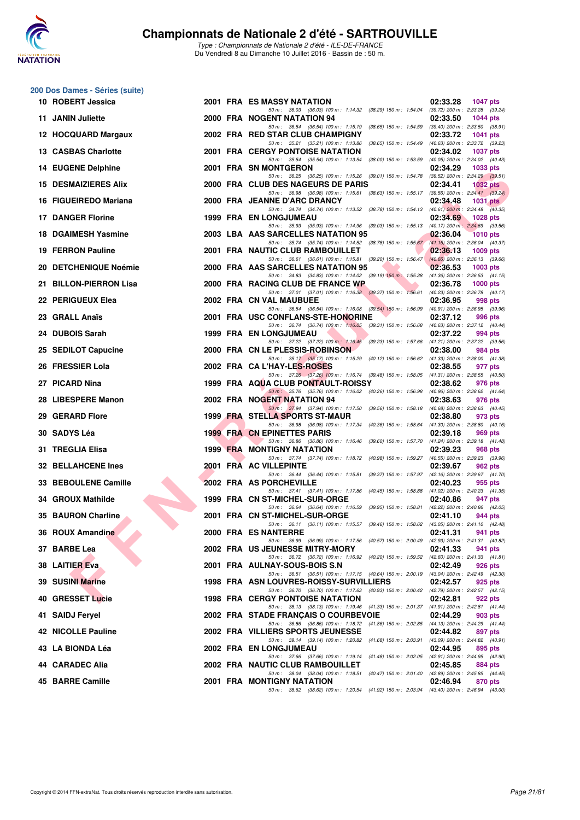

Type : Championnats de Nationale 2 d'été - ILE-DE-FRANCE Du Vendredi 8 au Dimanche 10 Juillet 2016 - Bassin de : 50 m.

### **200 Dos Dames - Séries (suite)**

| 10 ROBERT Jessica            |  | 2001 FRA ES MASSY NATATION                                                                                                          | 02:33.28 | <b>1047 pts</b>                                    |
|------------------------------|--|-------------------------------------------------------------------------------------------------------------------------------------|----------|----------------------------------------------------|
| 11 JANIN Juliette            |  | 50 m : 36.03 (36.03) 100 m : 1:14.32 (38.29) 150 m : 1:54.04<br>2000 FRA NOGENT NATATION 94                                         | 02:33.50 | (39.72) 200 m : 2:33.28 (39.24)<br><b>1044 pts</b> |
| 12 HOCQUARD Margaux          |  | 50 m: 36.54 (36.54) 100 m: 1:15.19 (38.65) 150 m: 1:54.59 (39.40) 200 m: 2:33.50 (38.91)<br>2002 FRA RED STAR CLUB CHAMPIGNY        | 02:33.72 | <b>1041 pts</b>                                    |
| <b>13 CASBAS Charlotte</b>   |  | 50 m: 35.21 (35.21) 100 m: 1:13.86 (38.65) 150 m: 1:54.49 (40.63) 200 m: 2:33.72 (39.23)<br><b>2001 FRA CERGY PONTOISE NATATION</b> | 02:34.02 | <b>1037 pts</b>                                    |
| <b>14 EUGENE Delphine</b>    |  | 50 m: 35.54 (35.54) 100 m: 1:13.54 (38.00) 150 m: 1:53.59 (40.05) 200 m: 2:34.02 (40.43)<br>2001 FRA SN MONTGERON                   | 02:34.29 | 1033 pts                                           |
| <b>15 DESMAIZIERES Alix</b>  |  | 50 m: 36.25 (36.25) 100 m: 1:15.26 (39.01) 150 m: 1:54.78 (39.52) 200 m: 2:34.29 (39.51)<br>2000 FRA CLUB DES NAGEURS DE PARIS      | 02:34.41 | 1032 $pts$                                         |
| 16 FIGUEIREDO Mariana        |  | 50 m: 36.98 (36.98) 100 m: 1:15.61 (38.63) 150 m: 1:55.17 (39.56) 200 m: 2:34.41 (39.24)<br>2000 FRA JEANNE D'ARC DRANCY            | 02:34.48 | 1031 $pts2$                                        |
| <b>17 DANGER Florine</b>     |  | 50 m: 34.74 (34.74) 100 m: 1:13.52 (38.78) 150 m: 1:54.13 (40.61) 200 m: 2:34.48 (40.35)<br><b>1999 FRA EN LONGJUMEAU</b>           | 02:34.69 | <b>1028 pts</b>                                    |
| 18 DGAIMESH Yasmine          |  | 50 m: 35.93 (35.93) 100 m: 1:14.96 (39.03) 150 m: 1:55.13 (40.17) 200 m: 2:34.69 (39.56)<br>2003 LBA AAS SARCELLES NATATION 95      | 02:36.04 | 1010 pts                                           |
| <b>19 FERRON Pauline</b>     |  | 50 m: 35.74 (35.74) 100 m: 1:14.52 (38.78) 150 m: 1:55.67 (41.15) 200 m: 2:36.04 (40.37)<br>2001 FRA NAUTIC CLUB RAMBOUILLET        | 02:36.13 | <b>1009 pts</b>                                    |
| <b>20 DETCHENIQUE Noémie</b> |  | 50 m: 36.61 (36.61) 100 m: 1:15.81 (39.20) 150 m: 1:56.47 (40.66) 200 m: 2:36.13 (39.66)<br>2000 FRA AAS SARCELLES NATATION 95      | 02:36.53 | $1003$ pts                                         |
| 21 BILLON-PIERRON Lisa       |  | 50 m: 34.83 (34.83) 100 m: 1:14.02 (39.19) 150 m: 1:55.38 (41.36) 200 m: 2:36.53 (41.15)<br>2000 FRA RACING CLUB DE FRANCE WP       | 02:36.78 | $1000$ pts                                         |
| 22 PERIGUEUX Elea            |  | 50 m: 37.01 (37.01) 100 m: 1:16.38 (39.37) 150 m: 1:56.61 (40.23) 200 m: 2:36.78 (40.17)<br>2002 FRA CN VAL MAUBUEE                 | 02:36.95 | 998 pts                                            |
| 23 GRALL Anaïs               |  | 50 m: 36.54 (36.54) 100 m: 1:16.08 (39.54) 150 m: 1:56.99 (40.91) 200 m: 2:36.95 (39.96)<br>2001 FRA USC CONFLANS-STE-HONORINE      | 02:37.12 | 996 pts                                            |
| 24 DUBOIS Sarah              |  | 50 m: 36.74 (36.74) 100 m: 1:16.05 (39.31) 150 m: 1:56.68 (40.63) 200 m: 2:37.12 (40.44)<br>1999 FRA EN LONGJUMEAU                  | 02:37.22 | 994 pts                                            |
| 25 SEDILOT Capucine          |  | 50 m: 37.22 (37.22) 100 m: 1:16.45<br>(39.23) 150 m : 1:57.66 (41.21) 200 m : 2:37.22 (39.56)<br>2000 FRA CN LE PLESSIS-ROBINSON    | 02:38.00 | 984 pts                                            |
| 26 FRESSIER Lola             |  | 50 m: 35.17 (35.17) 100 m: 1:15.29 (40.12) 150 m: 1:56.62 (41.33) 200 m: 2:38.00 (41.38)<br>2002 FRA CA L'HAY-LES-ROSES             | 02:38.55 | 977 pts                                            |
| 27 PICARD Nina               |  | 50 m: 37.26 (37.26) 100 m: 1:16.74 (39.48) 150 m: 1:58.05 (41.31) 200 m: 2:38.55 (40.50)<br>1999 FRA AQUA CLUB PONTAULT-ROISSY      | 02:38.62 | 976 pts                                            |
| 28 LIBESPERE Manon           |  | 50 m: 35.76 (35.76) 100 m: 1:16.02 (40.26) 150 m: 1:56.98 (40.96) 200 m: 2:38.62 (41.64)<br>2002 FRA NOGENT NATATION 94             | 02:38.63 | 976 pts                                            |
| 29 GERARD Flore              |  | 50 m: 37.94 (37.94) 100 m: 1:17.50 (39.56) 150 m: 1:58.18 (40.68) 200 m: 2:38.63 (40.45)<br>1999 FRA STELLA SPORTS ST-MAUR          | 02:38.80 | 973 pts                                            |
| 30 SADYS Léa                 |  | 50 m: 36.98 (36.98) 100 m: 1:17.34 (40.36) 150 m: 1:58.64<br><b>1999 FRA CN EPINETTES PARIS</b>                                     | 02:39.18 | $(41.30)$ 200 m : 2:38.80 $(40.16)$<br>969 pts     |
| 31 TREGLIA Elisa             |  | 50 m: 36.86 (36.86) 100 m: 1:16.46 (39.60) 150 m: 1:57.70 (41.24) 200 m: 2:39.18 (41.48)<br><b>1999 FRA MONTIGNY NATATION</b>       | 02:39.23 | 968 pts                                            |
| <b>32 BELLAHCENE Ines</b>    |  | 50 m: 37.74 (37.74) 100 m: 1:18.72 (40.98) 150 m: 1:59.27 (40.55) 200 m: 2:39.23 (39.96)<br>2001 FRA AC VILLEPINTE                  | 02:39.67 | 962 pts                                            |
| 33 BEBOULENE Camille         |  | 50 m: 36.44 (36.44) 100 m: 1:15.81 (39.37) 150 m: 1:57.97 (42.16) 200 m: 2:39.67 (41.70)<br>2002 FRA AS PORCHEVILLE                 | 02:40.23 | 955 pts                                            |
| 34 GROUX Mathilde            |  | 50 m: 37.41 (37.41) 100 m: 1:17.86 (40.45) 150 m: 1:58.88 (41.02) 200 m: 2:40.23 (41.35)<br>1999 FRA CN ST-MICHEL-SUR-ORGE          | 02:40.86 | 947 pts                                            |
| 35 BAURON Charline           |  | 50 m: 36.64 (36.64) 100 m: 1:16.59 (39.95) 150 m: 1:58.81 (42.22) 200 m: 2:40.86 (42.05)<br>2001 FRA CN ST-MICHEL-SUR-ORGE          | 02:41.10 | 944 pts                                            |
| 36 ROUX Amandine             |  | 50 m: 36.11 (36.11) 100 m: 1:15.57 (39.46) 150 m: 1:58.62 (43.05) 200 m: 2:41.10 (42.48)<br>2000 FRA ES NANTERRE                    | 02:41.31 | 941 pts                                            |
| 37 BARBE Lea                 |  | 50 m: 36.99 (36.99) 100 m: 1:17.56 (40.57) 150 m: 2:00.49 (42.93) 200 m: 2:41.31 (40.82)<br>2002 FRA US JEUNESSE MITRY-MORY         | 02:41.33 | 941 pts                                            |
| 38 LAITIER Eva               |  | 50 m: 36.72 (36.72) 100 m: 1:16.92 (40.20) 150 m: 1:59.52 (42.60) 200 m: 2:41.33 (41.81)<br>2001 FRA AULNAY-SOUS-BOIS S.N           | 02:42.49 | 926 pts                                            |
| 39 SUSINI Marine             |  | 50 m: 36.51 (36.51) 100 m: 1:17.15 (40.64) 150 m: 2:00.19 (43.04) 200 m: 2:42.49 (42.30)<br>1998 FRA ASN LOUVRES-ROISSY-SURVILLIERS | 02:42.57 | 925 pts                                            |
| 40 GRESSET Lucie             |  | 50 m: 36.70 (36.70) 100 m: 1:17.63 (40.93) 150 m: 2:00.42 (42.79) 200 m: 2:42.57 (42.15)<br><b>1998 FRA CERGY PONTOISE NATATION</b> | 02:42.81 | 922 pts                                            |
| 41 SAIDJ Fervel              |  | 50 m: 38.13 (38.13) 100 m: 1:19.46 (41.33) 150 m: 2:01.37 (41.91) 200 m: 2:42.81 (41.44)<br>2002 FRA STADE FRANÇAIS O COURBEVOIE    | 02:44.29 | 903 pts                                            |
| <b>42 NICOLLE Pauline</b>    |  | 50 m : 36.86 (36.86) 100 m : 1:18.72 (41.86) 150 m : 2:02.85 (44.13) 200 m : 2:44.29 (41.44)<br>2002 FRA VILLIERS SPORTS JEUNESSE   | 02:44.82 | 897 pts                                            |
| 43   LA BIONDA Léa           |  | 50 m : 39.14 (39.14) 100 m : 1:20.82 (41.68) 150 m : 2:03.91<br>2002 FRA EN LONGJUMEAU                                              | 02:44.95 | (43.09) 200 m : 2:44.82 (40.91)<br>895 pts         |
| 44 CARADEC Alia              |  | 50 m: 37.66 (37.66) 100 m: 1:19.14 (41.48) 150 m: 2:02.05 (42.91) 200 m: 2:44.95 (42.90)<br>2002 FRA NAUTIC CLUB RAMBOUILLET        | 02:45.85 | 884 pts                                            |
| <b>45 BARRE Camille</b>      |  | 50 m: 38.04 (38.04) 100 m: 1:18.51 (40.47) 150 m: 2:01.40 (42.89) 200 m: 2:45.85 (44.45)<br>2001 FRA MONTIGNY NATATION              | 02:46.94 | 870 pts                                            |
|                              |  | 50 m: 38.62 (38.62) 100 m: 1:20.54 (41.92) 150 m: 2:03.94 (43.40) 200 m: 2:46.94 (43.00)                                            |          |                                                    |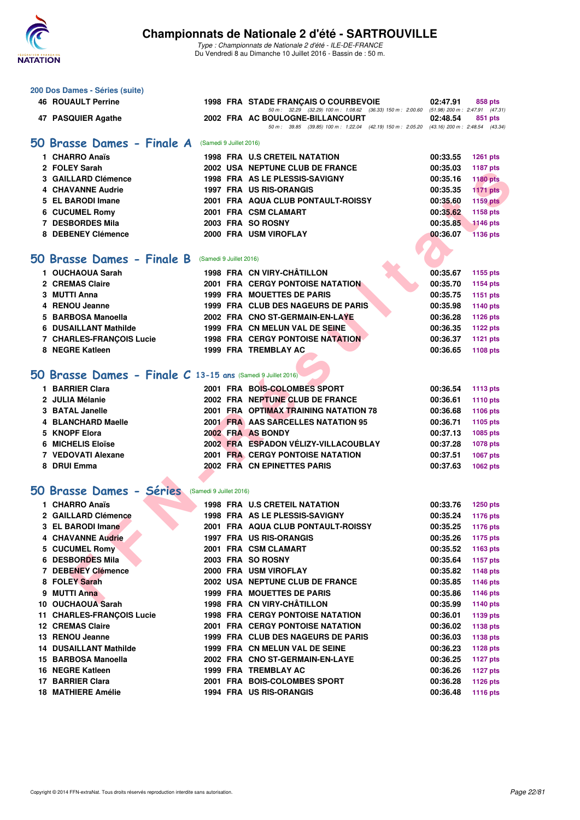

| 200 Dos Dames - Séries (suite)                               |                         |                                                                                                                              |                      |                                    |
|--------------------------------------------------------------|-------------------------|------------------------------------------------------------------------------------------------------------------------------|----------------------|------------------------------------|
| <b>46 ROUAULT Perrine</b>                                    |                         | <b>1998 FRA STADE FRANCAIS O COURBEVOIE</b>                                                                                  | 02:47.91             | 858 pts                            |
| 47 PASQUIER Agathe                                           |                         | 50 m: 32.29 (32.29) 100 m: 1:08.62 (36.33) 150 m: 2:00.60 (51.98) 200 m: 2:47.91 (47.31)<br>2002 FRA AC BOULOGNE-BILLANCOURT | 02:48.54             | 851 pts                            |
|                                                              |                         | 50 m: 39.85 (39.85) 100 m: 1:22.04 (42.19) 150 m: 2:05.20 (43.16) 200 m: 2:48.54 (43.34)                                     |                      |                                    |
| 50 Brasse Dames - Finale A                                   | (Samedi 9 Juillet 2016) |                                                                                                                              |                      |                                    |
| 1 CHARRO Anaïs                                               |                         | <b>1998 FRA U.S CRETEIL NATATION</b>                                                                                         | 00:33.55             |                                    |
| 2 FOLEY Sarah                                                |                         | 2002 USA NEPTUNE CLUB DE FRANCE                                                                                              | 00:35.03             | <b>1261 pts</b><br><b>1187 pts</b> |
| 3 GAILLARD Clémence                                          |                         | 1998 FRA AS LE PLESSIS-SAVIGNY                                                                                               | 00:35.16             | <b>1180 pts</b>                    |
| <b>4 CHAVANNE Audrie</b>                                     |                         | <b>1997 FRA US RIS-ORANGIS</b>                                                                                               | 00:35.35             | <b>1171 pts</b>                    |
| 5 EL BARODI Imane                                            |                         | 2001 FRA AQUA CLUB PONTAULT-ROISSY                                                                                           | 00:35.60             | <b>1159 pts</b>                    |
| 6 CUCUMEL Romy                                               |                         | 2001 FRA CSM CLAMART                                                                                                         | 00:35.62             | 1158 pts                           |
| 7 DESBORDES Mila                                             |                         | 2003 FRA SO ROSNY                                                                                                            | 00:35.85             | <b>1146 pts</b>                    |
| 8 DEBENEY Clémence                                           |                         | 2000 FRA USM VIROFLAY                                                                                                        | 00:36.07             | <b>1136 pts</b>                    |
|                                                              |                         |                                                                                                                              |                      |                                    |
| 50 Brasse Dames - Finale B                                   | (Samedi 9 Juillet 2016) |                                                                                                                              |                      |                                    |
|                                                              |                         |                                                                                                                              |                      |                                    |
| 1 OUCHAOUA Sarah                                             |                         | 1998 FRA CN VIRY-CHÂTILLON                                                                                                   | 00:35.67             | 1155 pts                           |
| 2 CREMAS Claire                                              |                         | <b>2001 FRA CERGY PONTOISE NATATION</b>                                                                                      | 00:35.70             | <b>1154 pts</b>                    |
| 3 MUTTI Anna                                                 |                         | <b>1999 FRA MOUETTES DE PARIS</b>                                                                                            | 00:35.75             | 1151 pts                           |
| 4 RENOU Jeanne<br>5 BARBOSA Manoella                         |                         | 1999 FRA CLUB DES NAGEURS DE PARIS<br>2002 FRA CNO ST-GERMAIN-EN-LAYE                                                        | 00:35.98             | <b>1140 pts</b>                    |
| 6 DUSAILLANT Mathilde                                        |                         | 1999 FRA CN MELUN VAL DE SEINE                                                                                               | 00:36.28<br>00:36.35 | <b>1126 pts</b>                    |
| 7 CHARLES-FRANÇOIS Lucie                                     |                         | <b>1998 FRA CERGY PONTOISE NATATION</b>                                                                                      | 00:36.37             | <b>1122 pts</b><br><b>1121 pts</b> |
| 8 NEGRE Katleen                                              |                         | <b>1999 FRA TREMBLAY AC</b>                                                                                                  | 00:36.65             | 1108 pts                           |
|                                                              |                         |                                                                                                                              |                      |                                    |
| 50 Brasse Dames - Finale C 13-15 ans (Samedi 9 Juillet 2016) |                         |                                                                                                                              |                      |                                    |
|                                                              |                         |                                                                                                                              |                      |                                    |
| 1 BARRIER Clara                                              |                         | 2001 FRA BOIS-COLOMBES SPORT                                                                                                 | 00:36.54             | <b>1113 pts</b>                    |
| 2 JULIA Mélanie                                              |                         | 2002 FRA NEPTUNE CLUB DE FRANCE                                                                                              | 00:36.61             | 1110 pts                           |
| 3 BATAL Janelle                                              |                         | 2001 FRA OPTIMAX TRAINING NATATION 78                                                                                        | 00:36.68             | 1106 pts                           |
| 4 BLANCHARD Maelle                                           |                         | 2001 FRA AAS SARCELLES NATATION 95                                                                                           | 00:36.71             | 1105 pts                           |
| 5 KNOPF Elora                                                |                         | 2002 FRA AS BONDY                                                                                                            | 00:37.13             | 1085 pts                           |
| 6 MICHELIS Eloïse<br>7 VEDOVATI Alexane                      |                         | 2002 FRA ESPADON VÉLIZY-VILLACOUBLAY<br><b>2001 FRA CERGY PONTOISE NATATION</b>                                              | 00:37.28<br>00:37.51 | 1078 pts                           |
| 8 DRUI Emma                                                  |                         | 2002 FRA CN EPINETTES PARIS                                                                                                  | 00:37.63             | 1067 pts                           |
|                                                              |                         |                                                                                                                              |                      | 1062 pts                           |
|                                                              |                         |                                                                                                                              |                      |                                    |
| 50 Brasse Dames - Séries                                     | (Samedi 9 Juillet 2016) |                                                                                                                              |                      |                                    |
| 1 CHARRO Anaïs                                               |                         | <b>1998 FRA U.S CRETEIL NATATION</b>                                                                                         | 00:33.76             | <b>1250 pts</b>                    |
| 2 GAILLARD Clémence                                          |                         | 1998 FRA AS LE PLESSIS-SAVIGNY                                                                                               | 00:35.24             | <b>1176 pts</b>                    |
| 3 EL BARODI Imane                                            |                         | 2001 FRA AQUA CLUB PONTAULT-ROISSY                                                                                           | 00:35.25             | 1176 pts                           |
| 4 CHAVANNE Audrie                                            |                         | 1997 FRA US RIS-ORANGIS                                                                                                      | 00:35.26             | <b>1175 pts</b>                    |
| 5 CUCUMEL Romy                                               |                         | 2001 FRA CSM CLAMART                                                                                                         | 00:35.52             | 1163 pts                           |
| 6 DESBORDES Mila                                             |                         | 2003 FRA SO ROSNY                                                                                                            | 00:35.64             | 1157 pts                           |
| 7 DEBENEY Clémence<br>8 FOLEY Sarah                          |                         | 2000 FRA USM VIROFLAY<br>2002 USA NEPTUNE CLUB DE FRANCE                                                                     | 00:35.82             | <b>1148 pts</b>                    |
| 9 MUTTI Anna                                                 |                         | 1999 FRA MOUETTES DE PARIS                                                                                                   | 00:35.85<br>00:35.86 | <b>1146 pts</b><br><b>1146 pts</b> |
| 10 OUCHAOUA Sarah                                            |                         | 1998 FRA CN VIRY-CHÂTILLON                                                                                                   | 00:35.99             |                                    |
| 11 CHARLES-FRANÇOIS Lucie                                    |                         | <b>1998 FRA CERGY PONTOISE NATATION</b>                                                                                      | 00:36.01             | 1140 pts<br>1139 pts               |
| <b>12 CREMAS Claire</b>                                      |                         | 2001 FRA CERGY PONTOISE NATATION                                                                                             | 00:36.02             | 1138 pts                           |
| 13 RENOU Jeanne                                              |                         | 1999 FRA CLUB DES NAGEURS DE PARIS                                                                                           | 00:36.03             | 1138 pts                           |
| <b>14 DUSAILLANT Mathilde</b>                                |                         | 1999 FRA CN MELUN VAL DE SEINE                                                                                               | 00:36.23             | <b>1128 pts</b>                    |
| 15 BARBOSA Manoella                                          |                         | 2002 FRA CNO ST-GERMAIN-EN-LAYE                                                                                              | 00:36.25             | <b>1127 pts</b>                    |
| 16 NEGRE Katleen                                             |                         | 1999 FRA TREMBLAY AC                                                                                                         | 00:36.26             | <b>1127 pts</b>                    |
| 17 BARRIER Clara                                             |                         | 2001 FRA BOIS-COLOMBES SPORT                                                                                                 | 00:36.28             | <b>1126 pts</b>                    |
| <b>18 MATHIERE Amélie</b>                                    |                         | 1994 FRA US RIS-ORANGIS                                                                                                      | 00:36.48             | <b>1116 pts</b>                    |
|                                                              |                         |                                                                                                                              |                      |                                    |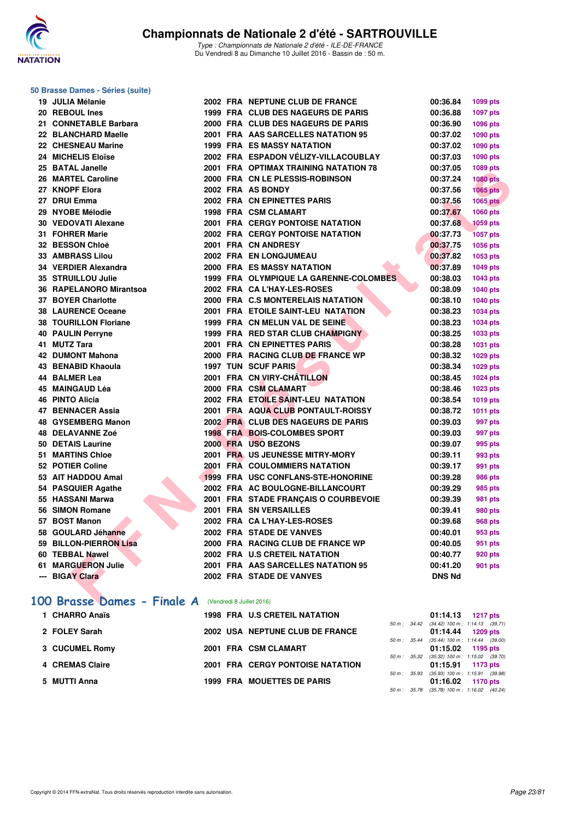

#### **50 Brasse Dames - Séries (suite)**

| 19 JULIA Mélanie             |  | 2002 FRA NEPTUNE CLUB DE FRANCE         | 00:36.84      | 1099 pts        |
|------------------------------|--|-----------------------------------------|---------------|-----------------|
| 20 REBOUL Ines               |  | 1999 FRA CLUB DES NAGEURS DE PARIS      | 00:36.88      | <b>1097 pts</b> |
| 21 CONNETABLE Barbara        |  | 2000 FRA CLUB DES NAGEURS DE PARIS      | 00:36.90      | 1096 pts        |
| 22 BLANCHARD Maelle          |  | 2001 FRA AAS SARCELLES NATATION 95      | 00:37.02      | 1090 pts        |
| 22 CHESNEAU Marine           |  | <b>1999 FRA ES MASSY NATATION</b>       | 00:37.02      | 1090 pts        |
| 24 MICHELIS Eloïse           |  | 2002 FRA ESPADON VÉLIZY-VILLACOUBLAY    | 00:37.03      | 1090 pts        |
| 25 BATAL Janelle             |  | 2001 FRA OPTIMAX TRAINING NATATION 78   | 00:37.05      | 1089 pts        |
| 26 MARTEL Caroline           |  | 2000 FRA CN LE PLESSIS-ROBINSON         | 00:37.24      | <b>1080 pts</b> |
| 27 KNOPF Elora               |  | 2002 FRA AS BONDY                       | 00:37.56      | <b>1065 pts</b> |
| 27 DRUI Emma                 |  | 2002 FRA CN EPINETTES PARIS             | 00:37.56      | <b>1065 pts</b> |
| 29 NYOBE Mélodie             |  | 1998 FRA CSM CLAMART                    | 00:37.67      | 1060 pts        |
| 30 VEDOVATI Alexane          |  | <b>2001 FRA CERGY PONTOISE NATATION</b> | 00:37.68      | <b>1059 pts</b> |
| 31 FOHRER Marie              |  | <b>2002 FRA CERGY PONTOISE NATATION</b> | 00:37.73      | <b>1057 pts</b> |
| 32 BESSON Chloé              |  | 2001 FRA CN ANDRESY                     | 00:37.75      | 1056 pts        |
| <b>33 AMBRASS Lilou</b>      |  | 2002 FRA EN LONGJUMEAU                  | 00:37.82      | 1053 pts        |
| 34 VERDIER Alexandra         |  | <b>2000 FRA ES MASSY NATATION</b>       | 00:37.89      | 1049 pts        |
| 35 STRUILLOU Julie           |  | 1999 FRA OLYMPIQUE LA GARENNE-COLOMBES  | 00:38.03      | 1043 pts        |
| 36 RAPELANORO Mirantsoa      |  | 2002 FRA CA L'HAY-LES-ROSES             | 00:38.09      | <b>1040 pts</b> |
| 37 BOYER Charlotte           |  | 2000 FRA C.S MONTERELAIS NATATION       | 00:38.10      | 1040 pts        |
| <b>38 LAURENCE Oceane</b>    |  | 2001 FRA ETOILE SAINT-LEU NATATION      | 00:38.23      | 1034 pts        |
| <b>38 TOURILLON Floriane</b> |  | 1999 FRA CN MELUN VAL DE SEINE          | 00:38.23      | 1034 pts        |
| <b>40 PAULIN Perryne</b>     |  | 1999 FRA RED STAR CLUB CHAMPIGNY        | 00:38.25      | 1033 pts        |
| 41 MUTZ Tara                 |  | 2001 FRA CN EPINETTES PARIS             | 00:38.28      | 1031 pts        |
| 42 DUMONT Mahona             |  | 2000 FRA RACING CLUB DE FRANCE WP       | 00:38.32      | 1029 pts        |
| 43 BENABID Khaoula           |  | <b>1997 TUN SCUF PARIS</b>              | 00:38.34      | 1029 pts        |
| 44 BALMER Lea                |  | 2001 FRA CN VIRY-CHÂTILLON              | 00:38.45      | 1024 pts        |
| 45 MAINGAUD Léa              |  | 2000 FRA CSM CLAMART                    | 00:38.46      | 1023 pts        |
| 46 PINTO Alicia              |  | 2002 FRA ETOILE SAINT-LEU NATATION      | 00:38.54      | 1019 pts        |
| 47 BENNACER Assia            |  | 2001 FRA AQUA CLUB PONTAULT-ROISSY      | 00:38.72      | <b>1011 pts</b> |
| 48 GYSEMBERG Manon           |  | 2002 FRA CLUB DES NAGEURS DE PARIS      | 00:39.03      | 997 pts         |
| 48 DELAVANNE Zoé             |  | <b>1998 FRA BOIS-COLOMBES SPORT</b>     | 00:39.03      | 997 pts         |
| 50 DETAIS Laurine            |  | 2000 FRA USO BEZONS                     | 00:39.07      | 995 pts         |
| 51 MARTINS Chloe             |  | 2001 FRA US JEUNESSE MITRY-MORY         | 00:39.11      | 993 pts         |
| 52 POTIER Coline             |  | 2001 FRA COULOMMIERS NATATION           | 00:39.17      | 991 pts         |
| 53 AIT HADDOU Amal           |  | 1999 FRA USC CONFLANS-STE-HONORINE      | 00:39.28      | 986 pts         |
| 54 PASQUIER Agathe           |  | 2002 FRA AC BOULOGNE-BILLANCOURT        | 00:39.29      | 985 pts         |
| 55 HASSANI Marwa             |  | 2001 FRA STADE FRANÇAIS O COURBEVOIE    | 00:39.39      | 981 pts         |
| 56 SIMON Romane              |  | <b>2001 FRA SN VERSAILLES</b>           | 00:39.41      | 980 pts         |
| 57 BOST Manon                |  | 2002 FRA CA L'HAY-LES-ROSES             | 00:39.68      | 968 pts         |
| 58 GOULARD Jéhanne           |  | 2002 FRA STADE DE VANVES                | 00:40.01      | 953 pts         |
| 59 BILLON-PIERRON Lisa       |  | 2000 FRA RACING CLUB DE FRANCE WP       | 00:40.05      | 951 pts         |
| 60 TEBBAL Nawel              |  | 2002 FRA U.S CRETEIL NATATION           | 00:40.77      | <b>920 pts</b>  |
| 61 MARGUERON Julie           |  | 2001 FRA AAS SARCELLES NATATION 95      | 00:41.20      | <b>901 pts</b>  |
| --- BIGAY Clara              |  | 2002 FRA STADE DE VANVES                | <b>DNS Nd</b> |                 |
|                              |  |                                         |               |                 |
| 100 Brasse Dames - Finale A  |  | (Vendredi 8 Juillet 2016)               |               |                 |

| 1 CHARRO Anaïs  |  | <b>1998 FRA U.S CRETEIL NATATION</b>    |              | $01:14.13$ 1217 pts                                                 |  |
|-----------------|--|-----------------------------------------|--------------|---------------------------------------------------------------------|--|
| 2 FOLEY Sarah   |  | 2002 USA NEPTUNE CLUB DE FRANCE         |              | 50 m: 34.42 (34.42) 100 m: 1:14.13 (39.71)<br>$01:14.44$ 1209 pts   |  |
| 3 CUCUMEL Romy  |  | 2001 FRA CSM CLAMART                    |              | 50 m : 35.44 (35.44) 100 m : 1:14.44 (39.00)<br>$01:15.02$ 1195 pts |  |
| 4 CREMAS Claire |  | <b>2001 FRA CERGY PONTOISE NATATION</b> |              | 50 m : 35.32 (35.32) 100 m : 1:15.02 (39.70)<br>$01:15.91$ 1173 pts |  |
| 5 MUTTI Anna    |  | <b>1999 FRA MOUETTES DE PARIS</b>       | 50 m: 35.93  | $(35.93)$ 100 m : 1:15.91 $(39.98)$<br>$01:16.02$ 1170 pts          |  |
|                 |  |                                         | 50 m : 35.78 | $(35.78)$ 100 m : 1:16.02 $(40.24)$                                 |  |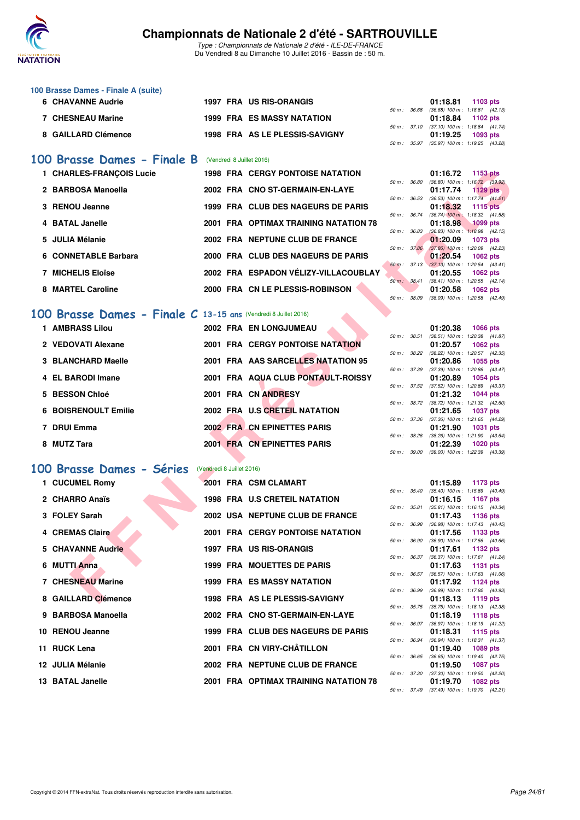

Type : Championnats de Nationale 2 d'été - ILE-DE-FRANCE Du Vendredi 8 au Dimanche 10 Juillet 2016 - Bassin de : 50 m.

| 100 Brasse Dames - Finale A (suite) |                                   |  |                                           |          |
|-------------------------------------|-----------------------------------|--|-------------------------------------------|----------|
| 6 CHAVANNE Audrie                   | 1997 FRA US RIS-ORANGIS           |  | 01:18.81                                  | 1103 pts |
|                                     |                                   |  | 50 m: 36.68 (36.68) 100 m: 1:18.81 (42.1) |          |
| <b>7 CHESNEAU Marine</b>            | <b>1999 FRA ES MASSY NATATION</b> |  | $01:18.84$ 1102 pts                       |          |
|                                     |                                   |  | 50 m: 37.10 (37.10) 100 m: 1:18.84 (41.7  |          |
| 8 GAILLARD Clémence                 | 1998 FRA AS LE PLESSIS-SAVIGNY    |  | 01:19.25                                  | 1093 pts |
|                                     |                                   |  |                                           |          |

### [100 Brasse Dames - Finale B](http://www.ffnatation.fr/webffn/resultats.php?idact=nat&go=epr&idcpt=39837&idepr=22) (Vendredi 8 Juillet 2016)

| 1 CHARLES-FRANCOIS Lucie | <b>1998 FRA CERGY PONTOISE NATATION</b> |                        | 1153 pts<br>01:16.72                                          |
|--------------------------|-----------------------------------------|------------------------|---------------------------------------------------------------|
| 2 BARBOSA Manoella       | 2002 FRA CNO ST-GERMAIN-EN-LAYE         | 36.80<br>50 m :        | $(36.80)$ 100 m : 1:16.72 (39.<br>01:17.74<br><b>1129 pts</b> |
| 3 RENOU Jeanne           | 1999 FRA CLUB DES NAGEURS DE PARIS      | $50 m$ :<br>36.53      | $(36.53)$ 100 m : 1:17.74 $(41.$<br>01:18.32<br>1115 pts      |
| 4 BATAL Janelle          | 2001 FRA OPTIMAX TRAINING NATATION 78   | 36.74<br>50 m :        | $(36.74)$ 100 m : 1:18.32 (41.<br>01:18.98<br><b>1099 pts</b> |
| 5 JULIA Mélanie          | 2002 FRA NEPTUNE CLUB DE FRANCE         | 36.83<br>50 m :        | $(36.83)$ 100 m : 1:18.98 (42.<br>01:20.09<br>1073 pts        |
| 6 CONNETABLE Barbara     | 2000 FRA CLUB DES NAGEURS DE PARIS      | 37.86<br>$50 m$ :      | $(37.86)$ 100 m : 1.20.09 (42.<br>01:20.54<br>1062 pts        |
| <b>7 MICHELIS Eloïse</b> | 2002 FRA ESPADON VÉLIZY-VILLACOUBLAY    | $50 \text{ m}$ : 37.13 | $(37.13)$ 100 m : 1:20.54 $(43.$<br>01:20.55<br>1062 pts      |
| 8 MARTEL Caroline        | 2000 FRA CN LE PLESSIS-ROBINSON         | $50 m$ :<br>38.41      | $(38.41)$ 100 m : 1:20.55 (42.<br>01:20.58<br>1062 pts        |

## **[100 Brasse Dames - Finale C](http://www.ffnatation.fr/webffn/resultats.php?idact=nat&go=epr&idcpt=39837&idepr=22) 13-15 ans** (Vendredi 8 Juillet 2016)

| 1 AMBRASS Lilou      |  | 2002 FRA EN LONGJUMEAU                  |                  | 01:20.38                                                                 | 1066 pts |  |
|----------------------|--|-----------------------------------------|------------------|--------------------------------------------------------------------------|----------|--|
| 2 VEDOVATI Alexane   |  | <b>2001 FRA CERGY PONTOISE NATATION</b> | $50 m$ : $38.51$ | $(38.51)$ 100 m : 1:20.38 (41.<br>01:20.57                               | 1062 pts |  |
| 3 BLANCHARD Maelle   |  | 2001 FRA AAS SARCELLES NATATION 95      | 50 m : 38.22     | $(38.22)$ 100 m : 1:20.57 (42.<br>01:20.86                               | 1055 pts |  |
| 4 EL BARODI Imane    |  | 2001 FRA AQUA CLUB PONTAULT-ROISSY      | 50 m : 37.39     | $(37.39)$ 100 m : 1:20.86 (43.<br>01:20.89                               | 1054 pts |  |
| 5 BESSON Chloé       |  | 2001 FRA CN ANDRESY                     |                  | 50 m: 37.52 (37.52) 100 m: 1:20.89 (43.<br>01:21.32                      | 1044 pts |  |
| 6 BOISRENOULT Emilie |  | 2002 FRA U.S CRETEIL NATATION           | 50 m: 38.72      | (38.72) 100 m : 1:21.32 (42.<br>01:21.65                                 | 1037 pts |  |
| 7 DRUI Emma          |  | 2002 FRA CN EPINETTES PARIS             | 50 m : 37.36     | $(37.36)$ 100 m : 1:21.65 (44.<br>01:21.90                               | 1031 pts |  |
| 8 MUTZ Tara          |  | 2001 FRA CN EPINETTES PARIS             | 50 m: 38.26      | (38.26) 100 m : 1:21.90 (43.<br>01:22.39                                 | 1020 pts |  |
|                      |  |                                         |                  | $50 \text{ m}$ : $39.00$ $(39.00)$ $100 \text{ m}$ : $1.22.39$ $(43.00)$ |          |  |

### **[100 Brasse Dames - Séries](http://www.ffnatation.fr/webffn/resultats.php?idact=nat&go=epr&idcpt=39837&idepr=22)** (Vendredi 8 Juillet 2016)

| 1 CHARLES-FRANÇOIS Lucie                                       |                           | <b>1998 FRA CERGY PONTOISE NATATION</b> |              |              | 01:16.72 | 1153 pts                                                      |
|----------------------------------------------------------------|---------------------------|-----------------------------------------|--------------|--------------|----------|---------------------------------------------------------------|
| 2 BARBOSA Manoella                                             |                           | 2002 FRA CNO ST-GERMAIN-EN-LAYE         |              | 50 m : 36.80 | 01:17.74 | $(36.80)$ 100 m : 1:16.72 $(39.92)$<br>1129 $pts$             |
| 3 RENOU Jeanne                                                 |                           | 1999 FRA CLUB DES NAGEURS DE PARIS      | 50 m: 36.53  |              | 01:18.32 | $(36.53)$ 100 m : 1:17.74 $(41.21)$<br>1115 pts               |
| 4 BATAL Janelle                                                |                           | 2001 FRA OPTIMAX TRAINING NATATION 78   | 50 m : 36.74 |              | 01:18.98 | $(36.74)$ 100 m : 1:18.32 $(41.58)$<br><b>1099 pts</b>        |
|                                                                |                           |                                         | 50 m : 36.83 |              |          | $(36.83)$ 100 m : 1:18.98 $(42.15)$                           |
| 5 JULIA Mélanie                                                |                           | 2002 FRA NEPTUNE CLUB DE FRANCE         | 50 m : 37.86 |              | 01:20.09 | <b>1073 pts</b><br>$(37.86)$ 100 m : 1:20.09 $(42.23)$        |
| 6 CONNETABLE Barbara                                           |                           | 2000 FRA CLUB DES NAGEURS DE PARIS      |              |              | 01:20.54 | <b>1062 pts</b><br>50 m: 37.13 (37.13) 100 m: 1:20.54 (43.41) |
| <b>7 MICHELIS Eloïse</b>                                       |                           | 2002 FRA ESPADON VÉLIZY-VILLACOUBLAY    |              |              | 01:20.55 | 1062 pts                                                      |
| 8 MARTEL Caroline                                              |                           | 2000 FRA CN LE PLESSIS-ROBINSON         |              | 50 m: 38.41  | 01:20.58 | $(38.41)$ 100 m : 1:20.55 $(42.14)$<br><b>1062 pts</b>        |
|                                                                |                           |                                         | 50 m: 38.09  |              |          | (38.09) 100 m : 1:20.58 (42.49)                               |
| 00 Brasse Dames - Finale C 13-15 ans (Vendredi 8 Juillet 2016) |                           |                                         |              |              |          |                                                               |
| 1 AMBRASS Lilou                                                |                           | 2002 FRA EN LONGJUMEAU                  |              |              | 01:20.38 | <b>1066 pts</b>                                               |
| 2 VEDOVATI Alexane                                             |                           | <b>2001 FRA CERGY PONTOISE NATATION</b> |              | 50 m : 38.51 |          | $(38.51)$ 100 m : 1:20.38 $(41.87)$                           |
|                                                                |                           |                                         |              | 50 m : 38.22 | 01:20.57 | <b>1062 pts</b><br>(38.22) 100 m: 1:20.57 (42.35)             |
| 3 BLANCHARD Maelle                                             |                           | 2001 FRA AAS SARCELLES NATATION 95      |              |              | 01:20.86 | 1055 pts                                                      |
|                                                                |                           |                                         |              | 50 m : 37.39 |          | $(37.39)$ 100 m : 1:20.86 $(43.47)$                           |
| 4 EL BARODI Imane                                              |                           | 2001 FRA AQUA CLUB PONTAULT-ROISSY      |              |              | 01:20.89 | <b>1054 pts</b><br>50 m: 37.52 (37.52) 100 m: 1:20.89 (43.37) |
| 5 BESSON Chloé                                                 |                           | 2001 FRA CN ANDRESY                     |              |              | 01:21.32 | <b>1044 pts</b>                                               |
|                                                                |                           |                                         |              |              |          | 50 m: 38.72 (38.72) 100 m: 1:21.32 (42.60)                    |
| <b>6 BOISRENOULT Emilie</b>                                    |                           | 2002 FRA U.S CRETEIL NATATION           |              | 50 m : 37.36 | 01:21.65 | <b>1037 pts</b><br>$(37.36)$ 100 m : 1:21.65 $(44.29)$        |
| 7 DRUI Emma                                                    |                           | 2002 FRA CN EPINETTES PARIS             |              |              | 01:21.90 | <b>1031 pts</b>                                               |
|                                                                |                           |                                         | 50 m : 38.26 |              |          | $(38.26)$ 100 m : 1:21.90 $(43.64)$                           |
| 8 MUTZ Tara                                                    |                           | 2001 FRA CN EPINETTES PARIS             | 50 m : 39.00 |              | 01:22.39 | <b>1020 pts</b><br>$(39.00)$ 100 m : 1:22.39 $(43.39)$        |
|                                                                |                           |                                         |              |              |          |                                                               |
| 00 Brasse Dames - Séries                                       | (Vendredi 8 Juillet 2016) |                                         |              |              |          |                                                               |
| 1 CUCUMEL Romy                                                 |                           | 2001 FRA CSM CLAMART                    |              |              | 01:15.89 | 1173 pts<br>50 m: 35.40 (35.40) 100 m: 1:15.89 (40.49)        |
| 2 CHARRO Anaïs                                                 |                           | <b>1998 FRA U.S CRETEIL NATATION</b>    |              |              | 01:16.15 | <b>1167 pts</b>                                               |
|                                                                |                           |                                         | 50 m : 35.81 |              |          | $(35.81)$ 100 m : 1:16.15 $(40.34)$                           |
| 3 FOLEY Sarah                                                  |                           | 2002 USA NEPTUNE CLUB DE FRANCE         | 50 m : 36.98 |              | 01:17.43 | 1136 pts<br>(36.98) 100 m: 1:17.43 (40.45)                    |
| 4 CREMAS Claire                                                |                           | <b>2001 FRA CERGY PONTOISE NATATION</b> |              |              | 01:17.56 | 1133 pts                                                      |
|                                                                |                           |                                         | 50 m : 36.90 |              |          | (36.90) 100 m: 1:17.56 (40.66)                                |
| 5 CHAVANNE Audrie                                              |                           | 1997 FRA US RIS-ORANGIS                 |              | 50 m : 36.37 | 01:17.61 | 1132 pts<br>$(36.37)$ 100 m : 1:17.61 $(41.24)$               |
| 6 MUTTI Anna                                                   |                           | 1999 FRA MOUETTES DE PARIS              |              |              | 01:17.63 | 1131 pts                                                      |
|                                                                |                           |                                         |              | 50 m : 36.57 |          | $(36.57)$ 100 m : 1:17.63 $(41.06)$                           |
| 7 CHESNEAU Marine                                              |                           | 1999 FRA ES MASSY NATATION              |              | 50 m : 36.99 | 01:17.92 | <b>1124 pts</b><br>(36.99) 100 m: 1:17.92 (40.93)             |
| 8 GAILLARD Clémence                                            |                           | 1998 FRA AS LE PLESSIS-SAVIGNY          |              |              | 01:18.13 | <b>1119 pts</b>                                               |
|                                                                |                           |                                         |              |              |          | 50 m: 35.75 (35.75) 100 m: 1:18.13 (42.38)                    |
| 9 BARBOSA Manoella                                             |                           | 2002 FRA CNO ST-GERMAIN-EN-LAYE         |              |              | 01:18.19 | 1118 pts                                                      |
| 10 RENOU Jeanne                                                |                           | 1999 FRA CLUB DES NAGEURS DE PARIS      |              | 50 m : 36.97 | 01:18.31 | (36.97) 100 m: 1:18.19 (41.22)<br>1115 $pts$                  |
|                                                                |                           |                                         |              | 50 m : 36.94 |          | $(36.94)$ 100 m : 1:18.31 $(41.37)$                           |
| 11 RUCK Lena                                                   |                           | 2001 FRA CN VIRY-CHÂTILLON              |              |              | 01:19.40 | 1089 pts<br>50 m: 36.65 (36.65) 100 m: 1:19.40 (42.75)        |
| 12 JULIA Mélanie                                               |                           | 2002 FRA NEPTUNE CLUB DE FRANCE         |              |              | 01:19.50 | <b>1087 pts</b>                                               |
|                                                                |                           |                                         |              |              |          | 50 m: 37.30 (37.30) 100 m: 1:19.50 (42.20)                    |
| 13 BATAL Janelle                                               |                           | 2001 FRA OPTIMAX TRAINING NATATION 78   |              |              | 01:19.70 | 1082 pts                                                      |

|  | "                                          |  |
|--|--------------------------------------------|--|
|  | 50 m: 36.68 (36.68) 100 m: 1:18.81 (42.13) |  |
|  | 01:18.84 1102 pts                          |  |
|  | 50 m: 37.10 (37.10) 100 m: 1:18.84 (41.74) |  |
|  | $01:19.25$ 1093 pts                        |  |
|  | 50 m: 35.97 (35.97) 100 m: 1:19.25 (43.28) |  |
|  |                                            |  |
|  |                                            |  |
|  |                                            |  |

|                |       | 01:16.72          | 1153 pts            |  |
|----------------|-------|-------------------|---------------------|--|
| $50 m$ :       | 36.80 | $(36.80)$ 100 m : | $1:16.72$ (39.92)   |  |
|                |       | 01:17.74          | <b>1129 pts</b>     |  |
| 50 m :         | 36.53 | $(36.53)$ 100 m : | $1:17.74$ $(41.21)$ |  |
|                |       | 01:18.32          | 1115 pts            |  |
| $50 m$ :       | 36.74 | $(36.74)$ 100 m:  | $1:18.32$ $(41.58)$ |  |
|                |       | 01:18.98          | <b>1099 pts</b>     |  |
| $50 m$ :       | 36.83 | $(36.83) 100 m$ : | $1:18.98$ $(42.15)$ |  |
|                |       | 01:20.09          | 1073 pts            |  |
| 50 m: 37.86    |       | $(37.86)$ 100 m : | 1:20.09 (42.23)     |  |
|                |       | 01:20.54          | 1062 pts            |  |
| $50 m$ :       | 37.13 | $(37.13) 100 m$ : | $1:20.54$ $(43.41)$ |  |
|                |       | 01:20.55          | 1062 pts            |  |
| $50 m$ : 38.41 |       | $(38.41)$ 100 m : | $1:20.55$ $(42.14)$ |  |
|                |       | 01:20.58          | <b>1062 pts</b>     |  |
| $50 m$ :       | 38.09 | (38.09) 100 m :   | 1:20.58 (42.49)     |  |

|          |       | 01:20.38          | 1066 pts            |  |
|----------|-------|-------------------|---------------------|--|
| $50 m$ : | 38.51 | $(38.51)$ 100 m : | $1:20.38$ $(41.87)$ |  |
|          |       | 01:20.57          | 1062 pts            |  |
| $50 m$ : | 38.22 | $(38.22)$ 100 m : | 1:20.57 (42.35)     |  |
|          |       | 01:20.86          | 1055 pts            |  |
| $50 m$ : | 37.39 | $(37.39)$ 100 m : | 1:20.86 (43.47)     |  |
|          |       | 01:20.89          | 1054 pts            |  |
| $50 m$ : | 37.52 | $(37.52)$ 100 m : | 1:20.89 (43.37)     |  |
|          |       | 01:21.32          | 1044 pts            |  |
| $50 m$ : | 38.72 | $(38.72)$ 100 m : | 1:21.32 (42.60)     |  |
|          |       | 01:21.65          | <b>1037 pts</b>     |  |
| $50 m$ : | 37.36 | $(37.36)$ 100 m : | 1:21.65 (44.29)     |  |
|          |       | 01:21.90          | 1031 pts            |  |
| $50 m$ : | 38.26 | $(38.26)$ 100 m : | 1:21.90 (43.64)     |  |
|          |       | 01:22.39          | 1020 pts            |  |
| 50 m:    | 39.00 | $(39.00)$ 100 m : | 1:22.39 (43.39)     |  |

|                  |                  | 01:15.89 1173 pts                   |                     |  |
|------------------|------------------|-------------------------------------|---------------------|--|
|                  | $50 m$ : $35.40$ | $(35.40)$ 100 m : 1:15.89 $(40.49)$ |                     |  |
|                  |                  | 01:16.15                            | 1167 pts            |  |
|                  | 50 m : 35.81     | $(35.81)$ 100 m :                   | $1:16.15$ $(40.34)$ |  |
|                  |                  | 01:17.43                            | 1136 pts            |  |
| 50 m : 36.98     |                  | $(36.98) 100 m$ :                   | $1:17.43$ $(40.45)$ |  |
|                  |                  | 01:17.56                            | 1133 pts            |  |
| 50 m : 36.90     |                  | $(36.90)$ 100 m :                   | 1:17.56 (40.66)     |  |
|                  |                  | 01:17.61                            | 1132 pts            |  |
| $50 m$ : $36.37$ |                  | $(36.37)$ 100 m :                   | $1:17.61$ $(41.24)$ |  |
|                  |                  | 01:17.63 1131 pts                   |                     |  |
| $50 m$ : $36.57$ |                  | $(36.57)$ 100 m :                   | $1:17.63$ $(41.06)$ |  |
|                  |                  | 01:17.92 1124 pts                   |                     |  |
|                  | 50 m : 36.99     | $(36.99)$ 100 m :                   | 1:17.92 (40.93)     |  |
|                  |                  | 01:18.13                            | 1119 pts            |  |
|                  | $50 m$ : $35.75$ | $(35.75)$ 100 m :                   | $1:18.13$ $(42.38)$ |  |
|                  |                  | 01:18.19 1118 pts                   |                     |  |
| $50 m$ : $36.97$ |                  | (36.97) 100 m: 1:18.19 (41.22)      |                     |  |
|                  |                  | 01:18.31 1115 pts                   |                     |  |
| $50 m$ : $36.94$ |                  | (36.94) 100 m: 1:18.31 (41.37)      |                     |  |
|                  |                  | 01:19.40 1089 pts                   |                     |  |
| 50 m: 36.65      |                  | $(36.65)$ 100 m : 1:19.40 $(42.75)$ |                     |  |
|                  |                  | 01:19.50 1087 pts                   |                     |  |
| 50 m: 37.30      |                  | $(37.30)$ 100 m : 1:19.50 $(42.20)$ |                     |  |
|                  |                  | 01:19.70 1082 pts                   |                     |  |
| 50 m: 37.49      |                  | (37.49) 100 m:                      | $1:19.70$ $(42.21)$ |  |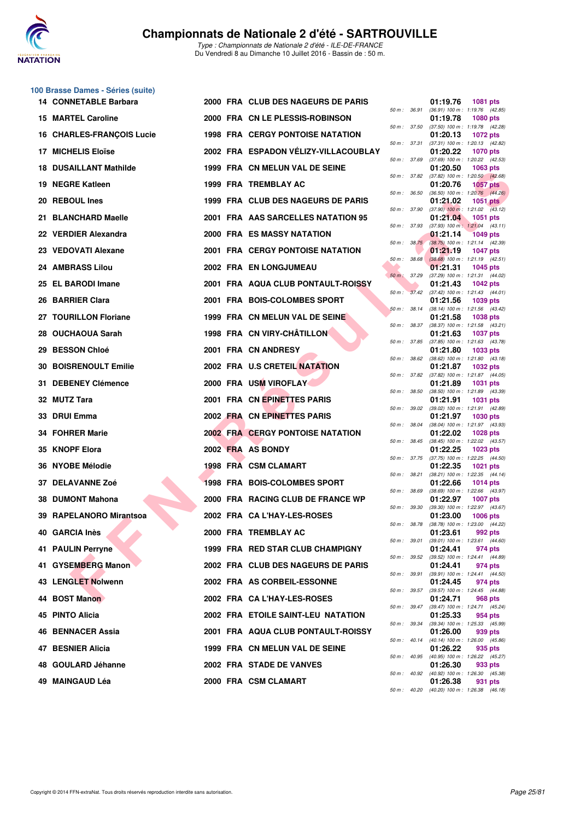

**100 Brasse Dames - Séries (suite)**

|    | <b>14 CONNETABLE Barbara</b>     |  | 2000 FRA CLUB DES NAGEURS DE PARIS        |                  |                  | 01:19.76                                               | <b>1081 pts</b> |  |
|----|----------------------------------|--|-------------------------------------------|------------------|------------------|--------------------------------------------------------|-----------------|--|
|    | <b>15 MARTEL Caroline</b>        |  | 2000 FRA CN LE PLESSIS-ROBINSON           | 50 m : 36.91     |                  | (36.91) 100 m: 1:19.76 (42.85)<br>01:19.78             | <b>1080 pts</b> |  |
|    | <b>16 CHARLES-FRANÇOIS Lucie</b> |  | <b>1998 FRA CERGY PONTOISE NATATION</b>   | 50 m : 37.50     |                  | (37.50) 100 m: 1:19.78 (42.28)<br>01:20.13             | <b>1072 pts</b> |  |
|    | <b>17 MICHELIS Eloïse</b>        |  | 2002 FRA ESPADON VELIZY-VILLACOUBLAY      | 50 m: 37.31      |                  | (37.31) 100 m: 1:20.13 (42.82)<br>01:20.22             | <b>1070 pts</b> |  |
| 18 | <b>DUSAILLANT Mathilde</b>       |  | 1999 FRA CN MELUN VAL DE SEINE            | 50 m : 37.69     |                  | $(37.69)$ 100 m : 1:20.22 $(42.53)$<br>01:20.50        | 1063 pts        |  |
|    | 19 NEGRE Katleen                 |  | 1999 FRA TREMBLAY AC                      | 50 m : 37.82     |                  | $(37.82)$ 100 m : 1:20.50 $(42.68)$<br>01:20.76        | <b>1057 pts</b> |  |
|    | 20 REBOUL Ines                   |  | 1999 FRA CLUB DES NAGEURS DE PARIS        | $50 m$ : $36.50$ |                  | $(36.50)$ 100 m : 1:20.76 $(44.26)$<br>01:21.02        | 1051 $pts$      |  |
|    | 21 BLANCHARD Maelle              |  | 2001 FRA AAS SARCELLES NATATION 95        | 50 m : 37.90     |                  | $(37.90)$ 100 m : 1:21.02 $(43.12)$<br>01:21.04        | 1051 pts        |  |
|    | 22 VERDIER Alexandra             |  | <b>2000 FRA ES MASSY NATATION</b>         | 50 m : 37.93     |                  | $(37.93)$ 100 m : 1:21.04 $(43.11)$<br>01:21.14        | <b>1049 pts</b> |  |
|    | 23 VEDOVATI Alexane              |  | <b>2001 FRA CERGY PONTOISE NATATION</b>   |                  | $50 m$ : $38.75$ | $(38.75)$ 100 m : 1:21.14 $(42.39)$<br>01:21.19        | <b>1047 pts</b> |  |
|    | 24 AMBRASS Lilou                 |  | 2002 FRA EN LONGJUMEAU                    | 50 m : 38.68     |                  | $(38.68)$ 100 m : 1:21.19 $(42.51)$<br>01:21.31        | <b>1045 pts</b> |  |
|    | 25 EL BARODI Imane               |  | <b>2001 FRA AQUA CLUB PONTAULT-ROISSY</b> | 50 m : 37.29     |                  | (37.29) 100 m: 1:21.31 (44.02)<br>01:21.43             | <b>1042 pts</b> |  |
|    | 26 BARRIER Clara                 |  | 2001 FRA BOIS-COLOMBES SPORT              |                  | 50 m: 37.42      | $(37.42)$ 100 m : 1:21.43 $(44.01)$<br>01:21.56        | 1039 pts        |  |
|    | 27 TOURILLON Floriane            |  | 1999 FRA CN MELUN VAL DE SEINE            |                  | 50 m: 38.14      | (38.14) 100 m: 1:21.56 (43.42)                         | 1038 pts        |  |
|    |                                  |  |                                           | 50 m : 38.37     |                  | 01:21.58<br>(38.37) 100 m: 1:21.58 (43.21)             |                 |  |
|    | 28 OUCHAOUA Sarah                |  | 1998 FRA CN VIRY-CHATILLON                | 50 m : 37.85     |                  | 01:21.63<br>$(37.85)$ 100 m : 1:21.63 $(43.78)$        | <b>1037 pts</b> |  |
|    | 29 BESSON Chloé                  |  | 2001 FRA CN ANDRESY                       | 50 m : 38.62     |                  | 01:21.80<br>$(38.62)$ 100 m : 1:21.80 $(43.18)$        | 1033 pts        |  |
| 30 | <b>BOISRENOULT Emilie</b>        |  | 2002 FRA U.S CRETEIL NATATION             | 50 m: 37.82      |                  | 01:21.87<br>(37.82) 100 m: 1:21.87 (44.05)             | <b>1032 pts</b> |  |
|    | 31 DEBENEY Clémence              |  | 2000 FRA USM VIROFLAY                     | 50 m: 38.50      |                  | 01:21.89<br>(38.50) 100 m: 1:21.89 (43.39)             | <b>1031 pts</b> |  |
|    | 32 MUTZ Tara                     |  | 2001 FRA CN EPINETTES PARIS               |                  | 50 m : 39.02     | 01:21.91<br>(39.02) 100 m: 1:21.91 (42.89)             | <b>1031 pts</b> |  |
|    | 33 DRUI Emma                     |  | 2002 FRA CN EPINETTES PARIS               | 50 m : 38.04     |                  | 01:21.97<br>(38.04) 100 m: 1:21.97 (43.93)             | <b>1030 pts</b> |  |
|    | 34 FOHRER Marie                  |  | <b>2002 FRA CERGY PONTOISE NATATION</b>   | 50 m : 38.45     |                  | 01:22.02<br>(38.45) 100 m : 1:22.02 (43.57)            | <b>1028 pts</b> |  |
|    | 35 KNOPF Elora                   |  | 2002 FRA AS BONDY                         | 50 m : 37.75     |                  | 01:22.25<br>(37.75) 100 m : 1:22.25 (44.50)            | $1023$ pts      |  |
|    | 36 NYOBE Mélodie                 |  | 1998 FRA CSM CLAMART                      | 50 m: 38.21      |                  | 01:22.35<br>(38.21) 100 m: 1:22.35 (44.14)             | <b>1021 pts</b> |  |
|    | 37 DELAVANNE Zoé                 |  | 1998 FRA BOIS-COLOMBES SPORT              |                  |                  | 01:22.66                                               | 1014 $pts$      |  |
|    | <b>38 DUMONT Mahona</b>          |  | 2000 FRA RACING CLUB DE FRANCE WP         |                  | 50 m : 38.69     | (38.69) 100 m: 1:22.66 (43.97)<br>01:22.97             | <b>1007 pts</b> |  |
|    | 39 RAPELANORO Mirantsoa          |  | 2002 FRA CA L'HAY-LES-ROSES               | 50 m : 39.30     |                  | (39.30) 100 m: 1:22.97 (43.67)<br>01:23.00             | <b>1006 pts</b> |  |
|    | 40 GARCIA Inès                   |  | 2000 FRA TREMBLAY AC                      | 50 m : 38.78     |                  | (38.78) 100 m : 1:23.00 (44.22)<br>01:23.61            | 992 pts         |  |
|    | 41 PAULIN Perryne                |  | 1999 FRA RED STAR CLUB CHAMPIGNY          |                  |                  | 50 m: 39.01 (39.01) 100 m: 1:23.61 (44.60)<br>01:24.41 | 974 pts         |  |
|    | 41 GYSEMBERG Manon               |  | 2002 FRA CLUB DES NAGEURS DE PARIS        |                  |                  | 50 m: 39.52 (39.52) 100 m: 1:24.41 (44.89)<br>01:24.41 | 974 pts         |  |
|    | 43 LENGLET Nolwenn               |  | 2002 FRA AS CORBEIL-ESSONNE               |                  | 50 m : 39.91     | $(39.91)$ 100 m : 1:24.41 $(44.50)$<br>01:24.45        | 974 pts         |  |
|    | 44 BOST Manon                    |  | 2002 FRA CA L'HAY-LES-ROSES               |                  |                  | 50 m: 39.57 (39.57) 100 m: 1:24.45 (44.88)<br>01:24.71 | 968 pts         |  |
|    | 45 PINTO Alicia                  |  | 2002 FRA ETOILE SAINT-LEU NATATION        |                  |                  | 50 m: 39.47 (39.47) 100 m: 1:24.71 (45.24)<br>01:25.33 | 954 pts         |  |
|    | <b>46 BENNACER Assia</b>         |  | 2001 FRA AQUA CLUB PONTAULT-ROISSY        |                  | 50 m : 39.34     | (39.34) 100 m: 1:25.33 (45.99)<br>01:26.00             | 939 pts         |  |
|    | 47 BESNIER Alicia                |  | 1999 FRA CN MELUN VAL DE SEINE            |                  |                  | 50 m: 40.14 (40.14) 100 m: 1:26.00 (45.86)<br>01:26.22 | 935 pts         |  |
|    | 48 GOULARD Jéhanne               |  | 2002 FRA STADE DE VANVES                  |                  |                  | 50 m: 40.95 (40.95) 100 m: 1:26.22 (45.27)<br>01:26.30 | 933 pts         |  |
|    | 49 MAINGAUD Léa                  |  | 2000 FRA CSM CLAMART                      |                  | 50 m : 40.92     | (40.92) 100 m: 1:26.30 (45.38)<br>01:26.38             | 931 pts         |  |
|    |                                  |  |                                           |                  |                  |                                                        |                 |  |

|          |       | 01:19.76                      | 1081                      | pts            |
|----------|-------|-------------------------------|---------------------------|----------------|
| $50 m$ : | 36.91 | $(36.91)$ 100 m :             | 1:19.76                   | (42.85)        |
| $50 m$ : | 37.50 | 01:19.78<br>$(37.50)$ 100 m : | 1080<br>1:19.78           | pts<br>(42.28) |
|          |       | 01:20.13                      | 1072 pts                  |                |
| $50 m$ : | 37.31 | $(37.31) 100 m$ :<br>01:20.22 | 1:20.13<br>1070           | (42.82)<br>pts |
| $50 m$ : | 37.69 | $(37.69)$ 100 m :             | 1:20.22                   | (42.53)        |
|          |       | 01:20.50                      | 1063                      | pts            |
| $50 m$ : | 37.82 | $(37.82)$ 100 m :<br>01:20.76 | 1:20.50<br>1057           | (42.68)<br>pts |
| $50 m$ : | 36.50 | $(36.50)$ 100 m :             | 1:20.76                   | (44.26)        |
| $50 m$ : | 37.90 | 01:21.02<br>$(37.90)$ 100 m : | 1051<br>1:21.02           | pts<br>(43.12) |
|          |       | 01:21.04                      | 1051                      | pts            |
| $50 m$ : | 37.93 | $(37.93)$ 100 m :<br>01:21.14 | 1:21.04<br>1049           | (43.11)<br>pts |
| $50 m$ : | 38.75 | $(38.75)$ 100 m :             | 1:21.14                   | (42.39)        |
|          |       | 01:21.19                      | 1047                      | pts            |
| $50 m$ : | 38.68 | $(38.68) 100 m$ :<br>01:21.31 | 1:21.19<br>1045           | (42.51)<br>pts |
| $50 m$ : | 37.29 | $(37.29)$ 100 m :             | 1:21.31                   | (44.02)        |
| $50 m$ : | 37.42 | 01:21.43<br>$(37.42) 100 m$ : | 1042 pts<br>1:21.43       | (44.01)        |
|          |       | 01:21.56                      | 1039                      | pts            |
| 50 m :   | 38.14 | $(38.14) 100 m$ :<br>01:21.58 | 1:21.56<br>1038           | (43.42)<br>pts |
| $50 m$ : | 38.37 | $(38.37) 100 m$ :             | 1:21.58                   | (43.21)        |
|          |       | 01:21.63                      | 1037                      | pts            |
| $50 m$ : | 37.85 | $(37.85) 100 m$ :<br>01:21.80 | 1:21.63<br>1033 pts       | (43.78)        |
| $50 m$ : | 38.62 | $(38.62) 100 m$ :             | 1:21.80                   | (43.18)        |
| $50 m$ : | 37.82 | 01:21.87<br>$(37.82)$ 100 m : | 1032 pts<br>1:21.87       | (44.05)        |
|          |       | 01:21.89                      | 1031                      | pts            |
| $50 m$ : | 38.50 | $(38.50)$ 100 m :<br>01:21.91 | 1:21.89<br>1031           | (43.39)<br>pts |
| $50 m$ : | 39.02 | $(39.02)$ 100 m :             | 1:21.91                   | (42.89)        |
|          |       | 01:21.97                      | 1030                      | pts            |
| $50 m$ : | 38.04 | $(38.04)$ 100 m :<br>01:22.02 | 1:21.97<br>1028           | (43.93)<br>pts |
| $50 m$ : | 38.45 | $(38.45) 100 m$ :             | 1:22.02                   | (43.57)        |
| $50 m$ : | 37.75 | 01:22.25<br>$(37.75) 100 m$ : | 1023<br>1:22.25           | pts<br>(44.50) |
|          |       | 01:22.35                      | 1021                      | pts            |
| $50 m$ : | 38.21 | $(38.21)$ 100 m :<br>01:22.66 | 1:22.35<br>1014 pts       | (44.14)        |
| $50 m$ : | 38.69 | $(38.69) 100 m$ :             | 1:22.66                   | (43.97)        |
| $50 m$ : | 39.30 | 01:22.97<br>$(39.30)$ 100 m : | 1007<br>1:22.97           | pts<br>(43.67) |
|          |       | 01:23.00                      | 1006                      | pts            |
| $50 m$ : | 38.78 | $(38.78) 100 m$ :             | 1:23.00                   | (44.22)        |
| $50 m$ : | 39.01 | 01:23.61<br>$(39.01)$ 100 m : | <b>992 pts</b><br>1:23.61 | (44.60)        |
|          |       | 01:24.41                      | 974 pts                   |                |
| $50 m$ : | 39.52 | (39.52) 100 m :<br>01:24.41   | 1:24.41<br>974 pts        | (44.89)        |
| $50 m$ : | 39.91 | (39.91) 100 m :               | 1:24.41                   | (44.50)        |
| $50 m$ : | 39.57 | 01:24.45<br>(39.57) 100 m :   | 974 pts<br>1:24.45        | (44.88)        |
|          |       | 01:24.71                      | <b>968 pts</b>            |                |
| $50 m$ : | 39.47 | $(39.47) 100 m$ :             | 1:24.71                   | (45.24)        |
| $50 m$ : | 39.34 | 01:25.33<br>$(39.34) 100 m$ : | 954 pts<br>1:25.33        | (45.99)        |
|          |       | 01:26.00                      | 939 pts                   |                |
| $50 m$ : | 40.14 | $(40.14) 100 m$ :<br>01:26.22 | 1:26.00<br>935 pts        | (45.86)        |
| $50 m$ : | 40.95 | $(40.95)$ 100 m :             | 1:26.22                   | (45.27)        |
| $50 m$ : | 40.92 | 01:26.30<br>$(40.92)$ 100 m : | 933 pts<br>1:26.30        | (45.38)        |
|          |       | 01:26.38                      | 931                       | pts            |
| $50 m$ : | 40.20 | $(40.20)$ 100 m :             | 1:26.38                   | (46.18)        |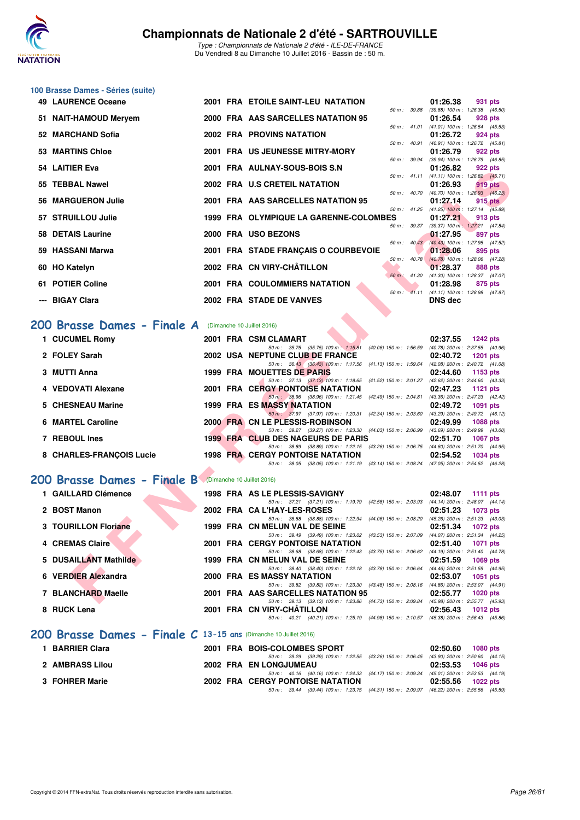

| 100 Brasse Dames - Séries (suite) |  |
|-----------------------------------|--|
| 10   AUDENCE Oceano               |  |

| 49 LAURENCE Oceane          |  | 2001 FRA ETOILE SAINT-LEU NATATION                                                                                                  | 01:26.38<br>931 pts                                                           |
|-----------------------------|--|-------------------------------------------------------------------------------------------------------------------------------------|-------------------------------------------------------------------------------|
| 51 NAIT-HAMOUD Mervem       |  | 2000 FRA AAS SARCELLES NATATION 95                                                                                                  | 50 m: 39.88 (39.88) 100 m: 1:26.38 (46.50)<br>01:26.54<br>928 pts             |
| 52 MARCHAND Sofia           |  | <b>2002 FRA PROVINS NATATION</b>                                                                                                    | 50 m: 41.01 (41.01) 100 m: 1:26.54 (45.53)<br>01:26.72<br>924 pts             |
|                             |  |                                                                                                                                     | 50 m: 40.91 (40.91) 100 m: 1:26.72 (45.81)                                    |
| 53 MARTINS Chloe            |  | 2001 FRA US JEUNESSE MITRY-MORY                                                                                                     | 01:26.79<br>922 pts<br>50 m: 39.94 (39.94) 100 m: 1:26.79 (46.85)             |
| 54 LAITIER Eva              |  | 2001 FRA AULNAY-SOUS-BOIS S.N                                                                                                       | 01:26.82<br>922 pts<br>50 m: 41.11 (41.11) 100 m: 1:26.82 (45.71)             |
| 55 TEBBAL Nawel             |  | 2002 FRA U.S CRETEIL NATATION                                                                                                       | 01:26.93<br>919 pts                                                           |
| 56 MARGUERON Julie          |  | 2001 FRA AAS SARCELLES NATATION 95                                                                                                  | 50 m : 40.70 (40.70) 100 m : 1:26.93 (46.23)<br>01:27.14<br>$915$ pts         |
| 57 STRUILLOU Julie          |  | 50 m: 41.25<br>1999 FRA OLYMPIQUE LA GARENNE-COLOMBES                                                                               | $(41.25)$ 100 m : 1:27.14 $(45.89)$<br>01:27.21<br>913 pts                    |
| 58 DETAIS Laurine           |  | 2000 FRA USO BEZONS                                                                                                                 | 50 m: 39.37 (39.37) 100 m: 1:27.21 (47.84)<br>01:27.95<br>897 pts             |
|                             |  | $50 m$ : $40.43$                                                                                                                    | (40.43) 100 m: 1:27.95 (47.52)                                                |
| 59 HASSANI Marwa            |  | 2001 FRA STADE FRANÇAIS O COURBEVOIE                                                                                                | 01:28.06<br>895 pts<br>50 m : 40.78 (40.78) 100 m : 1:28.06 (47.28)           |
| 60 HO Katelyn               |  | 2002 FRA CN VIRY-CHÂTILLON                                                                                                          | 01:28.37<br>888 pts                                                           |
| 61 POTIER Coline            |  | <b>2001 FRA COULOMMIERS NATATION</b>                                                                                                | $50 \text{ m}$ : 41.30 (41.30) 100 m : 1:28.37 (47.07)<br>01:28.98<br>875 pts |
|                             |  |                                                                                                                                     | 50 m: 41.11 (41.11) 100 m: 1:28.98 (47.87)                                    |
| --- BIGAY Clara             |  | 2002 FRA STADE DE VANVES                                                                                                            | <b>DNS dec</b>                                                                |
| 200 Brasse Dames - Finale A |  | (Dimanche 10 Juillet 2016)                                                                                                          |                                                                               |
| 1 CUCUMEL Romy              |  | 2001 FRA CSM CLAMART                                                                                                                | 02:37.55<br><b>1242 pts</b>                                                   |
|                             |  | 50 m: 35.75 (35.75) 100 m: 1:15.81 (40.06) 150 m: 1:56.59 (40.78) 200 m: 2:37.55 (40.96)                                            |                                                                               |
| 2 FOLEY Sarah               |  | 2002 USA NEPTUNE CLUB DE FRANCE                                                                                                     | 02:40.72<br>1201 pts                                                          |
| 3 MUTTI Anna                |  | 50 m: 36.43 (36.43) 100 m: 1:17.56 (41.13) 150 m: 1:59.64 (42.08) 200 m: 2:40.72 (41.08)<br>1999 FRA MOUETTES DE PARIS              | 02:44.60<br>1153 pts                                                          |
|                             |  | 50 m: 37.13 (37.13) 100 m: 1:18.65 (41.52) 150 m: 2:01.27 (42.62) 200 m: 2:44.60 (43.33)                                            |                                                                               |
| 4 VEDOVATI Alexane          |  | <b>2001 FRA CERGY PONTOISE NATATION</b><br>50 m: 38.96 (38.96) 100 m: 1:21.45 (42.49) 150 m: 2:04.81 (43.36) 200 m: 2:47.23 (42.42) | 02:47.23<br><b>1121 pts</b>                                                   |
| 5 CHESNEAU Marine           |  | <b>1999 FRA ES MASSY NATATION</b>                                                                                                   | 02:49.72<br><b>1091 pts</b>                                                   |
| <b>6 MARTEL Caroline</b>    |  | 50 m: 37.97 (37.97) 100 m: 1:20.31 (42.34) 150 m: 2:03.60 (43.29) 200 m: 2:49.72 (46.12)<br>2000 FRA CN LE PLESSIS-ROBINSON         | 02:49.99<br><b>1088 pts</b>                                                   |
|                             |  | 50 m: 39.27 (39.27) 100 m: 1:23.30 (44.03) 150 m: 2:06.99 (43.69) 200 m: 2:49.99 (43.00)                                            |                                                                               |
| 7 REBOUL Ines               |  | 1999 FRA CLUB DES NAGEURS DE PARIS<br>50 m: 38.89 (38.89) 100 m: 1:22.15 (43.26) 150 m: 2:06.75 (44.60) 200 m: 2:51.70 (44.95)      | 02:51.70<br><b>1067 pts</b>                                                   |
| 8 CHARLES-FRANÇOIS Lucie    |  | <b>1998 FRA CERGY PONTOISE NATATION</b>                                                                                             | 02:54.52<br><b>1034 pts</b>                                                   |
|                             |  | 50 m: 38.05 (38.05) 100 m: 1:21.19 (43.14) 150 m: 2:08.24 (47.05) 200 m: 2:54.52 (46.28)                                            |                                                                               |
| 200 Brasse Dames - Finale B |  | (Dimanche 10 Juillet 2016)                                                                                                          |                                                                               |
| 1 GAILLARD Clémence         |  | 1998 FRA AS LE PLESSIS-SAVIGNY                                                                                                      | 02:48.07<br>1111 $pts$                                                        |
|                             |  | 50 m: 37.21 (37.21) 100 m: 1:19.79 (42.58) 150 m: 2:03.93 (44.14) 200 m: 2:48.07 (44.14)                                            |                                                                               |
| 2 BOST Manon                |  | 2002 FRA CA L'HAY-LES-ROSES<br>50 m: 38.88 (38.88) 100 m: 1:22.94 (44.06) 150 m: 2:08.20 (45.26) 200 m: 2:51.23 (43.03)             | 02:51.23<br><b>1073 pts</b>                                                   |
| 3 TOURILLON Floriane        |  | 1999 FRA CN MELUN VAL DE SEINE                                                                                                      | 02:51.34<br><b>1072 pts</b>                                                   |
| <b>4 CREMAS Claire</b>      |  | 50 m: 39.49 (39.49) 100 m: 1:23.02 (43.53) 150 m: 2:07.09 (44.07) 200 m: 2:51.34 (44.25)<br>2001 FRA CERGY PONTOISE NATATION        | <b>1071 pts</b><br>02:51.40                                                   |
|                             |  | 50 m: 38.68 (38.68) 100 m: 1:22.43 (43.75) 150 m: 2:06.62 (44.19) 200 m: 2:51.40 (44.78)                                            |                                                                               |
| 5 DUSAILLANT Mathilde       |  | 1999 FRA CN MELUN VAL DE SEINE                                                                                                      | 02:51.59<br><b>1069 pts</b>                                                   |
| 6 VERDIER Alexandra         |  | 50 m: 38.40 (38.40) 100 m: 1:22.18 (43.78) 150 m: 2:06.64 (44.46) 200 m: 2:51.59 (44.95)<br>2000 FRA ES MASSY NATATION              | 02:53.07<br><b>1051 pts</b>                                                   |
|                             |  | 50 m: 39.82 (39.82) 100 m: 1:23.30 (43.48) 150 m: 2:08.16 (44.86) 200 m: 2:53.07 (44.91)                                            |                                                                               |
| 7 BLANCHARD Maelle          |  | 2001 FRA AAS SARCELLES NATATION 95<br>50 m : 39.13 (39.13) 100 m : 1:23.86 (44.73) 150 m : 2:09.84 (45.98) 200 m : 2:55.77 (45.93)  | 02:55.77<br><b>1020 pts</b>                                                   |

# [200 Brasse Dames - Finale A](http://www.ffnatation.fr/webffn/resultats.php?idact=nat&go=epr&idcpt=39837&idepr=23) (Dimanche 10 Juillet 2016)

| 1 CUCUMEL Romy           |  | 2001 FRA CSM CLAMART<br>02:37.55                          | $1242$ pts                          |
|--------------------------|--|-----------------------------------------------------------|-------------------------------------|
|                          |  | 50 m: 35.75 (35.75) 100 m: 1:15.81 (40.06) 150 m: 1:56.59 | (40.78) 200 m : 2:37.55 (40.96)     |
| 2 FOLEY Sarah            |  | 2002 USA NEPTUNE CLUB DE FRANCE<br>02:40.72               | 1201 pts                            |
|                          |  | 50 m: 36.43 (36.43) 100 m: 1:17.56 (41.13) 150 m: 1:59.64 | (42.08) 200 m : 2:40.72 (41.08)     |
| 3 MUTTI Anna             |  | 1999 FRA MOUETTES DE PARIS<br>02:44.60                    | 1153 pts                            |
|                          |  | 50 m: 37.13 (37.13) 100 m: 1:18.65 (41.52) 150 m: 2:01.27 | $(42.62)$ 200 m : 2:44.60 $(43.33)$ |
| 4 VEDOVATI Alexane       |  | <b>2001 FRA CERGY PONTOISE NATATION</b><br>02:47.23       | 1121 pts                            |
|                          |  | 50 m: 38.96 (38.96) 100 m: 1:21.45 (42.49) 150 m: 2:04.81 | (43.36) 200 m : 2:47.23 (42.42)     |
| 5 CHESNEAU Marine        |  | <b>1999 FRA ES MASSY NATATION</b><br>02:49.72             | 1091 pts                            |
|                          |  | 50 m: 37.97 (37.97) 100 m: 1:20.31 (42.34) 150 m: 2:03.60 | (43.29) 200 m : 2:49.72 (46.12)     |
| 6 MARTEL Caroline        |  | 2000 FRA CN LE PLESSIS-ROBINSON<br>02:49.99               | 1088 pts                            |
|                          |  | 50 m: 39.27 (39.27) 100 m: 1:23.30 (44.03) 150 m: 2:06.99 | (43.69) 200 m : 2:49.99 (43.00)     |
| 7 REBOUL Ines            |  | 1999 FRA CLUB DES NAGEURS DE PARIS<br>02:51.70            | 1067 pts                            |
|                          |  | 50 m: 38.89 (38.89) 100 m: 1:22.15 (43.26) 150 m: 2:06.75 | $(44.60)$ 200 m : 2:51.70 $(44.95)$ |
| 8 CHARLES-FRANCOIS Lucie |  | <b>1998 FRA CERGY PONTOISE NATATION</b><br>02:54.52       | 1034 pts                            |
|                          |  | 50 m: 38.05 (38.05) 100 m: 1:21.19 (43.14) 150 m: 2:08.24 | (47.05) 200 m : 2:54.52 (46.28)     |

## **[200 Brasse Dames - Finale B](http://www.ffnatation.fr/webffn/resultats.php?idact=nat&go=epr&idcpt=39837&idepr=23)** (Dimanche 10 Juillet 2016)

| 1 GAILLARD Clémence                                                |  | 1998 FRA AS LE PLESSIS-SAVIGNY                               |                                                 | 02:48.07 | 1111 $pts$                          |
|--------------------------------------------------------------------|--|--------------------------------------------------------------|-------------------------------------------------|----------|-------------------------------------|
|                                                                    |  | 50 m: 37.21 (37.21) 100 m: 1:19.79 (42.58) 150 m: 2:03.93    |                                                 |          | (44.14) 200 m : 2:48.07 (44.14)     |
| 2 BOST Manon                                                       |  | 2002 FRA CA L'HAY-LES-ROSES                                  |                                                 | 02:51.23 | 1073 pts                            |
|                                                                    |  | 50 m : 38.88                                                 | (38.88) 100 m : 1:22.94 (44.06) 150 m : 2:08.20 |          | $(45.26)$ 200 m : 2:51.23 $(43.03)$ |
| 3 TOURILLON Floriane                                               |  | 1999 FRA CN MELUN VAL DE SEINE                               |                                                 | 02:51.34 | 1072 pts                            |
|                                                                    |  | 50 m : 39.49 (39.49) 100 m : 1:23.02 (43.53) 150 m : 2:07.09 |                                                 |          | $(44.07)$ 200 m : 2:51.34 $(44.25)$ |
| 4 CREMAS Claire                                                    |  | <b>2001 FRA CERGY PONTOISE NATATION</b>                      |                                                 | 02:51.40 | 1071 pts                            |
|                                                                    |  | 50 m: 38.68 (38.68) 100 m: 1:22.43                           | (43.75) 150 m : 2:06.62                         |          | (44.19) 200 m : 2:51.40 (44.78)     |
| 5 DUSAILLANT Mathilde                                              |  | 1999 FRA CN MELUN VAL DE SEINE                               |                                                 | 02:51.59 | <b>1069 pts</b>                     |
|                                                                    |  | 50 m: 38.40 (38.40) 100 m: 1:22.18 (43.78) 150 m: 2:06.64    |                                                 |          | $(44.46)$ 200 m : 2:51.59 $(44.95)$ |
| 6 VERDIER Alexandra                                                |  | 2000 FRA ES MASSY NATATION                                   |                                                 | 02:53.07 | $1051$ pts                          |
|                                                                    |  | 50 m : 39.82 (39.82) 100 m : 1:23.30 (43.48) 150 m : 2:08.16 |                                                 |          | (44.86) 200 m : 2:53.07 (44.91)     |
| 7 BLANCHARD Maelle                                                 |  | 2001 FRA AAS SARCELLES NATATION 95                           |                                                 | 02:55.77 | $1020$ pts                          |
|                                                                    |  | 50 m : 39.13 (39.13) 100 m : 1:23.86 (44.73) 150 m : 2:09.84 |                                                 |          | $(45.98)$ 200 m : 2:55.77 $(45.93)$ |
| 8 RUCK Lena                                                        |  | 2001 FRA CN VIRY-CHATILLON                                   |                                                 | 02:56.43 | 1012 pts                            |
|                                                                    |  | $50 \text{ m}$ : $40.21$                                     | (40.21) 100 m : 1:25.19 (44.98) 150 m : 2:10.57 |          | $(45.38)$ 200 m : 2:56.43 $(45.86)$ |
| 200 Brasse Dames - Finale $C$ 13-15 ans (Dimanche 10 Juillet 2016) |  |                                                              |                                                 |          |                                     |
| <b>4 DADDIED Class</b>                                             |  | 2001 EDA BOIC COLOMBEC CROPT                                 |                                                 | 00.EO CO | $1000 - 1$                          |

| 1 BARRIER Clara | 2001 FRA BOIS-COLOMBES SPORT                                                                |                   | 02:50.60 1080 pts   |
|-----------------|---------------------------------------------------------------------------------------------|-------------------|---------------------|
|                 | 50 m : 39.29 (39.29) 100 m : 1:22.55 (43.26) 150 m : 2:06.45 (43.90) 200 m : 2:50.60 (44.15 |                   |                     |
| 2 AMBRASS Lilou | 2002 FRA EN LONGJUMEAU                                                                      |                   | $02:53.53$ 1046 pts |
|                 | 50 m : 40.16 (40.16) 100 m : 1:24.33 (44.17) 150 m : 2:09.34 (45.01) 200 m : 2:53.53 (44.19 |                   |                     |
| 3 FOHRER Marie  | <b>2002 FRA CERGY PONTOISE NATATION</b>                                                     | 02:55.56 1022 pts |                     |
|                 | 50 m : 39.44 (39.44) 100 m : 1:23.75 (44.31) 150 m : 2:09.97 (46.22) 200 m : 2:55.56 (45.59 |                   |                     |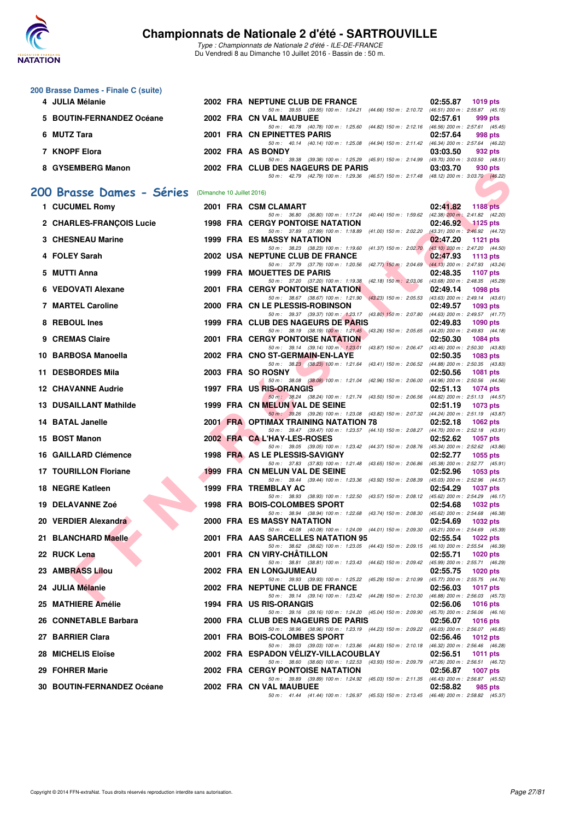

|   | 200 Brasse Dames - Finale C (suite) |                            |                                                                                                                                          |                                                                |
|---|-------------------------------------|----------------------------|------------------------------------------------------------------------------------------------------------------------------------------|----------------------------------------------------------------|
|   | 4 JULIA Mélanie                     |                            | 2002 FRA NEPTUNE CLUB DE FRANCE<br>50 m: 39.55 (39.55) 100 m: 1:24.21 (44.66) 150 m: 2:10.72 (46.51) 200 m: 2:55.87 (45.15)              | 02:55.87<br><b>1019 pts</b>                                    |
|   | <b>BOUTIN-FERNANDEZ Océane</b>      |                            | 2002 FRA CN VAL MAUBUEE                                                                                                                  | 02:57.61<br>999 pts                                            |
|   | 6 MUTZ Tara                         |                            | 50 m: 40.78 (40.78) 100 m: 1:25.60 (44.82) 150 m: 2:12.16 (46.56) 200 m: 2:57.61 (45.45)<br>2001 FRA CN EPINETTES PARIS                  | 02:57.64<br>998 pts                                            |
|   | 7 KNOPF Elora                       |                            | 50 m: 40.14 (40.14) 100 m: 1:25.08 (44.94) 150 m: 2:11.42 (46.34) 200 m: 2:57.64 (46.22)<br>2002 FRA AS BONDY                            | 03:03.50<br>932 pts                                            |
|   | 8 GYSEMBERG Manon                   |                            | 50 m: 39.38 (39.38) 100 m: 1:25.29 (45.91) 150 m: 2:14.99 (49.70) 200 m: 3:03.50 (48.51)<br>2002 FRA CLUB DES NAGEURS DE PARIS           | 03:03.70<br>930 pts                                            |
|   |                                     |                            | 50 m: 42.79 (42.79) 100 m: 1:29.36 (46.57) 150 m: 2:17.48 (48.12) 200 m: 3:03.70 (46.22)                                                 |                                                                |
|   | 200 Brasse Dames - Séries           | (Dimanche 10 Juillet 2016) |                                                                                                                                          |                                                                |
|   | 1 CUCUMEL Romy                      |                            | 2001 FRA CSM CLAMART                                                                                                                     | 02:41.82<br><b>1188 pts</b>                                    |
|   | 2 CHARLES-FRANÇOIS Lucie            |                            | 50 m: 36.80 (36.80) 100 m: 1:17.24 (40.44) 150 m: 1:59.62 (42.38) 200 m: 2:41.82 (42.20)<br><b>1998 FRA CERGY PONTOISE NATATION</b>      | 02:46.92<br>$1125$ pts                                         |
|   | 3 CHESNEAU Marine                   |                            | 50 m: 37.89 (37.89) 100 m: 1:18.89 (41.00) 150 m: 2:02.20 (43.31) 200 m: 2:46.92 (44.72)<br><b>1999 FRA ES MASSY NATATION</b>            | 02:47.20<br><b>1121 pts</b>                                    |
|   | 4 FOLEY Sarah                       |                            | 50 m: 38.23 (38.23) 100 m: 1:19.60 (41.37) 150 m: 2:02.70 (43.10) 200 m: 2:47.20 (44.50)<br>2002 USA NEPTUNE CLUB DE FRANCE              | 02:47.93<br>1113 $pts$                                         |
| 5 | MUTTI Anna                          |                            | 50 m: 37.79 (37.79) 100 m: 1:20.56 (42.77) 150 m: 2:04.69 (44.13) 200 m: 2:47.93 (43.24)<br>1999 FRA MOUETTES DE PARIS                   | 02:48.35<br>1107 pts                                           |
|   | 6 VEDOVATI Alexane                  |                            | 50 m: 37.20 (37.20) 100 m: 1:19.38 (42.18) 150 m: 2:03.06 (43.68) 200 m: 2:48.35 (45.29)<br><b>2001 FRA CERGY PONTOISE NATATION</b>      | 02:49.14<br><b>1098 pts</b>                                    |
|   | <b>7 MARTEL Caroline</b>            |                            | 50 m: 38.67 (38.67) 100 m: 1:21.90 (43.23) 150 m: 2:05.53 (43.63) 200 m: 2:49.14 (43.61)<br>2000 FRA CN LE PLESSIS-ROBINSON              | 02:49.57<br>1093 pts                                           |
|   | 8 REBOUL Ines                       |                            | 50 m: 39.37 (39.37) 100 m: 1:23.17 (43.80) 150 m: 2:07.80 (44.63) 200 m: 2:49.57 (41.77)                                                 |                                                                |
|   |                                     |                            | 1999 FRA CLUB DES NAGEURS DE PARIS<br>50 m: 38.19 (38.19) 100 m: 1:21.45 (43.26) 150 m: 2:05.65 (44.20) 200 m: 2:49.83 (44.18)           | 02:49.83<br><b>1090 pts</b>                                    |
|   | 9 CREMAS Claire                     |                            | <b>2001 FRA CERGY PONTOISE NATATION</b><br>50 m: 39.14 (39.14) 100 m: 1:23.01 (43.87) 150 m: 2:06.47 (43.46) 200 m: 2:50.30 (43.83)      | 02:50.30<br><b>1084 pts</b>                                    |
|   | 10 BARBOSA Manoella                 |                            | 2002 FRA CNO ST-GERMAIN-EN-LAYE<br>50 m: 38.23 (38.23) 100 m: 1:21.64 (43.41) 150 m: 2:06.52 (44.88) 200 m: 2:50.35 (43.83)              | 02:50.35<br>1083 pts                                           |
|   | 11 DESBORDES Mila                   |                            | 2003 FRA SO ROSNY<br>50 m: 38.08 (38.08) 100 m: 1:21.04 (42.96) 150 m: 2:06.00                                                           | 02:50.56<br><b>1081 pts</b><br>(44.96) 200 m : 2:50.56 (44.56) |
|   | <b>12 CHAVANNE Audrie</b>           |                            | 1997 FRA US RIS-ORANGIS<br>50 m: 38.24 (38.24) 100 m: 1:21.74 (43.50) 150 m: 2:06.56 (44.82) 200 m: 2:51.13 (44.57)                      | 02:51.13<br><b>1074 pts</b>                                    |
|   | <b>13 DUSAILLANT Mathilde</b>       |                            | 1999 FRA CN MELUN VAL DE SEINE                                                                                                           | 02:51.19<br><b>1073 pts</b>                                    |
|   | 14 BATAL Janelle                    |                            | 50 m: 39.26 (39.26) 100 m: 1:23.08 (43.82) 150 m: 2:07.32 (44.24) 200 m: 2:51.19 (43.87)<br><b>2001 FRA OPTIMAX TRAINING NATATION 78</b> | 02:52.18<br><b>1062 pts</b>                                    |
|   | 15 BOST Manon                       |                            | 50 m: 39.47 (39.47) 100 m: 1:23.57 (44.10) 150 m: 2:08.27 (44.70) 200 m: 2:52.18 (43.91)<br>2002 FRA CAL'HAY-LES-ROSES                   | 02:52.62<br><b>1057 pts</b>                                    |
|   | 16 GAILLARD Clémence                |                            | 50 m: 39.05 (39.05) 100 m: 1:23.42 (44.37) 150 m: 2:08.76 (45.34) 200 m: 2:52.62 (43.86)<br>1998 FRA AS LE PLESSIS-SAVIGNY               | 02:52.77<br>1055 pts                                           |
|   | <b>17 TOURILLON Floriane</b>        |                            | 50 m: 37.83 (37.83) 100 m: 1:21.48 (43.65) 150 m: 2:06.86 (45.38) 200 m: 2:52.77 (45.91)<br>1999 FRA CN MELUN VAL DE SEINE               | 02:52.96<br>1053 pts                                           |
|   | 18 NEGRE Katleen                    |                            | 50 m: 39.44 (39.44) 100 m: 1:23.36 (43.92) 150 m: 2:08.39 (45.03) 200 m: 2:52.96 (44.57)<br>1999 FRA TREMBLAY AC                         | 02:54.29<br><b>1037 pts</b>                                    |
|   | 19 DELAVANNE Zoé                    |                            | 50 m: 38.93 (38.93) 100 m: 1:22.50 (43.57) 150 m: 2:08.12 (45.62) 200 m: 2:54.29 (46.17)<br>1998 FRA BOIS-COLOMBES SPORT                 | 02:54.68                                                       |
|   |                                     |                            | 50 m: 38.94 (38.94) 100 m: 1:22.68 (43.74) 150 m: 2:08.30 (45.62) 200 m: 2:54.68 (46.38)                                                 | <b>1032 pts</b>                                                |
|   | 20 VERDIER Alexandra                |                            | 2000 FRA ES MASSY NATATION<br>50 m: 40.08 (40.08) 100 m: 1:24.09 (44.01) 150 m: 2:09.30 (45.21) 200 m: 2:54.69 (45.39)                   | 02:54.69<br>1032 pts                                           |
|   | 21 BLANCHARD Maelle                 |                            | 2001 FRA AAS SARCELLES NATATION 95<br>50 m: 38.62 (38.62) 100 m: 1:23.05 (44.43) 150 m: 2:09.15 (46.10) 200 m: 2:55.54 (46.39)           | 02:55.54<br>1022 pts                                           |
|   | 22 RUCK Lena                        |                            | 2001 FRA CN VIRY-CHATILLON<br>50 m: 38.81 (38.81) 100 m: 1:23.43 (44.62) 150 m: 2:09.42 (45.99) 200 m: 2:55.71 (46.29)                   | 02:55.71<br>1020 pts                                           |
|   | 23 AMBRASS Lilou                    |                            | 2002 FRA EN LONGJUMEAU<br>50 m: 39.93 (39.93) 100 m: 1:25.22 (45.29) 150 m: 2:10.99 (45.77) 200 m: 2:55.75 (44.76)                       | 02:55.75<br>1020 pts                                           |
|   | 24 JULIA Mélanie                    |                            | 2002 FRA NEPTUNE CLUB DE FRANCE<br>50 m: 39.14 (39.14) 100 m: 1:23.42 (44.28) 150 m: 2:10.30 (46.88) 200 m: 2:56.03 (45.73)              | 02:56.03<br><b>1017 pts</b>                                    |
|   | 25 MATHIERE Amélie                  |                            | 1994 FRA US RIS-ORANGIS                                                                                                                  | 02:56.06<br>1016 pts                                           |
|   | 26 CONNETABLE Barbara               |                            | 50 m: 39.16 (39.16) 100 m: 1:24.20 (45.04) 150 m: 2:09.90 (45.70) 200 m: 2:56.06 (46.16)<br>2000 FRA CLUB DES NAGEURS DE PARIS           | 02:56.07<br><b>1016 pts</b>                                    |
|   | 27 BARRIER Clara                    |                            | 50 m: 38.96 (38.96) 100 m: 1:23.19 (44.23) 150 m: 2:09.22 (46.03) 200 m: 2:56.07 (46.85)<br>2001 FRA BOIS-COLOMBES SPORT                 | 02:56.46<br><b>1012 pts</b>                                    |
|   | 28 MICHELIS Eloïse                  |                            | 50 m: 39.03 (39.03) 100 m: 1:23.86 (44.83) 150 m: 2:10.18 (46.32) 200 m: 2:56.46 (46.28)<br>2002 FRA ESPADON VELIZY-VILLACOUBLAY         | 02:56.51<br>1011 pts                                           |
|   | 29 FOHRER Marie                     |                            | 50 m: 38.60 (38.60) 100 m: 1:22.53 (43.93) 150 m: 2:09.79 (47.26) 200 m: 2:56.51 (46.72)<br>2002 FRA CERGY PONTOISE NATATION             | 02:56.87<br><b>1007 pts</b>                                    |
|   |                                     |                            | 50 m: 39.89 (39.89) 100 m: 1:24.92 (45.03) 150 m: 2:11.35 (46.43) 200 m: 2:56.87 (45.52)                                                 |                                                                |
|   | 30 BOUTIN-FERNANDEZ Océane          |                            | 2002 FRA CN VAL MAUBUEE<br>50 m: 41.44 (41.44) 100 m: 1:26.97 (45.53) 150 m: 2:13.45 (46.48) 200 m: 2:58.82 (45.37)                      | 02:58.82<br>985 pts                                            |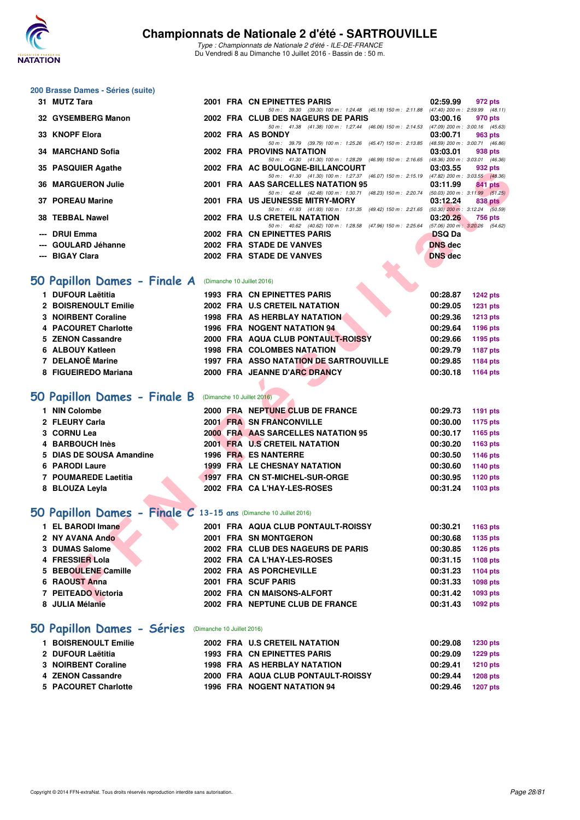

Type : Championnats de Nationale 2 d'été - ILE-DE-FRANCE Du Vendredi 8 au Dimanche 10 Juillet 2016 - Bassin de : 50 m.

#### **200 Brasse Dames - Séries (suite)**

| 31 MUTZ Tara                                                             |  | 2001 FRA CN EPINETTES PARIS                                                                                                    | 02:59.99             | 972 pts                           |
|--------------------------------------------------------------------------|--|--------------------------------------------------------------------------------------------------------------------------------|----------------------|-----------------------------------|
| 32 GYSEMBERG Manon                                                       |  | 50 m: 39.30 (39.30) 100 m: 1:24.48 (45.18) 150 m: 2:11.88 (47.40) 200 m: 2:59.99 (48.11)<br>2002 FRA CLUB DES NAGEURS DE PARIS | 03:00.16             | 970 pts                           |
|                                                                          |  | 50 m: 41.38 (41.38) 100 m: 1:27.44 (46.06) 150 m: 2:14.53 (47.09) 200 m: 3:00.16 (45.63)                                       |                      |                                   |
| 33 KNOPF Elora                                                           |  | 2002 FRA AS BONDY<br>50 m: 39.79 (39.79) 100 m: 1:25.26 (45.47) 150 m: 2:13.85 (48.59) 200 m: 3:00.71 (46.86)                  | 03:00.71             | 963 pts                           |
| 34 MARCHAND Sofia                                                        |  | <b>2002 FRA PROVINS NATATION</b>                                                                                               | 03:03.01             | 938 pts                           |
| 35 PASQUIER Agathe                                                       |  | 50 m: 41.30 (41.30) 100 m: 1:28.29 (46.99) 150 m: 2:16.65 (48.36) 200 m: 3:03.01 (46.36)<br>2002 FRA AC BOULOGNE-BILLANCOURT   | 03:03.55             | 932 pts                           |
| <b>36 MARGUERON Julie</b>                                                |  | 50 m: 41.30 (41.30) 100 m: 1:27.37 (46.07) 150 m: 2:15.19 (47.82) 200 m: 3:03.55 (48.36)<br>2001 FRA AAS SARCELLES NATATION 95 | 03:11.99             | <b>841 pts</b>                    |
|                                                                          |  | 50 m: 42.48 (42.48) 100 m: 1:30.71 (48.23) 150 m: 2:20.74 (50.03) 200 m: 3:11.99 (51.25)                                       |                      |                                   |
| 37 POREAU Marine                                                         |  | 2001 FRA US JEUNESSE MITRY-MORY<br>50 m: 41.93 (41.93) 100 m: 1:31.35 (49.42) 150 m: 2:21.65 (50.30) 200 m: 3:12.24 (50.59)    | 03:12.24             | 838 pts                           |
| 38 TEBBAL Nawel                                                          |  | 2002 FRA U.S CRETEIL NATATION<br>50 m: 40.62 (40.62) 100 m: 1:28.58 (47.96) 150 m: 2:25.64 (57.06) 200 m: 3:20.26 (54.62)      | 03:20.26             | 756 pts                           |
| --- DRUI Emma                                                            |  | 2002 FRA CN EPINETTES PARIS                                                                                                    | <b>DSQ Da</b>        |                                   |
| --- GOULARD Jéhanne                                                      |  | 2002 FRA STADE DE VANVES                                                                                                       | <b>DNS</b> dec       |                                   |
| --- BIGAY Clara                                                          |  | 2002 FRA STADE DE VANVES                                                                                                       | <b>DNS</b> dec       |                                   |
|                                                                          |  |                                                                                                                                |                      |                                   |
| <b>iO Papillon Dames - Finale A</b> (Dimanche 10 Juillet 2016)           |  |                                                                                                                                |                      |                                   |
| 1 DUFOUR Laëtitia                                                        |  | 1993 FRA CN EPINETTES PARIS                                                                                                    | 00:28.87             | <b>1242 pts</b>                   |
| 2 BOISRENOULT Emilie                                                     |  | 2002 FRA U.S CRETEIL NATATION                                                                                                  | 00:29.05             | <b>1231 pts</b>                   |
| 3 NOIRBENT Coraline                                                      |  | 1998 FRA AS HERBLAY NATATION                                                                                                   | 00:29.36             | <b>1213 pts</b>                   |
| 4 PACOURET Charlotte                                                     |  | <b>1996 FRA NOGENT NATATION 94</b>                                                                                             | 00:29.64             | 1196 pts                          |
| 5 ZENON Cassandre                                                        |  | 2000 FRA AQUA CLUB PONTAULT-ROISSY                                                                                             | 00:29.66             | 1195 pts                          |
| 6 ALBOUY Katleen                                                         |  | <b>1998 FRA COLOMBES NATATION</b>                                                                                              | 00:29.79             | 1187 pts                          |
| 7 DELANOË Marine                                                         |  | <b>1997 FRA ASSO NATATION DE SARTROUVILLE</b>                                                                                  | 00:29.85             | 1184 pts                          |
| 8 FIGUEIREDO Mariana                                                     |  | 2000 FRA JEANNE D'ARC DRANCY                                                                                                   | 00:30.18             | 1164 pts                          |
|                                                                          |  |                                                                                                                                |                      |                                   |
| <b>iO Papillon Dames - Finale B</b> (Dimanche 10 Juillet 2016)           |  |                                                                                                                                |                      |                                   |
| 1 NIN Colombe                                                            |  | 2000 FRA NEPTUNE CLUB DE FRANCE                                                                                                | 00:29.73             | 1191 pts                          |
| 2 FLEURY Carla                                                           |  | 2001 FRA SN FRANCONVILLE                                                                                                       | 00:30.00             | <b>1175 pts</b>                   |
| 3 CORNU Lea                                                              |  | 2000 FRA AAS SARCELLES NATATION 95                                                                                             | 00:30.17             | 1165 pts                          |
| 4 BARBOUCH Inès                                                          |  | 2001 FRA U.S CRETEIL NATATION                                                                                                  | 00:30.20             | 1163 pts                          |
| 5 DIAS DE SOUSA Amandine                                                 |  | 1996 FRA ES NANTERRE                                                                                                           | 00:30.50             | 1146 pts                          |
| 6 PARODI Laure                                                           |  | 1999 FRA LE CHESNAY NATATION                                                                                                   | 00:30.60             | <b>1140 pts</b>                   |
| 7 POUMAREDE Laetitia                                                     |  | 1997 FRA CN ST-MICHEL-SUR-ORGE                                                                                                 | 00:30.95             | 1120 pts                          |
| 8 BLOUZA Leyla                                                           |  | 2002 FRA CA L'HAY-LES-ROSES                                                                                                    | 00:31.24             | 1103 pts                          |
|                                                                          |  |                                                                                                                                |                      |                                   |
| <b>10 Papillon Dames - Finale C 13-15 ans (Dimanche 10 Juillet 2016)</b> |  |                                                                                                                                |                      |                                   |
| 1 EL BARODI Imane                                                        |  | 2001 FRA AQUA CLUB PONTAULT-ROISSY                                                                                             | 00:30.21             | 1163 pts                          |
| 2 NY AVANA Ando                                                          |  | 2001 FRA SN MONTGERON                                                                                                          | 00:30.68             | 1135 pts                          |
| 3 DUMAS Salome                                                           |  | 2002 FRA CLUB DES NAGEURS DE PARIS                                                                                             | 00:30.85             | 1126 pts                          |
| 4 FRESSIER Lola                                                          |  | 2002 FRA CA L'HAY-LES-ROSES                                                                                                    | 00:31.15             | 1108 pts                          |
| 5 BEBOULENE Camille                                                      |  | 2002 FRA AS PORCHEVILLE                                                                                                        | 00:31.23             | 1104 pts                          |
| 6 RAOUST Anna                                                            |  | 2001 FRA SCUF PARIS                                                                                                            | 00:31.33             | <b>1098 pts</b>                   |
| 7 PEITEADO Victoria<br><b>ILILIA MAGAZIA</b>                             |  | 2002 FRA CN MAISONS-ALFORT<br>0000 FBA NEBTUNE OLUB BE FRANCE                                                                  | 00:31.42<br>00.01.00 | 1093 pts<br>$\sim$ 4000 $\sim$ 45 |
|                                                                          |  |                                                                                                                                |                      |                                   |

## **[50 Papillon Dames - Finale A](http://www.ffnatation.fr/webffn/resultats.php?idact=nat&go=epr&idcpt=39837&idepr=31)** (Dimanche 10 Juillet 2016)

| 1 DUFOUR Laëtitia    |  | <b>1993 FRA CN EPINETTES PARIS</b>            | 00:28.87 | <b>1242 pts</b> |
|----------------------|--|-----------------------------------------------|----------|-----------------|
| 2 BOISRENOULT Emilie |  | 2002 FRA U.S CRETEIL NATATION                 | 00:29.05 | <b>1231 pts</b> |
| 3 NOIRBENT Coraline  |  | <b>1998 FRA AS HERBLAY NATATION</b>           | 00:29.36 | 1213 pts        |
| 4 PACOURET Charlotte |  | 1996 FRA NOGENT NATATION 94                   | 00:29.64 | 1196 pts        |
| 5 ZENON Cassandre    |  | 2000 FRA AQUA CLUB PONTAULT-ROISSY            | 00:29.66 | 1195 pts        |
| 6 ALBOUY Katleen     |  | <b>1998 FRA COLOMBES NATATION</b>             | 00:29.79 | 1187 pts        |
| 7 DELANOË Marine     |  | <b>1997 FRA ASSO NATATION DE SARTROUVILLE</b> | 00:29.85 | 1184 pts        |
| 8 FIGUEIREDO Mariana |  | 2000 FRA JEANNE D'ARC DRANCY                  | 00:30.18 | 1164 pts        |

## **[50 Papillon Dames - Finale B](http://www.ffnatation.fr/webffn/resultats.php?idact=nat&go=epr&idcpt=39837&idepr=31)** (Dimanche 10 Juillet 2016)

| 1 NIN Colombe            |  | 2000 FRA NEPTUNE CLUB DE FRANCE    | 00:29.73 | 1191 pts |
|--------------------------|--|------------------------------------|----------|----------|
| 2 FLEURY Carla           |  | 2001 FRA SN FRANCONVILLE           | 00:30.00 | 1175 pts |
| 3 CORNU Lea              |  | 2000 FRA AAS SARCELLES NATATION 95 | 00:30.17 | 1165 pts |
| 4 BARBOUCH Inès          |  | 2001 FRA U.S CRETEIL NATATION      | 00:30.20 | 1163 pts |
| 5 DIAS DE SOUSA Amandine |  | 1996 FRA ES NANTERRE               | 00:30.50 | 1146 pts |
| 6 PARODI Laure           |  | 1999 FRA LE CHESNAY NATATION       | 00:30.60 | 1140 pts |
| 7 POUMAREDE Laetitia     |  | 1997 FRA CN ST-MICHEL-SUR-ORGE     | 00:30.95 | 1120 pts |
| 8 BLOUZA Leyla           |  | 2002 FRA CAL'HAY-LES-ROSES         | 00:31.24 | 1103 pts |

## **[50 Papillon Dames - Finale C](http://www.ffnatation.fr/webffn/resultats.php?idact=nat&go=epr&idcpt=39837&idepr=31) 13-15 ans** (Dimanche 10 Juillet 2016)

| 1 EL BARODI Imane   |  | 2001 FRA AQUA CLUB PONTAULT-ROISSY | 00:30.21 | 1163 pts |
|---------------------|--|------------------------------------|----------|----------|
| 2 NY AVANA Ando     |  | 2001 FRA SN MONTGERON              | 00:30.68 | 1135 pts |
| 3 DUMAS Salome      |  | 2002 FRA CLUB DES NAGEURS DE PARIS | 00:30.85 | 1126 pts |
| 4 FRESSIER Lola     |  | 2002 FRA CA L'HAY-LES-ROSES        | 00:31.15 | 1108 pts |
| 5 BEBOULENE Camille |  | 2002 FRA AS PORCHEVILLE            | 00:31.23 | 1104 pts |
| 6 RAOUST Anna       |  | 2001 FRA SCUF PARIS                | 00:31.33 | 1098 pts |
| 7 PEITEADO Victoria |  | 2002 FRA CN MAISONS-ALFORT         | 00:31.42 | 1093 pts |
| 8 JULIA Mélanie     |  | 2002 FRA NEPTUNE CLUB DE FRANCE    | 00:31.43 | 1092 pts |
|                     |  |                                    |          |          |

## **[50 Papillon Dames - Séries](http://www.ffnatation.fr/webffn/resultats.php?idact=nat&go=epr&idcpt=39837&idepr=31)** (Dimanche 10 Juillet 2016)

| 1 BOISRENOULT Emilie |  | 2002 FRA U.S CRETEIL NATATION       | 00:29.08          | 1230 pts |
|----------------------|--|-------------------------------------|-------------------|----------|
| 2 DUFOUR Laëtitia    |  | <b>1993 FRA CN EPINETTES PARIS</b>  | 00:29.09          | 1229 pts |
| 3 NOIRBENT Coraline  |  | <b>1998 FRA AS HERBLAY NATATION</b> | 00:29.41          | 1210 pts |
| 4 ZENON Cassandre    |  | 2000 FRA AQUA CLUB PONTAULT-ROISSY  | 00:29.44          | 1208 pts |
| 5 PACOURET Charlotte |  | 1996 FRA NOGENT NATATION 94         | 00:29.46 1207 pts |          |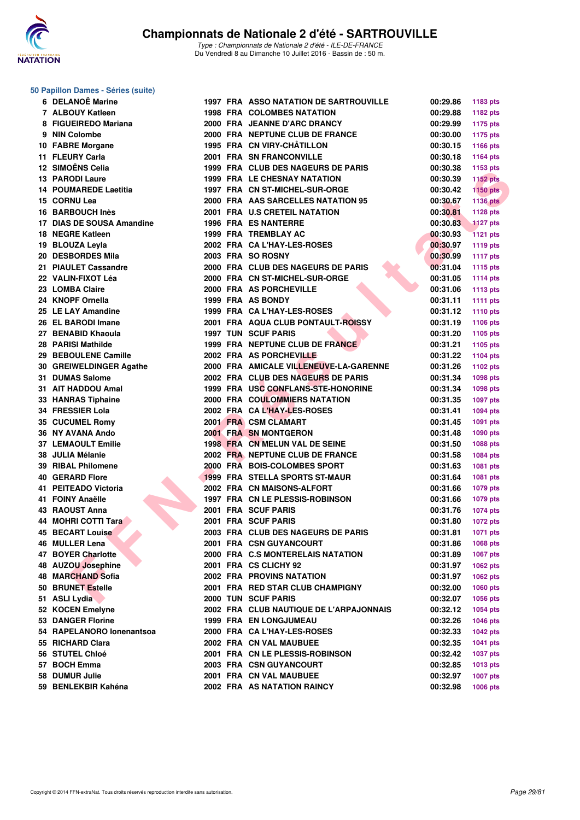

### **50 Papillon Dames - Séries (suite)**

| 6 DELANOË Marine          |  | <b>1997 FRA ASSO NATATION DE SARTROUVILLE</b> | 00:29.86             | 1183 pts        |
|---------------------------|--|-----------------------------------------------|----------------------|-----------------|
| 7 ALBOUY Katleen          |  | <b>1998 FRA COLOMBES NATATION</b>             | 00:29.88             | 1182 pts        |
| 8 FIGUEIREDO Mariana      |  | 2000 FRA JEANNE D'ARC DRANCY                  | 00:29.99             | 1175 pts        |
| 9 NIN Colombe             |  | 2000 FRA NEPTUNE CLUB DE FRANCE               | 00:30.00             | <b>1175 pts</b> |
| 10 FABRE Morgane          |  | 1995 FRA CN VIRY-CHÂTILLON                    | 00:30.15             | 1166 pts        |
| 11 FLEURY Carla           |  | 2001 FRA SN FRANCONVILLE                      | 00:30.18             | 1164 pts        |
| 12 SIMOËNS Celia          |  | 1999 FRA CLUB DES NAGEURS DE PARIS            | 00:30.38             | 1153 pts        |
| <b>13 PARODI Laure</b>    |  | 1999 FRA LE CHESNAY NATATION                  | 00:30.39             | <b>1152 pts</b> |
| 14 POUMAREDE Laetitia     |  | 1997 FRA CN ST-MICHEL-SUR-ORGE                | 00:30.42             | <b>1150 pts</b> |
| 15 CORNU Lea              |  | 2000 FRA AAS SARCELLES NATATION 95            | 00:30.67             | <b>1136 pts</b> |
| 16 BARBOUCH Inès          |  | 2001 FRA U.S CRETEIL NATATION                 | 00:30.81             | 1128 pts        |
| 17 DIAS DE SOUSA Amandine |  | <b>1996 FRA ES NANTERRE</b>                   | 00:30.83             | <b>1127 pts</b> |
| 18 NEGRE Katleen          |  | 1999 FRA TREMBLAY AC                          | 00:30.93             | <b>1121 pts</b> |
| 19 BLOUZA Leyla           |  | 2002 FRA CA L'HAY-LES-ROSES                   | 00:30.97             | <b>1119 pts</b> |
| 20 DESBORDES Mila         |  | 2003 FRA SO ROSNY                             | 00:30.99             | <b>1117 pts</b> |
| 21 PIAULET Cassandre      |  | 2000 FRA CLUB DES NAGEURS DE PARIS            | 00:31.04             | <b>1115 pts</b> |
| 22 VALIN-FIXOT Léa        |  | 2000 FRA CN ST-MICHEL-SUR-ORGE                | 00:31.05             | <b>1114 pts</b> |
| 23 LOMBA Claire           |  | 2000 FRA AS PORCHEVILLE                       | 00:31.06             | 1113 pts        |
| 24 KNOPF Ornella          |  | 1999 FRA AS BONDY                             | 00:31.11             | <b>1111 pts</b> |
| 25 LE LAY Amandine        |  | 1999 FRA CA L'HAY-LES-ROSES                   | 00:31.12             | 1110 pts        |
| 26 EL BARODI Imane        |  | 2001 FRA AQUA CLUB PONTAULT-ROISSY            | 00:31.19             | <b>1106 pts</b> |
| 27 BENABID Khaoula        |  | <b>1997 TUN SCUF PARIS</b>                    | 00:31.20             |                 |
| 28 PARISI Mathilde        |  | 1999 FRA NEPTUNE CLUB DE FRANCE               | 00:31.21             | 1105 pts        |
| 29 BEBOULENE Camille      |  | 2002 FRA AS PORCHEVILLE                       | 00:31.22             | 1105 pts        |
|                           |  | 2000 FRA AMICALE VILLENEUVE-LA-GARENNE        |                      | <b>1104 pts</b> |
| 30 GREIWELDINGER Agathe   |  | 2002 FRA CLUB DES NAGEURS DE PARIS            | 00:31.26<br>00:31.34 | 1102 pts        |
| 31 DUMAS Salome           |  |                                               |                      | 1098 pts        |
| 31 AIT HADDOU Amal        |  | 1999 FRA USC CONFLANS-STE-HONORINE            | 00:31.34             | 1098 pts        |
| 33 HANRAS Tiphaine        |  | <b>2000 FRA COULOMMIERS NATATION</b>          | 00:31.35             | 1097 pts        |
| 34 FRESSIER Lola          |  | 2002 FRA CAL'HAY-LES-ROSES                    | 00:31.41             | 1094 pts        |
| 35 CUCUMEL Romy           |  | 2001 FRA CSM CLAMART                          | 00:31.45             | 1091 pts        |
| 36 NY AVANA Ando          |  | 2001 FRA SN MONTGERON                         | 00:31.48             | 1090 pts        |
| <b>37 LEMAOULT Emilie</b> |  | 1998 FRA CN MELUN VAL DE SEINE                | 00:31.50             | 1088 pts        |
| 38 JULIA Mélanie          |  | 2002 FRA NEPTUNE CLUB DE FRANCE               | 00:31.58             | 1084 pts        |
| 39 RIBAL Philomene        |  | 2000 FRA BOIS-COLOMBES SPORT                  | 00:31.63             | 1081 pts        |
| <b>40 GERARD Flore</b>    |  | 1999 FRA STELLA SPORTS ST-MAUR                | 00:31.64             | 1081 pts        |
| 41 PEITEADO Victoria      |  | 2002 FRA CN MAISONS-ALFORT                    | 00:31.66             | <b>1079 pts</b> |
| 41 FOINY Anaëlle          |  | 1997 FRA CN LE PLESSIS-ROBINSON               | 00:31.66             | <b>1079 pts</b> |
| 43 RAOUST Anna            |  | 2001 FRA SCUF PARIS                           | 00:31.76             | 1074 pts        |
| 44 MOHRI COTTI Tara       |  | 2001 FRA SCUF PARIS                           | 00:31.80             | <b>1072 pts</b> |
| <b>45 BECART Louise</b>   |  | 2003 FRA CLUB DES NAGEURS DE PARIS            | 00:31.81             | <b>1071 pts</b> |
| 46 MULLER Lena            |  | 2001 FRA CSN GUYANCOURT                       | 00:31.86             | 1068 pts        |
| 47 BOYER Charlotte        |  | 2000 FRA C.S MONTERELAIS NATATION             | 00:31.89             | <b>1067 pts</b> |
| 48 AUZOU Josephine        |  | 2001 FRA CS CLICHY 92                         | 00:31.97             | 1062 pts        |
| 48 MARCHAND Sofia         |  | <b>2002 FRA PROVINS NATATION</b>              | 00:31.97             | 1062 pts        |
| 50 BRUNET Estelle         |  | 2001 FRA RED STAR CLUB CHAMPIGNY              | 00:32.00             | 1060 pts        |
| 51 ASLI Lydia             |  | <b>2000 TUN SCUF PARIS</b>                    | 00:32.07             | <b>1056 pts</b> |
| 52 KOCEN Emelyne          |  | 2002 FRA CLUB NAUTIQUE DE L'ARPAJONNAIS       | 00:32.12             | <b>1054 pts</b> |
| <b>53 DANGER Florine</b>  |  | <b>1999 FRA EN LONGJUMEAU</b>                 | 00:32.26             | <b>1046 pts</b> |
| 54 RAPELANORO lonenantsoa |  | 2000 FRA CA L'HAY-LES-ROSES                   | 00:32.33             | <b>1042 pts</b> |
| 55 RICHARD Clara          |  | 2002 FRA CN VAL MAUBUEE                       | 00:32.35             | 1041 pts        |
| 56 STUTEL Chloé           |  | 2001 FRA CN LE PLESSIS-ROBINSON               | 00:32.42             | <b>1037 pts</b> |
| 57 BOCH Emma              |  | <b>2003 FRA CSN GUYANCOURT</b>                | 00:32.85             | 1013 pts        |
| 58 DUMUR Julie            |  | 2001 FRA CN VAL MAUBUEE                       | 00:32.97             | <b>1007 pts</b> |
| 59 BENLEKBIR Kahéna       |  | <b>2002 FRA AS NATATION RAINCY</b>            | 00:32.98             | 1006 pts        |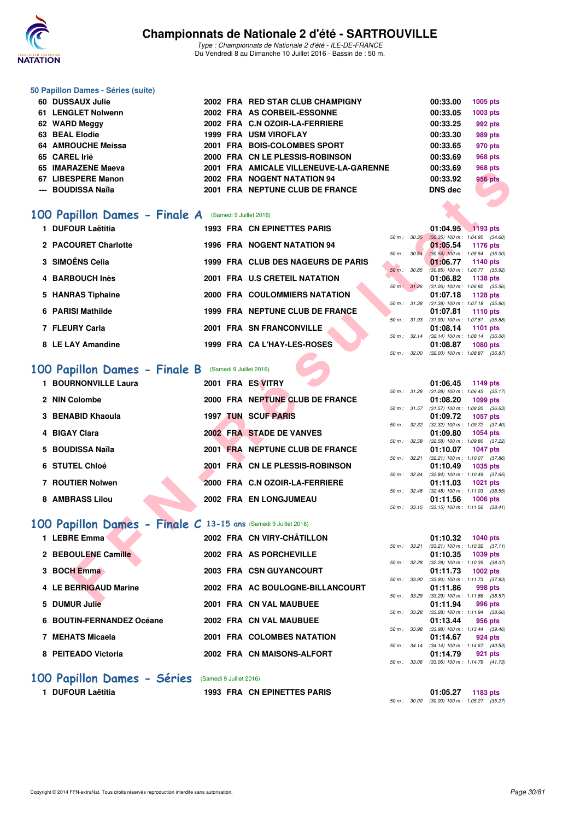

Type : Championnats de Nationale 2 d'été - ILE-DE-FRANCE Du Vendredi 8 au Dimanche 10 Juillet 2016 - Bassin de : 50 m.

#### **50 Papillon Dames - Séries (suite)**

| 60 DUSSAUX Julie   |  | 2002 FRA RED STAR CLUB CHAMPIGNY       | 00:33.00       | 1005 pts       |
|--------------------|--|----------------------------------------|----------------|----------------|
| 61 LENGLET Nolwenn |  | 2002 FRA AS CORBEIL-ESSONNE            | 00:33.05       | 1003 pts       |
| 62 WARD Meggy      |  | 2002 FRA C.N OZOIR-LA-FERRIERE         | 00:33.25       | 992 pts        |
| 63 BEAL Elodie     |  | <b>1999 FRA USM VIROFLAY</b>           | 00:33.30       | 989 pts        |
| 64 AMROUCHE Meissa |  | 2001 FRA BOIS-COLOMBES SPORT           | 00:33.65       | 970 pts        |
| 65 CAREL Irié      |  | 2000 FRA CN LE PLESSIS-ROBINSON        | 00:33.69       | 968 pts        |
| 65 IMARAZENE Maeva |  | 2001 FRA AMICALE VILLENEUVE-LA-GARENNE | 00:33.69       | 968 pts        |
| 67 LIBESPERE Manon |  | 2002 FRA NOGENT NATATION 94            | 00:33.92       | <b>956 pts</b> |
| --- BOUDISSA Naïla |  | 2001 FRA NEPTUNE CLUB DE FRANCE        | <b>DNS</b> dec |                |

### **[100 Papillon Dames - Finale A](http://www.ffnatation.fr/webffn/resultats.php?idact=nat&go=epr&idcpt=39837&idepr=32)** (Samedi 9 Juillet 2016)

| 1 DUFOUR Laëtitia    |  | 1993 FRA CN EPINETTES PARIS          |  | 01:04.95 1193 pts                                                |                 |  |
|----------------------|--|--------------------------------------|--|------------------------------------------------------------------|-----------------|--|
|                      |  |                                      |  | 50 m : 30.35 (30.35) 100 m : 1:04.95 (34.6)                      |                 |  |
| 2 PACOURET Charlotte |  | <b>1996 FRA NOGENT NATATION 94</b>   |  | $01:05.54$ 1176 pts                                              |                 |  |
| 3 SIMOËNS Celia      |  | 1999 FRA CLUB DES NAGEURS DE PARIS   |  | 50 m : 30.54 (30.54) 100 m : 1:05.54 (35.0)<br>01:06.77 1140 pts |                 |  |
| 4 BARBOUCH Inès      |  | 2001 FRA U.S CRETEIL NATATION        |  | 50 m : 30.85 (30.85) 100 m : 1:06.77 (35.9<br>01:06.82 1138 pts  |                 |  |
|                      |  |                                      |  | 50 m: 31.26 (31.26) 100 m: 1:06.82 (35.5                         |                 |  |
| 5 HANRAS Tiphaine    |  | <b>2000 FRA COULOMMIERS NATATION</b> |  | 01:07.18 1128 pts<br>50 m: 31.38 (31.38) 100 m: 1:07.18 (35.8    |                 |  |
| 6 PARISI Mathilde    |  | 1999 FRA NEPTUNE CLUB DE FRANCE      |  | 01:07.81 1110 pts<br>50 m: 31.93 (31.93) 100 m: 1:07.81 (35.8    |                 |  |
| 7 FLEURY Carla       |  | 2001 FRA SN FRANCONVILLE             |  | 01:08.14                                                         | 1101 pts        |  |
| 8 LE LAY Amandine    |  | 1999 FRA CA L'HAY-LES-ROSES          |  | 50 m: 32.14 (32.14) 100 m: 1:08.14 (36.0)<br>01:08.87            | <b>1080 pts</b> |  |
|                      |  |                                      |  |                                                                  |                 |  |

### [100 Papillon Dames - Finale B](http://www.ffnatation.fr/webffn/resultats.php?idact=nat&go=epr&idcpt=39837&idepr=32) (Samedi 9 Juillet 2016)

| UJ INIANALENE MACVA                                            | <b>FRA AMIVALE VILLENEUVE-LA-GARENNE</b> |              | UU.JJ.UJ        | ອບບ µເວ                                                       |
|----------------------------------------------------------------|------------------------------------------|--------------|-----------------|---------------------------------------------------------------|
| 67 LIBESPERE Manon                                             | 2002 FRA NOGENT NATATION 94              |              | 00:33.92        | <b>956 pts</b>                                                |
| --- BOUDISSA Naïla                                             | 2001 FRA NEPTUNE CLUB DE FRANCE          |              | <b>DNS dec</b>  |                                                               |
|                                                                |                                          |              |                 |                                                               |
| 00 Papillon Dames - Finale A (Samedi 9 Juillet 2016)           |                                          |              |                 |                                                               |
|                                                                |                                          |              |                 |                                                               |
| 1 DUFOUR Laëtitia                                              | <b>1993 FRA CN EPINETTES PARIS</b>       | 50 m: 30.35  | 01:04.95        | $1193$ pts<br>$(30.35)$ 100 m : 1:04.95 $(34.60)$             |
| 2 PACOURET Charlotte                                           | <b>1996 FRA NOGENT NATATION 94</b>       |              | 01:05.54        | 1176 pts                                                      |
|                                                                |                                          | 50 m : 30.54 |                 | $(30.54)$ 100 m : 1:05.54 $(35.00)$                           |
| 3 SIMOËNS Celia                                                | 1999 FRA CLUB DES NAGEURS DE PARIS       |              | 01:06.77        | 1140 pts                                                      |
| 4 BARBOUCH Inès                                                | 2001 FRA U.S CRETEIL NATATION            | 50 m: 30.85  | 01:06.82        | $(30.85)$ 100 m : 1:06.77 $(35.92)$<br>1138 pts               |
|                                                                |                                          |              |                 | 50 m: 31.26 (31.26) 100 m: 1:06.82 (35.56)                    |
| 5 HANRAS Tiphaine                                              | 2000 FRA COULOMMIERS NATATION            |              | 01:07.18        | 1128 pts                                                      |
| 6 PARISI Mathilde                                              | 1999 FRA NEPTUNE CLUB DE FRANCE          |              |                 | 50 m: 31.38 (31.38) 100 m: 1:07.18 (35.80)                    |
|                                                                |                                          |              | 01:07.81        | <b>1110 pts</b><br>50 m: 31.93 (31.93) 100 m: 1:07.81 (35.88) |
| 7 FLEURY Carla                                                 | 2001 FRA SN FRANCONVILLE                 |              | 01:08.14        | 1101 pts                                                      |
|                                                                |                                          | 50 m: 32.14  |                 | $(32.14)$ 100 m : 1:08.14 $(36.00)$                           |
| 8 LE LAY Amandine                                              | 1999 FRA CA L'HAY-LES-ROSES              |              | 01:08.87        | <b>1080 pts</b>                                               |
|                                                                |                                          | 50 m : 32.00 |                 | $(32.00)$ 100 m : 1:08.87 $(36.87)$                           |
| OO Papillon Dames - Finale B (Samedi 9 Juillet 2016)           |                                          |              |                 |                                                               |
| 1 BOURNONVILLE Laura                                           | 2001 FRA ES VITRY                        |              | 01:06.45        | 1149 pts                                                      |
|                                                                |                                          |              |                 | 50 m: 31.28 (31.28) 100 m: 1:06.45 (35.17)                    |
| 2 NIN Colombe                                                  | 2000 FRA NEPTUNE CLUB DE FRANCE          |              | 01:08.20        | 1099 pts                                                      |
|                                                                |                                          |              |                 | 50 m: 31.57 (31.57) 100 m: 1:08.20 (36.63)                    |
| 3 BENABID Khaoula                                              | <b>1997 TUN SCUF PARIS</b>               |              | 01:09.72        | 1057 pts<br>50 m: 32.32 (32.32) 100 m: 1:09.72 (37.40)        |
| 4 BIGAY Clara                                                  | 2002 FRA STADE DE VANVES                 |              | 01:09.80        | <b>1054 pts</b>                                               |
|                                                                |                                          | 50 m : 32.58 |                 | $(32.58)$ 100 m : 1:09.80 $(37.22)$                           |
| 5 BOUDISSA Naïla                                               | 2001 FRA NEPTUNE CLUB DE FRANCE          |              | 01:10.07        | <b>1047 pts</b>                                               |
| 6 STUTEL Chloé                                                 | 2001 FRA CN LE PLESSIS-ROBINSON          | 50 m: 32.21  | 01:10.49        | $(32.21)$ 100 m : 1:10.07 $(37.86)$<br>1035 pts               |
|                                                                |                                          | 50 m : 32.84 |                 | $(32.84)$ 100 m : 1:10.49 $(37.65)$                           |
| 7 ROUTIER Nolwen                                               | 2000 FRA C.N OZOIR-LA-FERRIERE           |              | 01:11.03        | 1021 pts                                                      |
|                                                                |                                          | 50 m : 32.48 |                 | $(32.48)$ 100 m : 1:11.03 $(38.55)$                           |
| 8 AMBRASS Lilou                                                | 2002 FRA EN LONGJUMEAU                   |              | 01:11.56        | <b>1006 pts</b><br>50 m: 33.15 (33.15) 100 m: 1:11.56 (38.41) |
|                                                                |                                          |              |                 |                                                               |
| 00 Papillon Dames - Finale C 13-15 ans (Samedi 9 Juillet 2016) |                                          |              |                 |                                                               |
| 1 LEBRE Emma                                                   | 2002 FRA CN VIRY-CHÂTILLON               |              | 01:10.32        | <b>1040 pts</b>                                               |
|                                                                |                                          | 50 m: 33.21  |                 | $(33.21)$ 100 m : 1:10.32 $(37.11)$                           |
| 2 BEBOULENE Camille                                            | 2002 FRA AS PORCHEVILLE                  |              | 01:10.35        | 1039 pts                                                      |
|                                                                |                                          | 50 m : 32.28 |                 | $(32.28)$ 100 m : 1:10.35 $(38.07)$                           |
| 3 BOCH Emma                                                    | 2003 FRA CSN GUYANCOURT                  | 50 m : 33.90 | 01:11.73        | 1002 $pts$<br>$(33.90)$ 100 m : 1:11.73 $(37.83)$             |
| 4 LE BERRIGAUD Marine                                          | 2002 FRA AC BOULOGNE-BILLANCOURT         |              | 01:11.86        | 998 pts                                                       |
|                                                                |                                          | 50 m : 33.29 |                 | $(33.29)$ 100 m : 1:11.86 $(38.57)$                           |
| $E$ DUBBLE L.E.                                                | 0004 EDA ON VALUATIOUEE                  |              | <b>04.44.04</b> | $000 - 1$                                                     |

### **[100 Papillon Dames - Finale C](http://www.ffnatation.fr/webffn/resultats.php?idact=nat&go=epr&idcpt=39837&idepr=32) 13-15 ans** (Samedi 9 Juillet 2016)

| 1 LEBRE Emma              | 2002 FRA CN VIRY-CHÂTILLON       |              | 1040 pts<br>01:10.32                                    |
|---------------------------|----------------------------------|--------------|---------------------------------------------------------|
|                           |                                  | 50 m: 33.21  | $(33.21)$ 100 m : 1:10.32 (37.                          |
| 2 BEBOULENE Camille       | 2002 FRA AS PORCHEVILLE          | 50 m: 32.28  | 01:10.35<br>1039 pts<br>(32.28) 100 m: 1:10.35 (38.     |
| 3 BOCH Emma               | 2003 FRA CSN GUYANCOURT          |              | 01:11.73<br>1002 pts                                    |
|                           |                                  | 50 m: 33.90  | $(33.90)$ 100 m : 1:11.73 (37.                          |
| 4 LE BERRIGAUD Marine     | 2002 FRA AC BOULOGNE-BILLANCOURT | 50 m : 33.29 | 01:11.86<br>998 pts<br>$(33.29)$ 100 m : 1:11.86 $(38.$ |
| 5 DUMUR Julie             | 2001 FRA CN VAL MAUBUEE          |              | 01:11.94<br>996 pts                                     |
|                           |                                  | 50 m : 33.28 | $(33.28)$ 100 m : 1:11.94 $(38.$                        |
| 6 BOUTIN-FERNANDEZ Océane | 2002 FRA CN VAL MAUBUEE          |              | 01:13.44<br>956 pts                                     |
|                           |                                  | 50 m: 33.98  | $(33.98)$ 100 m : 1:13.44 $(39.$                        |
| 7 MEHATS Micaela          | 2001 FRA COLOMBES NATATION       |              | 01:14.67<br>924 pts                                     |
|                           |                                  | 50 m: 34.14  | $(34.14)$ 100 m : 1:14.67 (40.                          |
| 8 PEITEADO Victoria       | 2002 FRA CN MAISONS-ALFORT       |              | 01:14.79<br>921 pts                                     |

### **[100 Papillon Dames - Séries](http://www.ffnatation.fr/webffn/resultats.php?idact=nat&go=epr&idcpt=39837&idepr=32)** (Samedi 9 Juillet 2016)

**1 DUFOUR Laëtitia 1993 FRA CN EPINETTES PARIS 01:05.27 1183 pts**

50 m : 30.00 (30.00) 100 m : 1:05.27 (35.27)

50 m : 33.29 (33.29) 100 m : 1:11.86 (38.57)<br>**01:11.94 996 pts** 

50 m : 33.28 (33.28) 100 m : 1:11.94 (38.66)

50 m : 33.98 (33.98) 100 m : 1:13.44 (39.46)

50 m : 34.14 (34.14) 100 m : 1:14.67 (40.53)<br>**01:14.79 921 pts** 

50 m : 33.06 (33.06) 100 m : 1:14.79 (41.73)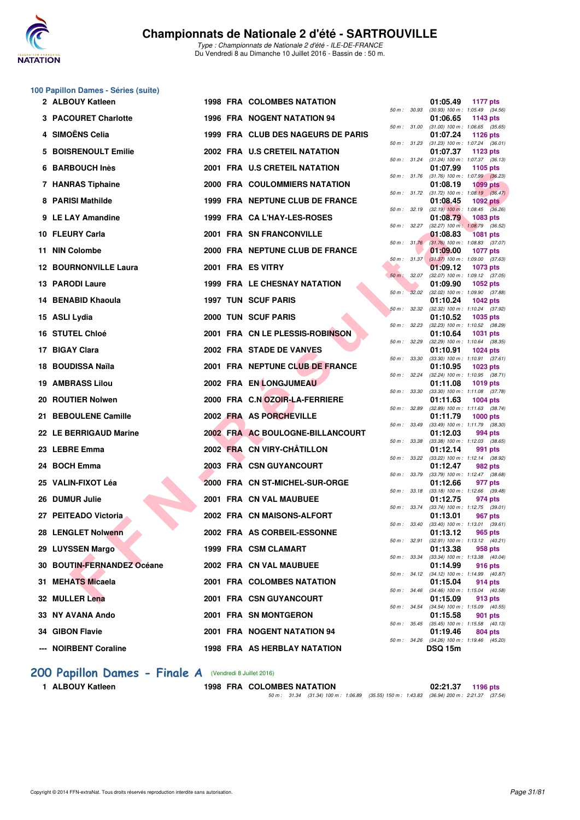

## **100 Papillon Dames - Séries (suite)**

| 2 ALBOUY Katleen             |  | <b>1998 FRA COLOMBES NATATION</b>   |              |              | 01:05.49<br><b>1177 pts</b>                                               |  |
|------------------------------|--|-------------------------------------|--------------|--------------|---------------------------------------------------------------------------|--|
| 3 PACOURET Charlotte         |  | <b>1996 FRA NOGENT NATATION 94</b>  |              |              | 50 m: 30.93 (30.93) 100 m: 1:05.49 (34.56)<br>01:06.65<br>1143 pts        |  |
| 4 SIMOËNS Celia              |  | 1999 FRA CLUB DES NAGEURS DE PARIS  |              |              | 50 m: 31.00 (31.00) 100 m: 1:06.65 (35.65)<br>01:07.24<br><b>1126 pts</b> |  |
| 5 BOISRENOULT Emilie         |  | 2002 FRA U.S CRETEIL NATATION       |              |              | 50 m: 31.23 (31.23) 100 m: 1:07.24 (36.01)<br>01:07.37<br>1123 pts        |  |
| 6 BARBOUCH Inès              |  | 2001 FRA U.S CRETEIL NATATION       |              |              | 50 m: 31.24 (31.24) 100 m: 1:07.37 (36.13)<br>01:07.99<br>1105 pts        |  |
| 7 HANRAS Tiphaine            |  | 2000 FRA COULOMMIERS NATATION       | 50 m: 31.76  |              | $(31.76)$ 100 m : 1:07.99 $(36.23)$<br>01:08.19<br><b>1099 pts</b>        |  |
| 8 PARISI Mathilde            |  | 1999 FRA NEPTUNE CLUB DE FRANCE     |              |              | 50 m: 31.72 (31.72) 100 m: 1:08.19 (36.47)<br>01:08.45<br>1092 $pts$      |  |
| 9 LE LAY Amandine            |  | 1999 FRA CAL'HAY-LES-ROSES          |              | 50 m : 32.19 | $(32.19)$ 100 m : 1:08.45 $(36.26)$<br>01:08.79<br>1083 pts               |  |
| 10 FLEURY Carla              |  | 2001 FRA SN FRANCONVILLE            |              |              | 50 m: 32.27 (32.27) 100 m: 1:08.79 (36.52)<br>01:08.83<br><b>1081 pts</b> |  |
| 11 NIN Colombe               |  | 2000 FRA NEPTUNE CLUB DE FRANCE     |              |              | 50 m: 31.76 (31.76) 100 m: 1:08.83 (37.07)<br>01:09.00<br><b>1077 pts</b> |  |
| <b>12 BOURNONVILLE Laura</b> |  | 2001 FRA ES VITRY                   |              |              | 50 m: 31.37 (31.37) 100 m: 1:09.00 (37.63)<br>01:09.12<br>1073 pts        |  |
| <b>13 PARODI Laure</b>       |  | <b>1999 FRA LE CHESNAY NATATION</b> |              |              | 50 m : 32.07 (32.07) 100 m : 1:09.12 (37.05)<br>01:09.90<br>1052 pts      |  |
| 14 BENABID Khaoula           |  | <b>1997 TUN SCUF PARIS</b>          | 50 m :       | 32.02        | $(32.02)$ 100 m : 1:09.90 $(37.88)$<br>01:10.24<br><b>1042 pts</b>        |  |
| 15 ASLI Lydia                |  | 2000 TUN SCUF PARIS                 |              | 50 m: 32.32  | (32.32) 100 m: 1:10.24 (37.92)<br>01:10.52<br><b>1035 pts</b>             |  |
| <b>16 STUTEL Chloé</b>       |  | 2001 FRA CN LE PLESSIS-ROBINSON     |              | 50 m : 32.23 | $(32.23)$ 100 m : 1:10.52 $(38.29)$<br>01:10.64<br><b>1031 pts</b>        |  |
| 17 BIGAY Clara               |  | 2002 FRA STADE DE VANVES            | 50 m : 32.29 |              | $(32.29)$ 100 m : 1:10.64 $(38.35)$<br>01:10.91<br><b>1024 pts</b>        |  |
| 18 BOUDISSA Naïla            |  |                                     |              | 50 m : 33.30 | $(33.30)$ 100 m : 1:10.91 $(37.61)$                                       |  |
|                              |  | 2001 FRA NEPTUNE CLUB DE FRANCE     | 50 m: 32.24  |              | 01:10.95<br>1023 pts<br>$(32.24)$ 100 m : 1:10.95 $(38.71)$               |  |
| <b>19 AMBRASS Lilou</b>      |  | 2002 FRA EN LONGJUMEAU              | 50 m : 33.30 |              | 01:11.08<br><b>1019 pts</b><br>$(33.30)$ 100 m : 1:11.08 $(37.78)$        |  |
| 20 ROUTIER Nolwen            |  | 2000 FRA C.N OZOIR-LA-FERRIERE      | 50 m : 32.89 |              | 01:11.63<br>$1004$ pts<br>(32.89) 100 m: 1:11.63 (38.74)                  |  |
| 21 BEBOULENE Camille         |  | 2002 FRA AS PORCHEVILLE             |              | 50 m : 33.49 | 01:11.79<br>$1000$ pts<br>$(33.49)$ 100 m : 1:11.79 $(38.30)$             |  |
| 22 LE BERRIGAUD Marine       |  | 2002 FRA AC BOULOGNE-BILLANCOURT    |              | 50 m : 33.38 | 01:12.03<br>994 pts<br>$(33.38)$ 100 m : 1:12.03 $(38.65)$                |  |
| 23 LEBRE Emma                |  | 2002 FRA CN VIRY-CHÂTILLON          |              |              | 01:12.14<br>991 pts<br>50 m : 33.22 (33.22) 100 m : 1:12.14 (38.92)       |  |
| 24 BOCH Emma                 |  | 2003 FRA CSN GUYANCOURT             |              |              | 01:12.47<br>982 pts<br>50 m: 33.79 (33.79) 100 m: 1:12.47 (38.68)         |  |
| 25 VALIN-FIXOT Léa           |  | 2000 FRA CN ST-MICHEL-SUR-ORGE      |              |              | 01:12.66<br>977 pts<br>$(33.18)$ 100 m : 1:12.66 $(39.48)$                |  |
| 26 DUMUR Julie               |  | 2001 FRA CN VAL MAUBUEE             | 50 m : 33.18 |              | 01:12.75<br>974 pts                                                       |  |
| 27 PEITEADO Victoria         |  | 2002 FRA CN MAISONS-ALFORT          |              |              | 50 m: 33.74 (33.74) 100 m: 1:12.75 (39.01)<br>01:13.01<br>967 pts         |  |
| 28 LENGLET Nolwenn           |  | 2002 FRA AS CORBEIL-ESSONNE         |              |              | 50 m: 33.40 (33.40) 100 m: 1:13.01 (39.61)<br>01:13.12 965 pts            |  |
| 29 LUYSSEN Margo             |  | 1999 FRA CSM CLAMART                |              |              | 50 m : 32.91 (32.91) 100 m : 1:13.12 (40.21)<br>01:13.38<br>958 pts       |  |
| 30 BOUTIN-FERNANDEZ Océane   |  | 2002 FRA CN VAL MAUBUEE             |              |              | 50 m : 33.34 (33.34) 100 m : 1:13.38 (40.04)<br>01:14.99<br>916 pts       |  |
| 31 MEHATS Micaela            |  | 2001 FRA COLOMBES NATATION          |              |              | 50 m: 34.12 (34.12) 100 m: 1:14.99 (40.87)<br>01:15.04<br>914 pts         |  |
| 32 MULLER Lena               |  | 2001 FRA CSN GUYANCOURT             |              |              | 50 m: 34.46 (34.46) 100 m: 1:15.04 (40.58)<br>01:15.09<br>913 pts         |  |
| 33 NY AVANA Ando             |  | 2001 FRA SN MONTGERON               |              |              | 50 m: 34.54 (34.54) 100 m: 1:15.09 (40.55)<br>01:15.58<br>901 pts         |  |
| 34 GIBON Flavie              |  | 2001 FRA NOGENT NATATION 94         |              |              | 50 m: 35.45 (35.45) 100 m: 1:15.58 (40.13)<br>01:19.46<br>804 pts         |  |
| --- NOIRBENT Coraline        |  | <b>1998 FRA AS HERBLAY NATATION</b> |              |              | 50 m: 34.26 (34.26) 100 m: 1:19.46 (45.20)<br><b>DSQ 15m</b>              |  |
|                              |  |                                     |              |              |                                                                           |  |

|             |       | 01:05.49                      |                                       |
|-------------|-------|-------------------------------|---------------------------------------|
| 50 m: 30.93 |       | $(30.93) 100 m$ :             | <b>1177 pts</b><br>(34.56)<br>1:05.49 |
|             |       | 01:06.65                      | 1143 pts                              |
| $50 m$ :    | 31.00 | $(31.00) 100 m$ :             | (35.65)<br>1:06.65                    |
| $50 m$ :    | 31.23 | 01:07.24<br>(31.23) 100 m :   | 1126 pts<br>1:07.24<br>(36.01)        |
|             |       | 01:07.37                      | 1123 pts                              |
| 50 m :      | 31.24 | $(31.24) 100 m$ :             | 1:07.37<br>(36.13)                    |
|             |       | 01:07.99                      | 1105 pts                              |
| 50 m :      | 31.76 | $(31.76) 100 m$ :<br>01:08.19 | (36.23)<br>1:07.99<br><b>1099 pts</b> |
| $50 m$ :    | 31.72 | (31.72) 100 m :               | 1:08.19<br>(36.47)                    |
|             |       | 01:08.45                      | <b>1092 pts</b>                       |
| 50 m :      | 32.19 | $(32.19)$ 100 m :<br>01:08.79 | (36.26)<br>1:08.45<br>1083 pts        |
| 50 m :      | 32.27 | $(32.27)$ 100 m :             | 1:08.79<br>(36.52)                    |
|             |       | 01:08.83                      | 1081 pts                              |
| $50 m$ :    | 31.76 | $(31.76)$ 100 m :             | (37.07)<br>1:08.83                    |
| 50 m :      | 31.37 | 01:09.00<br>$(31.37) 100 m$ : | 1077 pts<br>(37.63)<br>1:09.00        |
|             |       | 01:09.12                      | 1073 pts                              |
| $50 m$ :    | 32.07 | $(32.07)$ 100 m :             | (37.05)<br>1:09.12                    |
|             | 32.02 | 01:09.90<br>$(32.02)$ 100 m : | 1052 pts                              |
| $50 m$ :    |       | 01:10.24                      | 1:09.90<br>(37.88)<br>1042 pts        |
| 50 m :      | 32.32 | $(32.32)$ 100 m :             | 1:10.24<br>(37.92)                    |
|             |       | 01:10.52                      | 1035 pts                              |
| 50 m :      | 32.23 | $(32.23)$ 100 m :<br>01:10.64 | 1:10.52<br>(38.29)<br><b>1031 pts</b> |
| $50 m$ :    | 32.29 | $(32.29)$ 100 m :             | 1:10.64<br>(38.35)                    |
|             |       | 01:10.91                      | 1024 pts                              |
| 50 m :      | 33.30 | $(33.30)$ 100 m :<br>01:10.95 | (37.61)<br>1:10.91                    |
| 50 m :      | 32.24 | $(32.24)$ 100 m :             | 1023 pts<br>(38.71)<br>1:10.95        |
|             |       | 01:11.08                      | 1019 pts                              |
| 50 m :      | 33.30 | $(33.30)$ 100 m :             | 1:11.08<br>(37.78)                    |
| 50 m :      | 32.89 | 01:11.63<br>$(32.89)$ 100 m : | 1004 pts<br>(38.74)<br>1:11.63        |
|             |       | 01:11.79                      | 1000 pts                              |
| $50 m$ :    | 33.49 | $(33.49)$ 100 m :             | 1:11.79<br>(38.30)                    |
| $50 m$ :    | 33.38 | 01:12.03<br>$(33.38) 100 m$ : | 994 pts<br>1:12.03<br>(38.65)         |
|             |       | 01:12.14                      | 991<br>pts                            |
| 50 m :      | 33.22 | $(33.22)$ 100 m :             | 1:12.14<br>(38.92)                    |
|             |       | 01:12.47                      | 982 pts                               |
| $50 m$ :    | 33.79 | $(33.79)$ 100 m :<br>01:12.66 | 1:12.47<br>(38.68)<br>977 pts         |
| 50 m :      | 33.18 | $(33.18) 100 m$ :             | 1:12.66<br>(39.48)                    |
|             |       | 01:12.75                      | 974 pts                               |
| 50 m :      | 33.74 | (33.74) 100 m :<br>01:13.01   | 1:12.75<br>(39.01)<br>967 pts         |
| $50 m$ :    | 33.40 | $(33.40)$ 100 m :             | 1:13.01<br>(39.61)                    |
|             |       | 01:13.12                      | 965 pts                               |
| $50 m$ :    | 32.91 | $(32.91)$ 100 m :<br>01:13.38 | 1:13.12<br>(40.21)                    |
| $50 m$ :    | 33.34 | $(33.34) 100 m$ :             | 958 pts<br>1:13.38<br>(40.04)         |
|             |       | 01:14.99                      | 916 pts                               |
| $50 m$ :    | 34.12 | $(34.12) 100 m$ :             | 1:14.99<br>(40.87)                    |
| $50 m$ :    | 34.46 | 01:15.04<br>$(34.46) 100 m$ : | 914 pts<br>1:15.04<br>(40.58)         |
|             |       | 01:15.09                      | 913 pts                               |
| 50 m :      | 34.54 | $(34.54) 100 m$ :             | 1:15.09<br>(40.55)                    |
| $50 m$ :    | 35.45 | 01:15.58                      | 901<br>pts<br>1:15.58<br>(40.13)      |
|             |       | $(35.45)$ 100 m :<br>01:19.46 | <b>804 pts</b>                        |
| $50 m$ :    | 34.26 | $(34.26) 100 m$ :             | 1:19.46<br>(45.20)                    |
|             |       | <b>DSQ 15m</b>                |                                       |

## [200 Papillon Dames - Finale A](http://www.ffnatation.fr/webffn/resultats.php?idact=nat&go=epr&idcpt=39837&idepr=33) (Vendredi 8 Juillet 2016)

**1 ALBOUY Katleen 1998 FRA COLOMBES NATATION 02:21.37 1196 pts** 50 m : 31.34 (31.34) 100 m : 1:06.89 (35.55) 150 m : 1:43.83 (36.94) 200 m : 2:21.37 (37.54)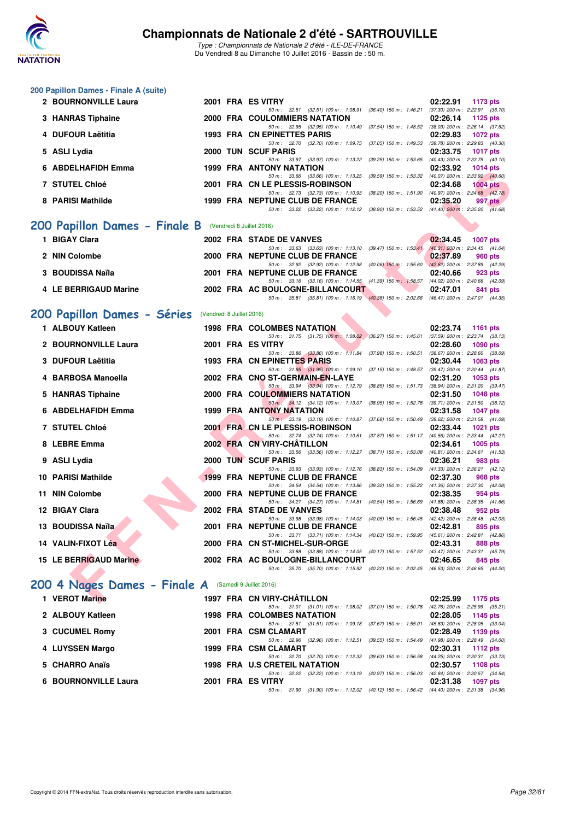

|    | 200 Papillon Dames - Finale A (suite)                |                           |                                                                                                                                  |                                                                    |
|----|------------------------------------------------------|---------------------------|----------------------------------------------------------------------------------------------------------------------------------|--------------------------------------------------------------------|
|    | 2 BOURNONVILLE Laura                                 |                           | 2001 FRA ES VITRY<br>50 m : 32.51 (32.51) 100 m : 1:08.91 (36.40) 150 m : 1:46.21                                                | 02:22.91<br>1173 pts<br>$(37.30)$ 200 m : 2:22.91 $(36.70)$        |
|    | 3 HANRAS Tiphaine                                    |                           | <b>2000 FRA COULOMMIERS NATATION</b>                                                                                             | 02:26.14<br>1125 pts                                               |
|    | 4 DUFOUR Laëtitia                                    |                           | 50 m : 32.95 (32.95) 100 m : 1:10.49 (37.54) 150 m : 1:48.52 (38.03) 200 m : 2:26.14 (37.62)<br>1993 FRA CN EPINETTES PARIS      | 02:29.83<br>1072 pts                                               |
|    | 5 ASLI Lydia                                         |                           | 50 m : 32.70 (32.70) 100 m : 1:09.75 (37.05) 150 m : 1:49.53<br>2000 TUN SCUF PARIS                                              | $(39.78)$ 200 m : 2:29.83 $(40.30)$<br>02:33.75<br><b>1017 pts</b> |
| 6. | <b>ABDELHAFIDH Emma</b>                              |                           | 50 m : 33.97 (33.97) 100 m : 1:13.22 (39.25) 150 m : 1:53.65<br><b>1999 FRA ANTONY NATATION</b>                                  | $(40.43)$ 200 m : 2:33.75 $(40.10)$<br>02:33.92<br>1014 $pts$      |
|    | 7 STUTEL Chloé                                       |                           | 50 m: 33.66 (33.66) 100 m: 1:13.25 (39.59) 150 m: 1:53.32 (40.07) 200 m: 2:33.92 (40.60)<br>2001 FRA CN LE PLESSIS-ROBINSON      | 02:34.68<br>$1004$ pts                                             |
|    |                                                      |                           | 50 m: 32.73 (32.73) 100 m: 1:10.93 (38.20) 150 m: 1:51.90 (40.97) 200 m: 2:34.68 (42.78)                                         |                                                                    |
|    | 8 PARISI Mathilde                                    |                           | 1999 FRA NEPTUNE CLUB DE FRANCE<br>50 m: 33.22 (33.22) 100 m: 1:12.12 (38.90) 150 m: 1:53.52 (41.40) 200 m: 2:35.20 (41.68)      | 02:35.20<br>997 pts                                                |
|    | 200 Papillon Dames - Finale B                        |                           | (Vendredi 8 Juillet 2016)                                                                                                        |                                                                    |
|    | 1 BIGAY Clara                                        |                           | 2002 FRA STADE DE VANVES                                                                                                         | 02:34.45<br><b>1007 pts</b>                                        |
|    | 2 NIN Colombe                                        |                           | 50 m: 33.63 (33.63) 100 m: 1:13.10 (39.47) 150 m: 1:53.41 (40.31) 200 m: 2:34.45 (41.04)<br>2000 FRA NEPTUNE CLUB DE FRANCE      | 02:37.89<br>960 pts                                                |
|    | 3 BOUDISSA Naïla                                     |                           | 50 m: 32.92 (32.92) 100 m: 1:12.98 (40.06) 150 m: 1:55.60 (42.62) 200 m: 2:37.89 (42.29)<br>2001 FRA NEPTUNE CLUB DE FRANCE      | 02:40.66<br>923 pts                                                |
|    | 4 LE BERRIGAUD Marine                                |                           | 50 m: 33.16 (33.16) 100 m: 1:14.55 (41.39) 150 m: 1:58.57 (44.02) 200 m: 2:40.66 (42.09)<br>2002 FRA AC BOULOGNE-BILLANCOURT     | 02:47.01<br>841 pts                                                |
|    |                                                      |                           | 50 m: 35.81 (35.81) 100 m: 1:16.19 (40.38) 150 m: 2:02.66 (46.47) 200 m: 2:47.01 (44.35)                                         |                                                                    |
|    | 200 Papillon Dames - Séries                          | (Vendredi 8 Juillet 2016) |                                                                                                                                  |                                                                    |
|    | 1 ALBOUY Katleen                                     |                           | <b>1998 FRA COLOMBES NATATION</b>                                                                                                | 02:23.74<br><b>1161 pts</b>                                        |
|    | 2 BOURNONVILLE Laura                                 |                           | 50 m: 31.75 (31.75) 100 m: 1:08.02 (36.27) 150 m: 1:45.61<br>2001 FRA ES VITRY                                                   | $(37.59)$ 200 m : 2:23.74 $(38.13)$<br>02:28.60<br>$1090$ pts      |
|    | 3 DUFOUR Laëtitia                                    |                           | 50 m: 33.86 (33.86) 100 m: 1:11.84 (37.98) 150 m: 1:50.51<br>1993 FRA CN EPINETTES PARIS                                         | $(38.67)$ 200 m : 2:28.60 $(38.09)$<br>02:30.44<br>1063 pts        |
|    | 4 BARBOSA Manoella                                   |                           | 50 m: 31.95 (31.95) 100 m: 1:09.10 (37.15) 150 m: 1:48.57 (39.47) 200 m: 2:30.44 (41.87)<br>2002 FRA CNO ST-GERMAIN-EN-LAYE      | 02:31.20<br>1053 pts                                               |
|    | 5 HANRAS Tiphaine                                    |                           | 50 m: 33.94 (33.94) 100 m: 1:12.79 (38.85) 150 m: 1:51.73 (38.94) 200 m: 2:31.20 (39.47)<br><b>2000 FRA COULOMMIERS NATATION</b> | 02:31.50<br>1048 pts                                               |
|    | 6 ABDELHAFIDH Emma                                   |                           | 50 m : 34.12 (34.12) 100 m : 1:13.07 (38.95) 150 m : 1:52.78<br>1999 FRA ANTONY NATATION                                         | (39.71) 200 m : 2:31.50 (38.72)<br>02:31.58<br><b>1047 pts</b>     |
|    |                                                      |                           | 50 m : 33.19 (33.19) 100 m : 1:10.87 (37.68) 150 m : 1:50.49                                                                     | (39.62) 200 m : 2:31.58 (41.09)                                    |
|    | 7 STUTEL Chloé                                       |                           | 2001 FRA CN LE PLESSIS-ROBINSON<br>50 m: 32.74 (32.74) 100 m: 1:10.61 (37.87) 150 m: 1:51.17 (40.56) 200 m: 2:33.44 (42.27)      | 02:33.44<br>1021 pts                                               |
|    | 8 LEBRE Emma                                         |                           | 2002 FRA CN VIRY-CHATILLON<br>50 m : 33.56 (33.56) 100 m : 1:12.27 (38.71) 150 m : 1:53.08                                       | 02:34.61<br>1005 pts<br>$(40.81)$ 200 m : 2:34.61 $(41.53)$        |
|    | 9 ASLI Lydia                                         |                           | 2000 TUN SCUF PARIS<br>50 m: 33.93 (33.93) 100 m: 1:12.76 (38.83) 150 m: 1:54.09 (41.33) 200 m: 2:36.21 (42.12)                  | 02:36.21<br>983 pts                                                |
|    | <b>10 PARISI Mathilde</b>                            |                           | 1999 FRA NEPTUNE CLUB DE FRANCE<br>50 m: 34.54 (34.54) 100 m: 1:13.86 (39.32) 150 m: 1:55.22 (41.36) 200 m: 2:37.30 (42.08)      | 02:37.30<br>968 pts                                                |
|    | 11 NIN Colombe                                       |                           | <b>2000 FRA NEPTUNE CLUB DE FRANCE</b>                                                                                           | 02:38.35<br>954 pts                                                |
|    | 12 BIGAY Clara                                       |                           | 50 m: 34.27 (34.27) 100 m: 1:14.81 (40.54) 150 m: 1:56.69 (41.88) 200 m: 2:38.35 (41.66)<br>2002 FRA STADE DE VANVES             | 02:38.48<br>952 pts                                                |
|    | 13 BOUDISSA Naïla                                    |                           | 50 m: 33.98 (33.98) 100 m: 1:14.03 (40.05) 150 m: 1:56.45 (42.42) 200 m: 2:38.48 (42.03)<br>2001 FRA NEPTUNE CLUB DE FRANCE      | 02:42.81<br>895 pts                                                |
|    | 14 VALIN-FIXOT Léa                                   |                           | 50 m: 33.71 (33.71) 100 m: 1:14.34 (40.63) 150 m: 1:59.95 (45.61) 200 m: 2:42.81 (42.86)<br>2000 FRA CN ST-MICHEL-SUR-ORGE       | 02:43.31<br>888 pts                                                |
|    | <b>15 LE BERRIGAUD Marine</b>                        |                           | 50 m : 33.88 (33.88) 100 m : 1:14.05 (40.17) 150 m : 1:57.52 (43.47) 200 m : 2:43.31 (45.79)<br>2002 FRA AC BOULOGNE-BILLANCOURT | 02:46.65<br>845 pts                                                |
|    |                                                      |                           | 50 m: 35.70 (35.70) 100 m: 1:15.92 (40.22) 150 m: 2:02.45 (46.53) 200 m: 2:46.65 (44.20)                                         |                                                                    |
|    | 200 4 Nages Dames - Finale A (Samedi 9 Juillet 2016) |                           |                                                                                                                                  |                                                                    |
|    | 1 VEROT Marine                                       |                           | 1997 FRA CN VIRY-CHATILLON                                                                                                       | 02:25.99<br>1175 pts                                               |
|    | 2 ALBOUY Katleen                                     |                           | 50 m: 31.01 (31.01) 100 m: 1:08.02 (37.01) 150 m: 1:50.78<br>1998 FRA COLOMBES NATATION                                          | (42.76) 200 m : 2:25.99 (35.21)<br>02:28.05<br>1145 pts            |
|    | 3 CUCUMEL Romy                                       |                           | 50 m : 31.51 (31.51) 100 m : 1:09.18 (37.67) 150 m : 1:55.01 (45.83) 200 m : 2:28.05 (33.04)<br>2001 FRA CSM CLAMART             | 02:28.49<br>1139 pts                                               |
|    | 4 LUYSSEN Margo                                      |                           | 50 m: 32.96 (32.96) 100 m: 1:12.51 (39.55) 150 m: 1:54.49 (41.98) 200 m: 2:28.49 (34.00)<br>1999 FRA CSM CLAMART                 | 02:30.31<br>1112 pts                                               |
|    | 5 CHARRO Anaïs                                       |                           | 50 m : 32.70 (32.70) 100 m : 1:12.33 (39.63) 150 m : 1:56.58 (44.25) 200 m : 2:30.31 (33.73)                                     |                                                                    |
|    |                                                      |                           | 1998 FRA U.S CRETEIL NATATION<br>50 m: 32.22 (32.22) 100 m: 1:13.19 (40.97) 150 m: 1:56.03 (42.84) 200 m: 2:30.57 (34.54)        | 02:30.57<br>1108 pts                                               |
|    | 6 BOURNONVILLE Laura                                 |                           | 2001 FRA ES VITRY<br>50 m: 31.90 (31.90) 100 m: 1:12.02 (40.12) 150 m: 1:56.42 (44.40) 200 m: 2:31.38 (34.96)                    | 02:31.38<br>1097 pts                                               |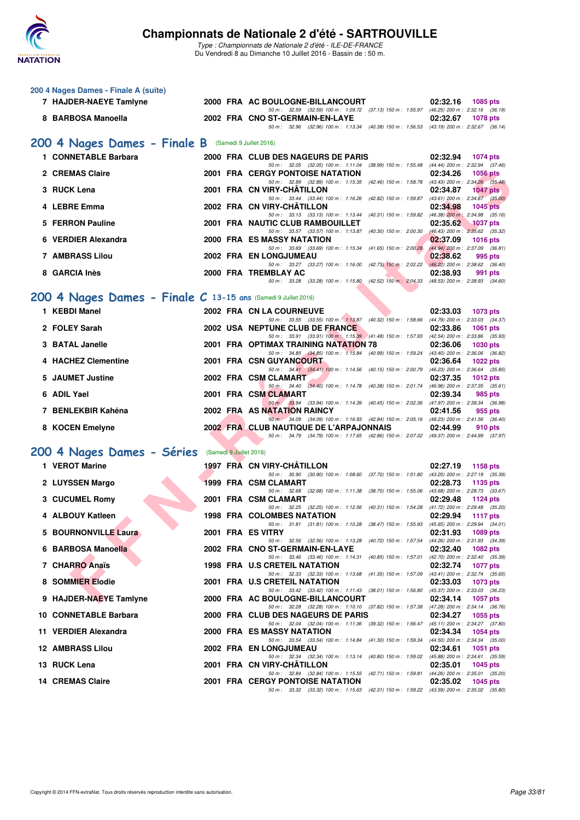

| 200 4 Nages Dames - Finale A (suite)                           |                         |                                                                                                                                     |                                                                |
|----------------------------------------------------------------|-------------------------|-------------------------------------------------------------------------------------------------------------------------------------|----------------------------------------------------------------|
| 7 HAJDER-NAEYE Tamlyne                                         |                         | 2000 FRA AC BOULOGNE-BILLANCOURT<br>50 m: 32.59 (32.59) 100 m: 1:09.72 (37.13) 150 m: 1:55.97 (46.25) 200 m: 2:32.16 (36.19)        | 02:32.16<br><b>1085 pts</b>                                    |
| 8 BARBOSA Manoella                                             |                         | 2002 FRA CNO ST-GERMAIN-EN-LAYE<br>50 m: 32.96 (32.96) 100 m: 1:13.34 (40.38) 150 m: 1:56.53 (43.19) 200 m: 2:32.67 (36.14)         | 02:32.67<br><b>1078 pts</b>                                    |
| 200 4 Nages Dames - Finale B (Samedi 9 Juillet 2016)           |                         |                                                                                                                                     |                                                                |
| 1 CONNETABLE Barbara                                           |                         | 2000 FRA CLUB DES NAGEURS DE PARIS                                                                                                  | 02:32.94<br><b>1074 pts</b>                                    |
| 2 CREMAS Claire                                                |                         | 50 m: 32.05 (32.05) 100 m: 1:11.04 (38.99) 150 m: 1:55.48 (44.44) 200 m: 2:32.94 (37.46)<br><b>2001 FRA CERGY PONTOISE NATATION</b> | 02:34.26<br><b>1056 pts</b>                                    |
| 3 RUCK Lena                                                    |                         | 50 m: 32.89 (32.89) 100 m: 1:15.35 (42.46) 150 m: 1:58.78 (43.43) 200 m: 2:34.26 (35.48)<br>2001 FRA CN VIRY-CHATILLON              | 02:34.87<br><b>1047 pts</b>                                    |
| 4 LEBRE Emma                                                   |                         | 50 m: 33.44 (33.44) 100 m: 1:16.26 (42.82) 150 m: 1:59.87 (43.61) 200 m: 2:34.87 (35.00)<br>2002 FRA CN VIRY-CHÂTILLON              | 02:34.98<br><b>1045 pts</b>                                    |
|                                                                |                         | 50 m: 33.13 (33.13) 100 m: 1:13.44 (40.31) 150 m: 1:59.82 (46.38) 200 m: 2:34.98 (35.16)                                            |                                                                |
| 5 FERRON Pauline                                               |                         | 2001 FRA NAUTIC CLUB RAMBOUILLET<br>50 m: 33.57 (33.57) 100 m: 1:13.87 (40.30) 150 m: 2:00.30 (46.43) 200 m: 2:35.62 (35.32)        | 02:35.62<br>$1037$ pts                                         |
| 6 VERDIER Alexandra                                            |                         | 2000 FRA ES MASSY NATATION<br>50 m: 33.69 (33.69) 100 m: 1:15.34 (41.65) 150 m: 2:00.28 (44.94) 200 m: 2:37.09 (36.81)              | 02:37.09<br><b>1016 pts</b>                                    |
| 7 AMBRASS Lilou                                                |                         | 2002 FRA EN LONGJUMEAU<br>50 m: 33.27 (33.27) 100 m: 1:16.00 (42.73) 150 m: 2:02.22 (46.22) 200 m: 2:38.62 (36.40)                  | 02:38.62<br>995 pts                                            |
| 8 GARCIA Inès                                                  |                         | 2000 FRA TREMBLAY AC                                                                                                                | 02:38.93<br>991 pts                                            |
|                                                                |                         | 50 m: 33.28 (33.28) 100 m: 1:15.80 (42.52) 150 m: 2:04.33 (48.53) 200 m: 2:38.93 (34.60)                                            |                                                                |
| 200 4 Nages Dames - Finale C 13-15 ans (Samedi 9 Juillet 2016) |                         |                                                                                                                                     |                                                                |
| 1 KEBDI Manel                                                  |                         | 2002 FRA CN LA COURNEUVE<br>50 m: 33.55 (33.55) 100 m: 1:13.87 (40.32) 150 m: 1:58.66 (44.79) 200 m: 2:33.03 (34.37)                | 02:33.03<br>1073 pts                                           |
| 2 FOLEY Sarah                                                  |                         | 2002 USA NEPTUNE CLUB DE FRANCE                                                                                                     | 02:33.86<br><b>1061 pts</b>                                    |
| 3 BATAL Janelle                                                |                         | 50 m: 33.91 (33.91) 100 m: 1:15.39 (41.48) 150 m: 1:57.93 (42.54) 200 m: 2:33.86 (35.93)<br>2001 FRA OPTIMAX TRAINING NATATION 78   | 02:36.06<br><b>1030 pts</b>                                    |
| 4 HACHEZ Clementine                                            |                         | 50 m: 34.85 (34.85) 100 m: 1:15.84 (40.99) 150 m: 1:59.24 (43.40) 200 m: 2:36.06 (36.82)<br>2001 FRA CSN GUYANCOURT                 | 02:36.64<br><b>1022 pts</b>                                    |
|                                                                |                         | 50 m: 34.41 (34.41) 100 m: 1:14.56 (40.15) 150 m: 2:00.79                                                                           | (46.23) 200 m : 2:36.64 (35.85)                                |
| 5 JAUMET Justine                                               |                         | 2002 FRA CSM CLAMART<br>50 m: 34.40 (34.40) 100 m: 1:14.78 (40.38) 150 m: 2:01.74 (46.96) 200 m: 2:37.35 (35.61)                    | 02:37.35<br><b>1012 pts</b>                                    |
| 6 ADIL Yael                                                    |                         | 2001 FRA CSM CLAMART<br>50 m: 33.94 (33.94) 100 m: 1:14.39 (40.45) 150 m: 2:02.36 (47.97) 200 m: 2:39.34 (36.98)                    | 02:39.34<br>985 pts                                            |
| 7 BENLEKBIR Kahéna                                             |                         | 2002 FRA AS NATATION RAINCY<br>50 m: 34.09 (34.09) 100 m: 1:16.93 (42.84) 150 m: 2:05.16 (48.23) 200 m: 2:41.56 (36.40)             | 02:41.56<br>955 pts                                            |
| 8 KOCEN Emelyne                                                |                         | 2002 FRA CLUB NAUTIQUE DE L'ARPAJONNAIS                                                                                             | 02:44.99<br>910 pts                                            |
|                                                                |                         | 50 m: 34.79 (34.79) 100 m: 1:17.65 (42.86) 150 m: 2:07.02 (49.37) 200 m: 2:44.99 (37.97)                                            |                                                                |
| 200 4 Nages Dames - Séries                                     | (Samedi 9 Juillet 2016) |                                                                                                                                     |                                                                |
| 1 VEROT Marine                                                 |                         | 1997 FRÁ CN VIRY-CHÁTILLON<br>50 m: 30.90 (30.90) 100 m: 1:08.60 (37.70) 150 m: 1:51.80 (43.20) 200 m: 2:27.19 (35.39)              | 02:27.19<br>1158 pts                                           |
| 2 LUYSSEN Margo                                                |                         | <b>1999 FRA CSM CLAMART</b>                                                                                                         | 02:28.73<br>1135 pts                                           |
| 3 CUCUMEL Romy                                                 |                         | 50 m: 32.68 (32.68) 100 m: 1:11.38 (38.70) 150 m: 1:55.06 (43.68) 200 m: 2:28.73 (33.67)<br>2001 FRA CSM CLAMART                    | 02:29.48<br>1124 pts                                           |
| 4 ALBOUY Katleen                                               |                         | 50 m: 32.25 (32.25) 100 m: 1:12.56 (40.31) 150 m: 1:54.28 (41.72) 200 m: 2:29.48 (35.20)<br><b>1998 FRA COLOMBES NATATION</b>       | 02:29.94<br><b>1117 pts</b>                                    |
| <b>5 BOURNONVILLE Laura</b>                                    |                         | 50 m: 31.81 (31.81) 100 m: 1:10.28 (38.47) 150 m: 1:55.93<br>2001 FRA ES VITRY                                                      | (45.65) 200 m : 2:29.94 (34.01)<br>02:31.93                    |
|                                                                |                         | 50 m: 32.56 (32.56) 100 m: 1:13.28 (40.72) 150 m: 1:57.54 (44.26) 200 m: 2:31.93 (34.39)                                            | 1089 pts                                                       |
| 6 BARBOSA Manoella                                             |                         | 2002 FRA CNO ST-GERMAIN-EN-LAYE<br>50 m: 33.46 (33.46) 100 m: 1:14.31 (40.85) 150 m: 1:57.01                                        | 02:32.40<br><b>1082 pts</b><br>(42.70) 200 m : 2:32.40 (35.39) |
| 7 CHARRO Anaïs                                                 |                         | <b>1998 FRA U.S CRETEIL NATATION</b><br>50 m: 32.33 (32.33) 100 m: 1:13.68 (41.35) 150 m: 1:57.09                                   | 02:32.74<br>1077 pts<br>(43.41) 200 m : 2:32.74 (35.65)        |
| 8 SOMMIER Elodie                                               |                         | 2001 FRA U.S CRETEIL NATATION                                                                                                       | 02:33.03<br>1073 pts                                           |
| 9 HAJDER-NAEYE Tamlyne                                         |                         | 50 m: 33.42 (33.42) 100 m: 1:11.43 (38.01) 150 m: 1:56.80 (45.37) 200 m: 2:33.03 (36.23)<br>2000 FRA AC BOULOGNE-BILLANCOURT        | 02:34.14<br>1057 pts                                           |
| 10 CONNETABLE Barbara                                          |                         | 50 m: 32.28 (32.28) 100 m: 1:10.10 (37.82) 150 m: 1:57.38 (47.28) 200 m: 2:34.14 (36.76)<br>2000 FRA CLUB DES NAGEURS DE PARIS      | 02:34.27<br>1055 pts                                           |
|                                                                |                         | 50 m: 32.04 (32.04) 100 m: 1:11.36 (39.32) 150 m: 1:56.47 (45.11) 200 m: 2:34.27 (37.80)                                            |                                                                |
| 11 VERDIER Alexandra                                           |                         | 2000 FRA ES MASSY NATATION<br>50 m: 33.54 (33.54) 100 m: 1:14.84 (41.30) 150 m: 1:59.34 (44.50) 200 m: 2:34.34 (35.00)              | 02:34.34<br>1054 pts                                           |
| <b>12 AMBRASS Lilou</b>                                        |                         | 2002 FRA EN LONGJUMEAU<br>50 m: 32.34 (32.34) 100 m: 1:13.14 (40.80) 150 m: 1:59.02 (45.88) 200 m: 2:34.61 (35.59)                  | 02:34.61<br>1051 pts                                           |
| 13 RUCK Lena                                                   |                         | 2001 FRA CN VIRY-CHATILLON                                                                                                          | 02:35.01<br>1045 pts                                           |
| <b>14 CREMAS Claire</b>                                        |                         | 50 m: 32.84 (32.84) 100 m: 1:15.55 (42.71) 150 m: 1:59.81 (44.26) 200 m: 2:35.01 (35.20)<br><b>2001 FRA CERGY PONTOISE NATATION</b> | 02:35.02<br>1045 pts                                           |
|                                                                |                         | 50 m: 33.32 (33.32) 100 m: 1:15.63 (42.31) 150 m: 1:59.22 (43.59) 200 m: 2:35.02 (35.80)                                            |                                                                |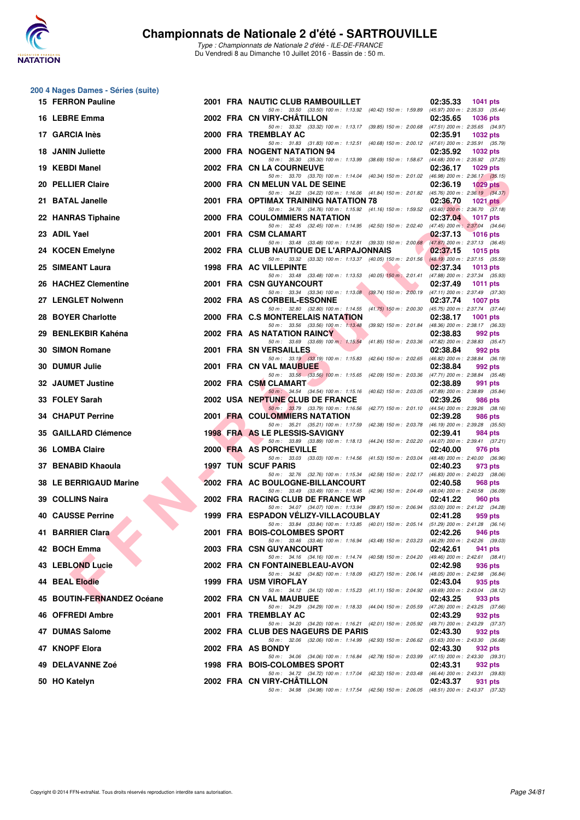

| 200 4 Nages Dames - Séries (suite) |  |                                                                                                                                     |                                                                |
|------------------------------------|--|-------------------------------------------------------------------------------------------------------------------------------------|----------------------------------------------------------------|
| 15 FERRON Pauline                  |  | 2001 FRA NAUTIC CLUB RAMBOUILLET<br>50 m: 33.50 (33.50) 100 m: 1:13.92 (40.42) 150 m: 1:59.89 (45.97) 200 m: 2:35.33 (35.44)        | 02:35.33<br>1041 pts                                           |
| 16 LEBRE Emma                      |  | 2002 FRA CN VIRY-CHATILLON<br>50 m: 33.32 (33.32) 100 m: 1:13.17 (39.85) 150 m: 2:00.68 (47.51) 200 m: 2:35.65 (34.97)              | 02:35.65<br><b>1036 pts</b>                                    |
| 17 GARCIA Inès                     |  | 2000 FRA TREMBLAY AC                                                                                                                | 02:35.91<br><b>1032 pts</b>                                    |
| <b>18 JANIN Juliette</b>           |  | 50 m: 31.83 (31.83) 100 m: 1:12.51 (40.68) 150 m: 2:00.12 (47.61) 200 m: 2:35.91 (35.79)<br>2000 FRA NOGENT NATATION 94             | 02:35.92<br><b>1032 pts</b>                                    |
| 19 KEBDI Manel                     |  | 50 m: 35.30 (35.30) 100 m: 1:13.99 (38.69) 150 m: 1:58.67 (44.68) 200 m: 2:35.92 (37.25)<br>2002 FRA CN LA COURNEUVE                | 02:36.17<br>1029 pts                                           |
| 20 PELLIER Claire                  |  | 50 m: 33.70 (33.70) 100 m: 1:14.04 (40.34) 150 m: 2:01.02 (46.98) 200 m: 2:36.17 (35.15)<br>2000 FRA CN MELUN VAL DE SEINE          | 02:36.19<br>$1029$ pts                                         |
| 21 BATAL Janelle                   |  | 50 m: 34.22 (34.22) 100 m: 1:16.06 (41.84) 150 m: 2:01.82 (45.76) 200 m: 2:36.19 (34.37)<br>2001 FRA OPTIMAX TRAINING NATATION 78   | 02:36.70<br>$1021$ pts                                         |
| 22 HANRAS Tiphaine                 |  | 50 m: 34.76 (34.76) 100 m: 1:15.92 (41.16) 150 m: 1:59.52 (43.60) 200 m: 2:36.70 (37.18)<br>2000 FRA COULOMMIERS NATATION           | 02:37.04<br><b>1017 pts</b>                                    |
| 23 ADIL Yael                       |  | 50 m: 32.45 (32.45) 100 m: 1:14.95 (42.50) 150 m: 2:02.40 (47.45) 200 m: 2:37.04 (34.64)<br>2001 FRA CSM CLAMART                    | 02:37.13<br><b>1016 pts</b>                                    |
| 24 KOCEN Emelyne                   |  | 50 m: 33.48 (33.48) 100 m: 1:12.81 (39.33) 150 m: 2:00.68 (47.87) 200 m: 2:37.13 (36.45)<br>2002 FRA CLUB NAUTIQUE DE L'ARPAJONNAIS | 02:37.15<br><b>1015 pts</b>                                    |
| 25 SIMEANT Laura                   |  | 50 m: 33.32 (33.32) 100 m: 1:13.37 (40.05) 150 m: 2:01.56<br>1998 FRA AC VILLEPINTE                                                 | $(48.19)$ 200 m : 2:37.15 $(35.59)$<br>02:37.34<br>1013 pts    |
| 26 HACHEZ Clementine               |  | 50 m: 33.48 (33.48) 100 m: 1:13.53 (40.05) 150 m: 2:01.41<br>2001 FRA CSN GUYANCOURT                                                | (47.88) 200 m : 2:37.34 (35.93)<br>02:37.49<br><b>1011 pts</b> |
| 27 LENGLET Nolwenn                 |  | 50 m: 33.34 (33.34) 100 m: 1:13.08 (39.74) 150 m: 2:00.19 (47.11) 200 m: 2:37.49 (37.30)<br>2002 FRA AS CORBEIL-ESSONNE             | 02:37.74<br><b>1007 pts</b>                                    |
| 28 BOYER Charlotte                 |  | 50 m: 32.80 (32.80) 100 m: 1:14.55 (41.75) 150 m: 2:00.30 (45.75) 200 m: 2:37.74 (37.44)<br>2000 FRA C.S MONTERELAIS NATATION       | 02:38.17<br><b>1001 pts</b>                                    |
| 29 BENLEKBIR Kahéna                |  | 50 m: 33.56 (33.56) 100 m: 1:13.48 (39.92) 150 m: 2:01.84 (48.36) 200 m: 2:38.17 (36.33)<br><b>2002 FRA AS NATATION RAINCY</b>      | 02:38.83<br>992 pts                                            |
| 30 SIMON Romane                    |  | 50 m: 33.69 (33.69) 100 m: 1:15.54 (41.85) 150 m: 2:03.36 (47.82) 200 m: 2:38.83 (35.47)<br>2001 FRA SN VERSAILLES                  | 02:38.84<br>992 pts                                            |
| 30 DUMUR Julie                     |  | 50 m: 33.19 (33.19) 100 m: 1:15.83 (42.64) 150 m: 2:02.65<br>2001 FRA CN VAL MAUBUEE                                                | (46.82) 200 m : 2:38.84 (36.19)<br>02:38.84<br>992 pts         |
| 32 JAUMET Justine                  |  | 50 m: 33.56 (33.56) 100 m: 1:15.65 (42.09) 150 m: 2:03.36 (47.71) 200 m: 2:38.84 (35.48)<br>2002 FRA CSM CLAMART                    | 02:38.89<br>991 pts                                            |
| 33 FOLEY Sarah                     |  | 50 m: 34.54 (34.54) 100 m: 1:15.16 (40.62) 150 m: 2:03.05 (47.89) 200 m: 2:38.89 (35.84)<br>2002 USA NEPTUNE CLUB DE FRANCE         | 02:39.26<br>986 pts                                            |
| <b>34 CHAPUT Perrine</b>           |  | 50 m: 33.79 (33.79) 100 m: 1:16.56 (42.77) 150 m: 2:01.10 (44.54) 200 m: 2:39.26 (38.16)<br>2001 FRA COULOMMIERS NATATION           | 02:39.28<br>986 pts                                            |
| 35 GAILLARD Clémence               |  | 50 m: 35.21 (35.21) 100 m: 1:17.59 (42.38) 150 m: 2:03.78 (46.19) 200 m: 2:39.28 (35.50)<br>1998 FRA AS LE PLESSIS-SAVIGNY          | 02:39.41<br>984 pts                                            |
| 36 LOMBA Claire                    |  | 50 m: 33.89 (33.89) 100 m: 1:18.13 (44.24) 150 m: 2:02.20 (44.07) 200 m: 2:39.41 (37.21)<br>2000 FRA AS PORCHEVILLE                 | 02:40.00<br>976 pts                                            |
| 37 BENABID Khaoula                 |  | 50 m: 33.03 (33.03) 100 m: 1:14.56 (41.53) 150 m: 2:03.04<br><b>1997 TUN SCUF PARIS</b>                                             | (48.48) 200 m : 2:40.00 (36.96)<br>02:40.23<br>973 pts         |
| 38 LE BERRIGAUD Marine             |  | 50 m : 32.76 (32.76) 100 m : 1:15.34 (42.58) 150 m : 2:02.17 (46.83) 200 m : 2:40.23 (38.06)<br>2002 FRA AC BOULOGNE-BILLANCOURT    | 02:40.58<br>968 pts                                            |
| 39 COLLINS Naira                   |  | 50 m: 33.49 (33.49) 100 m: 1:16.45 (42.96) 150 m: 2:04.49 (48.04) 200 m: 2:40.58 (36.09)<br>2002 FRA RACING CLUB DE FRANCE WP       | 02:41.22<br>960 pts                                            |
| <b>40 CAUSSE Perrine</b>           |  | 50 m: 34.07 (34.07) 100 m: 1:13.94 (39.87) 150 m: 2:06.94 (53.00) 200 m: 2:41.22 (34.28)<br>1999 FRA ESPADON VÉLIZY-VILLACOUBLAY    | 02:41.28<br>959 pts                                            |
| 41 BARRIER Clara                   |  | 50 m: 33.84 (33.84) 100 m: 1:13.85 (40.01) 150 m: 2:05.14 (51.29) 200 m: 2:41.28 (36.14)<br>2001 FRA BOIS-COLOMBES SPORT            | 02:42.26<br>946 pts                                            |
| 42 BOCH Emma                       |  | 50 m: 33.46 (33.46) 100 m: 1:16.94 (43.48) 150 m: 2:03.23 (46.29) 200 m: 2:42.26 (39.03)<br>2003 FRA CSN GUYANCOURT                 | 02:42.61<br>941 pts                                            |
| <b>43 LEBLOND Lucie</b>            |  | 50 m: 34.16 (34.16) 100 m: 1:14.74 (40.58) 150 m: 2:04.20 (49.46) 200 m: 2:42.61 (38.41)<br>2002 FRA CN FONTAINEBLEAU-AVON          | 02:42.98<br>936 pts                                            |
| <b>44 BEAL Elodie</b>              |  | 50 m: 34.82 (34.82) 100 m: 1:18.09 (43.27) 150 m: 2:06.14 (48.05) 200 m: 2:42.98 (36.84)<br>1999 FRA USM VIROFLAY                   | 02:43.04<br>935 pts                                            |
| 45 BOUTIN-FERNANDEZ Océane         |  | 50 m: 34.12 (34.12) 100 m: 1:15.23 (41.11) 150 m: 2:04.92 (49.69) 200 m: 2:43.04 (38.12)<br>2002 FRA CN VAL MAUBUEE                 | 02:43.25<br>933 pts                                            |
| 46 OFFREDI Ambre                   |  | 50 m: 34.29 (34.29) 100 m: 1:18.33 (44.04) 150 m: 2:05.59 (47.26) 200 m: 2:43.25 (37.66)<br>2001 FRA TREMBLAY AC                    | 02:43.29<br>932 pts                                            |
| 47 DUMAS Salome                    |  | 50 m: 34.20 (34.20) 100 m: 1:16.21 (42.01) 150 m: 2:05.92 (49.71) 200 m: 2:43.29 (37.37)<br>2002 FRA CLUB DES NAGEURS DE PARIS      | 02:43.30<br>932 pts                                            |
| 47 KNOPF Elora                     |  | 50 m: 32.06 (32.06) 100 m: 1:14.99 (42.93) 150 m: 2:06.62 (51.63) 200 m: 2:43.30 (36.68)<br>2002 FRA AS BONDY                       | 02:43.30<br>932 pts                                            |
| 49 DELAVANNE Zoé                   |  | 50 m: 34.06 (34.06) 100 m: 1:16.84 (42.78) 150 m: 2:03.99 (47.15) 200 m: 2:43.30 (39.31)<br>1998 FRA BOIS-COLOMBES SPORT            | 02:43.31<br>932 pts                                            |
| 50 HO Katelyn                      |  | 50 m: 34.72 (34.72) 100 m: 1:17.04 (42.32) 150 m: 2:03.48 (46.44) 200 m: 2:43.31 (39.83)<br>2002 FRA CN VIRY-CHATILLON              | 02:43.37<br>931 pts                                            |
|                                    |  | 50 m: 34.98 (34.98) 100 m: 1:17.54 (42.56) 150 m: 2:06.05 (48.51) 200 m: 2:43.37 (37.32)                                            |                                                                |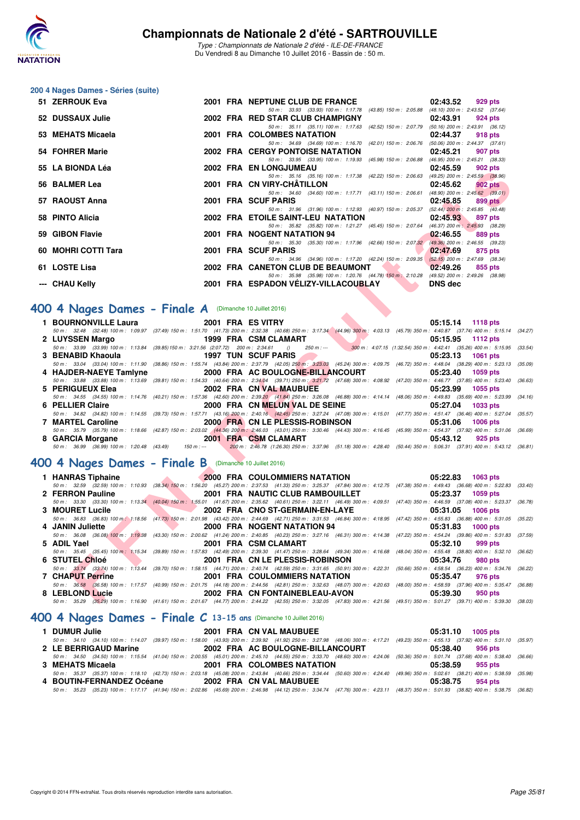

Type : Championnats de Nationale 2 d'été - ILE-DE-FRANCE Du Vendredi 8 au Dimanche 10 Juillet 2016 - Bassin de : 50 m.

### **200 4 Nages Dames - Séries (suite)**

| 51 ZERROUK Eva      |  | 2001 FRA NEPTUNE CLUB DE FRANCE                                                          | 02:43.52 | 929 pts                             |
|---------------------|--|------------------------------------------------------------------------------------------|----------|-------------------------------------|
|                     |  | 50 m : 33.93 (33.93) 100 m : 1:17.78 (43.85) 150 m : 2:05.88                             |          | (48.10) 200 m : 2:43.52 (37.64)     |
| 52 DUSSAUX Julie    |  | 2002 FRA RED STAR CLUB CHAMPIGNY                                                         | 02:43.91 | 924 pts                             |
|                     |  | 50 m: 35.11 (35.11) 100 m: 1:17.63 (42.52) 150 m: 2:07.79                                |          | $(50.16)$ 200 m : 2:43.91 $(36.12)$ |
| 53 MEHATS Micaela   |  | 2001 FRA COLOMBES NATATION                                                               | 02:44.37 | 918 pts                             |
|                     |  | 50 m: 34.69 (34.69) 100 m: 1:16.70 (42.01) 150 m: 2:06.76                                |          | $(50.06)$ 200 m : 2:44.37 $(37.61)$ |
| 54 FOHRER Marie     |  | <b>2002 FRA CERGY PONTOISE NATATION</b>                                                  | 02:45.21 | 907 pts                             |
|                     |  | 50 m: 33.95 (33.95) 100 m: 1:19.93 (45.98) 150 m: 2:06.88 (46.95) 200 m: 2:45.21 (38.33) |          |                                     |
| 55 LA BIONDA Léa    |  | <b>2002 FRA EN LONGJUMEAU</b>                                                            | 02:45.59 | 902 pts                             |
|                     |  | 50 m: 35.16 (35.16) 100 m: 1:17.38 (42.22) 150 m: 2:06.63 (49.25) 200 m: 2:45.59 (38.96) |          |                                     |
| 56 BALMER Lea       |  | 2001 FRA CN VIRY-CHÂTILLON                                                               | 02:45.62 | $902$ pts                           |
|                     |  | 50 m: 34.60 (34.60) 100 m: 1:17.71 (43.11) 150 m: 2:06.61 (48.90) 200 m: 2:45.62 (39.01) |          |                                     |
| 57 RAOUST Anna      |  | 2001 FRA SCUF PARIS                                                                      | 02:45.85 | 899 pts                             |
|                     |  | 50 m: 31.96 (31.96) 100 m: 1:12.93 (40.97) 150 m: 2:05.37 (52.44) 200 m: 2:45.85 (40.48) |          |                                     |
| 58 PINTO Alicia     |  | 2002 FRA ETOILE SAINT-LEU NATATION                                                       | 02:45.93 | 897 pts                             |
|                     |  | 50 m: 35.82 (35.82) 100 m: 1:21.27 (45.45) 150 m: 2:07.64 (46.37) 200 m: 2:45.93 (38.29) |          |                                     |
| 59 GIBON Flavie     |  | 2001 FRA NOGENT NATATION 94                                                              | 02:46.55 | 889 pts                             |
|                     |  | 50 m: 35.30 (35.30) 100 m: 1:17.96 (42.66) 150 m: 2:07.32                                |          | $(49.36)$ 200 m : 2:46.55 $(39.23)$ |
| 60 MOHRI COTTI Tara |  | 2001 FRA SCUF PARIS                                                                      | 02:47.69 | 875 pts                             |
|                     |  | 50 m: 34.96 (34.96) 100 m: 1:17.20 (42.24) 150 m: 2:09.35                                |          | $(52.15)$ 200 m : 2:47.69 $(38.34)$ |
| 61 LOSTE Lisa       |  | 2002 FRA CANETON CLUB DE BEAUMONT                                                        | 02:49.26 | 855 pts                             |
|                     |  | 50 m: 35.98 (35.98) 100 m: 1:20.76 (44.78) 150 m: 2:10.28 (49.52) 200 m: 2:49.26 (38.98) |          |                                     |
| --- CHAU Kelly      |  | 2001 FRA ESPADON VELIZY-VILLACOUBLAY NAMEDIS dec                                         |          |                                     |

## **[400 4 Nages Dames - Finale A](http://www.ffnatation.fr/webffn/resultats.php?idact=nat&go=epr&idcpt=39837&idepr=42)** (Dimanche 10 Juillet 2016)

| 1 BOURNONVILLE Laura 2001 FRA ES VITRY                                    |                         |                                                  | 05:15.14 1118 pts                                                                                                                                                                            |
|---------------------------------------------------------------------------|-------------------------|--------------------------------------------------|----------------------------------------------------------------------------------------------------------------------------------------------------------------------------------------------|
|                                                                           |                         |                                                  | 50 m : 32.48 (32.48) 100 m : 1:09.97 (37.49) 150 m : 1:51.70 (41.73) 200 m : 2:32.38 (40.68) 250 m : 3:17.34 (44.96) 300 m : 4:03.13 (45.79) 350 m : 4:40.87 (37.74) 400 m : 5:15.14 (34.27) |
|                                                                           |                         |                                                  | 05:15.95 1112 pts                                                                                                                                                                            |
|                                                                           |                         |                                                  | 50 m: 33.99 (33.99) 100 m: 1:13.84 (39.85) 150 m: 3:21.56 (2:07.72) 200 m: 2:34.61 () 250 m:--- 300 m: 4:07.15 (1:32.54) 350 m: 4:42.41 (35.26) 400 m: 5:15.95 (33.54)                       |
| 3 BENABID Khaoula 2008 1997 TUN SCUF PARIS                                |                         |                                                  | 05:23.13 1061 pts                                                                                                                                                                            |
|                                                                           |                         |                                                  | 50 m: 33.04 (33.04) 100 m: 1:11.90 (38.86) 150 m: 1:55.74 (43.84) 200 m: 2:37.79 (42.05) 250 m: 3:23.03 (45.24) 300 m: 4:09.75 (46.72) 350 m: 4:48.04 (38.29) 400 m: 5:23.13 (35.09)         |
| 4 HAJDER-NAEYE Tamiyne 2000 FRA AC BOULOGNE-BILLANCOURT 05:23.40 1059 pts |                         |                                                  |                                                                                                                                                                                              |
|                                                                           |                         |                                                  | 50 m: 33.88 (33.88) 100 m: 1:13.69 (39.81) 150 m: 1:54.33 (40.64) 200 m: 2:34.04 (39.71) 250 m: 3:21.72 (47.68) 300 m: 4:08.92 (47.20) 350 m: 4:46.77 (37.85) 400 m: 5:23.40 (36.63)         |
| 5 PERIGUEUX Elea                                                          | 2002 FRA CN VAL MAUBUEE |                                                  | 05:23.99 1055 pts                                                                                                                                                                            |
|                                                                           |                         |                                                  | 50 m: 34.55 (34.55) 100 m: 1:14.76 (40.21) 150 m: 1:57.36 (42.60) 200 m: 2:39.20 (41.84) 250 m: 3:26.08 (46.88) 300 m: 4:14.14 (48.06) 350 m: 4:49.83 (35.69) 400 m: 5:23.99 (34.16)         |
| 6 PELLIER Claire <b>Andrew Struck Struck Struck</b>                       |                         | 2000 FRA CN MELUN VAL DE SEINE 65:27.04 1033 pts |                                                                                                                                                                                              |
|                                                                           |                         |                                                  | 50 m: 34.82 (34.82) 100 m: 1:14.55 (39.73) 150 m: 1:57.71 (43.16) 200 m: 2:40.16 (42.45) 250 m: 3:27.24 (47.08) 300 m: 4:15.01 (47.77) 350 m: 4:51.47 (36.46) 400 m: 5:27.04 (35.57)         |
| 7 MARTEL Caroline                                                         |                         | 2000 FRA CN LE PLESSIS-ROBINSON                  | 05:31.06 1006 pts                                                                                                                                                                            |
|                                                                           |                         |                                                  | 50 m: 35.79 (35.79) 100 m: 1:18.66 (42.87) 150 m: 2:03.02 (44.36) 200 m: 2:46.03 (43.01) 250 m: 3:30.46 (44.43) 300 m: 4:16.45 (45.99) 350 m: 4:54.37 (37.92) 400 m: 5:31.06 (36.69)         |
| 8 GARCIA Morgane 2001 FRA CSM CLAMART                                     |                         |                                                  | 05:43.12 925 pts                                                                                                                                                                             |
|                                                                           |                         |                                                  | 50 m: 36.99 (36.99) 100 m: 1:20.48 (43.49) 150 m: --- 200 m: 2:46.78 (1:26.30) 250 m: 3:37.96 (51.18) 300 m: 4:28.40 (50.44) 350 m: 5:06.31 (37.91) 400 m: 5:43.12 (36.81)                   |

### **[400 4 Nages Dames - Finale B](http://www.ffnatation.fr/webffn/resultats.php?idact=nat&go=epr&idcpt=39837&idepr=42)** (Dimanche 10 Juillet 2016)

| JJ LA DIVIVIA LUA                                                                                                                        |                           | ZUUZ FRA EN LUNGJUWEAU<br>U4.4J.JJ<br><b>JU4 PID</b>                                                                                                                                                                                                   |         |
|------------------------------------------------------------------------------------------------------------------------------------------|---------------------------|--------------------------------------------------------------------------------------------------------------------------------------------------------------------------------------------------------------------------------------------------------|---------|
| 56 BALMER Lea                                                                                                                            |                           | 50 m: 35.16 (35.16) 100 m: 1:17.38 (42.22) 150 m: 2:06.63 (49.25) 200 m: 2:45.59 (38.96)<br>2001 FRA CN VIRY-CHATILLON<br>02:45.62<br>$902$ pts                                                                                                        |         |
|                                                                                                                                          |                           | 50 m: 34.60 (34.60) 100 m: 1:17.71 (43.11) 150 m: 2:06.61 (48.90) 200 m: 2:45.62 (39.01)                                                                                                                                                               |         |
| 57   RAOUST Anna                                                                                                                         |                           | 2001 FRA SCUF PARIS<br>02:45.85<br>899 pts                                                                                                                                                                                                             |         |
|                                                                                                                                          |                           | 50 m: 31.96 (31.96) 100 m: 1:12.93 (40.97) 150 m: 2:05.37 (52.44) 200 m: 2:45.85 (40.48)                                                                                                                                                               |         |
| 58 PINTO Alicia                                                                                                                          |                           | 2002 FRA ETOILE SAINT-LEU NATATION<br>02:45.93<br>897 pts<br>50 m: 35.82 (35.82) 100 m: 1:21.27 (45.45) 150 m: 2:07.64 (46.37) 200 m: 2:45.93 (38.29)                                                                                                  |         |
| 59 GIBON Flavie                                                                                                                          |                           | 2001 FRA NOGENT NATATION 94<br>02:46.55<br>889 pts                                                                                                                                                                                                     |         |
|                                                                                                                                          |                           | 50 m: 35.30 (35.30) 100 m: 1:17.96 (42.66) 150 m: 2:07.32 (49.36) 200 m: 2:46.55 (39.23)                                                                                                                                                               |         |
| 60 MOHRI COTTI Tara                                                                                                                      |                           | 2001 FRA SCUF PARIS<br>02:47.69<br>875 pts                                                                                                                                                                                                             |         |
|                                                                                                                                          |                           | 50 m: 34.96 (34.96) 100 m: 1:17.20 (42.24) 150 m: 2:09.35 (52.15) 200 m: 2:47.69 (38.34)                                                                                                                                                               |         |
| 51 LOSTE Lisa                                                                                                                            |                           | 2002 FRA CANETON CLUB DE BEAUMONT<br>02:49.26<br>855 pts<br>50 m: 35.98 (35.98) 100 m: 1:20.76 (44.78) 150 m: 2:10.28 (49.52) 200 m: 2:49.26 (38.98)                                                                                                   |         |
| --- CHAU Kelly                                                                                                                           |                           | 2001 FRA ESPADON VÉLIZY-VILLACOUBLAY<br><b>The Contract of Street</b><br><b>DNS</b> dec                                                                                                                                                                |         |
|                                                                                                                                          |                           |                                                                                                                                                                                                                                                        |         |
|                                                                                                                                          |                           |                                                                                                                                                                                                                                                        |         |
| $204$ Nages Dames - Finale A (Dimanche 10 Juillet 2016)                                                                                  |                           |                                                                                                                                                                                                                                                        |         |
| 1 BOURNONVILLE Laura                                                                                                                     |                           | 2001 FRA ES VITRY<br>05:15.14 1118 pts                                                                                                                                                                                                                 |         |
|                                                                                                                                          |                           | 50 m : 32.48 (32.48) 100 m : 1:09.97 (37.49) 150 m : 1:51.70 (41.73) 200 m : 2:32.38 (40.68) 250 m : 3:17.34 (44.96) 300 m : 4:03.13 (45.79) 350 m : 4:40.87 (37.74) 400 m : 5:15.14 (34.27)                                                           |         |
| 2 LUYSSEN Margo                                                                                                                          |                           | <b>The Second Second</b><br>1999 FRA CSM CLAMART<br>05:15.95<br>1112 pts                                                                                                                                                                               |         |
| $50 m$ : 33.99 (33.99) 100 m: 1:13.84 (39.85) 150 m: 3:21.56 (2:07.72) 200 m: 2:34.61 () 250 m:<br>3 BENABID Khaoula 1997 TUN SCUF PARIS |                           | 300 m : 4:07.15 (1:32.54) 350 m : 4:42.41 (35.26) 400 m : 5:15.95 (33.54)<br><b>Contract</b><br><b>1061 pts</b>                                                                                                                                        |         |
|                                                                                                                                          |                           | 05:23.13<br>50 m : 33.04 (33.04) 100 m : 1:11.90 (38.86) 150 m : 1:55.74 (43.84) 200 m : 2:37.79 (42.05) 250 m : 3:23.03 (45.24) 300 m : 4:09.75 (46.72) 350 m : 4:48.04 (38.29) 400 m : 5:23.13 (35.09)                                               |         |
|                                                                                                                                          |                           | 4 HAJDER-NAEYE Tamiyne 2000 FRA AC BOULOGNE-BILLANCOURT<br>05:23.40<br>1059 pts                                                                                                                                                                        |         |
|                                                                                                                                          |                           | 50 m: 33.88 (33.88) 100 m: 1:13.69 (39.81) 150 m: 1:54.33 (40.64) 200 m: 2:34.04 (39.71) 250 m: 3:21.72 (47.68) 300 m: 4:08.92 (47.20) 350 m: 4:46.77 (37.85) 400 m: 5:23.40                                                                           | (36.63) |
| 5 PERIGUEUX Elea                                                                                                                         |                           | 2002 FRA CN VAL MAUBUEE<br>05:23.99<br>1055 pts                                                                                                                                                                                                        |         |
|                                                                                                                                          |                           | 50 m: 34.55 (34.55) 100 m: 1:14.76 (40.21) 150 m: 1:57.36 (42.60) 200 m: 2:39.20 (41.84) 250 m: 3:26.08 (46.88) 300 m: 4:14.14 (48.06) 350 m: 4:49.83 (35.69) 400 m: 5:23.99 (34.16)                                                                   |         |
| 6 PELLIER Claire                                                                                                                         |                           | 2000 FRA CN MELUN VAL DE SEINE<br>05:27.04<br>1033 pts                                                                                                                                                                                                 |         |
| 7 MARTEL Caroline                                                                                                                        |                           | 50 m: 34.82 (34.82) 100 m: 1:14.55 (39.73) 150 m: 1:57.71 (43.16) 200 m: 2:40.16 (42.45) 250 m: 3:27.24 (47.08) 300 m: 4:15.01 (47.77) 350 m: 4:51.47 (36.46) 400 m: 5:27.04 (35.57)<br>2000 FRA CN LE PLESSIS-ROBINSON<br>05:31.06<br><b>1006 pts</b> |         |
|                                                                                                                                          |                           | 50 m: 35.79 (35.79) 100 m: 1:18.66 (42.87) 150 m: 2:03.02 (44.36) 200 m: 2:46.03 (43.01) 250 m: 3:30.46 (44.43) 300 m: 4:16.45 (45.99) 350 m: 4:54.37 (37.92) 400 m: 5:31.06 (36.69)                                                                   |         |
| 8 GARCIA Morgane 2001 FRA CSM CLAMART                                                                                                    |                           | 05:43.12<br>925 pts                                                                                                                                                                                                                                    |         |
|                                                                                                                                          |                           | 50 m: 36.99 (36.99) 100 m: 1:20.48 (43.49) 150 m: -- 200 m: 2:46.78 (1:26.30) 250 m: 3:37.96 (51.18) 300 m: 4:28.40 (50.44) 350 m: 5:06.31 (37.91) 400 m: 5:43.12 (36.81)                                                                              |         |
|                                                                                                                                          |                           |                                                                                                                                                                                                                                                        |         |
| $204$ Nages Dames - Finale B (Dimanche 10 Juillet 2016)                                                                                  |                           |                                                                                                                                                                                                                                                        |         |
| 1 HANRAS Tiphaine                                                                                                                        |                           | 2000 FRA COULOMMIERS NATATION<br>05:22.83<br>1063 pts                                                                                                                                                                                                  |         |
|                                                                                                                                          |                           | 50 m: 32.59 (32.59) 100 m: 1:10.93 (38.34) 150 m: 1:56.20 (45.27) 200 m: 2:37.53 (41.33) 250 m: 3:25.37 (47.84) 300 m: 4:12.75 (47.38) 350 m: 4:49.43 (36.68) 400 m: 5:22.83 (33.40)                                                                   |         |
| 2 FERRON Pauline                                                                                                                         | <b>The Second Service</b> | 2001 FRA NAUTIC CLUB RAMBOUILLET<br>05:23.37<br>1059 pts<br>50 m: 33.30 (33.30) 100 m: 1:13.34 (40.04) 150 m: 1:55.01 (41.67) 200 m: 2:35.62 (40.61) 250 m: 3:22.11 (46.49) 300 m: 4:09.51 (47.40) 350 m: 4:46.59 (37.08) 400 m: 5:23.37 (36.78)       |         |
| 3 MOURET Lucile                                                                                                                          |                           | 2002 FRA CNO ST-GERMAIN-EN-LAYE<br>05:31.05<br><b>1006 pts</b>                                                                                                                                                                                         |         |
|                                                                                                                                          |                           | 50 m: 36.83 (36.83) 100 m; 1:18.56 (41.73) 150 m: 2:01.98 (43.42) 200 m: 2:44.69 (42.71) 250 m: 3:31.53 (46.84) 300 m: 4:18.95 (47.42) 350 m: 4:55.83 (36.88) 400 m: 5:31.05 (35.22)                                                                   |         |
| 4 JANIN Juliette                                                                                                                         |                           | 2000 FRA NOGENT NATATION 94<br>05:31.83<br><b>1000 pts</b>                                                                                                                                                                                             |         |
|                                                                                                                                          |                           | 50 m: 36.08 (36.08) 100 m: 1:19.38 (43.30) 150 m: 2:00.62 (41.24) 200 m: 2:40.85 (40.23) 250 m: 3:27.16 (46.31) 300 m: 4:14.38 (47.22) 350 m: 4:54.24 (39.86) 400 m: 5:31.83 (37.59)                                                                   |         |
| 5 ADIL Yael                                                                                                                              |                           | 2001 FRA CSM CLAMART<br>05:32.10<br>999 pts                                                                                                                                                                                                            |         |
|                                                                                                                                          |                           | 50 m: 35.45 (35.45) 100 m: 1:15.34 (39.89) 150 m: 1:57.83 (42.49) 200 m: 2:39.30 (41.47) 250 m: 3:28.64 (49.34) 300 m: 4:16.68 (48.04) 350 m: 4:55.48 (38.80) 400 m: 5:32.10 (36.62)                                                                   |         |
| 6 STUTEL Chloé                                                                                                                           |                           | 2001 FRA CN LE PLESSIS-ROBINSON<br>05:34.76<br><b>980 pts</b><br>50 m: 33.74 (33.74) 100 m: 1:13.44 (39.70) 150 m: 1:58.15 (44.71) 200 m: 2:40.74 (42.59) 250 m: 3:31.65 (50.91) 300 m: 4:22.31 (50.66) 350 m: 4:58.54 (36.23) 400 m: 5:34.76 (36.22)  |         |
| <b>7 CHAPUT Perrine</b>                                                                                                                  |                           | 2001 FRA COULOMMIERS NATATION<br>05:35.47<br>976 pts                                                                                                                                                                                                   |         |
|                                                                                                                                          |                           | 50 m: 36.58 (36.58) 100 m: 1:17.57 (40.99) 150 m: 2:01.75 (44.18) 200 m: 2:44.56 (42.81) 250 m: 3:32.63 (48.07) 300 m: 4:20.63 (48.00) 350 m: 4:58.59 (37.96) 400 m: 5:35.47 (36.88)                                                                   |         |
| 8 LEBLOND Lucie                                                                                                                          |                           | 2002 FRA CN FONTAINEBLEAU-AVON<br>05:39.30<br>950 pts                                                                                                                                                                                                  |         |
|                                                                                                                                          |                           | 50 m: 35.29 (35,29) 100 m: 1:16.90 (41.61) 150 m: 2:01.67 (44.77) 200 m: 2:44.22 (42.55) 250 m: 3:32.05 (47.83) 300 m: 4:21.56 (49.51) 350 m: 5:01.27 (39.71) 400 m: 5:39.30 (38.03)                                                                   |         |
|                                                                                                                                          |                           |                                                                                                                                                                                                                                                        |         |

## **[400 4 Nages Dames - Finale C](http://www.ffnatation.fr/webffn/resultats.php?idact=nat&go=epr&idcpt=39837&idepr=42) 13-15 ans** (Dimanche 10 Juillet 2016)

| 1 DUMUR Julie             |                                                                                                                                                                                              | 2001 FRA CN VAL MAUBUEE          | $05:31.10$ 1005 pts |  |
|---------------------------|----------------------------------------------------------------------------------------------------------------------------------------------------------------------------------------------|----------------------------------|---------------------|--|
|                           | 50 m: 34.10 (34.10) 100 m: 1:14.07 (39.97) 150 m: 1:58.00 (43.93) 200 m: 2:39.92 (41.92) 250 m: 3:27.98 (48.06) 300 m: 4:17.21 (49.23) 350 m: 4:55.13 (37.92) 400 m: 5:31.10 (35.97)         |                                  |                     |  |
| 2 LE BERRIGAUD Marine     |                                                                                                                                                                                              | 2002 FRA AC BOULOGNE-BILLANCOURT | 05:38.40 956 pts    |  |
|                           | 50 m : 34.50 (34.50) 100 m : 1:15.54 (41.04) 150 m : 2:00.55 (45.01) 200 m : 2:45.10 (44.55) 250 m : 3:33.70 (48.60) 300 m : 4:24.06 (50.36) 350 m : 5:01.74 (37.68) 400 m : 5:38.40 (36.66) |                                  |                     |  |
| 3 MEHATS Micaela          |                                                                                                                                                                                              | 2001 FRA COLOMBES NATATION       | 05:38.59 955 pts    |  |
|                           | 50 m: 35.37 (35.37) 100 m: 1:18.10 (42.73) 150 m: 2:03.18 (45.08) 200 m: 2:43.84 (40.66) 250 m: 3:34.44 (50.60) 300 m: 4:24.40 (49.96) 350 m: 5:02.61 (38.21) 400 m: 5:38.59 (35.98)         |                                  |                     |  |
| 4 BOUTIN-FERNANDEZ Océane |                                                                                                                                                                                              | 2002 FRA CN VAL MAUBUEE          | 05:38.75 954 pts    |  |
|                           | 50 m: 35.23 (35.23) 100 m: 1:17.17 (41.94) 150 m: 2:02.86 (45.69) 200 m: 2:46.98 (44.12) 250 m: 3:34.74 (47.76) 300 m: 4:23.11 (48.37) 350 m: 5:01.93 (38.82) 400 m: 5:38.75 (36.82)         |                                  |                     |  |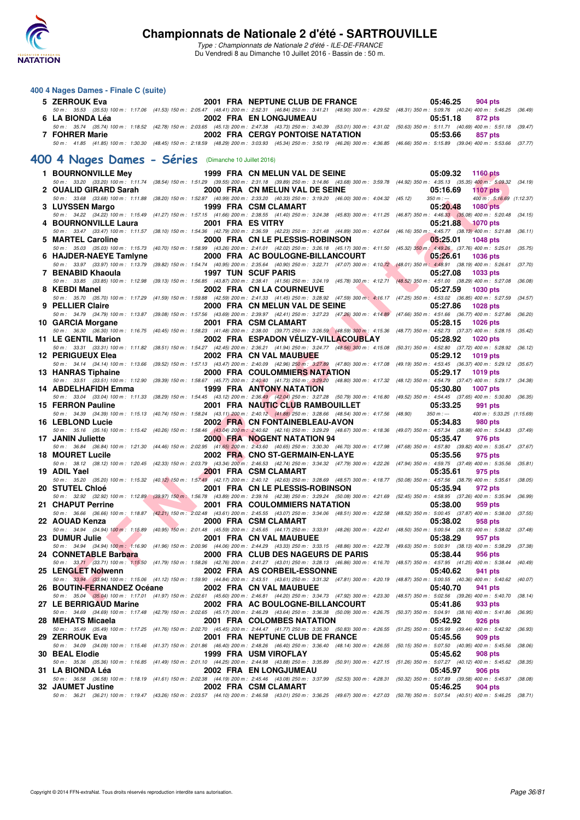

| 400 4 Nages Dames - Finale C (suite)                  |                   |                                                                                                                                                                                                                                 |                                                                              |         |
|-------------------------------------------------------|-------------------|---------------------------------------------------------------------------------------------------------------------------------------------------------------------------------------------------------------------------------|------------------------------------------------------------------------------|---------|
| 5 ZERROUK Eva                                         |                   | 2001 FRA NEPTUNE CLUB DE FRANCE                                                                                                                                                                                                 | 05:46.25<br>904 pts                                                          |         |
| 6 LA BIONDA Léa                                       |                   | 50 m: 35.53 (35.53) 100 m: 1:17.06 (41.53) 150 m: 2:05.47 (48.41) 200 m: 2:52.31 (46.84) 250 m: 3:41.21 (48.90) 300 m: 4:29.52 (48.31) 350 m: 5:09.76 (40.24) 400 m: 5:46.25 (36.49)<br><b>2002 FRA EN LONGJUMEAU</b>           | 05:51.18<br>872 pts                                                          |         |
|                                                       |                   | 50 m: 35.74 (35.74) 100 m: 1:18.52 (42.78) 150 m: 2:03.65 (45.13) 200 m: 2:47.38 (43.73) 250 m: 3:40.39 (53.01) 300 m: 4:31.02 (50.63) 350 m: 5:11.71 (40.69) 400 m: 5:51.18                                                    |                                                                              | (39.47) |
| 7 FOHRER Marie                                        |                   | <b>2002 FRA CERGY PONTOISE NATATION</b><br>50 m: 41.85 (41.85) 100 m: 1:30.30 (48.45) 150 m: 2:18.59 (48.29) 200 m: 3:03.93 (45.34) 250 m: 3:50.19 (46.26) 300 m: 4:36.85 (46.66) 350 m: 5:15.89 (39.04) 400 m: 5:53.66 (37.77) | 05:53.66<br>857 pts                                                          |         |
| 400 4 Nages Dames - Séries (Dimanche 10 Juillet 2016) |                   |                                                                                                                                                                                                                                 |                                                                              |         |
| 1 BOURNONVILLE Mey                                    |                   | 1999 FRA CN MELUN VAL DE SEINE                                                                                                                                                                                                  | 05:09.32<br><b>1160 pts</b>                                                  |         |
|                                                       |                   | 50 m: 33.20 (33.20) 100 m: 1:11.74 (38.54) 150 m: 1:51.29 (39.55) 200 m: 2:31.18 (39.89) 250 m: 3:14.86 (43.68) 300 m: 3:59.78 (44.92) 350 m: 4:35.13 (35.35) 400 m: 5:09.32 (34.19)                                            |                                                                              |         |
| 2 OUALID GIRARD Sarah                                 |                   | 2000 FRA CN MELUN VAL DE SEINE<br>50 m : 33.68 (33.68) 100 m : 1:11.88 (38.20) 150 m : 1:52.87 (40.99) 200 m : 2:33.20 (40.33) 250 m : 3:19.20 (46.00) 300 m : 4:04.32 (45.12)                                                  | 05:16.69<br><b>1107 pts</b><br>$350 m : -$<br>400 m: 5:16.69 (1:12.37)       |         |
| 3 LUYSSEN Margo                                       |                   | 1999 FRA CSM CLAMART                                                                                                                                                                                                            | 05:20.48<br><b>1080 pts</b>                                                  |         |
| 4 BOURNONVILLE Laura                                  | 2001 FRA ES VITRY | 50 m : 34.22 (34.22) 100 m : 1:15.49 (41.27) 150 m : 1:57.15 (41.66) 200 m : 2:38.55 (41.40) 250 m : 3:24.38 (45.83) 300 m : 4:11.25 (46.87) 350 m : 4:46.33 (35.08) 400 m : 5:20.48 (34.15)                                    | 05:21.88<br><b>1070 pts</b>                                                  |         |
| 5 MARTEL Caroline                                     |                   | 50 m: 33.47 (33.47) 100 m: 1:11.57 (38.10) 150 m: 1:54.36 (42.79) 200 m: 2:36.59 (42.23) 250 m: 3:21.48 (44.89) 300 m: 4:07.64 (46.16) 350 m: 4:45.77 (38.13) 400 m: 5:21.88<br>2000 FRA CN LE PLESSIS-ROBINSON                 | 05:25.01<br><b>1048 pts</b>                                                  | (36.11) |
|                                                       |                   | 50 m: 35.03 (35.03) 100 m: 1:15.73 (40.70) 150 m: 1:58.99 (43.26) 200 m: 2:41.01 (42.02) 250 m: 3:26.18 (45.17) 300 m: 4:11.50 (45.32) 350 m: 4:49.26 (37.76) 400 m: 5:25.01                                                    |                                                                              | (35.75) |
| 6 HAJDER-NAEYE Tamlyne                                |                   | 2000 FRA AC BOULOGNE-BILLANCOURT<br>50 m: 33.97 (33.97) 100 m: 1:13.79 (39.82) 150 m: 1:54.74 (40.95) 200 m: 2:35.64 (40.90) 250 m: 3:22.71 (47.07) 300 m: 4:10.72 (48.01) 350 m: 4:48.91 (38.19) 400 m: 5:26.61                | 05:26.61<br><b>1036 pts</b>                                                  | (37.70) |
| 7 BENABID Khaoula                                     |                   | <b>1997 TUN SCUF PARIS</b>                                                                                                                                                                                                      | 05:27.08<br><b>1033 pts</b>                                                  |         |
| 8 KEBDI Manel                                         |                   | 50 m : 33.85 (33.85) 100 m : 1:12.98 (39.13) 150 m : 1:56.85 (43.87) 200 m : 2:38.41 (41.56) 250 m : 3:24.19 (45.78) 300 m : 4:12.71 (48.52) 350 m : 4:51.00 (38.29) 400 m : 5:27.08<br>2002 FRA CN LA COURNEUVE                | 05:27.59<br><b>1030 pts</b>                                                  | (36.08) |
| 9 PELLIER Claire                                      |                   | 50 m: 35.70 (35.70) 100 m: 1:17.29 (41.59) 150 m: 1:59.88 (42.59) 200 m: 2:41.33 (41.45) 250 m: 3:28.92 (47.59) 300 m: 4:16.17 (47.25) 350 m: 4:53.02 (36.85) 400 m: 5:27.59 (34.57)<br>2000 FRA CN MELUN VAL DE SEINE          | 05:27.86<br><b>1028 pts</b>                                                  |         |
|                                                       |                   | 50 m : 34.79 (34.79) 100 m : 1:13.87 (39.08) 150 m : 1:57.56 (43.69) 200 m : 2:39.97 (42.41) 250 m : 3:27.23 (47.26) 300 m : 4:14.89                                                                                            | (47.66) 350 m: 4:51.66 (36.77) 400 m: 5:27.86                                | (36.20) |
| 10 GARCIA Morgane                                     |                   | 2001 FRA CSM CLAMART<br>50 m: 36.30 (36.30) 100 m: 1:16.75 (40.45) 150 m: 1:58.23 (41.48) 200 m: 2:38.00 (39.77) 250 m: 3:26.59 (48.59) 300 m: 4:15.36 (48.77) 350 m: 4:52.73 (37.37) 400 m: 5:28.15 (35.42)                    | 05:28.15<br><b>1026 pts</b>                                                  |         |
| 11 LE GENTIL Marion                                   |                   | 2002 FRA ESPADON VELIZY-VILLACOUBLAY                                                                                                                                                                                            | 05:28.92<br><b>1020 pts</b>                                                  |         |
| 12 PERIGUEUX Elea                                     |                   | 50 m: 33.31 (33.31) 100 m: 1:11.82 (38.51) 150 m: 1:54.27 (42.45) 200 m: 2:36.21 (41.94) 250 m: 3:24.77 (48.56) 300 m: 4:15.08 (50.31) 350 m: 4:52.80 (37.72) 400 m: 5:28.92<br>2002 FRA CN VAL MAUBUEE                         | 05:29.12<br><b>1019 pts</b>                                                  | (36.12) |
| 13 HANRAS Tiphaine                                    |                   | 50 m: 34.14 (34.14) 100 m: 1:13.66 (39.52) 150 m: 1:57.13 (43.47) 200 m: 2:40.09 (42.96) 250 m: 3:27.89 (47.80) 300 m: 4:17.08 (49.19) 350 m: 4:53.45 (36.37) 400 m: 5:29.12 (35.67)<br>2000 FRA COULOMMIERS NATATION           | 05:29.17<br><b>1019 pts</b>                                                  |         |
|                                                       |                   | 50 m: 33.51 (33.51) 100 m: 1:12.90 (39.39) 150 m: 1:58.67 (45.77) 200 m: 2:40.40 (41.73) 250 m: 3:29.20 (48.80) 300 m: 4:17.32 (48.12) 350 m: 4:54.79 (37.47) 400 m: 5:29.17 (34.38)                                            |                                                                              |         |
| 14 ABDELHAFIDH Emma                                   |                   | 1999 FRA ANTONY NATATION<br>50 m : 33.04 (33.04) 100 m : 1:11.33 (38.29) 150 m : 1:54.45 (43.12) 200 m : 2:36.49 (42.04) 250 m : 3:27.28 (50.79) 300 m : 4:16.80                                                                | 05:30.80<br><b>1007 pts</b><br>(49.52) 350 m: 4:54.45 (37.65) 400 m: 5:30.80 | (36.35) |
| 15 FERRON Pauline                                     |                   | <b>2001 FRA NAUTIC CLUB RAMBOUILLET</b>                                                                                                                                                                                         | 05:33.25<br>991 pts                                                          |         |
| 16 LEBLOND Lucie                                      |                   | 50 m : 34.39 (34.39) 100 m : 1:15.13 (40.74) 150 m : 1:58.24 (43.11) 200 m : 2:40.12 (41.88) 250 m : 3:28.66 (48.54) 300 m : 4:17.56 (48.90)<br>2002 FRA CN FONTAINEBLEAU-AVON                                                  | $350 m : -$<br>400 m: 5:33.25 (1:15.69)<br>05:34.83<br>980 pts               |         |
| 17 JANIN Juliette                                     |                   | 50 m: 35.16 (35.16) 100 m: 1:15.42 (40.26) 150 m: 1:58.46 (43.04) 200 m: 2:40.62 (42.16) 250 m: 3:29.29 (48.67) 300 m: 4:16.36 (49.07) 350 m: 4:57.34 (38.98) 400 m: 5:34.83<br><b>2000 FRA NOGENT NATATION 94</b>              | 05:35.47<br>976 pts                                                          | (37.49) |
|                                                       |                   | 50 m: 36.84 (36.84) 100 m: 1:21.30 (44.46) 150 m: 2:02.95 (41.65) 200 m: 2:43.60 (40.65) 250 m: 3:30.30 (46.70) 300 m: 4:17.98 (47.68) 350 m: 4:57.80 (39.82) 400 m: 5:35.47 (37.67)                                            |                                                                              |         |
| <b>18 MOURET Lucile</b>                               |                   | 2002 FRA CNO ST-GERMAIN-EN-LAYE<br>50 m: 38.12 (38.12) 100 m: 1:20.45 (42.33) 150 m: 2:03.79 (43.34) 200 m: 2:46.53 (42.74) 250 m: 3:34.32 (47.79) 300 m: 4:22.26 (47.94) 350 m: 4:59.75 (37.49) 400 m: 5:35.56 (35.81)         | 05:35.56<br>975 pts                                                          |         |
| 19 ADIL Yael                                          |                   | 2001 FRA CSM CLAMART<br>50 m: 35.20 (35.20) 100 m: 1:15.32 (40.12) 150 m: 1:57.49 (42.17) 200 m: 2:40.12 (42.63) 250 m: 3:28.69 (48.57) 300 m: 4:18.77 (50.08) 350 m: 4:57.56 (38.79) 400 m: 5:35.61                            | 05:35.61<br>975 pts                                                          | (38.05) |
| 20 STUTEL Chloé                                       |                   | 2001 FRA CN LE PLESSIS-ROBINSON                                                                                                                                                                                                 | 05:35.94<br>972 pts                                                          |         |
| 21 CHAPUT Perrine                                     |                   | 50 m : 32.92 (32.92) 100 m : 1:12.89 (39.97) 150 m : 1:56.78 (43.89) 200 m : 2:39.16 (42.38) 250 m : 3:29.24 (50.08) 300 m : 4:21.69 (52.45) 350 m : 4:58.95 (37.26) 400 m : 5:35.94 (36.99)<br>2001 FRA COULOMMIERS NATATION   | 05:38.00<br>959 pts                                                          |         |
|                                                       |                   | 50 m: 36.66 (36.66) 100 m: 1:18.87 (42.21) 150 m: 2:02.48 (43.61) 200 m: 2:45.55 (43.07) 250 m: 3:34.06 (48.51) 300 m: 4:22.58 (48.52) 350 m: 5:00.45 (37.87) 400 m: 5:38.00 (37.55)                                            |                                                                              |         |
| 22   AOUAD Kenza                                      |                   | 2000 FRA CSM CLAMART<br>50 m : 34.94 (34.94) 100 m : 1:15.89 (40.95) 150 m : 2:01.48 (45.59) 200 m : 2:45.65 (44.17) 250 m : 3:33.91 (48.26) 300 m : 4:22.41 (48.50) 350 m : 5:00.54 (38.13) 400 m : 5:38.02 (37.48)            | 05:38.02<br>958 pts                                                          |         |
| 23 DUMUR Julie                                        |                   | 2001 FRA CN VAL MAUBUEE<br>50 m: 34.94 (34.94) 100 m: 1:16.90 (41.96) 150 m: 2:00.96 (44.06) 200 m: 2:44.29 (43.33) 250 m: 3:33.15 (48.66) 300 m: 4:22.78 (49.63) 350 m: 5:00.91 (38.13) 400 m: 5:38.29                         | 05:38.29<br>957 pts                                                          | (37.38) |
| 24 CONNETABLE Barbara                                 |                   | 2000 FRA CLUB DES NAGEURS DE PARIS                                                                                                                                                                                              | 05:38.44<br>956 pts                                                          |         |
| 25 LENGLET Nolwenn                                    |                   | 50 m: 33.71 (33.71) 100 m: 1:15.50 (41.79) 150 m: 1:58.26 (42.76) 200 m: 2:41.27 (43.01) 250 m: 3:28.13 (46.86) 300 m: 4:16.70 (48.57) 350 m: 4:57.95 (41.25) 400 m: 5:38.44 (40.49)<br>2002 FRA AS CORBEIL-ESSONNE             | 05:40.62<br>941 pts                                                          |         |
| 26 BOUTIN-FERNANDEZ Océane                            |                   | 50 m: 33.94 (33.94) 100 m: 1:15.06 (41.12) 150 m: 1:59.90 (44.84) 200 m: 2:43.51 (43.61) 250 m: 3:31.32 (47.81) 300 m: 4:20.19 (48.87) 350 m: 5:00.55 (40.36) 400 m: 5:40.62 (40.07)<br>2002 FRA CN VAL MAUBUEE                 | 05:40.70<br>941 pts                                                          |         |
|                                                       |                   | 50 m : 35.04 (35.04) 100 m : 1:17.01 (41.97) 150 m : 2:02.61 (45.60) 200 m : 2:46.81 (44.20) 250 m : 3:34.73 (47.92) 300 m : 4:23.30 (48.57) 350 m : 5:02.56 (39.26) 400 m : 5:40.70 (38.14)                                    |                                                                              |         |
| 27 LE BERRIGAUD Marine                                |                   | 2002 FRA AC BOULOGNE-BILLANCOURT<br>50 m: 34.69 (34.69) 100 m: 1:17.48 (42.79) 150 m: 2:02.65 (45.17) 200 m: 2:46.29 (43.64) 250 m: 3:36.38 (50.09) 300 m: 4:26.75 (50.37) 350 m: 5:04.91 (38.16) 400 m: 5:41.86                | 05:41.86<br>933 pts                                                          | (36.95) |
| 28 MEHATS Micaela                                     |                   | 2001 FRA COLOMBES NATATION                                                                                                                                                                                                      | 05:42.92<br>926 pts                                                          |         |
| 29 ZERROUK Eva                                        |                   | 50 m: 35.49 (35.49) 100 m: 1:17.25 (41.76) 150 m: 2:02.70 (45.45) 200 m: 2:44.47 (41.77) 250 m: 3:35.30 (50.83) 300 m: 4:26.55 (51.25) 350 m: 5:05.99 (39.44) 400 m: 5:42.92<br>2001 FRA NEPTUNE CLUB DE FRANCE                 | 05:45.56<br>909 pts                                                          | (36.93) |
| 30 BEAL Elodie                                        |                   | 50 m: 34.09 (34.09) 100 m: 1:15.46 (41.37) 150 m: 2:01.86 (46.40) 200 m: 2:48.26 (46.40) 250 m: 3:36.40 (48.14) 300 m: 4:26.55 (50.15) 350 m: 5:07.50 (40.95) 400 m: 5:45.56<br>1999 FRA USM VIROFLAY                           | 05:45.62<br>908 pts                                                          | (38.06) |
|                                                       |                   | 50 m: 35.36 (35.36) 100 m: 1:16.85 (41.49) 150 m: 2:01.10 (44.25) 200 m: 2:44.98 (43.88) 250 m: 3:35.89 (50.91) 300 m: 4:27.15 (51.26) 350 m: 5:07.27 (40.12) 400 m: 5:45.62                                                    |                                                                              | (38.35) |
| 31 LA BIONDA Léa                                      |                   | 2002 FRA EN LONGJUMEAU<br>50 m: 36.58 (36.58) 100 m: 1:18.19 (41.61) 150 m: 2:02.38 (44.19) 200 m: 2:45.46 (43.08) 250 m: 3:37.99 (52.53) 300 m: 4:28.31 (50.32) 350 m: 5:07.89 (39.58) 400 m: 5:45.97 (38.08)                  | 05:45.97<br>906 pts                                                          |         |
| 32 JAUMET Justine                                     |                   | 2002 FRA CSM CLAMART<br>50 m: 36.21 (36.21) 100 m: 1:19.47 (43.26) 150 m: 2:03.57 (44.10) 200 m: 2:46.58 (43.01) 250 m: 3:36.25 (49.67) 300 m: 4:27.03 (50.78) 350 m: 5:07.54 (40.51) 400 m: 5:46.25 (38.71)                    | 05:46.25<br>904 pts                                                          |         |
|                                                       |                   |                                                                                                                                                                                                                                 |                                                                              |         |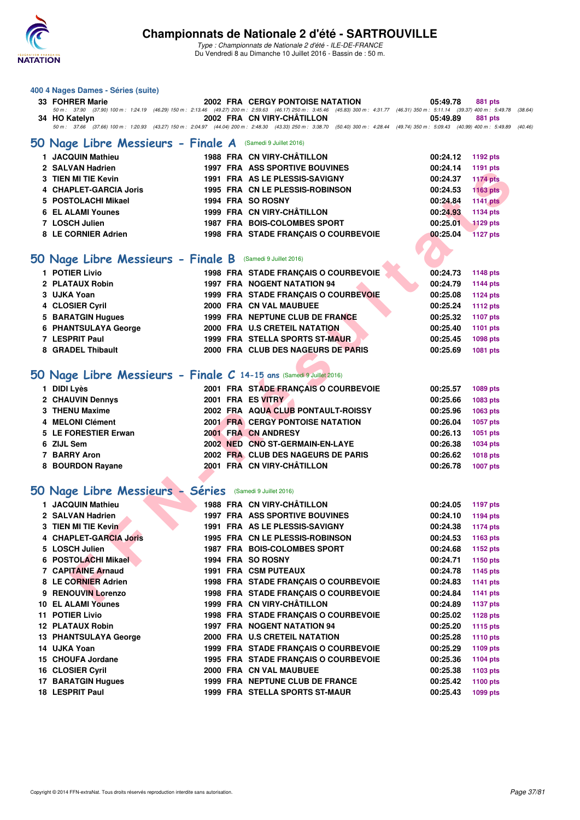

| 400 4 Nages Dames - Séries (suite)                                   |                                                                                                                                                                                                                            |                             |
|----------------------------------------------------------------------|----------------------------------------------------------------------------------------------------------------------------------------------------------------------------------------------------------------------------|-----------------------------|
| 33 FOHRER Marie                                                      | <b>2002 FRA CERGY PONTOISE NATATION</b>                                                                                                                                                                                    | 05:49.78<br>881 pts         |
|                                                                      | 50 m: 37.90 (37.90) 100 m: 1:24.19 (46.29) 150 m: 2:13.46 (49.27) 200 m: 2:59.63 (46.17) 250 m: 3:45.46 (45.83) 300 m: 4:31.77 (46.31) 350 m: 5:11.14 (39.37) 400 m: 5:49.78                                               | (38.64)                     |
| 34 HO Katelyn                                                        | 2002 FRA CN VIRY-CHATILLON<br>50 m : 37.66 (37.66) 100 m : 1:20.93 (43.27) 150 m : 2:04.97 (44.04) 200 m : 2:48.30 (43.33) 250 m : 3:38.70 (50.40) 300 m : 4:28.44 (49.74) 350 m : 5:09.43 (40.99) 400 m : 5:49.89 (40.46) | 05:49.89<br>881 pts         |
|                                                                      |                                                                                                                                                                                                                            |                             |
| 50 Nage Libre Messieurs - Finale A                                   | (Samedi 9 Juillet 2016)                                                                                                                                                                                                    |                             |
| 1 JACQUIN Mathieu                                                    | 1988 FRA CN VIRY-CHÂTILLON                                                                                                                                                                                                 | 00:24.12<br>1192 pts        |
| 2 SALVAN Hadrien                                                     | 1997 FRA ASS SPORTIVE BOUVINES                                                                                                                                                                                             | 00:24.14<br>1191 pts        |
| 3 TIEN MI TIE Kevin                                                  | 1991 FRA AS LE PLESSIS-SAVIGNY                                                                                                                                                                                             | 00:24.37<br><b>1174 pts</b> |
| <b>CHAPLET-GARCIA Joris</b>                                          | 1995 FRA CN LE PLESSIS-ROBINSON                                                                                                                                                                                            | 00:24.53<br><b>1163 pts</b> |
| 5 POSTOLACHI Mikael                                                  | 1994 FRA SO ROSNY                                                                                                                                                                                                          | 00:24.84<br><b>1141 pts</b> |
| <b>6 EL ALAMI Younes</b>                                             | 1999 FRA CN VIRY-CHÂTILLON                                                                                                                                                                                                 | 00:24.93<br>1134 pts        |
| 7 LOSCH Julien                                                       | 1987 FRA BOIS-COLOMBES SPORT                                                                                                                                                                                               | 00:25.01<br><b>1129 pts</b> |
| 8 LE CORNIER Adrien                                                  | 1998 FRA STADE FRANÇAIS O COURBEVOIE                                                                                                                                                                                       | 00:25.04<br><b>1127 pts</b> |
|                                                                      |                                                                                                                                                                                                                            |                             |
| 50 Nage Libre Messieurs - Finale B (Samedi 9 Juillet 2016)           |                                                                                                                                                                                                                            |                             |
| 1 POTIER Livio                                                       | 1998 FRA STADE FRANÇAIS O COURBEVOIE                                                                                                                                                                                       | 00:24.73<br><b>1148 pts</b> |
| 2 PLATAUX Robin                                                      | <b>1997 FRA NOGENT NATATION 94</b>                                                                                                                                                                                         | 00:24.79<br><b>1144 pts</b> |
| 3 UJKA Yoan                                                          | 1999 FRA STADE FRANÇAIS O COURBEVOIE                                                                                                                                                                                       | 00:25.08<br><b>1124 pts</b> |
| 4 CLOSIER Cyril                                                      | 2000 FRA CN VAL MAUBUEE                                                                                                                                                                                                    | 00:25.24<br><b>1112 pts</b> |
| 5 BARATGIN Hugues                                                    | 1999 FRA NEPTUNE CLUB DE FRANCE                                                                                                                                                                                            | 00:25.32<br><b>1107 pts</b> |
| 6 PHANTSULAYA George                                                 | 2000 FRA U.S CRETEIL NATATION                                                                                                                                                                                              | 00:25.40<br>1101 pts        |
| 7 LESPRIT Paul                                                       | <b>1999 FRA STELLA SPORTS ST-MAUR</b>                                                                                                                                                                                      | 00:25.45<br><b>1098 pts</b> |
| 8 GRADEL Thibault                                                    | 2000 FRA CLUB DES NAGEURS DE PARIS                                                                                                                                                                                         | 00:25.69<br>1081 pts        |
|                                                                      |                                                                                                                                                                                                                            |                             |
| 50 Nage Libre Messieurs - Finale C 14-15 ans (Samedi 9 Juillet 2016) |                                                                                                                                                                                                                            |                             |
|                                                                      |                                                                                                                                                                                                                            |                             |
| 1 DIDI Lyès                                                          | 2001 FRA STADE FRANÇAIS O COURBEVOIE                                                                                                                                                                                       | 00:25.57<br><b>1089 pts</b> |
| 2 CHAUVIN Dennys                                                     | 2001 FRA ES VITRY                                                                                                                                                                                                          | 00:25.66<br>1083 pts        |
| 3 THENU Maxime                                                       | 2002 FRA AQUA CLUB PONTAULT-ROISSY                                                                                                                                                                                         | 00:25.96<br>1063 pts        |
| 4 MELONI Clément                                                     | <b>2001 FRA CERGY PONTOISE NATATION</b>                                                                                                                                                                                    | 00:26.04<br><b>1057 pts</b> |
| 5 LE FORESTIER Erwan                                                 | 2001 FRA CN ANDRESY                                                                                                                                                                                                        | 00:26.13<br>1051 pts        |
| 6 ZIJL Sem                                                           | 2002 NED CNO ST-GERMAIN-EN-LAYE                                                                                                                                                                                            | 00:26.38<br>1034 pts        |
| 7 BARRY Aron                                                         | 2002 FRA CLUB DES NAGEURS DE PARIS                                                                                                                                                                                         | 00:26.62<br><b>1018 pts</b> |
| 8 BOURDON Rayane                                                     | 2001 FRA CN VIRY-CHÂTILLON                                                                                                                                                                                                 | 00:26.78<br><b>1007 pts</b> |
|                                                                      |                                                                                                                                                                                                                            |                             |
| 50 Nage Libre Messieurs - Séries                                     | (Samedi 9 Juillet 2016)                                                                                                                                                                                                    |                             |
| 1 JACQUIN Mathieu                                                    | 1988 FRA CN VIRY-CHÂTILLON                                                                                                                                                                                                 | 00:24.05<br><b>1197 pts</b> |
| 2 SALVAN Hadrien                                                     | <b>1997 FRA ASS SPORTIVE BOUVINES</b>                                                                                                                                                                                      | 00:24.10<br>1194 pts        |
| 3 TIEN MI TIE Kevin                                                  | <b>1991 FRA AS LE PLESSIS-SAVIGNY</b>                                                                                                                                                                                      | 00:24.38<br><b>1174 pts</b> |
| <b>CHAPLET-GARCIA Joris</b><br>4                                     | <b>1995 FRA CN LE PLESSIS-ROBINSON</b>                                                                                                                                                                                     | 00:24.53<br>1163 pts        |
| 5 LOSCH Julien                                                       | 1987 FRA BOIS-COLOMBES SPORT                                                                                                                                                                                               | 00:24.68<br><b>1152 pts</b> |
| 6 POSTOLACHI Mikael                                                  | 1994 FRA SO ROSNY                                                                                                                                                                                                          | 00:24.71<br>1150 pts        |
| 7 CAPITAINE Arnaud                                                   | <b>1991 FRA CSM PUTEAUX</b>                                                                                                                                                                                                | 00:24.78<br>1145 pts        |
| 8 LE CORNIER Adrien                                                  | 1998 FRA STADE FRANÇAIS O COURBEVOIE                                                                                                                                                                                       | 00:24.83<br><b>1141 pts</b> |
| 9 RENOUVIN Lorenzo                                                   | 1998 FRA STADE FRANÇAIS O COURBEVOIE                                                                                                                                                                                       | 00:24.84<br><b>1141 pts</b> |
| <b>10 EL ALAMI Younes</b>                                            | 1999 FRA CN VIRY-CHÂTILLON                                                                                                                                                                                                 | 00:24.89<br><b>1137 pts</b> |
| 11 POTIER Livio                                                      | 1998 FRA STADE FRANÇAIS O COURBEVOIE                                                                                                                                                                                       | 00:25.02<br><b>1128 pts</b> |
| 12 PLATAUX Robin                                                     | 1997 FRA NOGENT NATATION 94                                                                                                                                                                                                | 00:25.20<br><b>1115 pts</b> |
| 13 PHANTSULAYA George                                                | 2000 FRA U.S CRETEIL NATATION                                                                                                                                                                                              | 00:25.28<br><b>1110 pts</b> |
| 14 UJKA Yoan                                                         | 1999 FRA STADE FRANÇAIS O COURBEVOIE                                                                                                                                                                                       | 00:25.29<br>1109 pts        |
| 15 CHOUFA Jordane                                                    | 1995 FRA STADE FRANÇAIS O COURBEVOIE                                                                                                                                                                                       | 00:25.36<br><b>1104 pts</b> |
| 16 CLOSIER Cyril                                                     | 2000 FRA CN VAL MAUBUEE                                                                                                                                                                                                    | 00:25.38<br>1103 pts        |
| <b>17 BARATGIN Hugues</b>                                            | 1999 FRA NEPTUNE CLUB DE FRANCE                                                                                                                                                                                            | 00:25.42<br>1100 pts        |
| 18 LESPRIT Paul                                                      | 1999 FRA STELLA SPORTS ST-MAUR                                                                                                                                                                                             | 00:25.43<br>1099 pts        |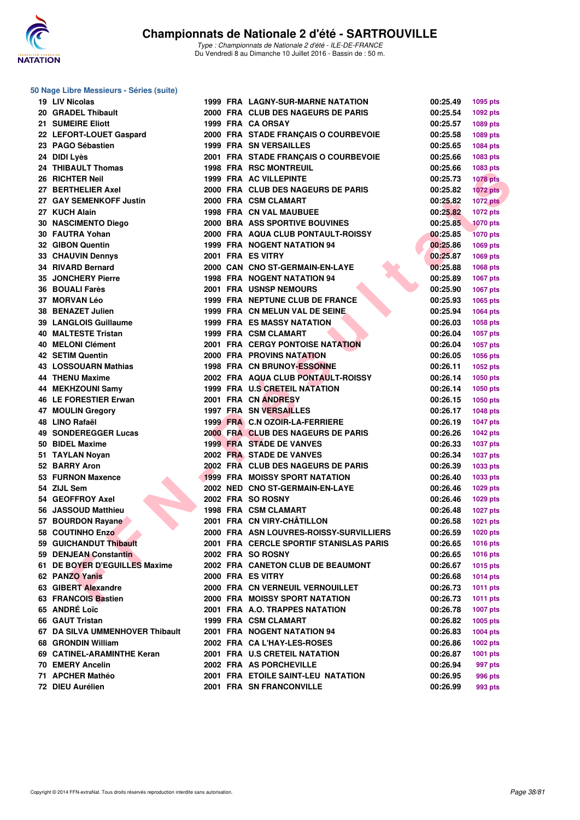

#### **50 Nage Libre Messieurs - Séries (suite)**

| 19 LIV Nicolas                  |  | <b>1999 FRA LAGNY-SUR-MARNE NATATION</b> | 00:25.49 | 1095 pts        |
|---------------------------------|--|------------------------------------------|----------|-----------------|
| 20 GRADEL Thibault              |  | 2000 FRA CLUB DES NAGEURS DE PARIS       | 00:25.54 | 1092 pts        |
| <b>21 SUMEIRE Eliott</b>        |  | 1999 FRA CA ORSAY                        | 00:25.57 | 1089 pts        |
| 22 LEFORT-LOUET Gaspard         |  | 2000 FRA STADE FRANÇAIS O COURBEVOIE     | 00:25.58 | 1089 pts        |
| 23 PAGO Sébastien               |  | <b>1999 FRA SN VERSAILLES</b>            | 00:25.65 | 1084 pts        |
| 24 DIDI Lyès                    |  | 2001 FRA STADE FRANÇAIS O COURBEVOIE     | 00:25.66 | 1083 pts        |
| 24 THIBAULT Thomas              |  | <b>1998 FRA RSC MONTREUIL</b>            | 00:25.66 | 1083 pts        |
| 26 RICHTER Neil                 |  | 1999 FRA AC VILLEPINTE                   | 00:25.73 | <b>1078 pts</b> |
| 27 BERTHELIER Axel              |  | 2000 FRA CLUB DES NAGEURS DE PARIS       | 00:25.82 | <b>1072 pts</b> |
| 27 GAY SEMENKOFF Justin         |  | 2000 FRA CSM CLAMART                     | 00:25.82 | <b>1072 pts</b> |
| 27 KUCH Alain                   |  | <b>1998 FRA CN VAL MAUBUEE</b>           | 00:25.82 | 1072 pts        |
| 30 NASCIMENTO Diego             |  | 2000 BRA ASS SPORTIVE BOUVINES           | 00:25.85 | <b>1070 pts</b> |
| 30 FAUTRA Yohan                 |  | 2000 FRA AQUA CLUB PONTAULT-ROISSY       | 00:25.85 | <b>1070 pts</b> |
| 32 GIBON Quentin                |  | 1999 FRA NOGENT NATATION 94              | 00:25.86 | 1069 pts        |
| 33 CHAUVIN Dennys               |  | 2001 FRA ES VITRY                        | 00:25.87 | 1069 pts        |
| 34 RIVARD Bernard               |  | 2000 CAN CNO ST-GERMAIN-EN-LAYE          | 00:25.88 | 1068 pts        |
| <b>35 JONCHERY Pierre</b>       |  | <b>1998 FRA NOGENT NATATION 94</b>       | 00:25.89 | <b>1067 pts</b> |
| 36 BOUALI Farès                 |  | <b>2001 FRA USNSP NEMOURS</b>            | 00:25.90 |                 |
| 37 MORVAN Léo                   |  |                                          |          | <b>1067 pts</b> |
|                                 |  | 1999 FRA NEPTUNE CLUB DE FRANCE          | 00:25.93 | 1065 pts        |
| 38 BENAZET Julien               |  | 1999 FRA CN MELUN VAL DE SEINE.          | 00:25.94 | 1064 pts        |
| 39 LANGLOIS Guillaume           |  | <b>1999 FRA ES MASSY NATATION</b>        | 00:26.03 | 1058 pts        |
| 40 MALTESTE Tristan             |  | 1999 FRA CSM CLAMART                     | 00:26.04 | <b>1057 pts</b> |
| 40 MELONI Clément               |  | <b>2001 FRA CERGY PONTOISE NATATION</b>  | 00:26.04 | 1057 pts        |
| <b>42 SETIM Quentin</b>         |  | 2000 FRA PROVINS NATATION                | 00:26.05 | 1056 pts        |
| <b>43 LOSSOUARN Mathias</b>     |  | <b>1998 FRA CN BRUNOY-ESSONNE</b>        | 00:26.11 | 1052 pts        |
| <b>44 THENU Maxime</b>          |  | 2002 FRA AQUA CLUB PONTAULT-ROISSY       | 00:26.14 | <b>1050 pts</b> |
| 44 MEKHZOUNI Samy               |  | 1999 FRA U.S CRETEIL NATATION            | 00:26.14 | <b>1050 pts</b> |
| 46 LE FORESTIER Erwan           |  | 2001 FRA CN ANDRESY                      | 00:26.15 | <b>1050 pts</b> |
| 47 MOULIN Gregory               |  | 1997 FRA SN VERSAILLES                   | 00:26.17 | <b>1048 pts</b> |
| 48 LINO Rafaël                  |  | 1999 FRA C.N OZOIR-LA-FERRIERE           | 00:26.19 | <b>1047 pts</b> |
| <b>49 SONDEREGGER Lucas</b>     |  | 2000 FRA CLUB DES NAGEURS DE PARIS       | 00:26.26 | <b>1042 pts</b> |
| 50 BIDEL Maxime                 |  | <b>1999 FRA STADE DE VANVES</b>          | 00:26.33 | <b>1037 pts</b> |
| 51 TAYLAN Noyan                 |  | 2002 FRA STADE DE VANVES                 | 00:26.34 | <b>1037 pts</b> |
| 52 BARRY Aron                   |  | 2002 FRA CLUB DES NAGEURS DE PARIS       | 00:26.39 | 1033 pts        |
| 53 FURNON Maxence               |  | <b>1999 FRA MOISSY SPORT NATATION</b>    | 00:26.40 | 1033 pts        |
| 54 ZIJL Sem                     |  | 2002 NED CNO ST-GERMAIN-EN-LAYE          | 00:26.46 | 1029 pts        |
| 54 GEOFFROY Axel                |  | 2002 FRA SO ROSNY                        | 00:26.46 | 1029 pts        |
| 56 JASSOUD Matthieu             |  | 1998 FRA CSM CLAMART                     | 00:26.48 | <b>1027 pts</b> |
| 57 BOURDON Rayane               |  | 2001 FRA CN VIRY-CHÂTILLON               | 00:26.58 | 1021 pts        |
| 58 COUTINHO Enzo                |  | 2000 FRA ASN LOUVRES-ROISSY-SURVILLIERS  | 00:26.59 | <b>1020 pts</b> |
| 59 GUICHANDUT Thibault          |  | 2001 FRA CERCLE SPORTIF STANISLAS PARIS  | 00:26.65 | <b>1016 pts</b> |
| 59 DENJEAN Constantin           |  | 2002 FRA SO ROSNY                        | 00:26.65 | 1016 pts        |
| 61 DE BOYER D'EGUILLES Maxime   |  | 2002 FRA CANETON CLUB DE BEAUMONT        | 00:26.67 | <b>1015 pts</b> |
| 62 PANZO Yanis                  |  | 2000 FRA ES VITRY                        | 00:26.68 | <b>1014 pts</b> |
| 63 GIBERT Alexandre             |  | 2000 FRA CN VERNEUIL VERNOUILLET         | 00:26.73 | <b>1011 pts</b> |
| 63 FRANCOIS Bastien             |  | 2000 FRA MOISSY SPORT NATATION           | 00:26.73 | 1011 pts        |
| 65 ANDRÉ Loïc                   |  | 2001 FRA A.O. TRAPPES NATATION           | 00:26.78 | <b>1007 pts</b> |
| 66 GAUT Tristan                 |  | 1999 FRA CSM CLAMART                     | 00:26.82 | <b>1005 pts</b> |
| 67 DA SILVA UMMENHOVER Thibault |  | 2001 FRA NOGENT NATATION 94              | 00:26.83 | <b>1004 pts</b> |
| 68 GRONDIN William              |  | 2002 FRA CA L'HAY-LES-ROSES              | 00:26.86 | 1002 pts        |
| 69 CATINEL-ARAMINTHE Keran      |  | 2001 FRA U.S CRETEIL NATATION            | 00:26.87 | <b>1001 pts</b> |
| 70 EMERY Ancelin                |  | 2002 FRA AS PORCHEVILLE                  | 00:26.94 | 997 pts         |
| 71 APCHER Mathéo                |  | 2001 FRA ETOILE SAINT-LEU NATATION       | 00:26.95 | 996 pts         |
| 72 DIEU Aurélien                |  | 2001 FRA SN FRANCONVILLE                 | 00:26.99 | 993 pts         |
|                                 |  |                                          |          |                 |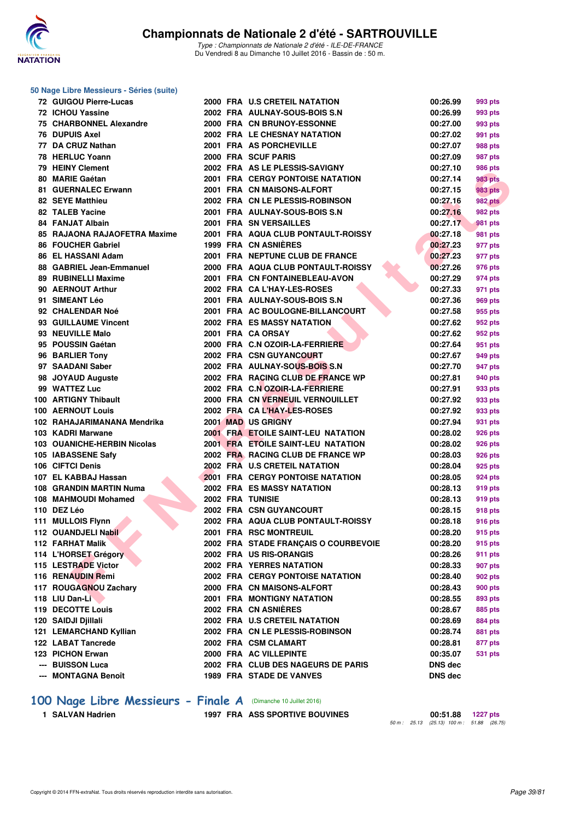

#### **50 Nage Libre Messieurs - Séries (suite)**

| 72 GUIGOU Pierre-Lucas       |  | 2000 FRA U.S CRETEIL NATATION                                                   | 00:26.99       | 993 pts        |
|------------------------------|--|---------------------------------------------------------------------------------|----------------|----------------|
| 72 ICHOU Yassine             |  | 2002 FRA AULNAY-SOUS-BOIS S.N                                                   | 00:26.99       | 993 pts        |
| 75 CHARBONNEL Alexandre      |  | 2000 FRA CN BRUNOY-ESSONNE                                                      | 00:27.00       | 993 pts        |
| <b>76 DUPUIS Axel</b>        |  | 2002 FRA LE CHESNAY NATATION                                                    | 00:27.02       | 991 pts        |
| 77 DA CRUZ Nathan            |  | 2001 FRA AS PORCHEVILLE                                                         | 00:27.07       | 988 pts        |
| 78 HERLUC Yoann              |  | 2000 FRA SCUF PARIS                                                             | 00:27.09       | 987 pts        |
| 79 HEINY Clement             |  | 2002 FRA AS LE PLESSIS-SAVIGNY                                                  | 00:27.10       | 986 pts        |
| 80 MARIE Gaétan              |  | <b>2001 FRA CERGY PONTOISE NATATION</b>                                         | 00:27.14       | 983 pts        |
| 81 GUERNALEC Erwann          |  | 2001 FRA CN MAISONS-ALFORT                                                      | 00:27.15       | 983 pts        |
| 82 SEYE Matthieu             |  | 2002 FRA CN LE PLESSIS-ROBINSON                                                 | 00:27.16       | <b>982 pts</b> |
| 82 TALEB Yacine              |  | 2001 FRA AULNAY-SOUS-BOIS S.N                                                   | 00:27.16       | 982 pts        |
| 84 FANJAT Albain             |  | 2001 FRA SN VERSAILLES                                                          | 00:27.17       | 981 pts        |
| 85 RAJAONA RAJAOFETRA Maxime |  | 2001 FRA AQUA CLUB PONTAULT-ROISSY                                              | 00:27.18       | 981 pts        |
| 86 FOUCHER Gabriel           |  | 1999 FRA CN ASNIERES                                                            | 00:27.23       | 977 pts        |
| 86 EL HASSANI Adam           |  | 2001 FRA NEPTUNE CLUB DE FRANCE                                                 | 00:27.23       | 977 pts        |
| 88 GABRIEL Jean-Emmanuel     |  | 2000 FRA AQUA CLUB PONTAULT-ROISSY                                              | 00:27.26       | 976 pts        |
| 89 RUBINELLI Maxime          |  | 2001 FRA CN FONTAINEBLEAU-AVON                                                  | 00:27.29       | 974 pts        |
| 90 AERNOUT Arthur            |  | 2002 FRA CA L'HAY-LES-ROSES                                                     | 00:27.33       | 971 pts        |
| 91 SIMEANT Léo               |  | 2001 FRA AULNAY-SOUS-BOIS S.N                                                   | 00:27.36       | 969 pts        |
| 92 CHALENDAR Noé             |  | 2001 FRA AC BOULOGNE-BILLANCOURT                                                | 00:27.58       | 955 pts        |
| 93 GUILLAUME Vincent         |  | <b>2002 FRA ES MASSY NATATION</b>                                               | 00:27.62       | 952 pts        |
| 93 NEUVILLE Malo             |  | 2001 FRA CA ORSAY                                                               | 00:27.62       | 952 pts        |
| 95 POUSSIN Gaétan            |  | 2000 FRA C.N OZOIR-LA-FERRIERE                                                  | 00:27.64       | 951 pts        |
| 96 BARLIER Tony              |  | 2002 FRA CSN GUYANCOURT                                                         | 00:27.67       | 949 pts        |
| 97 SAADANI Saber             |  | 2002 FRA AULNAY-SOUS-BOIS S.N                                                   | 00:27.70       | 947 pts        |
| 98 JOYAUD Auguste            |  | 2002 FRA RACING CLUB DE FRANCE WP                                               | 00:27.81       |                |
| 99 WATTEZ Luc                |  |                                                                                 |                | 940 pts        |
| 100 ARTIGNY Thibault         |  | 2002 FRA C.N OZOIR-LA-FERRIERE                                                  | 00:27.91       | 933 pts        |
|                              |  | 2000 FRA CN VERNEUIL VERNOUILLET                                                | 00:27.92       | 933 pts        |
| <b>100 AERNOUT Louis</b>     |  | 2002 FRA CAL'HAY-LES-ROSES                                                      | 00:27.92       | 933 pts        |
| 102 RAHAJARIMANANA Mendrika  |  | <b>2001 MAD US GRIGNY</b>                                                       | 00:27.94       | 931 pts        |
| 103 KADRI Marwane            |  | <b>2001 FRA ETOILE SAINT-LEU NATATION</b><br>2001 FRA ETOILE SAINT-LEU NATATION | 00:28.02       | 926 pts        |
| 103 OUANICHE-HERBIN Nicolas  |  |                                                                                 | 00:28.02       | 926 pts        |
| 105 IABASSENE Safy           |  | 2002 FRA RACING CLUB DE FRANCE WP                                               | 00:28.03       | 926 pts        |
| 106 CIFTCI Denis             |  | 2002 FRA U.S CRETEIL NATATION                                                   | 00:28.04       | 925 pts        |
| 107 EL KABBAJ Hassan         |  | <b>2001 FRA CERGY PONTOISE NATATION</b>                                         | 00:28.05       | 924 pts        |
| 108 GRANDIN MARTIN Numa      |  | <b>2002 FRA ES MASSY NATATION</b>                                               | 00:28.13       | 919 pts        |
| 108 MAHMOUDI Mohamed         |  | <b>2002 FRA TUNISIE</b>                                                         | 00:28.13       | 919 pts        |
| 110 DEZ Léo                  |  | 2002 FRA CSN GUYANCOURT                                                         | 00:28.15       | 918 pts        |
| 111 MULLOIS Flynn            |  | 2002 FRA AQUA CLUB PONTAULT-ROISSY                                              | 00:28.18       | <b>916 pts</b> |
| 112 OUANDJELI Nabil          |  | 2001 FRA RSC MONTREUIL                                                          | 00:28.20       | 915 pts        |
| 112 FARHAT Malik             |  | 2002 FRA STADE FRANÇAIS O COURBEVOIE                                            | 00:28.20       | 915 pts        |
| 114 L'HORSET Grégory         |  | 2002 FRA US RIS-ORANGIS                                                         | 00:28.26       | 911 pts        |
| 115 LESTRADE Victor          |  | <b>2002 FRA YERRES NATATION</b>                                                 | 00:28.33       | 907 pts        |
| 116 RENAUDIN Remi            |  | <b>2002 FRA CERGY PONTOISE NATATION</b>                                         | 00:28.40       | 902 pts        |
| 117 ROUGAGNOU Zachary        |  | 2000 FRA CN MAISONS-ALFORT                                                      | 00:28.43       | 900 pts        |
| 118 LIU Dan-Li               |  | 2001 FRA MONTIGNY NATATION                                                      | 00:28.55       | 893 pts        |
| 119 DECOTTE Louis            |  | 2002 FRA CN ASNIÈRES                                                            | 00:28.67       | 885 pts        |
| 120 SAIDJI Djillali          |  | 2002 FRA U.S CRETEIL NATATION                                                   | 00:28.69       | 884 pts        |
| 121 LEMARCHAND Kyllian       |  | 2002 FRA CN LE PLESSIS-ROBINSON                                                 | 00:28.74       | 881 pts        |
| 122 LABAT Tancrede           |  | 2002 FRA CSM CLAMART                                                            | 00:28.81       | 877 pts        |
| 123 PICHON Erwan             |  | 2000 FRA AC VILLEPINTE                                                          | 00:35.07       | 531 pts        |
| --- BUISSON Luca             |  | 2002 FRA CLUB DES NAGEURS DE PARIS                                              | <b>DNS</b> dec |                |
| --- MONTAGNA Benoît          |  | 1989 FRA STADE DE VANVES                                                        | <b>DNS</b> dec |                |
|                              |  |                                                                                 |                |                |

### **[100 Nage Libre Messieurs - Finale A](http://www.ffnatation.fr/webffn/resultats.php?idact=nat&go=epr&idcpt=39837&idepr=52)** (Dimanche 10 Juillet 2016)

**1 SALVAN Hadrien 1997 FRA ASS SPORTIVE BOUVINES** 

**50** m : 25.13 (25.13) 100 m : 51.88 (26.75)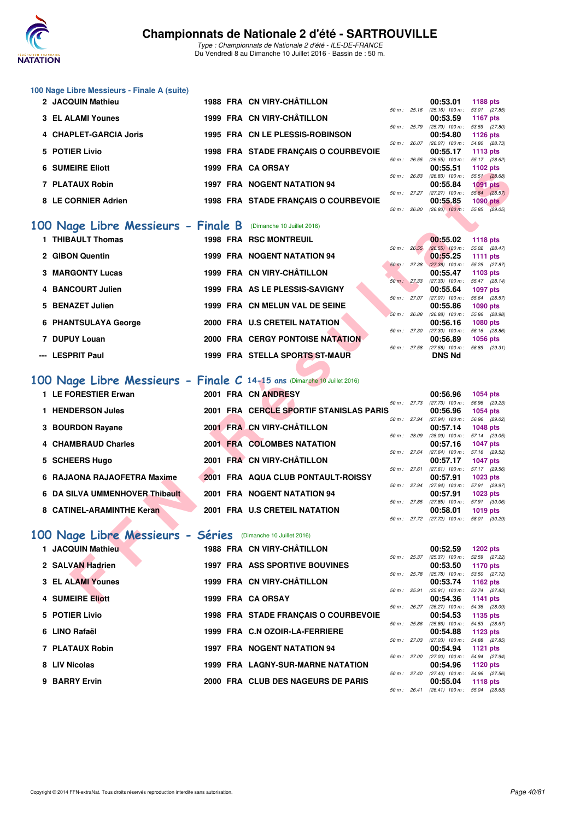

Type : Championnats de Nationale 2 d'été - ILE-DE-FRANCE Du Vendredi 8 au Dimanche 10 Juillet 2016 - Bassin de : 50 m.

| 2 JACQUIN Mathieu      | 1988 FRA CN VIRY-CHÂTILLON      |  | 00:53.01 1188 pts                         |          |
|------------------------|---------------------------------|--|-------------------------------------------|----------|
|                        |                                 |  | 50 m: 25.16 (25.16) 100 m: 53.01 (27.8    |          |
| 3 EL ALAMI Younes      | 1999 FRA CN VIRY-CHÂTILLON      |  | 00:53.59 1167 pts                         |          |
|                        |                                 |  | 50 m : 25.79 (25.79) 100 m : 53.59 (27.8  |          |
| 4 CHAPLET-GARCIA Joris | 1995 FRA CN LE PLESSIS-ROBINSON |  | 00:54.80                                  | 1126 pts |
|                        |                                 |  | $F0m: 26.07$ (20.07) $100m: 51.90$ (20.7) |          |

**6 SUMEIRE Eliott 1999 FRA CA ORSAY 00:55.51 1102 pts**

5 POTIER Livio 1998 FRA STADE FRANÇAIS O COURBEVOIE

**100 Nage Libre Messieurs - Finale A (suite)**

| $50 m$ : | 25.16 |          | $(25.16)$ 100 m : | 53.01 (27.85)   |  |
|----------|-------|----------|-------------------|-----------------|--|
|          |       |          | 00:53.59          | 1167 pts        |  |
| $50 m$ : | 25.79 |          | $(25.79)$ 100 m : | 53.59 (27.80)   |  |
|          |       |          | 00:54.80          | <b>1126 pts</b> |  |
| $50 m$ : | 26.07 |          | $(26.07)$ 100 m : | 54.80 (28.73)   |  |
|          |       |          | 00:55.17          | 1113 pts        |  |
| 50 m :   | 26.55 |          | $(26.55)$ 100 m : | 55.17 (28.62)   |  |
|          |       | 00:55.51 |                   | 1102 pts        |  |
| 50 m :   | 26.83 |          | $(26.83)$ 100 m : | 55.51 (28.68)   |  |
|          |       | 00:55.84 |                   | <b>1091 pts</b> |  |
| $50 m$ : | 27.27 |          | $(27.27)$ 100 m : | 55.84 (28.57)   |  |
|          |       |          | 00:55.85          | <b>1090 pts</b> |  |
| 50 m :   | 26.80 |          | $(26.80)$ 100 m : | 55.85 (29.05)   |  |
|          |       |          |                   |                 |  |

### **[100 Nage Libre Messieurs - Finale B](http://www.ffnatation.fr/webffn/resultats.php?idact=nat&go=epr&idcpt=39837&idepr=52)** (Dimanche 10 Juillet 2016)

| <b>JUMEINE EIIUU</b>                                                    | ו אכחי אש החוד ככנו |                                         |             |              | UU.JJ.J I                                              | דו שב איז       |  |
|-------------------------------------------------------------------------|---------------------|-----------------------------------------|-------------|--------------|--------------------------------------------------------|-----------------|--|
| 7 PLATAUX Robin                                                         |                     | <b>1997 FRA NOGENT NATATION 94</b>      |             | 50 m : 26.83 | $(26.83)$ 100 m : 55.51 $(28.68)$<br>00:55.84          | <b>1091 pts</b> |  |
|                                                                         |                     |                                         |             |              | 50 m : 27.27 (27.27) 100 m :                           | 55.84 (28.57)   |  |
| 8 LE CORNIER Adrien                                                     |                     | 1998 FRA STADE FRANÇAIS O COURBEVOIE    |             |              | 00:55.85                                               | 1090 pts        |  |
|                                                                         |                     |                                         |             |              | 50 m: 26.80 (26.80) 100 m: 55.85 (29.05)               |                 |  |
| <b>00 Nage Libre Messieurs - Finale B</b> (Dimanche 10 Juillet 2016)    |                     |                                         |             |              |                                                        |                 |  |
| 1 THIBAULT Thomas                                                       |                     | 1998 FRA RSC MONTREUIL                  |             |              | 00:55.02                                               | <b>1118 pts</b> |  |
|                                                                         |                     |                                         | 50 m: 26.55 |              | $(26.55)$ 100 m : 55.02 $(28.47)$                      |                 |  |
| 2 GIBON Quentin                                                         |                     | 1999 FRA NOGENT NATATION 94             |             |              | 00:55.25                                               | <b>1111 pts</b> |  |
|                                                                         |                     |                                         |             |              | 50 m: 27.38 (27.38) 100 m: 55.25 (27.87)               |                 |  |
| <b>3 MARGONTY Lucas</b>                                                 |                     | 1999 FRA CN VIRY-CHÂTILLON              |             |              | 00:55.47<br>50 m : 27.33 (27.33) 100 m : 55.47 (28.14) | 1103 pts        |  |
| 4 BANCOURT Julien                                                       |                     | 1999 FRA AS LE PLESSIS-SAVIGNY          |             |              | 00:55.64                                               | <b>1097 pts</b> |  |
|                                                                         |                     |                                         |             |              | 50 m: 27.07 (27.07) 100 m: 55.64 (28.57)               |                 |  |
| 5 BENAZET Julien                                                        |                     | 1999 FRA CN MELUN VAL DE SEINE          |             |              | 00:55.86                                               | <b>1090 pts</b> |  |
| 6 PHANTSULAYA George                                                    |                     | 2000 FRA U.S CRETEIL NATATION           |             | 50 m: 26.88  | $(26.88)$ 100 m : 55.86 $(28.98)$<br>00:56.16          | <b>1080 pts</b> |  |
|                                                                         |                     |                                         |             | 50 m: 27.30  | $(27.30)$ 100 m :                                      | 56.16 (28.86)   |  |
| 7 DUPUY Louan                                                           |                     | 2000 FRA CERGY PONTOISE NATATION        |             |              | 00:56.89                                               | <b>1056 pts</b> |  |
|                                                                         |                     |                                         |             |              | 50 m: 27.58 (27.58) 100 m: 56.89 (29.31)               |                 |  |
| --- LESPRIT Paul                                                        |                     | 1999 FRA STELLA SPORTS ST-MAUR          |             |              | <b>DNS Nd</b>                                          |                 |  |
|                                                                         |                     |                                         |             |              |                                                        |                 |  |
| 00 Nage Libre Messieurs - Finale C 14-15 ans (Dimanche 10 Juillet 2016) |                     |                                         |             |              |                                                        |                 |  |
| 1 LE FORESTIER Erwan                                                    |                     | 2001 FRA CN ANDRESY                     |             |              | 00:56.96                                               | 1054 pts        |  |
|                                                                         |                     |                                         |             | 50 m: 27.73  | $(27.73)$ 100 m : 56.96 $(29.23)$                      |                 |  |
| 1 HENDERSON Jules                                                       |                     | 2001 FRA CERCLE SPORTIF STANISLAS PARIS |             |              | 00:56.96                                               | <b>1054 pts</b> |  |
|                                                                         |                     | 2001 FRA CN VIRY-CHÂTILLON              |             |              | 50 m: 27.94 (27.94) 100 m: 56.96 (29.02)<br>00:57.14   | <b>1048 pts</b> |  |
| 3 BOURDON Rayane                                                        |                     |                                         | 50 m: 28.09 |              | $(28.09)$ 100 m : 57.14 $(29.05)$                      |                 |  |
| 4 CHAMBRAUD Charles                                                     |                     | 2001 FRA COLOMBES NATATION              |             |              | 00:57.16                                               | <b>1047 pts</b> |  |
|                                                                         |                     |                                         |             | 50 m : 27.64 | $(27.64)$ 100 m : 57.16 $(29.52)$                      |                 |  |
| 5 SCHEERS Hugo                                                          |                     | 2001 FRA CN VIRY-CHÂTILLON              |             | 50 m: 27.61  | 00:57.17<br>$(27.61)$ 100 m : 57.17 $(29.56)$          | <b>1047 pts</b> |  |
| 6 RAJAONA RAJAOFETRA Maxime                                             |                     | 2001 FRA AQUA CLUB PONTAULT-ROISSY      |             |              | 00:57.91                                               | 1023 pts        |  |
|                                                                         |                     |                                         |             |              | 50 m: 27.94 (27.94) 100 m: 57.91 (29.97)               |                 |  |
| 6 DA SILVA UMMENHOVER Thibault                                          |                     | 2001 FRA NOGENT NATATION 94             |             |              | 00:57.91                                               | <b>1023 pts</b> |  |
| 8 CATINEL-ARAMINTHE Keran                                               |                     | 2001 FRA U.S CRETEIL NATATION           |             |              | 50 m: 27.85 (27.85) 100 m: 57.91 (30.06)<br>00:58.01   | <b>1019 pts</b> |  |
|                                                                         |                     |                                         |             |              | 50 m: 27.72 (27.72) 100 m: 58.01 (30.29)               |                 |  |
|                                                                         |                     |                                         |             |              |                                                        |                 |  |
| 00 Nage Libre Messieurs - Séries                                        |                     | (Dimanche 10 Juillet 2016)              |             |              |                                                        |                 |  |
| 1 JACQUIN Mathieu                                                       |                     | 1988 FRA CN VIRY-CHÂTILLON              |             |              | 00:52.59                                               | <b>1202 pts</b> |  |
|                                                                         |                     |                                         |             |              | 50 m: 25.37 (25.37) 100 m: 52.59 (27.22)               |                 |  |
| 2 SALVAN Hadrien                                                        |                     | <b>1997 FRA ASS SPORTIVE BOUVINES</b>   |             | 50 m : 25.78 | 00:53.50<br>$(25.78)$ 100 m : 53.50 $(27.72)$          | 1170 pts        |  |
| <b>3 EL ALAMI Younes</b>                                                |                     | 1999 FRA CN VIRY-CHÂTILLON              |             |              | 00:53.74                                               | 1162 pts        |  |
|                                                                         |                     |                                         |             | 50 m : 25.91 | $(25.91)$ 100 m : 53.74 $(27.83)$                      |                 |  |
| 4 SUMEIRE Eliott                                                        |                     | 1999 FRA CA ORSAY                       |             |              | 00:54.36                                               | 1141 pts        |  |

## **[100 Nage Libre Messieurs - Finale C](http://www.ffnatation.fr/webffn/resultats.php?idact=nat&go=epr&idcpt=39837&idepr=52) 14-15 ans** (Dimanche 10 Juillet 2016)

| 1 LE FORESTIER Erwan           |  | 2001 FRA CN ANDRESY                     |                        | 00:56.96          | 1054 pts        |  |
|--------------------------------|--|-----------------------------------------|------------------------|-------------------|-----------------|--|
|                                |  |                                         | 50 m: 27.73            | $(27.73)$ 100 m : | 56.96 (29.23)   |  |
| <b>HENDERSON Jules</b>         |  | 2001 FRA CERCLE SPORTIF STANISLAS PARIS |                        | 00:56.96          | <b>1054 pts</b> |  |
|                                |  |                                         | 50 m: 27.94            | $(27.94)$ 100 m : | 56.96 (29.02)   |  |
| 3 BOURDON Rayane               |  | 2001 FRA CN VIRY-CHÂTILLON              |                        | 00:57.14          | <b>1048 pts</b> |  |
|                                |  |                                         | 50 m: 28.09            | $(28.09)$ 100 m : | 57.14 (29.05)   |  |
| 4 CHAMBRAUD Charles            |  | 2001 FRA COLOMBES NATATION              |                        | 00:57.16          | <b>1047 pts</b> |  |
|                                |  |                                         | 50 m: 27.64            | $(27.64)$ 100 m : | 57.16 (29.52)   |  |
| 5 SCHEERS Hugo                 |  | 2001 FRA CN VIRY-CHÂTILLON              |                        | 00:57.17          | <b>1047 pts</b> |  |
|                                |  |                                         | 50 m: 27.61            | $(27.61)$ 100 m : | 57.17 (29.56)   |  |
| 6 RAJAONA RAJAOFETRA Maxime    |  | 2001 FRA AQUA CLUB PONTAULT-ROISSY      |                        | 00:57.91          | $1023$ pts      |  |
|                                |  |                                         | $50 \text{ m}$ : 27.94 | $(27.94)$ 100 m : | 57.91 (29.97)   |  |
| 6 DA SILVA UMMENHOVER Thibault |  | 2001 FRA NOGENT NATATION 94             |                        | 00:57.91          | 1023 pts        |  |
|                                |  |                                         | 50 m: 27.85            | $(27.85)$ 100 m : | 57.91 (30.06)   |  |
| 8 CATINEL-ARAMINTHE Keran      |  | 2001 FRA U.S CRETEIL NATATION           |                        | 00:58.01          | $1019$ pts      |  |
|                                |  |                                         | 50 m : 27.72           | $(27.72)$ 100 m : | 58.01 (30.29)   |  |

## **[100 Nage Libre Messieurs - Séries](http://www.ffnatation.fr/webffn/resultats.php?idact=nat&go=epr&idcpt=39837&idepr=52)** (Dimanche 10 Juillet 2016)

| 1 JACQUIN Mathieu        |  | 1988 FRA CN VIRY-CHÂTILLON               |          |                | 00:52.59                                 | 1202 pts               |
|--------------------------|--|------------------------------------------|----------|----------------|------------------------------------------|------------------------|
| 2 SALVAN Hadrien         |  | <b>1997 FRA ASS SPORTIVE BOUVINES</b>    |          | $50 m$ : 25.37 | $(25.37)$ 100 m :<br>00:53.50            | 52.59 (27.<br>1170 pts |
| <b>3 EL ALAMI Younes</b> |  | 1999 FRA CN VIRY-CHÂTILLON               |          | 50 m: 25.78    | $(25.78)$ 100 m : 53.50 (27.<br>00:53.74 | 1162 pts               |
| 4 SUMEIRE Eliott         |  | 1999 FRA CA ORSAY                        | $50 m$ : | 25.91          | $(25.91)$ 100 m :<br>00:54.36            | 53.74 (27.<br>1141 pts |
| 5 POTIER Livio           |  | 1998 FRA STADE FRANÇAIS O COURBEVOIE     |          | $50 m$ : 26.27 | $(26.27)$ 100 m : 54.36 (28.<br>00:54.53 | 1135 pts               |
| 6 LINO Rafaël            |  | 1999 FRA C.N OZOIR-LA-FERRIERE           |          | 50 m: 25.86    | $(25.86)$ 100 m :<br>00:54.88            | 54.53 (28.<br>1123 pts |
| 7 PLATAUX Robin          |  | <b>1997 FRA NOGENT NATATION 94</b>       |          | 50 m: 27.03    | $(27.03)$ 100 m :<br>00:54.94            | 54.88 (27.<br>1121 pts |
| 8 LIV Nicolas            |  | <b>1999 FRA LAGNY-SUR-MARNE NATATION</b> |          | 50 m: 27.00    | $(27.00)$ 100 m :<br>00:54.96            | 54.94 (27.<br>1120 pts |
| 9 BARRY Ervin            |  | 2000 FRA CLUB DES NAGEURS DE PARIS       |          | 50 m: 27.40    | $(27.40)$ 100 m : 54.96 (27.<br>00:55.04 | 1118 pts               |
|                          |  |                                          |          |                |                                          |                        |

|                |              | 00:52.59          | $1202$ pts      |
|----------------|--------------|-------------------|-----------------|
|                | 50 m : 25.37 | $(25.37)$ 100 m : | 52.59 (27.22)   |
|                |              | 00:53.50          | <b>1170 pts</b> |
| 50 m: 25.78    |              | $(25.78)$ 100 m : | 53.50 (27.72)   |
|                |              | 00:53.74          | 1162 $pts$      |
| $50 m$ : 25.91 |              | $(25.91)$ 100 m : | 53.74 (27.83)   |
|                |              | 00:54.36          | 1141 $pts$      |
| 50 m: 26.27    |              | $(26.27)$ 100 m : | 54.36 (28.09)   |
|                |              | 00:54.53          | 1135 $p$ ts     |
| 50 m: 25.86    |              | $(25.86)$ 100 m : | 54.53 (28.67)   |
|                |              | 00:54.88          | 1123 $pts$      |
| 50 m: 27.03    |              | $(27.03)$ 100 m : | 54.88 (27.85)   |
|                |              | 00:54.94          | <b>1121 pts</b> |
| 50 m: 27.00    |              | $(27.00)$ 100 m : | 54.94 (27.94)   |
|                |              | 00:54.96          | $1120$ pts      |
| 50 m: 27.40    |              | $(27.40)$ 100 m : | 54.96 (27.56)   |
|                |              | 00:55.04          | 1118 $pts$      |
| $50 m - 2641$  |              | $(26.41)$ 100 m · | 55.04 (28.63)   |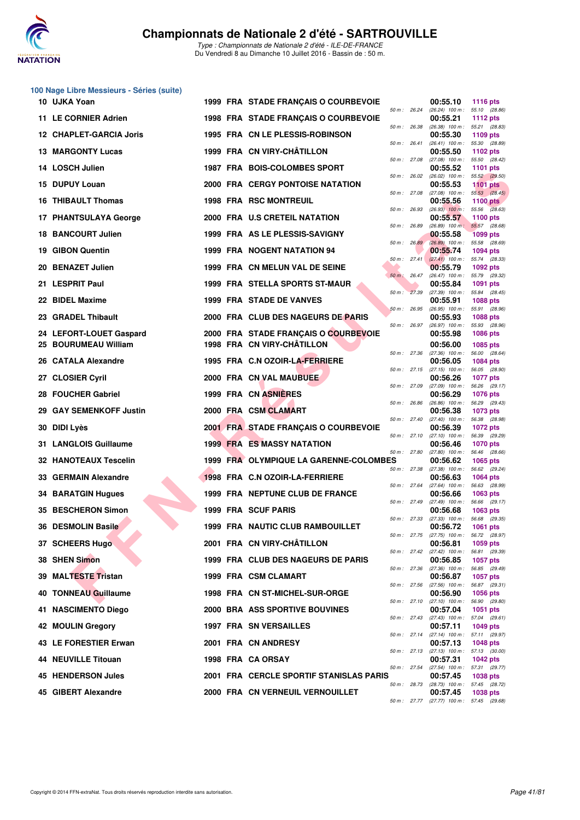

|    | 100 Nage Libre Messieurs - Séries (suite) |  |                                         |              |              |                                                      |                                  |
|----|-------------------------------------------|--|-----------------------------------------|--------------|--------------|------------------------------------------------------|----------------------------------|
|    | 10 UJKA Yoan                              |  | 1999 FRA STADE FRANÇAIS O COURBEVOIE    |              | 50 m : 26.24 | 00:55.10<br>(26.24) 100 m: 55.10 (28.86)             | <b>1116 pts</b>                  |
|    | 11 LE CORNIER Adrien                      |  | 1998 FRA STADE FRANÇAIS O COURBEVOIE    |              | 50 m : 26.38 | 00:55.21<br>$(26.38)$ 100 m : 55.21 $(28.83)$        | <b>1112 pts</b>                  |
|    | 12 CHAPLET-GARCIA Joris                   |  | 1995 FRA CN LE PLESSIS-ROBINSON         | 50 m : 26.41 |              | 00:55.30<br>$(26.41)$ 100 m :                        | 1109 pts<br>55.30 (28.89)        |
|    | <b>13 MARGONTY Lucas</b>                  |  | 1999 FRA CN VIRY-CHÂTILLON              | 50 m: 27.08  |              | 00:55.50<br>$(27.08)$ 100 m :                        | 1102 pts<br>55.50 (28.42)        |
|    | 14 LOSCH Julien                           |  | 1987 FRA BOIS-COLOMBES SPORT            | 50 m: 26.02  |              | 00:55.52                                             | 1101 pts                         |
|    | 15 DUPUY Louan                            |  | <b>2000 FRA CERGY PONTOISE NATATION</b> |              |              | $(26.02)$ 100 m : 55.52 $(29.50)$<br>00:55.53        | <b>1101 pts</b>                  |
|    | 16 THIBAULT Thomas                        |  | <b>1998 FRA RSC MONTREUIL</b>           | 50 m : 27.08 |              | $(27.08)$ 100 m : 55.53 $(28.45)$<br>00:55.56        | <b>1100 pts</b>                  |
|    | 17 PHANTSULAYA George                     |  | 2000 FRA U.S CRETEIL NATATION           | 50 m: 26.93  |              | $(26.93)$ 100 m : 55.56<br>00:55.57                  | (28.63)<br>1100 $pts$            |
|    | <b>18 BANCOURT Julien</b>                 |  | 1999 FRA AS LE PLESSIS-SAVIGNY          | 50 m : 26.89 |              | $(26.89)$ 100 m :<br>00:55.58                        | 55.57 (28.68)<br><b>1099 pts</b> |
|    | 19 GIBON Quentin                          |  | <b>1999 FRA NOGENT NATATION 94</b>      |              | 50 m : 26.89 | $(26.89)$ 100 m :<br>00:55.74                        | 55.58 (28.69)<br>1094 pts        |
|    | 20 BENAZET Julien                         |  | 1999 FRA CN MELUN VAL DE SEINE          | 50 m: 27.41  |              | $(27.41)$ 100 m :<br>00:55.79                        | 55.74 (28.33)<br>1092 pts        |
|    | 21 LESPRIT Paul                           |  | <b>1999 FRA STELLA SPORTS ST-MAUR</b>   |              | 50 m: 26.47  | (26.47) 100 m: 55.79 (29.32)<br>00:55.84             | 1091 pts                         |
|    | 22 BIDEL Maxime                           |  | 1999 FRA STADE DE VANVES                | 50 m: 27.39  |              | (27.39) 100 m: 55.84 (28.45)<br>00:55.91             | 1088 pts                         |
|    | 23 GRADEL Thibault                        |  | 2000 FRA CLUB DES NAGEURS DE PARIS      | 50 m: 26.95  |              | (26.95) 100 m: 55.91 (28.96)<br>00:55.93             | 1088 pts                         |
|    | 24 LEFORT-LOUET Gaspard                   |  | 2000 FRA STADE FRANÇAIS O COURBEVOIE    |              | 50 m : 26.97 | $(26.97)$ 100 m :<br>00:55.98                        | 55.93 (28.96)<br>1086 pts        |
|    | 25 BOURUMEAU William                      |  | 1998 FRA CN VIRY-CHÂTILLON              | 50 m: 27.36  |              | 00:56.00<br>$(27.36)$ 100 m :                        | 1085 pts<br>56.00 (28.64)        |
|    | 26 CATALA Alexandre                       |  | 1995 FRA C.N OZOIR-LA-FERRIERE          |              | 50 m: 27.15  | 00:56.05<br>(27.15) 100 m: 56.05 (28.90)             | 1084 pts                         |
|    | 27 CLOSIER Cyril                          |  | 2000 FRA CN VAL MAUBUEE                 | 50 m: 27.09  |              | 00:56.26<br>(27.09) 100 m: 56.26 (29.17)             | <b>1077 pts</b>                  |
|    | 28 FOUCHER Gabriel                        |  | 1999 FRA CN ASNIERES                    | 50 m : 26.86 |              | 00:56.29<br>(26.86) 100 m: 56.29 (29.43)             | 1076 pts                         |
| 29 | <b>GAY SEMENKOFF Justin</b>               |  | 2000 FRA CSM CLAMART                    |              | 50 m : 27.40 | 00:56.38<br>(27.40) 100 m: 56.38 (28.98)             | 1073 pts                         |
| 30 | <b>DIDI Lyès</b>                          |  | 2001 FRA STADE FRANÇAIS O COURBEVOIE    |              | 50 m: 27.10  | 00:56.39                                             | 1072 pts                         |
|    | 31 LANGLOIS Guillaume                     |  | <b>1999 FRA ES MASSY NATATION</b>       |              |              | $(27.10)$ 100 m :<br>00:56.46                        | 56.39 (29.29)<br><b>1070 pts</b> |
|    | <b>32 HANOTEAUX Tescelin</b>              |  | 1999 FRA OLYMPIQUE LA GARENNE-COLOMBES  |              | 50 m : 27.80 | $(27.80)$ 100 m : 56.46 $(28.66)$<br>00:56.62        | 1065 pts                         |
|    | 33 GERMAIN Alexandre                      |  | 1998 FRA C.N OZOIR-LA-FERRIERE          | 50 m: 27.38  |              | $(27.38)$ 100 m :<br>00:56.63                        | 56.62 (29.24)<br>1064 pts        |
|    | <b>34 BARATGIN Hugues</b>                 |  | 1999 FRA NEPTUNE CLUB DE FRANCE         |              | 50 m : 27.64 | (27.64) 100 m: 56.63 (28.99)<br>00:56.66             | 1063 pts                         |
|    | 35 BESCHERON Simon                        |  | <b>1999 FRA SCUF PARIS</b>              |              | 50 m : 27.49 | $(27.49)$ 100 m : 56.66 $(29.17)$<br>00:56.68        | 1063 pts                         |
|    | 36 DESMOLIN Basile                        |  | 1999 FRA NAUTIC CLUB RAMBOUILLET        |              | 50 m : 27.33 | $(27.33)$ 100 m :<br>00:56.72                        | 56.68 (29.35)<br><b>1061 pts</b> |
|    | 37 SCHEERS Hugo                           |  | 2001 FRA CN VIRY-CHÂTILLON              |              |              | 50 m: 27.75 (27.75) 100 m:<br>00:56.81               | 56.72 (28.97)<br>1059 pts        |
|    | 38 SHEN Simon                             |  | 1999 FRA CLUB DES NAGEURS DE PARIS      |              |              | 50 m: 27.42 (27.42) 100 m: 56.81 (29.39)<br>00:56.85 | 1057 pts                         |
|    | 39 MALTESTE Tristan                       |  | 1999 FRA CSM CLAMART                    | 50 m: 27.36  |              | $(27.36)$ 100 m :<br>00:56.87                        | 56.85 (29.49)<br><b>1057 pts</b> |
|    | 40 TONNEAU Guillaume                      |  | 1998 FRA CN ST-MICHEL-SUR-ORGE          | 50 m: 27.56  |              | (27.56) 100 m: 56.87 (29.31)<br>00:56.90             | 1056 pts                         |
|    | 41 NASCIMENTO Diego                       |  | 2000 BRA ASS SPORTIVE BOUVINES          |              | 50 m : 27.10 | $(27.10)$ 100 m : 56.90 $(29.80)$<br>00:57.04        | 1051 pts                         |
|    | 42 MOULIN Gregory                         |  | <b>1997 FRA SN VERSAILLES</b>           |              | 50 m : 27.43 | $(27.43)$ 100 m : 57.04 $(29.61)$<br>00:57.11        | 1049 pts                         |
|    | 43 LE FORESTIER Erwan                     |  | 2001 FRA CN ANDRESY                     |              |              | 50 m: 27.14 (27.14) 100 m: 57.11 (29.97)<br>00:57.13 | 1048 pts                         |
|    | 44 NEUVILLE Titouan                       |  | 1998 FRA CA ORSAY                       |              | 50 m: 27.13  | $(27.13)$ 100 m : 57.13 $(30.00)$<br>00:57.31        | 1042 pts                         |
|    | 45 HENDERSON Jules                        |  | 2001 FRA CERCLE SPORTIF STANISLAS PARIS | 50 m: 27.54  |              | (27.54) 100 m: 57.31 (29.77)<br>00:57.45             | 1038 pts                         |
|    | 45 GIBERT Alexandre                       |  | 2000 FRA CN VERNEUIL VERNOUILLET        | 50 m : 28.73 |              | (28.73) 100 m : 57.45 (28.72)<br>00:57.45            | 1038 pts                         |
|    |                                           |  |                                         |              |              | 50 m : 27.77 (27.77) 100 m : 57.45 (29.68)           |                                  |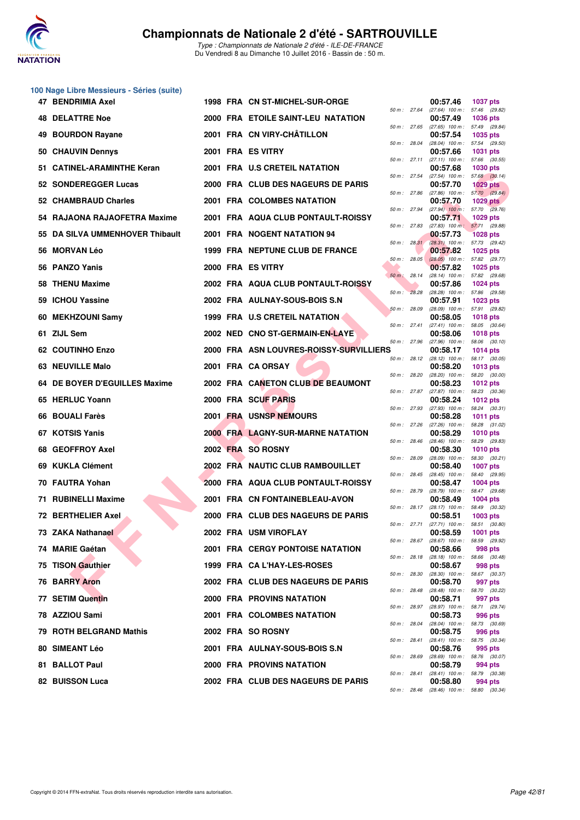

|     | 100 Nage Libre Messieurs - Séries (suite) |  |                                         |                |              |                                               |                                  |
|-----|-------------------------------------------|--|-----------------------------------------|----------------|--------------|-----------------------------------------------|----------------------------------|
|     | 47 BENDRIMIA Axel                         |  | 1998 FRA CN ST-MICHEL-SUR-ORGE          |                | 50 m : 27.64 | 00:57.46<br>(27.64) 100 m: 57.46 (29.82)      | <b>1037 pts</b>                  |
|     | <b>48 DELATTRE Noe</b>                    |  | 2000 FRA ETOILE SAINT-LEU NATATION      |                | 50 m : 27.65 | 00:57.49<br>$(27.65)$ 100 m : 57.49 $(29.84)$ | <b>1036 pts</b>                  |
| 49  | <b>BOURDON Rayane</b>                     |  | 2001 FRA CN VIRY-CHATILLON              |                |              | 00:57.54                                      | 1035 pts                         |
|     | 50 CHAUVIN Dennys                         |  | 2001 FRA ES VITRY                       | 50 m: 28.04    |              | (28.04) 100 m: 57.54 (29.50)<br>00:57.66      | 1031 pts                         |
|     | 51 CATINEL-ARAMINTHE Keran                |  | 2001 FRA U.S CRETEIL NATATION           |                | 50 m : 27.11 | $(27.11)$ 100 m : 57.66 $(30.55)$<br>00:57.68 | <b>1030 pts</b>                  |
|     | 52 SONDEREGGER Lucas                      |  | 2000 FRA CLUB DES NAGEURS DE PARIS      | 50 m: 27.54    |              | $(27.54)$ 100 m : 57.68 $(30.14)$<br>00:57.70 | <b>1029 pts</b>                  |
|     | 52 CHAMBRAUD Charles                      |  | 2001 FRA COLOMBES NATATION              | 50 m: 27.86    |              | (27.86) 100 m: 57.70 (29.84)<br>00:57.70      | <b>1029 pts</b>                  |
| 54. | RAJAONA RAJAOFETRA Maxime                 |  | 2001 FRA AQUA CLUB PONTAULT-ROISSY      |                | 50 m : 27.94 | $(27.94)$ 100 m : 57.70 $(29.76)$<br>00:57.71 | 1029 pts                         |
|     | 55 DA SILVA UMMENHOVER Thibault           |  | 2001 FRA NOGENT NATATION 94             | 50 m: 27.83    |              | $(27.83)$ 100 m : 57.71 $(29.88)$<br>00:57.73 | <b>1028 pts</b>                  |
| 56  | <b>MORVAN Léo</b>                         |  | 1999 FRA NEPTUNE CLUB DE FRANCE         |                | 50 m: 28.31  | (28.31) 100 m: 57.73 (29.42)<br>00:57.82      | <b>1025 pts</b>                  |
|     | 56 PANZO Yanis                            |  | 2000 FRA ES VITRY                       | 50 m: 28.05    |              | $(28.05)$ 100 m : 57.82 (29.77)<br>00:57.82   | 1025 pts                         |
| 58  | <b>THENU Maxime</b>                       |  | 2002 FRA AQUA CLUB PONTAULT-ROISSY      | $50 m$ : 28.14 |              | (28.14) 100 m: 57.82 (29.68)<br>00:57.86      | <b>1024 pts</b>                  |
| 59  | <b>ICHOU Yassine</b>                      |  | 2002 FRA AULNAY-SOUS-BOIS S.N           | 50 m: 28.28    |              | (28.28) 100 m: 57.86 (29.58)<br>00:57.91      | 1023 pts                         |
| 60  | <b>MEKHZOUNI Samy</b>                     |  | 1999 FRA U.S CRETEIL NATATION           | 50 m: 28.09    |              | (28.09) 100 m: 57.91 (29.82)<br>00:58.05      | <b>1018 pts</b>                  |
|     | 61 ZIJL Sem                               |  | 2002 NED CNO ST-GERMAIN-EN-LAYE         |                | 50 m : 27.41 | $(27.41)$ 100 m :<br>00:58.06                 | 58.05 (30.64)<br><b>1018 pts</b> |
|     | <b>62 COUTINHO Enzo</b>                   |  | 2000 FRA ASN LOUVRES-ROISSY-SURVILLIERS | 50 m: 27.96    |              | $(27.96)$ 100 m :<br>00:58.17                 | 58.06 (30.10)<br>1014 pts        |
|     | 63 NEUVILLE Malo                          |  | 2001 FRA CA ORSAY                       |                | 50 m: 28.12  | $(28.12)$ 100 m : 58.17 $(30.05)$<br>00:58.20 | 1013 pts                         |
|     | 64 DE BOYER D'EGUILLES Maxime             |  | 2002 FRA CANETON CLUB DE BEAUMONT       |                | 50 m : 28.20 | (28.20) 100 m: 58.20 (30.00)<br>00:58.23      | 1012 pts                         |
|     | 65 HERLUC Yoann                           |  | 2000 FRA SCUF PARIS                     |                | 50 m : 27.87 | (27.87) 100 m: 58.23 (30.36)<br>00:58.24      | 1012 pts                         |
| 66  | <b>BOUALI Farès</b>                       |  | 2001 FRA USNSP NEMOURS                  |                | 50 m : 27.93 | $(27.93)$ 100 m : 58.24 $(30.31)$<br>00:58.28 | 1011 pts                         |
|     | 67 KOTSIS Yanis                           |  | 2000 FRA LAGNY-SUR-MARNE NATATION       | 50 m: 27.26    |              | $(27.26)$ 100 m :                             | 58.28 (31.02)                    |
|     |                                           |  |                                         | 50 m: 28.46    |              | 00:58.29<br>$(28.46)$ 100 m : 58.29 $(29.83)$ | <b>1010 pts</b>                  |
| 68. | <b>GEOFFROY Axel</b>                      |  | 2002 FRA SO ROSNY                       | 50 m: 28.09    |              | 00:58.30<br>$(28.09)$ 100 m :                 | <b>1010 pts</b><br>58.30 (30.21) |
|     | 69 KUKLA Clément                          |  | 2002 FRA NAUTIC CLUB RAMBOUILLET        | 50 m: 28.45    |              | 00:58.40<br>(28.45) 100 m: 58.40 (29.95)      | <b>1007 pts</b>                  |
| 70. | FAUTRA Yohan                              |  | 2000 FRA AQUA CLUB PONTAULT-ROISSY      |                | 50 m : 28.79 | 00:58.47<br>(28.79) 100 m: 58.47 (29.68)      | <b>1004 pts</b>                  |
|     | 71 RUBINELLI Maxime                       |  | 2001 FRA CN FONTAINEBLEAU-AVON          |                | 50 m : 28.17 | 00:58.49<br>(28.17) 100 m: 58.49 (30.32)      | 1004 pts                         |
|     | 72 BERTHELIER Axel                        |  | 2000 FRA CLUB DES NAGEURS DE PARIS      | 50 m : 27.71   |              | 00:58.51<br>(27.71) 100 m :                   | 1003 pts<br>58.51 (30.80)        |
|     | 73 ZAKA Nathanael                         |  | 2002 FRA USM VIROFLAY                   | 50 m: 28.67    |              | 00:58.59<br>(28.67) 100 m: 58.59 (29.92)      | 1001 pts                         |
|     | 74 MARIE Gaétan                           |  | <b>2001 FRA CERGY PONTOISE NATATION</b> | 50 m: 28.18    |              | 00:58.66<br>(28.18) 100 m: 58.66 (30.48)      | 998 pts                          |
|     | 75 TISON Gauthier                         |  | 1999 FRA CA L'HAY-LES-ROSES             | 50 m : 28.30   |              | 00:58.67<br>(28.30) 100 m: 58.67 (30.37)      | 998 pts                          |
|     | <b>76 BARRY Aron</b>                      |  | 2002 FRA CLUB DES NAGEURS DE PARIS      | 50 m: 28.48    |              | 00:58.70<br>(28.48) 100 m: 58.70 (30.22)      | 997 pts                          |
|     | 77 SETIM Quentin                          |  | 2000 FRA PROVINS NATATION               |                | 50 m : 28.97 | 00:58.71<br>(28.97) 100 m: 58.71 (29.74)      | 997 pts                          |
|     | 78 AZZIOU Sami                            |  | 2001 FRA COLOMBES NATATION              | 50 m: 28.04    |              | 00:58.73<br>(28.04) 100 m: 58.73 (30.69)      | 996 pts                          |
|     | 79 ROTH BELGRAND Mathis                   |  | 2002 FRA SO ROSNY                       | 50 m: 28.41    |              | 00:58.75<br>(28.41) 100 m: 58.75 (30.34)      | 996 pts                          |
|     | 80 SIMEANT Léo                            |  | 2001 FRA AULNAY-SOUS-BOIS S.N           |                |              | 00:58.76                                      | 995 pts                          |
|     | 81 BALLOT Paul                            |  | 2000 FRA PROVINS NATATION               | 50 m : 28.69   |              | $(28.69)$ 100 m : 58.76 $(30.07)$<br>00:58.79 | 994 pts                          |
|     | 82 BUISSON Luca                           |  | 2002 FRA CLUB DES NAGEURS DE PARIS      |                | 50 m : 28.41 | (28.41) 100 m: 58.79 (30.38)<br>00:58.80      | 994 pts                          |

|          |       |                               | ruuu pta                            |
|----------|-------|-------------------------------|-------------------------------------|
| 50 m :   | 28.04 | $(28.04)$ 100 m :             | 57.54<br>(29.50)                    |
|          |       | 00:57.66                      | 1031 pts                            |
| $50 m$ : | 27.11 | $(27.11)$ 100 m :             | 57.66<br>(30.55)                    |
|          |       | 00:57.68                      | <b>1030 pts</b>                     |
| $50 m$ : | 27.54 | $(27.54)$ 100 m :             | 57.68<br>(30.14)                    |
|          |       | 00:57.70                      | 1029 pts                            |
| $50 m$ : | 27.86 | $(27.86)$ 100 m :             | 57.70<br>(29.84)                    |
|          |       | 00:57.70                      | 1029 pts                            |
| $50 m$ : | 27.94 | $(27.94)$ 100 m :             | 57.70<br>(29.76)                    |
| $50 m$ : | 27.83 | 00:57.71                      | 1029 pts                            |
|          |       | $(27.83)$ 100 m;<br>00:57.73  | 57.71<br>(29.88)<br><b>1028 pts</b> |
| $50 m$ : | 28.31 | $(28.31)$ 100 m :             | 57.73<br>(29.42)                    |
|          |       | 00:57.82                      | 1025 pts                            |
| $50 m$ : | 28.05 | $(28.05)$ 100 m :             | (29.77)<br>57.82                    |
|          |       | 00:57.82                      | 1025 pts                            |
| $50 m$ : | 28.14 | $(28.14)$ 100 m :             | 57.82<br>(29.68)                    |
|          |       | 00:57.86                      | 1024 pts                            |
| $50 m$ : | 28.28 | $(28.28)$ 100 m :             | (29.58)<br>57.86                    |
|          |       | 00:57.91                      | 1023 pts                            |
| $50 m$ : | 28.09 | $(28.09)$ 100 m :             | 57.91<br>(29.82)                    |
|          |       | 00:58.05                      | <b>1018 pts</b>                     |
| $50 m$ : | 27.41 | $(27.41)$ 100 m :             | 58.05<br>(30.64)                    |
|          |       | 00:58.06                      | 1018 pts                            |
| 50 m :   | 27.96 | $(27.96)$ 100 m :             | (30.10)<br>58.06                    |
|          |       | 00:58.17                      | 1014 pts                            |
| $50 m$ : | 28.12 | $(28.12)$ 100 m :             | 58.17<br>(30.05)                    |
|          |       | 00:58.20                      | 1013 pts                            |
| $50 m$ : | 28.20 | $(28.20)$ 100 m :             | 58.20<br>(30.00)                    |
|          |       | 00:58.23                      | 1012 pts                            |
| $50 m$ : | 27.87 | $(27.87)$ 100 m :             | 58.23<br>(30.36)                    |
|          |       | 00:58.24                      | 1012 pts                            |
| $50 m$ : | 27.93 | $(27.93)$ 100 m :             | 58.24<br>(30.31)                    |
|          |       | 00:58.28                      | 1011 pts                            |
| $50 m$ : | 27.26 | $(27.26)$ 100 m :             | 58.28<br>(31.02)                    |
|          |       | 00:58.29                      | 1010 pts                            |
| $50 m$ : | 28.46 | $(28.46)$ 100 m :             | 58.29<br>(29.83)                    |
|          |       | 00:58.30                      | 1010 pts                            |
| $50 m$ : | 28.09 | $(28.09)$ 100 m :             | 58.30<br>(30.21)                    |
| $50 m$ : | 28.45 | 00:58.40<br>$(28.45)$ 100 m : | 1007 pts<br>58.40                   |
|          |       | 00:58.47                      | (29.95)<br>1004 pts                 |
| $50 m$ : | 28.79 | $(28.79)$ 100 m :             | (29.68)<br>58.47                    |
|          |       | 00:58.49                      | 1004 pts                            |
| $50 m$ : | 28.17 | $(28.17)$ 100 m :             | 58.49<br>(30.32)                    |
|          |       | 00:58.51                      | 1003 pts                            |
| $50 m$ : | 27.71 | $(27.71)$ 100 m :             | 58.51<br>(30.80)                    |
|          |       | 00:58.59                      | 1001 pts                            |
| $50 m$ : | 28.67 | $(28.67)$ 100 m :             | 58.59<br>(29.92)                    |
|          |       | 00:58.66                      | 998 pts                             |
| $50 m$ : | 28.18 | $(28.18)$ 100 m :             | 58.66<br>(30.48)                    |
|          |       | 00:58.67                      | <b>998 pts</b>                      |
| 50 m :   | 28.30 | (28.30) 100 m :               | 58.67<br>(30.37)                    |
|          |       | 00:58.70                      | 997 pts                             |
| $50 m$ : | 28.48 | $(28.48)$ 100 m :             | (30.22)<br>58.70                    |
|          |       | 00:58.71                      | 997 pts                             |
| $50 m$ : | 28.97 | $(28.97)$ 100 m :             | 58.71<br>(29.74)                    |
|          |       | 00:58.73                      | 996 pts                             |
| $50 m$ : | 28.04 | $(28.04)$ 100 m :             | 58.73<br>(30.69)                    |
|          |       | 00:58.75                      | 996 pts                             |
| $50 m$ : | 28.41 | $(28.41)$ 100 m :             | 58.75<br>(30.34)                    |
|          |       | 00:58.76                      | 995 pts                             |
| $50 m$ : | 28.69 | $(28.69)$ 100 m :<br>00:58.79 | 58.76<br>(30.07)                    |
| $50 m$ : | 28.41 | $(28.41)$ 100 m :             | <b>994 pts</b><br>58.79<br>(30.38)  |
|          |       | 00:58.80                      | 994 pts                             |
| $50 m$ : | 28.46 | $(28.46)$ 100 m :             | 58.80<br>(30.34)                    |
|          |       |                               |                                     |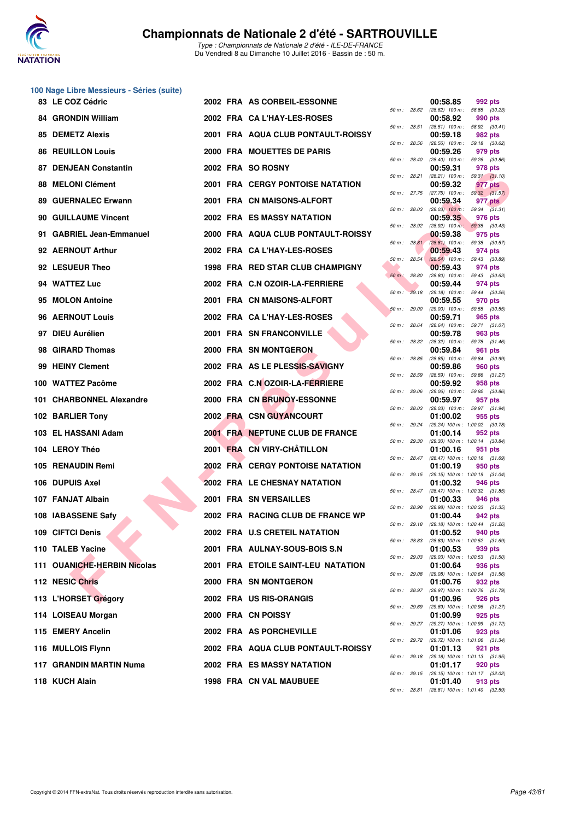

| 100 Nage Libre Messieurs - Séries (suite) |  |                                         |              |              |                                                        |         |  |
|-------------------------------------------|--|-----------------------------------------|--------------|--------------|--------------------------------------------------------|---------|--|
| 83 LE COZ Cédric                          |  | 2002 FRA AS CORBEIL-ESSONNE             |              | 50 m: 28.62  | 00:58.85<br>(28.62) 100 m: 58.85 (30.23)               | 992 pts |  |
| <b>84 GRONDIN William</b>                 |  | 2002 FRA CA L'HAY-LES-ROSES             |              | 50 m : 28.51 | 00:58.92<br>$(28.51)$ 100 m : 58.92 $(30.41)$          | 990 pts |  |
| 85 DEMETZ Alexis                          |  | 2001 FRA AQUA CLUB PONTAULT-ROISSY      | 50 m: 28.56  |              | 00:59.18<br>(28.56) 100 m: 59.18 (30.62)               | 982 pts |  |
| <b>86 REUILLON Louis</b>                  |  | 2000 FRA MOUETTES DE PARIS              |              |              | 00:59.26                                               | 979 pts |  |
| 87 DENJEAN Constantin                     |  | 2002 FRA SO ROSNY                       | 50 m: 28.40  |              | $(28.40)$ 100 m : 59.26 $(30.86)$<br>00:59.31          | 978 pts |  |
| 88 MELONI Clément                         |  | <b>2001 FRA CERGY PONTOISE NATATION</b> |              | 50 m : 28.21 | $(28.21)$ 100 m : 59.31 $(31.10)$<br>00:59.32          | 977 pts |  |
| 89 GUERNALEC Erwann                       |  | 2001 FRA CN MAISONS-ALFORT              |              | 50 m : 27.75 | $(27.75)$ 100 m : 59.32 $(31.57)$<br>00:59.34          | 977 pts |  |
| 90 GUILLAUME Vincent                      |  | 2002 FRA ES MASSY NATATION              |              | 50 m: 28.03  | $(28.03)$ 100 m : 59.34 $(31.31)$<br>00:59.35          | 976 pts |  |
| 91 GABRIEL Jean-Emmanuel                  |  | 2000 FRA AQUA CLUB PONTAULT-ROISSY      |              | 50 m : 28.92 | $(28.92)$ 100 m; 59.35 $(30.43)$<br>00:59.38           | 975 pts |  |
| 92 AERNOUT Arthur                         |  | 2002 FRA CA L'HAY-LES-ROSES             |              | 50 m: 28.81  | $(28.81)$ 100 m : 59.38 $(30.57)$<br>00:59.43          | 974 pts |  |
| 92 LESUEUR Theo                           |  | 1998 FRA RED STAR CLUB CHAMPIGNY        | 50 m: 28.54  |              | $(28.54)$ 100 m : 59.43 (30.89)<br>00:59.43            | 974 pts |  |
| 94 WATTEZ Luc                             |  | 2002 FRA C.N OZOIR-LA-FERRIERE          | 50 m : 28.80 |              | (28.80) 100 m: 59.43 (30.63)<br>00:59.44               | 974 pts |  |
| 95 MOLON Antoine                          |  | 2001 FRA CN MAISONS-ALFORT              |              | 50 m: 29.18  | (29.18) 100 m: 59.44 (30.26)<br>00:59.55               | 970 pts |  |
| 96 AERNOUT Louis                          |  | 2002 FRA CA L'HAY-LES-ROSES             | 50 m: 29.00  |              | (29.00) 100 m: 59.55 (30.55)<br>00:59.71               | 965 pts |  |
| 97 DIEU Aurélien                          |  | 2001 FRA SN FRANCONVILLE                |              | 50 m : 28.64 | (28.64) 100 m: 59.71 (31.07)<br>00:59.78               | 963 pts |  |
| 98 GIRARD Thomas                          |  | 2000 FRA SN MONTGERON                   |              | 50 m : 28.32 | $(28.32)$ 100 m : 59.78 $(31.46)$<br>00:59.84          | 961 pts |  |
| 99 HEINY Clement                          |  | 2002 FRA AS LE PLESSIS-SAVIGNY          |              | 50 m : 28.85 | (28.85) 100 m: 59.84 (30.99)<br>00:59.86               | 960 pts |  |
| 100 WATTEZ Pacôme                         |  | 2002 FRA C.N OZOIR-LA-FERRIERE          | 50 m: 28.59  |              | (28.59) 100 m: 59.86 (31.27)<br>00:59.92               | 958 pts |  |
| 101 CHARBONNEL Alexandre                  |  | 2000 FRA CN BRUNOY-ESSONNE              |              | 50 m: 29.06  | (29.06) 100 m: 59.92 (30.86)<br>00:59.97               | 957 pts |  |
|                                           |  | 2002 FRA CSN GUYANCOURT                 |              | 50 m : 28.03 | (28.03) 100 m: 59.97 (31.94)                           |         |  |
| 102 BARLIER Tony                          |  |                                         |              | 50 m : 29.24 | 01:00.02<br>(29.24) 100 m: 1:00.02 (30.78)             | 955 pts |  |
| 103 EL HASSANI Adam                       |  | 2001 FRA NEPTUNE CLUB DE FRANCE         |              | 50 m : 29.30 | 01:00.14<br>(29.30) 100 m : 1:00.14 (30.84)            | 952 pts |  |
| 104 LEROY Théo                            |  | 2001 FRA CN VIRY-CHÂTILLON              |              | 50 m : 28.47 | 01:00.16<br>(28.47) 100 m: 1:00.16 (31.69)             | 951 pts |  |
| 105 RENAUDIN Remi                         |  | 2002 FRA CERGY PONTOISE NATATION        |              | 50 m : 29.15 | 01:00.19<br>(29.15) 100 m: 1:00.19 (31.04)             | 950 pts |  |
| 106 DUPUIS Axel                           |  | 2002 FRA LE CHESNAY NATATION            |              | 50 m: 28.47  | 01:00.32<br>$(28.47)$ 100 m : 1:00.32 $(31.85)$        | 946 pts |  |
| 107 FANJAT Albain                         |  | 2001 FRA SN VERSAILLES                  | 50 m : 28.98 |              | 01:00.33<br>$(28.98)$ 100 m : 1:00.33 $(31.35)$        | 946 pts |  |
| 108 IABASSENE Safy                        |  | 2002 FRA RACING CLUB DE FRANCE WP       |              |              | 01:00.44<br>50 m: 29.18 (29.18) 100 m: 1:00.44 (31.26) | 942 pts |  |
| 109 CIFTCI Denis                          |  | 2002 FRA U.S CRETEIL NATATION           |              | 50 m : 28.83 | 01:00.52<br>(28.83) 100 m : 1:00.52 (31.69)            | 940 pts |  |
| 110 TALEB Yacine                          |  | 2001 FRA AULNAY-SOUS-BOIS S.N           |              | 50 m : 29.03 | 01:00.53<br>(29.03) 100 m: 1:00.53 (31.50)             | 939 pts |  |
| 111 OUANICHE-HERBIN Nicolas               |  | 2001 FRA ETOILE SAINT-LEU NATATION      |              | 50 m : 29.08 | 01:00.64<br>(29.08) 100 m: 1:00.64 (31.56)             | 936 pts |  |
| 112 NESIC Chris                           |  | 2000 FRA SN MONTGERON                   |              | 50 m : 28.97 | 01:00.76                                               | 932 pts |  |
| 113 L'HORSET Grégory                      |  | 2002 FRA US RIS-ORANGIS                 |              |              | (28.97) 100 m : 1:00.76 (31.79)<br>01:00.96            | 926 pts |  |
| 114 LOISEAU Morgan                        |  | 2000 FRA CN POISSY                      |              | 50 m : 29.69 | (29.69) 100 m: 1:00.96 (31.27)<br>01:00.99             | 925 pts |  |
| 115 EMERY Ancelin                         |  | 2002 FRA AS PORCHEVILLE                 |              |              | 50 m: 29.27 (29.27) 100 m: 1:00.99 (31.72)<br>01:01.06 | 923 pts |  |
| 116 MULLOIS Flynn                         |  | 2002 FRA AQUA CLUB PONTAULT-ROISSY      |              |              | 50 m: 29.72 (29.72) 100 m: 1:01.06 (31.34)<br>01:01.13 | 921 pts |  |
| 117 GRANDIN MARTIN Numa                   |  | 2002 FRA ES MASSY NATATION              |              | 50 m : 29.18 | (29.18) 100 m: 1:01.13 (31.95)<br>01:01.17             | 920 pts |  |
| 118 KUCH Alain                            |  | 1998 FRA CN VAL MAUBUEE                 |              | 50 m : 29.15 | (29.15) 100 m: 1:01.17 (32.02)<br>01:01.40             | 913 pts |  |

|          |       | 00:58.85                         | 992 pts                              |
|----------|-------|----------------------------------|--------------------------------------|
| $50 m$ : | 28.62 | $(28.62)$ 100 m :<br>00:58.92    | 58.85<br>(30.23)<br><b>990 pts</b>   |
| $50 m$ : | 28.51 | $(28.51)$ 100 m :                | 58.92<br>(30.41)                     |
| $50 m$ : | 28.56 | 00:59.18<br>(28.56)<br>$100 m$ : | 982 pts<br>59.18<br>(30.62)          |
|          |       | 00:59.26                         | 979 pts                              |
| $50 m$ : | 28.40 | $(28.40)$ 100 m :<br>00:59.31    | 59.26<br>(30.86)<br>978 pts          |
| $50 m$ : | 28.21 | $(28.21)$ 100 m :                | 59.31<br>(31.10)                     |
| $50 m$ : | 27.75 | 00:59.32<br>$(27.75)$ 100 m :    | 977 pts<br>59.32<br>(31.57)          |
|          |       | 00:59.34                         | 977 pts                              |
| $50 m$ : | 28.03 | $(28.03)$ 100 m :<br>00:59.35    | 59.34<br>(31.31)<br>976 pts          |
| $50 m$ : | 28.92 | $(28.92)$ 100 m;                 | 59.35<br>(30.43)                     |
| $50 m$ : | 28.81 | 00:59.38                         | 975 pts                              |
|          |       | $(28.81)$ 100 m :<br>00:59.43    | 59.38<br>(30.57)<br>974 pts          |
| $50 m$ : | 28.54 | $(28.54)$ 100 m :                | (30.89)<br>59.43                     |
| $50 m$ : | 28.80 | 00:59.43<br>$(28.80)$ 100 m :    | 974 pts<br>59.43<br>(30.63)          |
|          |       | 00:59.44                         | 974 pts                              |
| $50 m$ : | 29.18 | $(29.18)$ 100 m :<br>00:59.55    | 59.44<br>(30.26)<br>970 pts          |
| $50 m$ : | 29.00 | $(29.00)$ 100 m :                | 59.55<br>(30.55)                     |
| $50 m$ : | 28.64 | 00:59.71<br>$(28.64)$ 100 m :    | 965 pts<br>(31.07)<br>59.71          |
|          |       | 00:59.78                         | 963 pts                              |
| $50 m$ : | 28.32 | $(28.32)$ 100 m :<br>00:59.84    | 59.78<br>(31.46)<br><b>961 pts</b>   |
| 50 m :   | 28.85 | $(28.85)$ 100 m :                | 59.84<br>(30.99)                     |
| $50 m$ : | 28.59 | 00:59.86<br>$(28.59)$ 100 m :    | <b>960 pts</b><br>(31.27)<br>59.86   |
|          |       | 00:59.92                         | 958 pts                              |
| $50 m$ : | 29.06 | $(29.06)$ 100 m :<br>00:59.97    | 59.92<br>(30.86)                     |
| $50 m$ : | 28.03 | $(28.03)$ 100 m :                | 957 pts<br>59.97<br>(31.94)          |
| $50 m$ : | 29.24 | 01:00.02                         | 955 pts                              |
|          |       | (29.24) 100 m :<br>01:00.14      | 1:00.02<br>(30.78)<br>952 pts        |
| $50 m$ : | 29.30 | $(29.30)$ 100 m :<br>01:00.16    | 1:00.14<br>(30.84)                   |
| $50 m$ : | 28.47 | $(28.47) 100 m$ :                | 951<br>pts<br>1:00.16<br>(31.69)     |
| $50 m$ : | 29.15 | 01:00.19                         | 950 pts                              |
|          |       | $(29.15) 100 m$ :<br>01:00.32    | 1:00.19<br>(31.04)<br>946 pts        |
| $50 m$ : | 28.47 | (28.47) 100 m :                  | 1:00.32<br>(31.85)                   |
| $50 m$ : | 28.98 | 01:00.33<br>(28.98) 100 m :      | <b>946 pts</b><br>1:00.33<br>(31.35) |
|          |       | 01:00.44                         | 942 pts                              |
| 50 m :   | 29.18 | (29.18) 100 m :<br>01:00.52      | 1:00.44 (31.26)<br><b>940 pts</b>    |
| 50 m :   | 28.83 | $(28.83) 100 m$ :                | 1:00.52<br>(31.69)                   |
| $50 m$ : | 29.03 | 01:00.53<br>$(29.03)$ 100 m :    | 939 pts<br>1:00.53<br>(31.50)        |
|          |       | 01:00.64                         | 936 pts                              |
| $50 m$ : | 29.08 | (29.08) 100 m :<br>01:00.76      | 1:00.64<br>(31.56)<br>932 pts        |
| $50 m$ : | 28.97 | (28.97) 100 m :                  | 1:00.76<br>(31.79)                   |
| 50 m :   | 29.69 | 01:00.96<br>$(29.69)$ 100 m :    | 926 pts<br>1:00.96<br>(31.27)        |
|          |       | 01:00.99                         | 925 pts                              |
| $50 m$ : | 29.27 | (29.27) 100 m :<br>01:01.06      | 1:00.99<br>(31.72)<br>923 pts        |
| $50 m$ : | 29.72 | (29.72) 100 m :                  | 1:01.06<br>(31.34)                   |
| $50 m$ : | 29.18 | 01:01.13<br>$(29.18) 100 m$ :    | 921<br>pts<br>1:01.13<br>(31.95)     |
|          |       | 01:01.17                         | 920 pts                              |
| $50 m$ : | 29.15 | (29.15) 100 m :<br>01:01.40      | 1:01.17<br>(32.02)<br>913 pts        |
| $50 m$ : | 28.81 | $(28.81)$ 100 m :                | 1:01.40<br>(32.59)                   |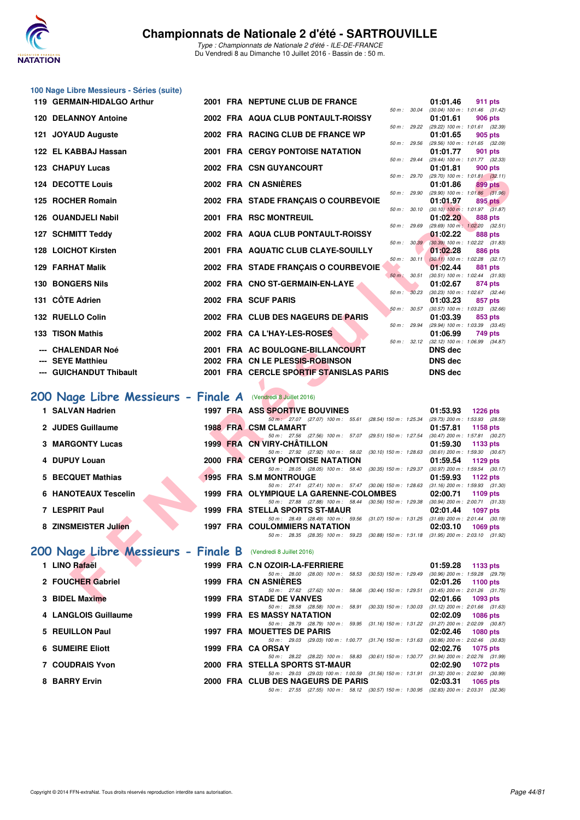

| 100 Nage Libre Messieurs - Séries (suite)                     |  |                                                                                                                                               |                                                                                               |
|---------------------------------------------------------------|--|-----------------------------------------------------------------------------------------------------------------------------------------------|-----------------------------------------------------------------------------------------------|
| 119 GERMAIN-HIDALGO Arthur                                    |  | 2001 FRA NEPTUNE CLUB DE FRANCE                                                                                                               | 01:01.46<br>911 pts                                                                           |
| <b>120 DELANNOY Antoine</b>                                   |  | 50 m : 30.04<br>2002 FRA AQUA CLUB PONTAULT-ROISSY                                                                                            | $(30.04)$ 100 m : 1:01.46 $(31.42)$<br>01:01.61<br>906 pts                                    |
| 121 JOYAUD Auguste                                            |  | 2002 FRA RACING CLUB DE FRANCE WP                                                                                                             | 50 m : 29.22 (29.22) 100 m : 1:01.61 (32.39)<br>01:01.65<br>905 pts                           |
| 122 EL KABBAJ Hassan                                          |  | 50 m : 29.56<br><b>2001 FRA CERGY PONTOISE NATATION</b>                                                                                       | (29.56) 100 m: 1:01.65 (32.09)<br>01:01.77<br>901 pts                                         |
| 123 CHAPUY Lucas                                              |  | 50 m : 29.44<br>2002 FRA CSN GUYANCOURT                                                                                                       | (29.44) 100 m: 1:01.77 (32.33)<br>01:01.81<br>900 pts                                         |
| <b>124 DECOTTE Louis</b>                                      |  | 50 m : 29.70<br>2002 FRA CN ASNIERES                                                                                                          | $(29.70)$ 100 m : 1:01.81 $(32.11)$<br>01:01.86<br>899 pts                                    |
|                                                               |  | 50 m: 29.90                                                                                                                                   | $(29.90)$ 100 m : 1:01.86 $(31.96)$                                                           |
| 125 ROCHER Romain                                             |  | 2002 FRA STADE FRANÇAIS O COURBEVOIE<br>50 m : 30.10                                                                                          | 01:01.97<br>895 pts<br>$(30.10)$ 100 m : 1:01.97 $(31.87)$                                    |
| 126 OUANDJELI Nabil                                           |  | 2001 FRA RSC MONTREUIL<br>50 m : 29.69                                                                                                        | 01:02.20<br>888 pts<br>$(29.69)$ 100 m : 1:02.20 $(32.51)$                                    |
| 127 SCHMITT Teddy                                             |  | 2002 FRA AQUA CLUB PONTAULT-ROISSY<br>50 m: 30.39                                                                                             | 01:02.22<br>888 pts<br>(30.39) 100 m : 1:02.22 (31.83)                                        |
| 128 LOICHOT Kirsten                                           |  | 2001 FRA AQUATIC CLUB CLAYE-SOUILLY                                                                                                           | 01:02.28<br>886 pts                                                                           |
| <b>129 FARHAT Malik</b>                                       |  | $50 m$ : $30.11$<br>2002 FRA STADE FRANÇAIS O COURBEVOIE                                                                                      | $(30.11)$ 100 m : 1:02.28 $(32.17)$<br>01:02.44<br>881 pts                                    |
| <b>130 BONGERS Nils</b>                                       |  | 50 m: 30.51<br>2002 FRA CNO ST-GERMAIN-EN-LAYE                                                                                                | (30.51) 100 m: 1:02.44 (31.93)<br>01:02.67<br>874 pts                                         |
| 131 CÖTE Adrien                                               |  | 50 m : 30.23<br>2002 FRA SCUF PARIS                                                                                                           | $(30.23)$ 100 m : 1:02.67 $(32.44)$<br>01:03.23<br>857 pts                                    |
|                                                               |  | 50 m: 30.57                                                                                                                                   | $(30.57)$ 100 m : 1:03.23 $(32.66)$                                                           |
| 132 RUELLO Colin                                              |  | 2002 FRA CLUB DES NAGEURS DE PARIS<br>50 m : 29.94                                                                                            | 01:03.39<br>853 pts<br>(29.94) 100 m: 1:03.39 (33.45)                                         |
| 133 TISON Mathis                                              |  | 2002 FRA CA L'HAY-LES-ROSES<br>50 m: 32.12                                                                                                    | 01:06.99<br>749 pts<br>$(32.12)$ 100 m : 1:06.99 $(34.87)$                                    |
| --- CHALENDAR Noé                                             |  | 2001 FRA AC BOULOGNE-BILLANCOURT                                                                                                              | <b>DNS</b> dec                                                                                |
| <b>SEYE Matthieu</b>                                          |  | 2002 FRA CN LE PLESSIS-ROBINSON                                                                                                               | <b>DNS</b> dec                                                                                |
| --- GUICHANDUT Thibault                                       |  | 2001 FRA CERCLE SPORTIF STANISLAS PARIS                                                                                                       | <b>DNS dec</b>                                                                                |
| 200 Nage Libre Messieurs - Finale A (Vendredi 8 Juillet 2016) |  |                                                                                                                                               |                                                                                               |
| 1 SALVAN Hadrien                                              |  |                                                                                                                                               |                                                                                               |
|                                                               |  | 1997 FRA ASS SPORTIVE BOUVINES                                                                                                                | 01:53.93<br><b>1226 pts</b>                                                                   |
| 2 JUDES Guillaume                                             |  | 50 m : 27.07 (27.07) 100 m : 55.61 (28.54) 150 m : 1:25.34 (29.73) 200 m : 1:53.93 (28.59)<br><b>1988 FRA CSM CLAMART</b>                     | 01:57.81<br>1158 pts                                                                          |
|                                                               |  | 50 m: 27.56 (27.56) 100 m: 57.07 (29.51) 150 m: 1:27.54                                                                                       | $(30.47)$ 200 m : 1:57.81 $(30.27)$                                                           |
| <b>3 MARGONTY Lucas</b>                                       |  | 1999 FRA CN VIRY-CHATILLON<br>50 m: 27.92 (27.92) 100 m: 58.02 (30.10) 150 m: 1:28.63                                                         | 01:59.30<br>1133 pts<br>$(30.61)$ 200 m : 1:59.30 $(30.67)$                                   |
| 4 DUPUY Louan                                                 |  | <b>2000 FRA CERGY PONTOISE NATATION</b><br>50 m: 28.05 (28.05) 100 m: 58.40 (30.35) 150 m: 1:29.37                                            | 01:59.54<br>1129 pts<br>$(30.97)$ 200 m : 1:59.54 $(30.17)$                                   |
| 5 BECQUET Mathias                                             |  | <b>1995 FRA S.M MONTROUGE</b>                                                                                                                 | 01:59.93<br>1122 $pts$                                                                        |
| <b>6 HANOTEAUX Tescelin</b>                                   |  | 50 m: 27.41 (27.41) 100 m: 57.47 (30.06) 150 m: 1:28.63 (31.16) 200 m: 1:59.93 (31.30)<br>1999 FRA OLYMPIQUE LA GARENNE-COLOMBES              | 02:00.71<br>1109 pts                                                                          |
| 7 LESPRIT Paul                                                |  | 50 m: 27.88 (27.88) 100 m: 58.44 (30.56) 150 m: 1:29.38 (30.94) 200 m: 2:00.71 (31.33)<br>1999 FRA STELLA SPORTS ST-MAUR                      | 02:01.44<br>1097 pts                                                                          |
| 8 ZINSMEISTER Julien                                          |  | 50 m : 28.49 (28.49) 100 m : 59.56 (31.07) 150 m : 1:31.25 (31.69) 200 m : 2:01.44 (30.19)<br><b>1997 FRA COULOMMIERS NATATION</b>            | 02:03.10<br>1069 pts                                                                          |
|                                                               |  | 50 m: 28.35 (28.35) 100 m: 59.23 (30.88) 150 m: 1:31.18 (31.95) 200 m: 2:03.10 (31.92)                                                        |                                                                                               |
| 200 Nage Libre Messieurs - Finale B                           |  | (Vendredi 8 Juillet 2016)                                                                                                                     |                                                                                               |
| 1 LINO Rafaël                                                 |  | 1999 FRA C.N OZOIR-LA-FERRIERE                                                                                                                | 01:59.28<br>1133 pts                                                                          |
| 2 FOUCHER Gabriel                                             |  | 50 m : 28.00 (28.00) 100 m : 58.53 (30.53) 150 m : 1:29.49<br>1999 FRA CN ASNIERES<br>50 m: 27.62 (27.62) 100 m: 58.06 (30.44) 150 m: 1:29.51 | (30.96) 200 m: 1:59.28 (29.79)<br>02:01.26<br>1100 pts<br>$(31.45)$ 200 m : 2:01.26 $(31.75)$ |

## **[200 Nage Libre Messieurs - Finale A](http://www.ffnatation.fr/webffn/resultats.php?idact=nat&go=epr&idcpt=39837&idepr=53)** (Vendredi 8 Juillet 2016)

| 1 SALVAN Hadrien         |  | <b>1997 FRA ASS SPORTIVE BOUVINES</b>                                                  |          | $01:53.93$ 1226 pts |
|--------------------------|--|----------------------------------------------------------------------------------------|----------|---------------------|
|                          |  | 50 m: 27.07 (27.07) 100 m: 55.61 (28.54) 150 m: 1:25.34 (29.73) 200 m: 1:53.93 (28.59) |          |                     |
| <b>2 JUDES Guillaume</b> |  | <b>1988 FRA CSM CLAMART</b>                                                            |          | 01:57.81 1158 pts   |
|                          |  | 50 m: 27.56 (27.56) 100 m: 57.07 (29.51) 150 m: 1:27.54 (30.47) 200 m: 1:57.81 (30.27) |          |                     |
| 3 MARGONTY Lucas         |  | 1999 FRA CN VIRY-CHÂTILLON                                                             | 01:59.30 | 1133 pts            |
|                          |  | 50 m: 27.92 (27.92) 100 m: 58.02 (30.10) 150 m: 1:28.63 (30.61) 200 m: 1:59.30 (30.67) |          |                     |
| 4 DUPUY Louan            |  | 2000 FRA CERGY PONTOISE NATATION                                                       |          | $01:59.54$ 1129 pts |
|                          |  | 50 m: 28.05 (28.05) 100 m: 58.40 (30.35) 150 m: 1:29.37 (30.97) 200 m: 1:59.54 (30.17) |          |                     |
| 5 BECQUET Mathias        |  | 1995 FRA S.M MONTROUGE                                                                 |          | 01:59.93 1122 pts   |
|                          |  | 50 m: 27.41 (27.41) 100 m: 57.47 (30.06) 150 m: 1:28.63 (31.16) 200 m: 1:59.93 (31.30) |          |                     |
| 6 HANOTEAUX Tescelin     |  | 1999 FRA OLYMPIQUE LA GARENNE-COLOMBES 02:00.71 1109 pts                               |          |                     |
|                          |  | 50 m: 27.88 (27.88) 100 m: 58.44 (30.56) 150 m: 1:29.38 (30.94) 200 m: 2:00.71 (31.33) |          |                     |
| 7 LESPRIT Paul           |  | 1999 FRA STELLA SPORTS ST-MAUR                                                         |          | 02:01.44 1097 pts   |
|                          |  | 50 m: 28.49 (28.49) 100 m: 59.56 (31.07) 150 m: 1:31.25 (31.69) 200 m: 2:01.44 (30.19) |          |                     |
| 8 ZINSMEISTER Julien     |  | <b>1997 FRA COULOMMIERS NATATION</b>                                                   |          | $02:03.10$ 1069 pts |
|                          |  | 50 m: 28.35 (28.35) 100 m: 59.23 (30.88) 150 m: 1:31.18 (31.95) 200 m: 2:03.10 (31.92) |          |                     |
|                          |  |                                                                                        |          |                     |

| 200 Nage Libre Messieurs - Finale B (Vendredi 8 Juillet 2016) |                                                                                          |                                     |
|---------------------------------------------------------------|------------------------------------------------------------------------------------------|-------------------------------------|
| <b>LINO Rafaël</b>                                            | 1999 FRA C.N OZOIR-LA-FERRIERE                                                           | 01:59.28<br>1133 $pts$              |
|                                                               | (28.00) 100 m : 58.53 (30.53) 150 m : 1:29.49<br>50 m: 28.00                             | (30.96) 200 m : 1:59.28 (29.79)     |
| 2 FOUCHER Gabriel                                             | 1999 FRA CN ASNIERES                                                                     | 02:01.26<br>1100 $pts$              |
|                                                               | (27.62) 100 m : 58.06 (30.44) 150 m : 1:29.51<br>$50 \text{ m}$ : 27.62                  | $(31.45)$ 200 m : 2:01.26 $(31.75)$ |
| 3 BIDEL Maxime                                                | <b>1999 FRA STADE DE VANVES</b>                                                          | 02:01.66<br>1093 pts                |
|                                                               | 50 m: 28.58 (28.58) 100 m: 58.91 (30.33) 150 m: 1:30.03                                  | $(31.12)$ 200 m : 2:01.66 $(31.63)$ |
| 4 LANGLOIS Guillaume                                          | <b>1999 FRA ES MASSY NATATION</b>                                                        | 02:02.09<br><b>1086 pts</b>         |
|                                                               | 50 m: 28.79 (28.79) 100 m: 59.95 (31.16) 150 m: 1:31.22 (31.27) 200 m: 2:02.09 (30.87    |                                     |
| 5 REUILLON Paul                                               | <b>1997 FRA MOUETTES DE PARIS</b>                                                        | 02:02.46<br><b>1080 pts</b>         |
|                                                               | (29.03) 100 m : 1:00.77 (31.74) 150 m : 1:31.63<br>50 m : 29.03                          | $(30.86)$ 200 m : 2:02.46 $(30.83)$ |
| <b>6 SUMEIRE Eliott</b>                                       | 1999 FRA CA ORSAY                                                                        | 02:02.76<br>1075 pts                |
|                                                               | (28.22) 100 m : 58.83 (30.61) 150 m : 1:30.77<br>50 m : 28.22                            | $(31.94)$ 200 m : 2:02.76 $(31.99)$ |
| <b>7 COUDRAIS Yvon</b>                                        | 2000 FRA STELLA SPORTS ST-MAUR                                                           | 02:02.90<br>1072 $pts$              |
|                                                               | 50 m : 29.03 (29.03) 100 m : 1:00.59 (31.56) 150 m : 1:31.91                             | $(31.32)$ 200 m : 2:02.90 $(30.99)$ |
| <b>BARRY Ervin</b>                                            | 2000 FRA CLUB DES NAGEURS DE PARIS                                                       | 02:03.31<br>$1065$ pts              |
|                                                               | (27.55) 100 m: 58.12 (30.57) 150 m: 1:30.95 (32.83) 200 m: 2:03.31 (32.36<br>50 m: 27.55 |                                     |
|                                                               |                                                                                          |                                     |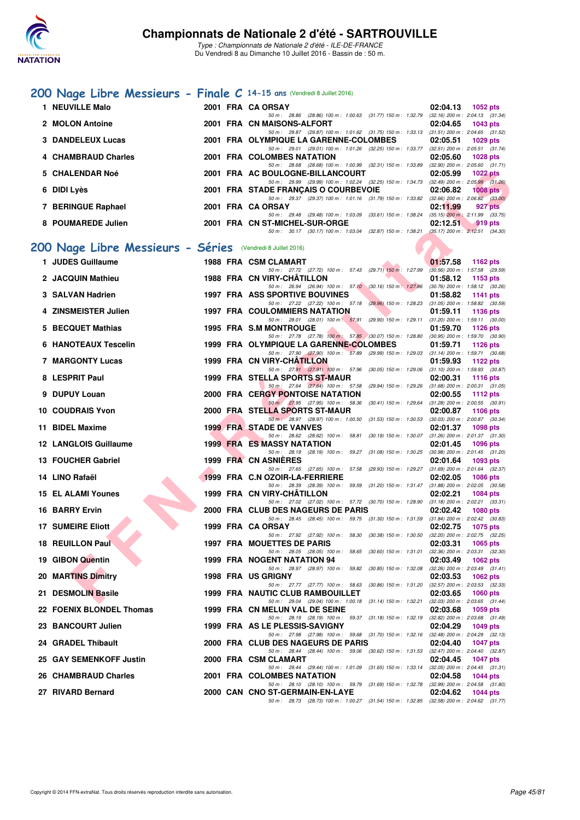

## **[200 Nage Libre Messieurs - Finale C](http://www.ffnatation.fr/webffn/resultats.php?idact=nat&go=epr&idcpt=39837&idepr=53) 14-15 ans** (Vendredi 8 Juillet 2016)

| 1 NEUVILLE Malo     | 2001 FRA CA ORSAY                                                                                       |          | $02:04.13$ 1052 pts                   |
|---------------------|---------------------------------------------------------------------------------------------------------|----------|---------------------------------------|
|                     | 50 m: 28.86 (28.86) 100 m: 1:00.63 (31.77) 150 m: 1:32.79 (32.16) 200 m: 2:04.13 (31.34)                |          |                                       |
| 2 MOLON Antoine     | 2001 FRA CN MAISONS-ALFORT                                                                              |          | $02:04.65$ 1043 pts                   |
|                     | 50 m: 29.87 (29.87) 100 m: 1:01.62 (31.75) 150 m: 1:33.13 (31.51) 200 m: 2:04.65 (31.52)                |          |                                       |
| 3 DANDELEUX Lucas   | 2001 FRA OLYMPIQUE LA GARENNE-COLOMBES                                                                  | 02:05.51 | 1029 pts                              |
|                     | 50 m: 29.01 (29.01) 100 m: 1:01.26 (32.25) 150 m: 1:33.77 (32.51) 200 m: 2:05.51 (31.74)                |          |                                       |
| 4 CHAMBRAUD Charles | 2001 FRA COLOMBES NATATION                                                                              |          | 02:05.60 1028 pts                     |
|                     | 50 m: 28.68 (28.68) 100 m: 1:00.99 (32.31) 150 m: 1:33.89                                               |          | $(32.90)$ 200 m : $2.05.60$ $(31.71)$ |
| 5 CHALENDAR Noé     | 2001 FRA AC BOULOGNE-BILLANCOURT                                                                        | 02:05.99 | 1022 pts                              |
|                     | 50 m: 29.99 (29.99) 100 m: 1:02.24 (32.25) 150 m: 1:34.73                                               |          | $(32.49)$ 200 m : 2:05.99 $(31.26)$   |
| 6 DIDI Lyès         | 2001 FRA STADE FRANÇAIS O COURBEVOIE                                                                    | 02:06.82 | $1008$ pts                            |
|                     | 50 m: 29.37 (29.37) 100 m: 1:01.16 (31.79) 150 m: 1:33.82 (32.66) 200 m: 2:06.82 (33.00)                |          |                                       |
| 7 BERINGUE Raphael  | 2001 FRA CA ORSAY                                                                                       | 02:11.99 | 927 pts                               |
|                     | $(29.48)$ 100 m : 1:03.09 $(33.61)$ 150 m : 1:38.24 $(35.15)$ 200 m : 2:11.99 $(33.75)$<br>50 m : 29.48 |          |                                       |
| 8 POUMAREDE Julien  | 2001 FRA CN ST-MICHEL-SUR-ORGE                                                                          | 02:12.51 | $-919$ pts                            |
|                     | 50 m: 30.17 (30.17) 100 m: 1:03.04 (32.87) 150 m: 1:38.21 (35.17) 200 m: 2:12.51 (34.30)                |          |                                       |

## **[200 Nage Libre Messieurs - Séries](http://www.ffnatation.fr/webffn/resultats.php?idact=nat&go=epr&idcpt=39837&idepr=53)** (Vendredi 8 Juillet 2016)

| 5 CHALENDAR Noé                                            |  | 2001 FRA AC BOULOGNE-BILLANCOURT                                                                                                    | 02:05.99 | <b>1022 pts</b>                                   |
|------------------------------------------------------------|--|-------------------------------------------------------------------------------------------------------------------------------------|----------|---------------------------------------------------|
| 6 DIDI Lyès                                                |  | 50 m: 29.99 (29.99) 100 m: 1:02.24 (32.25) 150 m: 1:34.73 (32.49) 200 m: 2:05.99 (31.26)<br>2001 FRA STADE FRANÇAIS O COURBEVOIE    | 02:06.82 | $1008$ pts                                        |
| 7 BERINGUE Raphael                                         |  | 50 m: 29.37 (29.37) 100 m: 1:01.16 (31.79) 150 m: 1:33.82 (32.66) 200 m: 2:06.82 (33.00)<br>2001 FRA CA ORSAY                       | 02:11.99 | 927 pts                                           |
| 8 POUMAREDE Julien                                         |  | 50 m : 29.48 (29.48) 100 m : 1:03.09 (33.61) 150 m : 1:38.24<br>2001 FRA CN ST-MICHEL-SUR-ORGE                                      | 02:12.51 | $(35.15)$ 200 m : 2:11.99 $(33.75)$<br>919 pts    |
|                                                            |  | 50 m: 30.17 (30.17) 100 m: 1:03.04 (32.87) 150 m: 1:38.21 (35.17) 200 m: 2:12.51 (34.30)                                            |          |                                                   |
| 00 Nage Libre Messieurs - Séries (Vendredi 8 Juillet 2016) |  |                                                                                                                                     |          |                                                   |
| 1 JUDES Guillaume                                          |  | 1988 FRA CSM CLAMART                                                                                                                | 01:57.58 | 1162 pts                                          |
| 2 JACQUIN Mathieu                                          |  | 50 m: 27.72 (27.72) 100 m: 57.43 (29.71) 150 m: 1:27.99 (30.56) 200 m: 1:57.58 (29.59)<br>1988 FRA CN VIRY-CHATILLON                | 01:58.12 | 1153 pts                                          |
| 3 SALVAN Hadrien                                           |  | 50 m: 26.94 (26.94) 100 m: 57.10 (30.16) 150 m: 1:27.86 (30.76) 200 m: 1:58.12 (30.26)<br><b>1997 FRA ASS SPORTIVE BOUVINES</b>     | 01:58.82 | 1141 pts                                          |
| 4 ZINSMEISTER Julien                                       |  | 50 m: 27.22 (27.22) 100 m: 57.18 (29.96) 150 m: 1:28.23 (31.05) 200 m: 1:58.82 (30.59)                                              |          |                                                   |
|                                                            |  | <b>1997 FRA COULOMMIERS NATATION</b><br>50 m: 28.01 (28.01) 100 m: 57.91 (29.90) 150 m: 1:29.11 (31.20) 200 m: 1:59.11 (30.00)      | 01:59.11 | 1136 pts                                          |
| 5 BECQUET Mathias                                          |  | <b>1995 FRA S.M MONTROUGE</b><br>50 m: 27.78 (27.78) 100 m: 57.85 (30.07) 150 m: 1:28.80 (30.95) 200 m: 1:59.70 (30.90)             | 01:59.70 | <b>1126 pts</b>                                   |
| 6 HANOTEAUX Tescelin                                       |  | 1999 FRA OLYMPIQUE LA GARENNE-COLOMBES                                                                                              | 01:59.71 | 1126 pts                                          |
| 7 MARGONTY Lucas                                           |  | 50 m: 27.90 (27.90) 100 m: 57.89 (29.99) 150 m: 1:29.03 (31.14) 200 m: 1:59.71 (30.68)<br>1999 FRA CN VIRY-CHATILLON                | 01:59.93 | 1122 pts                                          |
| 8 LESPRIT Paul                                             |  | 50 m: 27.91 (27.91) 100 m: 57.96 (30.05) 150 m: 1:29.06 (31.10) 200 m: 1:59.93 (30.87)<br>1999 FRA STELLA SPORTS ST-MAUR            | 02:00.31 | <b>1116 pts</b>                                   |
| 9 DUPUY Louan                                              |  | 50 m: 27.64 (27.64) 100 m: 57.58 (29.94) 150 m: 1.29.26 (31.68) 200 m: 2:00.31 (31.05)<br><b>2000 FRA CERGY PONTOISE NATATION</b>   | 02:00.55 | 1112 pts                                          |
|                                                            |  | 50 m: 27.95 (27.95) 100 m: 58.36 (30.41) 150 m: 1:29.64 (31.28) 200 m: 2:00.55 (30.91)                                              |          |                                                   |
| <b>10 COUDRAIS Yvon</b>                                    |  | 2000 FRA STELLA SPORTS ST-MAUR<br>50 m: 28.97 (28.97) 100 m: 1:00.50 (31.53) 150 m: 1:30.53                                         | 02:00.87 | 1106 $pts$<br>$(30.03)$ 200 m : 2:00.87 $(30.34)$ |
| 11 BIDEL Maxime                                            |  | <b>1999 FRA STADE DE VANVES</b><br>50 m: 28.62 (28.62) 100 m: 58.81 (30.19) 150 m: 1:30.07 (31.26) 200 m: 2:01.37 (31.30)           | 02:01.37 | <b>1098 pts</b>                                   |
| 12 LANGLOIS Guillaume                                      |  | <b>1999 FRA ES MASSY NATATION</b>                                                                                                   | 02:01.45 | 1096 pts                                          |
| 13 FOUCHER Gabriel                                         |  | 50 m: 28.19 (28.19) 100 m: 59.27 (31.08) 150 m: 1:30.25 (30.98) 200 m: 2:01.45 (31.20)<br>1999 FRA CN ASNIERES                      | 02:01.64 | 1093 pts                                          |
| 14 LINO Rafaël                                             |  | 50 m: 27.65 (27.65) 100 m: 57.58 (29.93) 150 m: 1:29.27 (31.69) 200 m: 2:01.64 (32.37)<br>1999 FRA C.N OZOIR-LA-FERRIERE            | 02:02.05 | 1086 pts                                          |
|                                                            |  | 50 m: 28.39 (28.39) 100 m: 59.59 (31.20) 150 m: 1:31.47 (31.88) 200 m: 2:02.05 (30.58)                                              |          |                                                   |
| 15 EL ALAMI Younes                                         |  | 1999 FRA CN VIRY-CHATILLON<br>50 m: 27.02 (27.02) 100 m: 57.72 (30.70) 150 m: 1:28.90 (31.18) 200 m: 2:02.21 (33.31)                | 02:02.21 | 1084 pts                                          |
| 16 BARRY Ervin                                             |  | 2000 FRA CLUB DES NAGEURS DE PARIS<br>50 m: 28.45 (28.45) 100 m: 59.75 (31.30) 150 m: 1:31.59 (31.84) 200 m: 2:02.42 (30.83)        | 02:02.42 | <b>1080 pts</b>                                   |
| <b>17 SUMEIRE Eliott</b>                                   |  | 1999 FRA CA ORSAY                                                                                                                   | 02:02.75 | 1075 pts                                          |
| <b>18 REUILLON Paul</b>                                    |  | 50 m : 27.92 (27.92) 100 m : 58.30 (30.38) 150 m : 1:30.50<br>1997 FRA MOUETTES DE PARIS                                            | 02:03.31 | $(32.20)$ 200 m : 2:02.75 $(32.25)$<br>1065 pts   |
| 19 GIBON Quentin                                           |  | 50 m: 28.05 (28.05) 100 m: 58.65 (30.60) 150 m: 1:31.01 (32.36) 200 m: 2:03.31 (32.30)<br>1999 FRA NOGENT NATATION 94               | 02:03.49 | 1062 pts                                          |
|                                                            |  | 50 m: 28.97 (28.97) 100 m: 59.82 (30.85) 150 m: 1:32.08 (32.26) 200 m: 2:03.49 (31.41)                                              |          |                                                   |
| <b>20 MARTINS Dimitry</b>                                  |  | 1998 FRA US GRIGNY<br>50 m: 27.77 (27.77) 100 m: 58.63 (30.86) 150 m: 1.31.20 (32.57) 200 m: 2.03.53 (32.33)                        | 02:03.53 | 1062 $pts$                                        |
| 21 DESMOLIN Basile                                         |  | <b>1999 FRA NAUTIC CLUB RAMBOUILLET</b><br>50 m: 29.04 (29.04) 100 m: 1:00.18 (31.14) 150 m: 1:32.21 (32.03) 200 m: 2:03.65 (31.44) | 02:03.65 | <b>1060 pts</b>                                   |
| 22 FOENIX BLONDEL Thomas                                   |  | 1999 FRA CN MELUN VAL DE SEINE                                                                                                      | 02:03.68 | 1059 pts                                          |
| 23 BANCOURT Julien                                         |  | 50 m: 28.19 (28.19) 100 m: 59.37 (31.18) 150 m: 1:32.19 (32.82) 200 m: 2:03.68 (31.49)<br>1999 FRA AS LE PLESSIS-SAVIGNY            | 02:04.29 | <b>1049 pts</b>                                   |
| 24 GRADEL Thibault                                         |  | 50 m: 27.98 (27.98) 100 m: 59.68 (31.70) 150 m: 1:32.16 (32.48) 200 m: 2:04.29 (32.13)<br>2000 FRA CLUB DES NAGEURS DE PARIS        | 02:04.40 | <b>1047 pts</b>                                   |
|                                                            |  | 50 m: 28.44 (28.44) 100 m: 59.06 (30.62) 150 m: 1:31.53 (32.47) 200 m: 2:04.40 (32.87)                                              |          |                                                   |
| 25 GAY SEMENKOFF Justin                                    |  | 2000 FRA CSM CLAMART<br>50 m: 29.44 (29.44) 100 m: 1:01.09 (31.65) 150 m: 1:33.14 (32.05) 200 m: 2:04.45 (31.31)                    | 02:04.45 | <b>1047 pts</b>                                   |
| 26 CHAMBRAUD Charles                                       |  | 2001 FRA COLOMBES NATATION<br>50 m: 28.10 (28.10) 100 m: 59.79 (31.69) 150 m: 1:32.78 (32.99) 200 m: 2:04.58 (31.80)                | 02:04.58 | <b>1044 pts</b>                                   |
| 27 RIVARD Bernard                                          |  | 2000 CAN CNO ST-GERMAIN-EN-LAYE<br>50 m: 28.73 (28.73) 100 m: 1:00.27 (31.54) 150 m: 1:32.85 (32.58) 200 m: 2:04.62 (31.77)         | 02:04.62 | <b>1044 pts</b>                                   |
|                                                            |  |                                                                                                                                     |          |                                                   |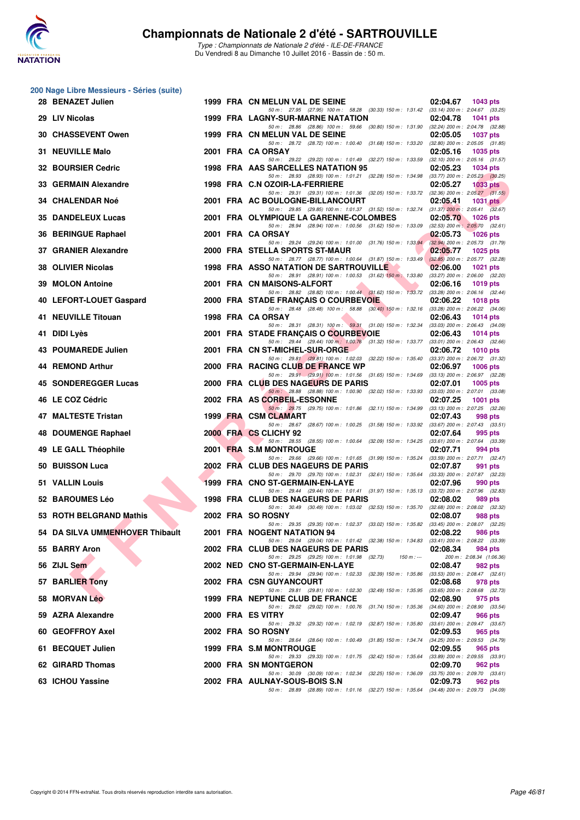

|    | 200 Nage Libre Messieurs - Séries (suite) |  |                                                                                                                                                                                                        |                                                   |                                     |
|----|-------------------------------------------|--|--------------------------------------------------------------------------------------------------------------------------------------------------------------------------------------------------------|---------------------------------------------------|-------------------------------------|
|    | 28 BENAZET Julien                         |  | 1999 FRA CN MELUN VAL DE SEINE<br>50 m: 27.95 (27.95) 100 m: 58.28 (30.33) 150 m: 1:31.42 (33.14) 200 m: 2:04.67 (33.25)                                                                               | 02:04.67                                          | 1043 pts                            |
|    | 29 LIV Nicolas                            |  | 1999 FRA LAGNY-SUR-MARNE NATATION                                                                                                                                                                      | 02:04.78                                          | <b>1041 pts</b>                     |
|    | <b>30 CHASSEVENT Owen</b>                 |  | 50 m: 28.86 (28.86) 100 m: 59.66 (30.80) 150 m: 1:31.90 (32.24) 200 m: 2:04.78 (32.88)<br>1999 FRA CN MELUN VAL DE SEINE                                                                               | 02:05.05                                          | <b>1037 pts</b>                     |
|    | 31 NEUVILLE Malo                          |  | 50 m: 28.72 (28.72) 100 m: 1:00.40 (31.68) 150 m: 1:33.20 (32.80) 200 m: 2:05.05 (31.85)<br>2001 FRA CA ORSAY                                                                                          | 02:05.16                                          | 1035 pts                            |
|    | 32 BOURSIER Cedric                        |  | 50 m: 29.22 (29.22) 100 m: 1:01.49 (32.27) 150 m: 1:33.59<br>1998 FRA AAS SARCELLES NATATION 95                                                                                                        | $(32.10)$ 200 m : 2:05.16 $(31.57)$<br>02:05.23   | 1034 pts                            |
|    | 33 GERMAIN Alexandre                      |  | 50 m: 28.93 (28.93) 100 m: 1:01.21 (32.28) 150 m: 1:34.98 (33.77) 200 m: 2:05.23 (30.25)<br>1998 FRA C.N OZOIR-LA-FERRIERE                                                                             | 02:05.27                                          | <b>1033 pts</b>                     |
|    | <b>34 CHALENDAR Noé</b>                   |  | 50 m: 29.31 (29.31) 100 m: 1:01.36 (32.05) 150 m: 1:33.72 (32.36) 200 m: 2:05.27 (31.55)<br>2001 FRA AC BOULOGNE-BILLANCOURT                                                                           | 02:05.41                                          | <b>1031 pts</b>                     |
|    | 35 DANDELEUX Lucas                        |  | 50 m: 29.85 (29.85) 100 m: 1:01.37 (31.52) 150 m: 1:32.74 (31.37) 200 m: 2:05.41 (32.67)<br>2001 FRA OLYMPIQUE LA GARENNE-COLOMBES                                                                     | 02:05.70                                          | <b>1026 pts</b>                     |
|    | 36 BERINGUE Raphael                       |  | 50 m: 28.94 (28.94) 100 m: 1:00.56 (31.62) 150 m: 1:33.09 (32.53) 200 m: 2:05.70 (32.61)<br>2001 FRA CA ORSAY                                                                                          | 02:05.73                                          | <b>1026 pts</b>                     |
|    | 37 GRANIER Alexandre                      |  | 50 m: 29.24 (29.24) 100 m: 1:01.00 (31.76) 150 m: 1:33.94<br>2000 FRA STELLA SPORTS ST-MAUR                                                                                                            | $(32.94)$ 200 m : 2:05.73 $(31.79)$<br>02:05.77   | <b>1025 pts</b>                     |
|    | 38 OLIVIER Nicolas                        |  | 50 m: 28.77 (28.77) 100 m: 1:00.64 (31.87) 150 m: 1:33.49<br><b>1998 FRA ASSO NATATION DE SARTROUVILLE</b><br>50 m: 28.91 (28.91) 100 m: 1:00.53 (31.62) 150 m: 1:33.80 (33.27) 200 m: 2:06.00 (32.20) | $(32.85)$ 200 m : 2:05.77 $(32.28)$<br>02:06.00   | 1021 pts                            |
| 39 | <b>MOLON Antoine</b>                      |  | 2001 FRA CN MAISONS-ALFORT                                                                                                                                                                             | 02:06.16                                          | <b>1019 pts</b>                     |
|    | 40 LEFORT-LOUET Gaspard                   |  | 50 m: 28.82 (28.82) 100 m: 1:00.44 (31.62) 150 m: 1:33.72 (33.28) 200 m: 2:06.16 (32.44)<br>2000 FRA STADE FRANÇAIS O COURBEVOIE                                                                       | 02:06.22                                          | <b>1018 pts</b>                     |
|    | 41 NEUVILLE Titouan                       |  | 50 m: 28.48 (28.48) 100 m: 58.88 (30.40) 150 m: 1:32.16 (33.28) 200 m: 2:06.22 (34.06)<br>1998 FRA CA ORSAY                                                                                            | 02:06.43                                          | 1014 pts                            |
|    | 41 DIDI Lyès                              |  | 50 m: 28.31 (28.31) 100 m: 59.31 (31.00) 150 m: 1:32.34 (33.03) 200 m: 2:06.43 (34.09)<br>2001 FRA STADE FRANÇAIS O COURBEVOIE                                                                         | 02:06.43                                          | <b>1014 pts</b>                     |
|    | 43 POUMAREDE Julien                       |  | 50 m: 29.44 (29.44) 100 m: 1:00.76 (31.32) 150 m: 1:33.77 (33.01) 200 m: 2:06.43 (32.66)<br>2001 FRA CN ST-MICHEL-SUR-ORGE                                                                             | 02:06.72                                          | <b>1010 pts</b>                     |
|    | 44 REMOND Arthur                          |  | 50 m : 29.81 (29.81) 100 m : 1:02.03 (32.22) 150 m : 1:35.40 (33.37) 200 m : 2:06.72 (31.32)<br>2000 FRA RACING CLUB DE FRANCE WP                                                                      | 02:06.97                                          | <b>1006 pts</b>                     |
|    | 45 SONDEREGGER Lucas                      |  | 50 m: 29.91 (29.91) 100 m: 1:01.56 (31.65) 150 m: 1:34.69 (33.13) 200 m: 2:06.97 (32.28)<br>2000 FRA CLUB DES NAGEURS DE PARIS                                                                         | 02:07.01                                          | 1005 pts                            |
|    | 46 LE COZ Cédric                          |  | 50 m: 28.88 (28.88) 100 m: 1:00.90 (32.02) 150 m: 1:33.93 (33.03) 200 m: 2:07.01 (33.08)<br>2002 FRA AS CORBEIL-ESSONNE                                                                                | 02:07.25                                          | <b>1001 pts</b>                     |
|    | 47 MALTESTE Tristan                       |  | 50 m: 29.75 (29.75) 100 m: 1:01.86 (32.11) 150 m: 1:34.99 (33.13) 200 m: 2:07.25 (32.26)<br>1999 FRA CSM CLAMART                                                                                       | 02:07.43                                          | 998 pts                             |
|    | 48 DOUMENGE Raphael                       |  | 50 m : 28.67 (28.67) 100 m : 1:00.25 (31.58) 150 m : 1:33.92<br>2000 FRA CS CLICHY 92                                                                                                                  | $(33.67)$ 200 m : 2:07.43 $(33.51)$<br>02:07.64   | 995 pts                             |
|    | 49 LE GALL Théophile                      |  | 50 m: 28.55 (28.55) 100 m: 1:00.64 (32.09) 150 m: 1:34.25 (33.61) 200 m: 2:07.64 (33.39)<br>2001 FRA S.M MONTROUGE                                                                                     | 02:07.71                                          | 994 pts                             |
|    | 50 BUISSON Luca                           |  | 50 m: 29.66 (29.66) 100 m: 1:01.65 (31.99) 150 m: 1:35.24 (33.59) 200 m: 2:07.71 (32.47)<br>2002 FRA CLUB DES NAGEURS DE PARIS                                                                         | 02:07.87                                          | 991 pts                             |
|    | 51 VALLIN Louis                           |  | 50 m: 29.70 (29.70) 100 m: 1:02.31 (32.61) 150 m: 1:35.64 (33.33) 200 m: 2:07.87 (32.23)<br>1999 FRA CNO ST-GERMAIN-EN-LAYE                                                                            | 02:07.96                                          | 990 pts                             |
|    | 52 BAROUMES Léo                           |  | 50 m: 29.44 (29.44) 100 m: 1:01.41 (31.97) 150 m: 1:35.13 (33.72) 200 m: 2:07.96 (32.83)<br>1998 FRA CLUB DES NAGEURS DE PARIS                                                                         | 02:08.02                                          | 989 pts                             |
|    | 53 ROTH BELGRAND Mathis                   |  | 50 m : 30.49 (30.49) 100 m : 1:03.02 (32.53) 150 m : 1:35.70<br>2002 FRA SO ROSNY                                                                                                                      | $(32.68)$ 200 m : $2:08.02$ $(32.32)$<br>02:08.07 | 988 pts                             |
|    | 54 DA SILVA UMMENHOVER Thibault           |  | 50 m: 29.35 (29.35) 100 m: 1:02.37 (33.02) 150 m: 1:35.82<br>2001 FRA NOGENT NATATION 94                                                                                                               | $(33.45)$ 200 m : 2:08.07 $(32.25)$<br>02:08.22   | 986 pts                             |
|    | 55 BARRY Aron                             |  | 50 m : 29.04 (29.04) 100 m : 1:01.42 (32.38) 150 m : 1:34.83 (33.41) 200 m : 2:08.22 (33.39)<br>2002 FRA CLUB DES NAGEURS DE PARIS                                                                     | 02:08.34                                          | 984 pts                             |
|    | 56 ZIJL Sem                               |  | 50 m: 29.25 (29.25) 100 m: 1:01.98 (32.73)<br>150 m : ---<br>2002 NED CNO ST-GERMAIN-EN-LAYE                                                                                                           | 02:08.47                                          | 200 m: 2:08.34 (1:06.36)<br>982 pts |
|    | 57 BARLIER Tony                           |  | 50 m: 29.94 (29.94) 100 m: 1:02.33 (32.39) 150 m: 1:35.86<br>2002 FRA CSN GUYANCOURT                                                                                                                   | $(33.53)$ 200 m : 2:08.47 $(32.61)$<br>02:08.68   | 978 pts                             |
|    | 58 MORVAN Léo                             |  | 50 m: 29.81 (29.81) 100 m: 1:02.30 (32.49) 150 m: 1:35.95<br>1999 FRA NEPTUNE CLUB DE FRANCE                                                                                                           | $(33.65)$ 200 m : 2:08.68 $(32.73)$<br>02:08.90   | 975 pts                             |
|    | 59 AZRA Alexandre                         |  | 50 m: 29.02 (29.02) 100 m: 1:00.76 (31.74) 150 m: 1:35.36<br>2000 FRA ES VITRY                                                                                                                         | $(34.60)$ 200 m : 2:08.90 $(33.54)$<br>02:09.47   | 966 pts                             |
|    | 60 GEOFFROY Axel                          |  | 50 m: 29.32 (29.32) 100 m: 1:02.19 (32.87) 150 m: 1:35.80<br>2002 FRA SO ROSNY                                                                                                                         | (33.61) 200 m : 2:09.47 (33.67)<br>02:09.53       | 965 pts                             |
|    | 61 BECQUET Julien                         |  | 50 m: 28.64 (28.64) 100 m: 1:00.49 (31.85) 150 m: 1:34.74<br>1999 FRA S.M MONTROUGE                                                                                                                    | $(34.25)$ 200 m : 2:09.53 $(34.79)$<br>02:09.55   | 965 pts                             |
|    | 62 GIRARD Thomas                          |  | 50 m: 29.33 (29.33) 100 m: 1:01.75 (32.42) 150 m: 1:35.64<br>2000 FRA SN MONTGERON                                                                                                                     | $(33.89)$ 200 m : 2:09.55 $(33.91)$<br>02:09.70   | 962 pts                             |
|    | 63 ICHOU Yassine                          |  | 50 m: 30.09 (30.09) 100 m: 1:02.34 (32.25) 150 m: 1:36.09<br>2002 FRA AULNAY-SOUS-BOIS S.N                                                                                                             | $(33.75)$ 200 m : 2:09.70 $(33.61)$<br>02:09.73   | 962 pts                             |
|    |                                           |  | 50 m : 28.89 (28.89) 100 m : 1:01.16 (32.27) 150 m : 1:35.64 (34.48) 200 m : 2:09.73 (34.09)                                                                                                           |                                                   |                                     |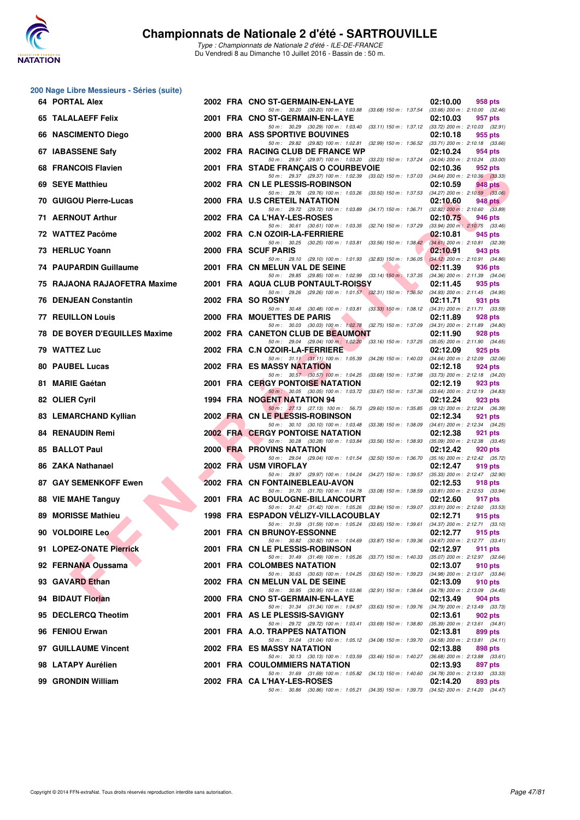

| 200 Nage Libre Messieurs - Séries (suite) |  |                                                                                                                                  |                                                            |
|-------------------------------------------|--|----------------------------------------------------------------------------------------------------------------------------------|------------------------------------------------------------|
| 64 PORTAL Alex                            |  | 2002 FRA CNO ST-GERMAIN-EN-LAYE<br>50 m: 30.20 (30.20) 100 m: 1:03.88 (33.68) 150 m: 1:37.54 (33.66) 200 m: 2:10.00 (32.46)      | 02:10.00<br>958 pts                                        |
| <b>65 TALALAEFF Felix</b>                 |  | 2001 FRA CNO ST-GERMAIN-EN-LAYE                                                                                                  | 02:10.03<br>957 pts                                        |
| 66 NASCIMENTO Diego                       |  | 50 m: 30.29 (30.29) 100 m: 1:03.40 (33.11) 150 m: 1:37.12 (33.72) 200 m: 2:10.03 (32.91)<br>2000 BRA ASS SPORTIVE BOUVINES       | 02:10.18<br>955 pts                                        |
| 67 IABASSENE Safy                         |  | 50 m: 29.82 (29.82) 100 m: 1:02.81 (32.99) 150 m: 1:36.52 (33.71) 200 m: 2:10.18 (33.66)<br>2002 FRA RACING CLUB DE FRANCE WP    | 02:10.24<br>954 pts                                        |
| 68 FRANCOIS Flavien                       |  | 50 m: 29.97 (29.97) 100 m: 1:03.20 (33.23) 150 m: 1:37.24 (34.04) 200 m: 2:10.24 (33.00)<br>2001 FRA STADE FRANÇAIS O COURBEVOIE | 02:10.36<br>952 pts                                        |
| 69 SEYE Matthieu                          |  | 50 m: 29.37 (29.37) 100 m: 1:02.39 (33.02) 150 m: 1:37.03 (34.64) 200 m: 2:10.36 (33.33)<br>2002 FRA CN LE PLESSIS-ROBINSON      | 02:10.59<br>948 pts                                        |
| 70 GUIGOU Pierre-Lucas                    |  | 50 m: 29.76 (29.76) 100 m: 1:03.26 (33.50) 150 m: 1:37.53<br>2000 FRA U.S CRETEIL NATATION                                       | $(34.27)$ 200 m : 2:10.59 $(33.06)$<br>02:10.60<br>948 pts |
| 71 AERNOUT Arthur                         |  | 50 m : 29.72 (29.72) 100 m : 1:03.89 (34.17) 150 m : 1:36.71<br>2002 FRA CA L'HAY-LES-ROSES                                      | $(32.82)$ 200 m : 2:10.60 $(33.89)$<br>02:10.75<br>946 pts |
| 72 WATTEZ Pacôme                          |  | 50 m: 30.61 (30.61) 100 m: 1:03.35 (32.74) 150 m: 1:37.29 (33.94) 200 m: 2:10.75 (33.46)<br>2002 FRA C.N OZOIR-LA-FERRIERE       | 02:10.81<br>945 pts                                        |
| 73 HERLUC Yoann                           |  | 50 m: 30.25 (30.25) 100 m: 1:03.81 (33.56) 150 m: 1:38.42<br>2000 FRA SCUF PARIS                                                 | $(34.61)$ 200 m : 2:10.81 $(32.39)$<br>02:10.91<br>943 pts |
| <b>74 PAUPARDIN Guillaume</b>             |  | 50 m: 29.10 (29.10) 100 m: 1:01.93 (32.83) 150 m: 1:36.05                                                                        | $(34.12)$ 200 m : 2:10.91 $(34.86)$                        |
|                                           |  | 2001 FRA CN MELUN VAL DE SEINE<br>50 m : 29.85 (29.85) 100 m : 1:02.99 (33.14) 150 m : 1:37.35                                   | 02:11.39<br>936 pts<br>(34.36) 200 m : 2:11.39 (34.04)     |
| 75 RAJAONA RAJAOFETRA Maxime              |  | 2001 FRA AQUA CLUB PONTAULT-ROISSY<br>50 m : 29.26 (29.26) 100 m : 1:01.57 (32.31) 150 m : 1:36.50                               | 02:11.45<br>935 pts<br>$(34.93)$ 200 m : 2:11.45 $(34.95)$ |
| 76 DENJEAN Constantin                     |  | 2002 FRA SO ROSNY<br>50 m: 30.48 (30.48) 100 m: 1:03.81 (33.33) 150 m: 1:38.12 (34.31) 200 m: 2:11.71 (33.59)                    | 02:11.71<br>931 pts                                        |
| <b>77 REUILLON Louis</b>                  |  | 2000 FRA MOUETTES DE PARIS<br>50 m: 30.03 (30.03) 100 m: 1:02.78 (32.75) 150 m: 1:37.09 (34.31) 200 m: 2:11.89 (34.80)           | 02:11.89<br>928 pts                                        |
| 78 DE BOYER D'EGUILLES Maxime             |  | 2002 FRA CANETON CLUB DE BEAUMONT                                                                                                | 02:11.90<br>928 pts                                        |
| 79 WATTEZ Luc                             |  | 50 m: 29.04 (29.04) 100 m: 1:02.20 (33.16) 150 m: 1:37.25 (35.05) 200 m: 2:11.90 (34.65)<br>2002 FRA C.N OZOIR-LA-FERRIERE       | 02:12.09<br>925 pts                                        |
| 80 PAUBEL Lucas                           |  | 50 m: 31.11 (31.11) 100 m: 1:05.39 (34.28) 150 m: 1:40.03<br>2002 FRA ES MASSY NATATION                                          | $(34.64)$ 200 m : 2:12.09 $(32.06)$<br>02:12.18<br>924 pts |
| 81 MARIE Gaétan                           |  | 50 m : 30.57 (30.57) 100 m : 1:04.25 (33.68) 150 m : 1:37.98<br><b>2001 FRA CERGY PONTOISE NATATION</b>                          | (33.73) 200 m : 2:12.18 (34.20)<br>02:12.19<br>923 pts     |
| 82 OLIER Cyril                            |  | 50 m: 30.05 (30.05) 100 m: 1:03.72 (33.67) 150 m: 1:37.36 (33.64) 200 m: 2:12.19 (34.83)<br>1994 FRA NOGENT NATATION 94          | 02:12.24<br>923 pts                                        |
| 83 LEMARCHAND Kyllian                     |  | 50 m : 27.13 (27.13) 100 m : 56.73 (29.60) 150 m : 1:35.85 (39.12) 200 m : 2:12.24 (36.39)<br>2002 FRA CN LE PLESSIS-ROBINSON    | 02:12.34<br>921 pts                                        |
| 84 RENAUDIN Remi                          |  | 50 m : 30.10 (30.10) 100 m : 1:03.48 (33.38) 150 m : 1:38.09<br><b>2002 FRA CERGY PONTOISE NATATION</b>                          | $(34.61)$ 200 m : 2:12.34 $(34.25)$<br>02:12.38<br>921 pts |
| 85 BALLOT Paul                            |  | 50 m: 30.28 (30.28) 100 m: 1:03.84 (33.56) 150 m: 1:38.93 (35.09) 200 m: 2:12.38 (33.45)<br><b>2000 FRA PROVINS NATATION</b>     | 02:12.42<br>920 pts                                        |
| 86 ZAKA Nathanael                         |  | 50 m : 29.04 (29.04) 100 m : 1:01.54 (32.50) 150 m : 1:36.70<br>2002 FRA USM VIROFLAY                                            | $(35.16)$ 200 m : 2:12.42 $(35.72)$<br>02:12.47<br>919 pts |
| 87 GAY SEMENKOFF Ewen                     |  | 50 m : 29.97 (29.97) 100 m : 1:04.24 (34.27) 150 m : 1:39.57<br>2002 FRA CN FONTAINEBLEAU-AVON                                   | $(35.33)$ 200 m : 2:12.47 $(32.90)$<br>02:12.53<br>918 pts |
| 88 VIE MAHE Tanguy                        |  | 50 m: 31.70 (31.70) 100 m: 1:04.78 (33.08) 150 m: 1:38.59 (33.81) 200 m: 2:12.53 (33.94)<br>2001 FRA AC BOULOGNE-BILLANCOURT     | 02:12.60<br>917 pts                                        |
|                                           |  | 50 m: 31.42 (31.42) 100 m: 1:05.26 (33.84) 150 m: 1:39.07 (33.81) 200 m: 2:12.60 (33.53)                                         |                                                            |
| 89 MORISSE Mathieu                        |  | 1998 FRA ESPADON VELIZY-VILLACOUBLAY<br>50 m: 31.59 (31.59) 100 m: 1:05.24 (33.65) 150 m: 1:39.61 (34.37) 200 m: 2:12.71 (33.10) | 02:12.71<br>915 pts                                        |
| 90 VOLDOIRE Leo                           |  | 2001 FRA CN BRUNOY-ESSONNE<br>50 m: 30.82 (30.82) 100 m: 1:04.69 (33.87) 150 m: 1:39.36 (34.67) 200 m: 2:12.77 (33.41)           | 02:12.77<br>915 pts                                        |
| 91 LOPEZ-ONATE Pierrick                   |  | 2001 FRA CN LE PLESSIS-ROBINSON<br>50 m: 31.49 (31.49) 100 m: 1:05.26 (33.77) 150 m: 1:40.33 (35.07) 200 m: 2:12.97 (32.64)      | 02:12.97<br>911 pts                                        |
| 92 FERNANA Oussama                        |  | 2001 FRA COLOMBES NATATION<br>50 m : 30.63 (30.63) 100 m : 1:04.25 (33.62) 150 m : 1:39.23                                       | 02:13.07<br>910 pts<br>$(34.98)$ 200 m : 2:13.07 $(33.84)$ |
| 93 GAVARD Ethan                           |  | 2002 FRA CN MELUN VAL DE SEINE<br>50 m: 30.95 (30.95) 100 m: 1:03.86 (32.91) 150 m: 1:38.64                                      | 02:13.09<br>910 pts<br>$(34.78)$ 200 m : 2:13.09 $(34.45)$ |
| 94 BIDAUT Florian                         |  | 2000 FRA CNO ST-GERMAIN-EN-LAYE<br>50 m : 31.34 (31.34) 100 m : 1:04.97 (33.63) 150 m : 1:39.76                                  | 02:13.49<br>904 pts<br>$(34.79)$ 200 m : 2:13.49 $(33.73)$ |
| 95 DECLERCQ Theotim                       |  | 2001 FRA AS LE PLESSIS-SAVIGNY                                                                                                   | 02:13.61<br>902 pts                                        |
| 96 FENIOU Erwan                           |  | 50 m: 29.72 (29.72) 100 m: 1:03.41 (33.69) 150 m: 1:38.80 (35.39) 200 m: 2:13.61 (34.81)<br>2001 FRA A.O. TRAPPES NATATION       | 02:13.81<br>899 pts                                        |
| 97 GUILLAUME Vincent                      |  | 50 m: 31.04 (31.04) 100 m: 1:05.12 (34.08) 150 m: 1:39.70 (34.58) 200 m: 2:13.81 (34.11)<br>2002 FRA ES MASSY NATATION           | 02:13.88<br>898 pts                                        |
| 98 LATAPY Aurélien                        |  | 50 m: 30.13 (30.13) 100 m: 1:03.59 (33.46) 150 m: 1:40.27 (36.68) 200 m: 2:13.88 (33.61)<br>2001 FRA COULOMMIERS NATATION        | 02:13.93<br>897 pts                                        |
| 99 GRONDIN William                        |  | 50 m: 31.69 (31.69) 100 m: 1:05.82 (34.13) 150 m: 1:40.60 (34.78) 200 m: 2:13.93 (33.33)<br>2002 FRA CA L'HAY-LES-ROSES          | 02:14.20<br>893 pts                                        |
|                                           |  | 50 m: 30.86 (30.86) 100 m: 1:05.21 (34.35) 150 m: 1:39.73 (34.52) 200 m: 2:14.20 (34.47)                                         |                                                            |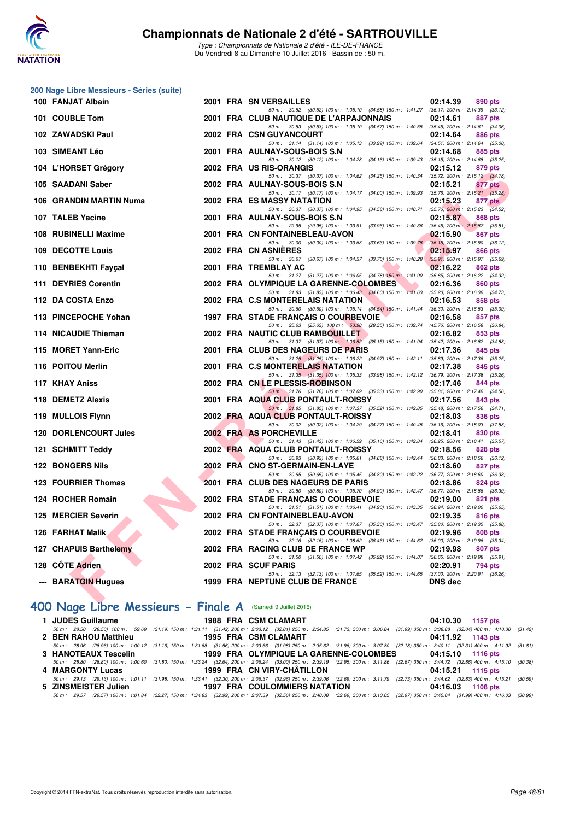

**200 Nage Libre Messieurs - Séries (suite)**

#### **Championnats de Nationale 2 d'été - SARTROUVILLE**

Type : Championnats de Nationale 2 d'été - ILE-DE-FRANCE Du Vendredi 8 au Dimanche 10 Juillet 2016 - Bassin de : 50 m.

| 100 FANJAT Albain                             |     | 2001 FRA SN VERSAILLES                                                                                                              | 02:14.39<br>890 pts                                        |
|-----------------------------------------------|-----|-------------------------------------------------------------------------------------------------------------------------------------|------------------------------------------------------------|
| 101 COUBLE Tom                                |     | 50 m: 30.52 (30.52) 100 m: 1:05.10 (34.58) 150 m: 1:41.27 (36.17) 200 m: 2:14.39 (33.12)<br>2001 FRA CLUB NAUTIQUE DE L'ARPAJONNAIS | 02:14.61<br><b>887 pts</b>                                 |
| 102 ZAWADSKI Paul                             |     | 50 m: 30.53 (30.53) 100 m: 1:05.10 (34.57) 150 m: 1:40.55 (35.45) 200 m: 2:14.61 (34.06)<br>2002 FRA CSN GUYANCOURT                 | 02:14.64<br><b>886 pts</b>                                 |
|                                               |     | 50 m: 31.14 (31.14) 100 m: 1:05.13 (33.99) 150 m: 1:39.64 (34.51) 200 m: 2:14.64 (35.00)                                            |                                                            |
| 103 SIMEANT Léo                               |     | 2001 FRA AULNAY-SOUS-BOIS S.N<br>50 m: 30.12 (30.12) 100 m: 1:04.28 (34.16) 150 m: 1:39.43 (35.15) 200 m: 2:14.68 (35.25)           | 02:14.68<br>885 pts                                        |
| 104 L'HORSET Grégory                          |     | 2002 FRA US RIS-ORANGIS                                                                                                             | 02:15.12<br>879 pts                                        |
| 105 SAADANI Saber                             |     | 50 m: 30.37 (30.37) 100 m: 1:04.62 (34.25) 150 m: 1:40.34 (35.72) 200 m: 2:15.12 (34.78)<br>2002 FRA AULNAY-SOUS-BOIS S.N           | 02:15.21<br>877 pts                                        |
| 106 GRANDIN MARTIN Numa                       |     | 50 m: 30.17 (30.17) 100 m: 1:04.17 (34.00) 150 m: 1:39.93 (35.76) 200 m: 2:15.21 (35.28)<br>2002 FRA ES MASSY NATATION              | 02:15.23<br>877 pts                                        |
|                                               |     | 50 m: 30.37 (30.37) 100 m: 1:04.95 (34.58) 150 m: 1:40.71                                                                           | $(35.76)$ 200 m : 2:15.23 $(34.52)$                        |
| 107 TALEB Yacine                              |     | 2001 FRA AULNAY-SOUS-BOIS S.N.<br>50 m: 29.95 (29.95) 100 m: 1:03.91 (33.96) 150 m: 1:40.36 (36.45) 200 m: 2:15.87 (35.51)          | 02:15.87<br>868 pts                                        |
| 108 RUBINELLI Maxime                          |     | 2001 FRA CN FONTAINEBLEAU-AVON                                                                                                      | 02:15.90<br>867 pts                                        |
| 109 DECOTTE Louis                             |     | 50 m: 30.00 (30.00) 100 m: 1:03.63 (33.63) 150 m: 1:39.78<br>2002 FRA CN ASNIERES                                                   | $(36.15)$ 200 m : 2:15.90 $(36.12)$<br>02:15.97<br>866 pts |
|                                               |     | 50 m: 30.67 (30.67) 100 m: 1:04.37 (33.70) 150 m: 1:40.28                                                                           | $(35.91)$ 200 m : 2:15.97 (35.69)                          |
| 110 BENBEKHTI Fayçal                          |     | 2001 FRA TREMBLAY AC<br>50 m: 31.27 (31.27) 100 m: 1:06.05 (34.78) 150 m: 1:41.90                                                   | 02:16.22<br>862 pts<br>$(35.85)$ 200 m : 2:16.22 $(34.32)$ |
| 111 DEYRIES Corentin                          |     | 2002 FRA OLYMPIQUE LA GARENNE-COLOMBES<br>50 m: 31.83 (31.83) 100 m: 1:06.43 (34.60) 150 m: 1:41.63 (35.20) 200 m: 2:16.36 (34.73)  | 02:16.36<br>860 pts                                        |
| 112 DA COSTA Enzo                             |     | 2002 FRA C.S MONTERELAIS NATATION                                                                                                   | 02:16.53<br>858 pts                                        |
| 113 PINCEPOCHE Yohan                          |     | 50 m: 30.60 (30.60) 100 m: 1:05.14 (34.54) 150 m: 1:41.44 (36.30) 200 m: 2:16.53 (35.09)<br>1997 FRA STADE FRANCAIS O COURBEVOIE    | 02:16.58<br>857 pts                                        |
|                                               |     | 50 m: 25.63 (25.63) 100 m: 53.98 (28.35) 150 m: 1:39.74 (45.76) 200 m: 2:16.58 (36.84)                                              |                                                            |
| 114 NICAUDIE Thieman                          |     | <b>2002 FRA NAUTIC CLUB RAMBOUILLET</b><br>50 m: 31.37 (31.37) 100 m: 1:06.52 (35.15) 150 m: 1:41.94 (35.42) 200 m: 2:16.82 (34.88) | 02:16.82<br>853 pts                                        |
| 115 MORET Yann-Eric                           |     | 2001 FRA CLUB DES NAGEURS DE PARIS                                                                                                  | 02:17.36<br>845 pts                                        |
| 116 POITOU Merlin                             |     | 50 m: 31.25 (31.25) 100 m: 1:06.22 (34.97) 150 m: 1:42.11 (35.89) 200 m: 2:17.36 (35.25)<br>2001 FRA C.S MONTERELAIS NATATION       | 02:17.38<br>845 pts                                        |
|                                               |     | 50 m: 31.35 (31.35) 100 m: 1:05.33 (33.98) 150 m: 1:42.12 (36.79) 200 m: 2:17.38 (35.26)                                            |                                                            |
| 117 KHAY Aniss                                |     | 2002 FRA CN LE PLESSIS-ROBINSON<br>50 m: 31.76 (31.76) 100 m: 1:07.09 (35.33) 150 m: 1:42.90 (35.81) 200 m: 2:17.46 (34.56)         | 02:17.46<br>844 pts                                        |
| 118 DEMETZ Alexis                             |     | 2001 FRA AQUA CLUB PONTAULT-ROISSY                                                                                                  | 02:17.56<br>843 pts                                        |
| 119 MULLOIS Flynn                             |     | 50 m: 31.85 (31.85) 100 m: 1.07.37 (35.52) 150 m: 1.42.85 (35.48) 200 m: 2.17.56 (34.71)<br>2002 FRA AQUA CLUB PONTAULT-ROISSY      | 02:18.03<br>836 pts                                        |
|                                               |     | 50 m: 30.02 (30.02) 100 m: 1:04.29 (34.27) 150 m: 1:40.45 (36.16) 200 m: 2:18.03 (37.58)                                            |                                                            |
| <b>120 DORLENCOURT Jules</b>                  |     | 2002 FRA AS PORCHEVILLE<br>50 m: 31.43 (31.43) 100 m: 1:06.59 (35.16) 150 m: 1:42.84                                                | 02:18.41<br>830 pts<br>$(36.25)$ 200 m : 2:18.41 $(35.57)$ |
| 121 SCHMITT Teddy                             |     | 2002 FRA AQUA CLUB PONTAULT-ROISSY<br>50 m: 30.93 (30.93) 100 m: 1:05.61 (34.68) 150 m: 1:42.44 (36.83) 200 m: 2:18.56 (36.12)      | 02:18.56<br>828 pts                                        |
| <b>122 BONGERS Nils</b>                       |     | 2002 FRA CNO ST-GERMAIN-EN-LAYE                                                                                                     | 02:18.60<br>827 pts                                        |
| 123 FOURRIER Thomas                           |     | 50 m: 30.65 (30.65) 100 m: 1:05.45 (34.80) 150 m: 1:42.22 (36.77) 200 m: 2:18.60 (36.38)<br>2001 FRA CLUB DES NAGEURS DE PARIS      | 02:18.86<br>824 pts                                        |
|                                               |     | 50 m: 30.80 (30.80) 100 m: 1:05.70 (34.90) 150 m: 1:42.47 (36.77) 200 m: 2:18.86 (36.39)                                            |                                                            |
| 124 ROCHER Romain                             |     | 2002 FRA STADE FRANÇAIS O COURBEVOIE<br>50 m: 31.51 (31.51) 100 m: 1:06.41 (34.90) 150 m: 1:43.35 (36.94) 200 m: 2:19.00 (35.65)    | 02:19.00<br>821 pts                                        |
| 125 MERCIER Severin                           |     | 2002 FRA CN FONTAINEBLEAU-AVON                                                                                                      | 02:19.35<br>816 pts                                        |
| 126 FARHAT Malik                              |     | 50 m: 32.37 (32.37) 100 m: 1:07.67 (35.30) 150 m: 1:43.47 (35.80) 200 m: 2:19.35 (35.88)<br>2002 FRA STADE FRANCAIS O COURBEVOIE    | 02:19.96<br>808 pts                                        |
|                                               |     | 50 m: 32.16 (32.16) 100 m: 1:08.62 (36.46) 150 m: 1:44.62 (36.00) 200 m: 2:19.96 (35.34)                                            |                                                            |
| 127 CHAPUIS Barthelemy                        |     | 2002 FRA RACING CLUB DE FRANCE WP<br>50 m: 31.50 (31.50) 100 m: 1:07.42 (35.92) 150 m: 1:44.07 (36.65) 200 m: 2:19.98 (35.91)       | 02:19.98<br>807 pts                                        |
| 128 CÖTE Adrien                               |     | 2002 FRA SCUF PARIS                                                                                                                 | 02:20.91<br>794 pts                                        |
| --- BARATGIN Hugues                           |     | 50 m: 32.13 (32.13) 100 m: 1:07.65 (35.52) 150 m: 1:44.65 (37.00) 200 m: 2:20.91 (36.26)<br>1999 FRA NEPTUNE CLUB DE FRANCE         | <b>DNS dec</b>                                             |
| <b>All Add</b><br>---<br>$\sim$ $\sim$ $\sim$ | ___ |                                                                                                                                     |                                                            |

## **[400 Nage Libre Messieurs - Finale A](http://www.ffnatation.fr/webffn/resultats.php?idact=nat&go=epr&idcpt=39837&idepr=54)** (Samedi 9 Juillet 2016)

|                      | 1 JUDES Guillaume 1988 FRA CSM CLAMART | 04:10.30 1157 pts                                                                                                                                                                    |
|----------------------|----------------------------------------|--------------------------------------------------------------------------------------------------------------------------------------------------------------------------------------|
|                      |                                        | 50 m: 28.50 (28.50) 100 m: 59.69 (31.19) 150 m: 1:31.11 (31.42) 200 m: 2:03.12 (32.01) 250 m: 2:34.85 (31.73) 300 m: 3:06.84 (31.99) 350 m: 3:36.88 (32.04) 400 m: 4:10.30 (31.42)   |
| 2 BEN RAHOU Matthieu | 1995 FRA CSM CLAMART                   | 04:11.92 1143 pts                                                                                                                                                                    |
|                      |                                        | 50 m: 28.96 (28.96) 100 m: 1:00.12 (31.16) 150 m: 1:31.68 (31.56) 200 m: 2:03.66 (31.98) 250 m: 2:35.62 (31.96) 300 m: 3:07.80 (32.18) 350 m: 3:40.11 (32.31) 400 m: 4:11.92 (31.81) |
|                      |                                        | 3 HANOTEAUX Tescelin 1999 FRA OLYMPIQUE LA GARENNE-COLOMBES 04:15.10 1116 pts                                                                                                        |
|                      |                                        | 50 m: 28.80 (28.80) 100 m: 1:00.60 (31.80) 150 m: 1:33.24 (32.64) 200 m: 2:06.24 (33.00) 250 m: 2:39.19 (32.95) 300 m: 3:11.86 (32.67) 350 m: 3:44.72 (32.86) 400 m: 4:15.10 (30.38) |
| 4 MARGONTY Lucas     | 1999 FRA CN VIRY-CHÂTILLON             | 04:15.21 1115 pts                                                                                                                                                                    |
|                      |                                        | 50 m: 29.13 (29.13) 100 m: 1:01.11 (31.98) 150 m: 1:33.41 (32.30) 200 m: 2:06.37 (32.96) 250 m: 2:39.06 (32.69) 300 m: 3:11.79 (32.73) 350 m: 3:44.62 (32.83) 400 m: 4:15.21 (30.59) |
| 5 ZINSMEISTER Julien | <b>1997 FRA COULOMMIERS NATATION</b>   | 04:16.03 1108 pts                                                                                                                                                                    |
|                      |                                        | 50 m: 29.57 (29.57) 100 m: 1:01.84 (32.27) 150 m: 1:34.83 (32.99) 200 m: 2:07.39 (32.56) 250 m: 2:40.08 (32.69) 300 m: 3:13.05 (32.97) 350 m: 3:45.04 (31.99) 400 m: 4:16.03 (30.99) |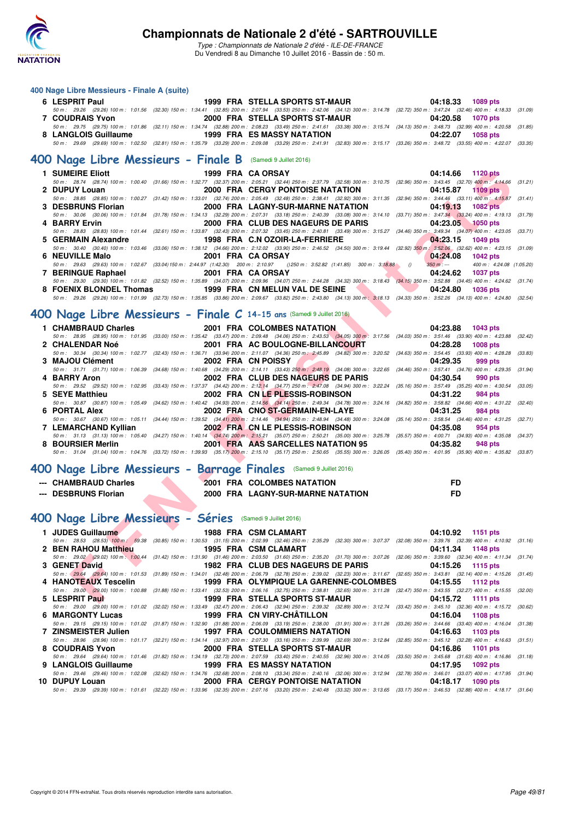

Type : Championnats de Nationale 2 d'été - ILE-DE-FRANCE Du Vendredi 8 au Dimanche 10 Juillet 2016 - Bassin de : 50 m.

#### **400 Nage Libre Messieurs - Finale A (suite)**

| 1999 FRA STELLA SPORTS ST-MAUR<br>6 LESPRIT Paul                                                                                                                                     | 04:18.33 1089 pts |
|--------------------------------------------------------------------------------------------------------------------------------------------------------------------------------------|-------------------|
| 50 m: 29.26 (29.26) 100 m: 1:01.56 (32.30) 150 m: 1:34.41 (32.85) 200 m: 2:07.94 (33.53) 250 m: 2:42.06 (34.12) 300 m: 3:14.78 (32.72) 350 m: 3:47.24 (32.46) 400 m: 4:18.33 (31.09) |                   |
| 2000 FRA STELLA SPORTS ST-MAUR<br><b>7 COUDRAIS Yvon</b>                                                                                                                             | 04:20.58 1070 pts |
| 50 m: 29.75 (29.75) 100 m: 1:01.86 (32.11) 150 m: 1:34.74 (32.88) 200 m: 2:08.23 (33.49) 250 m: 2:41.61 (33.38) 300 m: 3:15.74 (34.13) 350 m: 3:48.73 (32.99) 400 m: 4:20.58 (31.85) |                   |
| 1999 FRA ES MASSY NATATION<br>8 LANGLOIS Guillaume                                                                                                                                   | 04:22.07 1058 pts |
| 50 m: 29.69 (29.69) 100 m: 1:02.50 (32.81) 150 m: 1:35.79 (33.29) 200 m: 2:09.08 (33.29) 250 m: 2:41.91 (32.83) 300 m: 3:15.17 (33.26) 350 m: 3:48.72 (33.55) 400 m: 4:22.07 (33.35) |                   |
| 400 Nage Libre Messieurs - Finale B (Samedi 9 Juillet 2016)                                                                                                                          |                   |

|               |                                      | 1 SUMEIRE Eliott 1999 FRA CA ORSAY                                                                                                     | 04:14.66 1120 pts                                                                                                                                                                            |
|---------------|--------------------------------------|----------------------------------------------------------------------------------------------------------------------------------------|----------------------------------------------------------------------------------------------------------------------------------------------------------------------------------------------|
|               |                                      |                                                                                                                                        | 50 m: 28.74 (28.74) 100 m: 1:00.40 (31.66) 150 m: 1:32.77 (32.37) 200 m: 2:05.21 (32.44) 250 m: 2:37.79 (32.58) 300 m: 3:10.75 (32.96) 350 m: 3:43.45 (32.70) 400 m: 4:14.66 (31.21)         |
| 2 DUPUY Louan |                                      |                                                                                                                                        | 2000 FRA CERGY PONTOISE NATATION 04:15.87 1109 pts                                                                                                                                           |
|               |                                      |                                                                                                                                        | 50 m: 28.85 (28.85) 100 m: 1:00.27 (31.42) 150 m: 1:33.01 (32.74) 200 m: 2:05.49 (32.48) 250 m: 2:38.41 (32.92) 300 m: 3:11.35 (32.94) 350 m: 3:44.46 (33.11) 400 m: 4:15.87 (31.41)         |
|               |                                      |                                                                                                                                        |                                                                                                                                                                                              |
|               |                                      |                                                                                                                                        | 50 m: 30.06 (30.06) 100 m: 1:01.84 (31.78) 150 m: 1:34.13 (32.29) 200 m: 2:07.31 (33.18) 250 m: 2:40.39 (33.08) 300 m: 3:14.10 (33.71) 350 m: 3:47.34 (33.24) 400 m: 4:19.13 (31.79)         |
| 4 BARRY Ervin |                                      |                                                                                                                                        | 2000 FRA CLUB DES NAGEURS DE PARIS 601:23.05 1050 pts                                                                                                                                        |
|               |                                      |                                                                                                                                        | 50 m: 28.83 (28.83) 100 m: 1:01.44 (32.61) 150 m: 1:33.87 (32.43) 200 m: 2:07.32 (33.45) 250 m: 2:40.81 (33.49) 300 m: 3:15.27 (34.46) 350 m: 3:49.34 (34.07) 400 m: 4:23.05 (33.71)         |
|               |                                      |                                                                                                                                        |                                                                                                                                                                                              |
|               |                                      |                                                                                                                                        | 50 m: 30.40 (30.40) 100 m: 1:03.46 (33.06) 150 m: 1:38.12 (34.66) 200 m: 2:12.02 (33.90) 250 m: 2:46.52 (34.50) 300 m: 3:19.44 (32.92) 350 m: 3:52.06 (32.62) 400 m: 4:23.15 (31.09)         |
|               |                                      |                                                                                                                                        | 04:24.08 1042 pts                                                                                                                                                                            |
|               |                                      | 50 m : 29.63 (29.63) 100 m : 1:02.67 (33.04) 150 m : 2:44.97 (1:42.30) 200 m : 2:10.97 () 250 m : 3:52.82 (1:41.85) 300 m : 3:18.88 () | $350 \text{ m}$ : $-400 \text{ m}$ : $4.24.08$ (1.05.20)                                                                                                                                     |
|               | 7 BERINGUE Raphael 2001 FRA CA ORSAY |                                                                                                                                        | 04:24.62<br><b>1037 pts</b>                                                                                                                                                                  |
|               |                                      |                                                                                                                                        | 50 m : 29.30 (29.30) 100 m : 1:01.82 (32.52) 150 m : 1:35.89 (34.07) 200 m : 2:09.96 (34.07) 250 m : 2:44.28 (34.32) 300 m : 3:18.43 (34.15) 350 m : 3:52.88 (34.45) 400 m : 4:24.62 (31.74) |
|               |                                      | 8 FOENIX BLONDEL Thomas 1999 FRA CN MELUN VAL DE SEINE 1999 24:24.80                                                                   | <b>1036 pts</b>                                                                                                                                                                              |
|               |                                      |                                                                                                                                        | 50 m : 29.26 (29.26) 100 m : 1:01.99 (32.73) 150 m : 1:35.85 (33.86) 200 m : 2:09.67 (33.82) 250 m : 2:43.80 (34.13) 300 m : 3:18.13 (34.33) 350 m : 3:52.26 (34.13) 400 m : 4:24.80 (32.54) |

#### **[400 Nage Libre Messieurs - Finale C](http://www.ffnatation.fr/webffn/resultats.php?idact=nat&go=epr&idcpt=39837&idepr=54) 14-15 ans** (Samedi 9 Juillet 2016)

| 1 SUMEIRE Eliott                                         | 1999 FRA CA ORSAY                                                                                                                                                                                                      | 04:14.66<br><b>1120 pts</b>             |
|----------------------------------------------------------|------------------------------------------------------------------------------------------------------------------------------------------------------------------------------------------------------------------------|-----------------------------------------|
|                                                          | 50 m: 28.74 (28.74) 100 m: 1:00.40 (31.66) 150 m: 1:32.77 (32.37) 200 m: 2:05.21 (32.44) 250 m: 2:37.79 (32.58) 300 m: 3:10.75 (32.96) 350 m: 3:43.45 (32.70) 400 m: 4:14.66 (31.21)                                   |                                         |
| 2 DUPUY Louan                                            | <b>2000 FRA CERGY PONTOISE NATATION</b>                                                                                                                                                                                | 04:15.87<br><b>1109 pts</b>             |
|                                                          | 50 m: 28.85 (28.85) 100 m: 1:00.27 (31.42) 150 m: 1:33.01 (32.74) 200 m: 2:05.49 (32.48) 250 m: 2:38.41 (32.92) 300 m: 3:11.35 (32.94) 350 m: 3:44.46 (33.11) 400 m: 4:15.87 (31.41)                                   |                                         |
| 3 DESBRUNS Florian                                       | 2000 FRA LAGNY-SUR-MARNE NATATION                                                                                                                                                                                      | 04:19.13<br><b>1082 pts</b>             |
|                                                          | 50 m: 30.06 (30.06) 100 m: 1:01.84 (31.78) 150 m: 1:34.13 (32.29) 200 m: 2:07.31 (33.18) 250 m: 2:40.39 (33.08) 300 m: 3:14.10 (33.71) 350 m: 3:47.34 (33.24) 400 m: 4:19.13 (31.79)                                   |                                         |
| 4 BARRY Ervin                                            | 2000 FRA CLUB DES NAGEURS DE PARIS                                                                                                                                                                                     | 04:23.05<br><b>1050 pts</b>             |
|                                                          | 50 m: 28.83 (28.83) 100 m: 1:01.44 (32.61) 150 m: 1:33.87 (32.43) 200 m: 2:07.32 (33.45) 250 m: 2:40.81 (33.49) 300 m: 3:15.27 (34.46) 350 m: 3:49.34 (34.07) 400 m: 4:23.05 (33.71)                                   |                                         |
| 5 GERMAIN Alexandre                                      | 1998 FRA C.N OZOIR-LA-FERRIERE                                                                                                                                                                                         | 04.23.15<br>1049 pts                    |
|                                                          | 50 m : 30.40 (30.40) 100 m : 1:03.46 (33.06) 150 m : 1:38.12 (34.66) 200 m : 2:12.02 (33.90) 250 m : 2:46.52 (34.50) 300 m : 3:19.44 (32.92) 350 m : 3:52.06 (32.62) 400 m : 4:23.15 (31.09)                           |                                         |
| 6 NEUVILLE Malo                                          | 2001 FRA CA ORSAY                                                                                                                                                                                                      | 04:24.08<br><b>1042 pts</b>             |
|                                                          | 50 m : 29.63 (29.63) 100 m : 1.02.67 (33.04) 150 m : 2:44.97 (1.42.30) 200 m : 2:10.97 () 250 m : 3:52.82 (1.41.85) 300 m : 3:18.88 ()                                                                                 | $350 m : -$<br>400 m: 4:24.08 (1:05.20) |
| 7 BERINGUE Raphael                                       | 2001 FRA CA ORSAY                                                                                                                                                                                                      | 04:24.62<br><b>1037 pts</b>             |
|                                                          | 50 m: 29.30 (29.30) 100 m: 1:01.82 (32.52) 150 m: 1:35.89 (34.07) 200 m: 2:09.96 (34.07) 250 m: 2:44.28 (34.32) 300 m: 3:18.43 (34.15) 350 m: 3:52.88 (34.45) 400 m: 4:24.62 (31.74)                                   |                                         |
|                                                          | 8 FOENIX BLONDEL Thomas 1999 FRA CN MELUN VAL DE SEINE                                                                                                                                                                 | $\blacksquare$<br>04:24.80<br>1036 pts  |
|                                                          | 50 m: 29.26 (29.26) 100 m: 1:01.99 (32.73) 150 m: 1:35.85 (33.86) 200 m: 2:09.67 (33.82) 250 m: 2:43.80 (34.13) 300 m: 3:18.13 (34.33) 350 m: 3:52.26 (34.13) 400 m: 4:24.80 (32.54)                                   |                                         |
|                                                          |                                                                                                                                                                                                                        |                                         |
|                                                          | 00 Nage Libre Messieurs - Finale $C$ 14-15 ans (Samedi 9 Juillet 2016).                                                                                                                                                |                                         |
|                                                          |                                                                                                                                                                                                                        |                                         |
| 1 CHAMBRAUD Charles                                      | 2001 FRA COLOMBES NATATION                                                                                                                                                                                             | 04:23.88<br><b>1043 pts</b>             |
|                                                          | 50 m: 28.95 (28.95) 100 m: 1:01.95 (33.00) 150 m: 1:35.42 (33.47) 200 m: 2:09.48 (34.06) 250 m: 2:43.53 (34.05) 300 m: 3:17.56 (34.03) 350 m: 3:51.46 (33.90) 400 m: 4:23.88 (32.42)                                   |                                         |
| 2 CHALENDAR Noé                                          | 2001 FRA AC BOULOGNE-BILLANCOURT                                                                                                                                                                                       | 04:28.28<br><b>1008 pts</b>             |
|                                                          | 50 m: 30.34 (30.34) 100 m: 1:02.77 (32.43) 150 m: 1:36.71 (33.94) 200 m: 2:11.07 (34.36) 250 m: 2:45.89 (34.82) 300 m: 3:20.52 (34.63) 350 m: 3:54.45 (33.93) 400 m: 4:28.28 (33.83)                                   |                                         |
| 3 MAJOU Clément                                          | 2002 FRA CN POISSY                                                                                                                                                                                                     | 04:29.35<br>999 pts                     |
|                                                          | 50 m: 31.71 (31.71) 100 m: 1:06.39 (34.68) 150 m: 1:40.68 (34.29) 200 m: 2:14.11 (33.43) 250 m: 2:48.19 (34.08) 300 m: 3:22.65 (34.46) 350 m: 3:57.41 (34.76) 400 m: 4:29.35 (31.94)                                   |                                         |
| 4 BARRY Aron                                             | 2002 FRA CLUB DES NAGEURS DE PARIS                                                                                                                                                                                     | 04:30.54<br>990 pts                     |
|                                                          | 50 m: 29.52 (29.52) 100 m: 1:02.95 (33.43) 150 m: 1:37.37 (34.42) 200 m: 2:12.14 (34.77) 250 m: 2:47.08 (34.94) 300 m: 3:22.24 (35.16) 350 m: 3:57.49 (35.25) 400 m: 4:30.54 (33.05)                                   |                                         |
| 5 SEYE Matthieu                                          | 2002 FRA CN LE PLESSIS-ROBINSON                                                                                                                                                                                        | 04:31.22<br><b>984 pts</b>              |
|                                                          | 50 m : 30.87 (30.87) 100 m : 1:05.49 (34.62) 150 m : 1:40.42 (34.93) 200 m : 2:14.56 (34.14) 250 m : 2:49.34 (34.78) 300 m : 3:24.16 (34.82) 350 m : 3:58.82 (34.66) 400 m : 4:31.22 (32.40)                           |                                         |
| 6 PORTAL Alex                                            | 2002 FRA CNO ST-GERMAIN-EN-LAYE                                                                                                                                                                                        | 04:31.25<br>984 pts                     |
|                                                          | 50 m: 30.67 (30.67) 100 m: 1:05.11 (34.44) 150 m: 1:39.52 (34.41) 200 m: 2:14.46 (34.94) 250 m: 2:48.94 (34.48) 300 m: 3:24.08 (35.14) 350 m: 3:58.54 (34.46) 400 m: 4:31.25 (32.71)                                   |                                         |
| 7 LEMARCHAND Kyllian                                     | 2002 FRA CN LE PLESSIS-ROBINSON                                                                                                                                                                                        | 04:35.08<br>954 pts                     |
|                                                          | 50 m: 31.13 (31.13) 100 m: 1:05.40 (34.27) 150 m: 1:40.14 (34.74) 200 m: 2:15.21 (35.07) 250 m: 2:50.21 (35.00) 300 m: 3:25.78 (35.57) 350 m: 4:00.71 (34.93) 400 m: 4:35.08 (34.37)                                   |                                         |
| 8 BOURSIER Merlin                                        | 2001 FRA AAS SARCELLES NATATION 95                                                                                                                                                                                     | 04:35.82<br>948 pts                     |
|                                                          | 50 m: 31.04 (31.04) 100 m: 1:04.76 (33.72) 150 m: 1:39.93 (35.17) 200 m: 2:15.10 (35.17) 250 m: 2:50.65 (35.55) 300 m: 3:26.05 (35.40) 350 m: 4:01.95 (35.90) 400 m: 4:35.82 (33.87)                                   |                                         |
|                                                          |                                                                                                                                                                                                                        |                                         |
|                                                          | 00 Nage Libre Messieurs - Barrage Finales (Samedi 9 Juillet 2016)                                                                                                                                                      |                                         |
| --- CHAMBRAUD Charles                                    | <b>2001 FRA COLOMBES NATATION</b>                                                                                                                                                                                      | FD.                                     |
| --- DESBRUNS Florian                                     | 2000 FRA LAGNY-SUR-MARNE NATATION                                                                                                                                                                                      | <b>FD</b>                               |
|                                                          |                                                                                                                                                                                                                        |                                         |
|                                                          |                                                                                                                                                                                                                        |                                         |
| 00 Nage Libre Messieurs - Séries (Samedi 9 Juillet 2016) |                                                                                                                                                                                                                        |                                         |
|                                                          |                                                                                                                                                                                                                        |                                         |
| 1 JUDES Guillaume                                        | 1988 FRA CSM CLAMART                                                                                                                                                                                                   | 04:10.92 1151 pts                       |
|                                                          | 50 m: 28.53 (28.53) 100 m: 59.38 (30.85) 150 m: 1:30.53 (31.15) 200 m: 2:02.99 (32.46) 250 m: 2:35.29 (32.30) 300 m: 3:07.37 (32.08) 350 m: 3:39.76 (32.39) 400 m: 4:10.92 (31.16)                                     |                                         |
| 2 BEN RAHOU Matthieu                                     | 1995 FRA CSM CLAMART                                                                                                                                                                                                   | 04:11.34<br>1148 pts                    |
|                                                          | 50 m: 29.02 (29.02) 100 m: 1:00.44 (31.42) 150 m: 1:31.90 (31.46) 200 m: 2:03.50 (31.60) 250 m: 2:35.20 (31.70) 300 m: 3:07.26 (32.06) 350 m: 3:39.60 (32.34) 400 m: 4:11.34 (31.74)                                   |                                         |
| $\mathbf{v}$<br>3 GENET David                            | 1982 FRA CLUB DES NAGEURS DE PARIS                                                                                                                                                                                     | 04:15.26<br>1115 pts                    |
|                                                          |                                                                                                                                                                                                                        |                                         |
|                                                          | 50 m: 29.64 (29.64) 100 m: 1:01.53 (31.89) 150 m: 1:34.01 (32.48) 200 m: 2:06.79 (32.78) 250 m: 2:39.02 (32.23) 300 m: 3:11.67 (32.65) 350 m: 3:43.81 (32.14) 400 m: 4:15.26 (31.45)                                   |                                         |
| 4 HANOTEAUX Tescelin                                     | 1999 FRA OLYMPIQUE LA GARENNE-COLOMBES                                                                                                                                                                                 | 04:15.55<br><b>1112 pts</b>             |
| 5 LESPRIT Paul                                           | 50 m: 29.00 (29.00) 100 m: 1:00.88 (31.88) 150 m: 1:33.41 (32.53) 200 m: 2:06.16 (32.75) 250 m: 2:38.81 (32.65) 300 m: 3:11.28 (32.47) 350 m: 3:43.55 (32.27) 400 m: 4:15.55 (32.00)<br>1999 FRA STELLA SPORTS ST-MAUR |                                         |

### **[400 Nage Libre Messieurs - Barrage Finales](http://www.ffnatation.fr/webffn/resultats.php?idact=nat&go=epr&idcpt=39837&idepr=54)** (Samedi 9 Juillet 2016)

| --- CHAMBRAUD Charles | <b>2001 FRA COLOMBES NATATION</b> |  |
|-----------------------|-----------------------------------|--|
| --- DESBRUNS Florian  | 2000 FRA LAGNY-SUR-MARNE NATATION |  |

## **[400 Nage Libre Messieurs - Séries](http://www.ffnatation.fr/webffn/resultats.php?idact=nat&go=epr&idcpt=39837&idepr=54)** (Samedi 9 Juillet 2016)

| 1 JUDES Guillaume    | 1988 FRA CSM CLAMART                                                              | 04:10.92 1151 pts                                                                                                                                                                    |
|----------------------|-----------------------------------------------------------------------------------|--------------------------------------------------------------------------------------------------------------------------------------------------------------------------------------|
|                      |                                                                                   | 50 m: 28.53 (28.53) 100 m: 59.38 (30.85) 150 m: 1:30.53 (31.15) 200 m: 2:02.99 (32.46) 250 m: 2:35.29 (32.30) 300 m: 3:07.37 (32.08) 350 m: 3:39.76 (32.39) 400 m: 4:10.92 (31.16)   |
|                      | 2 BEN RAHOU Matthieu 1995 FRA CSM CLAMART                                         | 04:11.34 1148 pts                                                                                                                                                                    |
|                      |                                                                                   | 50 m: 29.02 (29.02) 100 m: 1:00.44 (31.42) 150 m: 1:31.90 (31.46) 200 m: 2:03.50 (31.60) 250 m: 2:35.20 (31.70) 300 m: 3:07.26 (32.06) 350 m: 3:39.60 (32.34) 400 m: 4:11.34 (31.74) |
| 3 GENET David        | <b>1982 FRA CLUB DES NAGEURS DE PARIS 1987 1982 FRA CLUB DES NAGEURS DE PARIS</b> | 1115 pts                                                                                                                                                                             |
|                      |                                                                                   | 50 m: 29.64 (29.64) 100 m: 1:01.53 (31.89) 150 m: 1:34.01 (32.48) 200 m: 2:06.79 (32.78) 250 m: 2:39.02 (32.23) 300 m: 3:11.67 (32.65) 350 m: 3:43.81 (32.14) 400 m: 4:15.26 (31.45) |
| 4 HANOTEAUX Tescelin | 1999 FRA OLYMPIQUE LA GARENNE-COLOMBES 04:15.55                                   | 1112 pts                                                                                                                                                                             |
|                      |                                                                                   | 50 m: 29.00 (29.00) 100 m: 1:00.88 (31.88) 150 m: 1:33.41 (32.53) 200 m: 2:06.16 (32.75) 250 m: 2:38.81 (32.65) 300 m: 3:11.28 (32.47) 350 m: 3:43.55 (32.27) 400 m: 4:15.55 (32.00) |
| 5 LESPRIT Paul       | 1999 FRA STELLA SPORTS ST-MAUR 604:15.72 1111 pts                                 |                                                                                                                                                                                      |
|                      |                                                                                   | 50 m: 29.00 (29.00) 100 m: 1:01.02 (32.02) 150 m: 1:33.49 (32.47) 200 m: 2:06.43 (32.94) 250 m: 2:39.32 (32.89) 300 m: 3:12.74 (33.42) 350 m: 3:45.10 (32.36) 400 m: 4:15.72 (30.62) |
|                      | 6 MARGONTY Lucas 1999 FRA CN VIRY-CHÄTILLON                                       | 04:16.04<br>1108 pts                                                                                                                                                                 |
|                      |                                                                                   | 50 m: 29.15 (29.15) 100 m: 1:01.02 (31.87) 150 m: 1:32.90 (31.88) 200 m: 2:06.09 (33.19) 250 m: 2:38.00 (31.91) 300 m: 3:11.26 (33.26) 350 m: 3:44.66 (33.40) 400 m: 4:16.04 (31.38) |
|                      |                                                                                   | 1103 pts                                                                                                                                                                             |
|                      |                                                                                   | 50 m: 28.96 (28.96) 100 m: 1:01.17 (32.21) 150 m: 1:34.14 (32.97) 200 m: 2:07.30 (33.16) 250 m: 2:39.99 (32.69) 300 m: 3:12.84 (32.85) 350 m: 3:45.12 (32.28) 400 m: 4:16.63 (31.51) |
| 8 COUDRAIS Yvon      | <b>2000 FRA STELLA SPORTS ST-MAUR</b>                                             | 04:16.86<br>1101 pts                                                                                                                                                                 |
|                      |                                                                                   | 50 m: 29.64 (29.64) 100 m: 1:01.46 (31.82) 150 m: 1:34.19 (32.73) 200 m: 2:07.59 (33.40) 250 m: 2:40.55 (32.96) 300 m: 3:14.05 (33.50) 350 m: 3:45.68 (31.63) 400 m: 4:16.86 (31.18) |
|                      | 9 LANGLOIS Guillaume <b>1999 FRA ES MASSY NATATION</b>                            | 04:17.95<br>1092 pts                                                                                                                                                                 |
|                      |                                                                                   | 50 m: 29.46 (29.46) 100 m: 1:02.08 (32.62) 150 m: 1:34.76 (32.68) 200 m: 2:08.10 (33.34) 250 m: 2:40.16 (32.06) 300 m: 3:12.94 (32.78) 350 m: 3:46.01 (33.07) 400 m: 4:17.95 (31.94) |
| 10 DUPUY Louan       | 2000 FRA CERGY PONTOISE NATATION 04:18.17                                         | 1090 pts                                                                                                                                                                             |
|                      |                                                                                   | 50 m: 29.39 (29.39) 100 m: 1:01.61 (32.22) 150 m: 1:33.96 (32.35) 200 m: 2:07.16 (33.20) 250 m: 2:40.48 (33.32) 300 m: 3:13.65 (33.17) 350 m: 3:46.53 (32.88) 400 m: 4:18.17 (31.64) |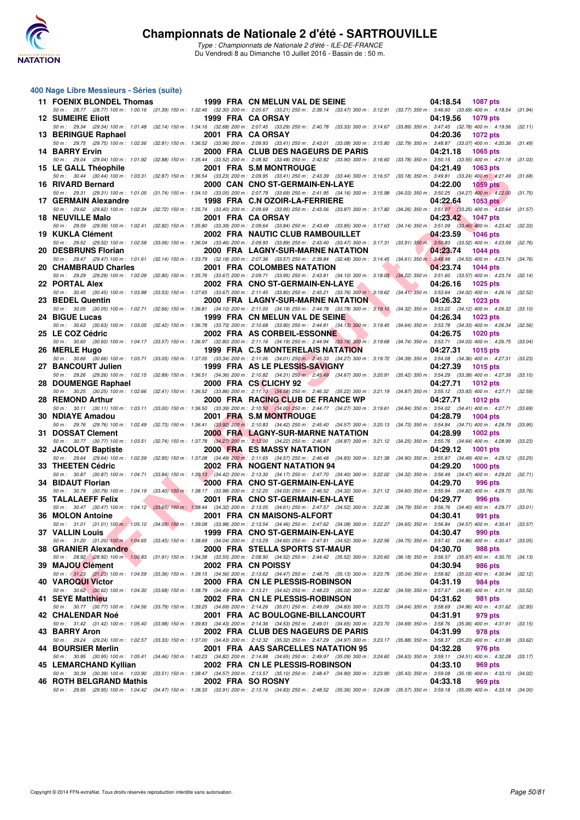

#### **400 Nage Libre Messieurs - Séries (suite)**

| 11 FOENIX BLONDEL Thomas  |                                                   | 1999 FRA CN MELUN VAL DE SEINE                                                                                                                                                                                           | 04:18.54<br>1087 pts                                                                                                                                                                                                        |         |
|---------------------------|---------------------------------------------------|--------------------------------------------------------------------------------------------------------------------------------------------------------------------------------------------------------------------------|-----------------------------------------------------------------------------------------------------------------------------------------------------------------------------------------------------------------------------|---------|
| <b>12 SUMEIRE Eliott</b>  |                                                   | 1999 FRA CA ORSAY                                                                                                                                                                                                        | 50 m: 28.77 (28.77) 100 m: 1:00.16 (31.39) 150 m: 1:32.46 (32.30) 200 m: 2:05.67 (33.21) 250 m: 2:39.14 (33.47) 300 m: 3:12.91 (33.77) 350 m: 3:46.60 (33.69) 400 m: 4:18.54 (31.94)<br>04:19.56<br>1079 pts                |         |
| 13 BERINGUE Raphael       |                                                   | 2001 FRA CA ORSAY                                                                                                                                                                                                        | 50 m: 29.34 (29.34) 100 m: 1:01.48 (32.14) 150 m: 1:34.16 (32.68) 200 m: 2:07.45 (33.29) 250 m: 2:40.78 (33.33) 300 m: 3:14.67 (33.89) 350 m: 3:47.45 (32.78) 400 m: 4:19.56 (32.11)<br>04:20.36<br>1072 pts                |         |
| 14 BARRY Ervin            |                                                   | 50 m: 29.75 (29.75) 100 m: 1:02.56 (32.81) 150 m: 1:36.52 (33.96) 200 m: 2:09.93 (33.41) 250 m: 2:43.01 (33.08) 300 m: 3:15.80 (32.79) 350 m: 3:48.87 (33.07) 400 m: 4:20.36<br>2000 FRA CLUB DES NAGEURS DE PARIS       | (31.49)<br>04:21.18<br>1065 pts                                                                                                                                                                                             |         |
| 15 LE GALL Théophile      |                                                   | 2001 FRA S.M MONTROUGE                                                                                                                                                                                                   | 50 m: 29.04 (29.04) 100 m: 1:01.92 (32.88) 150 m: 1:35.44 (33.52) 200 m: 2:08.92 (33.48) 250 m: 2:42.82 (33.90) 300 m: 3:16.60 (33.78) 350 m: 3:50.15 (33.55) 400 m: 4:21.18 (31.03)<br>04:21.49<br>1063 pts                |         |
|                           |                                                   | 50 m: 30.44 (30.44) 100 m: 1:03.31 (32.87) 150 m: 1:36.54 (33.23) 200 m: 2:09.95 (33.41) 250 m: 2:43.39 (33.44) 300 m: 3:16.57 (33.18) 350 m: 3:49.81 (33.24) 400 m: 4:21.49                                             | (31.68)                                                                                                                                                                                                                     |         |
| 16 RIVARD Bernard         |                                                   | 2000 CAN CNO ST-GERMAIN-EN-LAYE<br>50 m: 29.31 (29.31) 100 m: 1:01.05 (31.74) 150 m: 1:34.10 (33.05) 200 m: 2:07.79 (33.69) 250 m: 2:41.95 (34.16) 300 m: 3:15.98 (34.03) 350 m: 3:50.25 (34.27) 400 m: 4:22.00          | 04:22.00<br><b>1059 pts</b>                                                                                                                                                                                                 | (31.75) |
| 17 GERMAIN Alexandre      |                                                   | 1998 FRA C.N OZOIR-LA-FERRIERE                                                                                                                                                                                           | 04:22.64<br><b>1053 pts</b><br>50 m: 29.62 (29.62) 100 m: 1:02.34 (32.72) 150 m: 1:35.74 (33.40) 200 m: 2:09.69 (33.95) 250 m: 2:43.56 (33.87) 300 m: 3:17.82 (34.26) 350 m: 3:51.07 (33.25) 400 m: 4:22.64 (31.57)         |         |
| <b>18 NEUVILLE Malo</b>   |                                                   | 2001 FRA CA ORSAY                                                                                                                                                                                                        | 04:23.42<br>1047 pts<br>50 m: 29.59 (29.59) 100 m: 1:02.41 (32.82) 150 m: 1:35.80 (33.39) 200 m: 2:09.64 (33.84) 250 m: 2:43.49 (33.85) 300 m: 3:17.63 (34.14) 350 m: 3:51.09 (33.46) 400 m: 4:23.42 (32.33)                |         |
| 19 KUKLA Clément          |                                                   | 2002 FRA NAUTIC CLUB RAMBOUILLET                                                                                                                                                                                         | 04:23.59<br><b>1046 pts</b><br>50 m : 29.52 (29.52) 100 m : 1:02.58 (33.06) 150 m : 1:36.04 (33.46) 200 m : 2:09.93 (33.89) 250 m : 2:43.40 (33.47) 300 m : 3:17.31 (33.91) 350 m : 3:50.83 (33.52) 400 m : 4:23.59 (32.76) |         |
| 20 DESBRUNS Florian       |                                                   | 2000 FRA LAGNY-SUR-MARNE NATATION                                                                                                                                                                                        | 04:23.74<br><b>1044 pts</b>                                                                                                                                                                                                 |         |
| 20 CHAMBRAUD Charles      |                                                   | 50 m: 29.47 (29.47) 100 m: 1:01.61 (32.14) 150 m: 1:33.79 (32.18) 200 m: 2:07.36 (33.57) 250 m: 2:39.84 (32.48) 300 m: 3:14.45 (34.61) 350 m: 3:48.98 (34.53) 400 m: 4:23.74<br>2001 FRA COLOMBES NATATION               | 04:23.74<br><b>1044 pts</b>                                                                                                                                                                                                 | (34.76) |
| 22 PORTAL Alex            |                                                   | 2002 FRA CNO ST-GERMAIN-EN-LAYE                                                                                                                                                                                          | 50 m: 29.29 (29.29) 100 m: 1:02.09 (32.80) 150 m: 1:35.76 (33.67) 200 m: 2:09.71 (33.95) 250 m: 2:43.81 (34.10) 300 m: 3:18.03 (34.22) 350 m: 3:51.60 (33.57) 400 m: 4:23.74 (32.14)<br>04:26.16<br><b>1025 pts</b>         |         |
| 23 BEDEL Quentin          |                                                   | 2000 FRA LAGNY-SUR-MARNE NATATION L                                                                                                                                                                                      | 50 m: 30.45 (30.45) 100 m: 1:03.98 (33.53) 150 m: 1:37.65 (33.67) 200 m: 2:11.45 (33.80) 250 m: 2:45.21 (33.76) 300 m: 3:19.62 (34.41) 350 m: 3:53.64 (34.02) 400 m: 4:26.16 (32.52)<br>04:26.32<br><b>1023 pts</b>         |         |
| 24 BIGUE Lucas            |                                                   | 1999 FRA CN MELUN VAL DE SEINE                                                                                                                                                                                           | 50 m: 30.05 (30.05) 100 m: 1:02.71 (32.66) 150 m: 1:36.81 (34.10) 200 m: 2:11.00 (34.19) 250 m: 2:44.78 (33.78) 300 m: 3:19.10 (34.32) 350 m: 3:53.22 (34.12) 400 m: 4:26.32 (33.10)<br>04:26.34<br><b>1023 pts</b>         |         |
| 25 LE COZ Cédric          |                                                   | 2002 FRA AS CORBEIL-ESSONNE                                                                                                                                                                                              | 50 m: 30.63 (30.63) 100 m: 1:03.05 (32.42) 150 m: 1:36.78 (33.73) 200 m: 2:10.68 (33.90) 250 m: 2:44.81 (34.13) 300 m: 3:19.45 (34.64) 350 m: 3:53.78 (34.33) 400 m: 4:26.34 (32.56)<br>04:26.75<br><b>1020 pts</b>         |         |
|                           |                                                   | 50 m : 30.60 (30.60) 100 m : 1:04.17 (33.57) 150 m : 1:36.97 (32.80) 200 m : 2:11.16 (34.19) 250 m : 2:44.94 (33.78) 300 m : 3:19.68 (34.74) 350 m : 3:53.71 (34.03) 400 m : 4:26.75                                     | (33.04)                                                                                                                                                                                                                     |         |
| 26 MERLE Hugo             |                                                   | 1999 FRA C.S MONTERELAIS NATATION<br>50 m: 30.66 (30.66) 100 m: 1:03.71 (33.05) 150 m: 1:37.05 (33.34) 200 m: 2:11.06 (34.01) 250 m: 2:45.33 (34.27) 300 m: 3:19.72 (34.39) 350 m: 3:54.08 (34.36) 400 m: 4:27.31        | 04:27.31<br><b>1015 pts</b>                                                                                                                                                                                                 | (33.23) |
| 27 BANCOURT Julien        |                                                   | 1999 FRA AS LE PLESSIS-SAVIGNY<br>50 m: 29.26 (29.26) 100 m: 1:02.15 (32.89) 150 m: 1:36.51 (34.36) 200 m: 2:10.82 (34.31) 250 m: 2:45.49 (34.67) 300 m: 3:20.91 (35.42) 350 m: 3:54.29 (33.38) 400 m: 4:27.39           | 04:27.39<br>1015 pts                                                                                                                                                                                                        | (33.10) |
| 28 DOUMENGE Raphael       |                                                   | 2000 FRA CS CLICHY 92<br>50 m: 30.25 (30.25) 100 m: 1:02.66 (32.41) 150 m: 1:36.52 (33.86) 200 m: 2:11.10 (34.58) 250 m: 2:46.32 (35.22) 300 m: 3:21.19 (34.87) 350 m: 3:55.12 (33.93) 400 m: 4:27.71                    | 04:27.71<br><b>1012 pts</b>                                                                                                                                                                                                 | (32.59) |
| 28 REMOND Arthur          |                                                   | 2000 FRA RACING CLUB DE FRANCE WP                                                                                                                                                                                        | 04:27.71<br><b>1012 pts</b><br>50 m: 30.11 (30.11) 100 m: 1:03.11 (33.00) 150 m: 1:36.50 (33.39) 200 m: 2:10.50 (34.00) 250 m: 2:44.77 (34.27) 300 m: 3:19.61 (34.84) 350 m: 3:54.02 (34.41) 400 m: 4:27.71 (33.69)         |         |
| 30 NDIAYE Amadou          |                                                   | 2001 FRA S.M MONTROUGE                                                                                                                                                                                                   | 04:28.79<br><b>1004 pts</b>                                                                                                                                                                                                 |         |
| 31 DOSSAT Clement         |                                                   | 50 m: 29.76 (29.76) 100 m: 1:02.49 (32.73) 150 m: 1:36.41 (33.92) 200 m: 2:10.83 (34.42) 250 m: 2:45.40 (34.57) 300 m: 3:20.13 (34.73) 350 m: 3:54.84 (34.71) 400 m: 4:28.79<br><b>2000 FRA LAGNY-SUR-MARNE NATATION</b> | 04:28.99<br><b>1002 pts</b>                                                                                                                                                                                                 | (33.95) |
| 32 JACOLOT Baptiste       |                                                   | <b>2000 FRA ES MASSY NATATION</b>                                                                                                                                                                                        | 50 m : 30.77 (30.77) 100 m : 1:03.51 (32.74) 150 m : 1:37.78 (34.27) 200 m : 2:12.00 (34.22) 250 m : 2:46.87 (34.87) 300 m : 3:21.12 (34.25) 350 m : 3:55.76 (34.64) 400 m : 4:28.99 (33.23)<br>04:29.12<br><b>1001 pts</b> |         |
| 33 THEETEN Cédric         |                                                   | 50 m: 29.64 (29.64) 100 m: 1:02.59 (32.95) 150 m: 1:37.08 (34.49) 200 m: 2:11.65 (34.57) 250 m: 2:46.48 (34.83) 300 m: 3:21.38 (34.90) 350 m: 3:55.87 (34.49) 400 m: 4:29.12<br>2002 FRA NOGENT NATATION 94              | (33.25)<br>04:29.20<br><b>1000 pts</b>                                                                                                                                                                                      |         |
| 34 BIDAUT Florian         | <b><i>Contract Contract Contract Contract</i></b> | 2000 FRA CNO ST-GERMAIN-EN-LAYE                                                                                                                                                                                          | 50 m: 30.87 (30.87) 100 m: 1:04.71 (33.84) 150 m: 1:39.13 (34.42) 200 m: 2:13.30 (34.17) 250 m: 2:47.70 (34.40) 300 m: 3:22.02 (34.32) 350 m: 3:56.49 (34.47) 400 m: 4:29.20 (32.71)<br>04:29.70<br>996 pts                 |         |
|                           |                                                   |                                                                                                                                                                                                                          | 50 m : 30.79 (30.79) 100 m : 1:04.19 (33.40) 150 m : 1:38.17 (33.98) 200 m : 2:12.20 (34.03) 250 m : 2:46.52 (34.32) 300 m : 3:21.12 (34.60) 350 m : 3:55.94 (34.82) 400 m : 4:29.70 (33.76)                                |         |
| <b>35 TALALAEFF Felix</b> |                                                   | 2001 FRA CNO ST-GERMAIN-EN-LAYE                                                                                                                                                                                          | 04:29.77<br>996 pts<br>50 m: 30.47 (30.47) 100 m: 1:04.12 (33.65) 150 m: 1:38.44 (34.32) 200 m: 2:13.05 (34.61) 250 m: 2:47.57 (34.52) 300 m: 3:22.36 (34.79) 350 m: 3:56.76 (34.40) 400 m: 4:29.77 (33.01)                 |         |
| 36 MOLON Antoine          |                                                   | 2001 FRA CN MAISONS-ALFORT                                                                                                                                                                                               | 04:30.41<br>991 pts<br>50 m: 31.01 (31.01) 100 m: 1:05.10 (34.09) 150 m: 1:39.08 (33.98) 200 m: 2:13.54 (34.46) 250 m: 2:47.62 (34.08) 300 m: 3:22.27 (34.65) 350 m: 3:56.84 (34.57) 400 m: 4:30.41 (33.57)                 |         |
|                           |                                                   | 37 VALLIN Louis 1999 FRA CNO ST-GERMAIN-EN-LAYE                                                                                                                                                                          | 04:30.47 990 pts<br>50 m: 31.20 (31.20) 100 m: 1:04.65 (33.45) 150 m: 1:38.69 (34.04) 200 m: 2:13.29 (34.60) 250 m: 2:47.81 (34.52) 300 m: 3:22.56 (34.75) 350 m: 3:57.42 (34.86) 400 m: 4:30.47 (33.05)                    |         |
| 38 GRANIER Alexandre      |                                                   | 2000 FRA STELLA SPORTS ST-MAUR                                                                                                                                                                                           | 04:30.70<br><b>988 pts</b><br>50 m: 28.92 (28.92) 100 m: 1:00.83 (31.91) 150 m: 1:34.38 (33.55) 200 m: 2:08.90 (34.52) 250 m: 2:44.42 (35.52) 300 m: 3:20.60 (36.18) 350 m: 3:56.57 (35.97) 400 m: 4:30.70 (34.13)          |         |
| 39 MAJOU Clément          |                                                   | 2002 FRA CN POISSY                                                                                                                                                                                                       | 04:30.94<br>986 pts                                                                                                                                                                                                         |         |
| 40 VAROQUI Victor         |                                                   | 50 m: 31.23 (31.23) 100 m: 1:04.59 (33.36) 150 m: 1:39.15 (34.56) 200 m: 2:13.62 (34.47) 250 m: 2:48.75 (35.13) 300 m: 3:23.79 (35.04) 350 m: 3:58.82 (35.03) 400 m: 4:30.94<br>2000 FRA CN LE PLESSIS-ROBINSON          | 04:31.19<br>984 pts                                                                                                                                                                                                         | (32.12) |
| 41 SEYE Matthieu          |                                                   | 50 m: 30.62 (30.62) 100 m: 1:04.30 (33.68) 150 m: 1:38.79 (34.49) 200 m: 2:13.21 (34.42) 250 m: 2:48.23 (35.02) 300 m: 3:22.82 (34.59) 350 m: 3:57.67 (34.85) 400 m: 4:31.19<br>2002 FRA CN LE PLESSIS-ROBINSON          | (33.52)<br>04:31.62<br>981 pts                                                                                                                                                                                              |         |
| <b>42 CHALENDAR Noé</b>   |                                                   | 2001 FRA AC BOULOGNE-BILLANCOURT                                                                                                                                                                                         | 50 m: 30.77 (30.77) 100 m: 1:04.56 (33.79) 150 m: 1:39.25 (34.69) 200 m: 2:14.26 (35.01) 250 m: 2:49.09 (34.83) 300 m: 3:23.73 (34.64) 350 m: 3:58.69 (34.96) 400 m: 4:31.62 (32.93)<br>04:31.91<br>979 pts                 |         |
| 43 BARRY Aron             |                                                   | 2002 FRA CLUB DES NAGEURS DE PARIS                                                                                                                                                                                       | 50 m : 31.42 (31.42) 100 m : 1:05.40 (33.98) 150 m : 1:39.83 (34.43) 200 m : 2:14.36 (34.53) 250 m : 2:49.01 (34.65) 300 m : 3:23.70 (34.69) 350 m : 3:58.76 (35.06) 400 m : 4:31.91 (33.15)<br>04:31.99<br>978 pts         |         |
|                           |                                                   | 50 m: 29.24 (29.24) 100 m: 1:02.57 (33.33) 150 m: 1:37.00 (34.43) 200 m: 2:12.32 (35.32) 250 m: 2:47.29 (34.97) 300 m: 3:23.17 (35.88) 350 m: 3:58.37 (35.20) 400 m: 4:31.99                                             | (33.62)                                                                                                                                                                                                                     |         |
| 44 BOURSIER Merlin        |                                                   | 2001 FRA AAS SARCELLES NATATION 95                                                                                                                                                                                       | 04:32.28<br>976 pts<br>50 m : 30.95 (30.95) 100 m : 1:05.41 (34.46) 150 m : 1:40.23 (34.82) 200 m : 2:14.88 (34.65) 250 m : 2:49.97 (35.09) 300 m : 3:24.60 (34.63) 350 m : 3:59.11 (34.51) 400 m : 4:32.28 (33.17)         |         |
| 45 LEMARCHAND Kyllian     |                                                   | 2002 FRA CN LE PLESSIS-ROBINSON                                                                                                                                                                                          | 04:33.10<br>969 pts<br>50 m : 30.39 (30.39) 100 m : 1:03.90 (33.51) 150 m : 1:38.47 (34.57) 200 m : 2:13.57 (35.10) 250 m : 2:48.47 (34.90) 300 m : 3:23.90 (35.43) 350 m : 3:59.08 (35.18) 400 m : 4:33.10 (34.02)         |         |
| 46 ROTH BELGRAND Mathis   |                                                   | 2002 FRA SO ROSNY                                                                                                                                                                                                        | 04:33.18<br>969 pts<br>50 m : 29.95 (29.95) 100 m : 1:04.42 (34.47) 150 m : 1:38.33 (33.91) 200 m : 2:13.16 (34.83) 250 m : 2:48.52 (35.36) 300 m : 3:24.09 (35.57) 350 m : 3:59.18 (35.09) 400 m : 4:33.18 (34.00)         |         |
|                           |                                                   |                                                                                                                                                                                                                          |                                                                                                                                                                                                                             |         |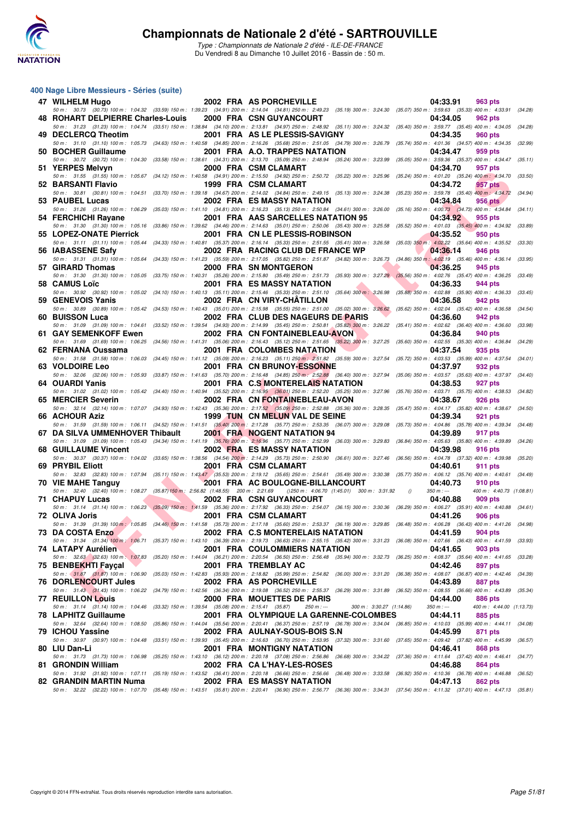

Type : Championnats de Nationale 2 d'été - ILE-DE-FRANCE Du Vendredi 8 au Dimanche 10 Juillet 2016 - Bassin de : 50 m.

#### **400 Nage Libre Messieurs - Séries (suite)**

| 47 WILHELM Hugo                                                                                                                                                                                                         |  | 2002 FRA AS PORCHEVILLE                               |                          |          | 04:33.91                                              | 963 pts                             |         |
|-------------------------------------------------------------------------------------------------------------------------------------------------------------------------------------------------------------------------|--|-------------------------------------------------------|--------------------------|----------|-------------------------------------------------------|-------------------------------------|---------|
| 50 m: 30.73 (30.73) 100 m: 1:04.32 (33.59) 150 m: 1:39.23 (34.91) 200 m: 2:14.04 (34.81) 250 m: 2:49.23 (35.19) 300 m: 3:24.30 (35.07) 350 m: 3:59.63 (35.33) 400 m: 4:33.91<br>48 ROHART DELPIERRE Charles-Louis       |  | 2000 FRA CSN GUYANCOURT                               |                          |          | 04:34.05                                              | 962 pts                             | (34.28) |
| 50 m: 31.23 (31.23) 100 m: 1:04.74 (33.51) 150 m: 1:38.84 (34.10) 200 m: 2:13.81 (34.97) 250 m: 2:48.92 (35.11) 300 m: 3:24.32 (35.40) 350 m: 3:59.77 (35.45) 400 m: 4:34.05 (34.28)<br>49 DECLERCQ Theotim             |  | 2001 FRA AS LE PLESSIS-SAVIGNY                        |                          |          | 04:34.35                                              | 960 pts                             |         |
| 50 m: 31.10 (31.10) 100 m: 1:05.73 (34.63) 150 m: 1:40.58 (34.85) 200 m: 2:16.26 (35.68) 250 m: 2:51.05 (34.79) 300 m: 3:26.79 (35.74) 350 m: 4:01.36 (34.57) 400 m: 4:34.35<br>50 BOCHER Guillaume                     |  | 2001 FRA A.O. TRAPPES NATATION                        |                          |          | 04:34.47                                              | 959 pts                             | (32.99) |
| 50 m : 30.72 (30.72) 100 m : 1:04.30 (33.58) 150 m : 1:38.61 (34.31) 200 m : 2:13.70 (35.09) 250 m : 2:48.94 (35.24) 300 m : 3:23.99                                                                                    |  |                                                       |                          |          | (35.05) 350 m: 3:59.36 (35.37) 400 m: 4:34.47 (35.11) |                                     |         |
| 51 YERPES Melvyn                                                                                                                                                                                                        |  | 2000 FRA CSM CLAMART                                  |                          |          | 04:34.70                                              | 957 pts                             | (33.50) |
| 50 m: 31.55 (31.55) 100 m: 1:05.67 (34.12) 150 m: 1:40.58 (34.91) 200 m: 2:15.50 (34.92) 250 m: 2:50.72 (35.22) 300 m: 3:25.96 (35.24) 350 m: 4:01.20 (35.24) 400 m: 4:34.70<br>52 BARSANTI Flavio                      |  | 1999 FRA CSM CLAMART                                  |                          |          | 04:34.72                                              | 957 pts                             |         |
| 50 m: 30.81 (30.81) 100 m: 1:04.51 (33.70) 150 m: 1:39.18 (34.67) 200 m: 2:14.02 (34.84) 250 m: 2:49.15 (35.13) 300 m: 3:24.38 (35.23) 350 m: 3:59.78 (35.40) 400 m: 4:34.72<br>53 PAUBEL Lucas                         |  | <b>2002 FRA ES MASSY NATATION</b>                     |                          |          | 04:34.84                                              | 956 pts                             | (34.94) |
| 50 m: 31.26 (31.26) 100 m: 1:06.29 (35.03) 150 m: 1:41.10 (34.81) 200 m: 2:16.23 (35.13) 250 m: 2:50.84 (34.61) 300 m: 3:26.00 (35.16) 350 m: 4:00.73 (34.73) 400 m: 4:34.84 (34.11)                                    |  |                                                       |                          |          |                                                       |                                     |         |
| 54 FERCHICHI Rayane<br>50 m: 31.30 (31.30) 100 m: 1:05.16 (33.86) 150 m: 1:39.62 (34.46) 200 m: 2:14.63 (35.01) 250 m: 2:50.06 (35.43) 300 m: 3:25.58 (35.52) 350 m: 4:01.03 (35.45) 400 m: 4:34.92                     |  | 2001 FRA AAS SARCELLES NATATION 95                    |                          |          | 04:34.92                                              | 955 pts                             | (33.89) |
| 55 LOPEZ-ONATE Pierrick                                                                                                                                                                                                 |  | 2001 FRA CN LE PLESSIS-ROBINSON                       |                          |          | 04:35.52                                              | 950 pts                             |         |
| 50 m: 31.11 (31.11) 100 m: 1:05.44 (34.33) 150 m: 1:40.81 (35.37) 200 m: 2:16.14 (35.33) 250 m: 2:51.55 (35.41) 300 m: 3:26.58 (35.03) 350 m: 4:02.22 (35.64) 400 m: 4:35.52 (33.30)<br>56 IABASSENE Safy               |  | 2002 FRA RACING CLUB DE FRANCE WP                     |                          |          | 04:36.14                                              | 946 pts                             |         |
| 50 m: 31.31 (31.31) 100 m: 1:05.64 (34.33) 150 m: 1:41.23 (35.59) 200 m: 2:17.05 (35.82) 250 m: 2:51.87 (34.82) 300 m: 3:26.73 (34.86) 350 m: 4:02.19 (35.46) 400 m: 4:36.14                                            |  |                                                       |                          |          |                                                       |                                     | (33.95) |
| 57 GIRARD Thomas                                                                                                                                                                                                        |  | 2000 FRA SN MONTGERON                                 |                          |          | 04:36.25                                              | 945 pts                             |         |
| 50 m: 31.30 (31.30) 100 m: 1:05.05 (33.75) 150 m: 1:40.31 (35.26) 200 m: 2:15.80 (35.49) 250 m: 2:51.73 (35.93) 300 m: 3:27.29 (35.56) 350 m: 4:02.76 (35.47) 400 m: 4:36.25<br>58 CAMUS Loïc                           |  | <b>2001 FRA ES MASSY NATATION</b>                     |                          |          | 04:36.33                                              | 944 pts                             | (33.49) |
| 50 m: 30.92 (30.92) 100 m: 1:05.02 (34.10) 150 m: 1:40.13 (35.11) 200 m: 2:15.46 (35.33) 250 m: 2:51.10 (35.64) 300 m: 3:26.98 (35.88) 350 m: 4:02.88 (35.90) 400 m: 4:36.33                                            |  |                                                       |                          |          |                                                       |                                     | (33.45) |
| 59 GENEVOIS Yanis<br>50 m: 30.89 (30.89) 100 m: 1:05.42 (34.53) 150 m: 1:40.43 (35.01) 200 m: 2:15.98 (35.55) 250 m: 2:51.00 (35.02) 300 m: 3:26.62 (35.62) 350 m: 4:02.04 (35.42) 400 m: 4:36.58                       |  | 2002 FRA CN VIRY-CHATILLON                            |                          |          | 04:36.58                                              | 942 pts                             | (34.54) |
| 60 BUISSON Luca                                                                                                                                                                                                         |  | 2002 FRA CLUB DES NAGEURS DE PARIS                    |                          |          | 04:36.60                                              | 942 pts                             |         |
| 50 m : 31.09 (31.09) 100 m : 1:04.61 (33.52) 150 m : 1:39.54 (34.93) 200 m : 2:14.99 (35.45) 250 m : 2:50.81 (35.82) 300 m : 3:26.22 (35.41) 350 m : 4:02.62 (36.40) 400 m : 4:36.60 (33.98)<br>61 GAY SEMENKOFF Ewen   |  | 2002 FRA CN FONTAINEBLEAU-AVON                        |                          |          | 04:36.84                                              |                                     |         |
| 50 m: 31.69 (31.69) 100 m: 1:06.25 (34.56) 150 m: 1:41.31 (35.06) 200 m: 2:16.43 (35.12) 250 m: 2:51.65 (35.22) 300 m: 3:27.25 (35.60) 350 m: 4:02.55 (35.30) 400 m: 4:36.84                                            |  |                                                       |                          |          |                                                       | 940 pts                             | (34.29) |
| 62 FERNANA Oussama                                                                                                                                                                                                      |  | 2001 FRA COLOMBES NATATION                            |                          |          | 04:37.54                                              | 935 pts                             |         |
| 50 m: 31.58 (31.58) 100 m: 1:06.03 (34.45) 150 m: 1:41.12 (35.09) 200 m: 2:16.23 (35.11) 250 m: 2:51.82 (35.59) 300 m: 3:27.54 (35.72) 350 m: 4:03.53 (35.99) 400 m: 4:37.54<br>63 VOLDOIRE Leo                         |  | 2001 FRA CN BRUNOY-ESSONNE                            |                          |          | 04:37.97                                              | 932 pts                             | (34.01) |
| 50 m : 32.06 (32.06) 100 m : 1:05.93 (33.87) 150 m : 1:41.63 (35.70) 200 m : 2:16.48 (34.85) 250 m : 2:52.88 (36.40) 300 m : 3:27.94 (35.06) 350 m : 4:03.57 (35.63) 400 m : 4:37.97                                    |  |                                                       |                          |          |                                                       |                                     | (34.40) |
| 64 OUARDI Yanis<br>50 m: 31.02 (31.02) 100 m: 1:05.42 (34.40) 150 m: 1:40.94 (35.52) 200 m: 2:16.95 (36.01) 250 m: 2:52.20 (35.25) 300 m: 3:27.96 (35.76) 350 m: 4:03.71 (35.75) 400 m: 4:38.53                         |  | <b>2001 FRA C.S MONTERELAIS NATATION</b>              |                          |          | 04:38.53                                              | 927 pts                             | (34.82) |
| 65 MERCIER Severin                                                                                                                                                                                                      |  | 2002 FRA CN FONTAINEBLEAU-AVON                        |                          |          | 04:38.67                                              | 926 pts                             |         |
| 50 m : 32.14 (32.14) 100 m : 1:07.07 (34.93) 150 m : 1:42.43 (35.36) 200 m : 2:17.52 (35.09) 250 m : 2:52.88 (35.36) 300 m : 3:28.35 (35.47) 350 m : 4:04.17 (35.82) 400 m : 4:38.67 (34.50)<br>66 ACHOUR Aziz          |  | 1999 TUN CN MELUN VAL DE SEINE                        |                          |          | 04:39.34                                              | 921 pts                             |         |
| 50 m: 31.59 (31.59) 100 m: 1:06.11 (34.52) 150 m: 1:41.51 (35.40) 200 m: 2:17.28 (35.77) 250 m: 2:53.35 (36.07) 300 m: 3:29.08 (35.73) 350 m: 4:04.86 (35.78) 400 m: 4:39.34                                            |  |                                                       |                          |          |                                                       |                                     | (34.48) |
| 67 DA SILVA UMMENHOVER Thibault                                                                                                                                                                                         |  | <b>2001 FRA NOGENT NATATION 94</b>                    |                          |          | 04:39.89                                              | 917 pts                             |         |
| 50 m: 31.09 (31.09) 100 m: 1:05.43 (34.34) 150 m: 1:41.19 (35.76) 200 m: 2:16.96 (35.77) 250 m: 2:52.99 (36.03) 300 m: 3:29.83 (36.84) 350 m: 4:05.63 (35.80) 400 m: 4:39.89 (34.26)<br><b>68 GUILLAUME Vincent</b>     |  | 2002 FRA ES MASSY NATATION                            |                          |          | 04:39.98                                              | 916 pts                             |         |
| 50 m : 30.37 (30.37) 100 m : 1:04.02 (33.65) 150 m : 1:38.56 (34.54) 200 m : 2:14.29 (35.73) 250 m : 2:50.90 (36.61) 300 m : 3:27.46 (36.56) 350 m : 4:04.78 (37.32) 400 m : 4:39.98                                    |  |                                                       |                          |          |                                                       |                                     | (35.20) |
| 69 PRYBIL Eliott<br>50 m: 32.83 (32.83) 100 m: 1:07.94 (35.11) 150 m: 1:43.47 (35.53) 200 m: 2:19.12 (35.65) 250 m: 2:54.61 (35.49) 300 m: 3:30.38 (35.77) 350 m: 4:06.12 (35.74) 400 m: 4:40.61 (34.49)                |  | 2001 FRA CSM CLAMART                                  |                          |          | 04:40.61                                              | 911 pts                             |         |
| 70 VIE MAHE Tanguy                                                                                                                                                                                                      |  | 2001 FRA AC BOULOGNE-BILLANCOURT                      |                          |          | 04:40.73                                              | 910 pts                             |         |
| 50 m: 32.40 (32.40) 100 m: 1:08.27 (35.87) 150 m: 2:56.82 (1:48.55) 200 m: 2:21.69 () 250 m: 4:06.70 (1:45.01) 300 m: 3:31.92<br><b>71 CHAPUY Lucas</b>                                                                 |  | <b>2002 FRA CSN GUYANCOURT</b>                        |                          | $\theta$ | $350 m : -$<br>04:40.88                               | 400 m: 4:40.73 (1:08.81)<br>909 pts |         |
| 50 m: 31.14 (31.14) 100 m: 1:06.23 (35.09) 150 m: 1:41.59 (35.36) 200 m: 2:17.92 (36.33) 250 m: 2:54.07 (36.15) 300 m: 3:30.36 (36.29) 350 m: 4:06.27 (35.91) 400 m: 4:40.88 (34.61)                                    |  |                                                       |                          |          |                                                       |                                     |         |
| 72 OLIVA Joris                                                                                                                                                                                                          |  | 2001 FRA CSM CLAMART                                  |                          |          | 04:41.26                                              | 906 pts                             |         |
| 50 m : 31.39 (31.39) 100 m : 1:05.85 (34.46) 150 m : 1:41.58 (35.73) 200 m : 2:17.18 (35.60) 250 m : 2:53.37 (36.19) 300 m : 3:29.85 (36.48) 350 m : 4:06.28 (36.43) 400 m : 4:41.26 (34.98)<br><b>73 DA COSTA Enzo</b> |  | 2002 FRA C.S MONTERELAIS NATATION                     |                          |          | 04:41.59                                              | <b>904 pts</b>                      |         |
| 50 m: 31.34 (31.34) 100 m: 1:06.71 (35.37) 150 m: 1:43.10 (36.39) 200 m: 2:19.73 (36.63) 250 m: 2:55.15 (35.42) 300 m: 3:31.23 (36.08) 350 m: 4:07.66 (36.43) 400 m: 4:41.59 (33.93)                                    |  |                                                       |                          |          |                                                       |                                     |         |
| 74 LATAPY Aurélien<br>50 m: 32.63 (32.63) 100 m: 1:07.83 (35.20) 150 m: 1:44.04 (36.21) 200 m: 2:20.54 (36.50) 250 m: 2:56.48 (35.94) 300 m: 3:32.73 (36.25) 350 m: 4:08.37 (35.64) 400 m: 4:41.65 (33.28)              |  | 2001 FRA COULOMMIERS NATATION                         |                          |          | 04:41.65                                              | <b>903 pts</b>                      |         |
| 75 BENBEKHTI Faycal                                                                                                                                                                                                     |  | 2001 FRA TREMBLAY AC                                  |                          |          | 04:42.46                                              | 897 pts                             |         |
| 50 m: 31.87 (31.87) 100 m: 1:06.90 (35.03) 150 m: 1:42.83 (35.93) 200 m: 2:18.82 (35.99) 250 m: 2:54.82 (36.00) 300 m: 3:31.20 (36.38) 350 m: 4:08.07 (36.87) 400 m: 4:42.46                                            |  |                                                       |                          |          |                                                       |                                     | (34.39) |
| <b>76 DORLENCOURT Jules</b><br>50 m: 31.43 (31.43) 100 m: 1:06.22 (34.79) 150 m: 1:42.56 (36.34) 200 m: 2:19.08 (36.52) 250 m: 2:55.37 (36.29) 300 m: 3:31.89 (36.52) 350 m: 4:08.55 (36.66) 400 m: 4:43.89 (35.34)     |  | 2002 FRA AS PORCHEVILLE                               |                          |          | 04:43.89                                              | 887 pts                             |         |
| 77 REUILLON Louis                                                                                                                                                                                                       |  | 2000 FRA MOUETTES DE PARIS                            |                          |          | 04:44.00                                              | 886 pts                             |         |
| 50 m: 31.14 (31.14) 100 m: 1:04.46 (33.32) 150 m: 1:39.54 (35.08) 200 m: 2:15.41 (35.87)<br>78 LAPHITZ Guillaume                                                                                                        |  | $250 m : -$<br>2001 FRA OLYMPIQUE LA GARENNE-COLOMBES | 300 m: 3:30.27 (1:14.86) |          | $350 m : -$<br>04:44.11                               | 400 m: 4:44.00 (1:13.73)<br>885 pts |         |
| 50 m : 32.64 (32.64) 100 m : 1:08.50 (35.86) 150 m : 1:44.04 (35.54) 200 m : 2:20.41 (36.37) 250 m : 2:57.19 (36.78) 300 m : 3:34.04 (36.85) 350 m : 4:10.03 (35.99) 400 m : 4:44.11 (34.08)                            |  |                                                       |                          |          |                                                       |                                     |         |
| 79 ICHOU Yassine<br>50 m: 30.97 (30.97) 100 m: 1:04.48 (33.51) 150 m: 1:39.93 (35.45) 200 m: 2:16.63 (36.70) 250 m: 2:53.95 (37.32) 300 m: 3:31.60 (37.65) 350 m: 4:09.42 (37.82) 400 m: 4:45.99 (36.57)                |  | 2002 FRA AULNAY-SOUS-BOIS S.N                         |                          |          | 04:45.99                                              | 871 pts                             |         |
| 80 LIU Dan-Li                                                                                                                                                                                                           |  | 2001 FRA MONTIGNY NATATION                            |                          |          | 04:46.41                                              | 868 pts                             |         |
| 50 m : 31.73 (31.73) 100 m : 1:06.98 (35.25) 150 m : 1:43.10 (36.12) 200 m : 2:20.18 (37.08) 250 m : 2:56.86 (36.68) 300 m : 3:34.22 (37.36) 350 m : 4:11.64 (37.42) 400 m : 4:46.41 (34.77)                            |  |                                                       |                          |          |                                                       |                                     |         |
| 81 GRONDIN William<br>50 m : 31.92 (31.92) 100 m : 1:07.11 (35.19) 150 m : 1:43.52 (36.41) 200 m : 2:20.18 (36.66) 250 m : 2:56.66 (36.48) 300 m : 3:33.58 (36.92) 350 m : 4:10.36 (36.78) 400 m : 4:46.88 (36.52)      |  | 2002 FRA CA L'HAY-LES-ROSES                           |                          |          | 04:46.88                                              | 864 pts                             |         |
| 82 GRANDIN MARTIN Numa                                                                                                                                                                                                  |  | 2002 FRA ES MASSY NATATION                            |                          |          | 04:47.13                                              | 862 pts                             |         |
| 50 m : 32.22 (32.22) 100 m : 1:07.70 (35.48) 150 m : 1:43.51 (35.81) 200 m : 2:20.41 (36.90) 250 m : 2:56.77 (36.36) 300 m : 3:34.31 (37.54) 350 m : 4:11.32 (37.01) 400 m : 4:47.13 (35.81)                            |  |                                                       |                          |          |                                                       |                                     |         |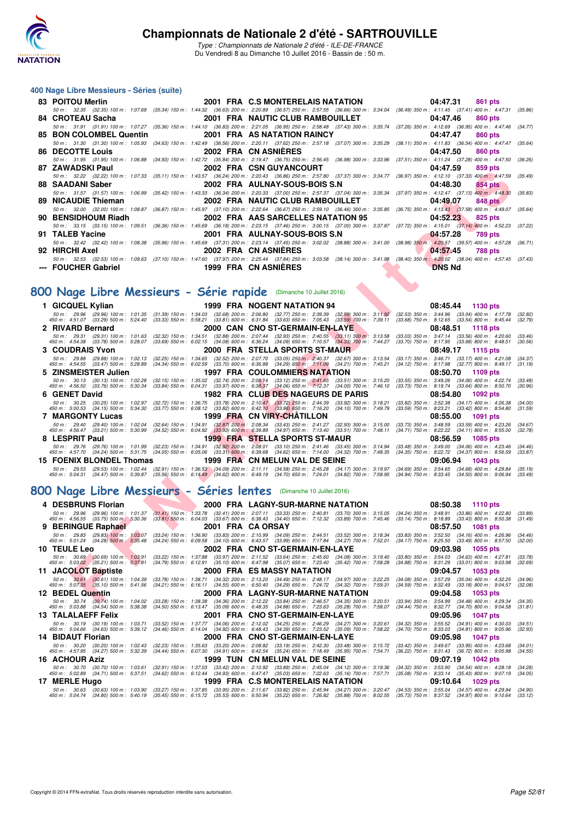

Type : Championnats de Nationale 2 d'été - ILE-DE-FRANCE Du Vendredi 8 au Dimanche 10 Juillet 2016 - Bassin de : 50 m.

#### **400 Nage Libre Messieurs - Séries (suite)**

| 83 POITOU Merlin    |                             | 2001 FRA C.S MONTERELAIS NATATION                                                                                                                                                            | 04:47.31<br>861 pts |
|---------------------|-----------------------------|----------------------------------------------------------------------------------------------------------------------------------------------------------------------------------------------|---------------------|
|                     |                             | 50 m: 32.35 (32.35) 100 m: 1:07.69 (35.34) 150 m: 1:44.32 (36.63) 200 m: 2:20.89 (36.57) 250 m: 2:57.55 (36.66) 300 m: 3:34.04 (36.49) 350 m: 4:11.45 (37.41) 400 m: 4:47.31 (35.86)         |                     |
| 84 CROTEAU Sacha    |                             | 2001 FRA NAUTIC CLUB RAMBOUILLET                                                                                                                                                             | 04:47.46<br>860 pts |
|                     |                             | 50 m: 31.91 (31.91) 100 m: 1:07.27 (35.36) 150 m: 1:44.10 (36.83) 200 m: 2:21.05 (36.95) 250 m: 2:58.48 (37.43) 300 m: 3:35.74 (37.26) 350 m: 4:12.69 (36.95) 400 m: 4:47.46 (34.77)         |                     |
|                     |                             | 85 BON COLOMBEL Quentin 2001 FRA AS NATATION RAINCY                                                                                                                                          | 04:47.47<br>860 pts |
|                     |                             | 50 m: 31.30 (31.30) 100 m: 1:05.93 (34.63) 150 m: 1:42.49 (36.56) 200 m: 2:20.11 (37.62) 250 m: 2:57.18 (37.07) 300 m: 3:35.29 (38.11) 350 m: 4:11.83 (36.54) 400 m: 4:47.47 (35.64)         |                     |
| 86 DECOTTE Louis    | <b>2002 FRA CN ASNIERES</b> |                                                                                                                                                                                              | 04:47.50<br>860 pts |
|                     |                             | 50 m: 31.95 (31.95) 100 m: 1:06.88 (34.93) 150 m: 1:42.72 (35.84) 200 m: 2:19.47 (36.75) 250 m: 2:56.45 (36.98) 300 m: 3:33.96 (37.51) 350 m: 4:11.24 (37.28) 400 m: 4:47.50 (36.26)         |                     |
| 87 ZAWADSKI Paul    |                             | 2002 FRA CSN GUYANCOURT                                                                                                                                                                      | 04:47.59<br>859 pts |
|                     |                             | 50 m: 32.22 (32.22) 100 m: 1:07.33 (35.11) 150 m: 1:43.57 (36.24) 200 m: 2:20.43 (36.86) 250 m: 2:57.80 (37.37) 300 m: 3:34.77 (36.97) 350 m: 4:12.10 (37.33) 400 m: 4:47.59 (35.49)         |                     |
| 88 SAADANI Saber    |                             | 2002 FRA AULNAY-SOUS-BOIS S.N                                                                                                                                                                | 04:48.30<br>854 pts |
|                     |                             | 50 m: 31.57 (31.57) 100 m: 1:06.99 (35.42) 150 m: 1:43.33 (36.34) 200 m: 2:20.33 (37.00) 250 m: 2:57.37 (37.04) 300 m: 3:35.34 (37.97) 350 m: 4:12.47 (37.13) 400 m: 4:48.30 (35.83)         |                     |
| 89 NICAUDIE Thieman |                             | 2002 FRA NAUTIC CLUB RAMBOUILLET                                                                                                                                                             | 04:49.07<br>848 pts |
|                     |                             | 50 m: 32.00 (32.00) 100 m: 1:08.87 (36.87) 150 m: 1:45.97 (37.10) 200 m: 2:22.64 (36.67) 250 m: 2:59.10 (36.46) 300 m: 3:35.85 (36.75) 350 m: 4:13.43 (37.58) 400 m: 4:49.07 (35.64)         |                     |
| 90 BENSIDHOUM Riadh |                             | 2002 FRA AAS SARCELLES NATATION 95                                                                                                                                                           | 04:52.23<br>825 pts |
|                     |                             | 50 m: 33.15 (33.15) 100 m: 1:09.51 (36.36) 150 m: 1:45.69 (36.18) 200 m: 2:23.15 (37.46) 250 m: 3:00.15 (37.00) 300 m: 3:37.87 (37.72) 350 m: 4:15.01 (37.14) 400 m: 4:52.23 (37.22)         |                     |
| 91 TALEB Yacine     |                             | 2001 FRA AULNAY-SOUS-BOIS S.N                                                                                                                                                                | 04:57.28<br>789 pts |
|                     |                             | 50 m : 32.42 (32.42) 100 m : 1:08.38 (35.96) 150 m : 1:45.69 (37.31) 200 m : 2:23.14 (37.45) 250 m : 3:02.02 (38.88) 300 m : 3:41.00 (38.98) 350 m : 4:20.57 (39.57) 400 m : 4:57.28 (36.71) |                     |
| 92 HIRCHI Axel      |                             | 2002 FRA CN ASNIERES                                                                                                                                                                         | 04:57.45<br>788 pts |
|                     |                             | 50 m: 32.53 (32.53) 100 m: 1:09.63 (37.10) 150 m: 1:47.60 (37.97) 200 m: 2:25.44 (37.84) 250 m: 3:03.58 (38.14) 300 m: 3:41.98 (38.40) 350 m: 4:20.02 (38.04) 400 m: 4:57.45 (37.43)         |                     |
| --- FOUCHER Gabriel | 1999 FRA CN ASNIERES        |                                                                                                                                                                                              | <b>DNS Nd</b>       |

### **[800 Nage Libre Messieurs - Série rapide](http://www.ffnatation.fr/webffn/resultats.php?idact=nat&go=epr&idcpt=39837&idepr=55)** (Dimanche 10 Juillet 2016)

| 50 m: 32.22 (32.22) 100 m: 1:07.33 (35.11) 150 m: 1:43.57 (36.24) 200 m: 2:20.43 (36.86) 250 m: 2:57.80 (37.37) 300 m: 3:34.77 (36.97) 350 m: 4:12.10 (37.33) 400 m: 4:47.59<br>88   SAADANI Saber<br>2002 FRA AULNAY-SOUS-BOIS S.N<br>04:48.30<br>854 pts<br>50 m: 31.57 (31.57) 100 m: 1:06.99<br>(35.42) 150 m: 1:43.33 (36.34) 200 m: 2:20.33 (37.00) 250 m: 2:57.37 (37.04) 300 m: 3:35.34 (37.97) 350 m: 4:12.47 (37.13) 400 m: 4:48.30<br>(35.83)<br>89   NICAUDIE Thieman<br>2002 FRA NAUTIC CLUB RAMBOUILLET<br>04:49.07<br><b>848 pts</b><br>50 m : 32.00 (32.00) 100 m : 1:08.87<br>(36.87) 150 m : 1:45.97 (37.10) 200 m : 2:22.64 (36.67) 250 m : 2:59.10 (36.46) 300 m : 3:35.85 (36.75) 350 m : 4:13.43 (37.58) 400 m : 4:49.07<br>(35.64)<br>90   BENSIDHOUM Riadh<br>2002 FRA AAS SARCELLES NATATION 95<br>04:52.23<br>825 pts<br>50 m: 33.15 (33.15) 100 m: 1:09.51 (36.36) 150 m: 1:45.69 (36.18) 200 m: 2:23.15 (37.46) 250 m: 3:00.15 (37.00) 300 m: 3:37.87 (37.72) 350 m: 4:15.01 (37.14) 400 m: 4:52.23<br>2001 FRA AULNAY-SOUS-BOIS S.N<br>91 TALEB Yacine<br>04:57.28<br>789 pts<br>50 m: 32.42 (32.42) 100 m: 1:08.38 (35.96) 150 m: 1:45.69 (37.31) 200 m: 2:23.14 (37.45) 250 m: 3:02.02 (38.88) 300 m: 3:41.00 (38.98) 350 m: 4:20.57 (39.57) 400 m: 4:57.28<br>2002 FRA CN ASNIERES<br>92 HIRCHI Axel<br>04:57.45<br><b>788 pts</b><br>50 m: 32.53 (32.53) 100 m: 1:09.63 (37.10) 150 m: 1:47.60 (37.97) 200 m: 2:25.44 (37.84) 250 m: 3:03.58 (38.14) 300 m: 3:41.98 (38.40) 350 m: 4:20.02 (38.04) 400 m: 4:57.45 (37.43)<br>--- FOUCHER Gabriel<br>1999 FRA CN ASNIERES<br><b>DNS Nd</b><br>00 Nage Libre Messieurs - Série rapide (Dimanche 10 Juillet 2016)<br>1999 FRA NOGENT NATATION 94<br>1 GICQUEL Kylian<br>08:45.44<br><b>1130 pts</b><br>(31.39) 150 m : 1:34.03 (32.68) 200 m : 2:06.80 (32.77) 250 m : 2:39.39 (32.59) 300 m : 3:11.92<br>50 m : 29.96 (29.96) 100 m : 1:01.35<br>(32.53) 350 m : 3:44.96 (33.04) 400 m : 4:17.78<br>$(33.33)$ 550 m : 5:58.21 $(33.81)$ 600 m : 6:31.84 $(33.63)$ 650 m : 7:05.43 $(33.59)$ 700 m : 7:39.11<br>450 m : 4:51.07 (33.29) 500 m : 5:24.40<br>(33.68) 750 m : 8:12.65 (33.54) 800 m : 8:45.44<br>2 RIVARD Bernard<br>2000 CAN CNO ST-GERMAIN-EN-LAYE<br>08:48.51<br><b>1118 pts</b><br>(32.88) 200 m : 2:07.44 (32.93) 250 m : 2:40.55 (33.11) 300 m : 3:13.58<br>$(33.03)$ 350 m : 3:47.14 $(33.56)$ 400 m : 4:20.60<br>50 m: 29.31 (29.31) 100 m: 1:01.63<br>$(32.32)$ 150 m : 1:34.51<br>(33.46)<br>(34.08) 600 m : 6:36.24 (34.09) 650 m : 7:10.57 (34.33) 700 m : 7:44.27<br>450 m : 4:54.38 (33.78) 500 m : 5:28.07<br>$(33.69)$ 550 m : 6:02.15<br>(33.70) 750 m : 8:17.95<br>$(33.68)$ 800 m : 8:48.51<br><b>3 COUDRAIS Yvon</b><br>2000 FRA STELLA SPORTS ST-MAUR<br>08:49.17<br>1115 pts<br>(32.25) 150 m: 1:34.65 (32.52) 200 m: 2:07.70 (33.05) 250 m: 2:40.37 (32.67) 300 m: 3:13.54<br>50 m: 29.88 (29.88) 100 m: 1:02.13<br>(33.17) 350 m: 3:46.71 (33.17) 400 m: 4:21.08<br>450 m: 4:54.55 (33.47) 500 m: 5:28.89<br>(34.34) 550 m : 6:02.59 (33.70) 600 m : 6:36.88 (34.29) 650 m : 7:11.09 (34.21) 700 m : 7:45.21<br>(34.12) 750 m : 8:17.98 (32.77) 800 m : 8:49.17<br>(31.19)<br>5 ZINSMEISTER Julien<br>1997 FRA COULOMMIERS NATATION<br>08:50.70<br>1109 pts<br>$(32.15)$ 150 m : 1:35.02 $(32.74)$ 200 m : 2:08.14 $(33.12)$ 250 m : 2:41.65 $(33.51)$ 300 m : 3:15.20<br>$(33.84)$ 550 m : 6:04.31 $(33.97)$ 600 m : 6:38.37 $(34.06)$ 650 m : 7:12.37 $(34.00)$ 700 m : 7:46.10<br>50 m: 30.13 (30.13) 100 m: 1:02.28<br>(33.55) 350 m: 3:49.26 (34.06) 400 m: 4:22.74<br>(33.48)<br>450 m: 4:56.50 (33.76) 500 m: 5:30.34<br>(33.73) 750 m : 8:19.74 (33.64) 800 m : 8:50.70<br>6 GENET David<br>1982 FRA CLUB DES NAGEURS DE PARIS<br>08:54.80<br>1092 pts<br>(32.72) 150 m: 1:36.75 (33.78) 200 m: 2:10.47 (33.72) 250 m: 2:44.39 (33.92) 300 m: 3:18.21<br>(33.82) 350 m: 3:52.38 (34.17) 400 m: 4:26.38<br>(34.00)<br>50 m: 30.25 (30.25) 100 m: 1:02.97<br>$(33.77)$ 550 m : 6:08.12 $(33.82)$ 600 m : 6:42.10 $(33.98)$ 650 m : 7:16.20<br>450 m : 5:00.53 (34.15) 500 m : 5:34.30<br>$(33.59)$ 750 m : 8:23.21 (33.42) 800 m : 8:54.80<br>$(34.10)$ 700 m : 7:49.79<br><b>7 MARGONTY Lucas</b><br>1999 FRA CN VIRY-CHATILLON<br>08:55.00<br>1091 pts<br>$(32.64)$ 150 m : 1:34.91 $(32.87)$ 200 m : 2:08.34 $(33.43)$ 250 m : 2:41.27 $(32.93)$ 300 m : 3:15.00<br>$(33.73)$ 350 m : 3:48.59 $(33.59)$ 400 m : 4:23.26<br>50 m : 29.40 (29.40) 100 m : 1:02.04<br>$(34.52)$ 550 m $\cdot$ 6:04.92 $(33.93)$ 600 m $\cdot$ 6:39.89 $(34.97)$ 650 m $\cdot$ 7:13.40 $(33.51)$ 700 m $\cdot$ 7:48.11<br>$(34.71)$ 750 m : 8:22.22 $(34.11)$ 800 m : 8:55.00<br>450 m : 4:56.47 (33.21) 500 m : 5:30.99<br>(32.78)<br>8 LESPRIT Paul<br>1999 FRA STELLA SPORTS ST-MAUR<br>08:56.59<br>1085 pts<br>(32.23) 150 m : 1:34.91 (32.92) 200 m : 2:08.01 (33.10) 250 m : 2:41.46 (33.45) 300 m : 3:14.94<br>$(33.48)$ 350 m : 3:49.00 $(34.06)$ 400 m : 4:23.46<br>50 m : 29.76 (29.76) 100 m : 1:01.99<br>$(34.05)$ 550 m : 6:05.06 $(33.31)$ 600 m : 6:39.68 $(34.62)$ 650 m : 7:14.00 $(34.32)$ 700 m : 7:48.35<br>(34.35) 750 m : 8:22.72 (34.37) 800 m : 8:56.59<br>450 m : 4:57.70<br>$(34.24)$ 500 m : 5:31.75<br>15 FOENIX BLONDEL Thomas<br>1999 FRA CN MELUN VAL DE SEINE<br>09:06.94<br>1043 pts<br>(32.91) 150 m: 1:36.53 (34.09) 200 m: 2:11.11 (34.58) 250 m: 2:45.28 (34.17) 300 m: 3:19.97<br>$(34.69)$ 350 m : 3:54.65 $(34.68)$ 400 m : 4:29.84<br>50 m: 29.53 (29.53) 100 m: 1:02.44<br>(35.19)<br>$(34.94)$ 750 m : 8:33.45 $(34.50)$ 800 m : 9:06.94<br>450 m : 5:04.31 (34.47) 500 m : 5:39.87<br>(35.56) 550 m: 6:14.49 (34.62) 600 m: 6:49.19 (34.70) 650 m: 7:24.01 (34.82) 700 m: 7:58.95<br>00 Nage Libre Messieurs - Séries lentes (Dimanche 10 Juillet 2016)<br>4 DESBRUNS Florian<br>2000 FRA LAGNY-SUR-MARNE NATATION<br>08:50.38<br><b>1110 pts</b><br>(31.41) 150 m : 1:33.78 (32.41) 200 m : 2:07.11 (33.33) 250 m : 2:40.81 (33.70) 300 m : 3:15.05 (34.24) 350 m : 3:48.91 (33.86) 400 m : 4:22.80<br>50 m : 29.96 (29.96) 100 m : 1:01.37<br>$(33.81)$ 550 m $: 6.04.03$ $(33.67)$ 600 m $: 6.38.43$ $(34.40)$ 650 m $: 7.12.32$ $(33.89)$ 700 m $: 7.45.46$<br>450 m : 4:56.55 (33.75) 500 m : 5:30.36<br>$(33.14)$ 750 m : 8:18.89 $(33.43)$ 800 m : 8:50.38<br>(31.49)<br>9 BERINGUE Raphael<br>2001 FRA CA ORSAY<br>08:57.50<br><b>1081 pts</b><br>$(33.24)$ 150 m : 1:36.90 $(33.83)$ 200 m : 2:10.99 $(34.09)$ 250 m : 2:44.51 $(33.52)$ 300 m : 3:18.34<br>50 m: 29.83 (29.83) 100 m: 1:03.07<br>$(33.83)$ 350 m : 3:52.50<br>$(34.16)$ 400 m : 4:26.96<br>$(34.24)$ 550 m : 6:09.58 $(34.10)$ 600 m : 6:43.57 $(33.99)$ 650 m : 7:17.84 $(34.27)$ 700 m : 7:52.01<br>450 m : 5:01.24 (34.28) 500 m : 5:35.48<br>$(34.17)$ 750 m : 8:25.50<br>$(33.49)$ 800 m : 8:57.50<br>2002 FRA CNO ST-GERMAIN-EN-LAYE<br>10   TEULE Leo<br>09:03.98<br>1055 pts<br>(33.97) 200 m : 2:11.52 (33.64) 250 m : 2:45.60<br>$(34.63)$ 400 m : 4:27.81<br>50 m: 30.69 (30.69) 100 m: 1:03.91<br>$(33.22)$ 150 m : 1:37.88<br>$(34.08)$ 300 m : 3:19.40<br>$(33.80)$ 350 m : 3:54.03<br>(33.78)<br>450 m : 5:03.02 (35.21) 500 m : 5:37.81<br>$(34.79)$ 550 m : 6:12.91<br>(35.10) 600 m : 6:47.98 (35.07) 650 m : 7:23.40<br>$(34.88)$ 750 m : $8:31.29$<br>$(33.01)$ 800 m : 9:03.98<br>$(35.42)$ 700 m : 7:58.28<br>2000 FRA ES MASSY NATATION<br>09:04.57<br>11 JACOLOT Baptiste<br>1053 pts<br>50 m : 30.61 (30.61) 100 m : 1:04.39<br>(33.78) 150 m : 1:38.71 (34.32) 200 m : 2:13.20 (34.49) 250 m : 2:48.17<br>$(34.97)$ 300 m : 3:22.25<br>(34.08) 350 m: 3:57.29 (35.04) 400 m: 4:32.25<br>450 m : 5:07.35 (35.10) 500 m : 5:41.56<br>(34.21) 550 m: 6:16.11 (34.55) 600 m: 6:50.40 (34.29) 650 m: 7:24.72<br>$(34.32)$ 700 m : 7:59.31<br>$(34.59)$ 750 m : 8:32.49<br>$(33.18)$ 800 m : 9:04.57<br>(32.08)<br>12 BEDEL Quentin<br>2000 FRA LAGNY-SUR-MARNE NATATION<br>09:04.58<br><b>1053 pts</b><br>50 m: 30.74 (30.74) 100 m: 1:04.02 (33.28) 150 m: 1:38.38 (34.36) 200 m: 2:12.22 (33.84) 250 m: 2:46.57 (34.35) 300 m: 3:20.51 (33.94) 350 m: 3:54.99 (34.48) 400 m: 4:29.34 | <i>L</i> AWADJNI FAUI | ZUUZ FRA CON GUTANCOURI | U4.41.JJ<br>ึงวง มเจ |         |
|-------------------------------------------------------------------------------------------------------------------------------------------------------------------------------------------------------------------------------------------------------------------------------------------------------------------------------------------------------------------------------------------------------------------------------------------------------------------------------------------------------------------------------------------------------------------------------------------------------------------------------------------------------------------------------------------------------------------------------------------------------------------------------------------------------------------------------------------------------------------------------------------------------------------------------------------------------------------------------------------------------------------------------------------------------------------------------------------------------------------------------------------------------------------------------------------------------------------------------------------------------------------------------------------------------------------------------------------------------------------------------------------------------------------------------------------------------------------------------------------------------------------------------------------------------------------------------------------------------------------------------------------------------------------------------------------------------------------------------------------------------------------------------------------------------------------------------------------------------------------------------------------------------------------------------------------------------------------------------------------------------------------------------------------------------------------------------------------------------------------------------------------------------------------------------------------------------------------------------------------------------------------------------------------------------------------------------------------------------------------------------------------------------------------------------------------------------------------------------------------------------------------------------------------------------------------------------------------------------------------------------------------------------------------------------------------------------------------------------------------------------------------------------------------------------------------------------------------------------------------------------------------------------------------------------------------------------------------------------------------------------------------------------------------------------------------------------------------------------------------------------------------------------------------------------------------------------------------------------------------------------------------------------------------------------------------------------------------------------------------------------------------------------------------------------------------------------------------------------------------------------------------------------------------------------------------------------------------------------------------------------------------------------------------------------------------------------------------------------------------------------------------------------------------------------------------------------------------------------------------------------------------------------------------------------------------------------------------------------------------------------------------------------------------------------------------------------------------------------------------------------------------------------------------------------------------------------------------------------------------------------------------------------------------------------------------------------------------------------------------------------------------------------------------------------------------------------------------------------------------------------------------------------------------------------------------------------------------------------------------------------------------------------------------------------------------------------------------------------------------------------------------------------------------------------------------------------------------------------------------------------------------------------------------------------------------------------------------------------------------------------------------------------------------------------------------------------------------------------------------------------------------------------------------------------------------------------------------------------------------------------------------------------------------------------------------------------------------------------------------------------------------------------------------------------------------------------------------------------------------------------------------------------------------------------------------------------------------------------------------------------------------------------------------------------------------------------------------------------------------------------------------------------------------------------------------------------------------------------------------------------------------------------------------------------------------------------------------------------------------------------------------------------------------------------------------------------------------------------------------------------------------------------------------------------------------------------------------------------------------------------------------------------------------------------------------------------------------------------------------------------------------------------------------------------------------------------------------------------------------------------------------------------------------------------------------------------------------------------------------------------------------------------------------------------------------------------------------------------------------------------------------------------------------------------------------------------------------------------------------------------------------------------------------------------------------------------------------------------------------------------------------------------------------------------------------------------------------------------------------------------------------------------------------------------------------------------------------------------------------------------------------------------------------------------------------------------------------------------------------------------------------------------------------------------------------------------------------------------------------------------------------------------------------------------------------------------------------------------------------------------------------------------------------------------------------------------------------------------------------------------------------------------------------------------------------------------------------------------------------------------------------------------------------------------------------------------------------------------------------------------------------------------------------------------------------------------------------------------------------------------------------|-----------------------|-------------------------|----------------------|---------|
|                                                                                                                                                                                                                                                                                                                                                                                                                                                                                                                                                                                                                                                                                                                                                                                                                                                                                                                                                                                                                                                                                                                                                                                                                                                                                                                                                                                                                                                                                                                                                                                                                                                                                                                                                                                                                                                                                                                                                                                                                                                                                                                                                                                                                                                                                                                                                                                                                                                                                                                                                                                                                                                                                                                                                                                                                                                                                                                                                                                                                                                                                                                                                                                                                                                                                                                                                                                                                                                                                                                                                                                                                                                                                                                                                                                                                                                                                                                                                                                                                                                                                                                                                                                                                                                                                                                                                                                                                                                                                                                                                                                                                                                                                                                                                                                                                                                                                                                                                                                                                                                                                                                                                                                                                                                                                                                                                                                                                                                                                                                                                                                                                                                                                                                                                                                                                                                                                                                                                                                                                                                                                                                                                                                                                                                                                                                                                                                                                                                                                                                                                                                                                                                                                                                                                                                                                                                                                                                                                                                                                                                                                                                                                                                                                                                                                                                                                                                                                                                                                                                                                                                                                                                                                                                                                                                                                                                                                                                                                                                                                                                                                                                                           |                       |                         |                      | (35.49) |
|                                                                                                                                                                                                                                                                                                                                                                                                                                                                                                                                                                                                                                                                                                                                                                                                                                                                                                                                                                                                                                                                                                                                                                                                                                                                                                                                                                                                                                                                                                                                                                                                                                                                                                                                                                                                                                                                                                                                                                                                                                                                                                                                                                                                                                                                                                                                                                                                                                                                                                                                                                                                                                                                                                                                                                                                                                                                                                                                                                                                                                                                                                                                                                                                                                                                                                                                                                                                                                                                                                                                                                                                                                                                                                                                                                                                                                                                                                                                                                                                                                                                                                                                                                                                                                                                                                                                                                                                                                                                                                                                                                                                                                                                                                                                                                                                                                                                                                                                                                                                                                                                                                                                                                                                                                                                                                                                                                                                                                                                                                                                                                                                                                                                                                                                                                                                                                                                                                                                                                                                                                                                                                                                                                                                                                                                                                                                                                                                                                                                                                                                                                                                                                                                                                                                                                                                                                                                                                                                                                                                                                                                                                                                                                                                                                                                                                                                                                                                                                                                                                                                                                                                                                                                                                                                                                                                                                                                                                                                                                                                                                                                                                                                           |                       |                         |                      |         |
|                                                                                                                                                                                                                                                                                                                                                                                                                                                                                                                                                                                                                                                                                                                                                                                                                                                                                                                                                                                                                                                                                                                                                                                                                                                                                                                                                                                                                                                                                                                                                                                                                                                                                                                                                                                                                                                                                                                                                                                                                                                                                                                                                                                                                                                                                                                                                                                                                                                                                                                                                                                                                                                                                                                                                                                                                                                                                                                                                                                                                                                                                                                                                                                                                                                                                                                                                                                                                                                                                                                                                                                                                                                                                                                                                                                                                                                                                                                                                                                                                                                                                                                                                                                                                                                                                                                                                                                                                                                                                                                                                                                                                                                                                                                                                                                                                                                                                                                                                                                                                                                                                                                                                                                                                                                                                                                                                                                                                                                                                                                                                                                                                                                                                                                                                                                                                                                                                                                                                                                                                                                                                                                                                                                                                                                                                                                                                                                                                                                                                                                                                                                                                                                                                                                                                                                                                                                                                                                                                                                                                                                                                                                                                                                                                                                                                                                                                                                                                                                                                                                                                                                                                                                                                                                                                                                                                                                                                                                                                                                                                                                                                                                                           |                       |                         |                      |         |
|                                                                                                                                                                                                                                                                                                                                                                                                                                                                                                                                                                                                                                                                                                                                                                                                                                                                                                                                                                                                                                                                                                                                                                                                                                                                                                                                                                                                                                                                                                                                                                                                                                                                                                                                                                                                                                                                                                                                                                                                                                                                                                                                                                                                                                                                                                                                                                                                                                                                                                                                                                                                                                                                                                                                                                                                                                                                                                                                                                                                                                                                                                                                                                                                                                                                                                                                                                                                                                                                                                                                                                                                                                                                                                                                                                                                                                                                                                                                                                                                                                                                                                                                                                                                                                                                                                                                                                                                                                                                                                                                                                                                                                                                                                                                                                                                                                                                                                                                                                                                                                                                                                                                                                                                                                                                                                                                                                                                                                                                                                                                                                                                                                                                                                                                                                                                                                                                                                                                                                                                                                                                                                                                                                                                                                                                                                                                                                                                                                                                                                                                                                                                                                                                                                                                                                                                                                                                                                                                                                                                                                                                                                                                                                                                                                                                                                                                                                                                                                                                                                                                                                                                                                                                                                                                                                                                                                                                                                                                                                                                                                                                                                                                           |                       |                         |                      |         |
|                                                                                                                                                                                                                                                                                                                                                                                                                                                                                                                                                                                                                                                                                                                                                                                                                                                                                                                                                                                                                                                                                                                                                                                                                                                                                                                                                                                                                                                                                                                                                                                                                                                                                                                                                                                                                                                                                                                                                                                                                                                                                                                                                                                                                                                                                                                                                                                                                                                                                                                                                                                                                                                                                                                                                                                                                                                                                                                                                                                                                                                                                                                                                                                                                                                                                                                                                                                                                                                                                                                                                                                                                                                                                                                                                                                                                                                                                                                                                                                                                                                                                                                                                                                                                                                                                                                                                                                                                                                                                                                                                                                                                                                                                                                                                                                                                                                                                                                                                                                                                                                                                                                                                                                                                                                                                                                                                                                                                                                                                                                                                                                                                                                                                                                                                                                                                                                                                                                                                                                                                                                                                                                                                                                                                                                                                                                                                                                                                                                                                                                                                                                                                                                                                                                                                                                                                                                                                                                                                                                                                                                                                                                                                                                                                                                                                                                                                                                                                                                                                                                                                                                                                                                                                                                                                                                                                                                                                                                                                                                                                                                                                                                                           |                       |                         |                      |         |
|                                                                                                                                                                                                                                                                                                                                                                                                                                                                                                                                                                                                                                                                                                                                                                                                                                                                                                                                                                                                                                                                                                                                                                                                                                                                                                                                                                                                                                                                                                                                                                                                                                                                                                                                                                                                                                                                                                                                                                                                                                                                                                                                                                                                                                                                                                                                                                                                                                                                                                                                                                                                                                                                                                                                                                                                                                                                                                                                                                                                                                                                                                                                                                                                                                                                                                                                                                                                                                                                                                                                                                                                                                                                                                                                                                                                                                                                                                                                                                                                                                                                                                                                                                                                                                                                                                                                                                                                                                                                                                                                                                                                                                                                                                                                                                                                                                                                                                                                                                                                                                                                                                                                                                                                                                                                                                                                                                                                                                                                                                                                                                                                                                                                                                                                                                                                                                                                                                                                                                                                                                                                                                                                                                                                                                                                                                                                                                                                                                                                                                                                                                                                                                                                                                                                                                                                                                                                                                                                                                                                                                                                                                                                                                                                                                                                                                                                                                                                                                                                                                                                                                                                                                                                                                                                                                                                                                                                                                                                                                                                                                                                                                                                           |                       |                         |                      | (37.22) |
|                                                                                                                                                                                                                                                                                                                                                                                                                                                                                                                                                                                                                                                                                                                                                                                                                                                                                                                                                                                                                                                                                                                                                                                                                                                                                                                                                                                                                                                                                                                                                                                                                                                                                                                                                                                                                                                                                                                                                                                                                                                                                                                                                                                                                                                                                                                                                                                                                                                                                                                                                                                                                                                                                                                                                                                                                                                                                                                                                                                                                                                                                                                                                                                                                                                                                                                                                                                                                                                                                                                                                                                                                                                                                                                                                                                                                                                                                                                                                                                                                                                                                                                                                                                                                                                                                                                                                                                                                                                                                                                                                                                                                                                                                                                                                                                                                                                                                                                                                                                                                                                                                                                                                                                                                                                                                                                                                                                                                                                                                                                                                                                                                                                                                                                                                                                                                                                                                                                                                                                                                                                                                                                                                                                                                                                                                                                                                                                                                                                                                                                                                                                                                                                                                                                                                                                                                                                                                                                                                                                                                                                                                                                                                                                                                                                                                                                                                                                                                                                                                                                                                                                                                                                                                                                                                                                                                                                                                                                                                                                                                                                                                                                                           |                       |                         |                      |         |
|                                                                                                                                                                                                                                                                                                                                                                                                                                                                                                                                                                                                                                                                                                                                                                                                                                                                                                                                                                                                                                                                                                                                                                                                                                                                                                                                                                                                                                                                                                                                                                                                                                                                                                                                                                                                                                                                                                                                                                                                                                                                                                                                                                                                                                                                                                                                                                                                                                                                                                                                                                                                                                                                                                                                                                                                                                                                                                                                                                                                                                                                                                                                                                                                                                                                                                                                                                                                                                                                                                                                                                                                                                                                                                                                                                                                                                                                                                                                                                                                                                                                                                                                                                                                                                                                                                                                                                                                                                                                                                                                                                                                                                                                                                                                                                                                                                                                                                                                                                                                                                                                                                                                                                                                                                                                                                                                                                                                                                                                                                                                                                                                                                                                                                                                                                                                                                                                                                                                                                                                                                                                                                                                                                                                                                                                                                                                                                                                                                                                                                                                                                                                                                                                                                                                                                                                                                                                                                                                                                                                                                                                                                                                                                                                                                                                                                                                                                                                                                                                                                                                                                                                                                                                                                                                                                                                                                                                                                                                                                                                                                                                                                                                           |                       |                         |                      | (36.71) |
|                                                                                                                                                                                                                                                                                                                                                                                                                                                                                                                                                                                                                                                                                                                                                                                                                                                                                                                                                                                                                                                                                                                                                                                                                                                                                                                                                                                                                                                                                                                                                                                                                                                                                                                                                                                                                                                                                                                                                                                                                                                                                                                                                                                                                                                                                                                                                                                                                                                                                                                                                                                                                                                                                                                                                                                                                                                                                                                                                                                                                                                                                                                                                                                                                                                                                                                                                                                                                                                                                                                                                                                                                                                                                                                                                                                                                                                                                                                                                                                                                                                                                                                                                                                                                                                                                                                                                                                                                                                                                                                                                                                                                                                                                                                                                                                                                                                                                                                                                                                                                                                                                                                                                                                                                                                                                                                                                                                                                                                                                                                                                                                                                                                                                                                                                                                                                                                                                                                                                                                                                                                                                                                                                                                                                                                                                                                                                                                                                                                                                                                                                                                                                                                                                                                                                                                                                                                                                                                                                                                                                                                                                                                                                                                                                                                                                                                                                                                                                                                                                                                                                                                                                                                                                                                                                                                                                                                                                                                                                                                                                                                                                                                                           |                       |                         |                      |         |
|                                                                                                                                                                                                                                                                                                                                                                                                                                                                                                                                                                                                                                                                                                                                                                                                                                                                                                                                                                                                                                                                                                                                                                                                                                                                                                                                                                                                                                                                                                                                                                                                                                                                                                                                                                                                                                                                                                                                                                                                                                                                                                                                                                                                                                                                                                                                                                                                                                                                                                                                                                                                                                                                                                                                                                                                                                                                                                                                                                                                                                                                                                                                                                                                                                                                                                                                                                                                                                                                                                                                                                                                                                                                                                                                                                                                                                                                                                                                                                                                                                                                                                                                                                                                                                                                                                                                                                                                                                                                                                                                                                                                                                                                                                                                                                                                                                                                                                                                                                                                                                                                                                                                                                                                                                                                                                                                                                                                                                                                                                                                                                                                                                                                                                                                                                                                                                                                                                                                                                                                                                                                                                                                                                                                                                                                                                                                                                                                                                                                                                                                                                                                                                                                                                                                                                                                                                                                                                                                                                                                                                                                                                                                                                                                                                                                                                                                                                                                                                                                                                                                                                                                                                                                                                                                                                                                                                                                                                                                                                                                                                                                                                                                           |                       |                         |                      |         |
|                                                                                                                                                                                                                                                                                                                                                                                                                                                                                                                                                                                                                                                                                                                                                                                                                                                                                                                                                                                                                                                                                                                                                                                                                                                                                                                                                                                                                                                                                                                                                                                                                                                                                                                                                                                                                                                                                                                                                                                                                                                                                                                                                                                                                                                                                                                                                                                                                                                                                                                                                                                                                                                                                                                                                                                                                                                                                                                                                                                                                                                                                                                                                                                                                                                                                                                                                                                                                                                                                                                                                                                                                                                                                                                                                                                                                                                                                                                                                                                                                                                                                                                                                                                                                                                                                                                                                                                                                                                                                                                                                                                                                                                                                                                                                                                                                                                                                                                                                                                                                                                                                                                                                                                                                                                                                                                                                                                                                                                                                                                                                                                                                                                                                                                                                                                                                                                                                                                                                                                                                                                                                                                                                                                                                                                                                                                                                                                                                                                                                                                                                                                                                                                                                                                                                                                                                                                                                                                                                                                                                                                                                                                                                                                                                                                                                                                                                                                                                                                                                                                                                                                                                                                                                                                                                                                                                                                                                                                                                                                                                                                                                                                                           |                       |                         |                      |         |
|                                                                                                                                                                                                                                                                                                                                                                                                                                                                                                                                                                                                                                                                                                                                                                                                                                                                                                                                                                                                                                                                                                                                                                                                                                                                                                                                                                                                                                                                                                                                                                                                                                                                                                                                                                                                                                                                                                                                                                                                                                                                                                                                                                                                                                                                                                                                                                                                                                                                                                                                                                                                                                                                                                                                                                                                                                                                                                                                                                                                                                                                                                                                                                                                                                                                                                                                                                                                                                                                                                                                                                                                                                                                                                                                                                                                                                                                                                                                                                                                                                                                                                                                                                                                                                                                                                                                                                                                                                                                                                                                                                                                                                                                                                                                                                                                                                                                                                                                                                                                                                                                                                                                                                                                                                                                                                                                                                                                                                                                                                                                                                                                                                                                                                                                                                                                                                                                                                                                                                                                                                                                                                                                                                                                                                                                                                                                                                                                                                                                                                                                                                                                                                                                                                                                                                                                                                                                                                                                                                                                                                                                                                                                                                                                                                                                                                                                                                                                                                                                                                                                                                                                                                                                                                                                                                                                                                                                                                                                                                                                                                                                                                                                           |                       |                         |                      |         |
|                                                                                                                                                                                                                                                                                                                                                                                                                                                                                                                                                                                                                                                                                                                                                                                                                                                                                                                                                                                                                                                                                                                                                                                                                                                                                                                                                                                                                                                                                                                                                                                                                                                                                                                                                                                                                                                                                                                                                                                                                                                                                                                                                                                                                                                                                                                                                                                                                                                                                                                                                                                                                                                                                                                                                                                                                                                                                                                                                                                                                                                                                                                                                                                                                                                                                                                                                                                                                                                                                                                                                                                                                                                                                                                                                                                                                                                                                                                                                                                                                                                                                                                                                                                                                                                                                                                                                                                                                                                                                                                                                                                                                                                                                                                                                                                                                                                                                                                                                                                                                                                                                                                                                                                                                                                                                                                                                                                                                                                                                                                                                                                                                                                                                                                                                                                                                                                                                                                                                                                                                                                                                                                                                                                                                                                                                                                                                                                                                                                                                                                                                                                                                                                                                                                                                                                                                                                                                                                                                                                                                                                                                                                                                                                                                                                                                                                                                                                                                                                                                                                                                                                                                                                                                                                                                                                                                                                                                                                                                                                                                                                                                                                                           |                       |                         |                      |         |
|                                                                                                                                                                                                                                                                                                                                                                                                                                                                                                                                                                                                                                                                                                                                                                                                                                                                                                                                                                                                                                                                                                                                                                                                                                                                                                                                                                                                                                                                                                                                                                                                                                                                                                                                                                                                                                                                                                                                                                                                                                                                                                                                                                                                                                                                                                                                                                                                                                                                                                                                                                                                                                                                                                                                                                                                                                                                                                                                                                                                                                                                                                                                                                                                                                                                                                                                                                                                                                                                                                                                                                                                                                                                                                                                                                                                                                                                                                                                                                                                                                                                                                                                                                                                                                                                                                                                                                                                                                                                                                                                                                                                                                                                                                                                                                                                                                                                                                                                                                                                                                                                                                                                                                                                                                                                                                                                                                                                                                                                                                                                                                                                                                                                                                                                                                                                                                                                                                                                                                                                                                                                                                                                                                                                                                                                                                                                                                                                                                                                                                                                                                                                                                                                                                                                                                                                                                                                                                                                                                                                                                                                                                                                                                                                                                                                                                                                                                                                                                                                                                                                                                                                                                                                                                                                                                                                                                                                                                                                                                                                                                                                                                                                           |                       |                         |                      |         |
|                                                                                                                                                                                                                                                                                                                                                                                                                                                                                                                                                                                                                                                                                                                                                                                                                                                                                                                                                                                                                                                                                                                                                                                                                                                                                                                                                                                                                                                                                                                                                                                                                                                                                                                                                                                                                                                                                                                                                                                                                                                                                                                                                                                                                                                                                                                                                                                                                                                                                                                                                                                                                                                                                                                                                                                                                                                                                                                                                                                                                                                                                                                                                                                                                                                                                                                                                                                                                                                                                                                                                                                                                                                                                                                                                                                                                                                                                                                                                                                                                                                                                                                                                                                                                                                                                                                                                                                                                                                                                                                                                                                                                                                                                                                                                                                                                                                                                                                                                                                                                                                                                                                                                                                                                                                                                                                                                                                                                                                                                                                                                                                                                                                                                                                                                                                                                                                                                                                                                                                                                                                                                                                                                                                                                                                                                                                                                                                                                                                                                                                                                                                                                                                                                                                                                                                                                                                                                                                                                                                                                                                                                                                                                                                                                                                                                                                                                                                                                                                                                                                                                                                                                                                                                                                                                                                                                                                                                                                                                                                                                                                                                                                                           |                       |                         |                      | (32.82) |
|                                                                                                                                                                                                                                                                                                                                                                                                                                                                                                                                                                                                                                                                                                                                                                                                                                                                                                                                                                                                                                                                                                                                                                                                                                                                                                                                                                                                                                                                                                                                                                                                                                                                                                                                                                                                                                                                                                                                                                                                                                                                                                                                                                                                                                                                                                                                                                                                                                                                                                                                                                                                                                                                                                                                                                                                                                                                                                                                                                                                                                                                                                                                                                                                                                                                                                                                                                                                                                                                                                                                                                                                                                                                                                                                                                                                                                                                                                                                                                                                                                                                                                                                                                                                                                                                                                                                                                                                                                                                                                                                                                                                                                                                                                                                                                                                                                                                                                                                                                                                                                                                                                                                                                                                                                                                                                                                                                                                                                                                                                                                                                                                                                                                                                                                                                                                                                                                                                                                                                                                                                                                                                                                                                                                                                                                                                                                                                                                                                                                                                                                                                                                                                                                                                                                                                                                                                                                                                                                                                                                                                                                                                                                                                                                                                                                                                                                                                                                                                                                                                                                                                                                                                                                                                                                                                                                                                                                                                                                                                                                                                                                                                                                           |                       |                         |                      | (32.79) |
|                                                                                                                                                                                                                                                                                                                                                                                                                                                                                                                                                                                                                                                                                                                                                                                                                                                                                                                                                                                                                                                                                                                                                                                                                                                                                                                                                                                                                                                                                                                                                                                                                                                                                                                                                                                                                                                                                                                                                                                                                                                                                                                                                                                                                                                                                                                                                                                                                                                                                                                                                                                                                                                                                                                                                                                                                                                                                                                                                                                                                                                                                                                                                                                                                                                                                                                                                                                                                                                                                                                                                                                                                                                                                                                                                                                                                                                                                                                                                                                                                                                                                                                                                                                                                                                                                                                                                                                                                                                                                                                                                                                                                                                                                                                                                                                                                                                                                                                                                                                                                                                                                                                                                                                                                                                                                                                                                                                                                                                                                                                                                                                                                                                                                                                                                                                                                                                                                                                                                                                                                                                                                                                                                                                                                                                                                                                                                                                                                                                                                                                                                                                                                                                                                                                                                                                                                                                                                                                                                                                                                                                                                                                                                                                                                                                                                                                                                                                                                                                                                                                                                                                                                                                                                                                                                                                                                                                                                                                                                                                                                                                                                                                                           |                       |                         |                      |         |
|                                                                                                                                                                                                                                                                                                                                                                                                                                                                                                                                                                                                                                                                                                                                                                                                                                                                                                                                                                                                                                                                                                                                                                                                                                                                                                                                                                                                                                                                                                                                                                                                                                                                                                                                                                                                                                                                                                                                                                                                                                                                                                                                                                                                                                                                                                                                                                                                                                                                                                                                                                                                                                                                                                                                                                                                                                                                                                                                                                                                                                                                                                                                                                                                                                                                                                                                                                                                                                                                                                                                                                                                                                                                                                                                                                                                                                                                                                                                                                                                                                                                                                                                                                                                                                                                                                                                                                                                                                                                                                                                                                                                                                                                                                                                                                                                                                                                                                                                                                                                                                                                                                                                                                                                                                                                                                                                                                                                                                                                                                                                                                                                                                                                                                                                                                                                                                                                                                                                                                                                                                                                                                                                                                                                                                                                                                                                                                                                                                                                                                                                                                                                                                                                                                                                                                                                                                                                                                                                                                                                                                                                                                                                                                                                                                                                                                                                                                                                                                                                                                                                                                                                                                                                                                                                                                                                                                                                                                                                                                                                                                                                                                                                           |                       |                         |                      | (30.56) |
|                                                                                                                                                                                                                                                                                                                                                                                                                                                                                                                                                                                                                                                                                                                                                                                                                                                                                                                                                                                                                                                                                                                                                                                                                                                                                                                                                                                                                                                                                                                                                                                                                                                                                                                                                                                                                                                                                                                                                                                                                                                                                                                                                                                                                                                                                                                                                                                                                                                                                                                                                                                                                                                                                                                                                                                                                                                                                                                                                                                                                                                                                                                                                                                                                                                                                                                                                                                                                                                                                                                                                                                                                                                                                                                                                                                                                                                                                                                                                                                                                                                                                                                                                                                                                                                                                                                                                                                                                                                                                                                                                                                                                                                                                                                                                                                                                                                                                                                                                                                                                                                                                                                                                                                                                                                                                                                                                                                                                                                                                                                                                                                                                                                                                                                                                                                                                                                                                                                                                                                                                                                                                                                                                                                                                                                                                                                                                                                                                                                                                                                                                                                                                                                                                                                                                                                                                                                                                                                                                                                                                                                                                                                                                                                                                                                                                                                                                                                                                                                                                                                                                                                                                                                                                                                                                                                                                                                                                                                                                                                                                                                                                                                                           |                       |                         |                      |         |
|                                                                                                                                                                                                                                                                                                                                                                                                                                                                                                                                                                                                                                                                                                                                                                                                                                                                                                                                                                                                                                                                                                                                                                                                                                                                                                                                                                                                                                                                                                                                                                                                                                                                                                                                                                                                                                                                                                                                                                                                                                                                                                                                                                                                                                                                                                                                                                                                                                                                                                                                                                                                                                                                                                                                                                                                                                                                                                                                                                                                                                                                                                                                                                                                                                                                                                                                                                                                                                                                                                                                                                                                                                                                                                                                                                                                                                                                                                                                                                                                                                                                                                                                                                                                                                                                                                                                                                                                                                                                                                                                                                                                                                                                                                                                                                                                                                                                                                                                                                                                                                                                                                                                                                                                                                                                                                                                                                                                                                                                                                                                                                                                                                                                                                                                                                                                                                                                                                                                                                                                                                                                                                                                                                                                                                                                                                                                                                                                                                                                                                                                                                                                                                                                                                                                                                                                                                                                                                                                                                                                                                                                                                                                                                                                                                                                                                                                                                                                                                                                                                                                                                                                                                                                                                                                                                                                                                                                                                                                                                                                                                                                                                                                           |                       |                         |                      | (34.37) |
|                                                                                                                                                                                                                                                                                                                                                                                                                                                                                                                                                                                                                                                                                                                                                                                                                                                                                                                                                                                                                                                                                                                                                                                                                                                                                                                                                                                                                                                                                                                                                                                                                                                                                                                                                                                                                                                                                                                                                                                                                                                                                                                                                                                                                                                                                                                                                                                                                                                                                                                                                                                                                                                                                                                                                                                                                                                                                                                                                                                                                                                                                                                                                                                                                                                                                                                                                                                                                                                                                                                                                                                                                                                                                                                                                                                                                                                                                                                                                                                                                                                                                                                                                                                                                                                                                                                                                                                                                                                                                                                                                                                                                                                                                                                                                                                                                                                                                                                                                                                                                                                                                                                                                                                                                                                                                                                                                                                                                                                                                                                                                                                                                                                                                                                                                                                                                                                                                                                                                                                                                                                                                                                                                                                                                                                                                                                                                                                                                                                                                                                                                                                                                                                                                                                                                                                                                                                                                                                                                                                                                                                                                                                                                                                                                                                                                                                                                                                                                                                                                                                                                                                                                                                                                                                                                                                                                                                                                                                                                                                                                                                                                                                                           |                       |                         |                      |         |
|                                                                                                                                                                                                                                                                                                                                                                                                                                                                                                                                                                                                                                                                                                                                                                                                                                                                                                                                                                                                                                                                                                                                                                                                                                                                                                                                                                                                                                                                                                                                                                                                                                                                                                                                                                                                                                                                                                                                                                                                                                                                                                                                                                                                                                                                                                                                                                                                                                                                                                                                                                                                                                                                                                                                                                                                                                                                                                                                                                                                                                                                                                                                                                                                                                                                                                                                                                                                                                                                                                                                                                                                                                                                                                                                                                                                                                                                                                                                                                                                                                                                                                                                                                                                                                                                                                                                                                                                                                                                                                                                                                                                                                                                                                                                                                                                                                                                                                                                                                                                                                                                                                                                                                                                                                                                                                                                                                                                                                                                                                                                                                                                                                                                                                                                                                                                                                                                                                                                                                                                                                                                                                                                                                                                                                                                                                                                                                                                                                                                                                                                                                                                                                                                                                                                                                                                                                                                                                                                                                                                                                                                                                                                                                                                                                                                                                                                                                                                                                                                                                                                                                                                                                                                                                                                                                                                                                                                                                                                                                                                                                                                                                                                           |                       |                         |                      |         |
|                                                                                                                                                                                                                                                                                                                                                                                                                                                                                                                                                                                                                                                                                                                                                                                                                                                                                                                                                                                                                                                                                                                                                                                                                                                                                                                                                                                                                                                                                                                                                                                                                                                                                                                                                                                                                                                                                                                                                                                                                                                                                                                                                                                                                                                                                                                                                                                                                                                                                                                                                                                                                                                                                                                                                                                                                                                                                                                                                                                                                                                                                                                                                                                                                                                                                                                                                                                                                                                                                                                                                                                                                                                                                                                                                                                                                                                                                                                                                                                                                                                                                                                                                                                                                                                                                                                                                                                                                                                                                                                                                                                                                                                                                                                                                                                                                                                                                                                                                                                                                                                                                                                                                                                                                                                                                                                                                                                                                                                                                                                                                                                                                                                                                                                                                                                                                                                                                                                                                                                                                                                                                                                                                                                                                                                                                                                                                                                                                                                                                                                                                                                                                                                                                                                                                                                                                                                                                                                                                                                                                                                                                                                                                                                                                                                                                                                                                                                                                                                                                                                                                                                                                                                                                                                                                                                                                                                                                                                                                                                                                                                                                                                                           |                       |                         |                      | (30.96) |
|                                                                                                                                                                                                                                                                                                                                                                                                                                                                                                                                                                                                                                                                                                                                                                                                                                                                                                                                                                                                                                                                                                                                                                                                                                                                                                                                                                                                                                                                                                                                                                                                                                                                                                                                                                                                                                                                                                                                                                                                                                                                                                                                                                                                                                                                                                                                                                                                                                                                                                                                                                                                                                                                                                                                                                                                                                                                                                                                                                                                                                                                                                                                                                                                                                                                                                                                                                                                                                                                                                                                                                                                                                                                                                                                                                                                                                                                                                                                                                                                                                                                                                                                                                                                                                                                                                                                                                                                                                                                                                                                                                                                                                                                                                                                                                                                                                                                                                                                                                                                                                                                                                                                                                                                                                                                                                                                                                                                                                                                                                                                                                                                                                                                                                                                                                                                                                                                                                                                                                                                                                                                                                                                                                                                                                                                                                                                                                                                                                                                                                                                                                                                                                                                                                                                                                                                                                                                                                                                                                                                                                                                                                                                                                                                                                                                                                                                                                                                                                                                                                                                                                                                                                                                                                                                                                                                                                                                                                                                                                                                                                                                                                                                           |                       |                         |                      |         |
|                                                                                                                                                                                                                                                                                                                                                                                                                                                                                                                                                                                                                                                                                                                                                                                                                                                                                                                                                                                                                                                                                                                                                                                                                                                                                                                                                                                                                                                                                                                                                                                                                                                                                                                                                                                                                                                                                                                                                                                                                                                                                                                                                                                                                                                                                                                                                                                                                                                                                                                                                                                                                                                                                                                                                                                                                                                                                                                                                                                                                                                                                                                                                                                                                                                                                                                                                                                                                                                                                                                                                                                                                                                                                                                                                                                                                                                                                                                                                                                                                                                                                                                                                                                                                                                                                                                                                                                                                                                                                                                                                                                                                                                                                                                                                                                                                                                                                                                                                                                                                                                                                                                                                                                                                                                                                                                                                                                                                                                                                                                                                                                                                                                                                                                                                                                                                                                                                                                                                                                                                                                                                                                                                                                                                                                                                                                                                                                                                                                                                                                                                                                                                                                                                                                                                                                                                                                                                                                                                                                                                                                                                                                                                                                                                                                                                                                                                                                                                                                                                                                                                                                                                                                                                                                                                                                                                                                                                                                                                                                                                                                                                                                                           |                       |                         |                      | (31.59) |
|                                                                                                                                                                                                                                                                                                                                                                                                                                                                                                                                                                                                                                                                                                                                                                                                                                                                                                                                                                                                                                                                                                                                                                                                                                                                                                                                                                                                                                                                                                                                                                                                                                                                                                                                                                                                                                                                                                                                                                                                                                                                                                                                                                                                                                                                                                                                                                                                                                                                                                                                                                                                                                                                                                                                                                                                                                                                                                                                                                                                                                                                                                                                                                                                                                                                                                                                                                                                                                                                                                                                                                                                                                                                                                                                                                                                                                                                                                                                                                                                                                                                                                                                                                                                                                                                                                                                                                                                                                                                                                                                                                                                                                                                                                                                                                                                                                                                                                                                                                                                                                                                                                                                                                                                                                                                                                                                                                                                                                                                                                                                                                                                                                                                                                                                                                                                                                                                                                                                                                                                                                                                                                                                                                                                                                                                                                                                                                                                                                                                                                                                                                                                                                                                                                                                                                                                                                                                                                                                                                                                                                                                                                                                                                                                                                                                                                                                                                                                                                                                                                                                                                                                                                                                                                                                                                                                                                                                                                                                                                                                                                                                                                                                           |                       |                         |                      |         |
|                                                                                                                                                                                                                                                                                                                                                                                                                                                                                                                                                                                                                                                                                                                                                                                                                                                                                                                                                                                                                                                                                                                                                                                                                                                                                                                                                                                                                                                                                                                                                                                                                                                                                                                                                                                                                                                                                                                                                                                                                                                                                                                                                                                                                                                                                                                                                                                                                                                                                                                                                                                                                                                                                                                                                                                                                                                                                                                                                                                                                                                                                                                                                                                                                                                                                                                                                                                                                                                                                                                                                                                                                                                                                                                                                                                                                                                                                                                                                                                                                                                                                                                                                                                                                                                                                                                                                                                                                                                                                                                                                                                                                                                                                                                                                                                                                                                                                                                                                                                                                                                                                                                                                                                                                                                                                                                                                                                                                                                                                                                                                                                                                                                                                                                                                                                                                                                                                                                                                                                                                                                                                                                                                                                                                                                                                                                                                                                                                                                                                                                                                                                                                                                                                                                                                                                                                                                                                                                                                                                                                                                                                                                                                                                                                                                                                                                                                                                                                                                                                                                                                                                                                                                                                                                                                                                                                                                                                                                                                                                                                                                                                                                                           |                       |                         |                      | (34.67) |
|                                                                                                                                                                                                                                                                                                                                                                                                                                                                                                                                                                                                                                                                                                                                                                                                                                                                                                                                                                                                                                                                                                                                                                                                                                                                                                                                                                                                                                                                                                                                                                                                                                                                                                                                                                                                                                                                                                                                                                                                                                                                                                                                                                                                                                                                                                                                                                                                                                                                                                                                                                                                                                                                                                                                                                                                                                                                                                                                                                                                                                                                                                                                                                                                                                                                                                                                                                                                                                                                                                                                                                                                                                                                                                                                                                                                                                                                                                                                                                                                                                                                                                                                                                                                                                                                                                                                                                                                                                                                                                                                                                                                                                                                                                                                                                                                                                                                                                                                                                                                                                                                                                                                                                                                                                                                                                                                                                                                                                                                                                                                                                                                                                                                                                                                                                                                                                                                                                                                                                                                                                                                                                                                                                                                                                                                                                                                                                                                                                                                                                                                                                                                                                                                                                                                                                                                                                                                                                                                                                                                                                                                                                                                                                                                                                                                                                                                                                                                                                                                                                                                                                                                                                                                                                                                                                                                                                                                                                                                                                                                                                                                                                                                           |                       |                         |                      |         |
|                                                                                                                                                                                                                                                                                                                                                                                                                                                                                                                                                                                                                                                                                                                                                                                                                                                                                                                                                                                                                                                                                                                                                                                                                                                                                                                                                                                                                                                                                                                                                                                                                                                                                                                                                                                                                                                                                                                                                                                                                                                                                                                                                                                                                                                                                                                                                                                                                                                                                                                                                                                                                                                                                                                                                                                                                                                                                                                                                                                                                                                                                                                                                                                                                                                                                                                                                                                                                                                                                                                                                                                                                                                                                                                                                                                                                                                                                                                                                                                                                                                                                                                                                                                                                                                                                                                                                                                                                                                                                                                                                                                                                                                                                                                                                                                                                                                                                                                                                                                                                                                                                                                                                                                                                                                                                                                                                                                                                                                                                                                                                                                                                                                                                                                                                                                                                                                                                                                                                                                                                                                                                                                                                                                                                                                                                                                                                                                                                                                                                                                                                                                                                                                                                                                                                                                                                                                                                                                                                                                                                                                                                                                                                                                                                                                                                                                                                                                                                                                                                                                                                                                                                                                                                                                                                                                                                                                                                                                                                                                                                                                                                                                                           |                       |                         |                      | (34.46) |
|                                                                                                                                                                                                                                                                                                                                                                                                                                                                                                                                                                                                                                                                                                                                                                                                                                                                                                                                                                                                                                                                                                                                                                                                                                                                                                                                                                                                                                                                                                                                                                                                                                                                                                                                                                                                                                                                                                                                                                                                                                                                                                                                                                                                                                                                                                                                                                                                                                                                                                                                                                                                                                                                                                                                                                                                                                                                                                                                                                                                                                                                                                                                                                                                                                                                                                                                                                                                                                                                                                                                                                                                                                                                                                                                                                                                                                                                                                                                                                                                                                                                                                                                                                                                                                                                                                                                                                                                                                                                                                                                                                                                                                                                                                                                                                                                                                                                                                                                                                                                                                                                                                                                                                                                                                                                                                                                                                                                                                                                                                                                                                                                                                                                                                                                                                                                                                                                                                                                                                                                                                                                                                                                                                                                                                                                                                                                                                                                                                                                                                                                                                                                                                                                                                                                                                                                                                                                                                                                                                                                                                                                                                                                                                                                                                                                                                                                                                                                                                                                                                                                                                                                                                                                                                                                                                                                                                                                                                                                                                                                                                                                                                                                           |                       |                         |                      | (33.87) |
|                                                                                                                                                                                                                                                                                                                                                                                                                                                                                                                                                                                                                                                                                                                                                                                                                                                                                                                                                                                                                                                                                                                                                                                                                                                                                                                                                                                                                                                                                                                                                                                                                                                                                                                                                                                                                                                                                                                                                                                                                                                                                                                                                                                                                                                                                                                                                                                                                                                                                                                                                                                                                                                                                                                                                                                                                                                                                                                                                                                                                                                                                                                                                                                                                                                                                                                                                                                                                                                                                                                                                                                                                                                                                                                                                                                                                                                                                                                                                                                                                                                                                                                                                                                                                                                                                                                                                                                                                                                                                                                                                                                                                                                                                                                                                                                                                                                                                                                                                                                                                                                                                                                                                                                                                                                                                                                                                                                                                                                                                                                                                                                                                                                                                                                                                                                                                                                                                                                                                                                                                                                                                                                                                                                                                                                                                                                                                                                                                                                                                                                                                                                                                                                                                                                                                                                                                                                                                                                                                                                                                                                                                                                                                                                                                                                                                                                                                                                                                                                                                                                                                                                                                                                                                                                                                                                                                                                                                                                                                                                                                                                                                                                                           |                       |                         |                      |         |
|                                                                                                                                                                                                                                                                                                                                                                                                                                                                                                                                                                                                                                                                                                                                                                                                                                                                                                                                                                                                                                                                                                                                                                                                                                                                                                                                                                                                                                                                                                                                                                                                                                                                                                                                                                                                                                                                                                                                                                                                                                                                                                                                                                                                                                                                                                                                                                                                                                                                                                                                                                                                                                                                                                                                                                                                                                                                                                                                                                                                                                                                                                                                                                                                                                                                                                                                                                                                                                                                                                                                                                                                                                                                                                                                                                                                                                                                                                                                                                                                                                                                                                                                                                                                                                                                                                                                                                                                                                                                                                                                                                                                                                                                                                                                                                                                                                                                                                                                                                                                                                                                                                                                                                                                                                                                                                                                                                                                                                                                                                                                                                                                                                                                                                                                                                                                                                                                                                                                                                                                                                                                                                                                                                                                                                                                                                                                                                                                                                                                                                                                                                                                                                                                                                                                                                                                                                                                                                                                                                                                                                                                                                                                                                                                                                                                                                                                                                                                                                                                                                                                                                                                                                                                                                                                                                                                                                                                                                                                                                                                                                                                                                                                           |                       |                         |                      | (33.49) |
|                                                                                                                                                                                                                                                                                                                                                                                                                                                                                                                                                                                                                                                                                                                                                                                                                                                                                                                                                                                                                                                                                                                                                                                                                                                                                                                                                                                                                                                                                                                                                                                                                                                                                                                                                                                                                                                                                                                                                                                                                                                                                                                                                                                                                                                                                                                                                                                                                                                                                                                                                                                                                                                                                                                                                                                                                                                                                                                                                                                                                                                                                                                                                                                                                                                                                                                                                                                                                                                                                                                                                                                                                                                                                                                                                                                                                                                                                                                                                                                                                                                                                                                                                                                                                                                                                                                                                                                                                                                                                                                                                                                                                                                                                                                                                                                                                                                                                                                                                                                                                                                                                                                                                                                                                                                                                                                                                                                                                                                                                                                                                                                                                                                                                                                                                                                                                                                                                                                                                                                                                                                                                                                                                                                                                                                                                                                                                                                                                                                                                                                                                                                                                                                                                                                                                                                                                                                                                                                                                                                                                                                                                                                                                                                                                                                                                                                                                                                                                                                                                                                                                                                                                                                                                                                                                                                                                                                                                                                                                                                                                                                                                                                                           |                       |                         |                      |         |
|                                                                                                                                                                                                                                                                                                                                                                                                                                                                                                                                                                                                                                                                                                                                                                                                                                                                                                                                                                                                                                                                                                                                                                                                                                                                                                                                                                                                                                                                                                                                                                                                                                                                                                                                                                                                                                                                                                                                                                                                                                                                                                                                                                                                                                                                                                                                                                                                                                                                                                                                                                                                                                                                                                                                                                                                                                                                                                                                                                                                                                                                                                                                                                                                                                                                                                                                                                                                                                                                                                                                                                                                                                                                                                                                                                                                                                                                                                                                                                                                                                                                                                                                                                                                                                                                                                                                                                                                                                                                                                                                                                                                                                                                                                                                                                                                                                                                                                                                                                                                                                                                                                                                                                                                                                                                                                                                                                                                                                                                                                                                                                                                                                                                                                                                                                                                                                                                                                                                                                                                                                                                                                                                                                                                                                                                                                                                                                                                                                                                                                                                                                                                                                                                                                                                                                                                                                                                                                                                                                                                                                                                                                                                                                                                                                                                                                                                                                                                                                                                                                                                                                                                                                                                                                                                                                                                                                                                                                                                                                                                                                                                                                                                           |                       |                         |                      |         |
|                                                                                                                                                                                                                                                                                                                                                                                                                                                                                                                                                                                                                                                                                                                                                                                                                                                                                                                                                                                                                                                                                                                                                                                                                                                                                                                                                                                                                                                                                                                                                                                                                                                                                                                                                                                                                                                                                                                                                                                                                                                                                                                                                                                                                                                                                                                                                                                                                                                                                                                                                                                                                                                                                                                                                                                                                                                                                                                                                                                                                                                                                                                                                                                                                                                                                                                                                                                                                                                                                                                                                                                                                                                                                                                                                                                                                                                                                                                                                                                                                                                                                                                                                                                                                                                                                                                                                                                                                                                                                                                                                                                                                                                                                                                                                                                                                                                                                                                                                                                                                                                                                                                                                                                                                                                                                                                                                                                                                                                                                                                                                                                                                                                                                                                                                                                                                                                                                                                                                                                                                                                                                                                                                                                                                                                                                                                                                                                                                                                                                                                                                                                                                                                                                                                                                                                                                                                                                                                                                                                                                                                                                                                                                                                                                                                                                                                                                                                                                                                                                                                                                                                                                                                                                                                                                                                                                                                                                                                                                                                                                                                                                                                                           |                       |                         |                      |         |
|                                                                                                                                                                                                                                                                                                                                                                                                                                                                                                                                                                                                                                                                                                                                                                                                                                                                                                                                                                                                                                                                                                                                                                                                                                                                                                                                                                                                                                                                                                                                                                                                                                                                                                                                                                                                                                                                                                                                                                                                                                                                                                                                                                                                                                                                                                                                                                                                                                                                                                                                                                                                                                                                                                                                                                                                                                                                                                                                                                                                                                                                                                                                                                                                                                                                                                                                                                                                                                                                                                                                                                                                                                                                                                                                                                                                                                                                                                                                                                                                                                                                                                                                                                                                                                                                                                                                                                                                                                                                                                                                                                                                                                                                                                                                                                                                                                                                                                                                                                                                                                                                                                                                                                                                                                                                                                                                                                                                                                                                                                                                                                                                                                                                                                                                                                                                                                                                                                                                                                                                                                                                                                                                                                                                                                                                                                                                                                                                                                                                                                                                                                                                                                                                                                                                                                                                                                                                                                                                                                                                                                                                                                                                                                                                                                                                                                                                                                                                                                                                                                                                                                                                                                                                                                                                                                                                                                                                                                                                                                                                                                                                                                                                           |                       |                         |                      | (33.89) |
|                                                                                                                                                                                                                                                                                                                                                                                                                                                                                                                                                                                                                                                                                                                                                                                                                                                                                                                                                                                                                                                                                                                                                                                                                                                                                                                                                                                                                                                                                                                                                                                                                                                                                                                                                                                                                                                                                                                                                                                                                                                                                                                                                                                                                                                                                                                                                                                                                                                                                                                                                                                                                                                                                                                                                                                                                                                                                                                                                                                                                                                                                                                                                                                                                                                                                                                                                                                                                                                                                                                                                                                                                                                                                                                                                                                                                                                                                                                                                                                                                                                                                                                                                                                                                                                                                                                                                                                                                                                                                                                                                                                                                                                                                                                                                                                                                                                                                                                                                                                                                                                                                                                                                                                                                                                                                                                                                                                                                                                                                                                                                                                                                                                                                                                                                                                                                                                                                                                                                                                                                                                                                                                                                                                                                                                                                                                                                                                                                                                                                                                                                                                                                                                                                                                                                                                                                                                                                                                                                                                                                                                                                                                                                                                                                                                                                                                                                                                                                                                                                                                                                                                                                                                                                                                                                                                                                                                                                                                                                                                                                                                                                                                                           |                       |                         |                      |         |
|                                                                                                                                                                                                                                                                                                                                                                                                                                                                                                                                                                                                                                                                                                                                                                                                                                                                                                                                                                                                                                                                                                                                                                                                                                                                                                                                                                                                                                                                                                                                                                                                                                                                                                                                                                                                                                                                                                                                                                                                                                                                                                                                                                                                                                                                                                                                                                                                                                                                                                                                                                                                                                                                                                                                                                                                                                                                                                                                                                                                                                                                                                                                                                                                                                                                                                                                                                                                                                                                                                                                                                                                                                                                                                                                                                                                                                                                                                                                                                                                                                                                                                                                                                                                                                                                                                                                                                                                                                                                                                                                                                                                                                                                                                                                                                                                                                                                                                                                                                                                                                                                                                                                                                                                                                                                                                                                                                                                                                                                                                                                                                                                                                                                                                                                                                                                                                                                                                                                                                                                                                                                                                                                                                                                                                                                                                                                                                                                                                                                                                                                                                                                                                                                                                                                                                                                                                                                                                                                                                                                                                                                                                                                                                                                                                                                                                                                                                                                                                                                                                                                                                                                                                                                                                                                                                                                                                                                                                                                                                                                                                                                                                                                           |                       |                         |                      | (34.46) |
|                                                                                                                                                                                                                                                                                                                                                                                                                                                                                                                                                                                                                                                                                                                                                                                                                                                                                                                                                                                                                                                                                                                                                                                                                                                                                                                                                                                                                                                                                                                                                                                                                                                                                                                                                                                                                                                                                                                                                                                                                                                                                                                                                                                                                                                                                                                                                                                                                                                                                                                                                                                                                                                                                                                                                                                                                                                                                                                                                                                                                                                                                                                                                                                                                                                                                                                                                                                                                                                                                                                                                                                                                                                                                                                                                                                                                                                                                                                                                                                                                                                                                                                                                                                                                                                                                                                                                                                                                                                                                                                                                                                                                                                                                                                                                                                                                                                                                                                                                                                                                                                                                                                                                                                                                                                                                                                                                                                                                                                                                                                                                                                                                                                                                                                                                                                                                                                                                                                                                                                                                                                                                                                                                                                                                                                                                                                                                                                                                                                                                                                                                                                                                                                                                                                                                                                                                                                                                                                                                                                                                                                                                                                                                                                                                                                                                                                                                                                                                                                                                                                                                                                                                                                                                                                                                                                                                                                                                                                                                                                                                                                                                                                                           |                       |                         |                      | (32.00) |
|                                                                                                                                                                                                                                                                                                                                                                                                                                                                                                                                                                                                                                                                                                                                                                                                                                                                                                                                                                                                                                                                                                                                                                                                                                                                                                                                                                                                                                                                                                                                                                                                                                                                                                                                                                                                                                                                                                                                                                                                                                                                                                                                                                                                                                                                                                                                                                                                                                                                                                                                                                                                                                                                                                                                                                                                                                                                                                                                                                                                                                                                                                                                                                                                                                                                                                                                                                                                                                                                                                                                                                                                                                                                                                                                                                                                                                                                                                                                                                                                                                                                                                                                                                                                                                                                                                                                                                                                                                                                                                                                                                                                                                                                                                                                                                                                                                                                                                                                                                                                                                                                                                                                                                                                                                                                                                                                                                                                                                                                                                                                                                                                                                                                                                                                                                                                                                                                                                                                                                                                                                                                                                                                                                                                                                                                                                                                                                                                                                                                                                                                                                                                                                                                                                                                                                                                                                                                                                                                                                                                                                                                                                                                                                                                                                                                                                                                                                                                                                                                                                                                                                                                                                                                                                                                                                                                                                                                                                                                                                                                                                                                                                                                           |                       |                         |                      |         |
|                                                                                                                                                                                                                                                                                                                                                                                                                                                                                                                                                                                                                                                                                                                                                                                                                                                                                                                                                                                                                                                                                                                                                                                                                                                                                                                                                                                                                                                                                                                                                                                                                                                                                                                                                                                                                                                                                                                                                                                                                                                                                                                                                                                                                                                                                                                                                                                                                                                                                                                                                                                                                                                                                                                                                                                                                                                                                                                                                                                                                                                                                                                                                                                                                                                                                                                                                                                                                                                                                                                                                                                                                                                                                                                                                                                                                                                                                                                                                                                                                                                                                                                                                                                                                                                                                                                                                                                                                                                                                                                                                                                                                                                                                                                                                                                                                                                                                                                                                                                                                                                                                                                                                                                                                                                                                                                                                                                                                                                                                                                                                                                                                                                                                                                                                                                                                                                                                                                                                                                                                                                                                                                                                                                                                                                                                                                                                                                                                                                                                                                                                                                                                                                                                                                                                                                                                                                                                                                                                                                                                                                                                                                                                                                                                                                                                                                                                                                                                                                                                                                                                                                                                                                                                                                                                                                                                                                                                                                                                                                                                                                                                                                                           |                       |                         |                      | (32.69) |
|                                                                                                                                                                                                                                                                                                                                                                                                                                                                                                                                                                                                                                                                                                                                                                                                                                                                                                                                                                                                                                                                                                                                                                                                                                                                                                                                                                                                                                                                                                                                                                                                                                                                                                                                                                                                                                                                                                                                                                                                                                                                                                                                                                                                                                                                                                                                                                                                                                                                                                                                                                                                                                                                                                                                                                                                                                                                                                                                                                                                                                                                                                                                                                                                                                                                                                                                                                                                                                                                                                                                                                                                                                                                                                                                                                                                                                                                                                                                                                                                                                                                                                                                                                                                                                                                                                                                                                                                                                                                                                                                                                                                                                                                                                                                                                                                                                                                                                                                                                                                                                                                                                                                                                                                                                                                                                                                                                                                                                                                                                                                                                                                                                                                                                                                                                                                                                                                                                                                                                                                                                                                                                                                                                                                                                                                                                                                                                                                                                                                                                                                                                                                                                                                                                                                                                                                                                                                                                                                                                                                                                                                                                                                                                                                                                                                                                                                                                                                                                                                                                                                                                                                                                                                                                                                                                                                                                                                                                                                                                                                                                                                                                                                           |                       |                         |                      |         |
|                                                                                                                                                                                                                                                                                                                                                                                                                                                                                                                                                                                                                                                                                                                                                                                                                                                                                                                                                                                                                                                                                                                                                                                                                                                                                                                                                                                                                                                                                                                                                                                                                                                                                                                                                                                                                                                                                                                                                                                                                                                                                                                                                                                                                                                                                                                                                                                                                                                                                                                                                                                                                                                                                                                                                                                                                                                                                                                                                                                                                                                                                                                                                                                                                                                                                                                                                                                                                                                                                                                                                                                                                                                                                                                                                                                                                                                                                                                                                                                                                                                                                                                                                                                                                                                                                                                                                                                                                                                                                                                                                                                                                                                                                                                                                                                                                                                                                                                                                                                                                                                                                                                                                                                                                                                                                                                                                                                                                                                                                                                                                                                                                                                                                                                                                                                                                                                                                                                                                                                                                                                                                                                                                                                                                                                                                                                                                                                                                                                                                                                                                                                                                                                                                                                                                                                                                                                                                                                                                                                                                                                                                                                                                                                                                                                                                                                                                                                                                                                                                                                                                                                                                                                                                                                                                                                                                                                                                                                                                                                                                                                                                                                                           |                       |                         |                      | (34.96) |
|                                                                                                                                                                                                                                                                                                                                                                                                                                                                                                                                                                                                                                                                                                                                                                                                                                                                                                                                                                                                                                                                                                                                                                                                                                                                                                                                                                                                                                                                                                                                                                                                                                                                                                                                                                                                                                                                                                                                                                                                                                                                                                                                                                                                                                                                                                                                                                                                                                                                                                                                                                                                                                                                                                                                                                                                                                                                                                                                                                                                                                                                                                                                                                                                                                                                                                                                                                                                                                                                                                                                                                                                                                                                                                                                                                                                                                                                                                                                                                                                                                                                                                                                                                                                                                                                                                                                                                                                                                                                                                                                                                                                                                                                                                                                                                                                                                                                                                                                                                                                                                                                                                                                                                                                                                                                                                                                                                                                                                                                                                                                                                                                                                                                                                                                                                                                                                                                                                                                                                                                                                                                                                                                                                                                                                                                                                                                                                                                                                                                                                                                                                                                                                                                                                                                                                                                                                                                                                                                                                                                                                                                                                                                                                                                                                                                                                                                                                                                                                                                                                                                                                                                                                                                                                                                                                                                                                                                                                                                                                                                                                                                                                                                           |                       |                         |                      |         |
|                                                                                                                                                                                                                                                                                                                                                                                                                                                                                                                                                                                                                                                                                                                                                                                                                                                                                                                                                                                                                                                                                                                                                                                                                                                                                                                                                                                                                                                                                                                                                                                                                                                                                                                                                                                                                                                                                                                                                                                                                                                                                                                                                                                                                                                                                                                                                                                                                                                                                                                                                                                                                                                                                                                                                                                                                                                                                                                                                                                                                                                                                                                                                                                                                                                                                                                                                                                                                                                                                                                                                                                                                                                                                                                                                                                                                                                                                                                                                                                                                                                                                                                                                                                                                                                                                                                                                                                                                                                                                                                                                                                                                                                                                                                                                                                                                                                                                                                                                                                                                                                                                                                                                                                                                                                                                                                                                                                                                                                                                                                                                                                                                                                                                                                                                                                                                                                                                                                                                                                                                                                                                                                                                                                                                                                                                                                                                                                                                                                                                                                                                                                                                                                                                                                                                                                                                                                                                                                                                                                                                                                                                                                                                                                                                                                                                                                                                                                                                                                                                                                                                                                                                                                                                                                                                                                                                                                                                                                                                                                                                                                                                                                                           |                       |                         |                      | (34.35) |

## **[800 Nage Libre Messieurs - Séries lentes](http://www.ffnatation.fr/webffn/resultats.php?idact=nat&go=epr&idcpt=39837&idepr=55)** (Dimanche 10 Juillet 2016)

| 4 DESBRUNS Florian                                                                 |                                                                         | 2000 FRA LAGNY-SUR-MARNE NATATION                                                                                                                                                                                                                                                                                                                                       | 08:50.38<br><b>1110 pts</b>                                                   |
|------------------------------------------------------------------------------------|-------------------------------------------------------------------------|-------------------------------------------------------------------------------------------------------------------------------------------------------------------------------------------------------------------------------------------------------------------------------------------------------------------------------------------------------------------------|-------------------------------------------------------------------------------|
| 50 m : 29.96<br>(29.96) 100 m : 1:01.37<br>450 m : 4:56.55 (33.75) 500 m : 5:30.36 |                                                                         | (31.41) 150 m : 1:33.78 (32.41) 200 m : 2:07.11 (33.33) 250 m : 2:40.81 (33.70) 300 m : 3:15.05 (34.24) 350 m : 3:48.91 (33.86) 400 m : 4:22.80<br>(33.81) 550 m : 6:04.03 (33.67) 600 m : 6:38.43 (34.40) 650 m : 7:12.32 (33.89) 700 m : 7:45.46 (33.14) 750 m : 8:18.89 (33.43) 800 m : 8:50.38                                                                      | (33.89)<br>(31.49)                                                            |
| 9 BERINGUE Raphael                                                                 | 2001 FRA CA ORSAY                                                       |                                                                                                                                                                                                                                                                                                                                                                         | 08:57.50 1081 pts                                                             |
| 450 m : 5:01.24 (34.28) 500 m : 5:35.48                                            |                                                                         | 50 m : 29.83 (29.83) 100 m : 1:03.07 (33.24) 150 m : 1:36.90 (33.83) 200 m : 2:10.99 (34.09) 250 m : 2:44.51 (33.52) 300 m : 3:18.34 (33.83) 350 m : 3:52.50 (34.16) 400 m : 4:26.96<br>(34.24) 550 m : 6:09.58 (34.10) 600 m : 6:43.57 (33.99) 650 m : 7:17.84 (34.27) 700 m : 7:52.01 (34.17) 750 m : 8:25.50 (33.49) 800 m : 8:57.50                                 | (34.46)<br>(32.00)                                                            |
| 10 TEULE Leo                                                                       |                                                                         | 2002 FRA CNO ST-GERMAIN-EN-LAYE                                                                                                                                                                                                                                                                                                                                         | 09:03.98 1055 pts                                                             |
| 450 m : 5:03.02 (35.21) 500 m : 5:37.81                                            |                                                                         | 50 m : 30.69 (30.69) 100 m : 1:03.91 (33.22) 150 m : 1:37.88 (33.97) 200 m : 2:11.52 (33.64) 250 m : 2:45.60 (34.08) 300 m : 3:19.40 (33.80) 350 m : 3:54.03 (34.63) 400 m : 4:27.81<br>(34.79) 550 m : 6:12.91 (35.10) 600 m : 6:47.98 (35.07) 650 m : 7:23.40 (35.42) 700 m : 7:58.28                                                                                 | (33.78)<br>$(34.88)$ 750 m : $8:31.29$ $(33.01)$ 800 m : $9:03.98$<br>(32.69) |
| 11 JACOLOT Baptiste                                                                |                                                                         | 2000 FRA ES MASSY NATATION                                                                                                                                                                                                                                                                                                                                              | 09:04.57<br>1053 pts                                                          |
|                                                                                    |                                                                         | 50 m : 30.61 (30.61) 100 m : 1:04.39 (33.78) 150 m : 1:38.71 (34.32) 200 m : 2:13.20 (34.49) 250 m : 2:48.17 (34.97) 300 m : 3:22.25 (34.08) 350 m : 3:57.29 (35.04) 400 m : 4:32.25<br>450 m : 5:07.35 (35.10) 500 m : 5:41.56 (34.21) 550 m : 6:16.11 (34.55) 600 m : 6:50.40 (34.29) 650 m : 7:24.72 (34.32) 700 m : 7:59.31                                         | (34.96)<br>(34.59) 750 m : 8:32.49 (33.18) 800 m : 9:04.57<br>(32.08)         |
| 12 BEDEL Quentin                                                                   |                                                                         | 2000 FRA LAGNY-SUR-MARNE NATATION                                                                                                                                                                                                                                                                                                                                       | 09:04.58<br>1053 pts                                                          |
|                                                                                    |                                                                         | 50 m: 30.74 (30.74) 100 m: 1:04.02 (33.28) 150 m: 1:38.38 (34.36) 200 m: 2:12.22 (33.84) 250 m: 2:46.57 (34.35) 300 m: 3:20.51 (33.94) 350 m: 3:54.99 (34.48) 400 m: 4:29.34<br>450 m: 5:03.88 (34.54) 500 m: 5:38.38 (34.50) 550 m: 6:13.47 (35.09) 600 m: 6:48.35 (34.88) 650 m: 7:23.63 (35.28) 700 m: 7:58.07 (34.44) 750 m: 8:32.77 (34.70) 800 m: 9:04.58         | (34.35)<br>(31.81)                                                            |
| <b>13 TALALAEFF Felix</b>                                                          |                                                                         | 2001 FRA CNO ST-GERMAIN-EN-LAYE                                                                                                                                                                                                                                                                                                                                         | 09:05.96<br><b>1047 pts</b>                                                   |
|                                                                                    |                                                                         | 50 m: 30.19 (30.19) 100 m: 1:03.71 (33.52) 150 m: 1:37.77 (34.06) 200 m: 2:12.02 (34.25) 250 m: 2:46.29 (34.27) 300 m: 3:20.61 (34.32) 350 m: 3:55.52 (34.91) 400 m: 4:30.03<br>450 m : 5:04.66 (34.63) 500 m : 5:39.12 (34.46) 550 m : 6:14.04 (34.92) 600 m : 6:48.43 (34.39) 650 m : 7:23.52 (35.09) 700 m : 7:58.22 (34.70) 750 m : 8:33.03 (34.81) 800 m : 9:05.96 | (34.51)<br>(32.93)                                                            |
| 14 BIDAUT Florian                                                                  |                                                                         | 2000 FRA CNO ST-GERMAIN-EN-LAYE                                                                                                                                                                                                                                                                                                                                         | 09:05.98<br><b>1047 pts</b>                                                   |
|                                                                                    |                                                                         | 50 m : 30.20 (30.20) 100 m : 1:02.43 (32.23) 150 m : 1:35.63 (33.20) 200 m : 2:08.82 (33.19) 250 m : 2:42.30 (33.48) 300 m : 3:15.72 (33.42) 350 m : 3:49.67 (33.95) 400 m : 4:23.68<br>450 m: 4:57.95 (34.27) 500 m: 5:32.39 (34.44) 550 m: 6:07.30 (34.91) 600 m: 6:42.54 (35.24) 650 m: 7:18.49 (35.95) 700 m: 7:54.71 (36.22) 750 m: 8:31.43 (36.72) 800 m: 9:05.98 | (34.01)<br>(34.55)                                                            |
| <b>16 ACHOUR Aziz</b>                                                              |                                                                         | 1999 TUN CN MELUN VAL DE SEINE                                                                                                                                                                                                                                                                                                                                          | 09:07.19 1042 pts                                                             |
| 50 m: 30.70<br>450 m : 5:02.89 (34.71) 500 m : 5:37.51                             | (30.70) 100 m : 1:03.61 (32.91) 150 m : 1:37.03 (33.42) 200 m : 2:10.92 | $(33.89)$ 250 m : 2:45.04 $(34.12)$ 300 m : 3:19.36 $(34.32)$ 350 m : 3:53.90 $(34.54)$ 400 m : 4:28.18<br>(34.62) 550 m : 6:12.44 (34.93) 600 m : 6:47.47 (35.03) 650 m : 7:22.63 (35.16) 700 m : 7:57.71 (35.08) 750 m : 8:33.14 (35.43) 800 m : 9:07.19                                                                                                              | (34.28)<br>(34.05)                                                            |
| 17 MERLE Hugo                                                                      |                                                                         | 1999 FRA C.S MONTERELAIS NATATION                                                                                                                                                                                                                                                                                                                                       | 09:10.64<br>1029 pts                                                          |
|                                                                                    |                                                                         | 50 m: 30.63 (30.63) 100 m: 1:03.90 (33.27) 150 m: 1:37.85 (33.95) 200 m: 2:11.67 (33.82) 250 m: 2:45.94 (34.27) 300 m: 3:20.47 (34.53) 350 m: 3:55.04 (34.57) 400 m: 4:29.94<br>450 m : 5:04.74 (34.80) 500 m : 5:40.19 (35.45) 550 m : 6:15.72 (35.53) 600 m : 6:50.94 (35.22) 650 m : 7:26.82 (35.88) 700 m : 8:02.55 (35.73) 750 m : 8:37.52 (34.97) 800 m : 9:10.64 | (34.90)<br>(33.12)                                                            |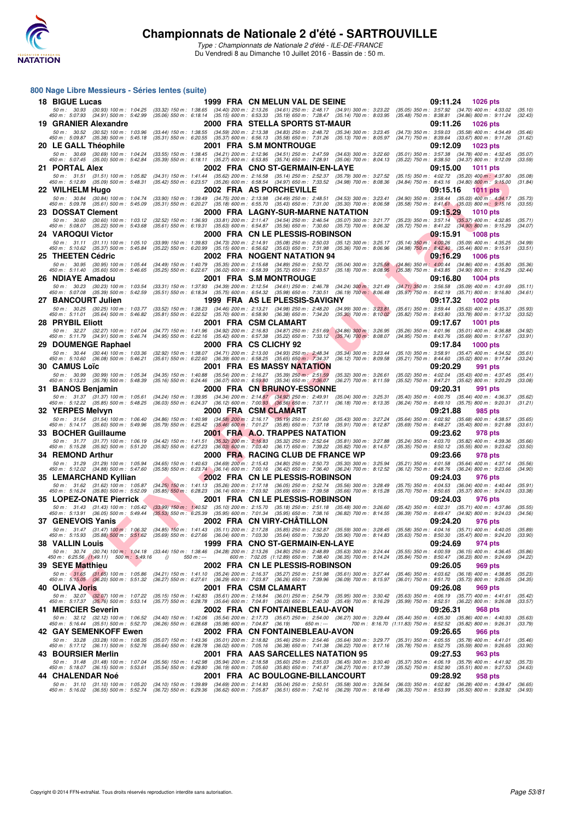

**800 Nage Libre Messieurs - Séries lentes (suite)**

**Championnats de Nationale 2 d'été - SARTROUVILLE**

Type : Championnats de Nationale 2 d'été - ILE-DE-FRANCE Du Vendredi 8 au Dimanche 10 Juillet 2016 - Bassin de : 50 m.

#### THE CORRESPONDING TO THE SAME CONTINUES IN THE SAME CONTINUES IN THE SAME CONTINUES IN THE SAME CONTINUES IN THE SAME CONTINUES IN THE SAME CONTINUES IN THE SAME CONTINUES IN THE SAME CONTINUES IN THE SAME CONTINUES I **18 BIGUE Lucas 1999 FRA CN MELUN VAL DE SEINE 1999.**<br>1999 FRA CN MELUN VAL DE SEINE 1999 m: 3:23.22 (35.05) 350 m: 3:57.92 (34.77 (34.91) 300 m: 3:23.22 (35.05) 350 m: 3:57.92 (34.70) 400 m: 4:33.02<br>1990 m: 507.93 (34.91) 50 m; 30.93 (30.93) 100 m; 1:04.25 (33.32) 150 m; 1:38.65 (34.40) 200 m; 2:13.26 (34.61) 350 m; 348.17 (34.50) 323.22 (35.05) 350 m; 3:57.92 (34.70) 400 m; 4:33.02 (34.70) 400 m; 4:33.02 (34.86) 800 m; 4:33.02 (34.86) 800 **19 GRANIER Alexandre 2000 FRA STELLA SPORTS ST-MAUR 09:11.26 1026 pts** 50 m: 30.52 (30.52) 100 m: 1:03.96 (33.44) 150 m: 1:38.55 (34.59) 200 m: 2:13.38 (34.83) 250 m: 2:48.72 (35.34) 300 m: 3:23.45 (34.73) 350 m: 3:59.03 (35.58) 400 m: 4:34.49 (35.46)<br>450 m: 5:09.87 (35.38) 500 m: 5:45.18 (35 **20 LE GALL Théophile 2001 FRA S.M MONTROUGE 09:12.09 1023 pts** 50 m; 30.69 (30.69) 100 m; 1.04.24 (33.55) 150 m; 1.38.45 (34.61) 201 m; 2:12.96 (34.51) 20147.59 (36.01) 32.260 (35.01) 35.7.38 (35.79) 400 m; 3.67.39 400 m; 4.32.45 (35.00) 500 m; 4.32.45 (35.79) 500 m; 4.32.45 (35.59) 5 **21 PORTAL Alex 2002 FRA CNO ST-GERMAIN-EN-LAYE 09:15.00 1011 pts**<br>
50 m: 31.51 (31.51) 100 m: 1:05.82 (34.31) 150 m: 1:41.44 (35.62) 200 m: 2:16.58 (35.14) 250 m: 2:52.37 (35.79) 300 m: 3:27.52 (35.15) 350 m: 4:02.7 50 m: 31.51 (31.51) 100 m: 1:05.82 (34.31) 150 m: 1:41.44 (35.62) 200 m: 2:16.58 (35.14) 250 m: 2:52.37 (35.79) 300 m: 3:27.52 (35.15) 350 m: 4:02.72 (35.20) 400 m: 4:37.80 (35.08)<br>450 m: 5:12.89 (35.09) 500 m: 5:48.31 (35 **22 WILHELM Hugo 2002 FRA AS PORCHEVILLE** 09:15.16 1011 pts 60m: 30.84 (30.84) 100m: 1:04.74 (33.90) 150m: 1:04.74 (33.90) 150m: 1:04.74 (33.90) 150m: 1:04.75 2002 FRA AS PORCHEVILLE 50m: 3:23.41 (34.90) 350m: 3:58.44 (35. 50 m; 30.84 (30.84) 100 m; 1:04.74 (33.90) 150 m; 1:39.49 (34.75) 200 m; 2:13.98 (34.49) 250 m; 32.69) 300 m; 323.41 (35.69) 300 m; 358.44 (35.69) 400 m; 4:451 (35.69) 400 m; 4:451 (35.69) 400 m; 4:451 (35.69) 400 m; 4:451 **23 DOSSAT Clement 2000 FRA LAGNY-SUR-MARNE NATATION 09:15.29 1010 pts** 50 m: 30.60 (30.60) 100 m: 1:03.12 (32.52) 150 m: 1:39.39 (33.81) 200 m: 2:11.47 (34.54) 250 m: 2:46.54 (35.07) 300 m: 3:21.77 (35.23) 350 m: 3: 50 m: 30.60 (30.60) 100 m: 1:03.12 (32.52) 150 m: 1:36.93 (33.81) 200 m: 2:11.47 (34.54) 250 m: 2:46.54 (35.07) 300 m: 3:21.77 (35.23) 350 m: 3:57.14 (35.37) 400 m: 4:32.85 (35.71)<br>450 m: 5:08.07 (35.22) 500 m: 5:43.68 (35 **24 VAROQUI Victor 2000 FRA CN LE PLESSIS-ROBINSON 60:15.91 1008 pts**<br>2000 FRA CN LE PLESSIS-ROBINSON (35.12) 300 m: 3:25.17 (35.14) 350 m: 3:11 100.26 (35.09) 400 m: 4:35.25<br>450 m: 5:10.62 (35.37) 500 m: 5:48.84 (35.22) 5 50 m; 31.11 (31.11) 100 m; 1.05.10 (33.99) 150 m; 1.39.83 (34.73) 200 m; 2.14.91 (35.08) 25.60 m; 3.200 m; 3.25.17 (35.49) 350 m; 4.00,26 (35.04) 400 m; 4.35.25 (35.44) 800 m; 4.35.25 (35.44) 800 m; 4.35.25 (35.44) 800 m; **25 THEETEN Cédric** 2005 16.29 1006 pts<br>
26 Som: 30.95 (30.95) 100 m: 1:05.44 (34.49) 150 m: 1:40.79 (35.35) 200 m: 2:15.68 (34.89) 250 m: 2:50.72 (35.04) 300 m: 3:25.58 (34.86) 350 m: 4:00.44 (34.86) 400 m: 4:35.80<br>25 450 50 m: 30.95 (30.95) 100 m: 1:05.44 (34.49) 150 m: 1:40.79 (35.35) 200 m: 2:15.68 (34.89) 250 m: 2:50.72 (35.04) 300 m: 3:25.58 (34.86) 350 m: 4:00.44 (34.86) 400 m: 4:35.80 (35.36)<br>450 m: 5:11.40 (35.60) 500 m: 5:46.65 (35 **26 NDIAYE Amadou** 2001 FRA S.M MONTROUGE 09:16.80 09:16.80 1004 pts<br>26 *50 m : 30.23 (30.23)* 100 m : 1:03.54 (33.31) 150 m : 1:37.93 (34.39) 200 m : 2:12.54 (34.61) 250 m : 2:46.78 (34.24) 300 m : 3:1.49 (34.71) 350 m : 50 m; 30.23 (30.23) 100 m; 1.03.54 (33.31) 150 m; 1.37.93 (34.39) 200 m; 2:12.54 (34.60 m; 32.146.78 (34.61) 300 m; 32.1.49 (35.71) 350 m; 3:16.89 (35.79) 400 m; 4:1.69 (35.71) 800 m; 4:1.59 (35.71) 800 m; 4:15.80 (34.61)<br> **27 BANCOURT Julien 1999 FRA AS LE PLESSIS-SAVIGNY 1998 61.17.32 1002 pts**<br>50 m : 30.25 (30.25) 100 m : 1:03.77 (33.52) 150 m : 1:38.23 (34.46) 200 m : 2:13.21 (34.98) 250 m : 2:48.20 (34.99) 300 m : 3:23.81 (35.61) 350 m 50 m: 30.25 (30.25) 100 m: 1:03.77 (33.52) 150 m: 1:38.23 (34.46) 200 m: 2:13.21 (34.98) 250 m: 2:48.20 (34.99) 300 m: 3:23.81 (35.61) 350 m: 3:59.44 (35.63) 400 m: 4:35.37 (35.93)<br>450 m: 5:11.01 (35.64) 500 m: 5:46.82 (35 **28 PRYBIL Eliott 2001 FRA CSM CLAMART 09:17.67 1001 pts** 50 m; 32.27 (32.27) 100 m; 1.07.04 (34.77) 150 m; 1.41.96 (34.92) 200 m; 2.15.83 (34.87) 250 m; 3.200 m; 3.26.95 (35.20) 300 m; 4.01.96 (35.69) 300 m; 4.3.76 (35.69) 300 m; 4.3.76 (35.69) 300 m; 4.4.76 (35.69) 300 m; 4.4.7 **29 DOUMENGE Raphael 2000 FRA CS CLICHY 92 09:17.84 1000 pts** 50 m: 30.44 (30.44) 100 m: 1:03.36 (32.92) 150 m: 1:38.07 (34.71) 200 m: 2:13.00 (34.93) 250 m: 2:48.34 (35.34) 300 m: 3:23.44 (35.10) 350 m: 3:58.91 (35.47) 400 m: 4:34.52 (35.61)<br>450 m: 5:10.60 (36.08) 500 m: 5:46.21 (35 **30 CAMUS Loïc 6 CAMUS 2001 FRA ES MASSY NATATION** 09:20.29 991 pts<br>50 m; 30.99 (30.99) 100 m; 1:05.34 (34.35) 150 m; 1:40.88 (35.54) 200 m; 2:16.27 (35.39) 250 m; 2:51.59 (35.32) 300 m; 3:26.61 (35.02) 350 m; 4:02.04 (35. 50 m : 30.99 (30.99) 100 m : 1:05.34 (34.35) 150 m : 1:40.88 (35.54) 200 m : 2:15.27 (35.65.39) 300 m : 30.30 300 m : 3:26.61 (35.62) 350 m : 4:02.04 (35.42) 400 m : 4:37.21 (35.62) 300 m : 4:37.21 (35.62) 300 m : 4:37.21 **31 BANOS Benjamin** 2000 FRA CN BRUNOY-ESSONNE 60m: 31.37 (31.24) 400m: 1.36.87 (34.24) 150m: 31.37 (31.37) 100m: 1.05.61 (34.24) 150m: 1.39.95 (34.34) 2000 FRA CN BRUNOY-ESSONNE 50m: 3:25.31 (35.40) 350m: 4:00.75 (35.44) 50 m: 31.37 (31.37) 100 m: 1:05.61 (34.24) 150 m: 1:39.95 (34.34) 200 m: 2:14.87 (34.92) 250 m: 2:49.91 (35.04) 300 m: 3:25.31 (35.40) 350 m: 4:00.75 (35.44) 400 m: 4:36.37 (35.62)<br>450 m: 5:12.22 (35.85) 500 m: 5:48.25 (36 **32 YERPES Melvyn 2000 FRA CSM CLAMART 1998 09:21.88** 985 pts 50 m; 31.54 (31.54) 100 m; 1:06.40 (34.86) 150 m; 1:40.98 (34.58) 200 m; 2:15.17 (35.67 (36.69) 300 m; 3:27.24 (35.60) 350 m; 4:02.92 (35.60) 300 m; 4:38.57 (35.40) 500 m; 4:38.57 (35.40) 500 m; 4:38.7 (35.40) 500 m; 4:38. **33 BOCHER Guillaume** 2001 FRA A.O. TRAPPES NATATION 09:23.62 978 pts<br>
50 m: 31.77 (31.77) 100 m: 1:06.19 (34.42) 150 m: 1:41.51 (35.32) 200 m: 2:16.83 (35.32) 250 m: 2:52.64 (35.81) 300 m: 3:27.88 (35.24) 350 m: 4:03.70 ( 50 m : 31.77 (31.77) 100 m : 1.06.19 (34.42) 150 m : 1:41.51 (35.32) 200 m : 2:16.83 (35.32) 200 m : 2:25.84 (35.81) 300 m : 3:27.88 (35.24) 350 m : 4:03.70 (35.82) 400 m : 4:39.36 (35.66)<br>450 m : **34 REMOND Arthur 2000 FRA RACING CLUB DE FRANCE WP 09:23.66** 978 pts<br>
50 m: 31.29 (31.29) 100 m: 1:05.94 (34.68) 150 m: 1:40.63 (34.69) 200 m: 2:15.43 (34.80) 250 m: 2:50.73 (35.30) 300 m: 3:25.94 (35.21) 350 m: 4:01.58 50 m; 31.29 (31.29) 100 m; 1.05.94 (34.65) 150 m; 1.40.63 (34.69) 2015n; 2.15.43 (34.80) 2.55.73 (35.29) 300 m; 3:25.94 (35.21) 350 m; 4.01.58 (35.64) 400 m; 4.37.14 (35.56) 500 m; 4.27.16 (35.49) 500 m; 4.27.16 (35.49) 50 **35 LEMARCHAND Kyllian 2002 FRA CN LE PLESSIS-ROBINSON 09:24.03** 976 pts<br>
50 m : 31.62 (31.62) 100 m : 1:05.87 (34.25) 150 m : 1:41.13 (35.26) 200 m : 2:17.18 (36.05) 250 m : 2:52.74 (35.56) 300 m : 3:28.49 (35.75) 350 m : 50 m: 31.62 (31.62) 100 m: 1:05.87 (34.25) 150 m: 1:41.13 (35.26) 200 m: 2:17.18 (36.05) 250 m: 2:52.74 (35.56) 300 m: 3:28.49 (35.75) 350 m: 4:04.53 (36.04) 400 m: 4:40.44 (35.91)<br>450 m: 5:16.24 (35.80) 500 m: 5:52.09 (35 **35 LOPEZ-ONATE Pierrick 2001 FRA CN LE PLESSIS-ROBINSON 09:24.03 976 pts** 50 m; 31.43 (31.43) 100 m; 1.05.42 (33.99) 150 m; 1.40.52 (35.10) 200 m; 2.15.70 (35.18) 325.51.18 (35.64) 300 m; 326.60 (35.42) 350 m; 4.02.31 (35.71) 400 m; 4.37.86 (35.59) 300 m; 4.37.86 (35.39) 400 m; 4.27.86 (35.39) 5 **37 GENEVOIS Yanis** 2002 FRA CN VIRY-CHÂTILLON 60:24.20 976 pts<br>
50 m: 31.47 (31.47) 100 m: 1:06.32 (34.85) 150 m: 1:41.43 (35.11) 200 m: 2:17.28 (35.59) 250 m: 2:52.87 (35.59) 300 m: 3:28.45 (35.58) 350 m: 4:04.16 (35.71) 50 m : 31.47 (31.47) 100 m : 1.06.32 (34.85) 150 m : 1.41.43 (35.11) 200 m : 2:17.28 (35.89) 250 m (35.59) 300 m : 3:28.45 (35.58) 350 m : 4:0.41.6 (35.71) 400 m : 4:40.05 (35.88) 150 m : 5:51,62 **38 VALLIN Louis 1999 FRA CNO ST-GERMAIN-EN-LAYE 09:24.69** 974 pts<br>58 m: 30.74 (30.74) 100 m: 1:04.18 (33.44) 150 m: 1:38.46 (34.28) 200 m: 2:13.26 (34.80) 250 m: 2:48.89 (35.63) 300 m: 3:24.44 (35.55) 350 m: 4:00.59 ( 50 m; 30.74 (30.74) 100 m; 1,04.18 (33.44) 150 m; 1:33.46 (34.28) 200 m; 2:13.26 (34.80) 200 m; 32.444 (35.59) 350 m; 4.00.59 (30.15) 400 m; 3:26.49 (34.22)<br>450 m; 6:25.56 (1:49.11) 500 m; 5:49.16 () 550 m; ··· **39 SEYE Matthieu 2002 FRA CN LE PLESSIS-ROBINSON 09:26.05** 969 pts<br>
50 m : 31.65 (31.65) 100 m : 1:05.86 (34.21) 150 m : 1:41.10 (35.24) 200 m : 2:16.37 (35.21) 250 m : 2:1.98 (35.61) 300 m : 3:27.44 (35.46) 350 m : 4:03. 50 m: (31.65 (31.65) 100 m: 1:05.86 (34.21) 150 m: 1:41.10 (35.24) 200 m: 2:16.37 (35.27) 250 m: 2:51.98 (35.61) 300 m: 3:27.44 (35.46) 350 m: 4:03.62 (36.18) 400 m: 4:38.85 (35.23)<br>450 m: 5:15.05 (36.20) 500 m: 5:51.32 (3 **40 OLIVA Joris 2001 FRA CSM CLAMART 09:26.08 969 pts** 50 m : 32.07 (38.07) 100 m; 1.07.22 (35.15) 150 m; 1.42.83 (35.64) 200 m; 2.18.84 (36.00) 300, 300 m; 300, 300 m; 30.42 (35.67) 400, 35.70) 400 m; 4.41.61 (35.42<br>450 m; 5:17.37 (35.76) 500 m; 5:53.14 (35.77) 550 m; 6:28.78 **41 MERCIER Severin** 2002 FRA CN FONTAINEBLEAU-AVON 09:26.31 968 pts<br>
50 m: 32.12 (32.12) 100 m: 1:06.52 (34.40) 150 m: 1:42.06 (35.54) 200 m: 2:17.73 (35.67) 250 m: 2:54.00 (36.27) 300 m: 3:29.44 (35.44) 350 m: 4:05.30 (3 50 m : 32.12 (32.12) 100 m : 1:06.52 (34.40) 150 m : 1:42.06 (35.54) 200 m : 2:17.73 (35.67) 250 m : 2:54.00 (36.27) 300 m : 3:29.44 (35.44) 350 m : 4:05.30 (35.86) 400 m : 4:40.93 (35.68) 460 m : 5:16.44 (35.51) 500 m : 5 **42 GAY SEMENKOFF Ewen** 2002 FRA CN FONTAINEBLEAU-AVON 09:26.65 966 pts<br>
50 m : 33.28 (33.28) 100 m : 1:08.35 (35.07) 150 m : 1:43.36 (35.01) 200 m : 2:18.82 (35.48) 250 m : 2:54.46 (35.64) 300 m : 3:29.77 (35.31) 350 m : 50 m; 33.28 (33.28) 100 m; 1:08.35 (35.07) 150 m; 1:43.36 (35.01) 200 m; 2:15.82 (35.64 (35.44 (36.54) 300 m; 3:29.77 (35.31) 350 m; 4:05.55 (35.59) 400 m; 4:41.01<br>450 m; 5:17.12 (36.11) 500 m; 5:52.76 (35.64) 550 m; 6:28. **43 BOURSIER Merlin** 2001 FRA AAS SARCELLES NATATION 95 09:27.53 963 pts<br>
50 m: 31.48 (31.48) 100 m: 1:07.04 (35.56) 150 m: 1:42.98 (35.94) 200 m: 2:18.58 (35.60) 250 m: 2:55.03 (36.45) 300 m: 3:30.40 (35.37) 350 m: 4:06.1 50 m : 31.48 (31.48) 100 m : 1:07.04 (35.56) 150 m : 1:42.98 (35.94) 200 m : 2:18.58 (35.60) 250 m : 2:55.03 (36.45) 300 m : 3:30.40 (35.37) 350 m : 4:05.19 (35.79) 400 m : 4:41.92 (35.73) 500 m : 4:41.92 (35.73) 400 m : 4 **44 CHALENDAR Noé 2001 FRA AC BOULOGNE-BILLANCOURT 09:28.92 958 pts** 50 m; 31.10 (31.10) 100 m; 1.05.20 (34.10) 150 m; 1.39.89 (34.69) 201 m; 2.14.93 (36.04) 250.51 (35.69) 300 m; 3.26.54 (36.03) 350 m; 4.02.82 (36.28) 400 m; 4.39.47 (36.65) 500 m; 4.52.74 (36.72) 500 m; 4.29.47 (36.72) 500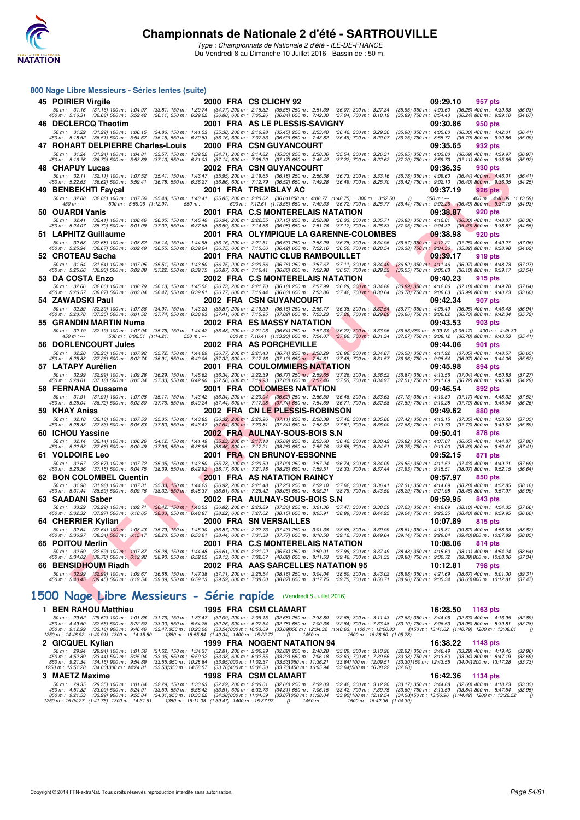

Type : Championnats de Nationale 2 d'été - ILE-DE-FRANCE Du Vendredi 8 au Dimanche 10 Juillet 2016 - Bassin de : 50 m.

| 800 Nage Libre Messieurs - Séries lentes (suite)                              |                                                                                                                                                    |                                                                                                                                                                                                                                                                                                        |                                                                                                                                 |
|-------------------------------------------------------------------------------|----------------------------------------------------------------------------------------------------------------------------------------------------|--------------------------------------------------------------------------------------------------------------------------------------------------------------------------------------------------------------------------------------------------------------------------------------------------------|---------------------------------------------------------------------------------------------------------------------------------|
| 45 POIRIER Virgile                                                            |                                                                                                                                                    | 2000 FRA CS CLICHY 92                                                                                                                                                                                                                                                                                  | 09:29.10<br>957 pts                                                                                                             |
|                                                                               |                                                                                                                                                    | 50 m : 31.16 (31.16) 100 m : 1:04.97 (33.81) 150 m : 1:39.74 (34.77) 200 m : 2:15.32 (35.58) 250 m : 2:51.39 (36.07) 300 m : 3:27.34<br>450 m : 5:16.31 (36.68) 500 m : 5:52.42 (36.11) 550 m : 6:29.22 (36.80) 600 m : 7:05.26 (36.04) 650 m : 7:42.30 (37.04) 700 m : 8:18.19                        | $(35.95)$ 350 m : 4:03.60 $(36.26)$ 400 m : 4:39.63<br>(36.03)<br>(35.89) 750 m : 8:54.43 (36.24) 800 m : 9:29.10<br>(34.67)    |
| 46 DECLERCQ Theotim                                                           |                                                                                                                                                    | 2001 FRA AS LE PLESSIS-SAVIGNY                                                                                                                                                                                                                                                                         | 09:30.86<br>950 pts                                                                                                             |
|                                                                               | 50 m: 31.29 (31.29) 100 m: 1:06.15 (34.86) 150 m: 1:41.53 (35.38) 200 m: 2:16.98 (35.45) 250 m: 2:53.40                                            | $(36.42)$ 300 m : 3:29.30<br>450 m : 5:18.52 (36.51) 500 m : 5:54.67 (36.15) 550 m : 6:30.83 (36.16) 600 m : 7:07.33 (36.50) 650 m : 7:43.82 (36.49) 700 m : 8:20.07                                                                                                                                   | $(35.90)$ 350 m : 4:05.60 $(36.30)$ 400 m : 4:42.01<br>(36.41)<br>(36.25) 750 m : 8:55.77 (35.70) 800 m : 9:30.86<br>(35.09)    |
| 47 ROHART DELPIERRE Charles-Louis                                             |                                                                                                                                                    | <b>2000 FRA CSN GUYANCOURT</b>                                                                                                                                                                                                                                                                         | 09:35.65<br>932 pts                                                                                                             |
| 50 m : 31.24 (31.24) 100 m : 1:04.81                                          | (33.57) 150 m : 1:39.52 (34.71) 200 m : 2:14.82 (35.30) 250 m : 2:50.36                                                                            | $(35.54)$ 300 m : 3:26.31                                                                                                                                                                                                                                                                              | (35.95) 350 m: 4:03.00 (36.69) 400 m: 4:39.97<br>(36.97)                                                                        |
| 450 m: 5:16.76 (36.79) 500 m: 5:53.89<br>48 CHAPUY Lucas                      | (37.13) 550 m: 6:31.03 (37.14) 600 m: 7:08.20 (37.17) 650 m: 7:45.42                                                                               | $(37.22)$ 700 m : 8:22.62<br>2002 FRA CSN GUYANCOURT                                                                                                                                                                                                                                                   | $(37.20)$ 750 m : 8:59.73 $(37.11)$ 800 m : 9:35.65<br>(35.92)<br>09:36.35<br>930 pts                                           |
| 50 m: 32.11 (32.11) 100 m: 1:07.52                                            | (35.41) 150 m : 1:43.47 (35.95) 200 m : 2:19.65 (36.18) 250 m : 2:56.38                                                                            | (36.73) 300 m : 3:33.16                                                                                                                                                                                                                                                                                | $(36.78)$ 350 m : 4:09.60 $(36.44)$ 400 m : 4:46.01<br>(36.41)                                                                  |
| 49 BENBEKHTI Faycal                                                           |                                                                                                                                                    | 450 m : 5:22.63 (36.62) 500 m : 5:59.41 (36.78) 550 m : 6:36.27 (36.86) 600 m : 7:12.79 (36.52) 650 m : 7:49.28 (36.49) 700 m : 8:25.70<br>2001 FRA TREMBLAY AC                                                                                                                                        | $(36.42)$ 750 m : $9:02.10$ $(36.40)$ 800 m : $9:36.35$<br>(34.25)<br>09:37.19<br><b>926 pts</b>                                |
|                                                                               |                                                                                                                                                    | 50 m : 32.08 (32.08) 100 m : 1:07.56 (35.48) 150 m : 1:43.41 (35.85) 200 m : 2:20.02 (36.61) 250 m : 4:08.77 (1:48.75) 300 m : 3:32.50<br>$\theta$                                                                                                                                                     | 400 m: 4:46.09 (1:13.59)<br>$350 m : -$                                                                                         |
| $450 m: -$<br>500 m: 5:59.06 (1:12.97)                                        | $550 m: -$                                                                                                                                         | 600 m : 7:12.61 (1.13.55) 650 m : 7:49.33 (36.72) 700 m : 8:25.77 (36.44) 750 m : 9:02.26 (36.49) 800 m : 9:37.19                                                                                                                                                                                      | (34.93)                                                                                                                         |
| 50 OUARDI Yanis<br>50 m: 32.41 (32.41) 100 m: 1:08.46                         | $(36.05)$ 150 m : 1:45.40                                                                                                                          | 2001 FRA C.S MONTERELAIS NATATION<br>(36.94) 200 m : 2:22.55 (37.15) 250 m : 2:58.88 (36.33) 300 m : 3:35.71 (36.83) 350 m : 4:12.01                                                                                                                                                                   | 09:38.87<br>920 pts<br>$(36.30)$ 400 m : 4:48.37<br>(36.36)                                                                     |
| 450 m : 5:24.07 (35.70) 500 m : 6:01.09                                       |                                                                                                                                                    | (37.02) 550 m : 6:37.68 (36.59) 600 m : 7:14.66 (36.98) 650 m : 7:51.78 (37.12) 700 m : 8:28.83 (37.05) 750 m : 9:04.32 (35.49) 800 m : 9:38.87                                                                                                                                                        | (34.55)                                                                                                                         |
| 51 LAPHITZ Guillaume<br>50 m : 32.68 (32.68) 100 m : 1:08.82                  | $(36.14)$ 150 m : 1:44.98                                                                                                                          | 2001 FRA OLYMPIQUE LA GARENNE-COLOMBES<br>(36.16) 200 m : 2:21.51 (36.53) 250 m : 2:58.29 (36.78) 300 m : 3:34.96                                                                                                                                                                                      | 09:38.98<br>920 pts<br>(36.67) 350 m : 4:12.21 (37.25) 400 m : 4:49.27<br>(37.06)                                               |
| 450 m: 5:25.94 (36.67) 500 m: 6:02.49                                         | $(36.55)$ 550 m : 6:39.24                                                                                                                          | (36.75) 600 m : 7:15.66 (36.42) 650 m : 7:52.16 (36.50) 700 m : 8:28.54                                                                                                                                                                                                                                | (36.38) 750 m : 9:04.36 (35.82) 800 m : 9:38.98<br>(34.62)                                                                      |
| 52   CROTEAU Sacha                                                            |                                                                                                                                                    | 2001 FRA NAUTIC CLUB RAMBOUILLET                                                                                                                                                                                                                                                                       | 09:39.17<br>919 pts                                                                                                             |
| 50 m: 31.54 (31.54) 100 m: 1:07.05<br>450 m : 5:25.66 (36.93) 500 m : 6:02.88 |                                                                                                                                                    | (35.51) 150 m : 1:43.80 (36.75) 200 m : 2:20.56 (36.76) 250 m : 2:57.67 (37.11) 300 m : 3:34.49 (36.82) 350 m : 4:11.46<br>(37.22) 550 m : 6:39.75 (36.87) 600 m : 7:16.41 (36.66) 650 m : 7:52.98 (36.57) 700 m : 8:29.53 (36.55) 750 m : 9:05.63                                                     | (36.97) 400 m : 4:48.73<br>(37.27)<br>(36.10) 800 m : 9:39.17<br>(33.54)                                                        |
| 53 DA COSTA Enzo                                                              |                                                                                                                                                    | 2002 FRA C.S MONTERELAIS NATATION                                                                                                                                                                                                                                                                      | 09:40.23<br>915 pts                                                                                                             |
| 50 m: 32.66 (32.66) 100 m: 1:08.79<br>450 m : 5:26.57 (36.87) 500 m : 6:03.04 | (36.13) 150 m: 1:45.52 (36.73) 200 m: 2:21.70 (36.18) 250 m: 2:57.99                                                                               | $(36.29)$ 300 m : 3:34.88<br>(36.47) 550 m : 6:39.81 (36.77) 600 m : 7:16.44 (36.63) 650 m : 7:53.86 (37.42) 700 m : 8:30.64                                                                                                                                                                           | (36.89) 350 m : 4:12.06 (37.18) 400 m : 4:49.70<br>(37.64)<br>(36.78) 750 m : 9:06.63 (35.99) 800 m : 9:40.23<br>(33.60)        |
| 54 ZAWADSKI Paul                                                              |                                                                                                                                                    | 2002 FRA CSN GUYANCOURT                                                                                                                                                                                                                                                                                | 09:42.34<br>907 pts                                                                                                             |
| 50 m: 32.39 (32.39) 100 m: 1:07.36<br>450 m : 5:23.78 (37.35) 500 m : 6:01.52 | (34.97) 150 m : 1:43.23 (35.87) 200 m : 2:19.39 (36.16) 250 m : 2:55.77<br>(37.74) 550 m : 6:38.93 (37.41) 600 m : 7:15.95 (37.02) 650 m : 7:53.23 | $(36.38)$ 300 m : 3:32.54<br>$(37.28)$ 700 m : 8:29.89                                                                                                                                                                                                                                                 | (36.77) 350 m : 4:09.49 (36.95) 400 m : 4:46.43<br>(36.94)<br>(36.66) 750 m : 9:06.62 (36.73) 800 m : 9:42.34<br>(35.72)        |
| 55   GRANDIN MARTIN Numa                                                      |                                                                                                                                                    | 2002 FRA ES MASSY NATATION                                                                                                                                                                                                                                                                             | 09:43.53<br>903 pts                                                                                                             |
|                                                                               |                                                                                                                                                    | 50 m : 32.19 (32.19) 100 m : 1:07.94 (35.75) 150 m : 1:44.42 (36.48) 200 m : 2:21.06 (36.64) 250 m : 2:57.33 (36.27) 300 m : 3:33.96                                                                                                                                                                   | $(36.63)$ 350 m : 6:39.13 $(3.05.17)$ 400 m : 4:48.30<br>0                                                                      |
| 500 m: 6:02.51 (1:14.21)<br>$450 m: -$<br>56 DORLENCOURT Jules                | $550 m: -$                                                                                                                                         | 600 m : 7:16.41 (1:13.90) 650 m : 7:54.07 (37.66) 700 m : 8:31.34<br>2002 FRA AS PORCHEVILLE                                                                                                                                                                                                           | (37.27) 750 m : 9:08.12 (36.78) 800 m : 9:43.53<br>(35.41)<br>09:44.06<br>901 pts                                               |
| 50 m: 32.20 (32.20) 100 m: 1:07.92                                            | (35.72) 150 m: 1:44.69 (36.77) 200 m: 2:21.43 (36.74) 250 m: 2:58.29                                                                               | $(36.86)$ 300 m : 3:34.87                                                                                                                                                                                                                                                                              | (36.58) 350 m: 4:11.92 (37.05) 400 m: 4:48.57<br>(36.65)                                                                        |
| 450 m : 5:25.83 (37.26) 500 m : 6:02.74                                       | $(36.91)$ 550 m : 6:40.06 $(37.32)$ 600 m : 7:17.16 $(37.10)$ 650 m : 7:54.61                                                                      | $(37.45)$ 700 m : 8:31.57                                                                                                                                                                                                                                                                              | (36.96) 750 m : 9:08.54 (36.97) 800 m : 9:44.06<br>(35.52)                                                                      |
| 57 LATAPY Aurélien<br>50 m: 32.99 (32.99) 100 m: 1:09.28                      |                                                                                                                                                    | 2001 FRA COULOMMIERS NATATION<br>(36.29) 150 m : 1:45.62 (36.34) 200 m : 2:22.39 (36.77) 250 m : 2:59.65 (37.26) 300 m : 3:36.52                                                                                                                                                                       | 09:45.98<br>894 pts<br>(36.87) 350 m : 4:13.56 (37.04) 400 m : 4:50.83<br>(37.27)                                               |
| 450 m: 5:28.01 (37.18) 500 m: 6:05.34                                         |                                                                                                                                                    | (37.33) 550 m : 6:42.90 (37.56) 600 m : 7:19.93 (37.03) 650 m : 7:57.46 (37.53) 700 m : 8:34.97                                                                                                                                                                                                        | (37.51) 750 m : 9:11.69 (36.72) 800 m : 9:45.98<br>(34.29)                                                                      |
| 58 FERNANA Oussama<br>50 m: 31.91 (31.91) 100 m: 1:07.08                      |                                                                                                                                                    | 2001 FRA COLOMBES NATATION                                                                                                                                                                                                                                                                             | 09:46.54<br>892 pts<br>(37.13) 350 m : 4:10.80 (37.17) 400 m : 4:48.32<br>(37.52)                                               |
| 450 m : 5:25.04 (36.72) 500 m : 6:02.80                                       |                                                                                                                                                    | $(35.17) \;\, 150 \; m: \;\; 1.43.42 \quad \, (36.34) \; 200 \; m: \;\; 2.20.04 \quad \, (36.62) \; 250 \; m: \;\; 2.56.50 \quad \, (36.46) \; 300 \; m: \;\; 3.33.63 \quad \, (37.76) \; 550 \; m: \;\; 6.40.24 \quad \, (37.44) \; 600 \; m: \;\; 7.17.98 \quad \, (37.74) \; 650 \; m: \;\; 7.54.6$ | (37.89) 750 m : 9:10.28 (37.70) 800 m : 9:46.54<br>(36.26)                                                                      |
| 59 KHAY Aniss                                                                 |                                                                                                                                                    | 2002 FRA CN LE PLESSIS-ROBINSON                                                                                                                                                                                                                                                                        | 09:49.62<br><b>880 pts</b>                                                                                                      |
| 50 m: 32.18 (32.18) 100 m: 1:07.53<br>450 m : 5:28.33 (37.83) 500 m : 6:05.83 |                                                                                                                                                    | (35.35) 150 m : 1:43.85 (36.32) 200 m : 2:20.96 (37.11) 250 m : 2:58.38 (37.42) 300 m : 3:35.80<br>(37.50) 550 m : 6:43.47 (37.64) 600 m : 7:20.81 (37.34) 650 m : 7:58.32 (37.51) 700 m : 8:36.00                                                                                                     | (37.42) 350 m: 4:13.15 (37.35) 400 m: 4:50.50<br>(37.35)<br>(37.68) 750 m : 9:13.73 (37.73) 800 m : 9:49.62<br>(35.89)          |
| 60 ICHOU Yassine                                                              |                                                                                                                                                    | 2002 FRA AULNAY-SOUS-BOIS S.N                                                                                                                                                                                                                                                                          | 09:50.41<br>878 pts                                                                                                             |
| 50 m: 32.14 (32.14) 100 m: 1:06.26<br>450 m : 5:22.53 (37.66) 500 m : 6:00.49 | $(34.12)$ 150 m : 1:41.49<br>$(37.96)$ 550 m : 6:38.95                                                                                             | $(35.23)$ 200 m : 2:17.18 $(35.69)$ 250 m : 2:53.60<br>$(36.42)$ 300 m : 3:30.42<br>(38.46) 600 m: 7:17.21 (38.26) 650 m: 7:55.76 (38.55) 700 m: 8:34.51                                                                                                                                               | (36.82) 350 m: 4:07.07 (36.65) 400 m: 4:44.87<br>(37.80)<br>$(38.75)$ 750 m : $9:13.00$<br>$(38.49)$ 800 m : 9:50.41<br>(37.41) |
| <b>61 VOLDOIRE Leo</b>                                                        |                                                                                                                                                    | 2001 FRA CN BRUNOY-ESSONNE                                                                                                                                                                                                                                                                             | 09:52.15<br>871 pts                                                                                                             |
| 50 m: 32.67 (32.67) 100 m: 1:07.72<br>450 m : 5:26.36 (37.15) 500 m : 6:04.75 |                                                                                                                                                    | (35.05) 150 m: 1:43.50 (35.78) 200 m: 2:20.50 (37.00) 250 m: 2:57.24 (36.74) 300 m: 3:34.09<br>(38.39) 550 m : 6:42.92 (38.17) 600 m : 7:21.18 (38.26) 650 m : 7:59.51 (38.33) 700 m : 8:37.44                                                                                                         | (36.85) 350 m: 4:11.52 (37.43) 400 m: 4:49.21<br>(37.69)<br>(37.93) 750 m: 9:15.51 (38.07) 800 m: 9:52.15<br>(36.64)            |
| 62 BON COLOMBEL Quentin                                                       |                                                                                                                                                    | <b>2001 FRA AS NATATION RAINCY</b>                                                                                                                                                                                                                                                                     | 09:57.97<br>850 pts                                                                                                             |
| 50 m: 31.98 (31.98) 100 m: 1:07.31<br>450 m : 5:31.44 (38.59) 500 m : 6:09.76 |                                                                                                                                                    | (35.33) 150 m: 1:44.23 (36.92) 200 m: 2:21.48 (37.25) 250 m: 2:59.10 (37.62) 300 m: 3:36.41<br>(38.32) 550 m : 6:48.37 (38.61) 600 m : 7:26.42 (38.05) 650 m : 8:05.21 (38.79) 700 m : 8:43.50                                                                                                         | (37.31) 350 m: 4:14.69 (38.28) 400 m: 4:52.85<br>(38.16)<br>$(38.29)$ 750 m : 9:21.98<br>$(38.48)$ 800 m : 9:57.97<br>(35.99)   |
| 63 SAADANI Saber                                                              |                                                                                                                                                    | 2002 FRA AULNAY-SOUS-BOIS S.N                                                                                                                                                                                                                                                                          | 09:59.95<br>843 pts                                                                                                             |
|                                                                               |                                                                                                                                                    | 50 m: 33.29 (33.29) 100 m: 1:09.71 (36.42) 150 m: 1:46.53 (36.82) 200 m: 2:23.89 (37.36) 250 m: 3:01.36 (37.47) 300 m: 3:38.59                                                                                                                                                                         | $(37.23)$ 350 m : 4:16.69 $(38.10)$ 400 m : 4:54.35<br>(37.66)                                                                  |
| 64 CHERRIER Kylian                                                            |                                                                                                                                                    | 450 m : 5:32.32 (37.97) 500 m : 6:10.65 (38.33) 550 m : 6:48.87 (38.22) 600 m : 7:27.02 (38.15) 650 m : 8:05.91 (38.89) 700 m : 8:44.95<br>2000 FRA SN VERSAILLES                                                                                                                                      | $(39.04)$ 750 m : $9.23.35$ $(38.40)$ 800 m : $9.59.95$<br>(36.60)<br>10:07.89<br>815 pts                                       |
|                                                                               |                                                                                                                                                    | 50 m : 32.64 (32.64) 100 m : 1:08.43 (35.79) 150 m : 1:45.30 (36.87) 200 m : 2:22.73 (37.43) 250 m : 3:01.38 (38.65) 300 m : 3:39.99                                                                                                                                                                   | (38.61) 350 m: 4:19.81 (39.82) 400 m: 4:58.63<br>(38.82)                                                                        |
|                                                                               |                                                                                                                                                    | 450 m : 5:36.97 (38.34) 500 m : 6:15.17 (38.20) 550 m : 6:53.61 (38.44) 600 m : 7:31.38 (37.77) 650 m : 8:10.50 (39.12) 700 m : 8:49.64                                                                                                                                                                | (39.14) 750 m : 9:29.04 (39.40) 800 m : 10:07.89<br>(38.85)                                                                     |
| 65 POITOU Merlin                                                              |                                                                                                                                                    | 2001 FRA C.S MONTERELAIS NATATION<br>50 m: 32.59 (32.59) 100 m: 1:07.87 (35.28) 150 m: 1:44.48 (36.61) 200 m: 2:21.02 (36.54) 250 m: 2:59.01 (37.99) 300 m: 3:37.49                                                                                                                                    | 10:08.06<br>814 pts<br>(38.48) 350 m : 4:15.60 (38.11) 400 m : 4:54.24<br>(38.64)                                               |
| 450 m : 5:34.02 (39.78) 500 m : 6:12.92                                       |                                                                                                                                                    | (38.90) 550 m : 6:52.05 (39.13) 600 m : 7:32.07 (40.02) 650 m : 8:11.53 (39.46) 700 m : 8:51.33                                                                                                                                                                                                        | (39.80) 750 m : 9:30.72 (39.39) 800 m : 10:08.06<br>(37.34)                                                                     |
| 66 BENSIDHOUM Riadh                                                           |                                                                                                                                                    | 2002 FRA AAS SARCELLES NATATION 95                                                                                                                                                                                                                                                                     | 10:12.81<br>798 pts                                                                                                             |
| 50 m : 32.99 (32.99) 100 m : 1:09.67                                          | (36.68) 150 m: 1:47.38 (37.71) 200 m: 2:25.54 (38.16) 250 m: 3:04.04                                                                               | (38.50) 300 m : 3:43.02<br>450 m : 5:40.45 (39.45) 500 m : 6:19.54 (39.09) 550 m : 6:59.13 (39.59) 600 m : 7:38.00 (38.87) 650 m : 8:17.75 (39.75) 700 m : 8:56.71                                                                                                                                     | $(38.98)$ 350 m : 4:21.69<br>(38.67) 400 m : 5:01.00<br>(39.31)<br>(38.96) 750 m : 9:35.34 (38.63) 800 m : 10:12.81<br>(37.47)  |
| 1500 Nage Libre Messieurs - Série rapide                                      |                                                                                                                                                    | (Vendredi 8 Juillet 2016)                                                                                                                                                                                                                                                                              |                                                                                                                                 |
|                                                                               |                                                                                                                                                    |                                                                                                                                                                                                                                                                                                        |                                                                                                                                 |
| 1 BEN RAHOU Matthieu                                                          |                                                                                                                                                    | 1995 FRA CSM CLAMART<br>50 m : 29.62 (29.62) 100 m : 1:01.38 (31.76) 150 m : 1:33.47 (32.09) 200 m : 2:06.15 (32.68) 250 m : 2:38.80 (32.65) 300 m : 3:11.43 (32.63) 350 m : 3:44.06 (32.63) 400 m : 4:16.95 (32.89)                                                                                   | 16:28.50<br>1163 pts                                                                                                            |

50 m : 29.62 (29.62) 100 m : 1:01.38 (31.76) 150 m : 1:33.47 (32.09) 200 m : 2:06.15 (32.68) 250 m : 2:38.80 (32.65) 300 m : 3:11.43 (32.63) 350 m : 3:44.06 (32.63) 400 m : 4:16.95 (32.89)<br>450 m : 4:49.50 (32.55) 500 m : 5

# 2 GICQUEL Kylian 1999 FRA NOGENT NATATION 94 16:38.22 1143 pts<br>
50 m : 29.94 (29.94) 100 m : 1:01.56 (31.62) 150 m : 1:34.37 (32.81) 200 m : 2:06.99 (32.62) 250 m : 2:40.28 (33.29) 300 m : 3:13.20 (32.92) 350 m : 3:46.49 **3 MAETZ Maxime 1998 FRA CSM CLAMART 16:42.36 1134 pts** 50 m : 29.35 (29.35) 100 m : 1:01.64 (32.29) 150 m : 1:33.93 (32.29) 200 m : 2:06.61 (32.68) 250 m : 2:39.03 (32.42) 300 m : 3:12.20 (33.17) 350 m : 3:44.88 (32.68) 400 m : 4:16.23 (33.35)<br>450 m : 4:51.32 (33.09) 500 m : 5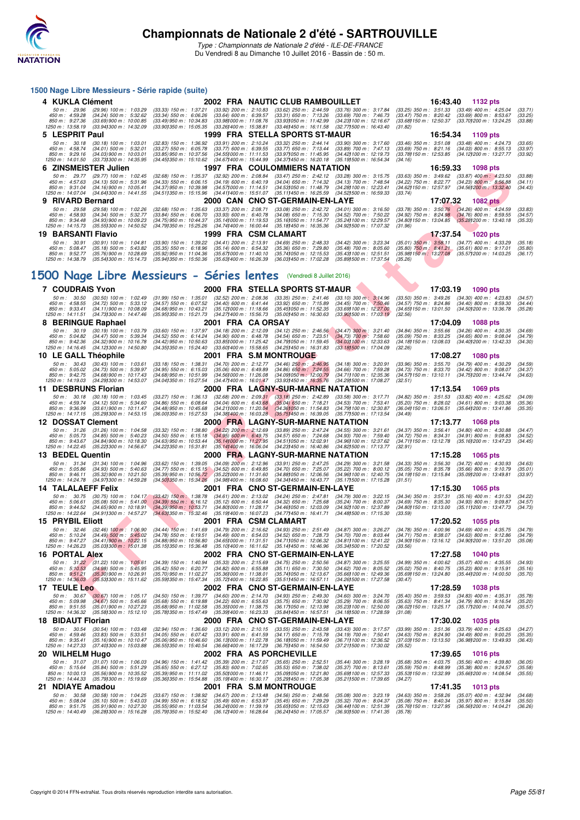

| 1500 Nage Libre Messieurs - Série rapide (suite)                                                                                                                                                 |                                                                                                                                                                                                                                                                                                                                            |                                                                                                                          |                                                                                                                          |                                                                                                                |                                                                                               |                                                                                                                                                           |                               |
|--------------------------------------------------------------------------------------------------------------------------------------------------------------------------------------------------|--------------------------------------------------------------------------------------------------------------------------------------------------------------------------------------------------------------------------------------------------------------------------------------------------------------------------------------------|--------------------------------------------------------------------------------------------------------------------------|--------------------------------------------------------------------------------------------------------------------------|----------------------------------------------------------------------------------------------------------------|-----------------------------------------------------------------------------------------------|-----------------------------------------------------------------------------------------------------------------------------------------------------------|-------------------------------|
| 4 KUKLA Clément                                                                                                                                                                                  |                                                                                                                                                                                                                                                                                                                                            |                                                                                                                          | 2002 FRA NAUTIC CLUB RAMBOUILLET                                                                                         |                                                                                                                | 16:43.40                                                                                      | 1132 pts                                                                                                                                                  |                               |
| 50 m: 29.96<br>$(29.96)$ 100 m : 1:03.29<br>450 m: 4:59.28<br>$(34.24)$ 500 m : 5:32.62<br>850 m : 9:27.36<br>$(33.69)$ 900 m : 10:00.85<br>1250 m: 13:58.19<br>(33.94) 300 m : 14:32.09         | $(33.33)$ 150 m : 1:37.21<br>$(33.34)$ 550 m : 6:06.26<br>$(33.49)$ 950 m : 10:34.83<br>(33.90) 350 m : 15:05.35                                                                                                                                                                                                                           | $(33.92)$ 200 m : 2:10.83<br>$(33.64)$ 600 m : 6:39.57<br>(33.981000 m: 11.08.76)<br>(33.26) 400 m : 15:38.81            | $(33.62)$ 250 m : 2:44.59<br>$(33.31)$ 650 m : 7:13.26<br>(33.93) 050 m: 11:42.99<br>(33.46)450 m : 16:11.58             | $(33.76)$ 300 m : 3:17.84<br>$(33.69)$ 700 m : 7:46.73<br>(34.23) 100 m : 12:16.67<br>(32.771500 m : 16:43.40  | $(33.47)$ 750 m : 8:20.42<br>(33.68) 150 m : 12:50.37<br>(31.82)                              | (33.25) 350 m: 3:51.33 (33.49) 400 m: 4:25.04<br>$(33.69)$ 800 m : 8:53.67<br>(33.70) 200 m : 13:24.25                                                    | (33.71)<br>(33.25)<br>(33.88) |
| 5 LESPRIT Paul                                                                                                                                                                                   |                                                                                                                                                                                                                                                                                                                                            |                                                                                                                          | 1999 FRA STELLA SPORTS ST-MAUR                                                                                           |                                                                                                                | 16:54.34                                                                                      | 1109 pts                                                                                                                                                  |                               |
| 50 m: 30.18<br>$(30.18)$ 100 m : 1:03.01<br>450 m : 4:58.74<br>$(34.01)$ 500 m : 5:32.01<br>850 m : 9:29.16<br>$(34.03)$ 900 m : 10:03.01<br>1250 m: 14:01.50<br>(33.73) 300 m : 14:35.95        | $(32.83)$ 150 m : 1:36.92<br>$(33.27)$ 550 m : 6:05.78<br>$(33.85)$ 950 m : 10:37.56<br>$(34.45)350 \text{ m}$ : 15:10.62                                                                                                                                                                                                                  | $(33.91)$ 200 m : 2:10.24<br>$(33.77)$ 600 m : 6:39.55<br>$(34.551000 \text{ m} : 11:11.53)$<br>(34.67) 400 m : 15:44.99 | $(33.32)$ 250 m : 2:44.14<br>$(33.77)$ 650 m : 7:13.44<br>(33.971050 m: 11:45.95<br>$(34.37)450 \text{ m}$ : 16:20.18    | $(33.90)$ 300 m : 3:17.60<br>$(33.89)$ 700 m : 7:47.13<br>(34.42) 100 m : 12:19.73<br>(35.191500 m: 16:54.34   | $(33.46)$ 350 m : 3:51.08<br>(34.16)                                                          | $(33.48)$ 400 m : 4:24.73<br>(33.69) 750 m: 8:21.16 (34.03) 800 m: 8:55.13<br>(33.78) 150 m : 12:53.85 (34.12) 200 m : 13:27.77                           | (33.65)<br>(33.97)<br>(33.92) |
| 6 ZINSMEISTER Julien                                                                                                                                                                             |                                                                                                                                                                                                                                                                                                                                            |                                                                                                                          | <b>1997 FRA COULOMMIERS NATATION</b>                                                                                     |                                                                                                                | 16:59.33                                                                                      | 1098 pts                                                                                                                                                  |                               |
| 50 m : 29.77<br>(29.77) 100 m : 1:02.45<br>450 m : 4:57.63<br>$(34.13)$ 500 m : 5:31.96<br>850 m : 9:31.04<br>$(34.16)$ 900 m : 10:05.41                                                         | $(32.68)$ 150 m : 1:35.37<br>$(34.33)$ 550 m : 6:06.15<br>$(34.37)$ 950 m : 10:39.98                                                                                                                                                                                                                                                       | $(32.92)$ 200 m : 2:08.84<br>$(34.19)$ 600 m : 6:40.19<br>(34.571000 m: 11:14.51                                         | $(33.47)$ 250 m : 2:42.12<br>$(34.04)$ 650 m : 7:14.32<br>(34.53) 050 m: 11:48.79                                        | (33.28) 300 m : 3:15.75<br>(34.13) 700 m : 7:48.54<br>(34.28) 100 m : 12:23.41                                 | $(33.63)$ 350 m : 3:49.62<br>(34.22) 750 m : 8:22.77                                          | $(33.87)$ 400 m : 4:23.50<br>$(34.23)$ 800 m : 8:56.88<br>(34.62) 150 m : 12:57.97 (34.56) 200 m : 13:32.40                                               | (33.88)<br>(34.11)<br>(34.43) |
| 1250 m : 14:07.04<br>(34.641300 m : 14:41.55<br>9 RIVARD Bernard                                                                                                                                 | (34.511350 m : 15:15.96                                                                                                                                                                                                                                                                                                                    | $(34.41)400 \text{ m}$ : 15:51.07                                                                                        | (35.11) 450 m : 16:25.59<br>2000 CAN CNO ST-GERMAIN-EN-LAYE                                                              | $(34.52)500 \text{ m}$ : 16:59.33                                                                              | (33.74)<br>17:07.32                                                                           | <b>1082 pts</b>                                                                                                                                           |                               |
| 50 m: 29.58<br>(29.58) 100 m : 1:02.26<br>450 m: 4:58.93<br>$(34.34)$ 500 m : 5:32.77<br>850 m : 9:34.48<br>$(34.93)$ 900 m : 10:09.23<br>1250 m : 14:15.73<br>$(35.55)300 \text{ m}$ : 14:50.52 | $(32.68)$ 150 m : 1:35.63<br>$(33.84)$ 550 m : 6:06.70<br>$(34.75)$ 950 m : 10:44.37<br>(34.79) 350 m : 15:25.26                                                                                                                                                                                                                           | $(33.37)$ 200 m : 2:08.71<br>$(33.93)$ 600 m : 6:40.78<br>(35.141000 m: 11:19.53<br>(34.741400 m : 16:00.44              | $(33.08)$ 250 m : 2:42.72<br>$(34.08)$ 650 m : 7:15.30<br>(35.161050 m: 11:54.77<br>$(35.181450 \text{ m} : 16.35.36)$   | $(34.01)$ 300 m : 3:16.50<br>(34.52) 700 m : 7:50.22<br>(35.24) 100 m : 12:29.57<br>(34.921500 m : 17:07.32    | $(34.92)$ 750 m : 8:24.98<br>(34.80) 150 m : 13:04.85<br>(31.96)                              | (33.78) 350 m : 3:50.76 (34.26) 400 m : 4:24.59<br>$(34.76)$ 800 m : 8:59.55<br>$(35.28)200 \text{ m}$ : 13:40.18                                         | (33.83)<br>(34.57)<br>(35.33) |
| 19 BARSANTI Flavio                                                                                                                                                                               |                                                                                                                                                                                                                                                                                                                                            |                                                                                                                          | 1999 FRA CSM CLAMART                                                                                                     |                                                                                                                | 17:37.54                                                                                      | <b>1020 pts</b>                                                                                                                                           |                               |
| 50 m : 30.91 (30.91) 100 m : 1:04.81                                                                                                                                                             | $(33.90)$ 150 m : 1:39.22                                                                                                                                                                                                                                                                                                                  | $(34.41)$ 200 m : 2:13.91                                                                                                | $(34.69)$ 250 m : 2:48.33                                                                                                | $(34.42)$ 300 m : 3:23.34                                                                                      |                                                                                               | (35.01) 350 m : 3:58.11 (34.77) 400 m : 4:33.29                                                                                                           | (35.18)                       |
| 450 m : 5:08.47<br>$(35.18)$ 500 m : 5:43.82<br>850 m : 9:52.77<br>$(35.76)$ 900 m : 10:28.69<br>1250 m: 14:38.79<br>(35.54) 300 m : 15:14.73                                                    | (35.35) 550 m : 6:18.96<br>(35.92) 950 m : 11:04.36<br>(35.941350 m: 15:50.36 (35.631400 m: 16:26.39)                                                                                                                                                                                                                                      | $(35.14)$ 600 m : 6:54.32<br>(35.671000 m: 11:40.10                                                                      | $(35.36)$ 650 m : 7:29.80<br>(35.741050 m: 12:15.53<br>(36.03) 450 m : 17:02.28                                          | $(35.48)$ 700 m : 8:05.60<br>(35.43) 100 m : 12:51.51<br>(35.89) 500 m : 17:37.54                              | $(35.80)$ 750 m : 8:41.21<br>(35.98) 150 m : 13:27.08<br>(35.26)                              | $(35.61)$ 800 m : 9:17.01<br>(35.57) 200 m : 14:03.25                                                                                                     | (35.80)<br>(36.17)            |
|                                                                                                                                                                                                  | 1500 Nage Libre Messieurs - Séries lentes (Vendredi 8 Juillet 2016)                                                                                                                                                                                                                                                                        |                                                                                                                          |                                                                                                                          |                                                                                                                |                                                                                               |                                                                                                                                                           |                               |
| <b>7 COUDRAIS Yvon</b>                                                                                                                                                                           |                                                                                                                                                                                                                                                                                                                                            |                                                                                                                          | 2000 FRA STELLA SPORTS ST-MAUR                                                                                           |                                                                                                                | 17:03.19                                                                                      | <b>1090 pts</b>                                                                                                                                           |                               |
| 50 m: 30.50<br>$(30.50)$ 100 m : 1:02.49                                                                                                                                                         | $(31.99)$ 150 m : 1:35.01                                                                                                                                                                                                                                                                                                                  | $(32.52)$ 200 m : 2:08.36<br>$(34.40)$ 600 m : 6:41.44                                                                   | $(33.35)$ 250 m : 2:41.46<br>$(33.92)$ 650 m : 7:15.89                                                                   | $(33.10)$ 300 m : 3:14.96                                                                                      |                                                                                               | $(33.50)$ 350 m : 3:49.26 $(34.30)$ 400 m : 4:23.83                                                                                                       | (34.57)                       |
| $(34.72)$ 500 m : 5:33.12<br>450 m: 4:58.55<br>$850 \text{ m}$ : 9:33.41<br>$(34.11)$ 900 m : 10:08.09<br>1250 m: 14:11.51 (34.73) 300 m: 14:47.46<br>8 BERINGUE Raphael                         | (34.57) 550 m : 6.07.52<br>$(34.68)$ 950 m : 10:43.21<br>$(35.951350 \text{ m} : 15.21.73)$<br>2001 FRA CA ORSAY                                                                                                                                                                                                                           | $(35.12)000 \text{ m}$ : 11:18.66<br>(34.27) 400 m : 15:56.73                                                            | (35.45) 050 m : 11:52.35<br>(35.00) 450 m : 16:30.63                                                                     | $(34.45)$ 700 m : 7:50.46<br>(33.69) 100 m : 12:27.00<br>(33.901500 m: 17:03.19)                               | (34.65) 150 m : 13:01.50<br>(32.56)<br>17:04.09                                               | $(34.57)$ 750 m : 8:24.86 $(34.40)$ 800 m : 8:59.30<br>(34.50) 200 m : 13:36.78<br>1088 pts                                                               | (34.44)<br>(35.28)            |
| 50 m: 30.19<br>(30.19) 100 m : 1:03.79                                                                                                                                                           | $(33.60)$ 150 m : 1:37.97                                                                                                                                                                                                                                                                                                                  | $(34.18)$ 200 m : 2:12.09                                                                                                | $(34.12)$ 250 m : 2:46.56                                                                                                | $(34.47)$ 300 m : 3:21.40                                                                                      |                                                                                               | $(34.84)$ 350 m : 3:55.66 $(34.26)$ 400 m : 4:30.35                                                                                                       | (34.69)                       |
| 450 m : 5:04.82<br>$(34.47)$ 500 m : 5:39.34<br>850 m : 9:42.36<br>$(34.32)$ 900 m : 10:16.78<br>1250 m: 14:16.45<br>(34.12) 300 m : 14:50.80                                                    | $(34.52)$ 550 m : 6:14.24<br>$(34.42)$ 950 m : 10:50.63<br>(34.35) 350 m : 15:24.40                                                                                                                                                                                                                                                        | $(34.90)$ 600 m : 6:48.78<br>(33.851000 m : 11:25.42)<br>$(33.60)400 \text{ m}$ : 15:58.65                               | $(34.54)$ 650 m : 7:23.51<br>(34.79) 050 m: 11:59.45<br>(34.25) 450 m : 16:31.83                                         | $(34.73)$ 700 m $: 7:58.60$<br>(34.031100 m: 12:33.63)<br>(33.18) 500 m : 17:04.09                             | $(35.09)$ 750 m : 8:33.25<br>$(34.181150 \text{ m} : 13.08.03)$<br>(32.26)                    | $(34.65)$ 800 m : 9:08.04<br>(34.40) 200 m : 13:42.33                                                                                                     | (34.79)<br>(34.30)            |
| 10 LE GALL Théophile                                                                                                                                                                             | $(33.18)$ 150 m : 1:38.31                                                                                                                                                                                                                                                                                                                  |                                                                                                                          | 2001 FRA S.M MONTROUGE                                                                                                   |                                                                                                                | 17:08.27                                                                                      | <b>1080 pts</b>                                                                                                                                           |                               |
| 50 m: 30.43<br>$(30.43)$ 100 m : 1:03.61<br>450 m : 5:05.02<br>$(34.73)$ 500 m : 5:39.97<br>850 m : 9:42.75<br>$(34.68)$ 900 m : 10:17.43<br>(34.29) 300 m : 14.53.07<br>1250 m: 14:19.03        | $(34.95)$ 550 m : 6:15.03<br>$(34.68)$ 950 m : 10:51.99<br>(34.041350 m : 15:27.54                                                                                                                                                                                                                                                         | $(34.70)$ 200 m : 2:12.77<br>$(35.06)$ 600 m : 6:49.89<br>$(34.56)000 \text{ m}$ : 11:26.08<br>(34.47) 400 m : 16:01.47  | $(34.46)$ 250 m : 2:46.95<br>$(34.86)$ 650 m : 7:24.55<br>$(34.091050 \text{ m} : 12.00.79)$<br>(33.93) 450 m : 16:35.76 | $(34.18)$ 300 m : 3:20.91<br>$(34.66)$ 700 m : 7:59.28<br>(34.711100 m: 12:35.36)<br>(34.29) 500 m : 17:08.27  | $(33.96)$ 350 m : 3:55.70<br>$(34.73)$ 750 m : 8:33.70<br>(32.51)                             | $(34.79)$ 400 m : 4:30.29<br>$(34.42)$ 800 m : 9:08.07<br>(34.57) 150 m: 13:10.11 (34.75) 200 m: 13:44.74                                                 | (34.59)<br>(34.37)<br>(34.63) |
| 11 DESBRUNS Florian                                                                                                                                                                              |                                                                                                                                                                                                                                                                                                                                            |                                                                                                                          | <b>2000 FRA LAGNY-SUR-MARNE NATATION</b>                                                                                 |                                                                                                                | 17:13.54                                                                                      | 1069 pts                                                                                                                                                  |                               |
| 50 m: 30.18 (30.18) 100 m: 1:03.45<br>450 m : 4:59.74<br>$(34.12)$ 500 m : 5:34.60                                                                                                               | $(33.27)$ 150 m : 1:36.13<br>$(34.86)$ 550 m : 6:08.64                                                                                                                                                                                                                                                                                     | $(32.68)$ 200 m : 2:09.31<br>$(34.04)$ 600 m : 6:43.68                                                                   | $(33.18)$ 250 m : 2:42.89<br>$(35.04)$ 650 m : 7:18.21                                                                   | $(33.58)$ 300 m : 3:17.71<br>$(34.53)$ 700 m : 7:53.41                                                         |                                                                                               | (34.82) 350 m : 3:51.53 (33.82) 400 m : 4:25.62<br>$(35.20)$ 750 m : 8:28.02 $(34.61)$ 800 m : 9:03.38                                                    | (34.09)<br>(35.36)            |
| 850 m : 9:36.99<br>$(33.61)$ 900 m : 10:11.47<br>1250 m: 14:17.15<br>(35.29) 300 m : 14:53.15                                                                                                    | $(34.48)$ 950 m : 10:45.68<br>(36.001350 m : 15:27.53                                                                                                                                                                                                                                                                                      |                                                                                                                          | (34.211000 m: 11:20.04 (34.361050 m: 11:54.83)<br>(34.38) 400 m : 16:03.28 (35.75) 450 m : 16:39.05                      | (34.79) 100 m : 12:30.87<br>(35.77) 500 m : 17:13.54                                                           | (34.49)                                                                                       | (36.04) 150 m: 13:06.51 (35.64) 200 m: 13:41.86                                                                                                           | (35.35)                       |
| 12 DOSSAT Clement                                                                                                                                                                                |                                                                                                                                                                                                                                                                                                                                            |                                                                                                                          | 2000 FRA LAGNY-SUR-MARNE NATATION                                                                                        |                                                                                                                | 17:13.77                                                                                      | <b>1068 pts</b>                                                                                                                                           |                               |
| 50 m: 31.26<br>$(31.26)$ 100 m : 1:04.58<br>450 m : 5:05.73<br>$(34.85)$ 500 m : 5:40.23                                                                                                         | $(33.32)$ 150 m : 1:38.80<br>$(34.50)$ 550 m : 6:15.18                                                                                                                                                                                                                                                                                     | $(34.22)$ 200 m : 2:12.69<br>$(34.95)$ 600 m : 6:49.75                                                                   | $(33.89)$ 250 m : 2:47.24<br>$(34.57)$ 650 m : 7:24.68                                                                   | $(34.55)$ 300 m : 3:21.61<br>$(34.93)$ 700 m : 7:59.40                                                         | $(34.37)$ 350 m : 3:56.41<br>$(34.72)$ 750 m : 8:34.31                                        | $(34.80)$ 400 m : 4:30.88<br>$(34.91)$ 800 m : 9:08.83                                                                                                    | (34.47)<br>(34.52)            |
| $(34.84)$ 900 m : 10:18.30<br>850 m : 9:43.67<br>1250 m : 14:22.45<br>(35.22) 300 m : 14:56.67                                                                                                   | (34.63) 950 m : 10:53.44<br>(34.22)350 m : 15.31.81                                                                                                                                                                                                                                                                                        | (35.141000 m: 11:27.95)<br>$(35.14)400 \text{ m}$ : 16:06.04                                                             | (34.511050 m: 12:02.91<br>$(34.23)450 \text{ m}$ : 16:40.86                                                              | (34.96) 100 m : 12:37.62<br>(34.82) 500 m : 17:13.77                                                           | (34.71) 150 m : 13:12.78<br>(32.91)                                                           | (35.16) 200 m : 13:47.23                                                                                                                                  | (34.45)                       |
| 13 BEDEL Quentin<br>50 m : 31.34<br>$(31.34)$ 100 m : 1:04.96                                                                                                                                    | $(33.62)$ 150 m : 1:39.05                                                                                                                                                                                                                                                                                                                  | $(34.09)$ 200 m : 2:12.96                                                                                                | 2000 FRA LAGNY-SUR-MARNE NATATION<br>$(33.91)$ 250 m : 2:47.25                                                           | $(34.29)$ 300 m : 3:21.58                                                                                      | 17:15.28<br>$(34.33)$ 350 m : 3.56.30                                                         | 1065 pts<br>$(34.72)$ 400 m : 4:30.93                                                                                                                     | (34.63)                       |
| 450 m: 5:05.86<br>$(34.93)$ 500 m : 5:40.63<br>850 m : 9:46.11<br>$(35.32)$ 900 m : 10:21.50<br>(34.97) 300 m : 14:59.28<br>1250 m : 14:24.78                                                    | $(34.77)$ 550 m : 6:15.15 $(34.52)$ 600 m : 6:49.85<br>$(35.39)$ 950 m : 10:56.72<br>(34.50) 350 m : 15:34.26                                                                                                                                                                                                                              | $(35.22)000 \text{ m}$ : 11:31.60<br>(34.98) 400 m : 16:08.60                                                            | $(34.70)$ 650 m : 7:25.07<br>$(34.88)050 \text{ m}$ : 12:06.56<br>(34.34) 450 m : 16:43.77                               | $(35.22)$ 700 m : 8:00.12<br>(34.96) 100 m : 12:40.75<br>(35.171500 m : 17:15.28                               | $(35.05)$ 750 m : $8:35.78$<br>(34.19) 150 m : 13:15.84<br>(31.51)                            | $(35.66)$ 800 m : 9:10.79<br>(35.09) 200 m : 13:49.81                                                                                                     | (35.01)<br>(33.97)            |
| <b>14 TALALAEFF Felix</b>                                                                                                                                                                        |                                                                                                                                                                                                                                                                                                                                            |                                                                                                                          | 2001 FRA CNO ST-GERMAIN-EN-LAYE                                                                                          |                                                                                                                | 17:15.30                                                                                      | 1065 pts                                                                                                                                                  |                               |
| 50 m : 30.75<br>$(35.08)$ 500 m : 5:41.00<br>450 m : 5:06.61<br>850 m : 9:44.52                                                                                                                  | $(30.75)$ 100 m : 1:04.17 $(33.42)$ 150 m : 1:38.78 $(34.61)$ 200 m : 2:13.02<br>$(34.39)$ 550 m : 6:16.12 $(35.12)$ 600 m : 6:50.44<br>$(34.65)$ 900 m : 10:18.91 $(34.39)$ 950 m : 10:53.71<br>1250 m : 14:22.64 (34.911300 m : 14:57.27 (34.631350 m : 15:32.46 (35.191400 m : 16:07.23 (34.771450 m : 16:41.71 (34.481500 m : 17:15.30 |                                                                                                                          | $(34.24)$ 250 m : 2:47.81<br>$(34.32)$ 650 m : 7:25.68<br>(34.80) 000 m: 11:28.17 (34.46) 050 m: 12:03.09                | $(34.79)$ 300 m : 3:22.15<br>$(35.24)$ 700 m : 8:00.37<br>(34.92) 100 m : 12:37.89                             | (34.34) 350 m : 3:57.31<br>(33.59)                                                            | $(35.16)$ 400 m : 4:31.53<br>(34.69) 750 m : 8:35.30 (34.93) 800 m : 9:09.87<br>(34.80) 150 m: 13:13.00 (35.11) 200 m: 13:47.73                           | (34.22)<br>(34.57)<br>(34.73) |
| <b>15 PRYBIL Eliott</b>                                                                                                                                                                          |                                                                                                                                                                                                                                                                                                                                            |                                                                                                                          | 2001 FRA CSM CLAMART                                                                                                     |                                                                                                                | 17:20.52                                                                                      | 1055 pts                                                                                                                                                  |                               |
| 50 m: 32.46<br>$(32.46)$ 100 m : 1:06.90<br>450 m: 5:10.24<br>$(34.49)$ 500 m : 5:45.02                                                                                                          | $(34.44)$ 150 m : 1:41.69<br>$(34.78)$ 550 m : 6:19.51                                                                                                                                                                                                                                                                                     | $(34.79)$ 200 m : 2:16.62<br>$(34.49)$ 600 m : 6:54.03                                                                   | $(34.93)$ 250 m : 2:51.49<br>$(34.52)$ 650 m : 7:28.73                                                                   | (34.87) 300 m : 3:26.27<br>$(34.70)$ 700 m : 8:03.44                                                           | $(34.78)$ 350 m : 4:00.96<br>$(34.71)$ 750 m : 8:38.07                                        | $(34.69)$ 400 m : 4:35.75<br>$(34.63)$ 800 m : 9:12.86                                                                                                    | (34.79)<br>(34.79)            |
| 850 m : 9:47.27<br>(34.41) 900 m : 10:22.15<br>1250 m: 14:26.23<br>(35.03) 300 m : 15:01.38                                                                                                      | $(34.88)$ 950 m : 10:56.80<br>(35.15) 350 m : 15:36.48                                                                                                                                                                                                                                                                                     | $(34.651000 \text{ m} : 11.31.51)$<br>$(35.10)400 \text{ m}$ : 16:11.62                                                  | (34.711050 m: 12:06.32)<br>$(35.14)450 \text{ m}$ : 16:46.96                                                             | (34.81) 100 m : 12:41.22<br>(35.341500 m : 17:20.52                                                            | (33.56)                                                                                       | (34.90) 150 m: 13:16.12 (34.90) 200 m: 13:51.20                                                                                                           | (35.08)                       |
| <b>16 PORTAL Alex</b>                                                                                                                                                                            |                                                                                                                                                                                                                                                                                                                                            |                                                                                                                          | 2002 FRA CNO ST-GERMAIN-EN-LAYE                                                                                          |                                                                                                                | 17:27.58                                                                                      | <b>1040 pts</b>                                                                                                                                           |                               |
| 50 m: 31.22 (31.22) 100 m: 1:05.61<br>450 m : 5:10.53<br>$(34.98)$ 500 m : 5:45.95<br>850 m : 9:51.21<br>$(35.30)$ 900 m : 10:26.91<br>1250 m: 14:36.03 (35.53) 300 m: 15:11.62                  | $(34.39)$ 150 m : 1:40.94<br>$(35.42)$ 550 m : 6:20.77<br>(35.70) 950 m : 11:02.27<br>(35.591350 m : 15:47.34                                                                                                                                                                                                                              | $(35.33)$ 200 m : 2:15.69<br>$(34.82)$ 600 m : 6:55.88<br>$(35.36)000 \text{ m}$ : 11:38.01<br>(35.72) 400 m : 16:22.85  | $(34.75)$ 250 m : 2:50.56<br>$(35.11)$ 650 m : 7:30.50<br>(35.74) 050 m : 12:13.67<br>(35.51) 450 m : 16:57.11           | (34.87) 300 m : 3:25.55<br>(34.62) 700 m : 8:05.52<br>(35.66) 100 m : 12:49.36<br>(34.26) 500 m : 17:27.58     | $(34.99)$ 350 m : 4:00.62<br>$(35.02)$ 750 m : 8:40.75<br>(35.69) 150 m : 13:24.80<br>(30.47) | $(35.07)$ 400 m : 4:35.55<br>$(35.23)$ 800 m : 9:15.91<br>(35.44) 200 m : 14:00.50                                                                        | (34.93)<br>(35.16)<br>(35.70) |
| 17 TEULE Leo                                                                                                                                                                                     |                                                                                                                                                                                                                                                                                                                                            |                                                                                                                          | 2002 FRA CNO ST-GERMAIN-EN-LAYE                                                                                          |                                                                                                                | 17:28.59                                                                                      | <b>1038 pts</b>                                                                                                                                           |                               |
| 50 m: 30.67<br>$(30.67)$ 100 m : 1:05.17<br>450 m : 5:09.98<br>$(34.67)$ 500 m : 5:45.66<br>850 m : 9:51.55<br>$(35.01)900 \text{ m}$ : 10:27.23<br>1250 m: 14:36.32 (35.58) 300 m: 15:12.10     | $(34.50)$ 150 m : 1:39.77<br>(35.68) 550 m : 6:19.88<br>$(35.68)$ 950 m : 11:02.58<br>(35.78) 350 m : 15:47.49                                                                                                                                                                                                                             | $(34.60)$ 200 m : 2:14.70<br>$(34.22)$ 600 m : 6:55.63<br>(35.35) 000 m : 11:38.75<br>(35.39) 400 m : 16:23.33           | $(34.93)$ 250 m : 2:49.30<br>$(35.75)$ 650 m : 7:30.92<br>(36.17) 050 m : 12:13.98<br>(35.84) 450 m : 16:57.51           | $(34.60)$ 300 m : 3:24.70<br>$(35.29)$ 700 m : 8:06.55<br>(35.23) 100 m : 12:50.00<br>(34.18) 500 m : 17:28.59 | (31.08)                                                                                       | $(35.40)$ 350 m : 3:59.53 $(34.83)$ 400 m : 4:35.31<br>(35.63) 750 m: 8:41.34 (34.79) 800 m: 9:16.54<br>(36.02) 150 m : 13:25.17 (35.17) 200 m : 14:00.74 | (35.78)<br>(35.20)<br>(35.57) |
| <b>18 BIDAUT Florian</b>                                                                                                                                                                         |                                                                                                                                                                                                                                                                                                                                            |                                                                                                                          | 2000 FRA CNO ST-GERMAIN-EN-LAYE                                                                                          |                                                                                                                | 17:30.02                                                                                      | 1035 pts                                                                                                                                                  |                               |
| 50 m: 30.54<br>$(30.54)$ 100 m : 1:03.48<br>450 m : 4:59.46<br>$(33.83)$ 500 m : 5:33.51<br>850 m : 9:35.41<br>$(35.16)$ 900 m : 10:10.47<br>1250 m: 14:27.33<br>(37.401300 m: 15:03.88          | $(32.94)$ 150 m : 1:36.60<br>$(34.05)$ 550 m : 6:07.42<br>$(35.06)$ 950 m : 10:46.60<br>(36.551350 m : 15:40.54)                                                                                                                                                                                                                           | $(33.12)$ 200 m : 2:10.15<br>$(33.91)$ 600 m : 6:41.59<br>(36.131000 m: 11:22.78)<br>(36.661400 m: 16:17.29)             | $(33.55)$ 250 m : 2:43.58<br>$(34.17)$ 650 m : 7:15.78<br>(36.18) 050 m: 11:59.49<br>(36.751450 m : 16:54.50             | $(33.43)$ 300 m : 3:17.57<br>$(34.19)$ 700 m : 7:50.41<br>(36.71) 100 m : 12:36.52<br>(37.211500 m : 17:30.02  | $(33.99)$ 350 m : 3:51.36<br>$(34.63)$ 750 m : 8:24.90<br>(37.03)150 m : 13.13.50<br>(35.52)  | $(33.79)$ 400 m : 4:25.63<br>$(34.49)$ 800 m : 9:00.25<br>(36.981200 m : 13:49.93                                                                         | (34.27)<br>(35.35)<br>(36.43) |
| 20 WILHELM Hugo                                                                                                                                                                                  |                                                                                                                                                                                                                                                                                                                                            |                                                                                                                          | 2002 FRA AS PORCHEVILLE                                                                                                  |                                                                                                                | 17:39.65                                                                                      | <b>1016</b> pts                                                                                                                                           |                               |
| 50 m: 31.07<br>$(31.07)$ 100 m : 1:06.03                                                                                                                                                         | $(34.96)$ 150 m : 1:41.42                                                                                                                                                                                                                                                                                                                  | $(35.39)$ 200 m : 2:17.07                                                                                                | $(35.65)$ 250 m : 2:52.51                                                                                                | $(35.44)$ 300 m : 3:28.19                                                                                      | $(35.68)$ 350 m : 4:03.75                                                                     | $(35.56)$ 400 m : 4:39.80                                                                                                                                 | (36.05)                       |
| 450 m : 5:15.64<br>$(35.84)$ 500 m : 5:51.29<br>850 m : 10:00.13<br>$(35.56)$ 900 m : 10:35.52                                                                                                   | $(35.65)$ 550 m : 6:27.12<br>$(35.39)$ 950 m : 11:11.02                                                                                                                                                                                                                                                                                    | $(35.83)$ 600 m : 7:02.65<br>$(35.50)000 \text{ m}$ : 11:46.11                                                           | $(35.53)$ 650 m : 7:38.02<br>(35.09) 050 m : 12:21.80                                                                    | $(35.37)$ 700 m : 8:13.61<br>(35.69) 100 m : 12:57.33                                                          | $(35.59)$ 750 m : 8:48.99<br>(35.53) 150 m : 13:32.99                                         | $(35.38)$ 800 m : 9:24.57<br>(35.66) 200 m : 14:08.54                                                                                                     | (35.58)<br>(35.55)            |
| 1250 m : 14:44.33<br>(35.79) 300 m : 15:19.69<br>21 NDIAYE Amadou                                                                                                                                | (35.36) 350 m : 15:54.88                                                                                                                                                                                                                                                                                                                   | (35.19) 400 m : 16:30.17                                                                                                 | (35.29) 450 m : 17:05.38<br>2001 FRA S.M MONTROUGE                                                                       | (35.211500 m: 17:39.65                                                                                         | (34.27)<br>17:41.35                                                                           | 1013 pts                                                                                                                                                  |                               |
| 50 m : 30.58<br>$(30.58)$ 100 m : 1:04.25                                                                                                                                                        | $(33.67)$ 150 m : 1:38.92                                                                                                                                                                                                                                                                                                                  | $(34.67)$ 200 m : 2:13.48                                                                                                | $(34.56)$ 250 m : 2:48.56                                                                                                | $(35.08)$ 300 m : 3:23.19                                                                                      | $(34.63)$ 350 m : 3:58.26                                                                     | $(35.07)$ 400 m : 4:32.94                                                                                                                                 | (34.68)                       |
| 450 m : 5:08.04<br>$(35.10)$ 500 m : 5:43.03<br>(35.91) 900 m : 10:27.30<br>850 m : 9:51.75<br>1250 m: 14:40.49 (36.28) 300 m: 15:16.28                                                          | $(34.99)$ 550 m : 6:18.52<br>(35.55) 950 m : 11:03.54<br>(35.79) 350 m : 15:52.40                                                                                                                                                                                                                                                          | $(35.49)$ 600 m : 6:53.97<br>(36.24) 000 m: 11:39.19<br>(36.12) 400 m : 16:28.64                                         | $(35.45)$ 650 m : 7:29.29<br>(35.65)050 m : 12:15.63<br>(36.24) 450 m : 17:05.57                                         | $(35.32)$ 700 m : 8:04.37<br>(36.44) 100 m : 12:51.39<br>(36.93) 500 m : 17:41.35                              | $(35.08)$ 750 m : 8:40.34<br>(35.76) 150 m : 13:27.95<br>(35.78)                              | $(35.97)$ 800 m : $9:15.84$<br>(36.56) 200 m : 14:04.21                                                                                                   | (35.50)<br>(36.26)            |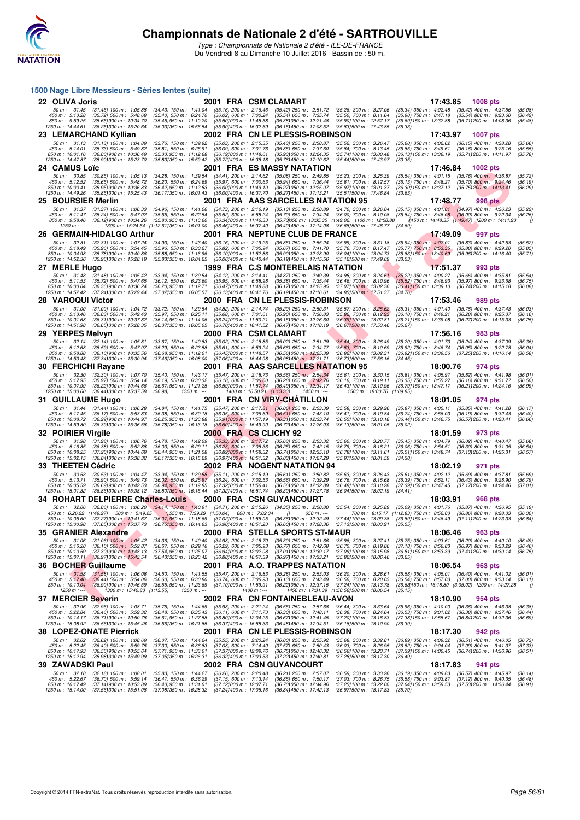

|                                      |                                                                                                                                                                                                                                   | 1500 Nage Libre Messieurs - Séries lentes (suite)                             |                                                                 |                            |                                                              |                                                                                                                                                 |                                                                 |          |                                                                                                        |                       |
|--------------------------------------|-----------------------------------------------------------------------------------------------------------------------------------------------------------------------------------------------------------------------------------|-------------------------------------------------------------------------------|-----------------------------------------------------------------|----------------------------|--------------------------------------------------------------|-------------------------------------------------------------------------------------------------------------------------------------------------|-----------------------------------------------------------------|----------|--------------------------------------------------------------------------------------------------------|-----------------------|
| 22 OLIVA Joris                       |                                                                                                                                                                                                                                   |                                                                               | 2001 FRA CSM CLAMART                                            |                            |                                                              |                                                                                                                                                 |                                                                 | 17:43.85 | <b>1008 pts</b>                                                                                        |                       |
| 50 m : 31.45<br>450 m: 5:13.28       | $(31.45)$ 100 m : 1:05.88<br>$(35.72)$ 500 m : 5:48.68                                                                                                                                                                            | $(34.43)$ 150 m : 1:41.04<br>(35.40) 550 m : 6:24.70                          | $(35.16)$ 200 m : 2:16.46<br>$(36.02)$ 600 m : 7:00.24          |                            | $(35.42)$ 250 m : 2:51.72<br>$(35.54)$ 650 m : 7:35.74       | $(35.26)$ 300 m : 3:27.06<br>$(35.50)$ 700 m : 8:11.64                                                                                          |                                                                 |          | (35.34) 350 m : 4:02.48 (35.42) 400 m : 4:37.56<br>(35.90) 750 m : 8:47.18 (35.54) 800 m : 9:23.60     | (35.08)<br>(36.42)    |
| 850 m : 9:59.25<br>1250 m: 14:44.61  | (35.65) 900 m : 10:34.70<br>(36.25) 300 m : 15:20.64                                                                                                                                                                              | $(35.45)$ 950 m : 11:10.20                                                    | (35.50) 000 m: 11:45.58                                         |                            | (35.381050 m: 12:21.48)                                      | (35.90) 100 m : 12:57.17                                                                                                                        | (35.33)                                                         |          | (35.69) 150 m : 13:32.88 (35.71) 200 m : 14:08.36                                                      | (35.48)               |
|                                      | 23 LEMARCHAND Kyllian                                                                                                                                                                                                             | (36.03) 350 m : 15:56.54                                                      | (35.90) 400 m : 16:32.69                                        |                            | (36.15) 450 m : 17:08.52<br>2002 FRA CN LE PLESSIS-ROBINSON  | (35.83) 500 m : 17:43.85                                                                                                                        |                                                                 | 17:43.97 | <b>1007 pts</b>                                                                                        |                       |
| 50 m: 31.13                          | $(31.13)$ 100 m : 1:04.89                                                                                                                                                                                                         | (33.76) 150 m : 1:39.92                                                       | $(35.03)$ 200 m : 2:15.35                                       |                            | $(35.43)$ 250 m : 2:50.87                                    | (35.52) 300 m : 3:26.47                                                                                                                         | $(35.60)$ 350 m : 4:02.62                                       |          | $(36.15)$ 400 m : 4:38.28                                                                              | (35.66)               |
| 450 m : 5:14.01<br>850 m : 10:01.16  | (35.73) 500 m : 5:49.82<br>$(36.00)$ 900 m : 10:36.49                                                                                                                                                                             | $(35.81)$ 550 m : 6:25.91<br>(35.33) 950 m : 11:12.68                         | $(36.09)$ 600 m : 7:01.76<br>$(36.19)000 \text{ m}$ : 11:48.61  |                            | $(35.85)$ 650 m : 7:37.60<br>(35.931050 m: 12:24.35          | $(35.84)$ 700 m : 8:13.45<br>(35.741100 m: 13:00.48)                                                                                            | $(35.85)$ 750 m : $8.49.61$                                     |          | $(36.16)$ 800 m : 9:25.16<br>(36.13) 150 m: 13:36.19 (35.71) 200 m: 14:11.97                           | (35.55)<br>(35.78)    |
| 1250 m : 14:47.87                    | (35.90) 300 m : 15:23.70                                                                                                                                                                                                          | (35.83) 350 m : 15:59.42                                                      | (35.72) 400 m : 16:35.18                                        |                            | (35.76) 450 m : 17:10.62                                     | (35.441500 m: 17:43.97                                                                                                                          | (33.35)                                                         |          |                                                                                                        |                       |
| 24 CAMUS Loïc                        |                                                                                                                                                                                                                                   |                                                                               |                                                                 |                            | 2001 FRA ES MASSY NATATION                                   |                                                                                                                                                 |                                                                 | 17:46.84 | <b>1002 pts</b>                                                                                        |                       |
| 50 m: 30.85<br>450 m : 5:12.52       | $(30.85)$ 100 m : 1:05.13<br>$(35.65)$ 500 m : 5:48.72                                                                                                                                                                            | $(34.28)$ 150 m : 1:39.54<br>$(36.20)$ 550 m : 6:24.69                        | $(34.41)$ 200 m : 2:14.62<br>$(35.97)$ 600 m : 7:00.63          |                            | $(35.08)$ 250 m : 2:49.85<br>$(35.94)$ 650 m : 7:36.44       | $(35.23)$ 300 m : 3:25.39<br>$(35.81)$ 700 m : 8:12.57                                                                                          | $(36.13)$ 750 m : 8:48.27                                       |          | (35.54) 350 m : 4:01.15 (35.76) 400 m : 4:36.87<br>$(35.70)$ 800 m : 9:24.46                           | (35.72)<br>(36.19)    |
| 850 m : 10:00.41<br>1250 m: 14:49.26 | (35.95) 900 m : 10:36.83<br>(35.85) 300 m : 15:25.43                                                                                                                                                                              | $(36.42)$ 950 m : 11:12.83<br>(36.171350 m : 16.01.43)                        | (36.001000 m: 11:49.10<br>(36.00) 400 m : 16:37.70              |                            | (36.27) 050 m : 12:25.07<br>(36.27) 450 m : 17:13.21         | (35.97) 100 m : 13:01.37<br>(35.511500 m: 17:46.84                                                                                              | (33.63)                                                         |          | (36.30) 150 m: 13:37.12 (35.75) 200 m: 14:13.41                                                        | (36.29)               |
| 25 BOURSIER Merlin                   |                                                                                                                                                                                                                                   |                                                                               |                                                                 |                            | 2001 FRA AAS SARCELLES NATATION 95                           |                                                                                                                                                 |                                                                 | 17:48.77 | <b>998 pts</b>                                                                                         |                       |
| 50 m : 31.37                         | $(31.37)$ 100 m : 1:06.33                                                                                                                                                                                                         | $(34.96)$ 150 m : 1:41.06<br>$(35.55)$ 550 m : 6:22.54                        | $(34.73)$ 200 m : 2:16.19                                       |                            | $(35.13)$ 250 m : 2:50.89<br>$(35.70)$ 650 m : 7:34.24       | (34.70) 300 m : 3:26.04                                                                                                                         |                                                                 |          | $(35.15)$ 350 m : 4:01.01 $(34.97)$ 400 m : 4:36.23                                                    | (35.22)               |
| 450 m : 5:11.47<br>850 m : 9:58.46   | $(35.24)$ 500 m : 5:47.02<br>$(36.12)$ 900 m : 10:34.26                                                                                                                                                                           | $(35.80)$ 950 m : 11:10.60                                                    | $(35.52)$ 600 m : 6:58.24<br>(36.341000 m: 11:46.33)            |                            |                                                              | $(36.00)$ 700 m : $8:10.08$<br>(35.73)050 m: 13:35.35 (1:49.02) 1100 m: 12:58.88                                                                |                                                                 |          | $(35.84)$ 750 m : $8.46.08$ $(36.00)$ 800 m : 9:22.34<br>(150 m : 14:48.35 (1:49.47) 1200 m : 14:11.93 | (36.26)<br>$\sqrt{ }$ |
| $1250 m : -$                         |                                                                                                                                                                                                                                   | 1300 m: 15:24.54 (1:12.611350 m: 16:01.00                                     | (36.46) 400 m : 16:37.40                                        |                            | (36.40) 450 m : 17:14.08                                     | (36.68) 500 m : 17:48.77                                                                                                                        | (34.69)                                                         |          |                                                                                                        |                       |
| 50 m: 32.31                          | 26 GERMAIN-HIDALGO Arthur<br>(32.31) 100 m : 1:07.24                                                                                                                                                                              | $(34.93)$ 150 m : 1:43.40                                                     | $(36.16)$ 200 m : 2:19.25                                       |                            | 2001 FRA NEPTUNE CLUB DE FRANCE<br>$(35.85)$ 250 m : 2:55.24 | $(35.99)$ 300 m : 3:31.18                                                                                                                       | $(35.94)$ 350 m : 4:07.01                                       | 17:49.09 | 997 pts<br>$(35.83)$ 400 m : 4:42.53                                                                   | (35.52)               |
| 450 m : 5:18.49<br>850 m : 10:04.98  | $(35.96)$ 500 m : 5:54.45<br>$(35.78)900 \text{ m}$ : 10:40.86                                                                                                                                                                    | $(35.96)$ 550 m : 6:30.27<br>$(35.88)$ 950 m : 11:16.96                       | $(35.82)$ 600 m : 7:05.94<br>$(36.101000 \text{ m} : 11.52.86)$ |                            | $(35.67)$ 650 m : 7:41.70<br>(35.901050 m: 12:28.90          | $(35.76)$ 700 m : 8:17.47<br>(36.041100 m: 13:04.73)                                                                                            | $(35.77)$ 750 m : 8:53.35                                       |          | $(35.88)$ 800 m : 9:29.20<br>(35.83) 150 m : 13:40.69 (35.96) 200 m : 14:16.40                         | (35.85)<br>(35.71)    |
| 1250 m : 14:52.36                    | (35.96) 300 m : 15:28.19                                                                                                                                                                                                          | (35.83) 350 m : 16:04.25                                                      | (36.06) 400 m : 16:40.44                                        |                            | (36.19) 450 m : 17:15.56                                     | (35.12) 500 m : 17:49.09                                                                                                                        | (33.53)                                                         |          |                                                                                                        |                       |
| 27 MERLE Hugo                        |                                                                                                                                                                                                                                   |                                                                               |                                                                 |                            | 1999 FRA C.S MONTERELAIS NATATION                            |                                                                                                                                                 |                                                                 | 17:51.37 | 993 pts                                                                                                |                       |
| 50 m: 31.48<br>450 m : 5:11.53       | $(31.48)$ 100 m : 1:05.42<br>$(35.72)$ 500 m : 5:47.65                                                                                                                                                                            | $(33.94)$ 150 m : 1:39.54<br>$(36.12)$ 550 m : 6:23.60                        | $(34.12)$ 200 m : 2:14.41<br>$(35.95)$ 600 m : 6:58.98          |                            | $(34.87)$ 250 m : 2:49.39<br>$(35.38)$ 650 m : 7:35.44       | $(34.98)$ 300 m : 3:24.61<br>$(36.46)$ 700 m : 8:10.96                                                                                          |                                                                 |          | $(35.22)$ 350 m : 4:00.27 $(35.66)$ 400 m : 4:35.81<br>(35.52) 750 m : 8:46.93 (35.97) 800 m : 9:23.68 | (35.54)<br>(36.75)    |
| 850 m : 10:00.04<br>1250 m: 14:52.42 | (36.36) 900 m : 10:36.24<br>(37.241300 m: 15:29.44)                                                                                                                                                                               | $(36.20)$ 950 m : 11:12.71<br>(37.021350 m: 16:05.57                          | (36.47) 000 m : 11:48.88<br>$(36.13)400 \text{ m}$ : 16:41.76   |                            | $(36.17)050 \text{ m}$ : 12:25.95<br>(36.191450 m: 17:16.61  | (37.07) 100 m : 13:02.36<br>(34.85) 500 m : 17:51.37                                                                                            | (34.76)                                                         |          | (36.41) 150 m : 13:39.10 (36.74) 200 m : 14:15.18                                                      | (36.08)               |
| <b>28 VAROQUI Victor</b>             |                                                                                                                                                                                                                                   |                                                                               |                                                                 |                            | 2000 FRA CN LE PLESSIS-ROBINSON                              |                                                                                                                                                 |                                                                 | 17:53.46 | <b>989 pts</b>                                                                                         |                       |
| 50 m: 31.00                          | $(31.00)$ 100 m : 1:04.72                                                                                                                                                                                                         | (33.72) 150 m : 1:39.54                                                       | $(34.82)$ 200 m : 2:14.74                                       |                            | $(35.20)$ 250 m : 2:50.31                                    | $(35.57)$ 300 m : 3:25.62                                                                                                                       | $(35.31)$ 350 m : 4:01.40                                       |          | $(35.78)$ 400 m : 4:37.43                                                                              | (36.03)               |
| 450 m: 5:13.46<br>850 m: 10:01.68    | $(36.03)$ 500 m : 5:49.43<br>(36.31) 900 m : 10:37.82                                                                                                                                                                             | $(35.97)$ 550 m : 6:25.11<br>(36.14) 950 m : 11:14.06                         | $(35.68)$ 600 m : 7:01.01<br>(36.241000 m: 11.50.21             |                            | $(35.90)$ 650 m : 7:36.83<br>(36.15) 050 m : 12:26.60        | $(35.82)$ 700 m : 8:12.93<br>(36.39) 100 m : 13:02.81                                                                                           | $(36.10)$ 750 m : 8:49.21<br>$(36.211150 \text{ m} : 13.39.08)$ |          | $(36.28)$ 800 m : 9:25.37<br>(36.271200 m : 14:15.33                                                   | (36.16)<br>(36.25)    |
| 1250 m: 14:51.98                     | (36.65) 300 m : 15:28.35                                                                                                                                                                                                          | (36.37) 350 m : 16:05.05                                                      | (36.70) 400 m : 16:41.52<br>2000 FRA CSM CLAMART                |                            | (36.47) 450 m : 17:18.19                                     | $(36.67)500 \text{ m}$ : 17:53.46                                                                                                               | (35.27)                                                         |          |                                                                                                        |                       |
| 29 YERPES Melvyn<br>50 m: 32.14      | $(32.14)$ 100 m : 1:05.81                                                                                                                                                                                                         | $(33.67)$ 150 m : 1:40.83                                                     | $(35.02)$ 200 m : 2:15.85                                       |                            | $(35.02)$ 250 m : 2:51.29                                    | $(35.44)$ 300 m : 3:26.49                                                                                                                       | $(35.20)$ 350 m : 4:01.73                                       | 17:56.16 | 983 pts<br>$(35.24)$ 400 m : 4:37.09                                                                   | (35.36)               |
| 450 m : 5:12.68<br>850 m : 9:58.88   | (35.59) 500 m: 5:47.97<br>$(36.10)$ 900 m : 10:35.56                                                                                                                                                                              | $(35.29)$ 550 m : 6:23.58<br>$(36.68)$ 950 m : 11:12.01                       | $(35.61)$ 600 m : 6.59.24<br>(36.451000 m: 11:48.57)            |                            | $(35.66)$ 650 m : 7:34.77<br>(36.56) 050 m : 12:25.39        | $(35.53)$ 700 m : 8:10.69<br>(36.82) 100 m : 13:02.31                                                                                           | $(35.92)$ 750 m : 8:46.74<br>(36.92) 150 m : 13:39.56           |          | $(36.05)$ 800 m : 9:22.78                                                                              | (36.04)<br>(36.58)    |
| 1250 m : 14:53.48                    | (37.341300 m: 15:30.94                                                                                                                                                                                                            | (37.46)350 m : 16:08.00                                                       | $(37.06)400 \text{ m}$ : 16:44.98                               |                            | $(36.98)450 \text{ m}$ : 17:21.71                            | $(36.73)500 \text{ m}$ : 17:56.16                                                                                                               | (34.45)                                                         |          | (37.25) 200 m : 14:16.14                                                                               |                       |
| 30 FERCHICHI Rayane                  |                                                                                                                                                                                                                                   |                                                                               |                                                                 |                            | 2001 FRA AAS SARCELLES NATATION 95                           |                                                                                                                                                 |                                                                 | 18:00.76 | 974 pts                                                                                                |                       |
| 50 m: 32.30<br>450 m : 5:17.95       | $(32.30)$ 100 m : 1:07.70<br>(35.97) 500 m : 5:54.14                                                                                                                                                                              | (35.40) 150 m: 1:43.17 (35.47) 200 m: 2:18.73<br>$(36.19)$ 550 m : 6:30.32    | $(36.18)$ 600 m : 7:06.60                                       |                            | $(35.56)$ 250 m : 2:54.34<br>$(36.28)$ 650 m : 7:42.76       | $(35.61)$ 300 m : 3:30.15<br>$(36.16)$ 700 m : 8:19.11                                                                                          |                                                                 |          | (35.81) 350 m : 4:05.97 (35.82) 400 m : 4:41.98<br>(36.35) 750 m : 8:55.27 (36.16) 800 m : 9:31.77     | (36.01)<br>(36.50)    |
| 850 m : 10:07.99                     |                                                                                                                                                                                                                                   |                                                                               |                                                                 |                            |                                                              |                                                                                                                                                 |                                                                 |          |                                                                                                        |                       |
|                                      | (36.22) 900 m : 10:44.66                                                                                                                                                                                                          | $(36.67)$ 950 m : 11:21.25                                                    | (36.59) 000 m : 11:57.74                                        |                            | (36.49) 050 m : 12:34.17                                     | (36.43) 100 m : 13:10.96                                                                                                                        |                                                                 |          | (36.79) 150 m : 13:47.17 (36.21) 200 m : 14:24.16                                                      | (36.99)               |
| 1250 m: 15:00.60                     | (36.44) 300 m : 15:37.58                                                                                                                                                                                                          | (36.98)<br>1350 m : ---                                                       |                                                                 | 1400 m: 16:50.91 (1:13.33) | 1450 m : ---                                                 | 1500 m: 18:00.76 (1:09.85)                                                                                                                      |                                                                 |          |                                                                                                        |                       |
| 31 GUILLAUME Hugo<br>50 m : 31.44    | $(31.44)$ 100 m : 1:06.28                                                                                                                                                                                                         | $(34.84)$ 150 m : 1:41.75                                                     | $(35.47)$ 200 m : 2:17.81                                       |                            | 2001 FRA CN VIRY-CHATILLON<br>$(36.06)$ 250 m : 2:53.39      | $(35.58)$ 300 m : 3:29.26                                                                                                                       | $(35.87)$ 350 m : 4:05.11                                       | 18:01.05 | 974 pts<br>$(35.85)$ 400 m : 4:41.28                                                                   | (36.17)               |
| 450 m: 5:17.45<br>850 m: 10:08.72    | $(36.17)$ 500 m : 5:53.83<br>(36.29) 900 m : 10:44.97                                                                                                                                                                             | $(36.38)$ 550 m : 6:30.18<br>(36.25) 950 m : 11:20.88                         | $(36.35)$ 600 m : 7:06.69<br>(35.911000 m: 11:57.19             |                            | $(36.51)$ 650 m : 7:43.10<br>(36.311050 m: 12:33.74)         | $(36.41)$ 700 m : 8:19.84<br>(36.55) 100 m : 13:10.18                                                                                           | $(36.74)$ 750 m : 8:56.03<br>(36.44) 150 m : 13:46.75           |          | $(36.19)$ 800 m : 9:32.43<br>(36.57) 200 m : 14:23.41                                                  | (36.40)<br>(36.66)    |
| 1250 m: 14:59.80                     | (36.39) 300 m : 15:36.58                                                                                                                                                                                                          | (36.78) 350 m : 16:13.18                                                      | (36.60) 400 m : 16:49.90                                        |                            | (36.72) 450 m : 17:26.03                                     | (36.131500 m: 18:01.05                                                                                                                          | (35.02)                                                         |          |                                                                                                        |                       |
| 32 POIRIER Virgile                   |                                                                                                                                                                                                                                   |                                                                               | 2000 FRA CS CLICHY 92                                           |                            |                                                              |                                                                                                                                                 |                                                                 | 18:01.59 | 973 pts                                                                                                |                       |
| 50 m: 31.98<br>450 m : 5:16.85       | $(31.98)$ 100 m : 1:06.76<br>$(36.38)$ 500 m : 5:52.88                                                                                                                                                                            | $(34.78)$ 150 m : 1:42.09<br>$(36.03)$ 550 m : 6:29.11                        | $(35.33)$ 200 m : 2:17.72<br>$(36.23)$ 600 m : 7:05.36          |                            | $(35.63)$ 250 m : 2:53.32<br>$(36.25)$ 650 m : 7:42.15       | $(35.60)$ 300 m : 3:28.77<br>$(36.79)$ 700 m : 8:18.21                                                                                          | $(36.06)$ 750 m : 8:54.51                                       |          | (35.45) 350 m: 4:04.79 (36.02) 400 m: 4:40.47<br>$(36.30)$ 800 m : 9:31.05                             | (35.68)<br>(36.54)    |
| 850 m: 10:08.25<br>1250 m : 15:02.15 | (37.20) 900 m : 10:44.69<br>(36.84) 300 m : 15:38.32                                                                                                                                                                              | (36.44) 950 m: 11:21.58<br>(36.171350 m : 16:15.29                            | (36.891000 m: 11:58.32)<br>$(36.97)400 \text{ m}$ : 16:51.32    |                            | (36.741050 m: 12:35.10)<br>(36.03) 450 m : 17:27.29          | (36.781100 m: 13:11.61<br>(35.97) 500 m : 18:01.59                                                                                              | (34.30)                                                         |          | (36.51) 150 m : 13:48.74 (37.13) 200 m : 14:25.31                                                      | (36.57)               |
| 33 THEETEN Cédric                    |                                                                                                                                                                                                                                   |                                                                               |                                                                 |                            | 2002 FRA NOGENT NATATION 94                                  |                                                                                                                                                 |                                                                 | 18:02.19 | 971 pts                                                                                                |                       |
| 50 m: 30.53                          | $(30.53)$ 100 m : 1:04.47                                                                                                                                                                                                         | $(33.94)$ 150 m : 1:39.58                                                     | $(35.11)$ 200 m : 2:15.19                                       |                            | $(35.61)$ 250 m : 2:50.82                                    | $(35.63)$ 300 m : 3:26.43                                                                                                                       |                                                                 |          | (35.61) 350 m : 4:02.12 (35.69) 400 m : 4:37.81                                                        | (35.69)               |
| 450 m: 5:13.71<br>850 m : 10:05.59   | $(35.90)$ 500 m : 5:49.73<br>$(36.69)$ 900 m : 10:42.53                                                                                                                                                                           | $(36.02)$ 550 m : 6:25.97<br>$(36.94)$ 950 m : 11:19.85                       | $(36.24)$ 600 m : 7:02.53<br>(37.32) 000 m: 11:56.41            |                            | $(36.56)$ 650 m : 7:39.29<br>(36.56) 050 m : 12:32.89        | $(36.76)$ 700 m : 8:15.68<br>$(36.48)100 \text{ m}$ : 13:10.28                                                                                  |                                                                 |          | (36.39) 750 m : 8:52.11 (36.43) 800 m : 9:28.90<br>(37.39) 150 m : 13:47.45 (37.17) 200 m : 14:24.46   | (36.79)<br>(37.01)    |
| 1250 m : 15:01.32                    | (36.86) 300 m : 15:38.12<br>34 ROHART DELPIERRE Charles-Louis                                                                                                                                                                     | (36.801350 m : 16:15.44                                                       | (37.321400 m: 16:51.74                                          |                            | (36.30) 450 m : 17:27.78<br>2000 FRA CSN GUYANCOURT          | (36.041500 m : 18:02.19                                                                                                                         | (34.41)                                                         | 18:03.91 | 968 pts                                                                                                |                       |
| 50 m: 32.06                          |                                                                                                                                                                                                                                   |                                                                               |                                                                 |                            |                                                              | (32.06) 100 m : 1:06.20 (34.14) 150 m : 1:40.91 (34.71) 200 m : 2:15.26 (34.35) 250 m : 2:50.80 (35.54) 300 m : 3:25.89 (35.09) 350 m : 4:01.76 |                                                                 |          | $(35.87)$ 400 m : 4:36.95                                                                              | (35.19)               |
|                                      | 450 m : 6:26.22 (1:49.27) 500 m : 5:49.25 (150 m : 7:39.29 (1:50.04) 600 m : 7:02.34                                                                                                                                              |                                                                               |                                                                 |                            | $(1)$ 650 m : ---                                            | 700 m : 8:15.17 (1:12.83) 750 m : 8:52.03                                                                                                       |                                                                 |          | $(36.86)$ 800 m : 9:28.33                                                                              | (36.30)<br>(36.84)    |
|                                      | 850 m : 10:05.60    (37.27)900 m : 10:41.67    (36.07)950 m : 11:18.69    (37.02)1000 m : 11:55.05    (36.36)1050 m : 12:32.49    (37.441100 m : 13:09.38    (36.891150 m : 13:46.49     (37.111200 m : 14:23.33<br>1250 m : 15:0 |                                                                               |                                                                 |                            |                                                              |                                                                                                                                                 |                                                                 |          |                                                                                                        |                       |
| 35 GRANIER Alexandre                 |                                                                                                                                                                                                                                   |                                                                               |                                                                 |                            | 2000 FRA STELLA SPORTS ST-MAUR                               |                                                                                                                                                 |                                                                 | 18:06.46 | 963 pts                                                                                                |                       |
| 450 m : 5:16.20                      | 50 m: 31.06 (31.06) 100 m: 1:05.42<br>$(36.10)$ 500 m : 5:52.87                                                                                                                                                                   | (34.36) 150 m : 1:40.40 (34.98) 200 m : 2:15.70<br>$(36.67)$ 550 m : 6:29.16  | $(36.29)$ 600 m : 7:05.93                                       |                            | $(35.30)$ 250 m : 2:51.66<br>$(36.77)$ 650 m : 7:42.68       | $(35.96)$ 300 m : 3:27.41<br>$(36.75)$ 700 m : 8:19.86                                                                                          | $(37.18)$ 750 m : 8:56.83                                       |          | (35.75) 350 m: 4:03.61 (36.20) 400 m: 4:40.10<br>$(36.97)$ 800 m : 9:33.29                             | (36.49)<br>(36.46)    |
| 850 m: 10:10.59                      | $(37.30)$ 900 m : 10:48.13<br>1250 m: 15:07.11 (36.971300 m: 15:43.54)                                                                                                                                                            | (37.54) 950 m : 11:25.07<br>(36.43) 350 m : 16:20.42 (36.88) 400 m : 16:57.39 | (36.94) 000 m: 12:02.08                                         |                            | (37.01)050 m : 12.39.17<br>(36.971450 m : 17:33.21           | (37.09) 100 m : 13:15.98<br>(35.82) 500 m : 18:06.46                                                                                            | (33.25)                                                         |          | (36.81) 150 m: 13:53.39 (37.41) 200 m: 14:30.14                                                        | (36.75)               |
| 36 BOCHER Guillaume                  |                                                                                                                                                                                                                                   |                                                                               |                                                                 |                            | 2001 FRA A.O. TRAPPES NATATION                               |                                                                                                                                                 |                                                                 | 18:06.54 | 963 pts                                                                                                |                       |
| 50 m: 31.58                          | $(31.58)$ 100 m : 1:06.08                                                                                                                                                                                                         | (34.50) 150 m : 1:41.55                                                       | $(35.47)$ 200 m : 2:16.83                                       |                            | $(35.28)$ 250 m : 2:53.03                                    | $(36.20)$ 300 m : 3:28.61                                                                                                                       |                                                                 |          | (35.58) 350 m : 4:05.01 (36.40) 400 m : 4:41.02 (36.01)                                                |                       |
|                                      | 450 m : 5:17.46 (36.44) 500 m : 5:54.06<br>850 m : 10:10.04 (36.90) 900 m : 10:46.59                                                                                                                                              | $(36.60)$ 550 m : 6:30.80<br>$(36.55)$ 950 m : 11:23.69                       | $(36.74)$ 600 m : 7:06.93<br>(37.101000 m: 11:59.91             |                            | $(36.13)$ 650 m : 7:43.49                                    | $(36.56)$ 700 m : 8:20.03<br>(36.22) 050 m: 12:37.15 (37.24) 100 m: 13:13.78                                                                    |                                                                 |          | (36.54) 750 m : 8:57.03 (37.00) 800 m : 9:33.14<br>(36.63)150 m: 16:18.80 (3:05.02) 1200 m: 14:27.28   | (36.11)<br>$\theta$   |
| $1250 m : -$                         | 1300 m: 15:40.83 (1:13.55)                                                                                                                                                                                                        | 1350 m : ---                                                                  |                                                                 | 1400 m : ---               |                                                              | 1450 m: 17:31.39 (1:50.56) 500 m: 18:06.54                                                                                                      | (35.15)                                                         |          |                                                                                                        |                       |
| 37 MERCIER Severin<br>50 m: 32.96    | $(32.96)$ 100 m : 1:08.71                                                                                                                                                                                                         | $(35.75)$ 150 m : 1:44.69                                                     | $(35.98)$ 200 m : 2:21.24                                       |                            | 2002 FRA CN FONTAINEBLEAU-AVON<br>$(36.55)$ 250 m : 2:57.68  | $(36.44)$ 300 m : 3:33.64                                                                                                                       |                                                                 | 18:10.90 | 954 pts<br>(35.96) 350 m : 4:10.00 (36.36) 400 m : 4:46.38                                             | (36.38)               |
| 450 m : 5:22.84<br>850 m : 10:14.17  | $(36.46)$ 500 m : 5:59.32<br>$(36.71)$ 900 m : 10:50.78                                                                                                                                                                           | $(36.48)$ 550 m : 6:35.43<br>(36.61) 950 m : 11:27.58                         | $(36.11)$ 600 m : 7:11.73<br>(36.80) 000 m : 12:04.25           |                            | $(36.30)$ 650 m : 7:48.11<br>(36.67) 050 m : 12:41.45        | $(36.38)$ 700 m : 8:24.64<br>(37.20) 100 m : 13:18.83                                                                                           | $(36.53)$ 750 m : $9:01.02$<br>(37.38) 150 m : 13:55.67         |          | $(36.38)$ 800 m : 9:37.46<br>(36.84) 200 m : 14:32.36                                                  | (36.44)<br>(36.69)    |
| 1250 m: 15:08.92                     | (36.56) 300 m : 15:45.48                                                                                                                                                                                                          | (36.56) 350 m : 16:21.85                                                      | (36.37) 400 m : 16.58.33                                        |                            | (36.48) 450 m : 17:34.51                                     | (36.181500 m: 18:10.90                                                                                                                          | (36.39)                                                         |          |                                                                                                        |                       |
|                                      | <b>38 LOPEZ-ONATE Pierrick</b>                                                                                                                                                                                                    |                                                                               |                                                                 |                            | 2001 FRA CN LE PLESSIS-ROBINSON                              |                                                                                                                                                 |                                                                 | 18:17.30 | 942 pts                                                                                                |                       |
| 50 m: 32.62<br>450 m : 5:22.45       | $(32.62)$ 100 m : 1:08.69<br>$(36.40)$ 500 m : 5:59.75                                                                                                                                                                            | $(36.07)$ 150 m : 1:44.24<br>$(37.30)$ 550 m : 6:36.83                        | $(35.55)$ 200 m : 2:20.24<br>$(37.08)$ 600 m : 7:14.40          |                            | $(36.00)$ 250 m : 2:55.92<br>$(37.57)$ 650 m : 7:50.43       | $(35.68)$ 300 m : 3:32.81<br>$(36.03)$ 700 m : 8:26.95                                                                                          | $(36.52)$ 750 m : 9:04.04                                       |          | $(36.89)$ 350 m : 4:09.32 $(36.51)$ 400 m : 4:46.05<br>$(37.09)$ 800 m : 9:41.37                       | (36.73)<br>(37.33)    |
| 850 m: 10:17.93<br>1250 m : 15:12.94 | (36.56) 900 m : 10:55.64<br>(35.98) 300 m : 15:49.99                                                                                                                                                                              | (37.71) 950 m : 11:33.01<br>(37.05) 350 m : 16:26.31                          | (37.37) 000 m : 12:09.76<br>(36.32) 400 m : 17:03.53            |                            | (36.75) 050 m : 12:46.32<br>(37.22) 450 m : 17:40.81         | (36.56) 100 m : 13:23.71<br>(37.28) 500 m : 18:17.30                                                                                            | (36.49)                                                         |          | (37.39) 150 m : 14:00.45 (36.74) 200 m : 14:36.96                                                      | (36.51)               |
| 39 ZAWADSKI Paul                     |                                                                                                                                                                                                                                   |                                                                               |                                                                 |                            | 2002 FRA CSN GUYANCOURT                                      |                                                                                                                                                 |                                                                 | 18:17.83 | 941 pts                                                                                                |                       |
| 50 m: 32.18<br>450 m : 5:22.67       | $(32.18)$ 100 m : 1:08.01<br>$(36.70)$ 500 m : 5:59.14                                                                                                                                                                            | $(35.83)$ 150 m : 1:44.27<br>(36.47) 550 m : 6:36.29                          | $(36.26)$ 200 m : 2:20.48<br>$(37.15)$ 600 m : 7:13.14          |                            | $(36.21)$ 250 m : 2:57.07<br>$(36.85)$ 650 m : 7:50.17       | $(36.59)$ 300 m : 3:33.26<br>$(37.03)$ 700 m : 8:26.75                                                                                          | $(36.19)$ 350 m : 4:09.83<br>$(36.58)$ 750 m : $9:03.87$        |          | $(36.57)$ 400 m : 4:45.97<br>$(37.12)$ 800 m : 9:40.35                                                 | (36.14)<br>(36.48)    |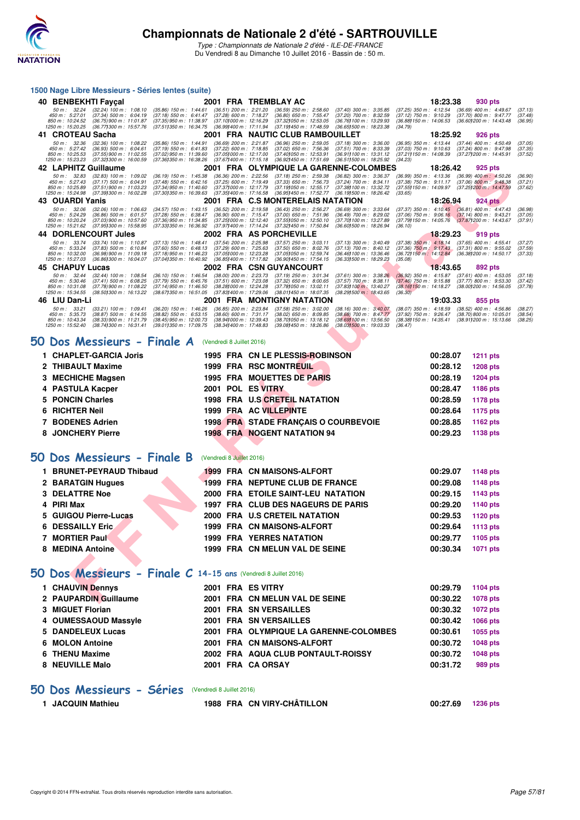

Type : Championnats de Nationale 2 d'été - ILE-DE-FRANCE Du Vendredi 8 au Dimanche 10 Juillet 2016 - Bassin de : 50 m.

#### **1500 Nage Libre Messieurs - Séries lentes (suite)**

|              | 40 BENBEKHTI Fayçal                                                                                                                                                                                                                                                                                         |                           | 2001 FRA TREMBLAY AC                                                                                                                                                                                                             |                                                                                                                | 18:23.38                                                                                                                                                         | 930 pts                                                                            |                               |
|--------------|-------------------------------------------------------------------------------------------------------------------------------------------------------------------------------------------------------------------------------------------------------------------------------------------------------------|---------------------------|----------------------------------------------------------------------------------------------------------------------------------------------------------------------------------------------------------------------------------|----------------------------------------------------------------------------------------------------------------|------------------------------------------------------------------------------------------------------------------------------------------------------------------|------------------------------------------------------------------------------------|-------------------------------|
|              | $(32.24)$ 100 m : 1:08.10<br>50 m : 32.24<br>$(35.86)$ 150 m : 1:44.61<br>450 m : 5:27.01<br>(37.34) 500 m : 6.04.19<br>(37.18) 550 m : 6.41.47<br>850 m : 10:24.52<br>$(36.75)$ 900 m : 11:01.87<br>(37.35) 950 m : 11:38.97<br>1250 m: 15:20.25<br>(36.77) 300 m : 15:57.76<br>(37.511350 m: 16:34.75     |                           | $(36.51)$ 200 m : 2:21.20<br>$(36.59)$ 250 m : 2:58.60<br>$(37.28)$ 600 m : 7:18.27<br>$(36.80)$ 650 m : 7:55.47<br>(37.10) 000 m: 12:16.29<br>(37.32) 050 m: 12:53.05<br>(36.99) 400 m : 17:11.94<br>(37.19) 450 m : 17:48.59   | $(37.40)$ 300 m : 3:35.85<br>$(37.20)$ 700 m : 8:32.59<br>(36.76) 100 m : 13:29.93<br>(36.65) 500 m : 18:23.38 | $(37.25)$ 350 m : 4:12.54<br>$(37.12)$ 750 m : 9:10.29<br>(36.88) 150 m : 14:06.53<br>(34.79)                                                                    | $(36.69)$ 400 m : 4:49.67<br>$(37.70)$ 800 m : 9:47.77<br>(36.60) 200 m : 14:43.48 | (37.13)<br>(37.48)<br>(36.95) |
|              | 41 CROTEAU Sacha                                                                                                                                                                                                                                                                                            |                           | 2001 FRA NAUTIC CLUB RAMBOUILLET                                                                                                                                                                                                 |                                                                                                                | 18:25.92                                                                                                                                                         | 926 pts                                                                            |                               |
|              | 50 m: 32.36<br>$(32.36)$ 100 m : 1:08.22<br>$(35.86)$ 150 m : 1:44.91<br>450 m : 5:27.42<br>$(36.93)$ 500 m : 6:04.61<br>$(37.19)$ 550 m : 6:41.83<br>850 m: 10:25.53<br>$(37.55)$ 900 m : 11:02.55<br>$(37.02)$ 950 m : 11:39.60<br>1250 m: 15:23.23<br>(37.32) 300 m : 16:00.59<br>(37.361350 m: 16:38.26 |                           | $(36.69)$ 200 m : 2:21.87<br>(36.96) 250 m : 2:59.05<br>(37.02) 650 m : 7:56.36<br>$(37.22)$ 600 m : 7:18.85<br>(37.05) 000 m : 12:17.00<br>(37.40) 050 m : 12:53.91<br>(37.671400 m: 17:15.18)<br>(36.92) 450 m : 17:51.69      | $(37.18)$ 300 m : 3:36.00<br>$(37.51)$ 700 m : 8:33.39<br>(36.911100 m: 13:31.12)<br>(36.511500 m: 18:25.92    | $(36.95)$ 350 m : 4:13.44<br>$(37.03)$ 750 m : 9:10.63<br>$(37.21)150 \text{ m}: 14.08.39$<br>(34.23)                                                            | $(37.44)$ 400 m : 4:50.49<br>$(37.24)$ 800 m : 9:47.98<br>(37.27) 200 m : 14:45.91 | (37.05)<br>(37.35)<br>(37.52) |
|              | 42 LAPHITZ Guillaume                                                                                                                                                                                                                                                                                        |                           | 2001 FRA OLYMPIQUE LA GARENNE-COLOMBES                                                                                                                                                                                           |                                                                                                                | 18:26.42                                                                                                                                                         | 925 pts                                                                            |                               |
|              | 50 m: 32.83<br>$(32.83)$ 100 m : 1:09.02<br>$(36.19)$ 150 m : 1:45.38<br>$(37.48)$ 550 m : 6:42.16<br>450 m: 5:27.43<br>(37.17) 500 m : 6.04.91<br>850 m : 10:25.89<br>$(37.51)$ 900 m : 11:03.23<br>(37.34) 950 m: 11:40.60<br>1250 m: 15:24.98<br>(37.39) 300 m : 16:02.28<br>(37.30) 350 m : 16:39.63    |                           | $(36.36)$ 200 m : 2:22.56<br>$(37.18)$ 250 m : 2:59.38<br>(37.25) 600 m : 7:19.49<br>$(37.33)$ 650 m : 7:56.73<br>(37.37) 000 m : 12:17.79<br>(37.19) 050 m : 12:55.17<br>(37.35) 400 m : 17:16.58<br>(36.95) 450 m : 17:52.77   | $(36.82)$ 300 m : 3:36.37<br>$(37.24)$ 700 m : 8:34.11<br>(37.38) 100 m : 13:32.72<br>(36.19) 500 m : 18:26.42 | $(36.99)$ 350 m : 4:13.36<br>$(37.38)$ 750 m : $9.11.17$<br>(37.55) 150 m : 14:09.97<br>(33.65)                                                                  | $(36.99)$ 400 m : 4:50.26<br>$(37.06)$ 800 m : 9:48.38<br>(37.251200 m : 14:47.59  | (36.90)<br>(37.21)<br>(37.62) |
|              | 43 OUARDI Yanis                                                                                                                                                                                                                                                                                             |                           | 2001 FRA C.S MONTERELAIS NATATION                                                                                                                                                                                                |                                                                                                                | 18:26.94                                                                                                                                                         | <b>924 pts</b>                                                                     |                               |
|              | 50 m: 32.06<br>$(32.06)$ 100 m : 1:06.63<br>$(34.57)$ 150 m : 1:43.15<br>450 m: 5:24.29<br>$(36.86)$ 500 m : 6:01.57<br>$(37.28)$ 550 m : 6:38.47<br>850 m: 10:20.24<br>$(37.03)$ 900 m : 10:57.60<br>(37.36) 950 m : 11:34.85<br>1250 m: 15:21.62<br>(37.95) 300 m : 15:58.95<br>(37.33) 350 m : 16:36.92  |                           | (36.52) 200 m : 2:19.58<br>$(36.43)$ 250 m : 2:56.27<br>$(36.90)$ 600 m : 7:15.47<br>$(37.00)$ 650 m : 7:51.96<br>(37.25) 000 m: 12:12.40<br>(37.55) 050 m : 12:50.10<br>(37.97) 400 m : 17:14.24<br>(37.32) 450 m : 17:50.84    | (36.69) 300 m : 3:33.64<br>$(36.49)$ 700 m : 8:29.02<br>(37.701100 m: 13:27.89)<br>(36.601500 m: 18:26.94)     | (37.37) 350 m: 4:10.45 (36.81) 400 m: 4:47.43<br>(37.06) 750 m : 9:06.16 (37.14) 800 m : 9:43.21<br>(37.79) 150 m : 14:05.76 (37.87) 200 m : 14:43.67<br>(36.10) |                                                                                    | (36.98)<br>(37.05)<br>(37.91) |
|              | 44 DORLENCOURT Jules                                                                                                                                                                                                                                                                                        |                           | 2002 FRA AS PORCHEVILLE                                                                                                                                                                                                          |                                                                                                                | 18:29.23                                                                                                                                                         | 919 pts                                                                            |                               |
|              | 50 m: 33.74<br>$(33.74)$ 100 m : 1:10.87<br>$(37.13)$ 150 m : 1:48.41<br>450 m: 5:33.24<br>$(37.60)$ 550 m : 6:48.13<br>$(37.83)$ 500 m : 6:10.84<br>850 m: 10:32.00<br>(36.98) 900 m : 11:09.18<br>$(37.18)$ 950 m : 11:46.23<br>1250 m: 15:27.03<br>(36.861300 m : 16.04.07<br>(37.041350 m : 16:40.92    |                           | $(37.54)$ 200 m : 2:25.98<br>$(37.57)$ 250 m : 3:03.11<br>$(37.29)$ 600 m : 7:25.63<br>$(37.50)$ 650 m : 8:02.76<br>(37.05) 000 m : 12:23.28<br>(37.05) 050 m : 12:59.74<br>(36.851400 m : 17:17.82)<br>(36.901450 m : 17:54.15) | $(37.13)$ 300 m : 3:40.49<br>$(37.13)$ 700 m : 8:40.12<br>(36.46) 100 m : 13:36.46<br>(36.331500 m: 18:29.23)  | $(37.38)$ 350 m : 4:18.14<br>$(37.36)$ 750 m : $9.17.43$ $(37.31)$ 800 m : $9.55.02$<br>(36.72) 150 m : 14:12.84<br>(35.08)                                      | $(37.65)$ 400 m : 4:55.41<br>(36.38) 200 m : 14.50.17                              | (37.27)<br>(37.59)<br>(37.33) |
|              | 45 CHAPUY Lucas<br>50 m : 32.44<br>$(32.44)$ 100 m : 1:08.54<br>$(36.10)$ 150 m : 1:46.54                                                                                                                                                                                                                   |                           | 2002 FRA CSN GUYANCOURT<br>$(38.00)$ 200 m : 2:23.73<br>$(37.19)$ 250 m : 3:01.34                                                                                                                                                | $(37.61)$ 300 m : 3:38.26                                                                                      | 18:43.65<br>$(36.92)$ 350 m : 4:15.87                                                                                                                            | 892 pts<br>$(37.61)$ 400 m : 4:53.05                                               | (37.18)                       |
|              | 450 m: 5:30.46<br>$(37.41)$ 500 m : 6:08.25<br>$(37.79)$ 550 m : 6:45.76<br>850 m: 10:31.08<br>$(37.78)900 \text{ m}$ : 11:08.22<br>$(37.14)$ 950 m : 11:46.50<br>1250 m: 15:34.55<br>(38.50) 300 m : 16:13.22<br>(38.67) 350 m : 16:51.05                                                                  |                           | $(37.51)$ 600 m : 7:23.08<br>$(37.32)$ 650 m : 8:00.65<br>(38.28) 000 m : 12:24.28<br>(37.78) 050 m : 13:02.11<br>(37.83) 400 m : 17:29.06<br>(38.01) 450 m: 18:07.35                                                            | $(37.57)$ 700 m : 8:38.11<br>(37.83) 100 m : 13:40.27<br>(38.29) 500 m : 18:43.65                              | $(37.46)$ 750 m : 9:15.88<br>(38.16) 150 m : 14:18.27<br>(36.30)                                                                                                 | $(37.77)$ 800 m : 9.53.30<br>(38.00) 200 m : 14:56.05                              | (37.42)<br>(37.78)            |
|              | 46 LIU Dan-Li<br>50 m: 33.21<br>$(36.20)$ 150 m : 1:46.26<br>$(33.21)$ 100 m : 1:09.41                                                                                                                                                                                                                      |                           | 2001 FRA MONTIGNY NATATION<br>(36.85) 200 m : 2:23.84<br>$(37.58)$ 250 m : 3:02.00                                                                                                                                               | (38.16) 300 m : 3:40.07                                                                                        | 19:03.33<br>$(38.07)$ 350 m : 4:18.59                                                                                                                            | 855 pts<br>$(38.52)$ 400 m : 4:56.86                                               | (38.27)                       |
|              | 450 m : 5:35.73<br>(38.87) 500 m : 6:14.55<br>$(38.82)$ 550 m : 6:53.15<br>850 m: 10:43.34<br>$(38.33)$ 900 m : 11:21.79<br>$(38.45)$ 950 m : 12:00.73<br>(39.01) 350 m : 17:09.75<br>1250 m: 15:52.40<br>(38.74) 300 m : 16:31.41                                                                          |                           | $(38.60)$ 600 m : 7:31.17<br>$(38.02)$ 650 m : 8:09.85<br>(38.94) 000 m: 12:39.43<br>(38.70) 050 m : 13:18.12<br>(38.341400 m: 17:48.83)<br>(39.08) 450 m : 18:26.86                                                             | $(38.68)$ 700 m : 8:47.77<br>(38.69) 100 m : 13:56.50<br>(38.03) 500 m : 19:03.33                              | $(37.92)$ 750 m : 9:26.47<br>(38.38) 150 m : 14:35.41<br>(36.47)                                                                                                 | (38.70) 800 m : 10:05.01<br>(38.91) 200 m : 15:13.66                               | (38.54)<br>(38.25)            |
|              | 50 Dos Messieurs - Finale A                                                                                                                                                                                                                                                                                 | (Vendredi 8 Juillet 2016) |                                                                                                                                                                                                                                  |                                                                                                                |                                                                                                                                                                  |                                                                                    |                               |
|              |                                                                                                                                                                                                                                                                                                             |                           |                                                                                                                                                                                                                                  |                                                                                                                |                                                                                                                                                                  |                                                                                    |                               |
|              | 1 CHAPLET-GARCIA Joris                                                                                                                                                                                                                                                                                      |                           | 1995 FRA CN LE PLESSIS-ROBINSON                                                                                                                                                                                                  |                                                                                                                | 00:28.07                                                                                                                                                         | <b>1211 pts</b>                                                                    |                               |
| $\mathbf{2}$ | <b>THIBAULT Maxime</b>                                                                                                                                                                                                                                                                                      |                           | <b>1999 FRA RSC MONTREUIL</b>                                                                                                                                                                                                    |                                                                                                                | 00:28.12                                                                                                                                                         | <b>1208 pts</b>                                                                    |                               |
|              | 3 MECHICHE Magsen                                                                                                                                                                                                                                                                                           |                           | 1995 FRA MOUETTES DE PARIS                                                                                                                                                                                                       |                                                                                                                | 00:28.19                                                                                                                                                         | 1204 pts                                                                           |                               |
|              | <b>PASTULA Kacper</b>                                                                                                                                                                                                                                                                                       |                           | 2001 POL ES VITRY                                                                                                                                                                                                                |                                                                                                                | 00:28.47                                                                                                                                                         | 1186 pts                                                                           |                               |
| 5.           | <b>PONCIN Charles</b>                                                                                                                                                                                                                                                                                       |                           | 1998 FRA U.S CRETEIL NATATION                                                                                                                                                                                                    |                                                                                                                | 00:28.59                                                                                                                                                         | 1178 pts                                                                           |                               |
| 6            | <b>RICHTER Neil</b>                                                                                                                                                                                                                                                                                         |                           | 1999 FRA AC VILLEPINTE                                                                                                                                                                                                           |                                                                                                                | 00:28.64                                                                                                                                                         | 1175 pts                                                                           |                               |
| 7            | <b>BODENES Adrien</b>                                                                                                                                                                                                                                                                                       |                           | 1998 FRA STADE FRANÇAIS O COURBEVOIE                                                                                                                                                                                             |                                                                                                                | 00:28.85                                                                                                                                                         | 1162 pts                                                                           |                               |
| 8            | <b>JONCHERY Pierre</b>                                                                                                                                                                                                                                                                                      |                           | <b>1998 FRA NOGENT NATATION 94</b>                                                                                                                                                                                               |                                                                                                                | 00:29.23                                                                                                                                                         | 1138 pts                                                                           |                               |
| 0כ           | Dos Messieurs - Finale B                                                                                                                                                                                                                                                                                    | (Vendredi 8 Juillet 2016) |                                                                                                                                                                                                                                  |                                                                                                                |                                                                                                                                                                  |                                                                                    |                               |
|              | 1 BRUNET-PEYRAUD Thibaud                                                                                                                                                                                                                                                                                    |                           | 1999 FRA CN MAISONS-ALFORT                                                                                                                                                                                                       |                                                                                                                | 00:29.07                                                                                                                                                         | 1148 pts                                                                           |                               |
|              | 2 BARATGIN Hugues                                                                                                                                                                                                                                                                                           |                           | 1999 FRA NEPTUNE CLUB DE FRANCE                                                                                                                                                                                                  |                                                                                                                | 00:29.08                                                                                                                                                         | 1148 pts                                                                           |                               |
|              | <b>3 DELATTRE Noe</b>                                                                                                                                                                                                                                                                                       |                           | 2000 FRA ETOILE SAINT-LEU NATATION                                                                                                                                                                                               |                                                                                                                | 00:29.15                                                                                                                                                         | 1143 pts                                                                           |                               |
| 4            | <b>PIRI Max</b>                                                                                                                                                                                                                                                                                             |                           | 1997 FRA CLUB DES NAGEURS DE PARIS                                                                                                                                                                                               |                                                                                                                | 00:29.20                                                                                                                                                         | 1140 pts                                                                           |                               |
| 5            | <b>GUIGOU Pierre-Lucas</b>                                                                                                                                                                                                                                                                                  |                           | 2000 FRA U.S CRETEIL NATATION                                                                                                                                                                                                    |                                                                                                                | 00:29.53                                                                                                                                                         | 1120 pts                                                                           |                               |
|              | <b>6 DESSAILLY Eric</b>                                                                                                                                                                                                                                                                                     |                           | 1999 FRA CN MAISONS-ALFORT                                                                                                                                                                                                       |                                                                                                                | 00:29.64                                                                                                                                                         | 1113 pts                                                                           |                               |
| 7            | <b>MORTIER Paul</b>                                                                                                                                                                                                                                                                                         |                           | <b>1999 FRA YERRES NATATION</b>                                                                                                                                                                                                  |                                                                                                                | 00:29.77                                                                                                                                                         | 1105 pts                                                                           |                               |
|              | 8 MEDINA Antoine                                                                                                                                                                                                                                                                                            |                           | 1999 FRA CN MELUN VAL DE SEINE                                                                                                                                                                                                   |                                                                                                                | 00:30.34                                                                                                                                                         | 1071 pts                                                                           |                               |
|              | 50 Dos Messieurs - Finale C 14-15 ans (Vendredi 8 Juillet 2016)                                                                                                                                                                                                                                             |                           |                                                                                                                                                                                                                                  |                                                                                                                |                                                                                                                                                                  |                                                                                    |                               |
|              | 1 CHAUVIN Dennys                                                                                                                                                                                                                                                                                            |                           | 2001 FRA ES VITRY                                                                                                                                                                                                                |                                                                                                                | 00:29.79                                                                                                                                                         | 1104 pts                                                                           |                               |

#### **[50 Dos Messieurs - Finale A](http://www.ffnatation.fr/webffn/resultats.php?idact=nat&go=epr&idcpt=39837&idepr=61)** (Vendredi 8 Juillet 2016)

| 1 CHAPLET-GARCIA Joris | 1995 FRA CN LE PLESSIS-ROBINSON             | 00:28.07<br><b>1211 pts</b> |
|------------------------|---------------------------------------------|-----------------------------|
| 2 THIBAULT Maxime      | <b>1999 FRA RSC MONTREUIL</b>               | <b>1208 pts</b><br>00:28.12 |
| 3 MECHICHE Magsen      | <b>1995 FRA MOUETTES DE PARIS</b>           | 00:28.19<br><b>1204 pts</b> |
| 4 PASTULA Kacper       | 2001 POL ES VITRY                           | 00:28.47<br>1186 pts        |
| 5 PONCIN Charles       | 1998 FRA U.S CRETEIL NATATION               | 1178 pts<br>00:28.59        |
| 6 RICHTER Neil         | 1999 FRA AC VILLEPINTE                      | 1175 pts<br>00:28.64        |
| 7 BODENES Adrien       | <b>1998 FRA STADE FRANCAIS O COURBEVOIE</b> | 00:28.85<br>1162 pts        |
| 8 JONCHERY Pierre      | <b>1998 FRA NOGENT NATATION 94</b>          | 1138 pts<br>00:29.23        |

#### **[50 Dos Messieurs - Finale B](http://www.ffnatation.fr/webffn/resultats.php?idact=nat&go=epr&idcpt=39837&idepr=61)** (Vendredi 8 Juillet 2016)

| 1 BRUNET-PEYRAUD Thibaud |  | <b>1999 FRA CN MAISONS-ALFORT</b>  | 00:29.07 | 1148 pts |
|--------------------------|--|------------------------------------|----------|----------|
| 2 BARATGIN Hugues        |  | 1999 FRA NEPTUNE CLUB DE FRANCE    | 00:29.08 | 1148 pts |
| <b>3 DELATTRE Noe</b>    |  | 2000 FRA ETOILE SAINT-LEU NATATION | 00:29.15 | 1143 pts |
| 4 PIRI Max               |  | 1997 FRA CLUB DES NAGEURS DE PARIS | 00:29.20 | 1140 pts |
| 5 GUIGOU Pierre-Lucas    |  | 2000 FRA U.S CRETEIL NATATION      | 00:29.53 | 1120 pts |
| 6 DESSAILLY Eric         |  | 1999 FRA CN MAISONS-ALFORT         | 00:29.64 | 1113 pts |
| 7 MORTIER Paul           |  | <b>1999 FRA YERRES NATATION</b>    | 00:29.77 | 1105 pts |
| 8 MEDINA Antoine         |  | 1999 FRA CN MELUN VAL DE SEINE     | 00:30.34 | 1071 pts |

## **[50 Dos Messieurs - Finale C](http://www.ffnatation.fr/webffn/resultats.php?idact=nat&go=epr&idcpt=39837&idepr=61) 14-15 ans** (Vendredi 8 Juillet 2016)

| 1 CHAUVIN Dennys      |  | 2001 FRA ES VITRY                      | 00:29.79 | 1104 pts |
|-----------------------|--|----------------------------------------|----------|----------|
| 2 PAUPARDIN Guillaume |  | 2001 FRA CN MELUN VAL DE SEINE         | 00:30.22 | 1078 pts |
| 3 MIGUET Florian      |  | <b>2001 FRA SN VERSAILLES</b>          | 00:30.32 | 1072 pts |
| 4 OUMESSAOUD Massyle  |  | <b>2001 FRA SN VERSAILLES</b>          | 00:30.42 | 1066 pts |
| 5 DANDELEUX Lucas     |  | 2001 FRA OLYMPIQUE LA GARENNE-COLOMBES | 00:30.61 | 1055 pts |
| 6 MOLON Antoine       |  | 2001 FRA CN MAISONS-ALFORT             | 00:30.72 | 1048 pts |
| 6 THENU Maxime        |  | 2002 FRA AQUA CLUB PONTAULT-ROISSY     | 00:30.72 | 1048 pts |
| 8 NEUVILLE Malo       |  | 2001 FRA CA ORSAY                      | 00:31.72 | 989 pts  |
|                       |  |                                        |          |          |

#### **[50 Dos Messieurs - Séries](http://www.ffnatation.fr/webffn/resultats.php?idact=nat&go=epr&idcpt=39837&idepr=61)** (Vendredi 8 Juillet 2016)

| 1 JACQUIN Mathieu | 1988 FRA CN VIRY-CHÂTILLON | 00:27.69 1236 pts |  |
|-------------------|----------------------------|-------------------|--|
|                   |                            |                   |  |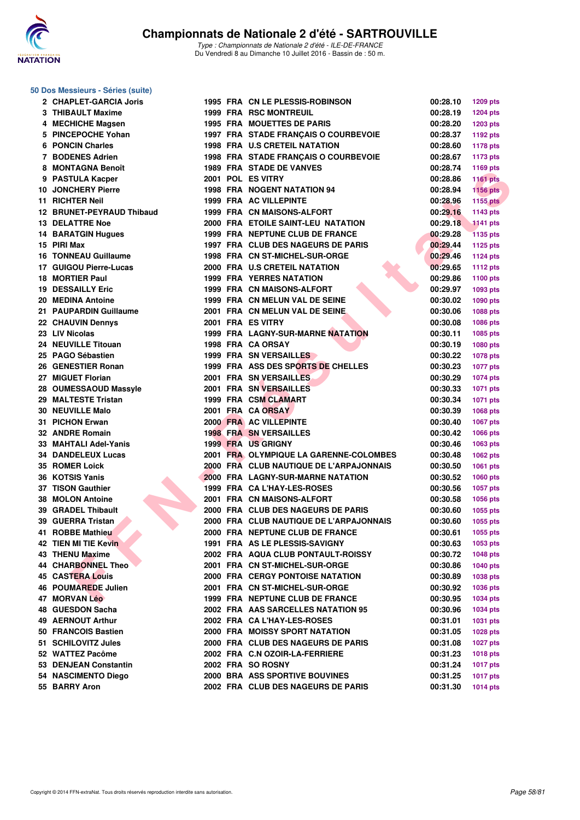

#### **50 Dos Messieurs - Séries (suite)**

| 2 CHAPLET-GARCIA Joris      |  | 1995 FRA CN LE PLESSIS-ROBINSON         | 00:28.10 | 1209 pts        |
|-----------------------------|--|-----------------------------------------|----------|-----------------|
| 3 THIBAULT Maxime           |  | <b>1999 FRA RSC MONTREUIL</b>           | 00:28.19 | <b>1204 pts</b> |
| 4 MECHICHE Magsen           |  | <b>1995 FRA MOUETTES DE PARIS</b>       | 00:28.20 | <b>1203 pts</b> |
| 5 PINCEPOCHE Yohan          |  | 1997 FRA STADE FRANÇAIS O COURBEVOIE    | 00:28.37 | 1192 pts        |
| 6 PONCIN Charles            |  | <b>1998 FRA U.S CRETEIL NATATION</b>    | 00:28.60 | <b>1178 pts</b> |
| 7 BODENES Adrien            |  | 1998 FRA STADE FRANÇAIS O COURBEVOIE    | 00:28.67 | <b>1173 pts</b> |
| 8 MONTAGNA Benoît           |  | <b>1989 FRA STADE DE VANVES</b>         | 00:28.74 | 1169 pts        |
| 9 PASTULA Kacper            |  | 2001 POL ES VITRY                       | 00:28.86 | <b>1161 pts</b> |
| <b>10 JONCHERY Pierre</b>   |  | 1998 FRA NOGENT NATATION 94             | 00:28.94 | <b>1156 pts</b> |
| 11 RICHTER Neil             |  | <b>1999 FRA AC VILLEPINTE</b>           | 00:28.96 | 1155 pts        |
| 12 BRUNET-PEYRAUD Thibaud   |  | 1999 FRA CN MAISONS-ALFORT              | 00:29.16 | 1143 pts        |
| <b>13 DELATTRE Noe</b>      |  | 2000 FRA ETOILE SAINT-LEU NATATION      | 00:29.18 | <b>1141 pts</b> |
| 14 BARATGIN Hugues          |  | 1999 FRA NEPTUNE CLUB DE FRANCE         | 00:29.28 | <b>1135 pts</b> |
| 15 PIRI Max                 |  | 1997 FRA CLUB DES NAGEURS DE PARIS      | 00:29.44 | 1125 pts        |
| <b>16 TONNEAU Guillaume</b> |  | 1998 FRA CN ST-MICHEL-SUR-ORGE          | 00:29.46 | <b>1124 pts</b> |
| 17 GUIGOU Pierre-Lucas      |  | 2000 FRA U.S CRETEIL NATATION           | 00:29.65 |                 |
| 18 MORTIER Paul             |  | <b>1999 FRA YERRES NATATION</b>         |          | <b>1112 pts</b> |
|                             |  |                                         | 00:29.86 | 1100 pts        |
| <b>19 DESSAILLY Eric</b>    |  | 1999 FRA CN MAISONS-ALFORT              | 00:29.97 | 1093 pts        |
| 20 MEDINA Antoine           |  | 1999 FRA CN MELUN VAL DE SEINE          | 00:30.02 | 1090 pts        |
| 21 PAUPARDIN Guillaume      |  | 2001 FRA CN MELUN VAL DE SEINE.         | 00:30.06 | 1088 pts        |
| 22 CHAUVIN Dennys           |  | 2001 FRA ES VITRY                       | 00:30.08 | 1086 pts        |
| 23 LIV Nicolas              |  | 1999 FRA LAGNY-SUR-MARNE NATATION       | 00:30.11 | 1085 pts        |
| 24 NEUVILLE Titouan         |  | 1998 FRA CA ORSAY                       | 00:30.19 | 1080 pts        |
| 25 PAGO Sébastien           |  | <b>1999 FRA SN VERSAILLES</b>           | 00:30.22 | 1078 pts        |
| 26 GENESTIER Ronan          |  | 1999 FRA ASS DES SPORTS DE CHELLES      | 00:30.23 | <b>1077 pts</b> |
| 27 MIGUET Florian           |  | 2001 FRA SN VERSAILLES                  | 00:30.29 | <b>1074 pts</b> |
| 28 OUMESSAOUD Massyle       |  | 2001 FRA SN VERSAILLES                  | 00:30.33 | <b>1071 pts</b> |
| 29 MALTESTE Tristan         |  | 1999 FRA CSM CLAMART                    | 00:30.34 | <b>1071 pts</b> |
| <b>30 NEUVILLE Malo</b>     |  | 2001 FRA CA ORSAY                       | 00:30.39 | 1068 pts        |
| 31 PICHON Erwan             |  | 2000 FRA AC VILLEPINTE                  | 00:30.40 | <b>1067 pts</b> |
| 32 ANDRE Romain             |  | <b>1998 FRA SN VERSAILLES</b>           | 00:30.42 | 1066 pts        |
| 33 MAHTALI Adel-Yanis       |  | <b>1999 FRA US GRIGNY</b>               | 00:30.46 | 1063 pts        |
| 34 DANDELEUX Lucas          |  | 2001 FRA OLYMPIQUE LA GARENNE-COLOMBES  | 00:30.48 | 1062 pts        |
| 35 ROMER Loick              |  | 2000 FRA CLUB NAUTIQUE DE L'ARPAJONNAIS | 00:30.50 | 1061 pts        |
| 36 KOTSIS Yanis             |  | 2000 FRA LAGNY-SUR-MARNE NATATION       | 00:30.52 | 1060 pts        |
| 37 TISON Gauthier           |  | 1999 FRA CA L'HAY-LES-ROSES             | 00:30.56 | <b>1057 pts</b> |
| 38 MOLON Antoine            |  | 2001 FRA CN MAISONS-ALFORT              | 00:30.58 | 1056 pts        |
| 39 GRADEL Thibault          |  | 2000 FRA CLUB DES NAGEURS DE PARIS      | 00:30.60 | 1055 pts        |
| 39 GUERRA Tristan           |  | 2000 FRA CLUB NAUTIQUE DE L'ARPAJONNAIS | 00:30.60 | 1055 pts        |
| 41 ROBBE Mathieu            |  | 2000 FRA NEPTUNE CLUB DE FRANCE         | 00:30.61 | 1055 pts        |
| 42 TIEN MI TIE Kevin        |  | 1991 FRA AS LE PLESSIS-SAVIGNY          | 00:30.63 | 1053 pts        |
| 43 THENU Maxime             |  | 2002 FRA AQUA CLUB PONTAULT-ROISSY      | 00:30.72 | <b>1048 pts</b> |
| 44 CHARBONNEL Theo          |  | 2001 FRA CN ST-MICHEL-SUR-ORGE          | 00:30.86 | <b>1040 pts</b> |
| <b>45 CASTERA Louis</b>     |  | <b>2000 FRA CERGY PONTOISE NATATION</b> | 00:30.89 | 1038 pts        |
| 46 POUMAREDE Julien         |  | 2001 FRA CN ST-MICHEL-SUR-ORGE          | 00:30.92 | <b>1036 pts</b> |
| 47 MORVAN Léo               |  | 1999 FRA NEPTUNE CLUB DE FRANCE         | 00:30.95 | <b>1034 pts</b> |
| 48 GUESDON Sacha            |  | 2002 FRA AAS SARCELLES NATATION 95      | 00:30.96 | <b>1034 pts</b> |
| 49 AERNOUT Arthur           |  | 2002 FRA CA L'HAY-LES-ROSES             | 00:31.01 | <b>1031 pts</b> |
| 50 FRANCOIS Bastien         |  | 2000 FRA MOISSY SPORT NATATION          | 00:31.05 | 1028 pts        |
| 51 SCHILOVITZ Jules         |  | 2000 FRA CLUB DES NAGEURS DE PARIS      | 00:31.08 | <b>1027 pts</b> |
| 52 WATTEZ Pacôme            |  | 2002 FRA C.N OZOIR-LA-FERRIERE          | 00:31.23 | <b>1018 pts</b> |
| 53 DENJEAN Constantin       |  | 2002 FRA SO ROSNY                       | 00:31.24 | <b>1017 pts</b> |
| 54 NASCIMENTO Diego         |  | <b>2000 BRA ASS SPORTIVE BOUVINES</b>   | 00:31.25 | <b>1017 pts</b> |
| 55 BARRY Aron               |  | 2002 FRA CLUB DES NAGEURS DE PARIS      | 00:31.30 | <b>1014 pts</b> |
|                             |  |                                         |          |                 |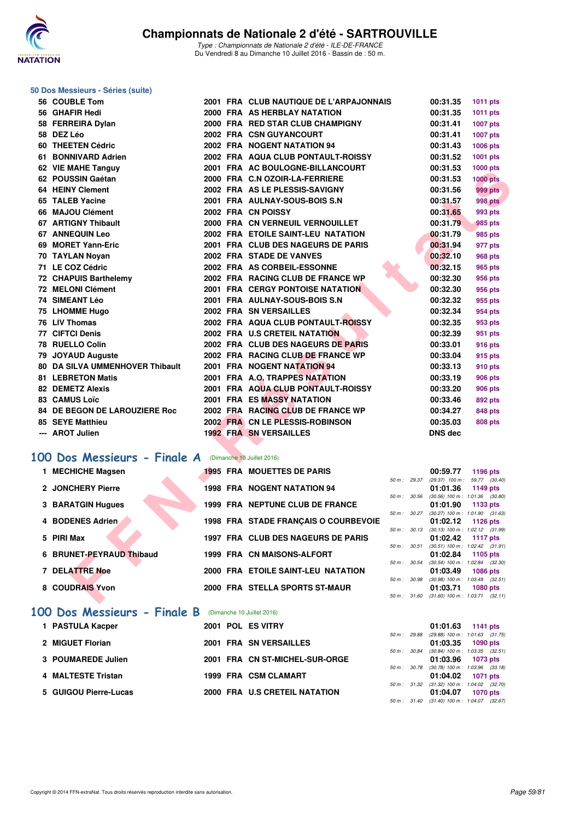

#### **50 Dos Messieurs - Séries (suite)**

|    | 56 COUBLE Tom                                       |  | 2001 FRA CLUB NAUTIQUE DE L'ARPAJONNAIS |              | 00:31.35                            | <b>1011 pts</b>                                 |
|----|-----------------------------------------------------|--|-----------------------------------------|--------------|-------------------------------------|-------------------------------------------------|
|    | 56 GHAFIR Hedi                                      |  | 2000 FRA AS HERBLAY NATATION            |              | 00:31.35                            | 1011 pts                                        |
|    | 58 FERREIRA Dylan                                   |  | 2000 FRA RED STAR CLUB CHAMPIGNY        |              | 00:31.41                            | <b>1007 pts</b>                                 |
|    | 58 DEZ Léo                                          |  | 2002 FRA CSN GUYANCOURT                 |              | 00:31.41                            | <b>1007 pts</b>                                 |
|    | 60 THEETEN Cédric                                   |  | 2002 FRA NOGENT NATATION 94             |              | 00:31.43                            | 1006 pts                                        |
|    | 61 BONNIVARD Adrien                                 |  | 2002 FRA AQUA CLUB PONTAULT-ROISSY      |              | 00:31.52                            | 1001 pts                                        |
|    | 62 VIE MAHE Tanguy                                  |  | 2001 FRA AC BOULOGNE-BILLANCOURT        |              | 00:31.53                            | 1000 pts                                        |
|    | 62 POUSSIN Gaétan                                   |  | 2000 FRA C.N OZOIR-LA-FERRIERE          |              | 00:31.53                            | <b>1000 pts</b>                                 |
|    | 64 HEINY Clement                                    |  | 2002 FRA AS LE PLESSIS-SAVIGNY          |              | 00:31.56                            | <b>999 pts</b>                                  |
|    | 65 TALEB Yacine                                     |  | 2001 FRA AULNAY-SOUS-BOIS S.N           |              | 00:31.57                            | 998 pts                                         |
|    | 66 MAJOU Clément                                    |  | 2002 FRA CN POISSY                      |              | 00:31.65                            | 993 pts                                         |
|    | 67 ARTIGNY Thibault                                 |  | 2000 FRA CN VERNEUIL VERNOUILLET        |              | 00:31.79                            | 985 pts                                         |
|    | <b>67 ANNEQUIN Leo</b>                              |  | 2002 FRA ETOILE SAINT-LEU NATATION      |              | 00:31.79                            | 985 pts                                         |
|    | 69 MORET Yann-Eric                                  |  | 2001 FRA CLUB DES NAGEURS DE PARIS      |              | 00:31.94                            | 977 pts                                         |
|    | 70 TAYLAN Noyan                                     |  | 2002 FRA STADE DE VANVES                |              | 00:32.10                            | <b>968 pts</b>                                  |
|    | 71 LE COZ Cédric                                    |  | 2002 FRA AS CORBEIL-ESSONNE             |              | 00:32.15                            | 965 pts                                         |
|    | <b>72 CHAPUIS Barthelemy</b>                        |  | 2002 FRA RACING CLUB DE FRANCE WP       |              | 00:32.30                            | 956 pts                                         |
|    | 72 MELONI Clément                                   |  | <b>2001 FRA CERGY PONTOISE NATATION</b> |              | 00:32.30                            | 956 pts                                         |
|    | 74 SIMEANT Léo                                      |  | 2001 FRA AULNAY-SOUS-BOIS S.N           |              | 00:32.32                            | 955 pts                                         |
|    | 75 LHOMME Hugo                                      |  | 2002 FRA SN VERSAILLES                  |              | 00:32.34                            | 954 pts                                         |
|    | 76 LIV Thomas                                       |  | 2002 FRA AQUA CLUB PONTAULT-ROISSY      |              | 00:32.35                            | 953 pts                                         |
|    | 77 CIFTCI Denis                                     |  | 2002 FRA U.S CRETEIL NATATION           |              | 00:32.39                            | 951 pts                                         |
|    | 78 RUELLO Colin                                     |  | 2002 FRA CLUB DES NAGEURS DE PARIS      |              | 00:33.01                            | 916 pts                                         |
|    | 79 JOYAUD Auguste                                   |  | 2002 FRA RACING CLUB DE FRANCE WP       |              | 00:33.04                            | 915 pts                                         |
|    | <b>80 DA SILVA UMMENHOVER Thibault</b>              |  | 2001 FRA NOGENT NATATION 94             |              | 00:33.13                            | 910 pts                                         |
|    | <b>81 LEBRETON Matis</b>                            |  | 2001 FRA A.O. TRAPPES NATATION          |              | 00:33.19                            | <b>906 pts</b>                                  |
|    | 82 DEMETZ Alexis                                    |  | 2001 FRA AQUA CLUB PONTAULT-ROISSY      |              | 00:33.20                            | <b>906 pts</b>                                  |
|    | 83 CAMUS Loïc                                       |  | 2001 FRA ES MASSY NATATION              |              | 00:33.46                            | 892 pts                                         |
|    | 84 DE BEGON DE LAROUZIERE Roc                       |  | 2002 FRA RACING CLUB DE FRANCE WP       |              | 00:34.27                            | <b>848 pts</b>                                  |
|    | 85 SEYE Matthieu                                    |  | 2002 FRA CN LE PLESSIS-ROBINSON         |              | 00:35.03                            | <b>808 pts</b>                                  |
|    | --- AROT Julien                                     |  | <b>1992 FRA SN VERSAILLES</b>           |              | <b>DNS dec</b>                      |                                                 |
|    |                                                     |  |                                         |              |                                     |                                                 |
| 00 | Dos Messieurs - Finale A (Dimanche 10 Juillet 2016) |  |                                         |              |                                     |                                                 |
|    | 1 MECHICHE Magsen                                   |  | <b>1995 FRA MOUETTES DE PARIS</b>       |              | 00:59.77                            | 1196 pts                                        |
|    | 2 JONCHERY Pierre                                   |  |                                         | 50 m : 29.37 |                                     | $(29.37)$ 100 m : 59.77 $(30.40)$               |
|    |                                                     |  | <b>1998 FRA NOGENT NATATION 94</b>      | 50 m: 30.56  | 01:01.36                            | 1149 pts<br>$(30.56)$ 100 m : 1:01.36 $(30.80)$ |
|    | 3 BARATGIN Hugues                                   |  | 1999 FRA NEPTUNE CLUB DE FRANCE         |              | 01:01.90                            | 1133 pts                                        |
|    |                                                     |  |                                         | 50 m: 30.27  | $(30.27)$ 100 m : 1:01.90           | (31.63)                                         |
|    | 4 BODENES Adrien                                    |  | 1998 FRA STADE FRANÇAIS O COURBEVOIE    | 50 m: 30.13  | 01:02.12                            | 1126 pts<br>$(30.13)$ 100 m : 1:02.12 $(31.99)$ |
|    | 5 PIRI Max                                          |  | 1997 FRA CLUB DES NAGEURS DE PARIS      |              | 01:02.42                            | <b>1117 pts</b>                                 |
|    | 6 BRUNET-PEYRAUD Thibaud                            |  | 1999 FRA CN MAISONS-ALFORT              | 50 m : 30.51 |                                     | $(30.51)$ 100 m : 1:02.42 $(31.91)$             |
|    |                                                     |  |                                         | 50 m : 30.54 | 01:02.84<br>(30.54) 100 m : 1:02.84 | 1105 pts<br>(32.30)                             |
|    | <b>7 DELATTRE Noe</b>                               |  | 2000 FRA ETOILE SAINT-LEU NATATION      |              | 01:03.49                            | <b>1086 pts</b>                                 |
|    | 8 COUDRAIS Yvon                                     |  | 2000 FRA STELLA SPORTS ST-MAUR          | 50 m : 30.98 | (30.98) 100 m : 1:03.49<br>01:03.71 | (32.51)<br><b>1080 pts</b>                      |
|    |                                                     |  |                                         |              |                                     | 50 m: 31.60 (31.60) 100 m: 1:03.71 (32.11)      |
|    |                                                     |  |                                         |              |                                     |                                                 |

## **[100 Dos Messieurs - Finale A](http://www.ffnatation.fr/webffn/resultats.php?idact=nat&go=epr&idcpt=39837&idepr=62)** (Dimanche 10 Juillet 2016)

| 1 MECHICHE Magsen        |  | <b>1995 FRA MOUETTES DE PARIS</b>    |        |             | 00:59.77                                       | 1196 pts |  |
|--------------------------|--|--------------------------------------|--------|-------------|------------------------------------------------|----------|--|
| 2 JONCHERY Pierre        |  | <b>1998 FRA NOGENT NATATION 94</b>   |        | 50 m: 29.37 | (29.37) 100 m: 59.77 (30.<br>01:01.36          | 1149 pts |  |
| <b>3 BARATGIN Hugues</b> |  | 1999 FRA NEPTUNE CLUB DE FRANCE      |        | 50 m: 30.56 | $(30.56)$ 100 m : 1:01.36 (30.<br>01:01.90     | 1133 pts |  |
| 4 BODENES Adrien         |  | 1998 FRA STADE FRANCAIS O COURBEVOIE |        | 50 m: 30.27 | $(30.27)$ 100 m : 1:01.90 $(31.$<br>01:02.12   | 1126 pts |  |
| 5 PIRI Max               |  | 1997 FRA CLUB DES NAGEURS DE PARIS   |        | 50 m: 30.13 | $(30.13)$ 100 m : 1:02.12 $(31.$<br>01:02.42   | 1117 pts |  |
| 6 BRUNET-PEYRAUD Thibaud |  | 1999 FRA CN MAISONS-ALFORT           |        | 50 m: 30.51 | $(30.51)$ 100 m : 1:02.42 $(31)$<br>01:02.84   | 1105 pts |  |
| 7 DELATTRE Noe           |  | 2000 FRA ETOILE SAINT-LEU NATATION   |        | 50 m: 30.54 | $(30.54)$ 100 m : 1:02.84 $(32.5)$<br>01:03.49 | 1086 pts |  |
| 8 COUDRAIS Yvon          |  | 2000 FRA STELLA SPORTS ST-MAUR       | 50 m : | 30.98       | $(30.98)$ 100 m : 1:03.49 (32.<br>01:03.71     | 1080 pts |  |
|                          |  |                                      |        |             |                                                |          |  |

#### **[100 Dos Messieurs - Finale B](http://www.ffnatation.fr/webffn/resultats.php?idact=nat&go=epr&idcpt=39837&idepr=62)** (Dimanche 10 Juillet 2016)

| 1 PASTULA Kacper      | 2001 POL ES VITRY              | 01:01.63<br>1141 pts                                            |
|-----------------------|--------------------------------|-----------------------------------------------------------------|
| 2 MIGUET Florian      | 2001 FRA SN VERSAILLES         | 50 m: 29.88 (29.88) 100 m: 1:01.63 (31.<br>01:03.35<br>1090 pts |
| 3 POUMAREDE Julien    | 2001 FRA CN ST-MICHEL-SUR-ORGE | 50 m: 30.84 (30.84) 100 m: 1:03.35 (32.<br>01:03.96 1073 pts    |
| 4 MALTESTE Tristan    | 1999 FRA CSM CLAMART           | 50 m: 30.78 (30.78) 100 m: 1:03.96 (33.<br>01:04.02 1071 pts    |
| 5 GUIGOU Pierre-Lucas | 2000 FRA U.S CRETEIL NATATION  | 50 m: 31.32 (31.32) 100 m: 1:04.02 (32.<br>01:04.07<br>1070 pts |

|                  |       | 00:59.77          | 1196 pts            |  |
|------------------|-------|-------------------|---------------------|--|
| 50 m: 29.37      |       | $(29.37)$ 100 m : | 59.77 (30.40)       |  |
|                  |       | 01:01.36          | 1149 pts            |  |
| $50 m$ : $30.56$ |       | $(30.56)$ 100 m : | 1:01.36 (30.80)     |  |
|                  |       | 01:01.90          | 1133 pts            |  |
| $50 m$ : $30.27$ |       | $(30.27)$ 100 m : | 1:01.90 (31.63)     |  |
|                  |       | 01:02.12          | 1126 pts            |  |
| 50 m: 30.13      |       | $(30.13)$ 100 m : | 1:02.12 (31.99)     |  |
|                  |       |                   |                     |  |
|                  |       | 01:02.42          | 1117 pts            |  |
| $50 m$ :         | 30.51 | $(30.51)$ 100 m : | $1:02.42$ $(31.91)$ |  |
|                  |       | 01:02.84          | 1105 pts            |  |
| $50 m$ : $30.54$ |       | $(30.54)$ 100 m : | $1:02.84$ $(32.30)$ |  |
|                  |       | 01:03.49          | <b>1086 pts</b>     |  |
| 50 m: 30.98      |       | $(30.98)$ 100 m : | $1:03.49$ $(32.51)$ |  |
|                  |       | 01:03.71          | 1080 pts            |  |
| $50 m$ :         | 31.60 | $(31.60)$ 100 m : | $1:03.71$ $(32.11)$ |  |

|  | $01:01.63$ 1141 pts                        |  |
|--|--------------------------------------------|--|
|  | 50 m: 29.88 (29.88) 100 m: 1:01.63 (31.75) |  |
|  | 01:03.35 1090 pts                          |  |
|  | 50 m: 30.84 (30.84) 100 m: 1:03.35 (32.51) |  |
|  | $01:03.96$ 1073 pts                        |  |
|  | 50 m: 30.78 (30.78) 100 m: 1:03.96 (33.18) |  |
|  | 01:04.02 1071 pts                          |  |
|  | 50 m: 31.32 (31.32) 100 m: 1:04.02 (32.70) |  |
|  | 01:04.07 1070 pts                          |  |
|  | 50 m: 31.40 (31.40) 100 m: 1:04.07 (32.67) |  |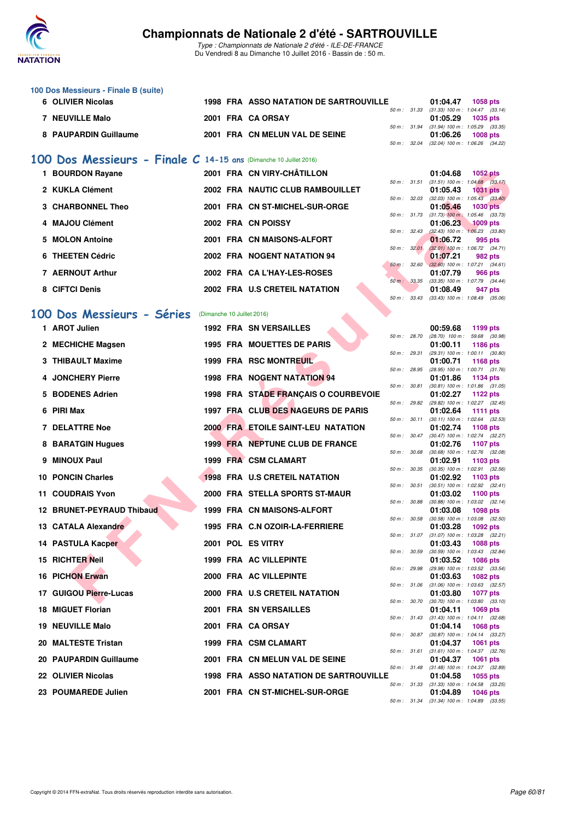

Type : Championnats de Nationale 2 d'été - ILE-DE-FRANCE Du Vendredi 8 au Dimanche 10 Juillet 2016 - Bassin de : 50 m.

| 100 Dos Messieurs - Finale B (suite)<br>6 OLIVIER Nicolas |  | 1998 FRA ASSO NATATION DE SARTROUVILLE |                        | 01:04.47                                                                                      | <b>1058 pts</b> |  |
|-----------------------------------------------------------|--|----------------------------------------|------------------------|-----------------------------------------------------------------------------------------------|-----------------|--|
| <b>NEUVILLE Malo</b>                                      |  | 2001 FRA CA ORSAY                      | 50 m : 31.33           | $(31.33)$ 100 m : 1.04.47 $(33.14)$<br>01:05.29 1035 pts                                      |                 |  |
| 8 PAUPARDIN Guillaume                                     |  | 2001 FRA CN MELUN VAL DE SEINE         | $50 \text{ m}$ : 32.04 | 50 m: 31.94 (31.94) 100 m: 1:05.29 (33.35)<br>01:06.26<br>$(32.04)$ 100 m : 1:06.26 $(34.22)$ | $1008$ pts      |  |

### **[100 Dos Messieurs - Finale C](http://www.ffnatation.fr/webffn/resultats.php?idact=nat&go=epr&idcpt=39837&idepr=62) 14-15 ans** (Dimanche 10 Juillet 2016)

| 1 BOURDON Rayane         |  | 2001 FRA CN VIRY-CHÂTILLON       |                        |                  | 01:04.68                                     | 1052 pts        |         |
|--------------------------|--|----------------------------------|------------------------|------------------|----------------------------------------------|-----------------|---------|
| 2 KUKLA Clément          |  | 2002 FRA NAUTIC CLUB RAMBOUILLET |                        | $50 m$ : $31.51$ | $(31.51)$ 100 m : 1:04.68 (33.<br>01:05.43   | <b>1031 pts</b> |         |
| <b>3 CHARBONNEL Theo</b> |  | 2001 FRA CN ST-MICHEL-SUR-ORGE   |                        | 50 m: 32.03      | $(32.03)$ 100 m : 1:05.43 $(33.$<br>01:05.46 | 1030 pts        |         |
| 4 MAJOU Clément          |  | 2002 FRA CN POISSY               |                        | 50 m: 31.73      | $(31.73)$ 100 m : 1:05.46 (33.<br>01:06.23   | $1009$ pts      |         |
|                          |  |                                  |                        | 50 m: 32.43      | $(32.43)$ 100 m : 1:06.23 (33.               |                 |         |
| 5 MOLON Antoine          |  | 2001 FRA CN MAISONS-ALFORT       |                        | 50 m: 32.01      | 01:06.72<br>$(32.01)$ 100 m : 1.06.72 (34.   |                 | 995 pts |
| 6 THEETEN Cédric         |  | 2002 FRA NOGENT NATATION 94      | $50 \text{ m}$ : 32.60 |                  | 01:07.21<br>$(32.60)$ 100 m : 1:07.21 (34.   |                 | 982 pts |
| 7 AERNOUT Arthur         |  | 2002 FRA CA L'HAY-LES-ROSES      | $50 m$ :               | 33.35            | 01:07.79<br>$(33.35)$ 100 m : 1:07.79 $(34.$ |                 | 966 pts |
| 8 CIFTCI Denis           |  | 2002 FRA U.S CRETEIL NATATION    |                        |                  | 01:08.49                                     |                 | 947 pts |

#### [100 Dos Messieurs - Séries](http://www.ffnatation.fr/webffn/resultats.php?idact=nat&go=epr&idcpt=39837&idepr=62) (Dimanche 10 Juillet 2016)

|           | 1 BOURDON Rayane          |                            | 2001 FRA CN VIRY-CHATILLON                    |              |              | 01:04.68 | <b>1052 pts</b>                                                         |
|-----------|---------------------------|----------------------------|-----------------------------------------------|--------------|--------------|----------|-------------------------------------------------------------------------|
|           | 2 KUKLA Clément           |                            | 2002 FRA NAUTIC CLUB RAMBOUILLET              |              | 50 m: 31.51  | 01:05.43 | $(31.51)$ 100 m : 1:04.68 $(33.17)$<br><b>1031 pts</b>                  |
|           | 3 CHARBONNEL Theo         |                            | 2001 FRA CN ST-MICHEL-SUR-ORGE                |              | 50 m : 32.03 | 01:05.46 | $(32.03)$ 100 m : 1:05.43 $(33.40)$<br><b>1030 pts</b>                  |
|           | 4 MAJOU Clément           |                            | 2002 FRA CN POISSY                            |              | 50 m: 31.73  | 01:06.23 | $(31.73)$ 100 m : 1:05.46 $(33.73)$<br><b>1009 pts</b>                  |
|           | 5 MOLON Antoine           |                            | 2001 FRA CN MAISONS-ALFORT                    | 50 m: 32.43  |              | 01:06.72 | $(32.43)$ 100 m : 1:06.23 $(33.80)$<br>995 pts                          |
|           | 6 THEETEN Cédric          |                            | 2002 FRA NOGENT NATATION 94                   |              | 50 m: 32.01  | 01:07.21 | $(32.01)$ 100 m : 1:06.72 $(34.71)$<br>982 pts                          |
|           | 7 AERNOUT Arthur          |                            | 2002 FRA CAL'HAY-LES-ROSES                    |              | 50 m: 32.60  | 01:07.79 | $(32.60)$ 100 m : 1:07.21 $(34.61)$<br>966 pts                          |
|           | 8 CIFTCI Denis            |                            | 2002 FRA U.S CRETEIL NATATION                 |              | 50 m : 33.35 | 01:08.49 | (33.35) 100 m: 1:07.79 (34.44)<br>947 pts                               |
|           |                           |                            |                                               |              | 50 m : 33.43 |          | $(33.43)$ 100 m : 1:08.49 $(35.06)$                                     |
| <b>OO</b> | Dos Messieurs - Séries    | (Dimanche 10 Juillet 2016) |                                               |              |              |          |                                                                         |
|           | 1 AROT Julien             |                            | <b>1992 FRA SN VERSAILLES</b>                 |              | 50 m : 28.70 | 00:59.68 | 1199 pts<br>$(28.70)$ 100 m : 59.68 $(30.98)$                           |
|           | 2 MECHICHE Magsen         |                            | <b>1995 FRA MOUETTES DE PARIS</b>             |              | 50 m : 29.31 | 01:00.11 | <b>1186 pts</b><br>$(29.31)$ 100 m : 1:00.11 $(30.80)$                  |
|           | 3 THIBAULT Maxime         |                            | 1999 FRA RSC MONTREUIL                        |              |              | 01:00.71 | <b>1168 pts</b>                                                         |
|           | 4 JONCHERY Pierre         |                            | <b>1998 FRA NOGENT NATATION 94</b>            |              | 50 m : 28.95 | 01:01.86 | (28.95) 100 m: 1:00.71 (31.76)<br>1134 pts                              |
|           | 5 BODENES Adrien          |                            | 1998 FRA STADE FRANÇAIS O COURBEVOIE          |              | 50 m : 30.81 | 01:02.27 | $(30.81)$ 100 m : 1:01.86 $(31.05)$<br>1122 pts                         |
|           | 6 PIRI Max                |                            | 1997 FRA CLUB DES NAGEURS DE PARIS            |              | 50 m : 29.82 | 01:02.64 | (29.82) 100 m : 1:02.27 (32.45)<br><b>1111 pts</b>                      |
|           | <b>7 DELATTRE Noe</b>     |                            | <b>2000 FRA ETOILE SAINT-LEU NATATION</b>     |              | 50 m : 30.11 | 01:02.74 | $(30.11)$ 100 m : 1:02.64 $(32.53)$<br><b>1108 pts</b>                  |
|           | 8 BARATGIN Hugues         |                            | 1999 FRA NEPTUNE CLUB DE FRANCE               |              | 50 m : 30.47 | 01:02.76 | $(30.47)$ 100 m : 1:02.74 $(32.27)$<br>1107 pts                         |
|           |                           |                            |                                               |              | 50 m : 30.68 |          | $(30.68)$ 100 m : 1:02.76 $(32.08)$                                     |
|           | 9 MINOUX Paul             |                            | 1999 FRA CSM CLAMART                          |              | 50 m : 30.35 | 01:02.91 | 1103 pts<br>$(30.35)$ 100 m : 1:02.91 $(32.56)$                         |
|           | 10 PONCIN Charles         |                            | <b>1998 FRA U.S CRETEIL NATATION</b>          |              | 50 m : 30.51 | 01:02.92 | 1103 pts<br>$(30.51)$ 100 m : 1:02.92 $(32.41)$                         |
|           | <b>11 COUDRAIS Yvon</b>   |                            | 2000 FRA STELLA SPORTS ST-MAUR                | 50 m : 30.88 |              | 01:03.02 | 1100 pts<br>$(30.88)$ 100 m : 1:03.02 $(32.14)$                         |
|           | 12 BRUNET-PEYRAUD Thibaud |                            | 1999 FRA CN MAISONS-ALFORT                    | 50 m : 30.58 |              | 01:03.08 | 1098 pts<br>$(30.58)$ 100 m : 1:03.08 $(32.50)$                         |
|           | 13 CATALA Alexandre       |                            | 1995 FRA C.N OZOIR-LA-FERRIERE                |              |              | 01:03.28 | 1092 pts                                                                |
|           | 14 PASTULA Kacper         |                            | 2001 POL ES VITRY                             |              | 50 m: 31.07  | 01:03.43 | $(31.07)$ 100 m : 1:03.28 $(32.21)$<br><b>1088 pts</b>                  |
|           | <b>15 RICHTER Neil</b>    |                            | 1999 FRA AC VILLEPINTE                        |              | 50 m : 30.59 | 01:03.52 | $(30.59)$ 100 m : 1:03.43 $(32.84)$<br><b>1086 pts</b>                  |
|           | <b>16 PICHON Erwan</b>    |                            | 2000 FRA AC VILLEPINTE                        |              | 50 m: 29.98  | 01:03.63 | (29.98) 100 m: 1:03.52 (33.54)<br><b>1082 pts</b>                       |
|           | 17 GUIGOU Pierre-Lucas    |                            | 2000 FRA U.S CRETEIL NATATION                 |              |              | 01:03.80 | $50 m$ : $31.06$ (31.06) $100 m$ : $1.03.63$ (32.57)<br><b>1077 pts</b> |
|           | 18 MIGUET Florian         |                            | 2001 FRA SN VERSAILLES                        |              |              | 01:04.11 | 50 m: 30.70 (30.70) 100 m: 1:03.80 (33.10)<br>1069 pts                  |
|           |                           |                            |                                               |              | 50 m: 31.43  |          | $(31.43)$ 100 m : 1:04.11 $(32.68)$                                     |
|           | <b>19 NEUVILLE Malo</b>   |                            | 2001 FRA CA ORSAY                             |              | 50 m : 30.87 | 01:04.14 | <b>1068 pts</b><br>$(30.87)$ 100 m : 1:04.14 $(33.27)$                  |
|           | 20 MALTESTE Tristan       |                            | 1999 FRA CSM CLAMART                          |              | 50 m : 31.61 | 01:04.37 | <b>1061 pts</b><br>$(31.61)$ 100 m : 1:04.37 $(32.76)$                  |
|           | 20 PAUPARDIN Guillaume    |                            | 2001 FRA CN MELUN VAL DE SEINE                |              | 50 m : 31.48 | 01:04.37 | 1061 pts<br>$(31.48)$ 100 m : 1:04.37 $(32.89)$                         |
|           | 22 OLIVIER Nicolas        |                            | <b>1998 FRA ASSO NATATION DE SARTROUVILLE</b> |              |              | 01:04.58 | 1055 pts<br>50 m: 31.33 (31.33) 100 m: 1:04.58 (33.25)                  |
|           | 23 POUMAREDE Julien       |                            | 2001 FRA CN ST-MICHEL-SUR-ORGE                |              |              | 01:04.89 | <b>1046 pts</b>                                                         |

|          |       | 01:04.68          | <b>1052 pts</b>     |         |
|----------|-------|-------------------|---------------------|---------|
| $50 m$ : | 31.51 | $(31.51)$ 100 m : | $1:04.68$ (33.17)   |         |
|          |       | 01:05.43          | <b>1031 pts</b>     |         |
| $50 m$ : | 32.03 | $(32.03)$ 100 m : | $1:05.43$ $(33.40)$ |         |
|          |       | 01:05.46          | <b>1030 pts</b>     |         |
| $50 m$ : | 31.73 | $(31.73)$ 100 m:  | 1:05.46 (33.73)     |         |
|          |       | 01:06.23          | 1009 pts            |         |
| $50 m$ : | 32.43 | $(32.43)$ 100 m : | $1:06.23$ $(33.80)$ |         |
|          |       | 01:06.72          | 995 pts             |         |
| $50 m$ : | 32.01 | $(32.01)$ 100 m : | $1:06.72$ $(34.71)$ |         |
|          |       | 01:07.21          | <b>982 pts</b>      |         |
| $50m$ :  | 32.60 | $(32.60)$ 100 m : | $1:07.21$ $(34.61)$ |         |
|          |       | 01:07.79          | 966 pts             |         |
| $50 m$ : | 33.35 | $(33.35)$ 100 m : | 1:07.79 (34.44)     |         |
|          |       | 01:08.49          | 947 pts             |         |
| $50 m$ : | 33.43 | $(33.43) 100 m$ : | 1:08.49             | (35.06) |

|   |          |       | 00:59.68          |                 |         |
|---|----------|-------|-------------------|-----------------|---------|
|   |          |       |                   | 1199 pts        |         |
|   | $50 m$ : | 28.70 | $(28.70)$ 100 m : | 59.68           | (30.98) |
|   |          |       | 01:00.11          | 1186 pts        |         |
|   | $50 m$ : | 29.31 | (29.31) 100 m :   | 1:00.11         | (30.80) |
|   |          |       | 01:00.71          | 1168 pts        |         |
|   | $50 m$ : | 28.95 | (28.95) 100 m :   | 1:00.71         | (31.76) |
|   |          |       | 01:01.86          | 1134 pts        |         |
|   | $50 m$ : | 30.81 | $(30.81)$ 100 m : | 1:01.86         | (31.05) |
|   |          |       | 01:02.27          | 1122 pts        |         |
|   | $50 m$ : | 29.82 | (29.82) 100 m :   | 1:02.27         | (32.45) |
|   |          |       | 01:02.64          | 1111 pts        |         |
|   | $50 m$ : | 30.11 | $(30.11)$ 100 m : | 1:02.64         | (32.53) |
|   |          |       | 01:02.74          | 1108 pts        |         |
|   | $50 m$ : | 30.47 | $(30.47)$ 100 m : | 1:02.74         | (32.27) |
|   |          |       | 01:02.76          | 1107 pts        |         |
|   | $50 m$ : | 30.68 | $(30.68)$ 100 m : | 1:02.76         | (32.08) |
|   |          |       | 01:02.91          | 1103 pts        |         |
|   | $50 m$ : | 30.35 | $(30.35)$ 100 m : | 1:02.91         | (32.56) |
|   |          |       | 01:02.92          | 1103 pts        |         |
|   | $50 m$ : | 30.51 | $(30.51)$ 100 m : | 1:02.92         | (32.41) |
|   |          |       | 01:03.02          | 1100 pts        |         |
|   | $50 m$ : | 30.88 | $(30.88) 100 m$ : | 1:03.02         | (32.14) |
|   |          |       | 01:03.08          | 1098 pts        |         |
|   | $50 m$ : | 30.58 | $(30.58) 100 m$ : | 1:03.08         | (32.50) |
|   |          |       | 01:03.28          | 1092 pts        |         |
|   | $50 m$ : | 31.07 | $(31.07) 100 m$ : | 1:03.28         | (32.21) |
|   |          |       | 01:03.43          | 1088 pts        |         |
|   | $50 m$ : | 30.59 | $(30.59)$ 100 m : | 1:03.43         | (32.84) |
|   |          |       | 01:03.52          | 1086 pts        |         |
|   | $50 m$ : | 29.98 | (29.98) 100 m :   | 1:03.52         | (33.54) |
|   |          |       | 01:03.63          | 1082 pts        |         |
|   | $50 m$ : | 31.06 | $(31.06) 100 m$ : | 1:03.63         | (32.57) |
|   |          |       | 01:03.80          | <b>1077 pts</b> |         |
|   | $50 m$ : | 30.70 | $(30.70)$ 100 m : | 1:03.80         | (33.10) |
|   |          |       | 01:04.11          | 1069 pts        |         |
|   | $50 m$ : | 31.43 | $(31.43) 100 m$ : | 1:04.11         | (32.68) |
|   |          |       | 01:04.14          | 1068 pts        |         |
|   | $50 m$ : | 30.87 | $(30.87)$ 100 m : | 1:04.14         | (33.27) |
|   |          |       | 01:04.37          | 1061            | pts     |
|   | $50 m$ : | 31.61 | $(31.61)$ 100 m : | 1:04.37         | (32.76) |
|   |          |       | 01:04.37          | 1061            | pts     |
|   | $50 m$ : | 31.48 | $(31.48) 100 m$ : | 1:04.37         | (32.89) |
| E |          |       | 01:04.58          | 1055 pts        |         |
|   | $50 m$ : | 31.33 | $(31.33) 100 m$ : | 1:04.58         | (33.25) |
|   |          |       | 01:04.89          | 1046 pts        |         |
|   | $50 m$ : | 31.34 | $(31.34) 100 m$ : | 1:04.89         | (33.55) |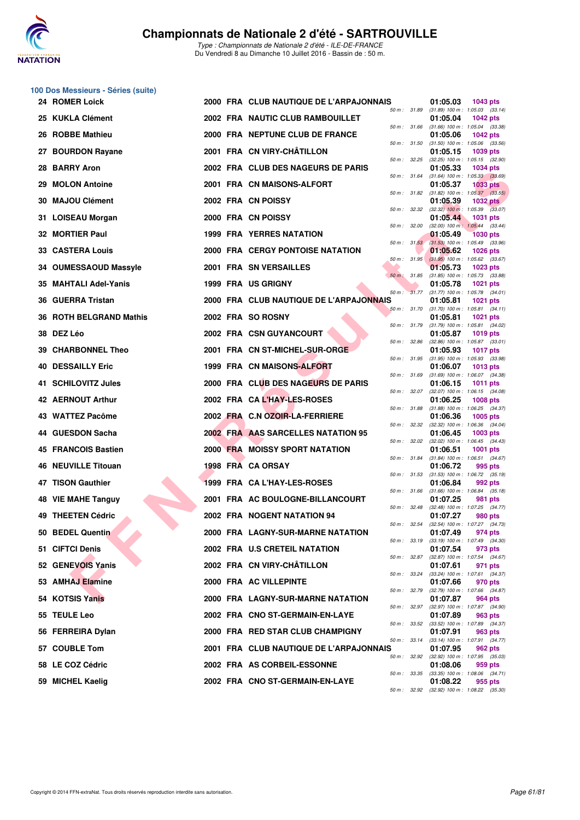

|    | 100 Dos Messieurs - Séries (suite) |  |                                         |                          |                                                        |                 |  |
|----|------------------------------------|--|-----------------------------------------|--------------------------|--------------------------------------------------------|-----------------|--|
|    | 24 ROMER Loick                     |  | 2000 FRA CLUB NAUTIQUE DE L'ARPAJONNAIS | 50 m : 31.89             | 01:05.03<br>$(31.89)$ 100 m : 1:05.03 $(33.14)$        | 1043 pts        |  |
|    | 25 KUKLA Clément                   |  | 2002 FRA NAUTIC CLUB RAMBOUILLET        | 50 m : 31.66             | 01:05.04<br>$(31.66)$ 100 m : 1:05.04 $(33.38)$        | <b>1042 pts</b> |  |
|    | 26 ROBBE Mathieu                   |  | 2000 FRA NEPTUNE CLUB DE FRANCE         | 50 m: 31.50              | 01:05.06<br>$(31.50)$ 100 m : 1:05.06 $(33.56)$        | <b>1042 pts</b> |  |
|    | 27 BOURDON Rayane                  |  | 2001 FRA CN VIRY-CHATILLON              |                          | 01:05.15                                               | 1039 pts        |  |
| 28 | <b>BARRY Aron</b>                  |  | 2002 FRA CLUB DES NAGEURS DE PARIS      | 50 m : 32.25             | (32.25) 100 m: 1:05.15 (32.90)<br>01:05.33             | <b>1034 pts</b> |  |
| 29 | <b>MOLON Antoine</b>               |  | 2001 FRA CN MAISONS-ALFORT              | 50 m : 31.64             | $(31.64)$ 100 m : 1:05.33 $(33.69)$<br>01:05.37        | <b>1033 pts</b> |  |
| 30 | <b>MAJOU Clément</b>               |  | 2002 FRA CN POISSY                      | 50 m : 31.82             | $(31.82)$ 100 m : 1:05.37 $(33.55)$<br>01:05.39        | <b>1032 pts</b> |  |
| 31 | <b>LOISEAU Morgan</b>              |  | 2000 FRA CN POISSY                      | 50 m : 32.32             | $(32.32)$ 100 m : 1:05.39 $(33.07)$<br>01:05.44        | 1031 pts        |  |
|    | 32 MORTIER Paul                    |  | <b>1999 FRA YERRES NATATION</b>         | 50 m: 32.00              | $(32.00)$ 100 m : 1:05.44 $(33.44)$<br>01:05.49        | <b>1030 pts</b> |  |
|    | <b>33 CASTERA Louis</b>            |  | 2000 FRA CERGY PONTOISE NATATION        | 50 m: 31.53              | $(31.53)$ 100 m : 1:05.49 $(33.96)$<br>01:05.62        | <b>1026 pts</b> |  |
|    | 34 OUMESSAOUD Massyle              |  | 2001 FRA SN VERSAILLES                  | 50 m: 31.95              | $(31.95)$ 100 m : 1:05.62 $(33.67)$<br>01:05.73        | 1023 pts        |  |
| 35 | <b>MAHTALI Adel-Yanis</b>          |  | 1999 FRA US GRIGNY                      | 50 m: 31.85              | $(31.85)$ 100 m : 1:05.73 $(33.88)$<br>01:05.78        | <b>1021 pts</b> |  |
| 36 | <b>GUERRA Tristan</b>              |  | 2000 FRA CLUB NAUTIQUE DE L'ARPAJONNAIS | $50 \text{ m}$ : $31.77$ | $(31.77)$ 100 m : 1:05.78 $(34.01)$<br>01:05.81        | <b>1021 pts</b> |  |
|    | 36 ROTH BELGRAND Mathis            |  | 2002 FRA SO ROSNY                       | 50 m : 31.70             | $(31.70)$ 100 m : 1:05.81 $(34.11)$<br>01:05.81        | <b>1021 pts</b> |  |
|    | 38 DEZ Léo                         |  | 2002 FRA CSN GUYANCOURT                 | 50 m : 31.79             | $(31.79)$ 100 m : 1:05.81 $(34.02)$<br>01:05.87        | <b>1019 pts</b> |  |
|    | 39 CHARBONNEL Theo                 |  | 2001 FRA CN ST-MICHEL-SUR-ORGE          | 50 m: 32.86              | $(32.86)$ 100 m : 1:05.87 $(33.01)$<br>01:05.93        | <b>1017 pts</b> |  |
| 40 | <b>DESSAILLY Eric</b>              |  | 1999 FRA CN MAISONS-ALFORT              | 50 m: 31.95              | $(31.95)$ 100 m : 1:05.93 $(33.98)$<br>01:06.07        | 1013 pts        |  |
|    | 41 SCHILOVITZ Jules                |  | 2000 FRA CLUB DES NAGEURS DE PARIS      | 50 m : 31.69             | (31.69) 100 m: 1:06.07 (34.38)<br>01:06.15             | 1011 pts        |  |
|    | 42 AERNOUT Arthur                  |  | 2002 FRA CAL'HAY-LES-ROSES              | 50 m: 32.07              | (32.07) 100 m: 1:06.15 (34.08)<br>01:06.25             | <b>1008 pts</b> |  |
|    | 43 WATTEZ Pacôme                   |  | 2002 FRA C.N OZOIR-LA-FERRIERE          | 50 m : 31.88             | $(31.88)$ 100 m : 1:06.25 $(34.37)$<br>01:06.36        | 1005 pts        |  |
|    | 44 GUESDON Sacha                   |  | 2002 FRA AAS SARCELLES NATATION 95      | 50 m: 32.32              | $(32.32)$ 100 m : 1:06.36 $(34.04)$<br>01:06.45        | 1003 pts        |  |
|    | <b>45 FRANCOIS Bastien</b>         |  | <b>2000 FRA MOISSY SPORT NATATION</b>   | 50 m: 32.02              | $(32.02)$ 100 m : 1:06.45 $(34.43)$<br>01:06.51        | 1001 pts        |  |
|    | 46 NEUVILLE Titouan                |  | 1998 FRA CA ORSAY                       | 50 m : 31.84             | $(31.84)$ 100 m : 1:06.51 $(34.67)$<br>01:06.72        | 995 pts         |  |
|    | 47 TISON Gauthier                  |  | 1999 FRA CA L'HAY-LES-ROSES             | 50 m: 31.53              | $(31.53)$ 100 m : 1:06.72 $(35.19)$<br>01:06.84        | 992 pts         |  |
|    | 48 VIE MAHE Tanguy                 |  | 2001 FRA AC BOULOGNE-BILLANCOURT        |                          | 50 m: 31.66 (31.66) 100 m: 1:06.84 (35.18)<br>01:07.25 | 981 pts         |  |
|    | 49 THEETEN Cédric                  |  | 2002 FRA NOGENT NATATION 94             | 50 m: 32.48              | (32.48) 100 m : 1:07.25 (34.77)<br>01:07.27            | 980 pts         |  |
|    | 50 BEDEL Quentin                   |  | 2000 FRA LAGNY-SUR-MARNE NATATION       | 50 m : 32.54             | (32.54) 100 m : 1:07.27 (34.73)<br>01:07.49            | 974 pts         |  |
|    | 51 CIFTCI Denis                    |  | 2002 FRA U.S CRETEIL NATATION           | 50 m : 33.19             | $(33.19)$ 100 m : 1:07.49 $(34.30)$<br>01:07.54        | 973 pts         |  |
|    | 52 GENEVOIS Yanis                  |  | 2002 FRA CN VIRY-CHÂTILLON              | 50 m: 32.87              | (32.87) 100 m: 1:07.54 (34.67)<br>01:07.61             | 971 pts         |  |
|    | 53 AMHAJ Elamine                   |  | 2000 FRA AC VILLEPINTE                  | 50 m : 33.24             | (33.24) 100 m: 1:07.61 (34.37)<br>01:07.66             | 970 pts         |  |
|    | 54 KOTSIS Yanis                    |  | 2000 FRA LAGNY-SUR-MARNE NATATION       | 50 m : 32.79             | (32.79) 100 m: 1:07.66 (34.87)<br>01:07.87             | 964 pts         |  |
|    | 55 TEULE Leo                       |  | 2002 FRA CNO ST-GERMAIN-EN-LAYE         | 50 m : 32.97             | (32.97) 100 m : 1:07.87 (34.90)<br>01:07.89            | 963 pts         |  |
|    | 56 FERREIRA Dylan                  |  | 2000 FRA RED STAR CLUB CHAMPIGNY        | 50 m: 33.52              | (33.52) 100 m: 1:07.89 (34.37)<br>01:07.91             | 963 pts         |  |
|    | 57 COUBLE Tom                      |  | 2001 FRA CLUB NAUTIQUE DE L'ARPAJONNAIS | 50 m: 33.14              | (33.14) 100 m: 1:07.91 (34.77)<br>01:07.95             | 962 pts         |  |
|    | 58 LE COZ Cédric                   |  | 2002 FRA AS CORBEIL-ESSONNE             | 50 m: 32.92              | (32.92) 100 m: 1:07.95 (35.03)<br>01:08.06             | 959 pts         |  |
|    | 59 MICHEL Kaelig                   |  | 2002 FRA CNO ST-GERMAIN-EN-LAYE         | 50 m : 33.35             | $(33.35)$ 100 m : 1:08.06 $(34.71)$<br>01:08.22        | 955 pts         |  |
|    |                                    |  |                                         |                          | 50 m: 32.92 (32.92) 100 m: 1:08.22 (35.30)             |                 |  |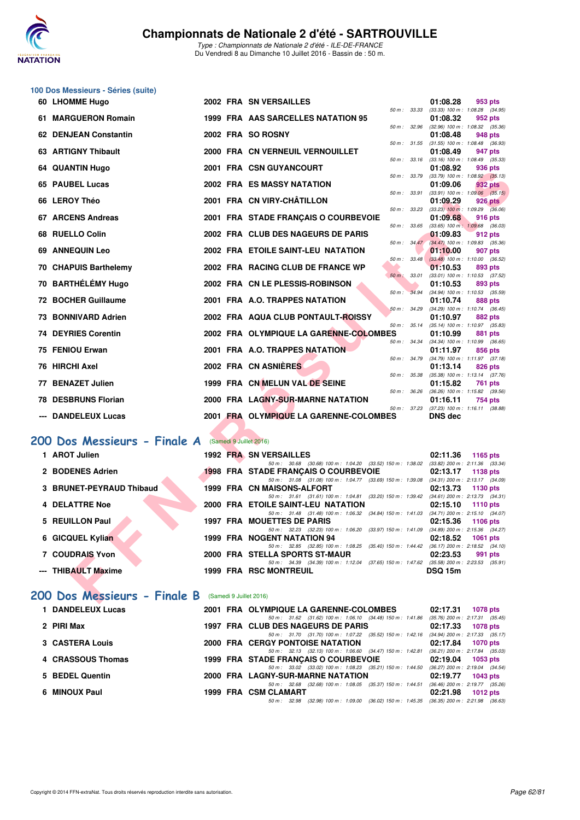

## **100 Dos Messieurs - Séries (suite)**

| 60 LHOMME Hugo                                             |  | <b>2002 FRA SN VERSAILLES</b>                                                                                                           |                         |       | 01:08.28                                                     | 953 pts         |         |
|------------------------------------------------------------|--|-----------------------------------------------------------------------------------------------------------------------------------------|-------------------------|-------|--------------------------------------------------------------|-----------------|---------|
| 61 MARGUERON Romain                                        |  | 1999 FRA AAS SARCELLES NATATION 95                                                                                                      | 50 m: 33.33             |       | $(33.33)$ 100 m : 1:08.28 $(34.95)$<br>01:08.32              | 952 pts         |         |
| 62 DENJEAN Constantin                                      |  | 2002 FRA SO ROSNY                                                                                                                       | 50 m: 32.96             |       | $(32.96)$ 100 m : 1:08.32 $(35.36)$<br>01:08.48              | 948 pts         |         |
| 63 ARTIGNY Thibault                                        |  | 2000 FRA CN VERNEUIL VERNOUILLET                                                                                                        |                         |       | 50 m: 31.55 (31.55) 100 m: 1:08.48 (36.93)                   |                 |         |
|                                                            |  |                                                                                                                                         | 50 m: 33.16             |       | 01:08.49<br>$(33.16)$ 100 m : 1:08.49 $(35.33)$              | 947 pts         |         |
| 64 QUANTIN Hugo                                            |  | 2001 FRA CSN GUYANCOURT                                                                                                                 | 50 m : 33.79            |       | 01:08.92<br>$(33.79)$ 100 m : 1:08.92 $(35.13)$              | 936 pts         |         |
| 65 PAUBEL Lucas                                            |  | <b>2002 FRA ES MASSY NATATION</b>                                                                                                       |                         |       | 01:09.06                                                     | 932 pts         |         |
| 66 LEROY Théo                                              |  | 2001 FRA CN VIRY-CHÂTILLON                                                                                                              | 50 m: 33.91             |       | $(33.91)$ 100 m : 1:09.06 $(35.15)$<br>01:09.29              | <b>926 pts</b>  |         |
| 67 ARCENS Andreas                                          |  | 2001 FRA STADE FRANÇAIS O COURBEVOIE                                                                                                    | 50 m: 33.23             |       | $(33.23)$ 100 m : 1:09.29 $(36.06)$<br>01:09.68              | <b>916 pts</b>  |         |
|                                                            |  |                                                                                                                                         | 50 m: 33.65             |       | $(33.65)$ 100 m : 1:09.68 $(36.03)$                          |                 |         |
| 68 RUELLO Colin                                            |  | 2002 FRA CLUB DES NAGEURS DE PARIS                                                                                                      | 50 m: 34.47             |       | 01:09.83<br>(34.47) 100 m : 1:09.83 (35.36)                  | 912 pts         |         |
| 69 ANNEQUIN Leo                                            |  | 2002 FRA ETOILE SAINT-LEU NATATION                                                                                                      | 50 m : 33.48            |       | 01:10.00<br>$(33.48)$ 100 m : 1:10.00 $(36.52)$              | 907 pts         |         |
| 70 CHAPUIS Barthelemy                                      |  | 2002 FRA RACING CLUB DE FRANCE WP                                                                                                       |                         |       | 01:10.53                                                     | 893 pts         |         |
| 70 BARTHÉLÉMY Hugo                                         |  | 2002 FRA CN LE PLESSIS-ROBINSON                                                                                                         | 50 m: 33.01             |       | (33.01) 100 m: 1:10.53 (37.52)<br>01:10.53                   | 893 pts         |         |
|                                                            |  |                                                                                                                                         | $50 m$ :                | 34.94 | (34.94) 100 m : 1:10.53 (35.59)                              |                 |         |
| <b>72 BOCHER Guillaume</b>                                 |  | 2001 FRA A.O. TRAPPES NATATION                                                                                                          | 50 m: 34.29             |       | 01:10.74<br>(34.29) 100 m: 1:10.74 (36.45)                   | <b>888 pts</b>  |         |
| 73 BONNIVARD Adrien                                        |  | 2002 FRA AQUA CLUB PONTAULT-ROISSY                                                                                                      | 50 m: 35.14             |       | 01:10.97                                                     | 882 pts         |         |
| <b>74 DEYRIES Corentin</b>                                 |  | 2002 FRA OLYMPIQUE LA GARENNE-COLOMBES                                                                                                  |                         |       | $(35.14)$ 100 m : 1:10.97 $(35.83)$<br>01:10.99              | 881 pts         |         |
| 75 FENIOU Erwan                                            |  | 2001 FRA A.O. TRAPPES NATATION                                                                                                          | 50 m : 34.34            |       | $(34.34)$ 100 m : 1:10.99 $(36.65)$<br>01:11.97              | 856 pts         |         |
|                                                            |  |                                                                                                                                         | 50 m : 34.79            |       | (34.79) 100 m: 1:11.97 (37.18)                               |                 |         |
| 76 HIRCHI Axel                                             |  | 2002 FRA CN ASNIERES                                                                                                                    | 50 m: 35.38             |       | 01:13.14<br>$(35.38)$ 100 m : 1:13.14 $(37.76)$              | 826 pts         |         |
| 77 BENAZET Julien                                          |  | 1999 FRA CN MELUN VAL DE SEINE                                                                                                          | 50 m: 36.26             |       | 01:15.82                                                     | 761 pts         |         |
| <b>78 DESBRUNS Florian</b>                                 |  | 2000 FRA LAGNY-SUR-MARNE NATATION                                                                                                       |                         |       | $(36.26)$ 100 m : 1:15.82 $(39.56)$<br>01:16.11              | 754 pts         |         |
| --- DANDELEUX Lucas                                        |  | 2001 FRA OLYMPIQUE LA GARENNE-COLOMBES                                                                                                  |                         |       | 50 m: 37.23 (37.23) 100 m: 1:16.11 (38.88)<br><b>DNS dec</b> |                 |         |
|                                                            |  |                                                                                                                                         |                         |       |                                                              |                 |         |
| 00 Dos Messieurs - Finale A                                |  | (Samedi 9 Juillet 2016)                                                                                                                 |                         |       |                                                              |                 |         |
| 1 AROT Julien                                              |  | <b>1992 FRA SN VERSAILLES</b>                                                                                                           |                         |       | 02:11.36                                                     | 1165 pts        |         |
| 2 BODENES Adrien                                           |  | 50 m: 30.68 (30.68) 100 m: 1:04.20 (33.52) 150 m: 1:38.02 (33.82) 200 m: 2:11.36 (33.34)                                                |                         |       |                                                              |                 |         |
|                                                            |  | <b>1998 FRA STADE FRANÇAIS O COURBEVOIE</b><br>50 m: 31.08 (31.08) 100 m: 1:04.77 (33.69) 150 m: 1:39.08 (34.31) 200 m: 2:13.17 (34.09) |                         |       | 02:13.17                                                     | 1138 pts        |         |
| 3 BRUNET-PEYRAUD Thibaud                                   |  | 1999 FRA CN MAISONS-ALFORT                                                                                                              |                         |       | 02:13.73                                                     | 1130 pts        |         |
| 4 DELATTRE Noe                                             |  | 50 m: 31.61 (31.61) 100 m: 1:04.81 (33.20) 150 m: 1:39.42<br>2000 FRA ETOILE SAINT-LEU NATATION                                         |                         |       | $(34.61)$ 200 m : 2:13.73 $(34.31)$<br>02:15.10              | <b>1110 pts</b> |         |
|                                                            |  | 50 m: 31.48 (31.48) 100 m: 1:06.32 (34.84) 150 m: 1:41.03 (34.71) 200 m: 2:15.10 (34.07)                                                |                         |       |                                                              |                 |         |
| 5 REUILLON Paul                                            |  | <b>1997 FRA MOUETTES DE PARIS</b><br>50 m: 32.23 (32.23) 100 m: 1:06.20                                                                 | (33.97) 150 m : 1:41.09 |       | 02:15.36<br>$(34.89)$ 200 m : 2:15.36 $(34.27)$              | 1106 pts        |         |
| 6 GICQUEL Kylian                                           |  | 1999 FRA NOGENT NATATION 94                                                                                                             |                         |       | 02:18.52                                                     | 1061 pts        |         |
| <b>7 COUDRAIS Yvon</b>                                     |  | 50 m: 32.85 (32.85) 100 m: 1:08.25 (35.40) 150 m: 1:44.42 (36.17) 200 m: 2:18.52<br>2000 FRA STELLA SPORTS ST-MAUR                      |                         |       | 02:23.53                                                     | 991 pts         | (34.10) |
|                                                            |  | 50 m: 34.39 (34.39) 100 m: 1:12.04 (37.65) 150 m: 1:47.62                                                                               |                         |       | $(35.58)$ 200 m : 2:23.53 $(35.91)$                          |                 |         |
| --- THIBAULT Maxime                                        |  | <b>1999 FRA RSC MONTREUIL</b>                                                                                                           |                         |       | <b>DSQ 15m</b>                                               |                 |         |
| <b>00 Dos Messieurs - Finale B</b> (Samedi 9 Juillet 2016) |  |                                                                                                                                         |                         |       |                                                              |                 |         |

### **[200 Dos Messieurs - Finale A](http://www.ffnatation.fr/webffn/resultats.php?idact=nat&go=epr&idcpt=39837&idepr=63)** (Samedi 9 Juillet 2016)

| 1 AROT Julien            |  | 1992 FRA SN VERSAILLES                                                                              | 02:11.36                                              | 1165 pts   |
|--------------------------|--|-----------------------------------------------------------------------------------------------------|-------------------------------------------------------|------------|
| 2 BODENES Adrien         |  | 50 m: 30.68 (30.68) 100 m: 1:04.20 (33.52) 150 m: 1:38.02<br>1998 FRA STADE FRANCAIS O COURBEVOIE   | $(33.82)$ 200 m : 2:11.36 $(33.34)$<br>02:13.17       | 1138 pts   |
| 3 BRUNET-PEYRAUD Thibaud |  | 50 m: 31.08 (31.08) 100 m: 1:04.77 (33.69) 150 m: 1:39.08<br>1999 FRA CN MAISONS-ALFORT             | $(34.31)$ 200 m : 2:13.17 $(34.09)$<br>02:13.73       | $1130$ pts |
| <b>4 DELATTRE Noe</b>    |  | 50 m: 31.61 (31.61) 100 m: 1:04.81 (33.20) 150 m: 1:39.42<br>2000 FRA ETOILE SAINT-LEU NATATION     | $(34.61)$ 200 m : 2:13.73 $(34.31)$<br>02:15.10       | 1110 $pts$ |
| 5 REUILLON Paul          |  | 50 m: 31.48 (31.48) 100 m: 1:06.32 (34.84) 150 m: 1:41.03<br><b>1997 FRA MOUETTES DE PARIS</b>      | $(34.71)$ 200 m : 2:15.10 $(34.07)$<br>02:15.36       | 1106 $pts$ |
| 6 GICQUEL Kylian         |  | 50 m: 32.23 (32.23) 100 m: 1:06.20 (33.97) 150 m: 1:41.09<br><b>1999 FRA NOGENT NATATION 94</b>     | $(34.89)$ 200 m : 2:15.36 $(34.27)$<br>02:18.52       | 1061 $pts$ |
| 7 COUDRAIS Yvon          |  | $(35.40)$ 150 m : 1:44.42<br>50 m : 32.85 (32.85) 100 m : 1:08.25<br>2000 FRA STELLA SPORTS ST-MAUR | $(36.17)$ 200 m : 2:18.52 $(34.10)$<br>02:23.53       | 991 pts    |
| --- THIBAULT Maxime      |  | 50 m: 34.39 (34.39) 100 m: 1:12.04 (37.65) 150 m: 1:47.62<br><b>1999 FRA RSC MONTREUIL</b>          | $(35.58)$ 200 m : 2:23.53 $(35.91)$<br><b>DSQ 15m</b> |            |
|                          |  |                                                                                                     |                                                       |            |

## **[200 Dos Messieurs - Finale B](http://www.ffnatation.fr/webffn/resultats.php?idact=nat&go=epr&idcpt=39837&idepr=63)** (Samedi 9 Juillet 2016)

| <b>DANDELEUX Lucas</b> | 2001 FRA OLYMPIQUE LA GARENNE-COLOMBES                                                      | 02:17.31<br>1078 pts                |
|------------------------|---------------------------------------------------------------------------------------------|-------------------------------------|
|                        | 50 m: 31.62 (31.62) 100 m: 1:06.10 (34.48) 150 m: 1:41.86                                   | (35.76) 200 m : 2:17.31 (35.45      |
| 2 PIRI Max             | 1997 FRA CLUB DES NAGEURS DE PARIS                                                          | 02:17.33<br>1078 pts                |
|                        | 50 m: 31.70 (31.70) 100 m: 1:07.22 (35.52) 150 m: 1:42.16                                   | $(34.94)$ 200 m : 2:17.33 $(35.17)$ |
| 3 CASTERA Louis        | <b>2000 FRA CERGY PONTOISE NATATION</b>                                                     | 02:17.84<br><b>1070 pts</b>         |
|                        | 50 m: 32.13 (32.13) 100 m: 1:06.60 (34.47) 150 m: 1:42.81                                   | (36.21) 200 m : 2:17.84 (35.03      |
| 4 CRASSOUS Thomas      | 1999 FRA STADE FRANCAIS O COURBEVOIE                                                        | 02:19.04<br>1053 pts                |
|                        | 50 m: 33.02 (33.02) 100 m: 1:08.23 (35.21) 150 m: 1:44.50                                   | $(36.27)$ 200 m : 2:19.04 $(34.54)$ |
| 5 BEDEL Quentin        | 2000 FRA LAGNY-SUR-MARNE NATATION                                                           | 02:19.77<br>1043 pts                |
|                        | 50 m: 32.68 (32.68) 100 m: 1:08.05 (35.37) 150 m: 1:44.51                                   | $(36.46)$ 200 m : 2:19.77 $(35.26)$ |
| 6 MINOUX Paul          | 1999 FRA CSM CLAMART                                                                        | 02:21.98<br>1012 $pts$              |
|                        | 50 m : 32.98 (32.98) 100 m : 1:09.00 (36.02) 150 m : 1:45.35 (36.35) 200 m : 2:21.98 (36.63 |                                     |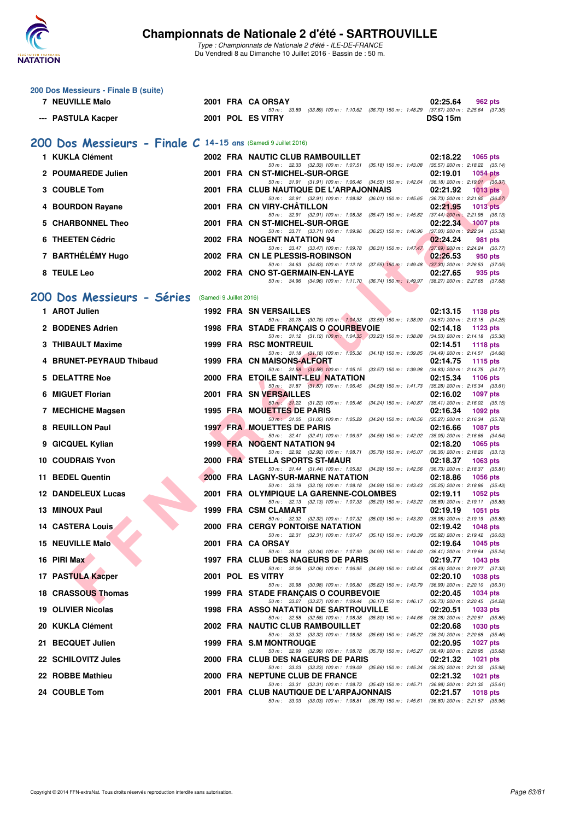

|   | 200 Dos Messieurs - Finale B (suite)                           |  |  |                                                                                                                                     |                                                                      |  |  |  |  |  |  |  |
|---|----------------------------------------------------------------|--|--|-------------------------------------------------------------------------------------------------------------------------------------|----------------------------------------------------------------------|--|--|--|--|--|--|--|
|   | 7 NEUVILLE Malo                                                |  |  | 2001 FRA CA ORSAY<br>50 m: 33.89 (33.89) 100 m: 1:10.62 (36.73) 150 m: 1:48.29 (37.67) 200 m: 2:25.64 (37.35)                       | 02:25.64<br>962 pts                                                  |  |  |  |  |  |  |  |
|   | --- PASTULA Kacper                                             |  |  | 2001 POL ES VITRY                                                                                                                   | <b>DSQ 15m</b>                                                       |  |  |  |  |  |  |  |
|   | 200 Dos Messieurs - Finale C 14-15 ans (Samedi 9 Juillet 2016) |  |  |                                                                                                                                     |                                                                      |  |  |  |  |  |  |  |
|   | 1 KUKLA Clément                                                |  |  | 2002 FRA NAUTIC CLUB RAMBOUILLET                                                                                                    | 02:18.22<br>1065 pts                                                 |  |  |  |  |  |  |  |
|   | 2 POUMAREDE Julien                                             |  |  | 50 m: 32.33 (32.33) 100 m: 1:07.51 (35.18) 150 m: 1:43.08 (35.57) 200 m: 2:18.22 (35.14)<br>2001 FRA CN ST-MICHEL-SUR-ORGE          | 02:19.01<br><b>1054 pts</b>                                          |  |  |  |  |  |  |  |
|   | 3 COUBLE Tom                                                   |  |  | 50 m: 31.91 (31.91) 100 m: 1:06.46 (34.55) 150 m: 1:42.64 (36.18) 200 m: 2:19.01 (36.37)<br>2001 FRA CLUB NAUTIQUE DE L'ARPAJONNAIS | 02:21.92<br>$1013$ pts                                               |  |  |  |  |  |  |  |
|   |                                                                |  |  | 50 m: 32.91 (32.91) 100 m: 1:08.92 (36.01) 150 m: 1:45.65 (36.73) 200 m: 2:21.92 (36.27)                                            |                                                                      |  |  |  |  |  |  |  |
|   | 4 BOURDON Rayane                                               |  |  | 2001 FRA CN VIRY-CHATILLON<br>50 m: 32.91 (32.91) 100 m: 1:08.38 (35.47) 150 m: 1:45.82 (37.44) 200 m: 2:21.95 (36.13)              | 02:21.95<br><b>1013 pts</b>                                          |  |  |  |  |  |  |  |
| 5 | <b>CHARBONNEL Theo</b>                                         |  |  | 2001 FRA CN ST-MICHEL-SUR-ORGE<br>50 m: 33.71 (33.71) 100 m: 1:09.96 (36.25) 150 m: 1:46.96                                         | 02:22.34<br><b>1007 pts</b><br>$(37.00)$ 200 m : $2:22.34$ $(35.38)$ |  |  |  |  |  |  |  |
|   | 6 THEETEN Cédric                                               |  |  | <b>2002 FRA NOGENT NATATION 94</b><br>50 m: 33.47 (33.47) 100 m: 1:09.78 (36.31) 150 m: 1:47.47                                     | 02:24.24<br>981 pts<br>$(37.69)$ 200 m : 2:24.24 $(36.77)$           |  |  |  |  |  |  |  |
|   | 7 BARTHÉLÉMY Hugo                                              |  |  | 2002 FRA CN LE PLESSIS-ROBINSON                                                                                                     | 02:26.53<br>950 pts                                                  |  |  |  |  |  |  |  |
|   | 8 TEULE Leo                                                    |  |  | 50 m: 34.63 (34.63) 100 m: 1:12.18 (37.55) 150 m: 1:49.48<br>2002 FRA CNO ST-GERMAIN-EN-LAYE                                        | $(37.30)$ 200 m : 2:26.53 (37.05)<br>02:27.65<br>935 pts             |  |  |  |  |  |  |  |
|   |                                                                |  |  | 50 m : 34.96 (34.96) 100 m : 1:11.70 (36.74) 150 m : 1:49.97                                                                        | $(38.27)$ 200 m : 2:27.65 $(37.68)$                                  |  |  |  |  |  |  |  |
|   | 200 Dos Messieurs - Séries<br>(Samedi 9 Juillet 2016)          |  |  |                                                                                                                                     |                                                                      |  |  |  |  |  |  |  |
|   | 1 AROT Julien                                                  |  |  | 1992 FRA SN VERSAILLES<br>50 m: 30.78 (30.78) 100 m: 1:04.33 (33.55) 150 m: 1:38.90 (34.57) 200 m: 2:13.15 (34.25)                  | 02:13.15<br>1138 pts                                                 |  |  |  |  |  |  |  |
|   | 2 BODENES Adrien                                               |  |  | 1998 FRA STADE FRANÇAIS O COURBEVOIE                                                                                                | 02:14.18<br>1123 pts                                                 |  |  |  |  |  |  |  |
|   | 3 THIBAULT Maxime                                              |  |  | 50 m: 31.12 (31.12) 100 m: 1:04.35 (33.23) 150 m: 1:38.88 (34.53) 200 m: 2:14.18 (35.30)<br><b>1999 FRA RSC MONTREUIL</b>           | 02:14.51<br><b>1118 pts</b>                                          |  |  |  |  |  |  |  |
|   | <b>BRUNET-PEYRAUD Thibaud</b>                                  |  |  | 50 m: 31.18 (31.18) 100 m: 1.05.36 (34.18) 150 m: 1.39.85 (34.49) 200 m: 2.14.51 (34.66)<br>1999 FRA CN MAISONS-ALFORT              | 02:14.75<br>1115 pts                                                 |  |  |  |  |  |  |  |
| 5 | <b>DELATTRE Noe</b>                                            |  |  | 50 m: 31.58 (31.58) 100 m: 1:05.15 (33.57) 150 m: 1:39.98<br>2000 FRA ETOILE SAINT-LEU NATATION                                     | (34.83) 200 m : 2:14.75 (34.77)<br>02:15.34<br><b>1106 pts</b>       |  |  |  |  |  |  |  |
| 6 | <b>MIGUET Florian</b>                                          |  |  | 50 m: 31.87 (31.87) 100 m: 1:06.45 (34.58) 150 m: 1:41.73<br>2001 FRA SN VERSAILLES                                                 | $(35.28)$ 200 m : 2:15.34 $(33.61)$<br>02:16.02<br><b>1097 pts</b>   |  |  |  |  |  |  |  |
|   |                                                                |  |  | 50 m: 31.22 (31.22) 100 m: 1:05.46 (34.24) 150 m: 1:40.87 (35.41) 200 m: 2:16.02 (35.15)                                            |                                                                      |  |  |  |  |  |  |  |
|   | 7 MECHICHE Magsen                                              |  |  | 1995 FRA MOUETTES DE PARIS<br>50 m: 31.05 (31.05) 100 m: 1:05.29 (34.24) 150 m: 1:40.56                                             | 02:16.34<br>1092 pts<br>(35.27) 200 m : 2:16.34 (35.78)              |  |  |  |  |  |  |  |
|   | 8 REUILLON Paul                                                |  |  | <b>1997 FRA MOUETTES DE PARIS</b><br>50 m: 32.41 (32.41) 100 m: 1:06.97 (34.56) 150 m: 1:42.02 (35.05) 200 m: 2:16.66 (34.64)       | 02:16.66<br><b>1087 pts</b>                                          |  |  |  |  |  |  |  |
|   | 9 GICQUEL Kylian                                               |  |  | <b>1999 FRA NOGENT NATATION 94</b><br>50 m: 32.92 (32.92) 100 m: 1:08.71 (35.79) 150 m: 1:45.07 (36.36) 200 m: 2:18.20 (33.13)      | 02:18.20<br>1065 pts                                                 |  |  |  |  |  |  |  |
|   | <b>10 COUDRAIS Yvon</b>                                        |  |  | 2000 FRA STELLA SPORTS ST-MAUR                                                                                                      | 02:18.37<br>1063 pts                                                 |  |  |  |  |  |  |  |
|   | 11 BEDEL Quentin                                               |  |  | 50 m: 31.44 (31.44) 100 m: 1:05.83 (34.39) 150 m: 1:42.56<br>2000 FRA LAGNY-SUR-MARNE NATATION                                      | $(36.73)$ 200 m : 2:18.37 $(35.81)$<br>02:18.86<br><b>1056 pts</b>   |  |  |  |  |  |  |  |
|   | <b>12 DANDELEUX Lucas</b>                                      |  |  | 50 m: 33.19 (33.19) 100 m: 1.08.18 (34.99) 150 m: 1.43.43 (35.25) 200 m: 2.18.86 (35.43)<br>2001 FRA OLYMPIQUE LA GARENNE-COLOMBES  | 02:19.11<br>1052 pts                                                 |  |  |  |  |  |  |  |
|   | 13 MINOUX Paul                                                 |  |  | 50 m: 32.13 (32.13) 100 m: 1:07.33 (35.20) 150 m: 1:43.22 (35.89) 200 m: 2:19.11 (35.89)<br>1999 FRA CSM CLAMART                    | 02:19.19<br><b>1051 pts</b>                                          |  |  |  |  |  |  |  |
|   | <b>14 CASTERA Louis</b>                                        |  |  | 50 m : 32.32 (32.32) 100 m : 1:07.32 (35.00) 150 m : 1:43.30 (35.98) 200 m : 2:19.19 (35.89)<br>2000 FRA CERGY PONTOISE NATATION    | 02:19.42<br><b>1048 pts</b>                                          |  |  |  |  |  |  |  |
|   | <b>15 NEUVILLE Malo</b>                                        |  |  | 50 m: 32.31 (32.31) 100 m: 1:07.47 (35.16) 150 m: 1:43.39                                                                           | $(35.92)$ 200 m : 2:19.42 $(36.03)$                                  |  |  |  |  |  |  |  |
|   |                                                                |  |  | 2001 FRA CA ORSAY<br>50 m : 33.04 (33.04) 100 m : 1:07.99 (34.95) 150 m : 1:44.40                                                   | 02:19.64<br>1045 pts<br>$(36.41)$ 200 m : 2:19.64 $(35.24)$          |  |  |  |  |  |  |  |
|   | 16 PIRI Max                                                    |  |  | 1997 FRA CLUB DES NAGEURS DE PARIS<br>50 m : 32.06 (32.06) 100 m : 1:06.95 (34.89) 150 m : 1:42.44                                  | 02:19.77<br>1043 pts<br>(35.49) 200 m : 2:19.77 (37.33)              |  |  |  |  |  |  |  |
|   | 17 PASTULA Kacper                                              |  |  | 2001 POL ES VITRY<br>50 m: 30.98 (30.98) 100 m: 1:06.80 (35.82) 150 m: 1:43.79                                                      | 02:20.10<br>1038 pts<br>$(36.99)$ 200 m : 2:20.10 $(36.31)$          |  |  |  |  |  |  |  |
|   | 18 CRASSOUS Thomas                                             |  |  | 1999 FRA STADE FRANCAIS O COURBEVOIE<br>50 m : 33.27 (33.27) 100 m : 1:09.44 (36.17) 150 m : 1:46.17                                | 02:20.45<br><b>1034 pts</b><br>(36.73) 200 m : 2:20.45 (34.28)       |  |  |  |  |  |  |  |
|   | 19 OLIVIER Nicolas                                             |  |  | 1998 FRA ASSO NATATION DE SARTROUVILLE                                                                                              | 02:20.51<br>1033 pts                                                 |  |  |  |  |  |  |  |
|   | 20 KUKLA Clément                                               |  |  | 50 m : 32.58 (32.58) 100 m : 1:08.38 (35.80) 150 m : 1:44.66<br>2002 FRA NAUTIC CLUB RAMBOUILLET                                    | $(36.28)$ 200 m : 2:20.51 $(35.85)$<br>02:20.68<br>1030 pts          |  |  |  |  |  |  |  |
|   | 21 BECQUET Julien                                              |  |  | 50 m: 33.32 (33.32) 100 m: 1:08.98 (35.66) 150 m: 1:45.22 (36.24) 200 m: 2:20.68 (35.46)<br><b>1999 FRA S.M MONTROUGE</b>           | 02:20.95<br>1027 pts                                                 |  |  |  |  |  |  |  |
|   | 22 SCHILOVITZ Jules                                            |  |  | 50 m: 32.99 (32.99) 100 m: 1:08.78 (35.79) 150 m: 1:45.27<br>2000 FRA CLUB DES NAGEURS DE PARIS                                     | $(36.49)$ 200 m : 2:20.95 $(35.68)$<br>02:21.32<br>1021 pts          |  |  |  |  |  |  |  |
|   | 22 ROBBE Mathieu                                               |  |  | 50 m : 33.23 (33.23) 100 m : 1:09.09 (35.86) 150 m : 1:45.34                                                                        | (36.25) 200 m : 2:21.32 (35.98)                                      |  |  |  |  |  |  |  |
|   |                                                                |  |  | 2000 FRA NEPTUNE CLUB DE FRANCE<br>50 m: 33.31 (33.31) 100 m: 1:08.73 (35.42) 150 m: 1:45.71                                        | 02:21.32<br>1021 pts<br>$(36.98)$ 200 m : 2:21.32 $(35.61)$          |  |  |  |  |  |  |  |
|   | 24 COUBLE Tom                                                  |  |  | 2001 FRA CLUB NAUTIQUE DE L'ARPAJONNAIS<br>50 m: 33.03 (33.03) 100 m: 1:08.81 (35.78) 150 m: 1:45.61 (36.80) 200 m: 2:21.57 (35.96) | 02:21.57<br><b>1018 pts</b>                                          |  |  |  |  |  |  |  |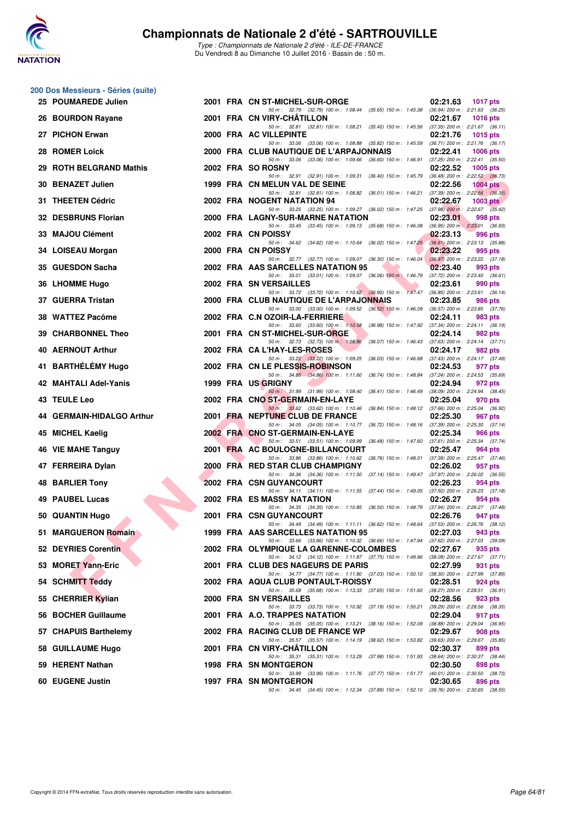

|    | 200 Dos Messieurs - Séries (suite) |  |                                                                                                                                        |                                                                                |
|----|------------------------------------|--|----------------------------------------------------------------------------------------------------------------------------------------|--------------------------------------------------------------------------------|
|    | 25 POUMAREDE Julien                |  | 2001 FRA CN ST-MICHEL-SUR-ORGE<br>50 m: 32.79 (32.79) 100 m: 1:08.44 (35.65) 150 m: 1:45.38 (36.94) 200 m: 2:21.63 (36.25)             | 02:21.63<br><b>1017 pts</b>                                                    |
|    | 26 BOURDON Rayane                  |  | 2001 FRA CN VIRY-CHATILLON                                                                                                             | 02:21.67<br><b>1016 pts</b>                                                    |
|    | 27 PICHON Erwan                    |  | 50 m: 32.81 (32.81) 100 m: 1:08.21 (35.40) 150 m: 1:45.56 (37.35) 200 m: 2:21.67 (36.11)<br>2000 FRA AC VILLEPINTE                     | 02:21.76<br><b>1015 pts</b>                                                    |
|    | 28 ROMER Loick                     |  | 50 m: 33.06 (33.06) 100 m: 1:08.88 (35.82) 150 m: 1:45.59<br>2000 FRA CLUB NAUTIQUE DE L'ARPAJONNAIS                                   | $(36.71)$ 200 m : 2:21.76 $(36.17)$<br>02:22.41<br><b>1006 pts</b>             |
| 29 | <b>ROTH BELGRAND Mathis</b>        |  | 50 m : 33.06 (33.06) 100 m : 1:09.66 (36.60) 150 m : 1:46.91<br>2002 FRA SO ROSNY                                                      | $(37.25)$ 200 m : 2:22.41 $(35.50)$<br>02:22.52<br>1005 pts                    |
|    | 30 BENAZET Julien                  |  | 50 m: 32.91 (32.91) 100 m: 1:09.31 (36.40) 150 m: 1:45.79<br>1999 FRA CN MELUN VAL DE SEINE                                            | $(36.48)$ 200 m : 2:22.52 $(36.73)$<br>02:22.56<br><b>1004 pts</b>             |
|    | 31 THEETEN Cédric                  |  | 50 m: 32.81 (32.81) 100 m: 1:08.82 (36.01) 150 m: 1:46.21<br>2002 FRA NOGENT NATATION 94                                               | $(37.39)$ 200 m : 2:22.56 $(36.35)$<br>02:22.67<br>$1003$ pts                  |
|    | 32 DESBRUNS Florian                |  | 50 m: 33.25 (33.25) 100 m: 1:09.27 (36.02) 150 m: 1:47.25 (37.98) 200 m: 2:22.67 (35.42)<br>2000 FRA LAGNY-SUR-MARNE NATATION          | 02:23.01<br>998 pts                                                            |
|    | 33 MAJOU Clément                   |  | 50 m: 33.45 (33.45) 100 m: 1:09.13 (35.68) 150 m: 1:46.08 (36.95) 200 m: 2:23.01 (36.93)<br>2002 FRA CN POISSY                         | 02:23.13<br>996 pts                                                            |
|    | 34 LOISEAU Morgan                  |  | 50 m: 34.62 (34.62) 100 m: 1:10.64 (36.02) 150 m: 1:47.25<br>2000 FRA CN POISSY                                                        | $(36.61)$ 200 m : 2:23.13 $(35.88)$<br>02:23.22<br>995 pts                     |
|    | 35 GUESDON Sacha                   |  | 50 m: 32.77 (32.77) 100 m: 1:09.07 (36.30) 150 m: 1:46.04<br>2002 FRA AAS SARCELLES NATATION 95                                        | $(36.97)$ 200 m : 2:23.22 $(37.18)$<br>02:23.40<br>993 pts                     |
|    | 36 LHOMME Hugo                     |  | 50 m : 33.01 (33.01) 100 m : 1:09.07 (36.06) 150 m : 1:46.79<br>2002 FRA SN VERSAILLES                                                 | $(37.72)$ 200 m : 2:23.40 $(36.61)$<br>02:23.61<br>990 pts                     |
|    | 37 GUERRA Tristan                  |  | 50 m: 33.72 (33.72) 100 m: 1:10.62 (36.90) 150 m: 1:47.47<br>2000 FRA CLUB NAUTIQUE DE L'ARPAJONNAIS                                   | $(36.85)$ 200 m : 2:23.61 $(36.14)$<br>02:23.85<br>986 pts                     |
|    | 38 WATTEZ Pacôme                   |  | 50 m : 33.00 (33.00) 100 m : 1:09.52 (36.52) 150 m : 1:46.09<br>2002 FRA C.N OZOIR-LA-FERRIERE                                         | $(36.57)$ 200 m : 2:23.85 $(37.76)$<br>02:24.11<br>983 pts                     |
|    | 39 CHARBONNEL Theo                 |  | 50 m: 33.60 (33.60) 100 m: 1:10.58 (36.98) 150 m: 1:47.92 (37.34) 200 m: 2:24.11 (36.19)<br>2001 FRA CN ST-MICHEL-SUR-ORGE             | 02:24.14<br>982 pts                                                            |
|    | 40 AERNOUT Arthur                  |  | 50 m : 32.73 (32.73) 100 m : 1:08.80<br>2002 FRA CA L'HAY-LES-ROSES                                                                    | (36.07) 150 m : 1:46.43 (37.63) 200 m : 2:24.14 (37.71)<br>02:24.17<br>982 pts |
|    | 41 BARTHÉLÉMY Hugo                 |  | 50 m : 33.22 (33.22) 100 m : 1:09.25 (36.03) 150 m : 1:46.68<br>2002 FRA CN LE PLESSIS-ROBINSON                                        | $(37.43)$ 200 m : 2:24.17 $(37.49)$<br>02:24.53<br>977 pts                     |
|    | 42 MAHTALI Adel-Yanis              |  | 50 m: 34.86 (34.86) 100 m: 1:11.60 (36.74) 150 m: 1:48.84<br>1999 FRA US GRIGNY                                                        | (37.24) 200 m : 2:24.53 (35.69)<br>02:24.94<br>972 pts                         |
|    | 43 TEULE Leo                       |  | 50 m: 31.99 (31.99) 100 m: 1:08.40 (36.41) 150 m: 1:46.49<br>2002 FRA CNO ST-GERMAIN-EN-LAYE                                           | (38.09) 200 m : 2:24.94 (38.45)<br>02:25.04<br>970 pts                         |
|    | 44 GERMAIN-HIDALGO Arthur          |  | 50 m: 33.62 (33.62) 100 m: 1:10.46 (36.84) 150 m: 1:48.12 (37.66) 200 m: 2:25.04 (36.92)<br>2001 FRA NEPTUNE CLUB DE FRANCE            | 02:25.30<br>967 pts                                                            |
|    | 45 MICHEL Kaelig                   |  | 50 m: 34.05 (34.05) 100 m: 1:10.77 (36.72) 150 m: 1:48.16 (37.39) 200 m: 2:25.30 (37.14)<br>2002 FRA CNO ST-GERMAIN-EN-LAYE            | 02:25.34<br>966 pts                                                            |
|    | 46 VIE MAHE Tanguy                 |  | 50 m: 33.51 (33.51) 100 m: 1:09.99 (36.48) 150 m: 1:47.60 (37.61) 200 m: 2:25.34 (37.74)<br>2001 FRA AC BOULOGNE-BILLANCOURT           | 02:25.47<br>964 pts                                                            |
|    | 47 FERREIRA Dylan                  |  | 50 m: 33.86 (33.86) 100 m: 1:10.62 (36.76) 150 m: 1:48.01<br>2000 FRA RED STAR CLUB CHAMPIGNY                                          | $(37.39)$ 200 m : 2:25.47 $(37.46)$<br>02:26.02<br>957 pts                     |
|    | <b>48 BARLIER Tony</b>             |  | 50 m: 34.36 (34.36) 100 m: 1:11.50 (37.14) 150 m: 1:49.47 (37.97) 200 m: 2:26.02 (36.55)<br><b>2002 FRA CSN GUYANCOURT</b>             | 02:26.23<br>954 pts                                                            |
|    | 49 PAUBEL Lucas                    |  | 50 m: 34.11 (34.11) 100 m: 1:11.55 (37.44) 150 m: 1:49.05 (37.50) 200 m: 2:26.23 (37.18)<br>2002 FRA ES MASSY NATATION                 | 02:26.27<br>954 pts                                                            |
|    | 50 QUANTIN Hugo                    |  | 50 m: 34.35 (34.35) 100 m: 1:10.85 (36.50) 150 m: 1:48.79<br><b>2001 FRA CSN GUYANCOURT</b>                                            | (37.94) 200 m : 2:26.27 (37.48)<br>02:26.76<br>947 pts                         |
|    | 51 MARGUERON Romain                |  | 50 m: 34.49 (34.49) 100 m: 1:11.11 (36.62) 150 m: 1:48.64<br>1999 FRA AAS SARCELLES NATATION 95                                        | $(37.53)$ 200 m : 2:26.76 $(38.12)$<br>02:27.03<br>943 pts                     |
|    | 52 DEYRIES Corentin                |  | 50 m : 33.66 (33.66) 100 m : 1:10.32 (36.66) 150 m : 1:47.94 (37.62) 200 m : 2:27.03 (39.09)<br>2002 FRA OLYMPIQUE LA GARENNE-COLOMBES | 02:27.67<br>935 pts                                                            |
|    | 53 MORET Yann-Eric                 |  | 50 m: 34.12 (34.12) 100 m: 1:11.87 (37.75) 150 m: 1:49.96<br>2001 FRA CLUB DES NAGEURS DE PARIS                                        | $(38.09)$ 200 m : 2:27.67 $(37.71)$<br>02:27.99<br>931 pts                     |
|    | 54 SCHMITT Teddy                   |  | 50 m: 34.77 (34.77) 100 m: 1:11.80 (37.03) 150 m: 1:50.10<br>2002 FRA AQUA CLUB PONTAULT-ROISSY                                        | (38.30) 200 m : 2:27.99 (37.89)<br>02:28.51<br>924 pts                         |
|    | 55 CHERRIER Kylian                 |  | 50 m : 35.68 (35.68) 100 m : 1:13.33 (37.65) 150 m : 1:51.60<br>2000 FRA SN VERSAILLES                                                 | $(38.27)$ 200 m : 2:28.51 $(36.91)$<br>02:28.56<br>923 pts                     |
|    | 56 BOCHER Guillaume                |  | 50 m: 33.73 (33.73) 100 m: 1:10.92 (37.19) 150 m: 1:50.21<br>2001 FRA A.O. TRAPPES NATATION                                            | $(39.29)$ 200 m : 2:28.56 $(38.35)$<br>02:29.04<br>917 pts                     |
|    | 57 CHAPUIS Barthelemy              |  | 50 m : 35.05 (35.05) 100 m : 1:13.21 (38.16) 150 m : 1:52.09<br>2002 FRA RACING CLUB DE FRANCE WP                                      | (38.88) 200 m : 2:29.04 (36.95)<br>02:29.67<br>908 pts                         |
|    | 58 GUILLAUME Hugo                  |  | 50 m : 35.57 (35.57) 100 m : 1:14.19 (38.62) 150 m : 1:53.82<br>2001 FRA CN VIRY-CHATILLON                                             | $(39.63)$ 200 m : 2:29.67 $(35.85)$<br>02:30.37<br>899 pts                     |
|    | 59 HERENT Nathan                   |  | 50 m: 35.31 (35.31) 100 m: 1:13.29 (37.98) 150 m: 1:51.93<br><b>1998 FRA SN MONTGERON</b>                                              | (38.64) 200 m : 2:30.37 (38.44)<br>02:30.50<br>898 pts                         |
|    | 60 EUGENE Justin                   |  | 50 m: 33.99 (33.99) 100 m: 1:11.76 (37.77) 150 m: 1:51.77<br>1997 FRA SN MONTGERON                                                     | (40.01) 200 m : 2:30.50 (38.73)<br>02:30.65<br>896 pts                         |
|    |                                    |  | 50 m: 34.45 (34.45) 100 m: 1:12.34 (37.89) 150 m: 1:52.10 (39.76) 200 m: 2:30.65 (38.55)                                               |                                                                                |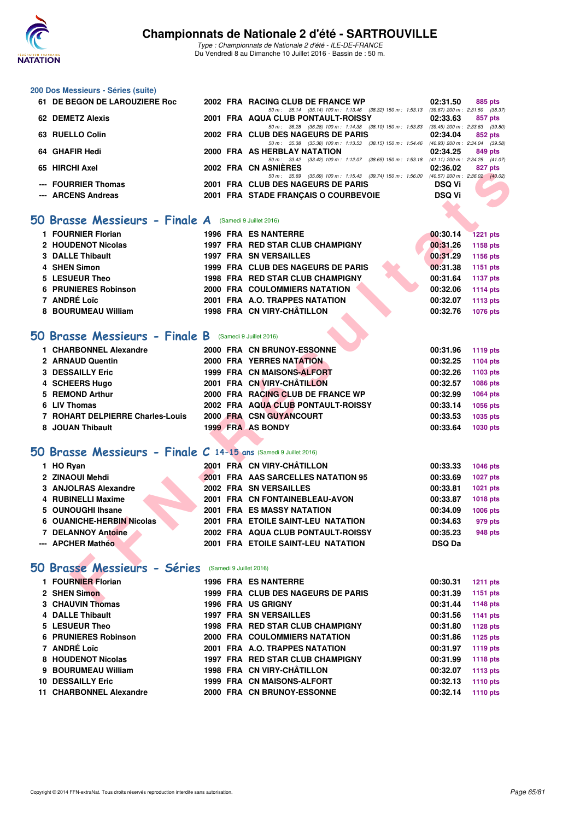

Type : Championnats de Nationale 2 d'été - ILE-DE-FRANCE Du Vendredi 8 au Dimanche 10 Juillet 2016 - Bassin de : 50 m.

#### **200 Dos Messieurs - Séries (suite)**

| 61 DE BEGON DE LAROUZIERE Roc |  | 2002 FRA RACING CLUB DE FRANCE WP                                                            | 02:31.50      | 885 pts                             |
|-------------------------------|--|----------------------------------------------------------------------------------------------|---------------|-------------------------------------|
|                               |  | 50 m: 35.14 (35.14) 100 m: 1:13.46 (38.32) 150 m: 1:53.13                                    |               | $(39.67)$ 200 m : 2:31.50 $(38.37)$ |
| 62 DEMETZ Alexis              |  | 2001 FRA AQUA CLUB PONTAULT-ROISSY                                                           | 02:33.63      | 857 pts                             |
|                               |  | 50 m: 36.28 (36.28) 100 m: 1:14.38 (38.10) 150 m: 1:53.83                                    |               | $(39.45)$ 200 m : 2:33.63 $(39.80)$ |
| 63 RUELLO Colin               |  | 2002 FRA CLUB DES NAGEURS DE PARIS                                                           | 02:34.04      | 852 pts                             |
|                               |  | 50 m : 35.38 (35.38) 100 m : 1:13.53 (38.15) 150 m : 1:54.46 (40.93) 200 m : 2:34.04 (39.58) |               |                                     |
| 64 GHAFIR Hedi                |  | 2000 FRA AS HERBLAY NATATION                                                                 | 02:34.25      | 849 pts                             |
|                               |  | 50 m: 33.42 (33.42) 100 m: 1:12.07 (38.65) 150 m: 1:53.18 (41.11) 200 m: 2:34.25 (41.07)     |               |                                     |
| 65 HIRCHI Axel                |  | 2002 FRA CN ASNIERES                                                                         | 02:36.02      | 827 pts                             |
|                               |  | 50 m : 35.69 (35.69) 100 m : 1:15.43 (39.74) 150 m : 1:56.00 (40.57) 200 m : 2:36.02 (40.02) |               |                                     |
| --- FOURRIER Thomas           |  | 2001 FRA CLUB DES NAGEURS DE PARIS                                                           | <b>DSQ Vi</b> |                                     |
| --- ARCENS Andreas            |  | 2001 FRA STADE FRANCAIS O COURBEVOIE                                                         | <b>DSQ Vi</b> |                                     |
|                               |  |                                                                                              |               |                                     |

#### **50 Brasse Messieurs - Finale A** (Samedi 9 Juillet 2016)

| 1 FOURNIER Florian          |  | 1996 FRA ES NANTERRE               | 00:30.14 | <b>1221 pts</b> |
|-----------------------------|--|------------------------------------|----------|-----------------|
| 2 HOUDENOT Nicolas          |  | 1997 FRA RED STAR CLUB CHAMPIGNY   | 00:31.26 | 1158 pts        |
| 3 DALLE Thibault            |  | <b>1997 FRA SN VERSAILLES</b>      | 00:31.29 | 1156 pts        |
| 4 SHEN Simon                |  | 1999 FRA CLUB DES NAGEURS DE PARIS | 00:31.38 | 1151 pts        |
| 5 LESUEUR Theo              |  | 1998 FRA RED STAR CLUB CHAMPIGNY   | 00:31.64 | 1137 pts        |
| <b>6 PRUNIERES Robinson</b> |  | 2000 FRA COULOMMIERS NATATION      | 00:32.06 | 1114 pts        |
| 7 ANDRÉ Loïc                |  | 2001 FRA A.O. TRAPPES NATATION     | 00:32.07 | 1113 pts        |
| 8 BOURUMEAU William         |  | 1998 FRA CN VIRY-CHÂTILLON         | 00:32.76 | 1076 pts        |

#### **[50 Brasse Messieurs - Finale B](http://www.ffnatation.fr/webffn/resultats.php?idact=nat&go=epr&idcpt=39837&idepr=71)** (Samedi 9 Juillet 2016)

| וסגא ווחטחוו כט                                                    |  |                                                                                                                                | UZ.JU.UZ         | $021$ pm        |
|--------------------------------------------------------------------|--|--------------------------------------------------------------------------------------------------------------------------------|------------------|-----------------|
| --- FOURRIER Thomas                                                |  | 50 m: 35.69 (35.69) 100 m: 1:15.43 (39.74) 150 m: 1:56.00 (40.57) 200 m: 2:36.02 (40.02)<br>2001 FRA CLUB DES NAGEURS DE PARIS | <b>DSQ Vi</b>    |                 |
| --- ARCENS Andreas                                                 |  | 2001 FRA STADE FRANÇAIS O COURBEVOIE                                                                                           | <b>DSQ Vi</b>    |                 |
|                                                                    |  |                                                                                                                                |                  |                 |
| Brasse Messieurs - Finale A (Samedi 9 Juillet 2016)                |  |                                                                                                                                |                  |                 |
|                                                                    |  |                                                                                                                                |                  |                 |
| 1 FOURNIER Florian                                                 |  | <b>1996 FRA ES NANTERRE</b>                                                                                                    | 00:30.14         | <b>1221 pts</b> |
| 2 HOUDENOT Nicolas                                                 |  | 1997 FRA RED STAR CLUB CHAMPIGNY                                                                                               | 00:31.26         | 1158 pts        |
| 3 DALLE Thibault                                                   |  | <b>1997 FRA SN VERSAILLES</b>                                                                                                  | 00:31.29         | 1156 pts        |
| 4 SHEN Simon                                                       |  | 1999 FRA CLUB DES NAGEURS DE PARIS                                                                                             | 00:31.38         | 1151 pts        |
| 5 LESUEUR Theo                                                     |  | 1998 FRA RED STAR CLUB CHAMPIGNY                                                                                               | 00:31.64         | <b>1137 pts</b> |
| <b>6 PRUNIERES Robinson</b>                                        |  | <b>2000 FRA COULOMMIERS NATATION</b>                                                                                           | 00:32.06         | 1114 $pts$      |
| 7 ANDRÉ Loïc                                                       |  | 2001 FRA A.O. TRAPPES NATATION                                                                                                 | 00:32.07         | 1113 pts        |
| 8 BOURUMEAU William                                                |  | 1998 FRA CN VIRY-CHÂTILLON                                                                                                     | 00:32.76         | <b>1076 pts</b> |
|                                                                    |  |                                                                                                                                |                  |                 |
| <b>O Brasse Messieurs - Finale B</b> (Samedi 9 Juillet 2016)       |  |                                                                                                                                |                  |                 |
| 1 CHARBONNEL Alexandre                                             |  | 2000 FRA CN BRUNOY-ESSONNE                                                                                                     | 00:31.96         | 1119 pts        |
| 2 ARNAUD Quentin                                                   |  | 2000 FRA YERRES NATATION                                                                                                       | 00:32.25         | 1104 pts        |
| 3 DESSAILLY Eric                                                   |  | 1999 FRA CN MAISONS-ALFORT                                                                                                     | 00:32.26         | 1103 pts        |
| 4 SCHEERS Hugo                                                     |  | 2001 FRA CN VIRY-CHÂTILLON                                                                                                     | 00:32.57         | <b>1086 pts</b> |
| 5 REMOND Arthur                                                    |  | 2000 FRA RACING CLUB DE FRANCE WP                                                                                              | 00:32.99         | 1064 pts        |
| 6 LIV Thomas                                                       |  | 2002 FRA AQUA CLUB PONTAULT-ROISSY                                                                                             | 00:33.14         | 1056 pts        |
| 7 ROHART DELPIERRE Charles-Louis                                   |  | 2000 FRA CSN GUYANCOURT                                                                                                        | 00:33.53         | 1035 pts        |
| 8 JOUAN Thibault                                                   |  | 1999 FRA AS BONDY                                                                                                              | 00:33.64         | 1030 pts        |
|                                                                    |  |                                                                                                                                |                  |                 |
| $60$ Brasse Messieurs - Finale C 14-15 ans (Samedi 9 Juillet 2016) |  |                                                                                                                                |                  |                 |
| 1 HO Ryan                                                          |  | 2001 FRA CN VIRY-CHÂTILLON                                                                                                     | 00:33.33         | 1046 pts        |
| 2 ZINAOUI Mehdi                                                    |  | 2001 FRA AAS SARCELLES NATATION 95                                                                                             | 00:33.69         | 1027 pts        |
| 3 ANJOLRAS Alexandre                                               |  | 2002 FRA SN VERSAILLES                                                                                                         | 00:33.81         | 1021 pts        |
| <b>4 RUBINELLI Maxime</b>                                          |  | 2001 FRA CN FONTAINEBLEAU-AVON                                                                                                 | 00:33.87         | <b>1018 pts</b> |
| 5 OUNOUGHI Ihsane                                                  |  | 2001 FRA ES MASSY NATATION                                                                                                     | 00:34.09         | <b>1006 pts</b> |
| 6 OUANICHE-HERBIN Nicolas                                          |  | 2001 FRA ETOILE SAINT-LEU NATATION                                                                                             | 00:34.63         | 979 pts         |
| <b>7 DELANNOY Antoine</b>                                          |  | 2002 FRA AQUA CLUB PONTAULT-ROISSY                                                                                             | 00:35.23         | 948 pts         |
| --- APCHER Mathéo                                                  |  | 2001 FRA ETOILE SAINT-LEU NATATION                                                                                             | <b>DSQ Da</b>    |                 |
|                                                                    |  |                                                                                                                                |                  |                 |
| <b>iO Brasse Messieurs - Séries</b> (Samedi 9 Juillet 2016)        |  |                                                                                                                                |                  |                 |
| 1 FOURNIER Florian                                                 |  | <b>1996 FRA ES NANTERRE</b>                                                                                                    | 00:30.31         | <b>1211 pts</b> |
| 2 SHEN Simon                                                       |  | 1999 FRA CLUB DES NAGEURS DE PARIS                                                                                             | 00:31.39         | 1151 pts        |
| <b>2. CUALIVINI Thomas</b>                                         |  | 100C EDA HC CRICHIV                                                                                                            | $0.04444 + 4440$ |                 |

### **[50 Brasse Messieurs - Finale C](http://www.ffnatation.fr/webffn/resultats.php?idact=nat&go=epr&idcpt=39837&idepr=71) 14-15 ans** (Samedi 9 Juillet 2016)

| 1 HO Ryan                 |  | 2001 FRA CN VIRY-CHÂTILLON         | 00:33.33      | 1046 pts        |
|---------------------------|--|------------------------------------|---------------|-----------------|
| 2 ZINAOUI Mehdi           |  | 2001 FRA AAS SARCELLES NATATION 95 | 00:33.69      | <b>1027 pts</b> |
| 3 ANJOLRAS Alexandre      |  | <b>2002 FRA SN VERSAILLES</b>      | 00:33.81      | 1021 pts        |
| 4 RUBINELLI Maxime        |  | 2001 FRA CN FONTAINEBLEAU-AVON     | 00:33.87      | 1018 pts        |
| 5 OUNOUGHI Ihsane         |  | 2001 FRA ES MASSY NATATION         | 00:34.09      | 1006 pts        |
| 6 OUANICHE-HERBIN Nicolas |  | 2001 FRA ETOILE SAINT-LEU NATATION | 00:34.63      | 979 pts         |
| 7 DELANNOY Antoine        |  | 2002 FRA AQUA CLUB PONTAULT-ROISSY | 00:35.23      | <b>948 pts</b>  |
| --- APCHER Mathéo         |  | 2001 FRA ETOILE SAINT-LEU NATATION | <b>DSQ Da</b> |                 |

### **[50 Brasse Messieurs - Séries](http://www.ffnatation.fr/webffn/resultats.php?idact=nat&go=epr&idcpt=39837&idepr=71)** (Samedi 9 Juillet 2016)

|     | 1 FOURNIER Florian          |  | 1996 FRA ES NANTERRE                 | 00:30.31 | <b>1211 pts</b> |
|-----|-----------------------------|--|--------------------------------------|----------|-----------------|
|     | 2 SHEN Simon                |  | 1999 FRA CLUB DES NAGEURS DE PARIS   | 00:31.39 | 1151 pts        |
|     | 3 CHAUVIN Thomas            |  | <b>1996 FRA US GRIGNY</b>            | 00:31.44 | 1148 pts        |
|     | 4 DALLE Thibault            |  | <b>1997 FRA SN VERSAILLES</b>        | 00:31.56 | 1141 pts        |
|     | 5 LESUEUR Theo              |  | 1998 FRA RED STAR CLUB CHAMPIGNY     | 00:31.80 | 1128 pts        |
|     | <b>6 PRUNIERES Robinson</b> |  | <b>2000 FRA COULOMMIERS NATATION</b> | 00:31.86 | 1125 pts        |
|     | 7 ANDRÉ Loïc                |  | 2001 FRA A.O. TRAPPES NATATION       | 00:31.97 | 1119 pts        |
|     | 8 HOUDENOT Nicolas          |  | 1997 FRA RED STAR CLUB CHAMPIGNY     | 00:31.99 | <b>1118 pts</b> |
|     | 9 BOURUMEAU William         |  | 1998 FRA CN VIRY-CHÂTILLON           | 00:32.07 | 1113 pts        |
| 10. | <b>DESSAILLY Eric</b>       |  | 1999 FRA CN MAISONS-ALFORT           | 00:32.13 | 1110 pts        |
|     | <b>CHARBONNEL Alexandre</b> |  | 2000 FRA CN BRUNOY-ESSONNE           | 00:32.14 | <b>1110 pts</b> |
|     |                             |  |                                      |          |                 |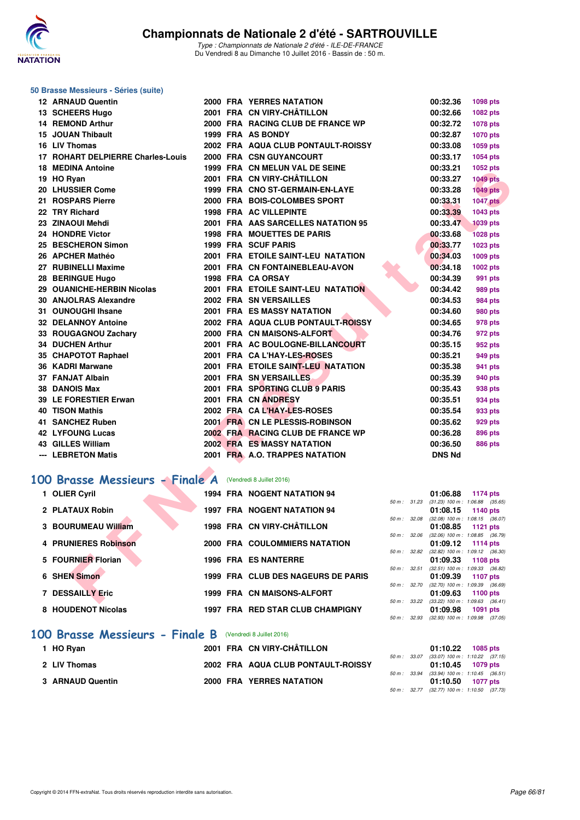

#### **50 Brasse Messieurs - Séries (suite)**

| <b>12 ARNAUD Quentin</b>                                        |  | <b>2000 FRA YERRES NATATION</b>    |             | 00:32.36      | 1098 pts                                                      |  |
|-----------------------------------------------------------------|--|------------------------------------|-------------|---------------|---------------------------------------------------------------|--|
| 13 SCHEERS Hugo                                                 |  | 2001 FRA CN VIRY-CHÂTILLON         |             | 00:32.66      | 1082 pts                                                      |  |
| 14 REMOND Arthur                                                |  | 2000 FRA RACING CLUB DE FRANCE WP  |             | 00:32.72      | 1078 pts                                                      |  |
| 15 JOUAN Thibault                                               |  | 1999 FRA AS BONDY                  |             | 00:32.87      | <b>1070 pts</b>                                               |  |
| 16 LIV Thomas                                                   |  | 2002 FRA AQUA CLUB PONTAULT-ROISSY |             | 00:33.08      | 1059 pts                                                      |  |
| 17 ROHART DELPIERRE Charles-Louis                               |  | 2000 FRA CSN GUYANCOURT            |             | 00:33.17      | 1054 pts                                                      |  |
| <b>18 MEDINA Antoine</b>                                        |  | 1999 FRA CN MELUN VAL DE SEINE     |             | 00:33.21      | 1052 pts                                                      |  |
| 19 HO Ryan                                                      |  | 2001 FRA CN VIRY-CHÂTILLON         |             | 00:33.27      | <b>1049 pts</b>                                               |  |
| 20 LHUSSIER Come                                                |  | 1999 FRA CNO ST-GERMAIN-EN-LAYE    |             | 00:33.28      | <b>1049 pts</b>                                               |  |
| 21 ROSPARS Pierre                                               |  | 2000 FRA BOIS-COLOMBES SPORT       |             | 00:33.31      | <b>1047 pts</b>                                               |  |
| 22 TRY Richard                                                  |  | <b>1998 FRA AC VILLEPINTE</b>      |             | 00:33.39      | 1043 pts                                                      |  |
| 23 ZINAOUI Mehdi                                                |  | 2001 FRA AAS SARCELLES NATATION 95 |             | 00:33.47      | <b>1039 pts</b>                                               |  |
| 24 HONDRE Victor                                                |  | <b>1998 FRA MOUETTES DE PARIS</b>  |             | 00:33.68      | <b>1028 pts</b>                                               |  |
| 25 BESCHERON Simon                                              |  | <b>1999 FRA SCUF PARIS</b>         |             | 00:33.77      | 1023 pts                                                      |  |
| 26 APCHER Mathéo                                                |  | 2001 FRA ETOILE SAINT-LEU NATATION |             | 00:34.03      | 1009 pts                                                      |  |
| 27 RUBINELLI Maxime                                             |  | 2001 FRA CN FONTAINEBLEAU-AVON     |             | 00:34.18      | 1002 pts                                                      |  |
| 28 BERINGUE Hugo                                                |  | 1998 FRA CA ORSAY                  |             | 00:34.39      | <b>991 pts</b>                                                |  |
| 29 OUANICHE-HERBIN Nicolas                                      |  | 2001 FRA ETOILE SAINT-LEU NATATION |             | 00:34.42      | 989 pts                                                       |  |
| 30 ANJOLRAS Alexandre                                           |  | 2002 FRA SN VERSAILLES             |             | 00:34.53      | <b>984 pts</b>                                                |  |
| 31 OUNOUGHI Ihsane                                              |  | 2001 FRA ES MASSY NATATION         |             | 00:34.60      | 980 pts                                                       |  |
| <b>32 DELANNOY Antoine</b>                                      |  | 2002 FRA AQUA CLUB PONTAULT-ROISSY |             | 00:34.65      | 978 pts                                                       |  |
| 33 ROUGAGNOU Zachary                                            |  | 2000 FRA CN MAISONS-ALFORT         |             | 00:34.76      | 972 pts                                                       |  |
| <b>34 DUCHEN Arthur</b>                                         |  | 2001 FRA AC BOULOGNE-BILLANCOURT   |             | 00:35.15      | 952 pts                                                       |  |
| 35 CHAPOTOT Raphael                                             |  | 2001 FRA CA L'HAY-LES-ROSES        |             | 00:35.21      | 949 pts                                                       |  |
| 36 KADRI Marwane                                                |  | 2001 FRA ETOILE SAINT-LEU NATATION |             | 00:35.38      | 941 pts                                                       |  |
| 37 FANJAT Albain                                                |  | 2001 FRA SN VERSAILLES             |             | 00:35.39      | 940 pts                                                       |  |
| <b>38 DANOIS Max</b>                                            |  | 2001 FRA SPORTING CLUB 9 PARIS     |             | 00:35.43      | 938 pts                                                       |  |
| 39 LE FORESTIER Erwan                                           |  | 2001 FRA CN ANDRESY                |             | 00:35.51      | 934 pts                                                       |  |
| <b>40 TISON Mathis</b>                                          |  | 2002 FRA CAL'HAY-LES-ROSES         |             | 00:35.54      | 933 pts                                                       |  |
| 41 SANCHEZ Ruben                                                |  | 2001 FRA CN LE PLESSIS-ROBINSON    |             | 00:35.62      | <b>929 pts</b>                                                |  |
| <b>42 LYFOUNG Lucas</b>                                         |  | 2002 FRA RACING CLUB DE FRANCE WP  |             | 00:36.28      | <b>896 pts</b>                                                |  |
| <b>43 GILLES William</b>                                        |  | <b>2002 FRA ES MASSY NATATION</b>  |             | 00:36.50      | <b>886 pts</b>                                                |  |
| --- LEBRETON Matis                                              |  | 2001 FRA A.O. TRAPPES NATATION     |             | <b>DNS Nd</b> |                                                               |  |
|                                                                 |  |                                    |             |               |                                                               |  |
| <b>00 Brasse Messieurs - Finale A</b> (Vendredi 8 Juillet 2016) |  |                                    |             |               |                                                               |  |
| 1 OLIER Cyril                                                   |  | <b>1994 FRA NOGENT NATATION 94</b> |             | 01:06.88      | 1174 pts                                                      |  |
| 2 PLATAUX Robin                                                 |  | <b>1997 FRA NOGENT NATATION 94</b> | 50 m: 31.23 | 01:08.15      | $(31.23)$ 100 m : 1:06.88 $(35.65)$<br>1140 pts               |  |
|                                                                 |  |                                    |             |               | 50 m: 32.08 (32.08) 100 m: 1:08.15 (36.07)                    |  |
| 3 BOURUMEAU William                                             |  | 1998 FRA CN VIRY-CHÂTILLON         |             | 01:08.85      | <b>1121 pts</b>                                               |  |
| <b>4 PRUNIERES Robinson</b>                                     |  | 2000 FRA COULOMMIERS NATATION      |             | 01:09.12      | 50 m: 32.06 (32.06) 100 m: 1:08.85 (36.79)<br><b>1114 pts</b> |  |
|                                                                 |  |                                    |             |               | 50 m : 32.82 (32.82) 100 m : 1:09.12 (36.30)                  |  |
| 5 FOURNIER Florian                                              |  | 1996 FRA ES NANTERRE               |             | 01:09.33      | 1108 pts                                                      |  |
| 6 SHEN Simon                                                    |  | 1999 FRA CLUB DES NAGEURS DE PARIS | 50 m: 32.51 | 01:09.39      | $(32.51)$ 100 m : 1:09.33 $(36.82)$<br><b>1107 pts</b>        |  |
|                                                                 |  |                                    | 50 m: 32.70 |               | $(32.70)$ 100 m : 1:09.39 $(36.69)$                           |  |
| <b>7 DESSAILLY Eric</b>                                         |  | 1999 FRA CN MAISONS-ALFORT         |             | 01:09.63      | 1100 pts                                                      |  |
|                                                                 |  |                                    |             |               | 50 m: 33.22 (33.22) 100 m: 1:09.63 (36.41)                    |  |

## **[100 Brasse Messieurs - Finale A](http://www.ffnatation.fr/webffn/resultats.php?idact=nat&go=epr&idcpt=39837&idepr=72)** (Vendredi 8 Juillet 2016)

| 1 OLIER Cyril                   | 1994 FRA NOGENT NATATION 94          |             | 01:06.88 | 1174 pts                                          |
|---------------------------------|--------------------------------------|-------------|----------|---------------------------------------------------|
| 2 PLATAUX Robin                 | <b>1997 FRA NOGENT NATATION 94</b>   | 50 m: 31.23 | 01:08.15 | $(31.23)$ 100 m : 1:06.88 $(35.65)$<br>1140 pts   |
| 3 BOURUMEAU William             | 1998 FRA CN VIRY-CHÂTILLON           | 50 m: 32.08 | 01:08.85 | $(32.08)$ 100 m : 1:08.15 $(36.07)$<br>1121 $pts$ |
| <b>4 PRUNIERES Robinson</b>     | <b>2000 FRA COULOMMIERS NATATION</b> | 50 m: 32.06 | 01:09.12 | (32.06) 100 m: 1:08.85 (36.79<br>1114 $pts$       |
| 5 FOURNIER Florian              | 1996 FRA ES NANTERRE                 | 50 m: 32.82 | 01:09.33 | (32.82) 100 m : 1:09.12 (36.30<br>1108 $pts$      |
| 6 SHEN Simon                    | 1999 FRA CLUB DES NAGEURS DE PARIS   | 50 m: 32.51 | 01:09.39 | $(32.51)$ 100 m : 1:09.33 $(36.82)$<br>1107 pts   |
| <b>7 DESSAILLY Eric</b>         | 1999 FRA CN MAISONS-ALFORT           | 50 m: 32.70 | 01:09.63 | (32.70) 100 m : 1:09.39 (36.69)<br>1100 $pts$     |
| 8 HOUDENOT Nicolas              | 1997 FRA RED STAR CLUB CHAMPIGNY     | 50 m: 33.22 | 01:09.98 | $(33.22)$ 100 m : 1:09.63 $(36.41)$<br>1091 pts   |
|                                 |                                      | 50 m: 32.93 |          | (32.93) 100 m: 1:09.98 (37.05)                    |
| 100 Brasse Messieurs - Finale B | (Vendredi 8 Juillet 2016)            |             |          |                                                   |

| 1 HO Ryan        |  | 2001 FRA CN VIRY-CHÂTILLON         |  | $01:10.22$ 1085 pts                          |  |
|------------------|--|------------------------------------|--|----------------------------------------------|--|
|                  |  |                                    |  | 50 m: 33.07 (33.07) 100 m: 1:10.22 (37.15)   |  |
| 2 LIV Thomas     |  | 2002 FRA AQUA CLUB PONTAULT-ROISSY |  | 01:10.45 1079 pts                            |  |
|                  |  |                                    |  | 50 m: 33.94 (33.94) 100 m: 1:10.45 (36.51)   |  |
| 3 ARNAUD Quentin |  | <b>2000 FRA YERRES NATATION</b>    |  | 01:10.50 1077 pts                            |  |
|                  |  |                                    |  | 50 m : 32.77 (32.77) 100 m : 1:10.50 (37.73) |  |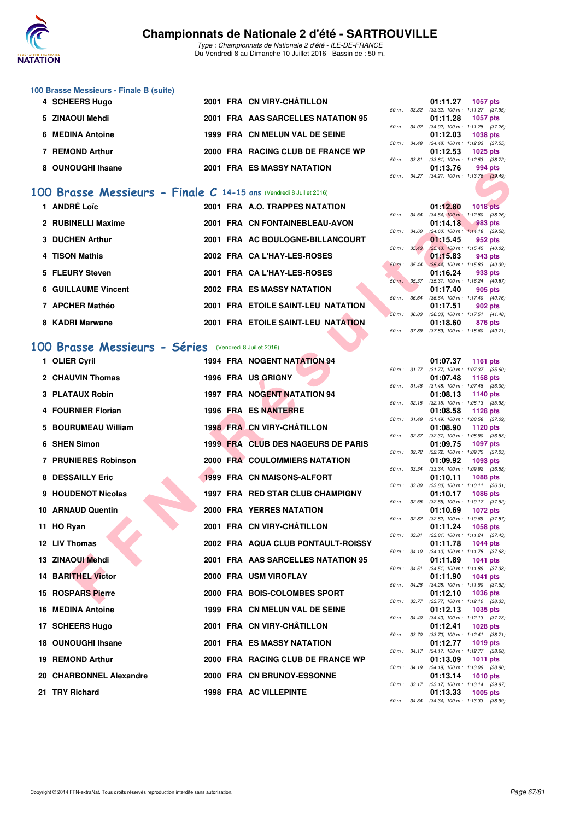

Type : Championnats de Nationale 2 d'été - ILE-DE-FRANCE Du Vendredi 8 au Dimanche 10 Juillet 2016 - Bassin de : 50 m.

## **100 Brasse Messieurs - Finale B (suite)**

| 4 SCHEERS Hugo    |  | 2001 FRA CN VIRY-CHÂTILLON         |  | 01:11.27                                                       | 1057 pts |  |
|-------------------|--|------------------------------------|--|----------------------------------------------------------------|----------|--|
|                   |  |                                    |  |                                                                |          |  |
| 5 ZINAOUI Mehdi   |  | 2001 FRA AAS SARCELLES NATATION 95 |  | 50 m: 33.32 (33.32) 100 m: 1:11.27 (37.<br>01:11.28 1057 pts   |          |  |
| 6 MEDINA Antoine  |  | 1999 FRA CN MELUN VAL DE SEINE     |  | 50 m: 34.02 (34.02) 100 m: 1:11.28 (37.<br>01:12.03 1038 pts   |          |  |
| 7 REMOND Arthur   |  | 2000 FRA RACING CLUB DE FRANCE WP  |  | 50 m: 34.48 (34.48) 100 m: 1:12.03 (37.<br>$01:12.53$ 1025 pts |          |  |
|                   |  |                                    |  | 50 m: 33.81 (33.81) 100 m: 1:12.53 (38.                        |          |  |
| 8 OUNOUGHI Ihsane |  | <b>2001 FRA ES MASSY NATATION</b>  |  | 01:13.76<br>area areas really related the                      | 994 pts  |  |

#### **[100 Brasse Messieurs - Finale C](http://www.ffnatation.fr/webffn/resultats.php?idact=nat&go=epr&idcpt=39837&idepr=72) 14-15 ans** (Vendredi 8 Juillet 2016)

| 1 ANDRÉ Loïc               |  | 2001 FRA A.O. TRAPPES NATATION     |                          |                          | 01:12.80                                     | 1018 pts   |  |
|----------------------------|--|------------------------------------|--------------------------|--------------------------|----------------------------------------------|------------|--|
| 2 RUBINELLI Maxime         |  | 2001 FRA CN FONTAINEBLEAU-AVON     | $50 \text{ m}$ : 34.54   |                          | $(34.54)$ 100 m : 1:12.80 (38.<br>01:14.18   | $-983$ pts |  |
|                            |  |                                    | 50 m: 34.60              |                          | $(34.60)$ 100 m : 1:14.18 (39.               |            |  |
| 3 DUCHEN Arthur            |  | 2001 FRA AC BOULOGNE-BILLANCOURT   |                          | $50 \text{ m}$ : $35.43$ | 01:15.45<br>$(35.43)$ 100 m : 1:15.45 (40.   | 952 pts    |  |
| 4 TISON Mathis             |  | 2002 FRA CA L'HAY-LES-ROSES        |                          |                          | 01:15.83                                     | 943 pts    |  |
| 5 FLEURY Steven            |  | 2001 FRA CA L'HAY-LES-ROSES        | $50 \text{ m}$ : $35.44$ |                          | $(35.44)$ 100 m : 1:15.83 (40.<br>01:16.24   | 933 pts    |  |
| <b>6 GUILLAUME Vincent</b> |  | <b>2002 FRA ES MASSY NATATION</b>  | 50 m: 35.37              |                          | $(35.37)$ 100 m : 1:16.24 (40.<br>01:17.40   | 905 pts    |  |
| 7 APCHER Mathéo            |  | 2001 FRA ETOILE SAINT-LEU NATATION | $50 m$ :                 | 36.64                    | $(36.64)$ 100 m : 1:17.40 (40.<br>01:17.51   | 902 pts    |  |
| 8 KADRI Marwane            |  | 2001 FRA ETOILE SAINT-LEU NATATION | $50 m$ :                 | 36.03                    | $(36.03)$ 100 m : 1:17.51 $(41.$<br>01:18.60 | 876 pts    |  |
|                            |  |                                    |                          |                          |                                              |            |  |

#### **[100 Brasse Messieurs - Séries](http://www.ffnatation.fr/webffn/resultats.php?idact=nat&go=epr&idcpt=39837&idepr=72)** (Vendredi 8 Juillet 2016)

| <b>UUNUUUI II IIISAH</b>                                           |  | FRA LJ MAJJI NATATIVN              |              |              | 01.IJ.IU | ววฯ มเจ                                                       |
|--------------------------------------------------------------------|--|------------------------------------|--------------|--------------|----------|---------------------------------------------------------------|
|                                                                    |  |                                    |              |              |          | 50 m: 34.27 (34.27) 100 m: 1:13.76 (39.49)                    |
| 00 Brasse Messieurs - Finale C 14-15 ans (Vendredi 8 Juillet 2016) |  |                                    |              |              |          |                                                               |
| 1 ANDRÉ Loïc                                                       |  | 2001 FRA A.O. TRAPPES NATATION     |              | 50 m : 34.54 | 01:12.80 | <b>1018 pts</b><br>$(34.54)$ 100 m : 1:12.80 $(38.26)$        |
| 2 RUBINELLI Maxime                                                 |  | 2001 FRA CN FONTAINEBLEAU-AVON     |              |              | 01:14.18 | 983 pts                                                       |
| 3 DUCHEN Arthur                                                    |  | 2001 FRA AC BOULOGNE-BILLANCOURT   | 50 m : 34.60 |              | 01:15.45 | $(34.60)$ 100 m : 1:14.18 $(39.58)$<br>952 pts                |
| 4 TISON Mathis                                                     |  | 2002 FRA CA L'HAY-LES-ROSES        | 50 m: 35.43  |              | 01:15.83 | $(35.43)$ 100 m : 1:15.45 $(40.02)$<br>943 pts                |
| 5 FLEURY Steven                                                    |  | 2001 FRA CA L'HAY-LES-ROSES        |              | 50 m: 35.44  | 01:16.24 | $(35.44)$ 100 m : 1:15.83 (40.39)<br>933 pts                  |
|                                                                    |  |                                    |              | 50 m: 35.37  |          | $(35.37)$ 100 m : 1:16.24 $(40.87)$                           |
| <b>6 GUILLAUME Vincent</b>                                         |  | <b>2002 FRA ES MASSY NATATION</b>  | 50 m : 36.64 |              | 01:17.40 | 905 pts<br>$(36.64)$ 100 m : 1:17.40 $(40.76)$                |
| 7 APCHER Mathéo                                                    |  | 2001 FRA ETOILE SAINT-LEU NATATION |              | 50 m: 36.03  | 01:17.51 | 902 pts<br>$(36.03)$ 100 m : 1:17.51 $(41.48)$                |
| 8 KADRI Marwane                                                    |  | 2001 FRA ETOILE SAINT-LEU NATATION | 50 m: 37.89  |              | 01:18.60 | 876 pts<br>$(37.89)$ 100 m : 1:18.60 $(40.71)$                |
|                                                                    |  |                                    |              |              |          |                                                               |
| 00 Brasse Messieurs - Séries (Vendredi 8 Juillet 2016)             |  |                                    |              |              |          |                                                               |
| 1 OLIER Cyril                                                      |  | 1994 FRA NOGENT NATATION 94        |              |              | 01:07.37 | <b>1161 pts</b><br>50 m: 31.77 (31.77) 100 m: 1:07.37 (35.60) |
| 2 CHAUVIN Thomas                                                   |  | 1996 FRA US GRIGNY                 |              |              | 01:07.48 | 1158 pts                                                      |
| <b>3 PLATAUX Robin</b>                                             |  | 1997 FRA NOGENT NATATION 94        |              |              |          | 50 m: 31.48 (31.48) 100 m: 1:07.48 (36.00)                    |
|                                                                    |  |                                    |              |              | 01:08.13 | 1140 pts<br>50 m: 32.15 (32.15) 100 m: 1:08.13 (35.98)        |
| 4 FOURNIER Florian                                                 |  | 1996 FRA ES NANTERRE               |              | 50 m : 31.49 | 01:08.58 | <b>1128 pts</b><br>$(31.49)$ 100 m : 1:08.58 $(37.09)$        |
| 5 BOURUMEAU William                                                |  | 1998 FRA CN VIRY-CHÂTILLON         |              |              | 01:08.90 | 1120 pts                                                      |
| 6 SHEN Simon                                                       |  | 1999 FRA CLUB DES NAGEURS DE PARIS |              | 50 m : 32.37 | 01:09.75 | $(32.37)$ 100 m : 1:08.90 $(36.53)$<br><b>1097 pts</b>        |
|                                                                    |  |                                    |              |              |          | 50 m: 32.72 (32.72) 100 m: 1:09.75 (37.03)                    |
| <b>7 PRUNIERES Robinson</b>                                        |  | 2000 FRA COULOMMIERS NATATION      |              | 50 m : 33.34 | 01:09.92 | 1093 pts<br>$(33.34)$ 100 m : 1:09.92 $(36.58)$               |
| 8 DESSAILLY Eric                                                   |  | 1999 FRA CN MAISONS-ALFORT         |              | 50 m : 33.80 | 01:10.11 | <b>1088 pts</b><br>$(33.80)$ 100 m : 1:10.11 $(36.31)$        |
| 9 HOUDENOT Nicolas                                                 |  | 1997 FRA RED STAR CLUB CHAMPIGNY   |              |              | 01:10.17 | <b>1086 pts</b>                                               |
| 10 ARNAUD Quentin                                                  |  | <b>2000 FRA YERRES NATATION</b>    |              |              | 01:10.69 | 50 m: 32.55 (32.55) 100 m: 1:10.17 (37.62)<br><b>1072 pts</b> |
| 11 HO Ryan                                                         |  | 2001 FRA CN VIRY-CHÂTILLON         | 50 m: 32.82  |              | 01:11.24 | $(32.82)$ 100 m : 1:10.69 $(37.87)$<br>1058 pts               |
|                                                                    |  |                                    |              | 50 m : 33.81 |          | $(33.81)$ 100 m : 1:11.24 $(37.43)$                           |
| 12 LIV Thomas                                                      |  | 2002 FRA AQUA CLUB PONTAULT-ROISSY |              |              | 01:11.78 | <b>1044 pts</b><br>50 m: 34.10 (34.10) 100 m: 1:11.78 (37.68) |
| 13 ZINAOUI Mehdi                                                   |  | 2001 FRA AAS SARCELLES NATATION 95 |              | 50 m : 34.51 | 01:11.89 | <b>1041 pts</b><br>$(34.51)$ 100 m : 1:11.89 $(37.38)$        |
| <b>14 BARITHEL Victor</b>                                          |  | 2000 FRA USM VIROFLAY              |              |              | 01:11.90 | 1041 pts                                                      |
| 15 ROSPARS Pierre                                                  |  | 2000 FRA BOIS-COLOMBES SPORT       |              |              | 01:12.10 | 50 m: 34.28 (34.28) 100 m: 1:11.90 (37.62)<br><b>1036 pts</b> |
| 16 MEDINA Antoine                                                  |  | 1999 FRA CN MELUN VAL DE SEINE     |              |              | 01:12.13 | 50 m: 33.77 (33.77) 100 m: 1:12.10 (38.33)<br>1035 pts        |
| 17 SCHEERS Hugo                                                    |  | 2001 FRA CN VIRY-CHÂTILLON         |              | 50 m : 34.40 |          | $(34.40)$ 100 m : 1:12.13 $(37.73)$<br><b>1028 pts</b>        |
|                                                                    |  |                                    |              |              | 01:12.41 | 50 m: 33.70 (33.70) 100 m: 1:12.41 (38.71)                    |
| 18 OUNOUGHI Ihsane                                                 |  | <b>2001 FRA ES MASSY NATATION</b>  |              |              | 01:12.77 | <b>1019 pts</b><br>50 m: 34.17 (34.17) 100 m: 1:12.77 (38.60) |
| 19 REMOND Arthur                                                   |  | 2000 FRA RACING CLUB DE FRANCE WP  |              |              | 01:13.09 | 1011 pts<br>50 m: 34.19 (34.19) 100 m: 1:13.09 (38.90)        |
| 20 CHARBONNEL Alexandre                                            |  | 2000 FRA CN BRUNOY-ESSONNE         |              |              | 01:13.14 | 1010 pts                                                      |
| 21 TRY Richard                                                     |  | <b>1998 FRA AC VILLEPINTE</b>      |              |              | 01:13.33 | 50 m: 33.17 (33.17) 100 m: 1:13.14 (39.97)<br><b>1005 pts</b> |
|                                                                    |  |                                    |              |              |          |                                                               |

|              | 01:11.27 1057 pts |                                     |
|--------------|-------------------|-------------------------------------|
| 50 m : 33.32 |                   | (33.32) 100 m: 1:11.27 (37.95)      |
|              | 01:11.28 1057 pts |                                     |
| 50 m : 34.02 |                   | $(34.02)$ 100 m : 1:11.28 $(37.26)$ |
|              | 01:12.03 1038 pts |                                     |
| 50 m : 34.48 |                   | $(34.48)$ 100 m : 1:12.03 $(37.55)$ |
|              | 01:12.53 1025 pts |                                     |
| 50 m : 33.81 |                   | (33.81) 100 m: 1:12.53 (38.72)      |
|              | 01:13.76 994 pts  |                                     |
| 50 m : 34.27 |                   | (34.27) 100 m: 1:13.76 (39.49)      |
|              |                   |                                     |

|                  |       | 01:12.80          | <b>1018 pts</b>     |  |
|------------------|-------|-------------------|---------------------|--|
| $50 m$ :         | 34.54 | $(34.54)$ 100 m : | 1:12.80 (38.26)     |  |
|                  |       | 01:14.18          | 983 pts             |  |
| 50 m : 34.60     |       | $(34.60)$ 100 m : | $1:14.18$ (39.58)   |  |
|                  |       | 01:15.45          | 952 pts             |  |
| $50 m$ :         | 35.43 | $(35.43) 100 m$ : | $1:15.45$ (40.02)   |  |
|                  |       | 01:15.83          | 943 pts             |  |
| $50m$ :          | 35.44 | $(35.44) 100 m$ : | $1:15.83$ $(40.39)$ |  |
|                  |       | 01:16.24          | 933 pts             |  |
| $50 m$ : $35.37$ |       | $(35.37) 100 m$ : | $1:16.24$ (40.87)   |  |
|                  |       | 01:17.40          | <b>905 pts</b>      |  |
| $50 m$ :         | 36.64 | $(36.64) 100 m$ : | $1:17.40$ $(40.76)$ |  |
|                  |       | 01:17.51          | 902 pts             |  |
| $50 m$ :         | 36.03 | $(36.03)$ 100 m : | $1:17.51$ $(41.48)$ |  |
|                  |       | 01:18.60          | 876 pts             |  |
| $50 m$ :         | 37.89 | (37.89) 100 m :   | $1:18.60$ $(40.71)$ |  |
|                  |       |                   |                     |  |

|          |       | 01:07.37          | 1161 pts        |         |
|----------|-------|-------------------|-----------------|---------|
| $50 m$ : | 31.77 | $(31.77) 100 m$ : | 1:07.37         | (35.60) |
|          |       | 01:07.48          | 1158 pts        |         |
| $50 m$ : | 31.48 | $(31.48) 100 m$ : | 1:07.48         | (36.00) |
|          |       | 01:08.13          | 1140 pts        |         |
| $50 m$ : | 32.15 | $(32.15)$ 100 m : | 1:08.13         | (35.98) |
|          |       | 01:08.58          | 1128 pts        |         |
| $50 m$ : | 31.49 | $(31.49) 100 m$ : | 1:08.58         | (37.09) |
|          |       | 01:08.90          | 1120 pts        |         |
| $50 m$ : | 32.37 | $(32.37) 100 m$ : | 1:08.90         | (36.53) |
|          |       | 01:09.75          | 1097 pts        |         |
| $50 m$ : | 32.72 | (32.72) 100 m :   | 1:09.75         | (37.03) |
|          |       | 01:09.92          | 1093            | pts     |
| $50 m$ : | 33.34 | $(33.34) 100 m$ : | 1:09.92         | (36.58) |
|          |       | 01:10.11          | 1088 pts        |         |
| $50 m$ : | 33.80 | $(33.80)$ 100 m : | 1:10.11         | (36.31) |
|          |       | 01:10.17          | 1086 pts        |         |
| $50 m$ : | 32.55 | $(32.55)$ 100 m : | 1:10.17         | (37.62) |
|          |       | 01:10.69          | 1072 pts        |         |
| $50 m$ : | 32.82 | $(32.82)$ 100 m : | 1:10.69         | (37.87) |
|          |       | 01:11.24          | 1058 pts        |         |
| $50 m$ : | 33.81 | $(33.81)$ 100 m : | 1:11.24         | (37.43) |
|          |       | 01:11.78          | 1044 pts        |         |
| $50 m$ : | 34.10 | $(34.10) 100 m$ : | 1:11.78         | (37.68) |
|          |       | 01:11.89          | 1041            | pts     |
| $50 m$ : | 34.51 | $(34.51)$ 100 m : | 1:11.89         | (37.38) |
|          |       | 01:11.90          | 1041            | pts     |
| $50 m$ : | 34.28 | $(34.28) 100 m$ : | 1:11.90         | (37.62) |
|          |       | 01:12.10          | 1036 pts        |         |
| $50 m$ : | 33.77 | $(33.77) 100 m$ : | 1:12.10         | (38.33) |
|          |       | 01:12.13          | 1035            | pts     |
| $50 m$ : | 34.40 | $(34.40)$ 100 m : | 1:12.13         | (37.73) |
|          |       | 01:12.41          | 1028 pts        |         |
| $50 m$ : | 33.70 | $(33.70)$ 100 m : | 1:12.41         | (38.71) |
|          |       | 01:12.77          | 1019 pts        |         |
| $50 m$ : | 34.17 | $(34.17) 100 m$ : | 1:12.77         | (38.60) |
|          |       | 01:13.09          | 1011 pts        |         |
| $50 m$ : | 34.19 | $(34.19) 100 m$ : | 1:13.09         | (38.90) |
|          |       | 01:13.14          | <b>1010 pts</b> |         |
| $50 m$ : | 33.17 | $(33.17) 100 m$ : | 1:13.14         | (39.97) |
|          |       | 01:13.33          | 1005 pts        |         |
| $50 m$ : | 34.34 | $(34.34) 100 m$ : | 1:13.33         | (38.99) |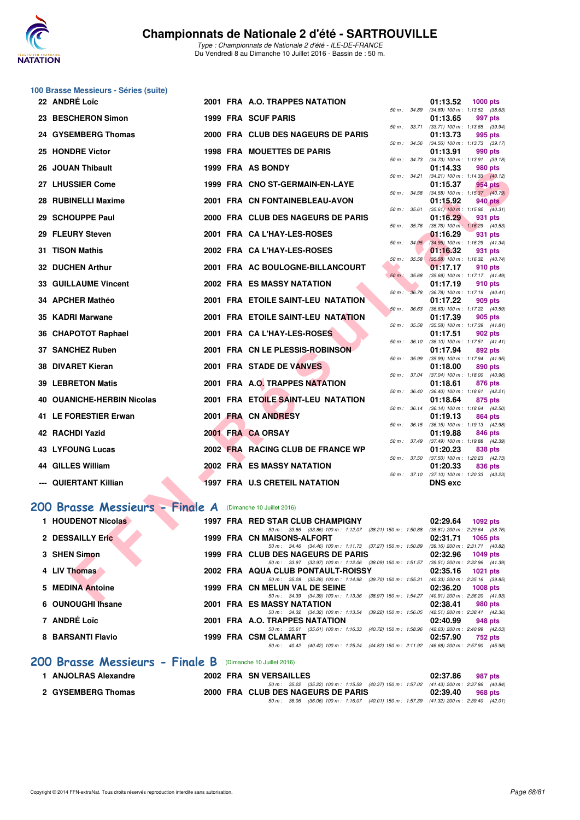

## **100 Brasse Messieurs - Séries (suite)**

| 22 ANDRÉ Loïc                   |  | 2001 FRA A.O. TRAPPES NATATION                                                                                                 |              | 01:13.52                                               | 1000 pts        |  |
|---------------------------------|--|--------------------------------------------------------------------------------------------------------------------------------|--------------|--------------------------------------------------------|-----------------|--|
| 23 BESCHERON Simon              |  | <b>1999 FRA SCUF PARIS</b>                                                                                                     | 50 m : 34.89 | $(34.89)$ 100 m : 1:13.52 $(38.63)$<br>01:13.65        | 997 pts         |  |
| 24 GYSEMBERG Thomas             |  | 2000 FRA CLUB DES NAGEURS DE PARIS                                                                                             | 50 m : 33.71 | $(33.71)$ 100 m : 1:13.65 $(39.94)$<br>01:13.73        | 995 pts         |  |
| 25 HONDRE Victor                |  | <b>1998 FRA MOUETTES DE PARIS</b>                                                                                              |              | 50 m: 34.56 (34.56) 100 m: 1:13.73 (39.17)<br>01:13.91 | 990 pts         |  |
| 26 JOUAN Thibault               |  | 1999 FRA AS BONDY                                                                                                              |              | 50 m: 34.73 (34.73) 100 m: 1:13.91 (39.18)<br>01:14.33 | 980 pts         |  |
| 27 LHUSSIER Come                |  | 1999 FRA CNO ST-GERMAIN-EN-LAYE                                                                                                | 50 m: 34.21  | $(34.21)$ 100 m : 1:14.33 $(40.12)$<br>01:15.37        | 954 pts         |  |
|                                 |  |                                                                                                                                |              | 50 m : 34.58 (34.58) 100 m : 1:15.37 (40.79)           |                 |  |
| 28 RUBINELLI Maxime             |  | 2001 FRA CN FONTAINEBLEAU-AVON                                                                                                 | 50 m : 35.61 | 01:15.92<br>$(35.61)$ 100 m : 1:15.92 $(40.31)$        | 940 pts         |  |
| 29 SCHOUPPE Paul                |  | 2000 FRA CLUB DES NAGEURS DE PARIS                                                                                             |              | 01:16.29                                               | 931 pts         |  |
| 29 FLEURY Steven                |  | 2001 FRA CA L'HAY-LES-ROSES                                                                                                    |              | 50 m: 35.76 (35.76) 100 m: 1:16.29 (40.53)<br>01:16.29 | 931 pts         |  |
| 31 TISON Mathis                 |  | 2002 FRA CAL'HAY-LES-ROSES                                                                                                     |              | 50 m: 34.95 (34.95) 100 m: 1:16.29 (41.34)<br>01:16.32 | 931 pts         |  |
|                                 |  |                                                                                                                                |              | 50 m : 35.58 (35.58) 100 m : 1:16.32 (40.74)           |                 |  |
| 32 DUCHEN Arthur                |  | 2001 FRA AC BOULOGNE-BILLANCOURT                                                                                               | 50 m: 35.68  | 01:17.17<br>(35.68) 100 m: 1:17.17 (41.49)             | 910 pts         |  |
| <b>33 GUILLAUME Vincent</b>     |  | 2002 FRA ES MASSY NATATION                                                                                                     |              | 01:17.19                                               | 910 pts         |  |
| 34 APCHER Mathéo                |  | 2001 FRA ETOILE SAINT-LEU NATATION                                                                                             | 50 m: 36.78  | $(36.78)$ 100 m : 1:17.19 $(40.41)$                    | 909 pts         |  |
|                                 |  |                                                                                                                                | 50 m: 36.63  | 01:17.22<br>$(36.63)$ 100 m : 1:17.22 $(40.59)$        |                 |  |
| 35 KADRI Marwane                |  | 2001 FRA ETOILE SAINT-LEU NATATION                                                                                             | 50 m : 35.58 | 01:17.39                                               | 905 pts         |  |
| 36 CHAPOTOT Raphael             |  | 2001 FRA CA L'HAY-LES-ROSES                                                                                                    |              | $(35.58)$ 100 m : 1:17.39 $(41.81)$<br>01:17.51        | 902 pts         |  |
|                                 |  | 2001 FRA CN LE PLESSIS-ROBINSON                                                                                                | 50 m : 36.10 | $(36.10)$ 100 m : 1:17.51 $(41.41)$                    |                 |  |
| 37 SANCHEZ Ruben                |  |                                                                                                                                | 50 m: 35.99  | 01:17.94<br>(35.99) 100 m: 1:17.94 (41.95)             | 892 pts         |  |
| 38 DIVARET Kieran               |  | 2001 FRA STADE DE VANVES                                                                                                       |              | 01:18.00                                               | 890 pts         |  |
| <b>39 LEBRETON Matis</b>        |  | 2001 FRA A.O. TRAPPES NATATION                                                                                                 |              | 50 m: 37.04 (37.04) 100 m: 1:18.00 (40.96)<br>01:18.61 | 876 pts         |  |
|                                 |  |                                                                                                                                | 50 m: 36.40  | $(36.40)$ 100 m : 1:18.61 $(42.21)$                    |                 |  |
| 40 OUANICHE-HERBIN Nicolas      |  | 2001 FRA ETOILE SAINT-LEU NATATION                                                                                             | 50 m : 36.14 | 01:18.64<br>$(36.14)$ 100 m : 1:18.64 $(42.50)$        | 875 pts         |  |
| 41 LE FORESTIER Erwan           |  | 2001 FRA CN ANDRESY                                                                                                            |              | 01:19.13                                               | 864 pts         |  |
| 42 RACHDI Yazid                 |  | 2001 FRA CA ORSAY                                                                                                              |              | 50 m: 36.15 (36.15) 100 m: 1:19.13 (42.98)<br>01:19.88 | 846 pts         |  |
|                                 |  |                                                                                                                                |              | 50 m: 37.49 (37.49) 100 m: 1:19.88 (42.39)             |                 |  |
| <b>43 LYFOUNG Lucas</b>         |  | 2002 FRA RACING CLUB DE FRANCE WP                                                                                              |              | 01:20.23<br>50 m: 37.50 (37.50) 100 m: 1:20.23 (42.73) | 838 pts         |  |
| <b>44 GILLES William</b>        |  | 2002 FRA ES MASSY NATATION                                                                                                     |              | 01:20.33                                               | 836 pts         |  |
| --- QUIERTANT Killian           |  | <b>1997 FRA U.S CRETEIL NATATION</b>                                                                                           | 50 m: 37.10  | $(37.10)$ 100 m : 1:20.33 $(43.23)$<br><b>DNS</b> exc  |                 |  |
|                                 |  |                                                                                                                                |              |                                                        |                 |  |
| 200 Brasse Messieurs - Finale A |  | (Dimanche 10 Juillet 2016)                                                                                                     |              |                                                        |                 |  |
| 1 HOUDENOT Nicolas              |  | 1997 FRA RED STAR CLUB CHAMPIGNY                                                                                               |              | 02:29.64                                               |                 |  |
|                                 |  | 50 m: 33.86 (33.86) 100 m: 1:12.07 (38.21) 150 m: 1:50.88 (38.81) 200 m: 2:29.64 (38.76)                                       |              |                                                        | 1092 pts        |  |
| 2 DESSAILLY Eric                |  | 1999 FRA CN MAISONS-ALFORT                                                                                                     |              | 02:31.71                                               | <b>1065 pts</b> |  |
| 3 SHEN Simon                    |  | 50 m: 34.46 (34.46) 100 m: 1:11.73 (37.27) 150 m: 1:50.89 (39.16) 200 m: 2:31.71 (40.82)<br>1999 FRA CLUB DES NAGEURS DE PARIS |              | 02:32.96                                               | <b>1049 pts</b> |  |
|                                 |  | 50 m: 33.97 (33.97) 100 m: 1:12.06 (38.09) 150 m: 1:51.57 (39.51) 200 m: 2:32.96 (41.39)                                       |              |                                                        |                 |  |
| 4 LIV Thomas                    |  | 2002 FRA AQUA CLUB PONTAULT-ROISSY<br>50 m: 35.28 (35.28) 100 m: 1:14.98 (39.70) 150 m: 1:55.31 (40.33) 200 m: 2:35.16 (39.85) |              | 02:35.16                                               | 1021 pts        |  |
| <b>5 MEDINA Antoine</b>         |  | 1999 FRA CN MELUN VAL DE SEINE                                                                                                 |              | 02:36.20                                               | 1008 pts        |  |
| C OUNIQUOUT                     |  | 50 m: 34.39 (34.39) 100 m: 1:13.36 (38.97) 150 m: 1:54.27 (40.91) 200 m: 2:36.20 (41.93)<br>0004 FBA FO MACOV MATATION         |              | 00.00.84                                               | ann-            |  |

#### **[200 Brasse Messieurs - Finale A](http://www.ffnatation.fr/webffn/resultats.php?idact=nat&go=epr&idcpt=39837&idepr=73)** (Dimanche 10 Juillet 2016)

| 1 HOUDENOT Nicolas              | 1997 FRA RED STAR CLUB CHAMPIGNY                                                                                                | 02:29.64<br>1092 pts                                        |
|---------------------------------|---------------------------------------------------------------------------------------------------------------------------------|-------------------------------------------------------------|
| 2 DESSAILLY Eric                | 50 m: 33.86 (33.86) 100 m: 1:12.07 (38.21) 150 m: 1:50.88<br>1999 FRA CN MAISONS-ALFORT                                         | $(38.81)$ 200 m : 2:29.64 $(38.76)$<br>02:31.71<br>1065 pts |
| 3 SHEN Simon                    | 50 m: 34.46 (34.46) 100 m: 1:11.73 (37.27) 150 m: 1:50.89<br>1999 FRA CLUB DES NAGEURS DE PARIS                                 | $(39.16)$ 200 m : 2:31.71 $(40.82)$<br>02:32.96<br>1049 pts |
| 4 LIV Thomas                    | 50 m: 33.97 (33.97) 100 m: 1:12.06 (38.09) 150 m: 1:51.57<br>2002 FRA AQUA CLUB PONTAULT-ROISSY                                 | (39.51) 200 m : 2:32.96 (41.39<br>02:35.16<br>1021 $pts$    |
| 5 MEDINA Antoine                | 50 m : 35.28 (35.28) 100 m : 1:14.98 (39.70) 150 m : 1:55.31<br>1999 FRA CN MELUN VAL DE SEINE                                  | (40.33) 200 m : 2:35.16 (39.85<br>02:36.20<br>$1008$ pts    |
|                                 | 50 m: 34.39 (34.39) 100 m: 1:13.36 (38.97) 150 m: 1:54.27                                                                       | (40.91) 200 m : 2:36.20 (41.93                              |
| 6 OUNOUGHI Thsane               | 2001 FRA ES MASSY NATATION<br>50 m: 34.32 (34.32) 100 m: 1:13.54 (39.22) 150 m: 1:56.05                                         | 02:38.41<br>980 pts<br>(42.51) 200 m : 2:38.41 (42.36)      |
| 7 ANDRÉ Loïc                    | 2001 FRA A.O. TRAPPES NATATION<br>50 m: 35.61 (35.61) 100 m: 1:16.33 (40.72) 150 m: 1:58.96                                     | 02:40.99<br>948 pts<br>(42.63) 200 m : 2:40.99 (42.03)      |
| 8 BARSANTI Flavio               | 1999 FRA CSM CLAMART<br>(40.42) 100 m: 1:25.24 (44.82) 150 m: 2:11.92 (46.68) 200 m: 2:57.90 (45.98<br>$50 \text{ m}$ : $40.42$ | 02:57.90<br>752 pts                                         |
| 200 Brasse Messieurs - Finale B | (Dimanche 10 Juillet 2016)                                                                                                      |                                                             |

| 1 ANJOLRAS Alexandre | 2002 FRA SN VERSAILLES                                                                       | 02:37.86 987 pts |         |
|----------------------|----------------------------------------------------------------------------------------------|------------------|---------|
|                      | 50 m : 35.22 (35.22) 100 m : 1:15.59 (40.37) 150 m : 1:57.02 (41.43) 200 m : 2:37.86 (40.84) |                  |         |
| 2 GYSEMBERG Thomas   | 2000 FRA CLUB DES NAGEURS DE PARIS                                                           | 02:39.40         | 968 pts |
|                      | 50 m : 36.06 (36.06) 100 m : 1:16.07 (40.01) 150 m : 1:57.39 (41.32) 200 m : 2:39.40 (42.01) |                  |         |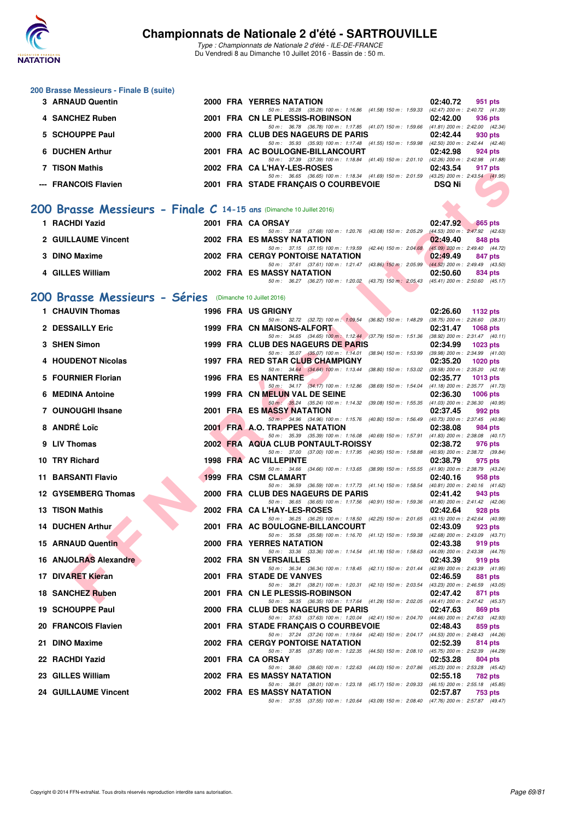

**200 Brasse Messieurs - Finale B (suite)**

#### **Championnats de Nationale 2 d'été - SARTROUVILLE**

Type : Championnats de Nationale 2 d'été - ILE-DE-FRANCE Du Vendredi 8 au Dimanche 10 Juillet 2016 - Bassin de : 50 m.

**3 ARNAUD Quentin 2000 FRA YERRES NATATION 02:40.72 951 pts**

| 4 SANCHEZ Ruben                                                      |  | 50 m: 35.28 (35.28) 100 m: 1:16.86 (41.58) 150 m: 1:59.33 (42.47) 200 m: 2:40.72 (41.39)<br>2001 FRA CN LE PLESSIS-ROBINSON         | 02:42.00<br>936 pts         |
|----------------------------------------------------------------------|--|-------------------------------------------------------------------------------------------------------------------------------------|-----------------------------|
| 5 SCHOUPPE Paul                                                      |  | 50 m: 36.78 (36.78) 100 m: 1:17.85 (41.07) 150 m: 1:59.66 (41.81) 200 m: 2:42.00 (42.34)<br>2000 FRA CLUB DES NAGEURS DE PARIS      | 02:42.44<br>930 pts         |
| 6 DUCHEN Arthur                                                      |  | 50 m: 35.93 (35.93) 100 m: 1:17.48 (41.55) 150 m: 1:59.98 (42.50) 200 m: 2:42.44 (42.46)<br>2001 FRA AC BOULOGNE-BILLANCOURT        | 02:42.98<br>924 pts         |
| 7 TISON Mathis                                                       |  | 50 m: 37.39 (37.39) 100 m: 1:18.84 (41.45) 150 m: 2:01.10 (42.26) 200 m: 2:42.98 (41.88)<br>2002 FRA CAL'HAY-LES-ROSES              | 02:43.54<br>917 pts         |
| --- FRANCOIS Flavien                                                 |  | 50 m: 36.65 (36.65) 100 m: 1:18.34 (41.69) 150 m: 2:01.59 (43.25) 200 m: 2:43.54 (41.95)<br>2001 FRA STADE FRANÇAIS O COURBEVOIE    | <b>DSQ Ni</b>               |
|                                                                      |  |                                                                                                                                     |                             |
| 200 Brasse Messieurs - Finale C 14-15 ans (Dimanche 10 Juillet 2016) |  |                                                                                                                                     |                             |
| 1 RACHDI Yazid                                                       |  | 2001 FRA CA ORSAY<br>50 m: 37.68 (37.68) 100 m: 1:20.76 (43.08) 150 m: 2:05.29 (44.53) 200 m: 2:47.92 (42.63)                       | 02:47.92<br>865 pts         |
| 2 GUILLAUME Vincent                                                  |  | 2002 FRA ES MASSY NATATION<br>50 m: 37.15 (37.15) 100 m: 1:19.59 (42.44) 150 m: 2:04.68 (45.09) 200 m: 2:49.40 (44.72)              | 02:49.40<br>848 pts         |
| 3 DINO Maxime                                                        |  | 2002 FRA CERGY PONTOISE NATATION                                                                                                    | 02:49.49<br>847 pts         |
| 4 GILLES William                                                     |  | 50 m: 37.61 (37.61) 100 m: 1:21.47 (43.86) 150 m: 2:05.99 (44.52) 200 m: 2:49.49 (43.50)<br>2002 FRA ES MASSY NATATION              | 02:50.60<br>834 pts         |
|                                                                      |  | 50 m: 36.27 (36.27) 100 m: 1:20.02 (43.75) 150 m: 2:05.43 (45.41) 200 m: 2:50.60 (45.17)                                            |                             |
| 200 Brasse Messieurs - Séries (Dimanche 10 Juillet 2016)             |  |                                                                                                                                     |                             |
| 1 CHAUVIN Thomas                                                     |  | 1996 FRA US GRIGNY<br>50 m: 32.72 (32.72) 100 m: 1:09.54 (36.82) 150 m: 1:48.29 (38.75) 200 m: 2:26.60 (38.31)                      | 02:26.60<br>1132 pts        |
| 2 DESSAILLY Eric                                                     |  | 1999 FRA CN MAISONS-ALFORT                                                                                                          | 02:31.47<br>1068 pts        |
| 3 SHEN Simon                                                         |  | 50 m: 34.65 (34.65) 100 m: 1:12.44 (37.79) 150 m: 1:51.36 (38.92) 200 m: 2:31.47 (40.11)<br>1999 FRA CLUB DES NAGEURS DE PARIS      | 02:34.99<br>$1023$ pts      |
| 4 HOUDENOT Nicolas                                                   |  | 50 m: 35.07 (35.07) 100 m: 1:14.01 (38.94) 150 m: 1:53.99 (39.98) 200 m: 2:34.99 (41.00)<br>1997 FRA RED STAR CLUB CHAMPIGNY        | 02:35.20<br>1020 $pts$      |
| 5 FOURNIER Florian                                                   |  | 50 m: 34.64 (34.64) 100 m: 1:13.44 (38.80) 150 m: 1:53.02 (39.58) 200 m: 2:35.20 (42.18)<br>1996 FRA ES NANTERRE                    | 02:35.77<br><b>1013 pts</b> |
| 6 MEDINA Antoine                                                     |  | 50 m: 34.17 (34.17) 100 m: 1:12.86 (38.69) 150 m: 1:54.04 (41.18) 200 m: 2:35.77 (41.73)<br>1999 FRA CN MELUN VAL DE SEINE          | 02:36.30<br><b>1006 pts</b> |
| 7 OUNOUGHI Ihsane                                                    |  | 50 m: 35.24 (35.24) 100 m: 1:14.32 (39.08) 150 m: 1:55.35 (41.03) 200 m: 2:36.30 (40.95)<br><b>2001 FRA ES MASSY NATATION</b>       | 02:37.45<br>992 pts         |
| 8 ANDRÉ Loïc                                                         |  | 50 m: 34.96 (34.96) 100 m: 1:15.76 (40.80) 150 m: 1:56.49 (40.73) 200 m: 2:37.45 (40.96)<br>2001 FRA A.O. TRAPPES NATATION          | 02:38.08<br>984 pts         |
| 9 LIV Thomas                                                         |  | 50 m: 35.39 (35.39) 100 m: 1:16.08 (40.69) 150 m: 1:57.91 (41.83) 200 m: 2:38.08 (40.17)<br>2002 FRA AQUA CLUB PONTAULT-ROISSY      | 02:38.72<br>976 pts         |
| 10 TRY Richard                                                       |  | 50 m: 37.00 (37.00) 100 m: 1:17.95 (40.95) 150 m: 1:58.88 (40.93) 200 m: 2:38.72 (39.84)<br>1998 FRA AC VILLEPINTE                  |                             |
|                                                                      |  | 50 m: 34.66 (34.66) 100 m: 1:13.65 (38.99) 150 m: 1:55.55 (41.90) 200 m: 2:38.79 (43.24)                                            | 02:38.79<br>975 pts         |
| 11 BARSANTI Flavio                                                   |  | 1999 FRA CSM CLAMART<br>50 m: 36.59 (36.59) 100 m: 1:17.73 (41.14) 150 m: 1:58.54 (40.81) 200 m: 2:40.16 (41.62)                    | 02:40.16<br>958 pts         |
| 12 GYSEMBERG Thomas                                                  |  | 2000 FRA CLUB DES NAGEURS DE PARIS<br>50 m: 36.65 (36.65) 100 m: 1:17.56 (40.91) 150 m: 1:59.36 (41.80) 200 m: 2:41.42 (42.06)      | 02:41.42<br>943 pts         |
| <b>13 TISON Mathis</b>                                               |  | 2002 FRA CA L'HAY-LES-ROSES<br>50 m: 36.25 (36.25) 100 m: 1:18.50 (42.25) 150 m: 2:01.65 (43.15) 200 m: 2:42.64 (40.99)             | 02:42.64<br><b>928 pts</b>  |
| <b>14 DUCHEN Arthur</b>                                              |  | 2001 FRA AC BOULOGNE-BILLANCOURT                                                                                                    | 02:43.09<br>923 pts         |
| 15 ARNAUD Quentin                                                    |  | 50 m: 35.58 (35.58) 100 m: 1:16.70 (41.12) 150 m: 1:59.38 (42.68) 200 m: 2:43.09 (43.71)<br>2000 FRA YERRES NATATION                | 02:43.38<br>919 pts         |
| 16 ANJOLRAS Alexandre                                                |  | 50 m: 33.36 (33.36) 100 m: 1:14.54 (41.18) 150 m: 1:58.63 (44.09) 200 m: 2:43.38 (44.75)<br>2002 FRA SN VERSAILLES                  | 02:43.39<br>919 pts         |
| 17 DIVARET Kieran                                                    |  | 50 m: 36.34 (36.34) 100 m: 1:18.45 (42.11) 150 m: 2:01.44 (42.99) 200 m: 2:43.39 (41.95)<br>2001 FRA STADE DE VANVES                | 02:46.59<br>881 pts         |
| 18 SANCHEZ Ruben                                                     |  | 50 m: 38.21 (38.21) 100 m: 1:20.31 (42.10) 150 m: 2:03.54 (43.23) 200 m: 2:46.59 (43.05)<br>2001 FRA CN LE PLESSIS-ROBINSON         | 02:47.42<br>871 pts         |
| 19 SCHOUPPE Paul                                                     |  | 50 m: 36.35 (36.35) 100 m: 1:17.64 (41.29) 150 m: 2:02.05 (44.41) 200 m: 2:47.42 (45.37)<br>2000 FRA CLUB DES NAGEURS DE PARIS      | 02:47.63<br>869 pts         |
| 20 FRANCOIS Flavien                                                  |  | 50 m: 37.63 (37.63) 100 m: 1:20.04 (42.41) 150 m: 2:04.70 (44.66) 200 m: 2:47.63 (42.93)<br>2001 FRA STADE FRANÇAIS O COURBEVOIE    | 02:48.43<br>859 pts         |
| 21 DINO Maxime                                                       |  | 50 m: 37.24 (37.24) 100 m: 1:19.64 (42.40) 150 m: 2:04.17 (44.53) 200 m: 2:48.43 (44.26)<br><b>2002 FRA CERGY PONTOISE NATATION</b> | 02:52.39<br>814 pts         |
| 22 RACHDI Yazid                                                      |  | 50 m: 37.85 (37.85) 100 m: 1:22.35 (44.50) 150 m: 2:08.10 (45.75) 200 m: 2:52.39 (44.29)<br>2001 FRA CA ORSAY                       |                             |
|                                                                      |  | 50 m: 38.60 (38.60) 100 m: 1:22.63 (44.03) 150 m: 2:07.86 (45.23) 200 m: 2:53.28 (45.42)                                            | 02:53.28<br>804 pts         |
| 23 GILLES William                                                    |  | 2002 FRA ES MASSY NATATION<br>50 m: 38.01 (38.01) 100 m: 1:23.18 (45.17) 150 m: 2:09.33 (46.15) 200 m: 2:55.18 (45.85)              | 02:55.18<br>782 pts         |
| <b>24 GUILLAUME Vincent</b>                                          |  | 2002 FRA ES MASSY NATATION                                                                                                          | 02:57.87<br>753 pts         |

50 m : 37.55 (37.55) 100 m : 1:20.64 (43.09) 150 m : 2:08.40 (47.76) 200 m : 2:57.87 (49.47)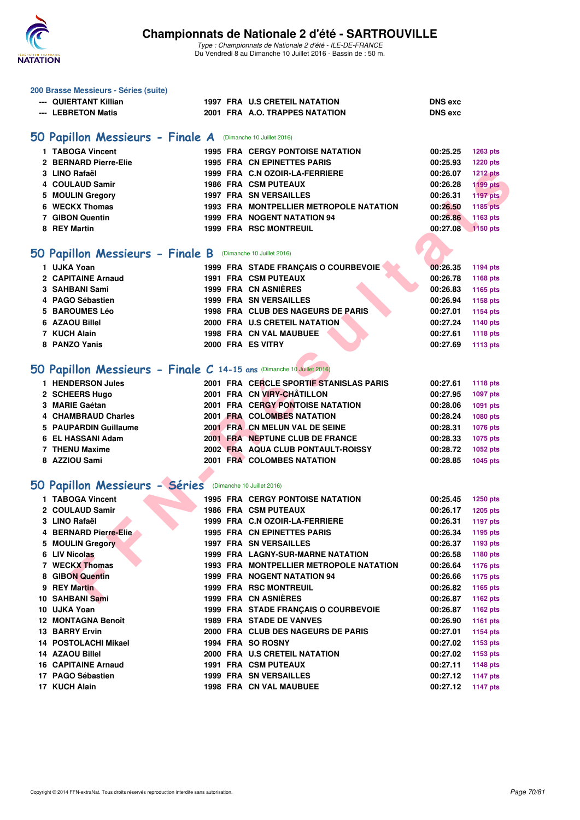

|   | 200 Brasse Messieurs - Séries (suite)                                 |  |                                                                   |                      |                      |
|---|-----------------------------------------------------------------------|--|-------------------------------------------------------------------|----------------------|----------------------|
|   | --- QUIERTANT Killian                                                 |  | 1997 FRA U.S CRETEIL NATATION                                     | <b>DNS</b> exc       |                      |
|   | --- LEBRETON Matis                                                    |  | 2001 FRA A.O. TRAPPES NATATION                                    | <b>DNS</b> exc       |                      |
|   |                                                                       |  |                                                                   |                      |                      |
|   | 50 Papillon Messieurs - Finale A (Dimanche 10 Juillet 2016)           |  |                                                                   |                      |                      |
|   | 1 TABOGA Vincent                                                      |  | <b>1995 FRA CERGY PONTOISE NATATION</b>                           | 00:25.25             | 1263 pts             |
|   | 2 BERNARD Pierre-Elie                                                 |  | <b>1995 FRA CN EPINETTES PARIS</b>                                | 00:25.93             | <b>1220 pts</b>      |
|   | 3 LINO Rafaël                                                         |  | 1999 FRA C.N OZOIR-LA-FERRIERE                                    | 00:26.07             | <b>1212 pts</b>      |
|   | 4 COULAUD Samir                                                       |  | <b>1986 FRA CSM PUTEAUX</b>                                       | 00:26.28             | <b>1199 pts</b>      |
|   | 5 MOULIN Gregory                                                      |  | <b>1997 FRA SN VERSAILLES</b>                                     | 00:26.31             | <b>1197 pts</b>      |
|   | 6 WECKX Thomas                                                        |  | 1993 FRA MONTPELLIER METROPOLE NATATION                           | 00:26.50             | <b>1185 pts</b>      |
|   | 7 GIBON Quentin                                                       |  | 1999 FRA NOGENT NATATION 94                                       | 00:26.86             | 1163 pts             |
|   | 8 REY Martin                                                          |  | 1999 FRA RSC MONTREUIL                                            | 00:27.08             | 1150 pts             |
|   |                                                                       |  |                                                                   |                      |                      |
|   | 50 Papillon Messieurs - Finale B (Dimanche 10 Juillet 2016)           |  |                                                                   |                      |                      |
|   | 1 UJKA Yoan                                                           |  | 1999 FRA STADE FRANÇAIS O COURBEVOIE                              | 00:26.35             | 1194 pts             |
|   | 2 CAPITAINE Arnaud                                                    |  | <b>1991 FRA CSM PUTEAUX</b>                                       | 00:26.78             | 1168 pts             |
|   | 3 SAHBANI Sami                                                        |  | 1999 FRA CN ASNIÈRES                                              | 00:26.83             | 1165 pts             |
|   | 4 PAGO Sébastien                                                      |  | <b>1999 FRA SN VERSAILLES</b>                                     | 00:26.94             | 1158 pts             |
| 5 | <b>BAROUMES Léo</b>                                                   |  | 1998 FRA CLUB DES NAGEURS DE PARIS                                | 00:27.01             | <b>1154 pts</b>      |
|   | 6 AZAOU Billel                                                        |  | 2000 FRA U.S CRETEIL NATATION                                     | 00:27.24             | 1140 pts             |
|   | 7 KUCH Alain                                                          |  | 1998 FRA CN VAL MAUBUEE                                           | 00:27.61             | <b>1118 pts</b>      |
|   | 8 PANZO Yanis                                                         |  | 2000 FRA ES VITRY                                                 | 00:27.69             | <b>1113 pts</b>      |
|   |                                                                       |  |                                                                   |                      |                      |
|   | 50 Papillon Messieurs - Finale C 14-15 ans (Dimanche 10 Juillet 2016) |  |                                                                   |                      |                      |
|   |                                                                       |  |                                                                   |                      |                      |
|   | 1 HENDERSON Jules                                                     |  | 2001 FRA CERCLE SPORTIF STANISLAS PARIS                           | 00:27.61             | <b>1118 pts</b>      |
|   | 2 SCHEERS Hugo                                                        |  | 2001 FRA CN VIRY-CHÂTILLON                                        | 00:27.95             | 1097 pts             |
|   | 3 MARIE Gaétan                                                        |  | <b>2001 FRA CERGY PONTOISE NATATION</b>                           | 00:28.06             | 1091 pts             |
|   | 4 CHAMBRAUD Charles                                                   |  | 2001 FRA COLOMBES NATATION                                        | 00:28.24             | 1080 pts             |
|   | 5 PAUPARDIN Guillaume                                                 |  | 2001 FRA CN MELUN VAL DE SEINE<br>2001 FRA NEPTUNE CLUB DE FRANCE | 00:28.31             | 1076 pts             |
|   | 6 EL HASSANI Adam<br>7 THENU Maxime                                   |  | 2002 FRA AQUA CLUB PONTAULT-ROISSY                                | 00:28.33<br>00:28.72 | 1075 pts             |
|   | 8 AZZIOU Sami                                                         |  | 2001 FRA COLOMBES NATATION                                        | 00:28.85             | 1052 pts<br>1045 pts |
|   |                                                                       |  |                                                                   |                      |                      |
|   |                                                                       |  |                                                                   |                      |                      |
|   | 50 Papillon Messieurs - Séries (Dimanche 10 Juillet 2016)             |  |                                                                   |                      |                      |
|   | 1 TABOGA Vincent                                                      |  | <b>1995 FRA CERGY PONTOISE NATATION</b>                           | 00:25.45             | <b>1250 pts</b>      |
|   | 2 COULAUD Samir                                                       |  | <b>1986 FRA CSM PUTEAUX</b>                                       | 00:26.17             | <b>1205 pts</b>      |
|   | 3 LINO Rafaël                                                         |  | 1999 FRA C.N OZOIR-LA-FERRIERE                                    | 00:26.31             | 1197 pts             |
|   | 4 BERNARD Pierre-Elie                                                 |  | <b>1995 FRA CN EPINETTES PARIS</b>                                | 00:26.34             | 1195 pts             |
|   | 5 MOULIN Gregory                                                      |  | <b>1997 FRA SN VERSAILLES</b>                                     | 00:26.37             | 1193 pts             |
|   | 6 LIV Nicolas                                                         |  | 1999 FRA LAGNY-SUR-MARNE NATATION                                 | 00:26.58             | 1180 pts             |
|   | 7 WECKX Thomas                                                        |  | <b>1993 FRA MONTPELLIER METROPOLE NATATION</b>                    | 00:26.64             | <b>1176 pts</b>      |
|   | 8 GIBON Quentin                                                       |  | 1999 FRA NOGENT NATATION 94                                       | 00:26.66             | <b>1175 pts</b>      |
|   | 9 REY Martin                                                          |  | <b>1999 FRA RSC MONTREUIL</b>                                     | 00:26.82             | 1165 pts             |
|   | 10 SAHBANI Sami                                                       |  | 1999 FRA CN ASNIERES                                              | 00:26.87             | 1162 pts             |
|   | 10 UJKA Yoan                                                          |  | 1999 FRA STADE FRANÇAIS O COURBEVOIE                              | 00:26.87             | 1162 pts             |
|   | 12 MONTAGNA Benoît                                                    |  | 1989 FRA STADE DE VANVES                                          | 00:26.90             | <b>1161 pts</b>      |
|   | <b>13 BARRY Ervin</b>                                                 |  | 2000 FRA CLUB DES NAGEURS DE PARIS                                | 00:27.01             | <b>1154 pts</b>      |
|   | <b>14 POSTOLACHI Mikael</b>                                           |  | 1994 FRA SO ROSNY                                                 | 00:27.02             | 1153 pts             |
|   | 14 AZAOU Billel                                                       |  | 2000 FRA U.S CRETEIL NATATION                                     | 00:27.02             | 1153 pts             |
|   | <b>16 CAPITAINE Arnaud</b>                                            |  | <b>1991 FRA CSM PUTEAUX</b>                                       | 00:27.11             | 1148 pts             |
|   | 17 PAGO Sébastien                                                     |  | <b>1999 FRA SN VERSAILLES</b>                                     | 00:27.12             | <b>1147 pts</b>      |
|   | 17 KUCH Alain                                                         |  | 1998 FRA CN VAL MAUBUEE                                           | 00:27.12             | <b>1147 pts</b>      |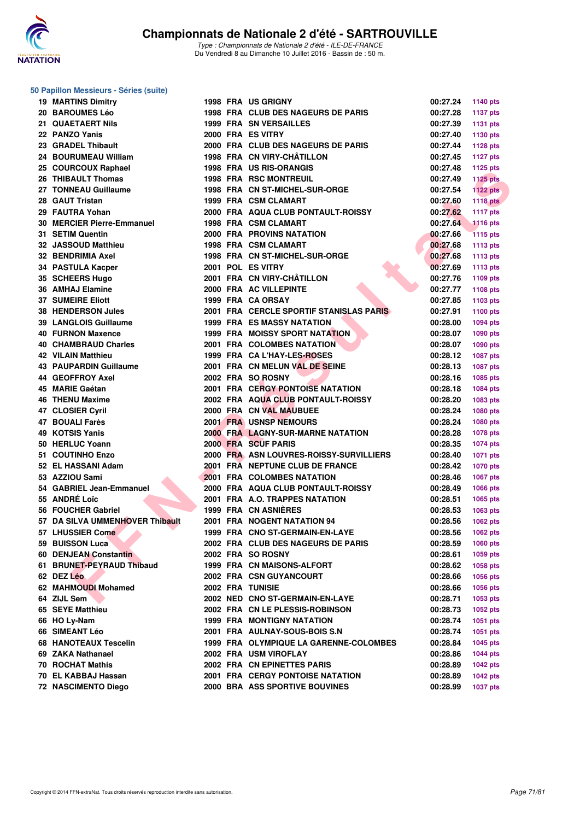

#### **50 Papillon Messieurs - Séries (suite)**

| <b>19 MARTINS Dimitry</b>                  |  | <b>1998 FRA US GRIGNY</b>                                       | 00:27.24 | 1140 pts        |
|--------------------------------------------|--|-----------------------------------------------------------------|----------|-----------------|
| 20 BAROUMES Léo                            |  | <b>1998 FRA CLUB DES NAGEURS DE PARIS</b>                       | 00:27.28 | <b>1137 pts</b> |
| 21 QUAETAERT Nils                          |  | <b>1999 FRA SN VERSAILLES</b>                                   | 00:27.39 | <b>1131 pts</b> |
| 22 PANZO Yanis                             |  | 2000 FRA ES VITRY                                               | 00:27.40 | 1130 pts        |
| 23 GRADEL Thibault                         |  | 2000 FRA CLUB DES NAGEURS DE PARIS                              | 00:27.44 | <b>1128 pts</b> |
| 24 BOURUMEAU William                       |  | 1998 FRA CN VIRY-CHÂTILLON                                      | 00:27.45 | <b>1127 pts</b> |
| 25 COURCOUX Raphael                        |  | 1998 FRA US RIS-ORANGIS                                         | 00:27.48 | <b>1125 pts</b> |
| 26 THIBAULT Thomas                         |  | <b>1998 FRA RSC MONTREUIL</b>                                   | 00:27.49 | <b>1125 pts</b> |
| 27 TONNEAU Guillaume                       |  | 1998 FRA CN ST-MICHEL-SUR-ORGE                                  | 00:27.54 | $1122$ pts      |
| 28 GAUT Tristan                            |  | 1999 FRA CSM CLAMART                                            | 00:27.60 | <b>1118 pts</b> |
| 29 FAUTRA Yohan                            |  | 2000 FRA AQUA CLUB PONTAULT-ROISSY                              | 00:27.62 | <b>1117 pts</b> |
| 30 MERCIER Pierre-Emmanuel                 |  | <b>1998 FRA CSM CLAMART</b>                                     | 00:27.64 | <b>1116 pts</b> |
| 31 SETIM Quentin                           |  | <b>2000 FRA PROVINS NATATION</b>                                | 00:27.66 | <b>1115 pts</b> |
| 32 JASSOUD Matthieu                        |  | 1998 FRA CSM CLAMART                                            | 00:27.68 | <b>1113 pts</b> |
| 32 BENDRIMIA Axel                          |  | 1998 FRA CN ST-MICHEL-SUR-ORGE                                  | 00:27.68 | <b>1113 pts</b> |
| 34 PASTULA Kacper                          |  | 2001 POL ES VITRY                                               | 00:27.69 | <b>1113 pts</b> |
| 35 SCHEERS Hugo                            |  | 2001 FRA CN VIRY-CHÂTILLON                                      | 00:27.76 | 1109 pts        |
| 36 AMHAJ Elamine                           |  | 2000 FRA AC VILLEPINTE                                          | 00:27.77 | 1108 pts        |
| <b>37 SUMEIRE Eliott</b>                   |  | 1999 FRA CA ORSAY                                               | 00:27.85 | 1103 pts        |
| 38 HENDERSON Jules                         |  | 2001 FRA CERCLE SPORTIF STANISLAS PARIS                         | 00:27.91 | 1100 pts        |
| <b>39 LANGLOIS Guillaume</b>               |  | <b>1999 FRA ES MASSY NATATION</b>                               | 00:28.00 | 1094 pts        |
| <b>40 FURNON Maxence</b>                   |  | <b>1999 FRA MOISSY SPORT NATATION</b>                           | 00:28.07 | 1090 pts        |
| 40 CHAMBRAUD Charles                       |  | 2001 FRA COLOMBES NATATION                                      | 00:28.07 | 1090 pts        |
| <b>42 VILAIN Matthieu</b>                  |  | 1999 FRA CA L'HAY-LES-ROSES                                     | 00:28.12 | 1087 pts        |
| <b>43 PAUPARDIN Guillaume</b>              |  | 2001 FRA CN MELUN VAL DE SEINE                                  | 00:28.13 | 1087 pts        |
| 44 GEOFFROY Axel                           |  | 2002 FRA SO ROSNY                                               | 00:28.16 | 1085 pts        |
| 45 MARIE Gaétan                            |  | <b>2001 FRA CERGY PONTOISE NATATION</b>                         | 00:28.18 | 1084 pts        |
| <b>46 THENU Maxime</b>                     |  | 2002 FRA AQUA CLUB PONTAULT-ROISSY                              | 00:28.20 |                 |
|                                            |  | 2000 FRA CN VAL MAUBUEE                                         | 00:28.24 | 1083 pts        |
| 47 CLOSIER Cyril<br>47 BOUALI Farès        |  | 2001 FRA USNSP NEMOURS                                          | 00:28.24 | 1080 pts        |
| 49 KOTSIS Yanis                            |  |                                                                 |          | 1080 pts        |
| 50 HERLUC Yoann                            |  | <b>2000 FRA LAGNY-SUR-MARNE NATATION</b><br>2000 FRA SCUF PARIS | 00:28.28 | 1078 pts        |
| 51 COUTINHO Enzo                           |  |                                                                 | 00:28.35 | 1074 pts        |
|                                            |  | 2000 FRA ASN LOUVRES-ROISSY-SURVILLIERS                         | 00:28.40 | 1071 pts        |
| 52 EL HASSANI Adam                         |  | 2001 FRA NEPTUNE CLUB DE FRANCE                                 | 00:28.42 | <b>1070 pts</b> |
| 53 AZZIOU Sami                             |  | 2001 FRA COLOMBES NATATION                                      | 00:28.46 | 1067 pts        |
| 54 GABRIEL Jean-Emmanuel                   |  | 2000 FRA AQUA CLUB PONTAULT-ROISSY                              | 00:28.49 | 1066 pts        |
| 55 ANDRÉ Loïc                              |  | 2001 FRA A.O. TRAPPES NATATION                                  | 00:28.51 | 1065 pts        |
| 56 FOUCHER Gabriel                         |  | 1999 FRA CN ASNIÈRES                                            | 00:28.53 | 1063 pts        |
| 57 DA SILVA UMMENHOVER Thibault            |  | 2001 FRA NOGENT NATATION 94                                     | 00:28.56 | 1062 pts        |
| 57 LHUSSIER Come<br><b>START CONTINUES</b> |  | 1999 FRA CNO ST-GERMAIN-EN-LAYE                                 | 00:28.56 | <b>1062 pts</b> |
| 59 BUISSON Luca                            |  | 2002 FRA CLUB DES NAGEURS DE PARIS                              | 00:28.59 | 1060 pts        |
| 60 DENJEAN Constantin                      |  | 2002 FRA SO ROSNY                                               | 00:28.61 | 1059 pts        |
| 61 BRUNET-PEYRAUD Thibaud                  |  | 1999 FRA CN MAISONS-ALFORT                                      | 00:28.62 | 1058 pts        |
| 62 DEZ Léo                                 |  | 2002 FRA CSN GUYANCOURT                                         | 00:28.66 | 1056 pts        |
| 62 MAHMOUDI Mohamed                        |  | <b>2002 FRA TUNISIE</b>                                         | 00:28.66 | <b>1056 pts</b> |
| 64 ZIJL Sem                                |  | 2002 NED CNO ST-GERMAIN-EN-LAYE                                 | 00:28.71 | 1053 pts        |
| 65 SEYE Matthieu                           |  | 2002 FRA CN LE PLESSIS-ROBINSON                                 | 00:28.73 | 1052 pts        |
| 66 HO Ly-Nam                               |  | <b>1999 FRA MONTIGNY NATATION</b>                               | 00:28.74 | 1051 pts        |
| 66 SIMEANT Léo                             |  | 2001 FRA AULNAY-SOUS-BOIS S.N                                   | 00:28.74 | 1051 pts        |
| <b>68 HANOTEAUX Tescelin</b>               |  | 1999 FRA OLYMPIQUE LA GARENNE-COLOMBES                          | 00:28.84 | <b>1045 pts</b> |
| 69 ZAKA Nathanael                          |  | 2002 FRA USM VIROFLAY                                           | 00:28.86 | <b>1044 pts</b> |
| 70 ROCHAT Mathis                           |  | 2002 FRA CN EPINETTES PARIS                                     | 00:28.89 | <b>1042 pts</b> |
| 70 EL KABBAJ Hassan                        |  | <b>2001 FRA CERGY PONTOISE NATATION</b>                         | 00:28.89 | <b>1042 pts</b> |
| 72 NASCIMENTO Diego                        |  | 2000 BRA ASS SPORTIVE BOUVINES                                  | 00:28.99 | 1037 pts        |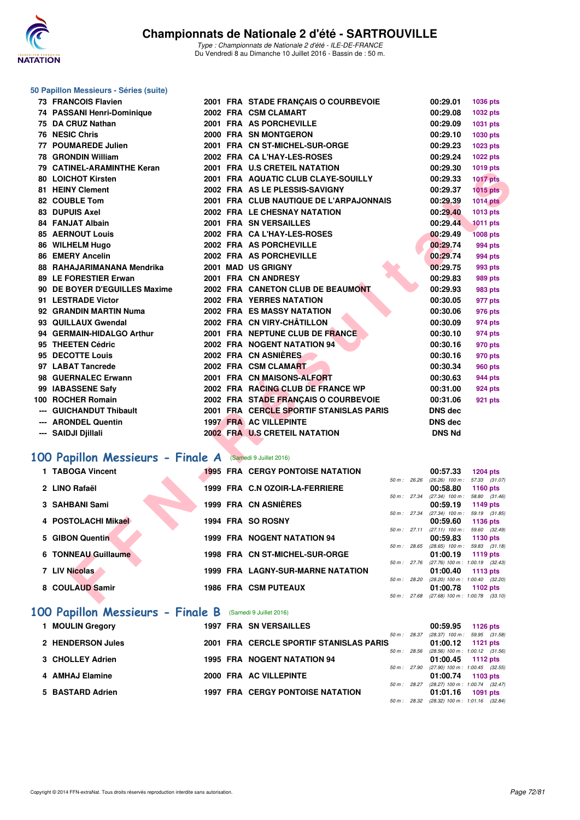

| 50 Papillon Messieurs - Séries (suite) |                                                           |  |  |                                         |              |                                                      |                                                      |  |  |  |
|----------------------------------------|-----------------------------------------------------------|--|--|-----------------------------------------|--------------|------------------------------------------------------|------------------------------------------------------|--|--|--|
|                                        | 73 FRANCOIS Flavien                                       |  |  | 2001 FRA STADE FRANÇAIS O COURBEVOIE    |              | 00:29.01                                             | 1036 pts                                             |  |  |  |
|                                        | 74 PASSANI Henri-Dominique                                |  |  | 2002 FRA CSM CLAMART                    |              | 00:29.08                                             | 1032 pts                                             |  |  |  |
|                                        | 75 DA CRUZ Nathan                                         |  |  | 2001 FRA AS PORCHEVILLE                 |              | 00:29.09                                             | 1031 pts                                             |  |  |  |
|                                        | 76 NESIC Chris                                            |  |  | 2000 FRA SN MONTGERON                   |              | 00:29.10                                             | 1030 pts                                             |  |  |  |
|                                        | 77 POUMAREDE Julien                                       |  |  | 2001 FRA CN ST-MICHEL-SUR-ORGE          |              | 00:29.23                                             | 1023 pts                                             |  |  |  |
|                                        | 78 GRONDIN William                                        |  |  | 2002 FRA CA L'HAY-LES-ROSES             |              | 00:29.24                                             | 1022 pts                                             |  |  |  |
|                                        | 79 CATINEL-ARAMINTHE Keran                                |  |  | 2001 FRA U.S CRETEIL NATATION           |              | 00:29.30                                             | 1019 pts                                             |  |  |  |
|                                        | 80 LOICHOT Kirsten                                        |  |  | 2001 FRA AQUATIC CLUB CLAYE-SOUILLY     |              | 00:29.33                                             | <b>1017 pts</b>                                      |  |  |  |
|                                        | 81 HEINY Clement                                          |  |  | 2002 FRA AS LE PLESSIS-SAVIGNY          |              | 00:29.37                                             | $1015$ pts                                           |  |  |  |
|                                        | 82 COUBLE Tom                                             |  |  | 2001 FRA CLUB NAUTIQUE DE L'ARPAJONNAIS |              | 00:29.39                                             | <b>1014 pts</b>                                      |  |  |  |
|                                        | <b>83 DUPUIS Axel</b>                                     |  |  | 2002 FRA LE CHESNAY NATATION            |              | 00:29.40                                             | 1013 pts                                             |  |  |  |
|                                        | 84 FANJAT Albain                                          |  |  | 2001 FRA SN VERSAILLES                  |              | 00:29.44                                             | <b>1011 pts</b>                                      |  |  |  |
|                                        | <b>85 AERNOUT Louis</b>                                   |  |  | 2002 FRA CA L'HAY-LES-ROSES             |              | 00:29.49                                             | <b>1008 pts</b>                                      |  |  |  |
|                                        | 86 WILHELM Hugo                                           |  |  | 2002 FRA AS PORCHEVILLE                 |              | 00:29.74                                             | 994 pts                                              |  |  |  |
|                                        | <b>86 EMERY Ancelin</b>                                   |  |  | 2002 FRA AS PORCHEVILLE                 |              | 00:29.74                                             | 994 pts                                              |  |  |  |
|                                        | 88 RAHAJARIMANANA Mendrika                                |  |  | 2001 MAD US GRIGNY                      |              | 00:29.75                                             | 993 pts                                              |  |  |  |
|                                        | 89 LE FORESTIER Erwan                                     |  |  | 2001 FRA CN ANDRESY                     |              | 00:29.83                                             | 989 pts                                              |  |  |  |
|                                        | 90 DE BOYER D'EGUILLES Maxime                             |  |  | 2002 FRA CANETON CLUB DE BEAUMONT       |              | 00:29.93                                             | 983 pts                                              |  |  |  |
|                                        | 91 LESTRADE Victor                                        |  |  | <b>2002 FRA YERRES NATATION</b>         |              | 00:30.05                                             | 977 pts                                              |  |  |  |
|                                        | 92 GRANDIN MARTIN Numa                                    |  |  | <b>2002 FRA ES MASSY NATATION</b>       |              | 00:30.06                                             | 976 pts                                              |  |  |  |
|                                        | 93 QUILLAUX Gwendal                                       |  |  | 2002 FRA CN VIRY-CHÂTILLON              |              | 00:30.09                                             | 974 pts                                              |  |  |  |
|                                        | 94 GERMAIN-HIDALGO Arthur                                 |  |  | 2001 FRA NEPTUNE CLUB DE FRANCE         |              | 00:30.10                                             | 974 pts                                              |  |  |  |
|                                        | 95 THEETEN Cédric                                         |  |  | 2002 FRA NOGENT NATATION 94             |              | 00:30.16                                             | 970 pts                                              |  |  |  |
|                                        | 95 DECOTTE Louis                                          |  |  | 2002 FRA CN ASNIERES                    |              | 00:30.16                                             | 970 pts                                              |  |  |  |
|                                        | 97 LABAT Tancrede                                         |  |  | 2002 FRA CSM CLAMART                    |              | 00:30.34                                             | 960 pts                                              |  |  |  |
|                                        | 98 GUERNALEC Erwann                                       |  |  | 2001 FRA CN MAISONS-ALFORT              |              | 00:30.63                                             | 944 pts                                              |  |  |  |
|                                        | 99 IABASSENE Safy                                         |  |  | 2002 FRA RACING CLUB DE FRANCE WP       |              | 00:31.00                                             | 924 pts                                              |  |  |  |
|                                        | 100 ROCHER Romain                                         |  |  | 2002 FRA STADE FRANÇAIS O COURBEVOIE    |              | 00:31.06                                             | 921 pts                                              |  |  |  |
|                                        | --- GUICHANDUT Thibault                                   |  |  | 2001 FRA CERCLE SPORTIF STANISLAS PARIS |              | DNS dec                                              |                                                      |  |  |  |
|                                        | --- ARONDEL Quentin                                       |  |  | 1997 FRA AC VILLEPINTE                  |              | DNS dec                                              |                                                      |  |  |  |
|                                        | --- SAIDJI Djillali                                       |  |  | 2002 FRA U.S CRETEIL NATATION           |              | <b>DNS Nd</b>                                        |                                                      |  |  |  |
|                                        |                                                           |  |  |                                         |              |                                                      |                                                      |  |  |  |
|                                        | 100 Papillon Messieurs - Finale A (Samedi 9 Juillet 2016) |  |  |                                         |              |                                                      |                                                      |  |  |  |
|                                        | 1 TABOGA Vincent                                          |  |  | <b>1995 FRA CERGY PONTOISE NATATION</b> |              | 00:57.33                                             | <b>1204 pts</b>                                      |  |  |  |
|                                        | 2 LINO Rafaël                                             |  |  | 1999 FRA C.N OZOIR-LA-FERRIERE          | 50 m : 26.26 |                                                      | $(26.26)$ 100 m : 57.33 $(31.07)$                    |  |  |  |
|                                        |                                                           |  |  |                                         | 50 m : 27.34 | 00:58.80                                             | <b>1160 pts</b><br>$(27.34)$ 100 m : 58.80 $(31.46)$ |  |  |  |
|                                        | 3 SAHBANI Sami                                            |  |  | 1999 FRA CN ASNIÈRES                    |              | 00:59.19                                             | 1149 pts                                             |  |  |  |
|                                        |                                                           |  |  |                                         | 50 m : 27.34 |                                                      | $(27.34)$ 100 m : 59.19 $(31.85)$<br>1136 pts        |  |  |  |
|                                        | 4 POSTOLACHI Mikael                                       |  |  | 1994 FRA SO ROSNY                       |              | 00:59.60<br>50 m: 27.11 (27.11) 100 m: 59.60 (32.49) |                                                      |  |  |  |
|                                        | 5 GIBON Quentin                                           |  |  | 1999 FRA NOGENT NATATION 94             |              | 00:59.83                                             | 1130 pts                                             |  |  |  |
|                                        | 6 TONNEAU Guillaume                                       |  |  | 1998 FRA CN ST-MICHEL-SUR-ORGE          | 50 m : 28.65 | 01:00.19                                             | $(28.65)$ 100 m : 59.83 $(31.18)$<br><b>1119 pts</b> |  |  |  |
|                                        |                                                           |  |  |                                         | 50 m : 27.76 |                                                      | (27.76) 100 m : 1:00.19 (32.43)                      |  |  |  |
|                                        | 7 LIV Nicolas                                             |  |  | 1999 FRA LAGNY-SUR-MARNE NATATION       |              | 01:00.40                                             | 1113 $pts$                                           |  |  |  |
|                                        | 8 COULAUD Samir                                           |  |  | <b>1986 FRA CSM PUTEAUX</b>             | 50 m : 28.20 | 01:00.78                                             | $(28.20)$ 100 m : 1:00.40 $(32.20)$<br>1102 pts      |  |  |  |
|                                        |                                                           |  |  |                                         |              | 50 m: 27.68 (27.68) 100 m: 1:00.78 (33.10)           |                                                      |  |  |  |
|                                        |                                                           |  |  |                                         |              |                                                      |                                                      |  |  |  |

#### **[100 Papillon Messieurs - Finale A](http://www.ffnatation.fr/webffn/resultats.php?idact=nat&go=epr&idcpt=39837&idepr=82)** (Samedi 9 Juillet 2016)

| 1 TABOGA Vincent    | <b>1995 FRA CERGY PONTOISE NATATION</b>  |                        | 00:57.33                      | <b>1204 pts</b>                                   |
|---------------------|------------------------------------------|------------------------|-------------------------------|---------------------------------------------------|
| 2 LINO Rafaël       | 1999 FRA C.N OZOIR-LA-FERRIERE           | $50 \text{ m}$ : 26.26 | $(26.26)$ 100 m :<br>00:58.80 | 57.33 (31.07)<br>1160 pts                         |
| 3 SAHBANI Sami      | 1999 FRA CN ASNIÈRES                     | $50 \text{ m}$ : 27.34 | $(27.34)$ 100 m :<br>00:59.19 | 58.80 (31.46)<br>1149 $pts$                       |
| 4 POSTOLACHI Mikael | 1994 FRA SO ROSNY                        | 50 m: 27.34            | $(27.34)$ 100 m :<br>00:59.60 | 59.19 (31.85)<br>1136 pts                         |
| 5 GIBON Quentin     | <b>1999 FRA NOGENT NATATION 94</b>       | $50 \text{ m}$ : 27.11 | $(27.11)$ 100 m :<br>00:59.83 | 59.60 (32.49)<br>1130 pts                         |
| 6 TONNEAU Guillaume | 1998 FRA CN ST-MICHEL-SUR-ORGE           | 50 m: 28.65            | $(28.65)$ 100 m :<br>01:00.19 | 59.83 (31.18)<br>1119 $pts$                       |
| 7 LIV Nicolas       | <b>1999 FRA LAGNY-SUR-MARNE NATATION</b> | $50 m$ : 27.76         | 01:00.40                      | $(27.76)$ 100 m : 1:00.19 $(32.43)$<br>1113 $pts$ |
| 8 COULAUD Samir     | <b>1986 FRA CSM PUTEAUX</b>              | 50 m: 28.20            | 01:00.78                      | $(28.20)$ 100 m : 1:00.40 $(32.20)$<br>1102 pts   |
|                     |                                          | $50 \text{ m}$ : 27.68 |                               | $(27.68)$ 100 m : 1:00.78 $(33.10)$               |

## **[100 Papillon Messieurs - Finale B](http://www.ffnatation.fr/webffn/resultats.php?idact=nat&go=epr&idcpt=39837&idepr=82)** (Samedi 9 Juillet 2016)

| 1 MOULIN Gregory  |  | <b>1997 FRA SN VERSAILLES</b>           |              | 00:59.95                                                   | 1126 pts |  |
|-------------------|--|-----------------------------------------|--------------|------------------------------------------------------------|----------|--|
| 2 HENDERSON Jules |  | 2001 FRA CERCLE SPORTIF STANISLAS PARIS | 50 m : 28.37 | $(28.37)$ 100 m : 59.95 $(31.58)$<br>$01:00.12$ 1121 pts   |          |  |
| 3 CHOLLEY Adrien  |  | <b>1995 FRA NOGENT NATATION 94</b>      | 50 m : 28.56 | $(28.56)$ 100 m : 1:00.12 $(31.56)$<br>$01:00.45$ 1112 pts |          |  |
| 4 AMHAJ Elamine   |  | 2000 FRA AC VILLEPINTE                  | 50 m : 27.90 | $(27.90)$ 100 m : 1:00.45 $(32.55)$<br>01:00.74 1103 pts   |          |  |
| 5 BASTARD Adrien  |  | <b>1997 FRA CERGY PONTOISE NATATION</b> | 50 m : 28.27 | (28.27) 100 m : 1:00.74 (32.47)<br>01:01.16                | 1091 pts |  |
|                   |  |                                         | 50 m : 28.32 | $(28.32)$ 100 m : 1:01.16 $(32.84)$                        |          |  |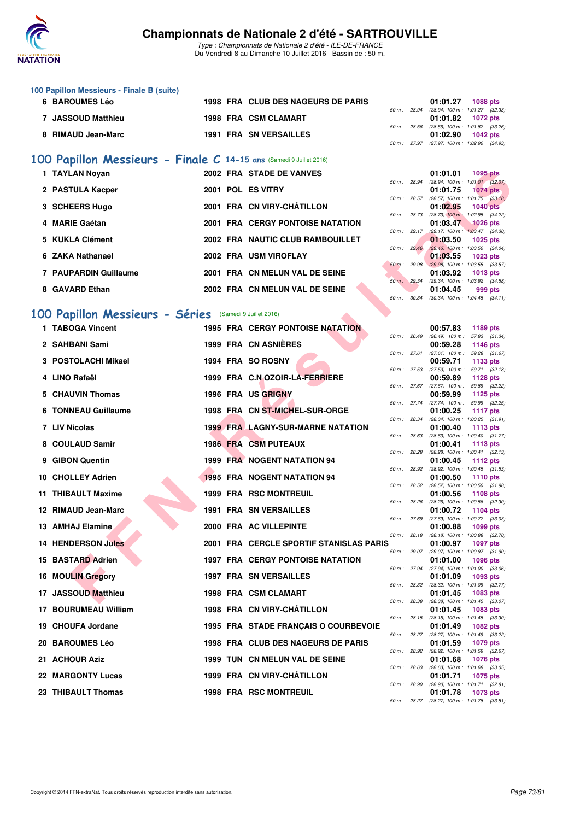

Type : Championnats de Nationale 2 d'été - ILE-DE-FRANCE Du Vendredi 8 au Dimanche 10 Juillet 2016 - Bassin de : 50 m.

| 100 Papillon Messieurs - Finale B (suite) |  |                                           |  |                                            |          |  |
|-------------------------------------------|--|-------------------------------------------|--|--------------------------------------------|----------|--|
| <b>6 BAROUMES Léo</b>                     |  | <b>1998 FRA CLUB DES NAGEURS DE PARIS</b> |  | 01:01.27                                   | 1088 pts |  |
|                                           |  |                                           |  | 50 m: 28.94 (28.94) 100 m: 1:01.27 (32.33) |          |  |
| 7 JASSOUD Matthieu                        |  | 1998 FRA CSM CLAMART                      |  | 01:01.82 1072 pts                          |          |  |
|                                           |  |                                           |  | 50 m: 28.56 (28.56) 100 m: 1:01.82 (33.26) |          |  |
| 8 RIMAUD Jean-Marc                        |  | <b>1991 FRA SN VERSAILLES</b>             |  | $01:02.90$ 1042 pts                        |          |  |
|                                           |  |                                           |  | 50 m: 27.97 (27.97) 100 m: 1:02.90 (34.93) |          |  |

#### **[100 Papillon Messieurs - Finale C](http://www.ffnatation.fr/webffn/resultats.php?idact=nat&go=epr&idcpt=39837&idepr=82) 14-15 ans** (Samedi 9 Juillet 2016)

| 1 TAYLAN Novan               |  | 2002 FRA STADE DE VANVES                |                        | 01:01.01                                      | 1095 pts   |  |
|------------------------------|--|-----------------------------------------|------------------------|-----------------------------------------------|------------|--|
| 2 PASTULA Kacper             |  | 2001 POL ES VITRY                       | 50 m: 28.94            | (28.94) 100 m: 1:01.01 (32.07<br>01:01.75     | $1074$ pts |  |
| 3 SCHEERS Hugo               |  | 2001 FRA CN VIRY-CHÂTILLON              | $50 m$ : 28.57         | (28.57) 100 m : 1:01.75 (33.18)<br>01:02.95   | $1040$ pts |  |
| 4 MARIE Gaétan               |  | <b>2001 FRA CERGY PONTOISE NATATION</b> | 50 m: 28.73            | (28.73) 100 m : 1:02.95 (34.22)<br>01:03.47   | $1026$ pts |  |
| 5 KUKLA Clément              |  | 2002 FRA NAUTIC CLUB RAMBOUILLET        | $50 m$ : 29.17         | (29.17) 100 m : 1:03.47 (34.30<br>01:03.50    | 1025 pts   |  |
|                              |  |                                         | 50 m: 29.46            | $(29.46)$ 100 m : 1:03.50 $(34.04)$           |            |  |
| 6 ZAKA Nathanael             |  | 2002 FRA USM VIROFLAY                   | $50 \text{ m}$ : 29.98 | 01:03.55<br>$(29.98)$ 100 m : 1:03.55 (33.57) | 1023 pts   |  |
| <b>7 PAUPARDIN Guillaume</b> |  | 2001 FRA CN MELUN VAL DE SEINE          | 50 m: 29.34            | 01:03.92<br>(29.34) 100 m : 1:03.92 (34.58    | 1013 $pts$ |  |
| 8 GAVARD Ethan               |  | 2002 FRA CN MELUN VAL DE SEINE          |                        | 01:04.45                                      | 999 pts    |  |

#### **[100 Papillon Messieurs - Séries](http://www.ffnatation.fr/webffn/resultats.php?idact=nat&go=epr&idcpt=39837&idepr=82)** (Samedi 9 Juillet 2016)

|    | 1 TAYLAN Noyan                                          |  | 2002 FRA STADE DE VANVES                 |              |              | 01:01.01                      | <b>1095 pts</b>                                        |
|----|---------------------------------------------------------|--|------------------------------------------|--------------|--------------|-------------------------------|--------------------------------------------------------|
|    | 2 PASTULA Kacper                                        |  | 2001 POL ES VITRY                        | 50 m : 28.94 |              | 01:01.75                      | (28.94) 100 m : 1:01.01 (32.07)<br><b>1074 pts</b>     |
|    | 3 SCHEERS Hugo                                          |  | 2001 FRA CN VIRY-CHÂTILLON               | 50 m: 28.57  |              | 01:02.95                      | $(28.57)$ 100 m : 1:01.75 $(33.18)$<br><b>1040 pts</b> |
|    |                                                         |  |                                          | 50 m: 28.73  |              |                               | $(28.73)$ 100 m : 1:02.95 $(34.22)$                    |
|    | <b>MARIE Gaétan</b>                                     |  | <b>2001 FRA CERGY PONTOISE NATATION</b>  | 50 m: 29.17  |              | 01:03.47                      | <b>1026 pts</b><br>(29.17) 100 m: 1:03.47 (34.30)      |
|    | <b>KUKLA Clément</b>                                    |  | 2002 FRA NAUTIC CLUB RAMBOUILLET         | 50 m : 29.46 |              | 01:03.50                      | 1025 pts<br>$(29.46)$ 100 m : 1:03.50 $(34.04)$        |
| 6  | <b>ZAKA Nathanael</b>                                   |  | 2002 FRA USM VIROFLAY                    |              |              | 01:03.55                      | 1023 pts                                               |
| 7  | <b>PAUPARDIN Guillaume</b>                              |  | 2001 FRA CN MELUN VAL DE SEINE           | 50 m : 29.98 |              | 01:03.92                      | $(29.98)$ 100 m : 1:03.55 $(33.57)$<br><b>1013 pts</b> |
|    |                                                         |  |                                          | 50 m: 29.34  |              |                               | (29.34) 100 m: 1:03.92 (34.58)                         |
| 8  | <b>GAVARD Ethan</b>                                     |  | 2002 FRA CN MELUN VAL DE SEINE           | 50 m : 30.34 |              | 01:04.45                      | 999 pts<br>$(30.34)$ 100 m : 1:04.45 $(34.11)$         |
|    |                                                         |  |                                          |              |              |                               |                                                        |
|    | 100 Papillon Messieurs - Séries (Samedi 9 Juillet 2016) |  |                                          |              |              |                               |                                                        |
|    | 1 TABOGA Vincent                                        |  | <b>1995 FRA CERGY PONTOISE NATATION</b>  | 50 m: 26.49  |              | 00:57.83                      | 1189 pts<br>$(26.49)$ 100 m : 57.83 $(31.34)$          |
|    | <b>SAHBANI Sami</b>                                     |  | 1999 FRA CN ASNIERES                     |              |              | 00:59.28                      | <b>1146 pts</b>                                        |
|    | 3 POSTOLACHI Mikael                                     |  | 1994 FRA SO ROSNY                        | 50 m: 27.61  |              | 00:59.71                      | (27.61) 100 m: 59.28 (31.67)<br>1133 pts               |
|    |                                                         |  |                                          | 50 m: 27.53  |              |                               | (27.53) 100 m: 59.71 (32.18)                           |
| 4  | LINO Rafaël                                             |  | 1999 FRA C.N.OZOIR-LA-FERRIERE           |              | 50 m : 27.67 | 00:59.89                      | 1128 pts<br>$(27.67)$ 100 m : 59.89 $(32.22)$          |
| 5  | <b>CHAUVIN Thomas</b>                                   |  | <b>1996 FRA US GRIGNY</b>                |              |              | 00:59.99                      | 1125 pts                                               |
|    | <b>TONNEAU Guillaume</b>                                |  | 1998 FRA CN ST-MICHEL-SUR-ORGE           | 50 m : 27.74 |              | $(27.74)$ 100 m :<br>01:00.25 | 59.99 (32.25)<br><b>1117 pts</b>                       |
|    | 7 LIV Nicolas                                           |  | <b>1999 FRA LAGNY-SUR-MARNE NATATION</b> | 50 m : 28.34 |              | 01:00.40                      | (28.34) 100 m: 1:00.25 (31.91)<br><b>1113 pts</b>      |
|    |                                                         |  |                                          | 50 m: 28.63  |              |                               | $(28.63)$ 100 m : 1:00.40 $(31.77)$                    |
| 8  | <b>COULAUD Samir</b>                                    |  | <b>1986 FRA CSM PUTEAUX</b>              | 50 m: 28.28  |              | 01:00.41                      | 1113 pts<br>(28.28) 100 m: 1:00.41 (32.13)             |
|    | <b>GIBON Quentin</b>                                    |  | <b>1999 FRA NOGENT NATATION 94</b>       |              |              | 01:00.45                      | <b>1112 pts</b>                                        |
|    | 10 CHOLLEY Adrien                                       |  | <b>1995 FRA NOGENT NATATION 94</b>       | 50 m: 28.92  |              | 01:00.50                      | (28.92) 100 m: 1:00.45 (31.53)<br><b>1110 pts</b>      |
|    |                                                         |  |                                          | 50 m: 28.52  |              |                               | (28.52) 100 m: 1:00.50 (31.98)                         |
|    | 11 THIBAULT Maxime                                      |  | <b>1999 FRA RSC MONTREUIL</b>            | 50 m: 28.26  |              | 01:00.56                      | <b>1108 pts</b><br>(28.26) 100 m : 1:00.56 (32.30)     |
|    | 12 RIMAUD Jean-Marc                                     |  | <b>1991 FRA SN VERSAILLES</b>            |              |              | 01:00.72                      | <b>1104 pts</b>                                        |
|    | 13 AMHAJ Elamine                                        |  | 2000 FRA AC VILLEPINTE                   | 50 m: 27.69  |              | 01:00.88                      | (27.69) 100 m : 1:00.72 (33.03)<br>1099 pts            |
|    |                                                         |  | 2001 FRA CERCLE SPORTIF STANISLAS PARIS  | 50 m: 28.18  |              |                               | (28.18) 100 m: 1:00.88 (32.70)                         |
|    | <b>14 HENDERSON Jules</b>                               |  |                                          | 50 m: 29.07  |              | 01:00.97                      | 1097 pts<br>(29.07) 100 m: 1:00.97 (31.90)             |
|    | 15 BASTARD Adrien                                       |  | <b>1997 FRA CERGY PONTOISE NATATION</b>  | 50 m: 27.94  |              | 01:01.00                      | <b>1096 pts</b>                                        |
| 16 | <b>MOULIN Gregory</b>                                   |  | <b>1997 FRA SN VERSAILLES</b>            |              |              | 01:01.09                      | (27.94) 100 m: 1:01.00 (33.06)<br>1093 pts             |
|    | 17 JASSOUD Matthieu                                     |  | 1998 FRA CSM CLAMART                     | 50 m : 28.32 |              | 01:01.45                      | (28.32) 100 m: 1:01.09 (32.77)<br>1083 pts             |
|    |                                                         |  |                                          | 50 m: 28.38  |              |                               | (28.38) 100 m: 1:01.45 (33.07)                         |
|    | 17 BOURUMEAU William                                    |  | 1998 FRA CN VIRY-CHATILLON               | 50 m: 28.15  |              | 01:01.45                      | 1083 pts<br>$(28.15)$ 100 m : 1:01.45 $(33.30)$        |
|    | 19 CHOUFA Jordane                                       |  | 1995 FRA STADE FRANÇAIS O COURBEVOIE     |              |              | 01:01.49                      | 1082 pts                                               |
| 20 | <b>BAROUMES Léo</b>                                     |  | 1998 FRA CLUB DES NAGEURS DE PARIS       | 50 m: 28.27  |              | 01:01.59                      | (28.27) 100 m: 1:01.49 (33.22)<br>1079 pts             |
|    |                                                         |  |                                          | 50 m: 28.92  |              |                               | (28.92) 100 m : 1:01.59 (32.67)                        |
|    | 21 ACHOUR Aziz                                          |  | 1999 TUN CN MELUN VAL DE SEINE           | 50 m: 28.63  |              | 01:01.68                      | <b>1076 pts</b><br>$(28.63)$ 100 m : 1:01.68 $(33.05)$ |
|    | 22 MARGONTY Lucas                                       |  | 1999 FRA CN VIRY-CHATILLON               |              |              | 01:01.71                      | 1075 pts                                               |
|    | 23 THIBAULT Thomas                                      |  | <b>1998 FRA RSC MONTREUIL</b>            | 50 m : 28.90 |              | 01:01.78                      | $(28.90)$ 100 m : 1:01.71 $(32.81)$<br>1073 pts        |
|    |                                                         |  |                                          |              |              |                               |                                                        |

|   |          |       | 00:57.83          | 1189 pts |         |
|---|----------|-------|-------------------|----------|---------|
|   | $50 m$ : | 26.49 | $(26.49)$ 100 m : | 57.83    | (31.34) |
|   |          |       | 00:59.28          | 1146 pts |         |
|   | $50 m$ : | 27.61 | $(27.61)$ 100 m : | 59.28    | (31.67) |
|   |          |       | 00:59.71          | 1133 pts |         |
|   | $50 m$ : | 27.53 | (27.53) 100 m :   | 59.71    | (32.18) |
|   |          |       | 00:59.89          | 1128 pts |         |
|   | $50 m$ : | 27.67 | $(27.67)$ 100 m : | 59.89    | (32.22) |
|   |          |       | 00:59.99          | 1125 pts |         |
|   | $50 m$ : | 27.74 | $(27.74)$ 100 m : | 59.99    | (32.25) |
|   |          |       | 01:00.25          | 1117 pts |         |
|   | $50 m$ : | 28.34 | $(28.34) 100 m$ : | 1:00.25  | (31.91) |
|   |          |       | 01:00.40          | 1113 pts |         |
|   | $50 m$ : | 28.63 | $(28.63)$ 100 m : | 1:00.40  | (31.77) |
|   |          |       | 01:00.41          | 1113 pts |         |
|   | $50 m$ : | 28.28 | (28.28) 100 m :   | 1:00.41  | (32.13) |
|   |          |       | 01:00.45          | 1112 pts |         |
|   | $50 m$ : | 28.92 | (28.92) 100 m :   | 1:00.45  | (31.53) |
|   |          |       | 01:00.50          | 1110 pts |         |
|   | $50 m$ : | 28.52 | (28.52) 100 m :   | 1:00.50  | (31.98) |
|   |          |       | 01:00.56          | 1108 pts |         |
|   | $50 m$ : | 28.26 | $(28.26)$ 100 m : | 1:00.56  | (32.30) |
|   |          |       | 01:00.72          | 1104 pts |         |
|   | $50 m$ : | 27.69 | $(27.69)$ 100 m : | 1:00.72  | (33.03) |
|   |          |       | 01:00.88          | 1099 pts |         |
|   | $50 m$ : | 28.18 | $(28.18) 100 m$ : | 1:00.88  | (32.70) |
| s |          |       | 01:00.97          | 1097 pts |         |
|   | $50 m$ : | 29.07 | (29.07) 100 m :   | 1:00.97  | (31.90) |
|   |          |       | 01:01.00          | 1096 pts |         |
|   | $50 m$ : | 27.94 | (27.94) 100 m :   | 1:01.00  | (33.06) |
|   |          |       | 01:01.09          | 1093 pts |         |
|   | $50 m$ : | 28.32 | (28.32) 100 m :   | 1:01.09  | (32.77) |
|   |          |       | 01:01.45          | 1083 pts |         |
|   | $50 m$ : | 28.38 | $(28.38) 100 m$ : | 1:01.45  | (33.07) |
|   |          |       | 01:01.45          | 1083 pts |         |
|   | $50 m$ : | 28.15 | $(28.15)$ 100 m : | 1:01.45  | (33.30) |
|   |          |       | 01:01.49          | 1082 pts |         |
|   | $50 m$ : | 28.27 | (28.27) 100 m :   | 1:01.49  | (33.22) |
|   |          |       | 01:01.59          | 1079 pts |         |
|   | $50 m$ : | 28.92 | (28.92) 100 m :   | 1:01.59  | (32.67) |
|   |          |       | 01:01.68          | 1076 pts |         |
|   | $50 m$ : | 28.63 | $(28.63) 100 m$ : | 1:01.68  | (33.05) |
|   |          |       | 01:01.71          | 1075 pts |         |
|   | $50 m$ : | 28.90 | $(28.90)$ 100 m : | 1:01.71  | (32.81) |
|   |          |       | 01:01.78          | 1073 pts |         |
|   | $50 m$ : | 28.27 | (28.27) 100 m :   | 1:01.78  | (33.51) |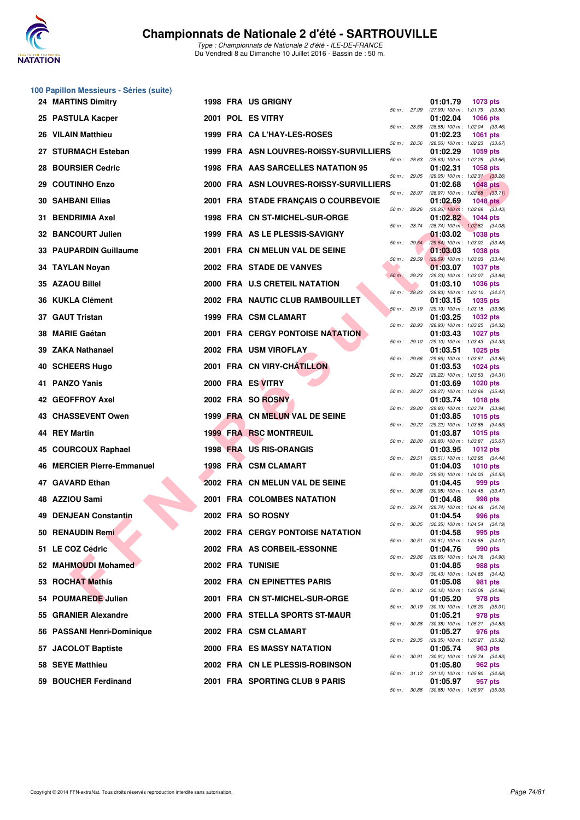

Type : Championnats de Nationale 2 d'été - ILE-DE-FRANCE Du Vendredi 8 au Dimanche 10 Juillet 2016 - Bassin de : 50 m.

|    | 100 Papillon Messieurs - Séries (suite) |  |                                         |                |                                                                    |
|----|-----------------------------------------|--|-----------------------------------------|----------------|--------------------------------------------------------------------|
|    | <b>24 MARTINS Dimitry</b>               |  | 1998 FRA US GRIGNY                      | 50 m : 27.99   | 01:01.79<br>1073 pts<br>(27.99) 100 m: 1:01.79 (33.80)             |
|    | 25 PASTULA Kacper                       |  | 2001 POL ES VITRY                       | 50 m: 28.58    | 01:02.04<br><b>1066 pts</b><br>(28.58) 100 m : 1:02.04 (33.46)     |
|    | 26 VILAIN Matthieu                      |  | 1999 FRA CA L'HAY-LES-ROSES             |                | 01:02.23<br><b>1061 pts</b>                                        |
|    | 27 STURMACH Esteban                     |  | 1999 FRA ASN LOUVRES-ROISSY-SURVILLIERS | 50 m: 28.56    | (28.56) 100 m : 1:02.23 (33.67)<br>01:02.29<br>1059 pts            |
| 28 | <b>BOURSIER Cedric</b>                  |  | 1998 FRA AAS SARCELLES NATATION 95      | 50 m: 28.63    | (28.63) 100 m: 1:02.29 (33.66)<br>01:02.31<br>1058 pts             |
|    | 29 COUTINHO Enzo                        |  | 2000 FRA ASN LOUVRES-ROISSY-SURVILLIERS | 50 m: 29.05    | (29.05) 100 m: 1:02.31 (33.26)<br>01:02.68<br><b>1048 pts</b>      |
|    | <b>30 SAHBANI Ellias</b>                |  | 2001 FRA STADE FRANÇAIS O COURBEVOIE    | $50 m$ : 28.97 | $(28.97)$ 100 m : 1:02.68 $(33.71)$<br>01:02.69<br><b>1048 pts</b> |
| 31 | <b>BENDRIMIA Axel</b>                   |  | 1998 FRA CN ST-MICHEL-SUR-ORGE          | 50 m : 29.26   | $(29.26)$ 100 m : 1:02.69 $(33.43)$<br>01:02.82<br><b>1044 pts</b> |
|    | 32 BANCOURT Julien                      |  | 1999 FRA AS LE PLESSIS-SAVIGNY          | 50 m: 28.74    | (28.74) 100 m: 1:02.82 (34.08)<br>01:03.02<br><b>1038 pts</b>      |
|    | 33 PAUPARDIN Guillaume                  |  | 2001 FRA CN MELUN VAL DE SEINE          | 50 m: 29.54    | (29.54) 100 m : 1:03.02 (33.48)<br>01:03.03<br><b>1038 pts</b>     |
|    | 34 TAYLAN Noyan                         |  | 2002 FRA STADE DE VANVES                | 50 m : 29.59   | $(29.59)$ 100 m : 1:03.03 $(33.44)$<br>01:03.07<br><b>1037 pts</b> |
|    | 35 AZAOU Billel                         |  | 2000 FRA U.S CRETEIL NATATION           | $50 m$ : 29.23 | (29.23) 100 m: 1:03.07 (33.84)<br>01:03.10<br><b>1036 pts</b>      |
|    | 36 KUKLA Clément                        |  | 2002 FRA NAUTIC CLUB RAMBOUILLET        | 50 m: 28.83    | (28.83) 100 m : 1:03.10 (34.27)<br>01:03.15<br><b>1035 pts</b>     |
|    | 37 GAUT Tristan                         |  | 1999 FRA CSM CLAMART                    | 50 m: 29.19    | (29.19) 100 m: 1:03.15 (33.96)<br>01:03.25<br><b>1032 pts</b>      |
| 38 | <b>MARIE Gaétan</b>                     |  | 2001 FRA CERGY PONTOISE NATATION        | 50 m: 28.93    | (28.93) 100 m: 1:03.25 (34.32)<br>01:03.43<br><b>1027 pts</b>      |
|    | 39 ZAKA Nathanael                       |  | 2002 FRA USM VIROFLAY                   | 50 m: 29.10    | (29.10) 100 m: 1:03.43 (34.33)<br>01:03.51<br><b>1025 pts</b>      |
|    | 40 SCHEERS Hugo                         |  | 2001 FRA CN VIRY-CHATILLON              | 50 m: 29.66    | (29.66) 100 m: 1:03.51 (33.85)<br>01:03.53<br><b>1024 pts</b>      |
|    | 41 PANZO Yanis                          |  | 2000 FRA ES VITRY                       | 50 m: 29.22    | (29.22) 100 m: 1:03.53 (34.31)<br>01:03.69<br>1020 pts             |
|    | 42 GEOFFROY Axel                        |  | 2002 FRA SO ROSNY                       | 50 m : 28.27   | (28.27) 100 m : 1:03.69 (35.42)                                    |
|    |                                         |  |                                         | 50 m : 29.80   | 01:03.74<br><b>1018 pts</b><br>(29.80) 100 m : 1:03.74 (33.94)     |
|    | 43 CHASSEVENT Owen                      |  | 1999 FRA CN MELUN VAL DE SEINE          | 50 m: 29.22    | 01:03.85<br>1015 pts<br>(29.22) 100 m: 1:03.85 (34.63)             |
|    | 44 REY Martin                           |  | <b>1999 FRA RSC MONTREUIL</b>           | 50 m : 28.80   | 01:03.87<br>1015 pts<br>(28.80) 100 m: 1:03.87 (35.07)             |
|    | 45 COURCOUX Raphael                     |  | 1998 FRA US RIS-ORANGIS                 | 50 m: 29.51    | 01:03.95<br>1012 pts<br>(29.51) 100 m: 1:03.95 (34.44)             |
|    | <b>46 MERCIER Pierre-Emmanuel</b>       |  | 1998 FRA CSM CLAMART                    | 50 m: 29.50    | 01:04.03<br>1010 pts<br>(29.50) 100 m: 1:04.03 (34.53)             |
| 47 | <b>GAVARD Ethan</b>                     |  | 2002 FRA CN MELUN VAL DE SEINE          | 50 m : 30.98   | 01:04.45<br>999 pts<br>$(30.98)$ 100 m : 1:04.45 $(33.47)$         |
|    | 48 AZZIOU Sami                          |  | 2001 FRA COLOMBES NATATION              | 50 m : 29.74   | 01:04.48<br>998 pts<br>(29.74) 100 m : 1:04.48 (34.74)             |
|    | <b>49 DENJEAN Constantin</b>            |  | 2002 FRA SO ROSNY                       | 50 m : 30.35   | 01:04.54<br>996 pts<br>$(30.35)$ 100 m : 1:04.54 $(34.19)$         |
|    | 50 RENAUDIN Remi                        |  | <b>2002 FRA CERGY PONTOISE NATATION</b> | 50 m : 30.51   | 01:04.58<br>995 pts<br>$(30.51)$ 100 m : 1:04.58 $(34.07)$         |
|    | 51 LE COZ Cédric                        |  | 2002 FRA AS CORBEIL-ESSONNE             |                | 01:04.76<br>990 pts                                                |
|    | 52 MAHMOUDI Mohamed                     |  | <b>2002 FRA TUNISIE</b>                 | 50 m: 29.86    | (29.86) 100 m: 1:04.76 (34.90)<br>01:04.85<br>988 pts              |
|    | 53 ROCHAT Mathis                        |  | 2002 FRA CN EPINETTES PARIS             | 50 m: 30.43    | (30.43) 100 m: 1:04.85 (34.42)<br>01:05.08<br>981 pts              |
|    | 54 POUMAREDE Julien                     |  | 2001 FRA CN ST-MICHEL-SUR-ORGE          | 50 m : 30.12   | (30.12) 100 m: 1:05.08 (34.96)<br>01:05.20<br>978 pts              |
|    | 55 GRANIER Alexandre                    |  | 2000 FRA STELLA SPORTS ST-MAUR          | 50 m : 30.19   | $(30.19)$ 100 m : 1:05.20 $(35.01)$<br>01:05.21<br>978 pts         |
|    | 56 PASSANI Henri-Dominique              |  | 2002 FRA CSM CLAMART                    | 50 m : 30.38   | (30.38) 100 m: 1:05.21 (34.83)<br>01:05.27<br>976 pts              |
|    | 57 JACOLOT Baptiste                     |  | 2000 FRA ES MASSY NATATION              | 50 m : 29.35   | (29.35) 100 m: 1:05.27 (35.92)<br>01:05.74<br>963 pts              |
|    | 58 SEYE Matthieu                        |  | 2002 FRA CN LE PLESSIS-ROBINSON         | 50 m : 30.91   | (30.91) 100 m: 1:05.74 (34.83)<br>01:05.80<br>962 pts              |
|    | 59 BOUCHER Ferdinand                    |  | 2001 FRA SPORTING CLUB 9 PARIS          |                | 50 m: 31.12 (31.12) 100 m: 1:05.80 (34.68)<br>01:05.97<br>957 pts  |
|    |                                         |  |                                         |                | 50 m: 30.88 (30.88) 100 m: 1:05.97 (35.09)                         |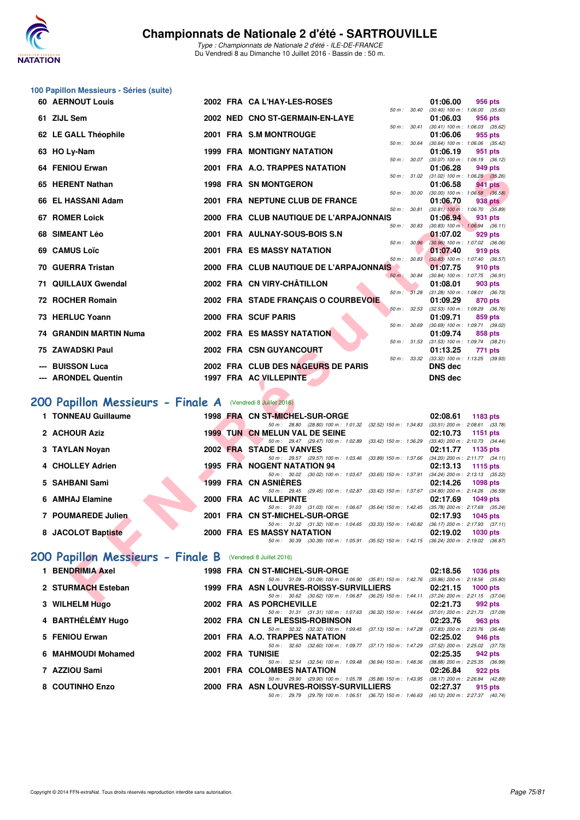

Type : Championnats de Nationale 2 d'été - ILE-DE-FRANCE Du Vendredi 8 au Dimanche 10 Juillet 2016 - Bassin de : 50 m.

|    | 100 Papillon Messieurs - Séries (suite) |  |                                                                                                                                     |                                                                |
|----|-----------------------------------------|--|-------------------------------------------------------------------------------------------------------------------------------------|----------------------------------------------------------------|
|    | <b>60 AERNOUT Louis</b>                 |  | 2002 FRA CA L'HAY-LES-ROSES                                                                                                         | 01:06.00<br>956 pts                                            |
|    | 61 ZIJL Sem                             |  | 50 m: 30.40<br>2002 NED CNO ST-GERMAIN-EN-LAYE                                                                                      | $(30.40)$ 100 m : 1:06.00 $(35.60)$<br>01:06.03<br>956 pts     |
|    | 62 LE GALL Théophile                    |  | 50 m : 30.41<br>2001 FRA S.M MONTROUGE                                                                                              | $(30.41)$ 100 m : 1:06.03 $(35.62)$<br>01:06.06<br>955 pts     |
|    | 63 HO Ly-Nam                            |  | 50 m : 30.64<br><b>1999 FRA MONTIGNY NATATION</b>                                                                                   | $(30.64)$ 100 m : 1:06.06 $(35.42)$<br>01:06.19<br>951 pts     |
|    | 64 FENIOU Erwan                         |  | 50 m: 30.07<br>2001 FRA A.O. TRAPPES NATATION                                                                                       | (30.07) 100 m: 1:06.19 (36.12)<br>01:06.28<br>949 pts          |
|    | 65 HERENT Nathan                        |  | 50 m: 31.02<br><b>1998 FRA SN MONTGERON</b>                                                                                         | $(31.02)$ 100 m : 1:06.28 $(35.26)$<br>01:06.58<br>941 pts     |
|    | 66 EL HASSANI Adam                      |  | 50 m: 30.00<br>2001 FRA NEPTUNE CLUB DE FRANCE                                                                                      | $(30.00)$ 100 m : 1:06.58 $(36.58)$<br>01:06.70<br>938 pts     |
|    | <b>67 ROMER Loick</b>                   |  | 50 m : 30.81<br>2000 FRA CLUB NAUTIQUE DE L'ARPAJONNAIS                                                                             | $(30.81)$ 100 m : 1:06.70 $(35.89)$<br>01:06.94<br>931 pts     |
|    | 68 SIMEANT Léo                          |  | 50 m: 30.83<br>2001 FRA AULNAY-SOUS-BOIS S.N                                                                                        | $(30.83)$ 100 m : 1:06.94 $(36.11)$<br>01:07.02<br>929 pts     |
|    | 69 CAMUS Loïc                           |  | 50 m: 30.96<br>2001 FRA ES MASSY NATATION                                                                                           | $(30.96)$ 100 m : 1:07.02 $(36.06)$<br>01:07.40<br>919 pts     |
|    | 70 GUERRA Tristan                       |  | 50 m: 30.83<br>2000 FRA CLUB NAUTIQUE DE L'ARPAJONNAIS                                                                              | $(30.83)$ 100 m : 1:07.40 $(36.57)$<br>01:07.75<br>910 pts     |
| 71 | <b>QUILLAUX Gwendal</b>                 |  | $50 m$ :<br>30.84<br>2002 FRA CN VIRY-CHÂTILLON                                                                                     | (30.84) 100 m: 1:07.75 (36.91)<br>01:08.01<br>903 pts          |
|    | 72 ROCHER Romain                        |  | 50 m: 31.28<br>2002 FRA STADE FRANÇAIS O COURBEVOIE                                                                                 | $(31.28)$ 100 m : 1:08.01 $(36.73)$<br>01:09.29<br>870 pts     |
|    | 73 HERLUC Yoann                         |  | 50 m: 32.53<br>2000 FRA SCUF PARIS                                                                                                  | (32.53) 100 m: 1:09.29 (36.76)<br>01:09.71<br>859 pts          |
|    | 74 GRANDIN MARTIN Numa                  |  | 50 m : 30.69<br><b>2002 FRA ES MASSY NATATION</b>                                                                                   | $(30.69)$ 100 m : 1:09.71 $(39.02)$<br>01:09.74<br>858 pts     |
|    | 75 ZAWADSKI Paul                        |  | 50 m: 31.53<br>2002 FRA CSN GUYANCOURT                                                                                              | $(31.53)$ 100 m : 1:09.74 $(38.21)$<br>01:13.25<br>771 pts     |
|    | <b>BUISSON Luca</b>                     |  | 50 m : 33.32<br>2002 FRA CLUB DES NAGEURS DE PARIS                                                                                  | (33.32) 100 m: 1:13.25 (39.93)<br><b>DNS dec</b>               |
|    | <b>ARONDEL Quentin</b>                  |  | 1997 FRA AC VILLEPINTE                                                                                                              | DNS dec                                                        |
|    | 200 Papillon Messieurs - Finale A       |  | (Vendredi 8 Juillet 2016)                                                                                                           |                                                                |
|    | 1 TONNEAU Guillaume                     |  | 1998 FRA CN ST-MICHEL-SUR-ORGE                                                                                                      | 02:08.61<br>1183 pts                                           |
|    | 2 ACHOUR Aziz                           |  | 50 m: 28.80 (28.80) 100 m: 1:01.32 (32.52) 150 m: 1:34.83<br><b>1999 TUN CN MELUN VAL DE SEINE</b>                                  | $(33.51)$ 200 m : 2:08.61 $(33.78)$<br>02:10.73<br>1151 pts    |
|    | 3 TAYLAN Noyan                          |  | 50 m: 29.47 (29.47) 100 m: 1:02.89 (33.42) 150 m: 1:36.29<br>2002 FRA STADE DE VANVES                                               | $(33.40)$ 200 m : 2:10.73 $(34.44)$<br>02:11.77<br>1135 pts    |
|    | 4 CHOLLEY Adrien                        |  | 50 m: 29.57 (29.57) 100 m: 1:03.46 (33.89) 150 m: 1:37.66<br><b>1995 FRA NOGENT NATATION 94</b>                                     | $(34.20)$ 200 m : 2:11.77 $(34.11)$<br>02:13.13<br>1115 pts    |
| 5. | SAHBANI Sami                            |  | 50 m: 30.02 (30.02) 100 m: 1:03.67 (33.65) 150 m: 1:37.91<br><b>1999 FRA CN ASNIERES</b>                                            | (34.24) 200 m : 2:13.13 (35.22)<br>02:14.26<br><b>1098 pts</b> |
|    | 6 AMHAJ Elamine                         |  | 50 m: 29.45 (29.45) 100 m: 1:02.87 (33.42) 150 m: 1:37.67<br>2000 FRA AC VILLEPINTE                                                 | $(34.80)$ 200 m : 2:14.26 $(36.59)$<br>02:17.69<br>1049 pts    |
|    | 7 POUMAREDE Julien                      |  | 50 m: 31.03 (31.03) 100 m: 1:06.67 (35.64) 150 m: 1:42.45<br>2001 FRA CN ST-MICHEL-SUR-ORGE                                         | (35.78) 200 m : 2:17.69 (35.24)<br>02:17.93<br>1045 pts        |
|    | 8 JACOLOT Baptiste                      |  | 50 m: 31.32 (31.32) 100 m: 1:04.65 (33.33) 150 m: 1:40.82 (36.17) 200 m: 2:17.93 (37.11)<br>2000 FRA ES MASSY NATATION              | 02:19.02<br>1030 pts                                           |
|    |                                         |  | 50 m: 30.39 (30.39) 100 m: 1:05.91 (35.52) 150 m: 1:42.15 (36.24) 200 m: 2:19.02 (36.87)                                            |                                                                |
|    | 200 Papillon Messieurs - Finale B       |  | (Vendredi 8 Juillet 2016)                                                                                                           |                                                                |
|    | 1 BENDRIMIA Axel                        |  | 1998 FRA CN ST-MICHEL-SUR-ORGE<br>50 m : 31.09 (31.09) 100 m : 1:06.90 (35.81) 150 m : 1:42.76 (35.86) 200 m : 2:18.56 (35.80)      | 02:18.56<br><b>1036 pts</b>                                    |
|    | 2 STURMACH Esteban                      |  | 1999 FRA ASN LOUVRES-ROISSY-SURVILLIERS<br>50 m: 30.62 (30.62) 100 m: 1:06.87 (36.25) 150 m: 1:44.11 (37.24) 200 m: 2:21.15 (37.04) | 02:21.15<br><b>1000 pts</b>                                    |
|    | 0.3401111713411                         |  | 2000 EDA AC DODOUEVILLE                                                                                                             | 00.01.70                                                       |

## [200 Papillon Messieurs - Finale A](http://www.ffnatation.fr/webffn/resultats.php?idact=nat&go=epr&idcpt=39837&idepr=83) (Vendredi 8 Juillet 2016)

| 1 TONNEAU Guillaume |  | 1998 FRA CN ST-MICHEL-SUR-ORGE                                                           |                                                                               | $02:08.61$ 1183 pts                 |
|---------------------|--|------------------------------------------------------------------------------------------|-------------------------------------------------------------------------------|-------------------------------------|
|                     |  | 50 m: 28.80 (28.80) 100 m: 1:01.32 (32.52) 150 m: 1:34.83                                |                                                                               | $(33.51)$ 200 m : 2:08.61 $(33.78)$ |
| 2 ACHOUR Aziz       |  | <b>1999 TUN CN MELUN VAL DE SEINE</b>                                                    |                                                                               | 02:10.73 1151 pts                   |
|                     |  | 50 m: 29.47 (29.47) 100 m: 1:02.89 (33.42) 150 m: 1:36.29                                |                                                                               | $(33.40)$ 200 m : 2:10.73 $(34.44)$ |
| 3 TAYLAN Novan      |  | 2002 FRA STADE DE VANVES                                                                 |                                                                               | $02:11.77$ 1135 pts                 |
|                     |  | 50 m: 29.57 (29.57) 100 m: 1:03.46 (33.89) 150 m: 1:37.66                                |                                                                               | $(34.20)$ 200 m : 2:11.77 $(34.11)$ |
| 4 CHOLLEY Adrien    |  | 1995 FRA NOGENT NATATION 94                                                              |                                                                               | $02:13.13$ 1115 pts                 |
|                     |  | 50 m: 30.02 (30.02) 100 m: 1:03.67 (33.65) 150 m: 1:37.91                                |                                                                               | $(34.24)$ 200 m : 2:13.13 $(35.22)$ |
| 5   SAHBANI Sami    |  | <b>1999 FRA CN ASNIERES</b>                                                              |                                                                               | 02:14.26 1098 pts                   |
|                     |  | 50 m: 29.45 (29.45) 100 m: 1:02.87 (33.42) 150 m: 1:37.67                                |                                                                               | $(34.80)$ 200 m : 2:14.26 $(36.59)$ |
| 6 AMHAJ Elamine     |  | 2000 FRA AC VILLEPINTE                                                                   |                                                                               | 02:17.69 1049 pts                   |
|                     |  | 50 m: 31.03 (31.03) 100 m: 1:06.67 (35.64) 150 m: 1:42.45                                |                                                                               | $(35.78)$ 200 m : 2:17.69 $(35.24)$ |
| 7 POUMAREDE Julien  |  | 2001 FRA CN ST-MICHEL-SUR-ORGE                                                           |                                                                               | 02:17.93 1045 pts                   |
|                     |  | 50 m: 31.32 (31.32) 100 m: 1:04.65 (33.33) 150 m: 1:40.82 (36.17) 200 m: 2:17.93 (37.11) |                                                                               |                                     |
| 8 JACOLOT Baptiste  |  | 2000 FRA ES MASSY NATATION                                                               |                                                                               | $02:19.02$ 1030 pts                 |
|                     |  | 50 m : 30.39                                                                             | $(30.39)$ 100 m : 1:05.91 $(35.52)$ 150 m : 1:42.15 $(36.24)$ 200 m : 2:19.02 | (36.87)                             |
|                     |  |                                                                                          |                                                                               |                                     |

## **[200 Papillon Messieurs - Finale B](http://www.ffnatation.fr/webffn/resultats.php?idact=nat&go=epr&idcpt=39837&idepr=83)** (Vendredi 8 Juillet 2016)

| 1 BENDRIMIA Axel   |  | 1998 FRA CN ST-MICHEL-SUR-ORGE  |                                                                                          |                           | 02:18.56                                        | <b>1036 pts</b> |  |
|--------------------|--|---------------------------------|------------------------------------------------------------------------------------------|---------------------------|-------------------------------------------------|-----------------|--|
| 2 STURMACH Esteban |  |                                 | 50 m: 31.09 (31.09) 100 m: 1:06.90 (35.81) 150 m: 1:42.76                                |                           | $(35.86)$ 200 m : 2:18.56 $(35.80)$             |                 |  |
|                    |  |                                 | 1999 FRA ASN LOUVRES-ROISSY-SURVILLIERS<br>50 m: 30.62 (30.62) 100 m: 1:06.87            | (36.25) 150 m : 1:44.11   | 02:21.15<br>$(37.24)$ 200 m : 2:21.15 $(37.04)$ | $1000$ pts      |  |
| 3 WILHELM Hugo     |  | 2002 FRA AS PORCHEVILLE         |                                                                                          |                           | 02:21.73                                        | 992 pts         |  |
|                    |  |                                 | 50 m: 31.31 (31.31) 100 m: 1:07.63 (36.32) 150 m: 1:44.64                                |                           | $(37.01)$ 200 m : 2:21.73 $(37.09)$             |                 |  |
| 4 BARTHÉLÉMY Hugo  |  | 2002 FRA CN LE PLESSIS-ROBINSON |                                                                                          |                           | 02:23.76                                        | 963 pts         |  |
|                    |  |                                 | 50 m : 32.32 (32.32) 100 m : 1:09.45                                                     | (37.13) 150 m : 1:47.28   | $(37.83)$ 200 m : 2:23.76 $(36.48)$             |                 |  |
| 5 FENIOU Erwan     |  | 2001 FRA A.O. TRAPPES NATATION  |                                                                                          |                           | 02:25.02                                        | 946 pts         |  |
|                    |  |                                 | 50 m: 32.60 (32.60) 100 m: 1:09.77 (37.17) 150 m: 1:47.29                                |                           | $(37.52)$ 200 m : 2:25.02 $(37.73)$             |                 |  |
| 6 MAHMOUDI Mohamed |  | 2002 FRA TUNISIE                |                                                                                          |                           | 02:25.35                                        | 942 pts         |  |
|                    |  |                                 | 50 m: 32.54 (32.54) 100 m: 1:09.48                                                       | $(36.94)$ 150 m : 1:48.36 | $(38.88)$ 200 m : 2:25.35 $(36.99)$             |                 |  |
| 7 AZZIOU Sami      |  | 2001 FRA COLOMBES NATATION      |                                                                                          |                           | 02:26.84                                        | 922 pts         |  |
|                    |  |                                 | 50 m: 29.90 (29.90) 100 m: 1:05.78 (35.88) 150 m: 1:43.95                                |                           | $(38.17)$ 200 m : 2:26.84 $(42.89)$             |                 |  |
| 8 COUTINHO Enzo    |  |                                 | 2000 FRA ASN LOUVRES-ROISSY-SURVILLIERS                                                  |                           | 02:27.37                                        | 915 pts         |  |
|                    |  |                                 | 50 m: 29.79 (29.79) 100 m: 1:06.51 (36.72) 150 m: 1:46.63 (40.12) 200 m: 2:27.37 (40.74) |                           |                                                 |                 |  |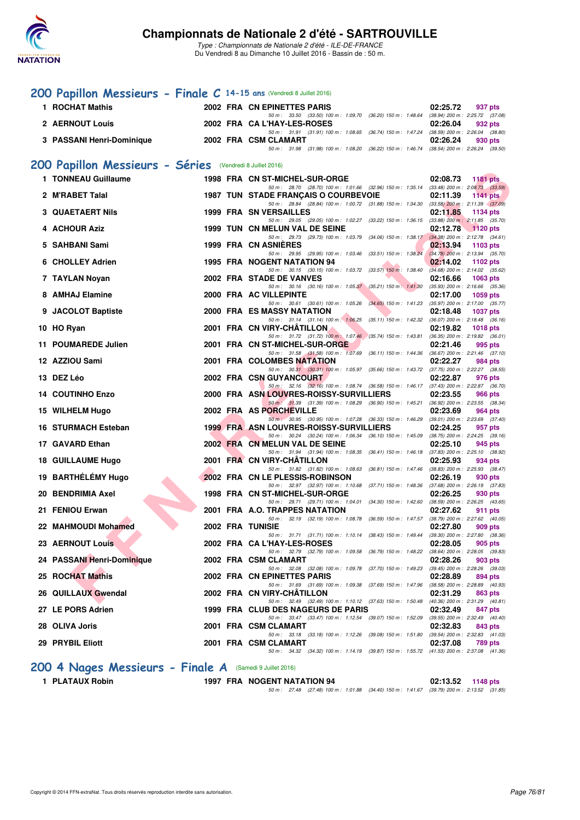

Type : Championnats de Nationale 2 d'été - ILE-DE-FRANCE Du Vendredi 8 au Dimanche 10 Juillet 2016 - Bassin de : 50 m.

## **[200 Papillon Messieurs - Finale C](http://www.ffnatation.fr/webffn/resultats.php?idact=nat&go=epr&idcpt=39837&idepr=83) 14-15 ans** (Vendredi 8 Juillet 2016)

| 1 ROCHAT Mathis           | 2002 FRA CN EPINETTES PARIS                                                                 | 02:25.72 937 pts |
|---------------------------|---------------------------------------------------------------------------------------------|------------------|
|                           | 50 m : 33.50 (33.50) 100 m : 1:09.70 (36.20) 150 m : 1:48.64 (38.94) 200 m : 2:25.72 (37.08 |                  |
| <b>2 AERNOUT Louis</b>    | 2002 FRA CA L'HAY-LES-ROSES                                                                 | 02:26.04 932 pts |
|                           | 50 m : 31.91 (31.91) 100 m : 1:08.65 (36.74) 150 m : 1:47.24 (38.59) 200 m : 2:26.04 (38.80 |                  |
| 3 PASSANI Henri-Dominique | 2002 FRA CSM CLAMART                                                                        | 02:26.24 930 pts |
|                           | 50 m : 31.98 (31.98) 100 m : 1:08.20 (36.22) 150 m : 1:46.74 (38.54) 200 m : 2:26.24 (39.50 |                  |

#### **[200 Papillon Messieurs - Séries](http://www.ffnatation.fr/webffn/resultats.php?idact=nat&go=epr&idcpt=39837&idepr=83)** (Vendredi 8 Juillet 2016)

| 1 TONNEAU Guillaume        |  | 1998 FRA CN ST-MICHEL-SUR-ORGE<br>50 m: 28.70 (28.70) 100 m: 1:01.66 (32.96) 150 m: 1:35.14 (33.48) 200 m: 2:08.73 (33.59)                     | 02:08.73<br><b>1181 pts</b>                                 |
|----------------------------|--|------------------------------------------------------------------------------------------------------------------------------------------------|-------------------------------------------------------------|
| 2 M'RABET Talal            |  | 1987 TUN STADE FRANÇAIS O COURBEVOIE                                                                                                           | 02:11.39<br>1141 pts                                        |
|                            |  | 50 m: 28.84 (28.84) 100 m: 1:00.72 (31.88) 150 m: 1:34.30 (33.58) 200 m: 2:11.39 (37.09)                                                       |                                                             |
| <b>3 QUAETAERT Nils</b>    |  | <b>1999 FRA SN VERSAILLES</b>                                                                                                                  | 02:11.85<br>1134 pts                                        |
| 4 ACHOUR Aziz              |  | 50 m: 29.05 (29.05) 100 m: 1:02.27 (33.22) 150 m: 1:36.15 (33.88) 200 m: 2:11.85 (35.70)<br>1999 TUN CN MELUN VAL DE SEINE                     | 02:12.78<br>$\sqrt{1120}$ pts                               |
|                            |  | 50 m: 29.73 (29.73) 100 m: 1:03.79 (34.06) 150 m: 1:38.17 (34.38) 200 m: 2:12.78 (34.61)                                                       |                                                             |
| 5 SAHBANI Sami             |  | 1999 FRA CN ASNIERES                                                                                                                           | 02:13.94<br>1103 pts                                        |
| 6 CHOLLEY Adrien           |  | 50 m: 29.95 (29.95) 100 m: 1:03.46 (33.51) 150 m: 1:38.24<br>1995 FRA NOGENT NATATION 94                                                       | $(34.78)$ 200 m : 2:13.94 $(35.70)$<br>02:14.02<br>1102 pts |
|                            |  | 50 m: 30.15 (30.15) 100 m: 1:03.72 (33.57) 150 m: 1:38.40                                                                                      | $(34.68)$ 200 m : 2:14.02 $(35.62)$                         |
| 7 TAYLAN Noyan             |  | 2002 FRA STADE DE VANVES                                                                                                                       | 02:16.66<br>1063 pts                                        |
| 8 AMHAJ Elamine            |  | 50 m : 30.16 (30.16) 100 m : 1:05.37 (35.21) 150 m : 1:41.30<br>2000 FRA AC VILLEPINTE                                                         | $(35.93)$ 200 m : 2:16.66 $(35.36)$<br>02:17.00<br>1059 pts |
|                            |  | 50 m: 30.61 (30.61) 100 m: 1:05.26 (34.65) 150 m: 1:41.23                                                                                      | $(35.97)$ 200 m : 2:17.00 $(35.77)$                         |
| 9 JACOLOT Baptiste         |  | <b>2000 FRA ES MASSY NATATION</b>                                                                                                              | 02:18.48<br><b>1037 pts</b>                                 |
| 10 HO Ryan                 |  | 50 m: 31.14 (31.14) 100 m: 1:06.25 (35.11) 150 m: 1:42.32 (36.07) 200 m: 2:18.48 (36.16)<br>2001 FRA CN VIRY-CHATILLON                         | 02:19.82<br><b>1018 pts</b>                                 |
|                            |  | 50 m: 31.72 (31.72) 100 m: 1:07.46 (35.74) 150 m: 1:43.81 (36.35) 200 m: 2:19.82 (36.01)                                                       |                                                             |
| 11 POUMAREDE Julien        |  | 2001 FRA CN ST-MICHEL-SUR-ORGE                                                                                                                 | 02:21.46<br>995 pts                                         |
| 12 AZZIOU Sami             |  | 50 m: 31.58 (31.58) 100 m: 1:07.69 (36.11) 150 m: 1:44.36 (36.67) 200 m: 2:21.46 (37.10)<br>2001 FRA COLOMBES NATATION                         | 02:22.27<br>984 pts                                         |
|                            |  | 50 m: 30.31 (30.31) 100 m: 1:05.97 (35.66) 150 m: 1:43.72 (37.75) 200 m: 2:22.27 (38.55)                                                       |                                                             |
| 13 DEZ Léo                 |  | 2002 FRA CSN GUYANCOURT                                                                                                                        | 02:22.87<br>976 pts                                         |
| <b>14 COUTINHO Enzo</b>    |  | 50 m: 32.16 (32.16) 100 m: 1:08.74 (36.58) 150 m: 1:46.17 (37.43) 200 m: 2:22.87 (36.70)<br>2000 FRA ASN LOUVRES-ROISSY-SURVILLIERS            | 02:23.55<br><b>966 pts</b>                                  |
|                            |  | 50 m : 31.39 (31.39) 100 m : 1:08.29 (36.90) 150 m : 1:45.21 (36.92) 200 m : 2:23.55 (38.34)                                                   |                                                             |
| 15 WILHELM Hugo            |  | 2002 FRA AS PORCHEVILLE                                                                                                                        | 02:23.69<br>964 pts                                         |
| 16 STURMACH Esteban        |  | 50 m · 30.95 (30.95) 100 m · 1:07.28 (36.33) 150 m · 1:46.29 (39.01) 200 m · 2:23.69 (37.40)<br><b>1999 FRA ASN LOUVRES-ROISSY-SURVILLIERS</b> | 02:24.25<br>957 pts                                         |
|                            |  | 50 m: 30.24 (30.24) 100 m: 1:06.34 (36.10) 150 m: 1:45.09 (38.75) 200 m: 2:24.25 (39.16)                                                       |                                                             |
| 17 GAVARD Ethan            |  | 2002 FRA CN MELUN VAL DE SEINE                                                                                                                 | 02:25.10<br>945 pts                                         |
| 18 GUILLAUME Hugo          |  | 50 m: 31.94 (31.94) 100 m: 1:08.35 (36.41) 150 m: 1:46.18 (37.83) 200 m: 2:25.10 (38.92)<br>2001 FRA CN VIRY-CHÂTILLON                         | 02:25.93<br>934 pts                                         |
|                            |  | 50 m: 31.82 (31.82) 100 m: 1:08.63 (36.81) 150 m: 1:47.46 (38.83) 200 m: 2:25.93 (38.47)                                                       |                                                             |
| 19 BARTHÉLÉMY Hugo         |  | 2002 FRA CN LE PLESSIS-ROBINSON                                                                                                                | 02:26.19<br>930 pts                                         |
| 20 BENDRIMIA Axel          |  | 50 m: 32.97 (32.97) 100 m: 1:10.68 (37.71) 150 m: 1:48.36 (37.68) 200 m: 2:26.19 (37.83)<br>1998 FRA CN ST-MICHEL-SUR-ORGE                     | 02:26.25<br>930 pts                                         |
|                            |  | 50 m: 29.71 (29.71) 100 m: 1:04.01 (34.30) 150 m: 1:42.60 (38.59) 200 m: 2:26.25 (43.65)                                                       |                                                             |
| 21 FENIOU Erwan            |  | 2001 FRA A.O. TRAPPES NATATION                                                                                                                 | 02:27.62<br>911 pts                                         |
| 22 MAHMOUDI Mohamed        |  | 50 m: 32.19 (32.19) 100 m: 1:08.78 (36.59) 150 m: 1:47.57 (38.79) 200 m: 2:27.62 (40.05)<br><b>2002 FRA TUNISIE</b>                            | 02:27.80<br>909 pts                                         |
|                            |  | 50 m: 31.71 (31.71) 100 m: 1:10.14 (38.43) 150 m: 1:49.44 (39.30) 200 m: 2:27.80 (38.36)                                                       |                                                             |
| 23 AERNOUT Louis           |  | 2002 FRA CAL'HAY-LES-ROSES                                                                                                                     | 02:28.05<br>905 pts                                         |
| 24 PASSANI Henri-Dominique |  | 50 m: 32.79 (32.79) 100 m: 1:09.58 (36.79) 150 m: 1:48.22 (38.64) 200 m: 2:28.05 (39.83)<br>2002 FRA CSM CLAMART                               | 02:28.26<br>903 pts                                         |
|                            |  | 50 m: 32.08 (32.08) 100 m: 1:09.78 (37.70) 150 m: 1:49.23 (39.45) 200 m: 2:28.26 (39.03)                                                       |                                                             |
| 25 ROCHAT Mathis           |  | 2002 FRA CN EPINETTES PARIS                                                                                                                    | 02:28.89<br>894 pts                                         |
| 26 QUILLAUX Gwendal        |  | 50 m: 31.69 (31.69) 100 m: 1:09.38 (37.69) 150 m: 1:47.96 (38.58) 200 m: 2:28.89 (40.93)<br>2002 FRA CN VIRY-CHATILLON                         | 02:31.29<br>863 pts                                         |
|                            |  | 50 m: 32.49 (32.49) 100 m: 1:10.12 (37.63) 150 m: 1:50.48 (40.36) 200 m: 2:31.29 (40.81)                                                       |                                                             |
| 27 LE PORS Adrien          |  | 1999 FRA CLUB DES NAGEURS DE PARIS                                                                                                             | 02:32.49<br>847 pts                                         |
| 28 OLIVA Joris             |  | 50 m: 33.47 (33.47) 100 m: 1:12.54 (39.07) 150 m: 1:52.09 (39.55) 200 m: 2:32.49 (40.40)<br>2001 FRA CSM CLAMART                               | 02:32.83<br>843 pts                                         |
|                            |  | 50 m: 33.18 (33.18) 100 m: 1:12.26 (39.08) 150 m: 1:51.80 (39.54) 200 m: 2:32.83 (41.03)                                                       |                                                             |
| 29 PRYBIL Eliott           |  | 2001 FRA CSM CLAMART                                                                                                                           | 02:37.08<br>789 pts                                         |
|                            |  | 50 m: 34.32 (34.32) 100 m: 1:14.19 (39.87) 150 m: 1:55.72 (41.53) 200 m: 2:37.08 (41.36)                                                       |                                                             |

# **200 4 Nages Messieurs - Finale A** (Samedi 9 Juillet 2016)<br>1 PLATAUX Robin 1997 FRA NOGENT NAT

**1997 FRA NOGENT NATATION 94 02:13.52 1148 pts** 

50 m : 27.48 (27.48) 100 m : 1:01.88 (34.40) 150 m : 1:41.67 (39.79) 200 m : 2:13.52 (31.85)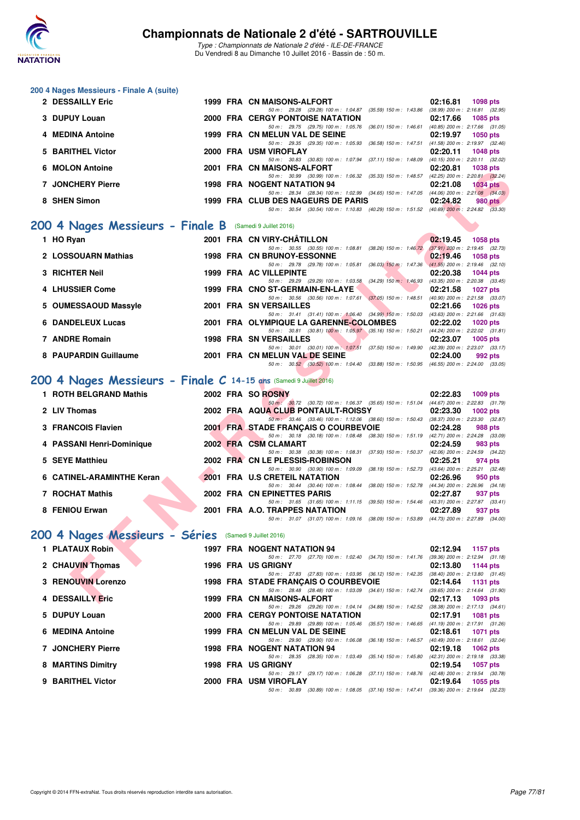

**200 4 Nages Messieurs - Finale A (suite)**

#### **Championnats de Nationale 2 d'été - SARTROUVILLE**

Type : Championnats de Nationale 2 d'été - ILE-DE-FRANCE Du Vendredi 8 au Dimanche 10 Juillet 2016 - Bassin de : 50 m.

| 2 DESSAILLY Eric                                                   | 1999 FRA CN MAISONS-ALFORT                                                                                                       | 02:16.81<br>1098 pts                                               |
|--------------------------------------------------------------------|----------------------------------------------------------------------------------------------------------------------------------|--------------------------------------------------------------------|
| 3 DUPUY Louan                                                      | 50 m: 29.28 (29.28) 100 m: 1:04.87 (35.59) 150 m: 1:43.86<br><b>2000 FRA CERGY PONTOISE NATATION</b>                             | $(38.99)$ 200 m : 2:16.81 $(32.95)$<br>02:17.66<br>1085 pts        |
| 4 MEDINA Antoine                                                   | 50 m: 29.75 (29.75) 100 m: 1:05.76 (36.01) 150 m: 1:46.61 (40.85) 200 m: 2:17.66 (31.05)<br>1999 FRA CN MELUN VAL DE SEINE       | 02:19.97<br><b>1050 pts</b>                                        |
|                                                                    | 50 m: 29.35 (29.35) 100 m: 1:05.93 (36.58) 150 m: 1:47.51 (41.58) 200 m: 2:19.97 (32.46)                                         |                                                                    |
| 5 BARITHEL Victor                                                  | 2000 FRA USM VIROFLAY                                                                                                            | 02:20.11<br>1048 pts                                               |
| 6 MOLON Antoine                                                    | 50 m: 30.83 (30.83) 100 m: 1:07.94 (37.11) 150 m: 1:48.09 (40.15) 200 m: 2:20.11 (32.02)<br>2001 FRA CN MAISONS-ALFORT           | 02:20.81<br><b>1038 pts</b>                                        |
|                                                                    | 50 m: 30.99 (30.99) 100 m: 1:06.32 (35.33) 150 m: 1:48.57 (42.25) 200 m: 2:20.81 (32.24)                                         |                                                                    |
| 7 JONCHERY Pierre                                                  | <b>1998 FRA NOGENT NATATION 94</b><br>50 m: 28.34 (28.34) 100 m: 1:02.99 (34.65) 150 m: 1:47.05 (44.06) 200 m: 2:21.08 (34.03)   | 02:21.08<br><b>1034 pts</b>                                        |
| 8 SHEN Simon                                                       | 1999 FRA CLUB DES NAGEURS DE PARIS                                                                                               | 02:24.82<br><b>980 pts</b>                                         |
|                                                                    | 50 m: 30.54 (30.54) 100 m: 1:10.83 (40.29) 150 m: 1:51.52 (40.69) 200 m: 2:24.82 (33.30)                                         |                                                                    |
| 200 4 Nages Messieurs - Finale B (Samedi 9 Juillet 2016)           |                                                                                                                                  |                                                                    |
| 1 HO Ryan                                                          | 2001 FRA CN VIRY-CHÂTILLON                                                                                                       | 02:19.45<br><b>1058 pts</b>                                        |
| 2 LOSSOUARN Mathias                                                | 50 m: 30.55 (30.55) 100 m: 1:08.81 (38.26) 150 m: 1:46.72<br><b>1998 FRA CN BRUNOY-ESSONNE</b>                                   | $(37.91)$ 200 m : 2:19.45 $(32.73)$<br>02:19.46<br><b>1058 pts</b> |
|                                                                    | 50 m: 29.78 (29.78) 100 m: 1:05.81 (36.03) 150 m: 1:47.36 (41.55) 200 m: 2:19.46 (32.10)                                         |                                                                    |
| 3 RICHTER Neil                                                     | 1999 FRA AC VILLEPINTE                                                                                                           | 02:20.38<br><b>1044 pts</b>                                        |
| 4 LHUSSIER Come                                                    | 50 m: 29.29 (29.29) 100 m: 1:03.58 (34.29) 150 m: 1:46.93 (43.35) 200 m: 2:20.38 (33.45)<br>1999 FRA CNO ST-GERMAIN-EN-LAYE      | 02:21.58<br><b>1027 pts</b>                                        |
|                                                                    | 50 m: 30.56 (30.56) 100 m: 1:07.61 (37.05) 150 m: 1:48.51 (40.90) 200 m: 2:21.58 (33.07)                                         |                                                                    |
| 5 OUMESSAOUD Massyle                                               | 2001 FRA SN VERSAILLES<br>50 m: 31.41 (31.41) 100 m: 1:06.40 (34.99) 150 m: 1:50.03 (43.63) 200 m: 2:21.66 (31.63)               | 1026 pts<br>02:21.66                                               |
| <b>6 DANDELEUX Lucas</b>                                           | 2001 FRA OLYMPIQUE LA GARENNE-COLOMBES                                                                                           | 02:22.02<br><b>1020 pts</b>                                        |
| 7 ANDRE Romain                                                     | 50 m: 30.81 (30.81) 100 m: 1:05.97 (35.16) 150 m: 1:50.21 (44.24) 200 m: 2:22.02 (31.81)                                         |                                                                    |
|                                                                    | <b>1998 FRA SN VERSAILLES</b><br>50 m: 30.01 (30.01) 100 m: 1:07.51 (37.50) 150 m: 1:49.90 (42.39) 200 m: 2:23.07 (33.17)        | 02:23.07<br>1005 pts                                               |
| 8 PAUPARDIN Guillaume                                              | 2001 FRA CN MELUN VAL DE SEINE                                                                                                   | 02:24.00<br>992 pts                                                |
|                                                                    | 50 m: 30.52 (30.52) 100 m: 1:04.40 (33.88) 150 m: 1:50.95 (46.55) 200 m: 2:24.00 (33.05)                                         |                                                                    |
| 200 4 Nages Messieurs - Finale C 14-15 ans (Samedi 9 Juillet 2016) |                                                                                                                                  |                                                                    |
| 1 ROTH BELGRAND Mathis                                             | 2002 FRA SO ROSNY                                                                                                                | 02:22.83<br>1009 pts                                               |
| 2 LIV Thomas                                                       | 50 m: 30.72 (30.72) 100 m: 1:06.37 (35.65) 150 m: 1:51.04 (44.67) 200 m: 2:22.83 (31.79)<br>2002 FRA AQUA CLUB PONTAULT-ROISSY   | 02:23.30<br>1002 pts                                               |
|                                                                    | 50 m: 33.46 (33.46) 100 m: 1:12.06 (38.60) 150 m: 1:50.43 (38.37) 200 m: 2:23.30 (32.87)                                         |                                                                    |
| 3 FRANCOIS Flavien                                                 | 2001 FRA STADE FRANÇAIS O COURBEVOIE<br>50 m: 30.18 (30.18) 100 m: 1:08.48 (38.30) 150 m: 1:51.19 (42.71) 200 m: 2:24.28 (33.09) | 02:24.28<br>988 pts                                                |
| 4 PASSANI Henri-Dominique                                          | 2002 FRA CSM CLAMART                                                                                                             | 02:24.59<br>983 pts                                                |
|                                                                    | 50 m: 30.38 (30.38) 100 m: 1:08.31 (37.93) 150 m: 1:50.37 (42.06) 200 m: 2:24.59 (34.22)                                         |                                                                    |
| 5 SEYE Matthieu                                                    | 2002 FRA CN LE PLESSIS-ROBINSON<br>50 m: 30.90 (30.90) 100 m: 1:09.09 (38.19) 150 m: 1:52.73 (43.64) 200 m: 2:25.21 (32.48)      | 02:25.21<br>974 pts                                                |
| 6 CATINEL-ARAMINTHE Keran                                          | 2001 FRA U.S CRETEIL NATATION                                                                                                    | 02:26.96<br>950 pts                                                |
| 7 ROCHAT Mathis                                                    | 50 m: 30.44 (30.44) 100 m: 1:08.44 (38.00) 150 m: 1:52.78 (44.34) 200 m: 2:26.96 (34.18)<br>2002 FRA CN EPINETTES PARIS          | 02:27.87<br>937 pts                                                |
|                                                                    | 50 m: 31.65 (31.65) 100 m: 1:11.15 (39.50) 150 m: 1:54.46 (43.31) 200 m: 2:27.87 (33.41)                                         |                                                                    |
| 8 FENIOU Erwan                                                     | 2001 FRA A.O. TRAPPES NATATION<br>50 m: 31.07 (31.07) 100 m: 1:09.16 (38.09) 150 m: 1:53.89 (44.73) 200 m: 2:27.89 (34.00)       | 02:27.89<br>937 pts                                                |
|                                                                    |                                                                                                                                  |                                                                    |
| 200 4 Nages Messieurs - Séries (Samedi 9 Juillet 2016)             |                                                                                                                                  |                                                                    |
| 1 PLATAUX Robin                                                    | <b>1997 FRA NOGENT NATATION 94</b>                                                                                               | 02:12.94<br>1157 pts                                               |
| 2 CHAUVIN Thomas                                                   | 50 m: 27.70 (27.70) 100 m: 1:02.40 (34.70) 150 m: 1:41.76 (39.36) 200 m: 2:12.94 (31.18)<br><b>1996 FRA US GRIGNY</b>            | 02:13.80<br>1144 pts                                               |
|                                                                    | 50 m: 27.83 (27.83) 100 m: 1:03.95 (36.12) 150 m: 1:42.35 (38.40) 200 m: 2:13.80 (31.45)                                         |                                                                    |
| <b>3 RENOUVIN Lorenzo</b>                                          | 1998 FRA STADE FRANÇAIS O COURBEVOIE<br>50 m: 28.48 (28.48) 100 m: 1:03.09 (34.61) 150 m: 1:42.74 (39.65) 200 m: 2:14.64 (31.90) | 02:14.64<br><b>1131 pts</b>                                        |
| 4 DESSAILLY Eric                                                   | 1999 FRA CN MAISONS-ALFORT                                                                                                       | 02:17.13<br>1093 pts                                               |

| 4 PASSANI HENI-DOMINIQUE  |  | ZUUZ FRA COMCLAMARI                                                                         | UZ:Z4.59                        | 983 DIS |
|---------------------------|--|---------------------------------------------------------------------------------------------|---------------------------------|---------|
|                           |  | 50 m : 30.38 (30.38) 100 m : 1:08.31 (37.93) 150 m : 1:50.37 (42.06) 200 m : 2:24.59 (34.22 |                                 |         |
| 5 SEYE Matthieu           |  | 2002 FRA CN LE PLESSIS-ROBINSON                                                             | 02:25.21                        | 974 pts |
|                           |  | 50 m: 30.90 (30.90) 100 m: 1:09.09 (38.19) 150 m: 1:52.73                                   | (43.64) 200 m : 2:25.21 (32.48  |         |
| 6 CATINEL-ARAMINTHE Keran |  | 2001 FRA U.S CRETEIL NATATION                                                               | 02:26.96                        | 950 pts |
|                           |  | 50 m : 30.44 (30.44) 100 m : 1:08.44 (38.00) 150 m : 1:52.78 (44.34) 200 m : 2:26.96 (34.18 |                                 |         |
| 7 ROCHAT Mathis           |  | 2002 FRA CN EPINETTES PARIS                                                                 | 02:27.87                        | 937 pts |
|                           |  | 50 m: 31.65 (31.65) 100 m: 1:11.15 (39.50) 150 m: 1:54.46                                   | (43.31) 200 m : 2:27.87 (33.41) |         |
| 8 FENIOU Erwan            |  | 2001 FRA A.O. TRAPPES NATATION                                                              | 02:27.89                        | 937 pts |
|                           |  | 50 m: 31.07 (31.07) 100 m: 1:09.16 (38.09) 150 m: 1:53.89 (44.73) 200 m: 2:27.89 (34.00     |                                 |         |

# **[200 4 Nages Messieurs - Séries](http://www.ffnatation.fr/webffn/resultats.php?idact=nat&go=epr&idcpt=39837&idepr=91)** (Samedi 9 Juillet 2016)

| 1 PLATAUX Robin          |  | 1997 FRA NOGENT NATATION 94                                                                                                                                    | 02:12.94 | 1157 pts                                                                                  |
|--------------------------|--|----------------------------------------------------------------------------------------------------------------------------------------------------------------|----------|-------------------------------------------------------------------------------------------|
| 2 CHAUVIN Thomas         |  | 50 m : 27.70 (27.70) 100 m : 1:02.40 (34.70) 150 m : 1:41.76<br>1996 FRA US GRIGNY                                                                             | 02:13.80 | $(39.36)$ 200 m : 2:12.94 $(31.18)$<br>1144 pts                                           |
| 3 RENOUVIN Lorenzo       |  | 50 m: 27.83 (27.83) 100 m: 1:03.95 (36.12) 150 m: 1:42.35<br><b>1998 FRA STADE FRANCAIS O COURBEVOIE</b>                                                       | 02:14.64 | $(38.40)$ 200 m : 2:13.80 $(31.45)$<br>1131 pts                                           |
| 4 DESSAILLY Eric         |  | 50 m: 28.48 (28.48) 100 m: 1:03.09 (34.61) 150 m: 1:42.74<br>1999 FRA CN MAISONS-ALFORT                                                                        | 02:17.13 | $(39.65)$ 200 m : 2:14.64 $(31.90)$<br>1093 pts                                           |
| 5 DUPUY Louan            |  | 50 m : 29.26 (29.26) 100 m : 1:04.14 (34.88) 150 m : 1:42.52<br><b>2000 FRA CERGY PONTOISE NATATION</b>                                                        | 02:17.91 | $(38.38)$ 200 m : 2:17.13 $(34.61)$<br>1081 pts                                           |
| 6 MEDINA Antoine         |  | 50 m : 29.89 (29.89) 100 m : 1:05.46 (35.57) 150 m : 1:46.65<br>1999 FRA CN MELUN VAL DE SEINE<br>50 m : 29.90 (29.90) 100 m : 1:06.08 (36.18) 150 m : 1:46.57 |          | $(41.19)$ 200 m : 2:17.91 (31.26)<br>02:18.61 1071 pts<br>(40.49) 200 m : 2:18.61 (32.04) |
| <b>7 JONCHERY Pierre</b> |  | 1998 FRA NOGENT NATATION 94<br>(28.35) 100 m : 1:03.49 (35.14) 150 m : 1:45.80<br>50 m: 28.35                                                                  | 02:19.18 | 1062 pts<br>(42.31) 200 m : 2:19.18 (33.38)                                               |
| 8 MARTINS Dimitry        |  | 1998 FRA US GRIGNY<br>50 m: 29.17 (29.17) 100 m: 1:06.28 (37.11) 150 m: 1:48.76 (42.48) 200 m: 2:19.54 (30.78                                                  | 02:19.54 | 1057 pts                                                                                  |
| 9 BARITHEL Victor        |  | 2000 FRA USM VIROFLAY<br>50 m: 30.89 (30.89) 100 m: 1:08.05 (37.16) 150 m: 1:47.41 (39.36) 200 m: 2:19.64 (32.23                                               | 02:19.64 | 1055 pts                                                                                  |
|                          |  |                                                                                                                                                                |          |                                                                                           |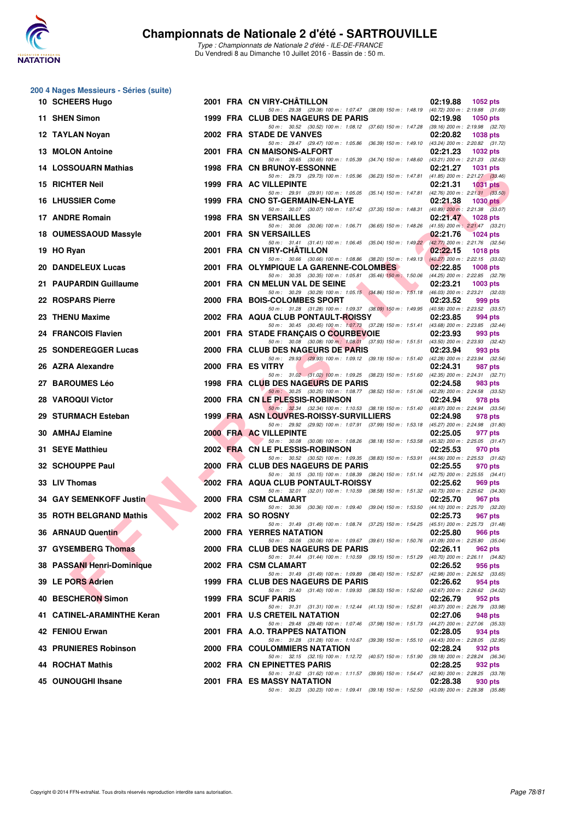

Type : Championnats de Nationale 2 d'été - ILE-DE-FRANCE Du Vendredi 8 au Dimanche 10 Juillet 2016 - Bassin de : 50 m.

| 200 4 Nages Messieurs - Séries (suite) |  |                                                                                                                                         |          |                                                          |
|----------------------------------------|--|-----------------------------------------------------------------------------------------------------------------------------------------|----------|----------------------------------------------------------|
| 10 SCHEERS Hugo                        |  | 2001 FRA CN VIRY-CHÂTILLON<br>50 m: 29.38 (29.38) 100 m: 1:07.47 (38.09) 150 m: 1:48.19 (40.72) 200 m: 2:19.88 (31.69)                  | 02:19.88 | 1052 pts                                                 |
| 11 SHEN Simon                          |  | 1999 FRA CLUB DES NAGEURS DE PARIS<br>50 m: 30.52 (30.52) 100 m: 1:08.12 (37.60) 150 m: 1:47.28 (39.16) 200 m: 2:19.98 (32.70)          | 02:19.98 | <b>1050 pts</b>                                          |
| 12 TAYLAN Noyan                        |  | 2002 FRA STADE DE VANVES<br>50 m: 29.47 (29.47) 100 m: 1:05.86 (36.39) 150 m: 1:49.10 (43.24) 200 m: 2:20.82 (31.72)                    | 02:20.82 | 1038 pts                                                 |
| 13 MOLON Antoine                       |  | 2001 FRA CN MAISONS-ALFORT                                                                                                              | 02:21.23 | 1032 pts                                                 |
| <b>14 LOSSOUARN Mathias</b>            |  | 50 m : 30.65 (30.65) 100 m : 1:05.39 (34.74) 150 m : 1:48.60<br>1998 FRA CN BRUNOY-ESSONNE                                              | 02:21.27 | (43.21) 200 m : 2:21.23 (32.63)<br>1031 pts              |
| 15 RICHTER Neil                        |  | 50 m : 29.73 (29.73) 100 m : 1:05.96 (36.23) 150 m : 1:47.81<br>1999 FRA AC VILLEPINTE                                                  | 02:21.31 | $(41.85)$ 200 m : 2:21.27 $(33.46)$<br><b>1031 pts</b>   |
| <b>16 LHUSSIER Come</b>                |  | 50 m: 29.91 (29.91) 100 m: 1:05.05 (35.14) 150 m: 1:47.81<br>1999 FRA CNO ST-GERMAIN-EN-LAYE                                            | 02:21.38 | $(42.76)$ 200 m : $2:21.31$ $(33.50)$<br><b>1030 pts</b> |
| 17 ANDRE Romain                        |  | 50 m : 30.07 (30.07) 100 m : 1:07.42 (37.35) 150 m : 1:48.31<br><b>1998 FRA SN VERSAILLES</b>                                           | 02:21.47 | $(40.89)$ 200 m : 2:21.38 $(33.07)$<br><b>1028 pts</b>   |
| 18 OUMESSAOUD Massyle                  |  | 50 m: 30.06 (30.06) 100 m: 1:06.71 (36.65) 150 m: 1:48.26 (41.55) 200 m: 2:21.47 (33.21)<br>2001 FRA SN VERSAILLES                      | 02:21.76 | <b>1024 pts</b>                                          |
| 19 HO Ryan                             |  | 50 m: 31.41 (31.41) 100 m: 1:06.45 (35.04) 150 m: 1:49.22 (42.77) 200 m: 2:21.76 (32.54)<br>2001 FRA CN VIRY-CHATILLON                  | 02:22.15 | <b>1018 pts</b>                                          |
|                                        |  | 50 m: 30.66 (30.66) 100 m: 1:08.86 (38.20) 150 m: 1:49.13 (40.27) 200 m: 2:22.15 (33.02)                                                |          |                                                          |
| 20 DANDELEUX Lucas                     |  | 2001 FRA OLYMPIQUE LA GARENNE-COLOMBES<br>50 m: 30.35 (30.35) 100 m: 1:05.81 (35.46) 150 m: 1:50.06 (44.25) 200 m: 2:22.85 (32.79)      | 02:22.85 | 1008 pts                                                 |
| 21 PAUPARDIN Guillaume                 |  | 2001 FRA CN MELUN VAL DE SEINE<br>50 m: 30.29 (30.29) 100 m: 1:05.15 (34.86) 150 m: 1:51.18 (46.03) 200 m: 2:23.21 (32.03)              | 02:23.21 | 1003 pts                                                 |
| 22 ROSPARS Pierre                      |  | 2000 FRA BOIS-COLOMBES SPORT<br>50 m: 31.28 (31.28) 100 m: 1:09.37 (38.09) 150 m: 1:49.95 (40.58) 200 m: 2:23.52 (33.57)                | 02:23.52 | 999 pts                                                  |
| 23 THENU Maxime                        |  | 2002 FRA AQUA CLUB PONTAULT-ROISSY<br>50 m: 30.45 (30.45) 100 m: 1:07.73 (37.28) 150 m: 1:51.41 (43.68) 200 m: 2:23.85 (32.44)          | 02:23.85 | 994 pts                                                  |
| 24 FRANCOIS Flavien                    |  | 2001 FRA STADE FRANÇAIS O COURBEVOIE<br>50 m: 30.08 (30.08) 100 m: 1:08.01 (37.93) 150 m: 1:51.51 (43.50) 200 m: 2:23.93 (32.42)        | 02:23.93 | 993 pts                                                  |
| 25 SONDEREGGER Lucas                   |  | 2000 FRA CLUB DES NAGEURS DE PARIS                                                                                                      | 02:23.94 | 993 pts                                                  |
| 26 AZRA Alexandre                      |  | 50 m: 29.93 (29.93) 100 m: 1:09.12 (39.19) 150 m: 1:51.40 (42.28) 200 m: 2:23.94 (32.54)<br>2000 FRA ES VITRY                           | 02:24.31 | 987 pts                                                  |
| 27 BAROUMES Léo                        |  | 50 m: 31.02 (31.02) 100 m: 1:09.25 (38.23) 150 m: 1:51.60 (42.35) 200 m: 2:24.31 (32.71)<br>1998 FRA CLUB DES NAGEURS DE PARIS          | 02:24.58 | 983 pts                                                  |
| 28 VAROQUI Victor                      |  | 50 m: 30.25 (30.25) 100 m: 1:08.77 (38.52) 150 m: 1:51.06 (42.29) 200 m: 2:24.58 (33.52)<br>2000 FRA CN LE PLESSIS-ROBINSON             | 02:24.94 | 978 pts                                                  |
| 29 STURMACH Esteban                    |  | 50 m : 32.34 (32.34) 100 m : 1:10.53 (38.19) 150 m : 1:51.40 (40.87) 200 m : 2:24.94 (33.54)<br>1999 FRA ASN LOUVRES-ROISSY-SURVILLIERS | 02:24.98 | 978 pts                                                  |
| 30 AMHAJ Elamine                       |  | 50 m: 29.92 (29.92) 100 m: 1:07.91 (37.99) 150 m: 1:53.18 (45.27) 200 m: 2:24.98 (31.80)<br>2000 FRA AC VILLEPINTE                      | 02:25.05 | 977 pts                                                  |
| 31 SEYE Matthieu                       |  | 50 m: 30.08 (30.08) 100 m: 1:08.26 (38.18) 150 m: 1:53.58 (45.32) 200 m: 2:25.05 (31.47)<br>2002 FRA CN LE PLESSIS-ROBINSON             | 02:25.53 | 970 pts                                                  |
| 32 SCHOUPPE Paul                       |  | 50 m : 30.52 (30.52) 100 m : 1:09.35 (38.83) 150 m : 1:53.91                                                                            |          | $(44.56)$ 200 m : 2:25.53 $(31.62)$                      |
|                                        |  | 2000 FRA CLUB DES NAGEURS DE PARIS<br>50 m: 30.15 (30.15) 100 m: 1:08.39 (38.24) 150 m: 1:51.14 (42.75) 200 m: 2:25.55 (34.41)          | 02:25.55 | 970 pts                                                  |
| 33 LIV Thomas                          |  | 2002 FRA AQUA CLUB PONTAULT-ROISSY<br>50 m: 32.01 (32.01) 100 m: 1:10.59 (38.58) 150 m: 1:51.32 (40.73) 200 m: 2:25.62 (34.30)          | 02:25.62 | 969 pts                                                  |
| 34 GAY SEMENKOFF Justin                |  | 2000 FRA CSM CLAMART<br>50 m : 30.36 (30.36) 100 m : 1:09.40 (39.04) 150 m : 1:53.50                                                    | 02:25.70 | 967 pts<br>(44.10) 200 m : 2:25.70 (32.20)               |
| 35 ROTH BELGRAND Mathis                |  | 2002 FRA SO ROSNY<br>50 m: 31.49 (31.49) 100 m: 1:08.74 (37.25) 150 m: 1:54.25 (45.51) 200 m: 2:25.73 (31.48)                           | 02:25.73 | 967 pts                                                  |
| 36 ARNAUD Quentin                      |  | 2000 FRA YERRES NATATION<br>50 m: 30.06 (30.06) 100 m: 1:09.67 (39.61) 150 m: 1:50.76 (41.09) 200 m: 2:25.80 (35.04)                    | 02:25.80 | 966 pts                                                  |
| 37 GYSEMBERG Thomas                    |  | 2000 FRA CLUB DES NAGEURS DE PARIS<br>50 m: 31.44 (31.44) 100 m: 1:10.59 (39.15) 150 m: 1:51.29 (40.70) 200 m: 2:26.11 (34.82)          | 02:26.11 | 962 pts                                                  |
| 38 PASSANI Henri-Dominique             |  | 2002 FRA CSM CLAMART                                                                                                                    | 02:26.52 | 956 pts                                                  |
| 39 LE PORS Adrien                      |  | 50 m: 31.49 (31.49) 100 m: 1:09.89 (38.40) 150 m: 1:52.87 (42.98) 200 m: 2:26.52 (33.65)<br>1999 FRA CLUB DES NAGEURS DE PARIS          | 02:26.62 | 954 pts                                                  |
| 40 BESCHERON Simon                     |  | 50 m : 31.40 (31.40) 100 m : 1:09.93 (38.53) 150 m : 1:52.60 (42.67) 200 m : 2:26.62 (34.02)<br>1999 FRA SCUF PARIS                     | 02:26.79 | 952 pts                                                  |
| 41 CATINEL-ARAMINTHE Keran             |  | 50 m: 31.31 (31.31) 100 m: 1:12.44 (41.13) 150 m: 1:52.81<br>2001 FRA U.S CRETEIL NATATION                                              | 02:27.06 | (40.37) 200 m : 2:26.79 (33.98)<br>948 pts               |
| 42 FENIOU Erwan                        |  | 50 m: 29.48 (29.48) 100 m: 1:07.46 (37.98) 150 m: 1:51.73 (44.27) 200 m: 2:27.06 (35.33)<br>2001 FRA A.O. TRAPPES NATATION              | 02:28.05 | 934 pts                                                  |
| 43 PRUNIERES Robinson                  |  | 50 m: 31.28 (31.28) 100 m: 1:10.67 (39.39) 150 m: 1:55.10 (44.43) 200 m: 2:28.05 (32.95)                                                |          |                                                          |
|                                        |  | 2000 FRA COULOMMIERS NATATION<br>50 m: 32.15 (32.15) 100 m: 1:12.72 (40.57) 150 m: 1:51.90 (39.18) 200 m: 2:28.24 (36.34)               | 02:28.24 | 932 pts                                                  |
| <b>44 ROCHAT Mathis</b>                |  | 2002 FRA CN EPINETTES PARIS<br>50 m: 31.62 (31.62) 100 m: 1:11.57 (39.95) 150 m: 1:54.47 (42.90) 200 m: 2:28.25 (33.78)                 | 02:28.25 | 932 pts                                                  |
| 45 OUNOUGHI Ihsane                     |  | 2001 FRA ES MASSY NATATION<br>50 m: 30.23 (30.23) 100 m: 1:09.41 (39.18) 150 m: 1:52.50 (43.09) 200 m: 2:28.38 (35.88)                  | 02:28.38 | 930 pts                                                  |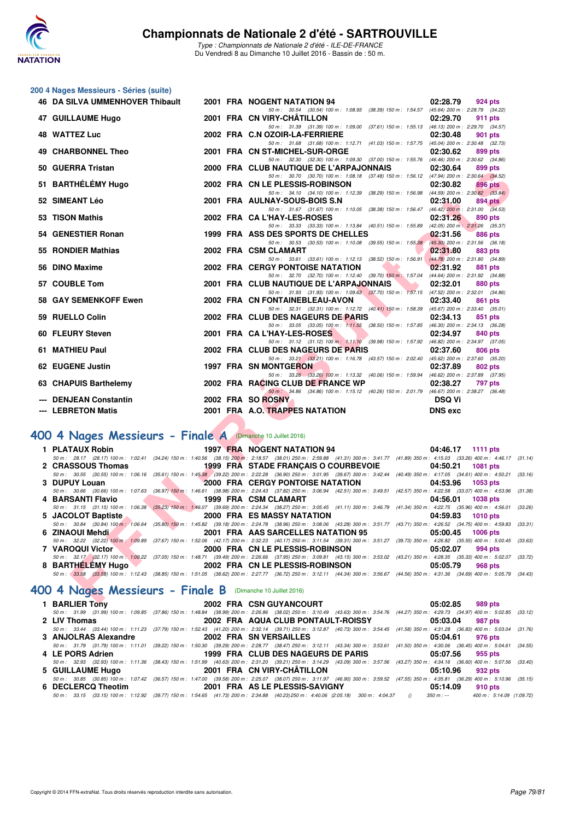

Type : Championnats de Nationale 2 d'été - ILE-DE-FRANCE Du Vendredi 8 au Dimanche 10 Juillet 2016 - Bassin de : 50 m.

# **200 4 Nages Messieurs - Séries (suite)**

| <b>46 DA SILVA UMMENHOVER Thibault</b>                      |  |  | 2001 FRA NOGENT NATATION 94                                                                                                                                                                                                 | 02:28.79<br>924 pts         |  |  |  |
|-------------------------------------------------------------|--|--|-----------------------------------------------------------------------------------------------------------------------------------------------------------------------------------------------------------------------------|-----------------------------|--|--|--|
| 47 GUILLAUME Hugo                                           |  |  | 50 m: 30.54 (30.54) 100 m: 1:08.93 (38.39) 150 m: 1:54.57 (45.64) 200 m: 2:28.79 (34.22)<br>2001 FRA CN VIRY-CHATILLON                                                                                                      | 02:29.70<br>911 pts         |  |  |  |
| <b>48 WATTEZ Luc</b>                                        |  |  | 50 m: 31.39 (31.39) 100 m: 1:09.00 (37.61) 150 m: 1:55.13 (46.13) 200 m: 2:29.70 (34.57)<br>2002 FRA C.N OZOIR-LA-FERRIERE                                                                                                  | 02:30.48<br>901 pts         |  |  |  |
| <b>49 CHARBONNEL Theo</b>                                   |  |  | 50 m: 31.68 (31.68) 100 m: 1:12.71 (41.03) 150 m: 1:57.75 (45.04) 200 m: 2:30.48 (32.73)                                                                                                                                    |                             |  |  |  |
|                                                             |  |  | 2001 FRA CN ST-MICHEL-SUR-ORGE<br>50 m: 32.30 (32.30) 100 m: 1:09.30 (37.00) 150 m: 1:55.76 (46.46) 200 m: 2:30.62 (34.86)                                                                                                  | 02:30.62<br>899 pts         |  |  |  |
| 50 GUERRA Tristan                                           |  |  | 2000 FRA CLUB NAUTIQUE DE L'ARPAJONNAIS<br>50 m: 30.70 (30.70) 100 m: 1:08.18 (37.48) 150 m: 1:56.12 (47.94) 200 m: 2:30.64 (34.52)                                                                                         | 02:30.64<br>899 pts         |  |  |  |
| 51 BARTHÉLÉMY Hugo                                          |  |  | 2002 FRA CN LE PLESSIS-ROBINSON                                                                                                                                                                                             | 02:30.82<br>896 pts         |  |  |  |
| 52 SIMEANT Léo                                              |  |  | 50 m: 34.10 (34.10) 100 m: 1:12.39 (38.29) 150 m: 1:56.98 (44.59) 200 m: 2:30.82 (33.84)<br>2001 FRA AULNAY-SOUS-BOIS S.N                                                                                                   | 02:31.00<br>894 pts         |  |  |  |
| 53 TISON Mathis                                             |  |  | 50 m: 31.67 (31.67) 100 m: 1:10.05 (38.38) 150 m: 1:56.47 (46.42) 200 m: 2:31.00 (34.53)<br>2002 FRA CA L'HAY-LES-ROSES                                                                                                     | 02:31.26<br>890 pts         |  |  |  |
|                                                             |  |  | 50 m: 33.33 (33.33) 100 m: 1:13.84 (40.51) 150 m: 1:55.89 (42.05) 200 m: 2:31.26 (35.37)                                                                                                                                    |                             |  |  |  |
| 54 GENESTIER Ronan                                          |  |  | 1999 FRA ASS DES SPORTS DE CHELLES<br>50 m: 30.53 (30.53) 100 m: 1:10.08 (39.55) 150 m: 1:55.38 (45.30) 200 m: 2:31.56 (36.18)                                                                                              | 02:31.56<br>886 pts         |  |  |  |
| 55 RONDIER Mathias                                          |  |  | 2002 FRA CSM CLAMART<br>50 m: 33.61 (33.61) 100 m: 1:12.13 (38.52) 150 m: 1:56.91 (44.78) 200 m: 2:31.80 (34.89)                                                                                                            | 02:31.80<br>883 pts         |  |  |  |
| 56 DINO Maxime                                              |  |  | 2002 FRA CERGY PONTOISE NATATION<br><b>SAN</b>                                                                                                                                                                              | 02:31.92<br>881 pts         |  |  |  |
| 57 COUBLE Tom                                               |  |  | 50 m: 32.70 (32.70) 100 m: 1:12.40 (39.70) 150 m: 1:57.04 (44.64) 200 m: 2:31.92 (34.88)<br>2001 FRA CLUB NAUTIQUE DE L'ARPAJONNAIS<br><b>The Contract of Street</b>                                                        | 02:32.01<br><b>880 pts</b>  |  |  |  |
|                                                             |  |  | 50 m: 31.93 (31.93) 100 m: 1.09.63 (37.70) 150 m: 1.57.15 (47.52) 200 m: 2.32.01 (34.86)                                                                                                                                    |                             |  |  |  |
| 58 GAY SEMENKOFF Ewen                                       |  |  | 2002 FRA CN FONTAINEBLEAU-AVON<br>50 m: 32.31 (32.31) 100 m: 1:12.72 (40.41) 150 m: 1:58.39 (45.67) 200 m: 2:33.40 (35.01)                                                                                                  | 02:33.40<br>861 pts         |  |  |  |
| 59 RUELLO Colin                                             |  |  | 2002 FRA CLUB DES NAGEURS DE PARIS<br>50 m: 33.05 (33.05) 100 m: 1:11.55 (38.50) 150 m: 1:57.85 (46.30) 200 m: 2:34.13 (36.28)                                                                                              | 02:34.13<br>851 pts         |  |  |  |
| 60 FLEURY Steven                                            |  |  | 2001 FRA CA L'HAY-LES-ROSES                                                                                                                                                                                                 | 02:34.97<br>840 pts         |  |  |  |
| 61 MATHIEU Paul                                             |  |  | 50 m: 31.12 (31.12) 100 m: 1:11.10 (39.98) 150 m: 1:57.92 (46.82) 200 m: 2:34.97 (37.05)<br>2002 FRA CLUB DES NAGEURS DE PARIS                                                                                              | 02:37.60<br>806 pts         |  |  |  |
| 62 EUGENE Justin                                            |  |  | 50 m: 33.21 (33.21) 100 m: 1:16.78 (43.57) 150 m: 2:02.40 (45.62) 200 m: 2:37.60 (35.20)<br><b>1997 FRA SN MONTGERON</b>                                                                                                    |                             |  |  |  |
|                                                             |  |  | 50 m: 33.26 (33.26) 100 m: 1:13.32 (40.06) 150 m: 1:59.94 (46.62) 200 m: 2:37.89 (37.95)                                                                                                                                    | 02:37.89<br>802 pts         |  |  |  |
| 63 CHAPUIS Barthelemy                                       |  |  | 2002 FRA RACING CLUB DE FRANCE WP<br>50 m: 34.86 (34.86) 100 m: 1:15.12 (40.26) 150 m: 2:01.79 (46.67) 200 m: 2:38.27 (36.48)                                                                                               | 02:38.27<br>797 pts         |  |  |  |
| --- DENJEAN Constantin                                      |  |  | 2002 FRA SO ROSNY                                                                                                                                                                                                           | <b>DSQ Vi</b>               |  |  |  |
| --- LEBRETON Matis                                          |  |  | 2001 FRA A.O. TRAPPES NATATION                                                                                                                                                                                              | <b>DNS</b> exc              |  |  |  |
|                                                             |  |  |                                                                                                                                                                                                                             |                             |  |  |  |
| 00 4 Nages Messieurs - Finale A (Dimanche 10 Juillet 2016)  |  |  |                                                                                                                                                                                                                             |                             |  |  |  |
| 1 PLATAUX Robin                                             |  |  | <b>1997 FRA NOGENT NATATION 94</b><br>50 m: 28.17 (28.17) 100 m: 1:02.41 (34.24) 150 m: 1:40.56 (38.15) 200 m: 2:18.57 (38.01) 250 m: 2:59.88 (41.31) 300 m: 3:41.77 (41.89) 350 m: 4:15.03 (33.26) 400 m: 4:46.17 (3       | 04:46.17<br><b>1111 pts</b> |  |  |  |
| 2 CRASSOUS Thomas                                           |  |  | 1999 FRA STADE FRANCAIS O COURBEVOIE                                                                                                                                                                                        | 04:50.21<br><b>1081 pts</b> |  |  |  |
| 3 DUPUY Louan                                               |  |  | 50 m: 30.55 (30.55) 100 m: 1:06.16 (35.61) 150 m: 1:45.88 (39.22) 200 m: 2:22.28 (36.90) 250 m: 3:01.95 (39.67) 300 m: 3:42.44 (40.49) 350 m: 4:17.05 (34.61) 400 m: 4:50.21 (3.<br><b>2000 FRA CERGY PONTOISE NATATION</b> | 04:53.96<br>1053 pts        |  |  |  |
|                                                             |  |  | 50 m: 30.66 (30.66) 100 m: 1:07.63 (36.97) 150 m: 1:46.61 (38.98) 200 m: 2:24.43 (37.82) 250 m: 3:06.94 (42.51) 300 m: 3:49.51 (42.57) 350 m: 4:22.58 (33.07) 400 m: 4:53.96 (3                                             |                             |  |  |  |
| 4 BARSANTI Flavio                                           |  |  | 1999 FRA CSM CLAMART<br>50 m: 31.15 (31.15) 100 m: 1:06.38 (35.23) 150 m: 1:46.07 (39.69) 200 m: 2:24.34 (38.27) 250 m: 3:05.45 (41.11) 300 m: 3:46.79 (41.34) 350 m: 4:22.75 (35.96) 400 m: 4:56.01 (3:                    | 04:56.01<br>1038 pts        |  |  |  |
| 5 JACOLOT Baptiste                                          |  |  | 2000 FRA ES MASSY NATATION                                                                                                                                                                                                  | 04:59.83<br><b>1010 pts</b> |  |  |  |
| 6 ZINAOUI Mehdi                                             |  |  | 50 m: 30.84 (30.84) 100 m: 1:06.64 (35.80) 150 m: 1:45.82 (39.18) 200 m: 2:24.78 (38.96) 250 m: 3:08.06 (43.28) 300 m: 3:51.77 (43.71) 350 m: 4:26.52 (34.75) 400 m: 4:59.83 (3.<br>2001 FRA AAS SARCELLES NATATION 95      | 05:00.45<br><b>1006 pts</b> |  |  |  |
|                                                             |  |  | 50 m : 32.22 (32.22) 100 m : 1:09.89 (37.67) 150 m : 1:52.06 (42.17) 200 m : 2:32.23 (40.17) 250 m : 3:11.54 (39.31) 300 m : 3:51.27 (39.73) 350 m : 4:26.82 (35.55) 400 m : 5:00.45 (3                                     |                             |  |  |  |
| 7 VAROQUI Victor                                            |  |  | 2000 FRA CN LE PLESSIS-ROBINSON<br>50 m: 32.17 (32.17) 100 m: 1:09.22 (37.05) 150 m: 1:48.71 (39.49) 200 m: 2:26.66 (37.95) 250 m: 3:09.81 (43.15) 300 m: 3:53.02 (43.21) 350 m: 4:28.35 (35.33) 400 m: 5:02.07 (3.         | 05:02.07<br>994 pts         |  |  |  |
| 8 BARTHELEMY Hugo                                           |  |  | 2002 FRA CN LE PLESSIS-ROBINSON                                                                                                                                                                                             | 05:05.79<br><b>968 pts</b>  |  |  |  |
|                                                             |  |  | 50 m: 33.58 (33.58) 100 m: 1:12.43 (38.85) 150 m: 1:51.05 (38.62) 200 m: 2:27.77 (36.72) 250 m: 3:12.11 (44.34) 300 m: 3:56.67 (44.56) 350 m: 4:31.36 (34.69) 400 m: 5:05.79 (3                                             |                             |  |  |  |
| .00 4 Nages Messieurs - Finale B (Dimanche 10 Juillet 2016) |  |  |                                                                                                                                                                                                                             |                             |  |  |  |
| $\blacksquare$ DADI IED T                                   |  |  | 0000 FBA OCH OUVANOOUDT                                                                                                                                                                                                     | $0.500005 - 0.00004$        |  |  |  |

# **[400 4 Nages Messieurs - Finale A](http://www.ffnatation.fr/webffn/resultats.php?idact=nat&go=epr&idcpt=39837&idepr=92)** (Dimanche 10 Juillet 2016)

|                    | 1 PLATAUX Robin 1997 FRA NOGENT NATATION 94                                                                                                                                                  | 04:46.17 1111 pts                                                                                                                                                                    |
|--------------------|----------------------------------------------------------------------------------------------------------------------------------------------------------------------------------------------|--------------------------------------------------------------------------------------------------------------------------------------------------------------------------------------|
|                    | 50 m: 28.17 (28.17) 100 m: 1:02.41 (34.24) 150 m: 1:40.56 (38.15) 200 m: 2:18.57 (38.01) 250 m: 2:59.88 (41.31) 300 m: 3:41.77 (41.89) 350 m: 4:15.03 (33.26) 400 m: 4:46.17 (31.14)         |                                                                                                                                                                                      |
|                    | 2 CRASSOUS Thomas 1999 FRA STADE FRANÇAIS O COURBEVOIE 04:50.21 1081 pts                                                                                                                     |                                                                                                                                                                                      |
|                    | 50 m: 30.55 (30.55) 100 m: 1:06.16 (35.61) 150 m: 1:45.88 (39.22) 200 m: 2:22.28 (36.90) 250 m: 3:01.95 (39.67) 300 m: 3:42.44 (40.49) 350 m: 4:17.05 (34.61) 400 m: 4:50.21 (33.16)         |                                                                                                                                                                                      |
| 3 DUPUY Louan      | <b>2000 FRA CERGY PONTOISE NATATION</b>                                                                                                                                                      | 04:53.96 1053 pts                                                                                                                                                                    |
|                    | 50 m: 30.66 (30.66) 100 m: 1:07.63 (36.97) 150 m: 1:46.61 (38.98) 200 m: 2:24.43 (37.82) 250 m: 3:06.94 (42.51) 300 m: 3:49.51 (42.57) 350 m: 4:22.58 (33.07) 400 m: 4:53.96 (31.38)         |                                                                                                                                                                                      |
| 4 BARSANTI Flavio  | <b>EXAMPLE 1999 FRA CSM CLAMART</b>                                                                                                                                                          | 04:56.01 1038 pts                                                                                                                                                                    |
|                    | 50 m: 31.15 (31.15) 100 m: 1:06.38 (35.23) 150 m: 1:46.07 (39.69) 200 m: 2:24.34 (38.27) 250 m: 3:05.45 (41.11) 300 m: 3:46.79 (41.34) 350 m: 4:22.75 (35.96) 400 m: 4:56.01 (33.26)         |                                                                                                                                                                                      |
| 5 JACOLOT Baptiste | <b>Example 2000 FRA ES MASSY NATATION</b>                                                                                                                                                    | 04:59.83 1010 pts                                                                                                                                                                    |
|                    | 50 m : 30.84 (30.84) 100 m : 1:06.64 (35.80) 150 m : 1:45.82 (39.18) 200 m : 2:24.78 (38.96) 250 m : 3:08.06 (43.28) 300 m : 3:51.77 (43.71) 350 m : 4:26.52 (34.75) 400 m : 4:59.83 (33.31) |                                                                                                                                                                                      |
| 6 ZINAOUI Mehdi    | 2001 FRA AAS SARCELLES NATATION 95 05:00.45                                                                                                                                                  | 1006 pts                                                                                                                                                                             |
|                    | 50 m : 32.22 (32.22) 100 m : 1:09.89 (37.67) 150 m : 1:52.06 (42.17) 200 m : 2:32.23 (40.17) 250 m : 3:11.54 (39.31) 300 m : 3:51.27 (39.73) 350 m : 4:26.82 (35.55) 400 m : 5:00.45 (33.63) |                                                                                                                                                                                      |
| 7 VAROQUI Victor   | 2000 FRA CN LE PLESSIS-ROBINSON                                                                                                                                                              | 05:02.07<br>994 pts                                                                                                                                                                  |
|                    | 50 m: 32.17 (32.17) 100 m: 1:09,22 (37.05) 150 m: 1:48.71 (39.49) 200 m: 2:26.66 (37.95) 250 m: 3:09.81 (43.15) 300 m: 3:53.02 (43.21) 350 m: 4:28.35 (35.33) 400 m: 5:02.07 (33.72)         |                                                                                                                                                                                      |
|                    | 8 BARTHELEMY Hugo 2002 FRA CN LE PLESSIS-ROBINSON                                                                                                                                            | 05:05.79<br>968 pts                                                                                                                                                                  |
|                    |                                                                                                                                                                                              | 50 m: 33.58 (33.58) 100 m: 1:12.43 (38.85) 150 m: 1:51.05 (38.62) 200 m: 2:27.77 (36.72) 250 m: 3:12.11 (44.34) 300 m: 3:56.67 (44.56) 350 m: 4:31.36 (34.69) 400 m: 5:05.79 (34.43) |

## **[400 4 Nages Messieurs - Finale B](http://www.ffnatation.fr/webffn/resultats.php?idact=nat&go=epr&idcpt=39837&idepr=92)** (Dimanche 10 Juillet 2016)

| 1 BARLIER Tony       | 2002 FRA CSN GUYANCOURT                                                                                                                                                                      | 05:02.85 989 pts                                  |
|----------------------|----------------------------------------------------------------------------------------------------------------------------------------------------------------------------------------------|---------------------------------------------------|
|                      | 50 m : 31.99 (31.99) 100 m : 1:09.85 (37.86) 150 m : 1:48.84 (38.99) 200 m : 2:26.86 (38.02) 250 m : 3:10.49 (43.63) 300 m : 3:54.76 (44.27) 350 m : 4:29.73 (34.97) 400 m : 5:02.85 (33.12) |                                                   |
| 2 LIV Thomas         | 2002 FRA AQUA CLUB PONTAULT-ROISSY                                                                                                                                                           | 05:03.04<br>987 pts                               |
|                      | 50 m: 33.44 (33.44) 100 m: 1:11.23 (37.79) 150 m: 1:52.43 (41.20) 200 m: 2:32.14 (39.71) 250 m: 3:12.87 (40.73) 300 m: 3:54.45 (41.58) 350 m: 4:31.28 (36.83) 400 m: 5:03.04 (31.76)         |                                                   |
| 3 ANJOLRAS Alexandre | 2002 FRA SN VERSAILLES                                                                                                                                                                       | 05:04.61 976 pts                                  |
|                      | 50 m: 31.79 (31.79) 100 m: 1:11.01 (39.22) 150 m: 1:50.30 (39.29) 200 m: 2:28.77 (38.47) 250 m: 3:12.11 (43.34) 300 m: 3:53.61 (41.50) 350 m: 4:30.06 (36.45) 400 m: 5:04.61 (34.55)         |                                                   |
| 4 LE PORS Adrien     | 1999 FRA CLUB DES NAGEURS DE PARIS                                                                                                                                                           | 05:07.56 955 pts                                  |
|                      | 50 m: 32.93 (32.93) 100 m: 1:11.36 (38.43) 150 m: 1:51.99 (40.63) 200 m: 2:31.20 (39.21) 250 m: 3:14.29 (43.09) 300 m: 3:57.56 (43.27) 350 m: 4:34.16 (36.60) 400 m: 5:07.56 (33.40)         |                                                   |
| 5 GUILLAUME Hugo     | 2001 FRA CN VIRY-CHÂTILLON                                                                                                                                                                   | 05:10.96 932 pts                                  |
|                      | 50 m: 30.85 (30.85) 100 m: 1:07.42 (36.57) 150 m: 1:47.00 (39.58) 200 m: 2:25.07 (38.07) 250 m: 3:11.97 (46.90) 300 m: 3:59.52 (47.55) 350 m: 4:35.81 (36.29) 400 m: 5:10.96 (35.15)         |                                                   |
| 6 DECLERCQ Theotim   | 2001 FRA AS LE PLESSIS-SAVIGNY                                                                                                                                                               | 05:14.09<br>910 pts                               |
|                      | 50 m : 33.15 (33.15) 100 m : 1:12.92 (39.77) 150 m : 1:54.65 (41.73) 200 m : 2:34.88 (40.23) 250 m : 4:40.06 (2:05.18) 300 m : 4:04.37 ()                                                    | 400 m: 5:14.09 (1:09.72)<br>$350 \text{ m}$ : --- |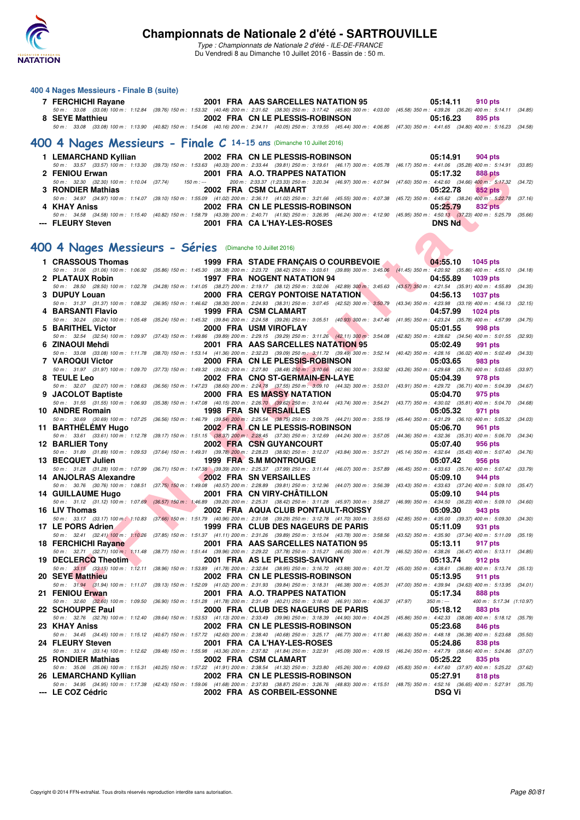

Type : Championnats de Nationale 2 d'été - ILE-DE-FRANCE Du Vendredi 8 au Dimanche 10 Juillet 2016 - Bassin de : 50 m.

#### **400 4 Nages Messieurs - Finale B (suite)**

| 7 FERCHICHI Rayane | 2001 FRA AAS SARCELLES NATATION 95                                                                                                                                                                                      | 05:14.11<br>910 pts |
|--------------------|-------------------------------------------------------------------------------------------------------------------------------------------------------------------------------------------------------------------------|---------------------|
| 8 SEYE Matthieu    | 50 m: 33.08 (33.08) 100 m: 1:12.84 (39.76) 150 m: 1:53.32 (40.48) 200 m: 2:31.62 (38.30) 250 m: 3:17.42 (45.80) 300 m: 4:03.00 (45.58) 350 m: 4:39.26 (36.26) 400 m: 5:14.11 (34.85)<br>2002 FRA CN LE PLESSIS-ROBINSON | 05:16.23<br>895 pts |
|                    | 50 m: 33.08 (33.08) 100 m: 1:13.90 (40.82) 150 m: 1:54.06 (40.16) 200 m: 2:34.11 (40.05) 250 m: 3:19.55 (45.44) 300 m: 4:06.85 (47.30) 350 m: 4:41.65 (34.80) 400 m: 5:16.23 (34.58)                                    |                     |
|                    | 400 4 Nages Messieurs - Finale C 14-15 ans (Dimanche 10 Juillet 2016)                                                                                                                                                   |                     |
|                    |                                                                                                                                                                                                                         | 05:14.91<br>904 pts |
|                    | 50 m: 33.57 (33.57) 100 m: 1:13.30 (39.73) 150 m: 1:53.63 (40.33) 200 m: 2:33.44 (39.81) 250 m: 3:19.61 (46.17) 300 m: 4:05.78 (46.17) 350 m: 4:41.06 (35.28) 400 m: 5:14.91 (33.85)                                    |                     |
| 2 FENIOU Erwan     | <b>2001 FRA A.O. TRAPPES NATATION</b>                                                                                                                                                                                   | 05:17.32<br>888 pts |
|                    | 50 m: 32.30 (32.30) 100 m: 1:10.04 (37.74) 150 m: -- 200 m: 2:33.37 (1:23.33) 250 m: 3:20.34 (46.97) 300 m: 4:07.94 (47.60) 350 m: 4:42.60 (34.66) 400 m: 5:17.32 (34.72)                                               |                     |
| 3 RONDIER Mathias  | <b>2002 FRA CSM CLAMART</b>                                                                                                                                                                                             | 05:22.78<br>852 pts |
|                    | 50 m : 34.97 (34.97) 100 m : 1:14.07 (39.10) 150 m : 1:55.09 (41.02) 200 m : 2:36.11 (41.02) 250 m : 3:21.66 (45.55) 300 m : 4:07.38 (45.72) 350 m : 4:45.62 (38.24) 400 m : 5:22.78 (37.16)                            |                     |
| 4 KHAY Aniss       | 2002 FRA CN LE PLESSIS-ROBINSON                                                                                                                                                                                         | 05:25.79<br>832 pts |
|                    | 50 m : 34.58 (34.58) 100 m : 1:15.40 (40.82) 150 m : 1:58.79 (43.39) 200 m : 2:40.71 (41.92) 250 m : 3:26.95 (46.24) 300 m : 4:12.90 (45.95) 350 m : 4:50.13 (37.23) 400 m : 5:25.79 (35.66)                            |                     |
| --- FLEURY Steven  | <b>2001 FRA CAL'HAY-LES-ROSES</b>                                                                                                                                                                                       | <b>DNS Nd</b>       |
|                    |                                                                                                                                                                                                                         |                     |

#### **[400 4 Nages Messieurs - Séries](http://www.ffnatation.fr/webffn/resultats.php?idact=nat&go=epr&idcpt=39837&idepr=92)** (Dimanche 10 Juillet 2016)

| 2 FENIOU Erwan                                           |             | 2001 FRA A.O. TRAPPES NATATION                                                                                                                                                                                                  | 05:17.32<br>888 pts                                     |         |
|----------------------------------------------------------|-------------|---------------------------------------------------------------------------------------------------------------------------------------------------------------------------------------------------------------------------------|---------------------------------------------------------|---------|
| 50 m: 32.30 (32.30) 100 m: 1:10.04 (37.74)               | $150 m : -$ | 200 m : 2:33.37 (1:23.33) 250 m : 3:20.34 (46.97) 300 m : 4:07.94 (47.60) 350 m : 4:42.60 (34.66) 400 m : 5:17.32 (34.72)                                                                                                       |                                                         |         |
| 3 RONDIER Mathias                                        |             | 2002 FRA CSM CLAMART<br>50 m : 34.97 (34.97) 100 m : 1:14.07 (39.10) 150 m : 1:55.09 (41.02) 200 m : 2:36.11 (41.02) 250 m : 3:21.66 (45.55) 300 m : 4:07.38 (45.72) 350 m : 4:45.62 (38.24) 400 m : 5:22.78 (37.16)            | 05:22.78<br>852 pts                                     |         |
| 4 KHAY Aniss                                             |             | 2002 FRA CN LE PLESSIS-ROBINSON                                                                                                                                                                                                 | 05:25.79<br>832 pts                                     |         |
|                                                          |             | 50 m: 34.58 (34.58) 100 m: 1:15.40 (40.82) 150 m: 1:58.79 (43.39) 200 m: 2:40.71 (41.92) 250 m: 3:26.95 (46.24) 300 m: 4:12.90 (45.95) 350 m: 4:50.13 (37.23) 400 m: 5:25.79 (35.66)                                            |                                                         |         |
| --- FLEURY Steven                                        |             | 2001 FRA CA L'HAY-LES-ROSES                                                                                                                                                                                                     | <b>DNS Nd</b>                                           |         |
|                                                          |             |                                                                                                                                                                                                                                 |                                                         |         |
| 00 4 Nages Messieurs - Séries (Dimanche 10 Juillet 2016) |             |                                                                                                                                                                                                                                 |                                                         |         |
|                                                          |             |                                                                                                                                                                                                                                 |                                                         |         |
| 1 CRASSOUS Thomas                                        |             | 1999 FRA STADE FRANÇAIS O COURBEVOIE<br>50 m: 31.06 (31.06) 100 m: 1:06.92 (35.86) 150 m: 1:45.30 (38.38) 200 m: 2:23.72 (38.42) 250 m: 3:03.61 (39.89) 300 m: 3:45.06 (41.45) 350 m: 4:20.92 (35.86) 400 m: 4:55.10 (34.18)    | 04:55.10<br><b>1045 pts</b>                             |         |
| 2 PLATAUX Robin                                          |             | 1997 FRA NOGENT NATATION 94                                                                                                                                                                                                     | 04:55.89<br>1039 pts                                    |         |
|                                                          |             | 50 m : 28.50 (28.50) 100 m : 1:02.78 (34.28) 150 m : 1:41.05 (38.27) 200 m : 2:19.17 (38.12) 250 m : 3:02.06 (42.89) 300 m : 3:45.63 (43.57) 350 m : 4:21.54 (35.91) 400 m : 4:55.89                                            |                                                         | (34.35) |
| 3 DUPUY Louan                                            |             | <b>2000 FRA CERGY PONTOISE NATATION</b>                                                                                                                                                                                         | 04:56.13<br><b>1037 pts</b>                             |         |
| 4 BARSANTI Flavio                                        |             | 50 m: 31.37 (31.37) 100 m: 1:08.32 (36.95) 150 m: 1:46.62 (38.30) 200 m: 2:24.93 (38.31) 250 m: 3:07.45 (42.52) 300 m: 3:50.79 (43.34) 350 m: 4:23.98 (33.19) 400 m: 4:56.13<br>1999 FRA CSM CLAMART                            | 04:57.99<br>1024 pts                                    | (32.15) |
|                                                          |             | 50 m: 30.24 (30.24) 100 m: 1:05.48 (35.24) 150 m: 1:45.32 (39.84) 200 m: 2:24.58 (39.26) 250 m: 3:05.51 (40.93) 300 m: 3:47.46 (41.95) 350 m: 4:23.24 (35.78) 400 m: 4:57.99                                                    |                                                         | (34.75) |
| 5 BARITHEL Victor                                        |             | 2000 FRA USM VIROFLAY                                                                                                                                                                                                           | 05:01.55<br>998 pts                                     |         |
|                                                          |             | 50 m: 32.54 (32.54) 100 m: 1:09.97 (37.43) 150 m: 1:49.86 (39.89) 200 m: 2:29.15 (39.29) 250 m: 3:11.26 (42.11) 300 m: 3:54.08 (42.82) 350 m: 4:28.62 (34.54) 400 m: 5:01.55                                                    |                                                         | (32.93) |
| 6 ZINAOUI Mehdi                                          |             | <b>2001 FRA AAS SARCELLES NATATION 95</b>                                                                                                                                                                                       | 05:02.49<br>991 pts                                     |         |
| 7 VAROQUI Victor                                         |             | 50 m : 33.08 (33.08) 100 m : 1:11.78 (38.70) 150 m : 1:53.14 (41.36) 200 m : 2:32.23 (39.09) 250 m : 3:11.72 (39.49) 300 m : 3:52.14 (40.42) 350 m : 4:28.16 (36.02) 400 m : 5:02.49 (34.33)<br>2000 FRA CN LE PLESSIS-ROBINSON | 05:03.65<br>983 pts                                     |         |
|                                                          |             | 50 m : 31.97 (31.97) 100 m : 1:09.70 (37.73) 150 m : 1:49.32 (39.62) 200 m : 2:27.80 (38.48) 250 m : 3:10.66 (42.86) 300 m : 3:53.92 (43.26) 350 m : 4:29.68 (35.76) 400 m : 5:03.65 (33.97)                                    |                                                         |         |
| 8 TEULE Leo                                              |             | 2002 FRA CNO ST-GERMAIN-EN-LAYE                                                                                                                                                                                                 | 05:04.39<br>978 pts                                     |         |
|                                                          |             | 50 m: 32.07 (32.07) 100 m: 1:08.63 (36.56) 150 m: 1:47.23 (38.60) 200 m: 2:24.78 (37.55) 250 m: 3:09.10 (44.32) 300 m: 3:53.01 (43.91) 350 m: 4:29.72 (36.71) 400 m: 5:04.39 (34.67)                                            |                                                         |         |
| 9 JACOLOT Baptiste                                       |             | <b>2000 FRA ES MASSY NATATION</b><br>50 m: 31.55 (31.55) 100 m: 1:06.93 (35.38) 150 m: 1:47.08 (40.15) 200 m: 2:26.70 (39.62) 250 m: 3:10.44 (43.74) 300 m: 3:54.21 (43.77) 350 m: 4:30.02 (35.81) 400 m: 5:04.70               | 05:04.70<br>975 pts                                     | (34.68) |
| 10 ANDRE Romain                                          |             | 1998 FRA SN VERSAILLES                                                                                                                                                                                                          | 05:05.32<br>971 pts                                     |         |
|                                                          |             | 50 m: 30.69 (30.69) 100 m: 1:07.25 (36.56) 150 m: 1:46.79 (39.54) 200 m: 2:25.54 (38.75) 250 m: 3:09.75 (44.21) 300 m: 3:55.19 (45.44) 350 m: 4:31.29 (36.10) 400 m: 5:05.32                                                    |                                                         | (34.03) |
| 11 BARTHELEMY Hugo                                       |             | 2002 FRAICN LE PLESSIS-ROBINSON                                                                                                                                                                                                 | 05:06.70<br>961 pts                                     |         |
|                                                          |             | 50 m: 33.61 (33.61) 100 m: 1:12.78 (39.17) 150 m: 1:51.15 (38.87) 200 m: 2:28.45 (37.30) 250 m: 3:12.69 (44.24) 300 m: 3:57.05 (44.36) 350 m: 4:32.36 (35.31) 400 m: 5:06.70                                                    |                                                         | (34.34) |
| 12 BARLIER Tony                                          |             | <b>2002 FRA CSN GUYANCOURT</b><br>50 m : 31.89 (31.89) 100 m : 1:09.53 (37.64) 150 m : 1:49.31 (39.78) 200 m : 2:28.23 (38.92) 250 m : 3:12.07 (43.84) 300 m : 3:57.21 (45.14) 350 m : 4:32.64 (35.43) 400 m : 5:07.40 (34.76)  | 05:07.40<br>956 pts                                     |         |
| 13 BECQUET Julien                                        |             | 1999 FRA S.M MONTROUGE                                                                                                                                                                                                          | 05:07.42<br>956 pts                                     |         |
|                                                          |             | 50 m : 31.28 (31.28) 100 m : 1:07.99 (36.71) 150 m : 1:47.38 (39.39) 200 m : 2:25.37 (37.99) 250 m : 3:11.44 (46.07) 300 m : 3:57.89                                                                                            | (46.45) 350 m : 4:33.63 (35.74) 400 m : 5:07.42 (33.79) |         |
| 14 ANJOLRAS Alexandre                                    |             | 2002 FRA SN VERSAILLES                                                                                                                                                                                                          | 05:09.10<br>944 pts                                     |         |
| 14 GUILLAUME Hugo                                        |             | 50 m: 30.76 (30.76) 100 m: 1:08.51 (37.75) 150 m: 1:49.08 (40.57) 200 m: 2:28.89 (39.81) 250 m: 3:12.96 (44.07) 300 m: 3:56.39 (43.43) 350 m: 4:33.63 (37.24) 400 m: 5:09.10 (35.47)<br>2001 FRA CN VIRY-CHATILLON              | 05:09.10<br>944 pts                                     |         |
|                                                          |             | 50 m : 31.12 (31.12) 100 m : 1:07.69 (36.57) 150 m : 1:46.89 (39.20) 200 m : 2:25.31 (38.42) 250 m : 3:11.28 (45.97) 300 m : 3:58.27 (46.99) 350 m : 4:34.50 (36.23) 400 m : 5:09.10 (34.60)                                    |                                                         |         |
| 16 LIV Thomas                                            |             | 2002 FRA AQUA CLUB PONTAULT-ROISSY                                                                                                                                                                                              | 05:09.30<br>943 pts                                     |         |
| 50 m : 33.17 (33.17) 100 m : 1:10.83                     |             | (37.66) 150 m : 1:51.79 (40.96) 200 m : 2:31.08 (39.29) 250 m : 3:12.78 (41.70) 300 m : 3:55.63 (42.85) 350 m : 4:35.00 (39.37) 400 m : 5:09.30                                                                                 |                                                         | (34.30) |
| 17 LE PORS Adrien.                                       |             | 1999 FRA CLUB DES NAGEURS DE PARIS<br>50 m: 32.41 (32.41) 100 m: 1:10,26 (37.85) 150 m: 1:51.37 (41.11) 200 m: 2:31.26 (39.89) 250 m: 3:15.04 (43.78) 300 m: 3:58.56 (43.52) 350 m: 4:35.90 (37.34) 400 m: 5:11.09 (35.19)      | 05:11.09<br>931 pts                                     |         |
| 18 FERCHICHI Rayane                                      |             | 2001 FRA AAS SARCELLES NATATION 95                                                                                                                                                                                              | 05:13.11<br>917 pts                                     |         |
|                                                          |             | 50 m: 32.71 (32.71) 100 m: 1:11.48 (38.77) 150 m: 1:51.44 (39.96) 200 m: 2:29.22 (37.78) 250 m: 3:15.27 (46.05) 300 m: 4:01.79 (46.52) 350 m: 4:38.26 (36.47) 400 m: 5:13.11 (34.85)                                            |                                                         |         |
| 19 DECLERCQ Theotim                                      |             | 2001 FRA AS LE PLESSIS-SAVIGNY                                                                                                                                                                                                  | 05:13.74<br>912 pts                                     |         |
| 20 SEYE Matthieu                                         |             | 50 m: 33.15 (33.15) 100 m: 1:12.11 (38.96) 150 m: 1:53.89 (41.78) 200 m: 2:32.84 (38.95) 250 m: 3:16.72 (43.88) 300 m: 4:01.72 (45.00) 350 m: 4:38.61 (36.89) 400 m: 5:13.74 (35.13)<br>2002 FRA CN LE PLESSIS-ROBINSON         | 05:13.95<br>911 pts                                     |         |
|                                                          |             | 50 m: 31.94 (31.94) 100 m: 1:11.07 (39.13) 150 m: 1:52.09 (41.02) 200 m: 2:31.93 (39.84) 250 m: 3:18.31 (46.38) 300 m: 4:05.31 (47.00) 350 m: 4:39.94 (34.63) 400 m: 5:13.95 (34.01)                                            |                                                         |         |
| 21 FENIOU Erwan                                          |             | 2001 FRA A.O. TRAPPES NATATION                                                                                                                                                                                                  | 05:17.34<br>888 pts                                     |         |
|                                                          |             | 50 m : 32.60 (32.60) 100 m : 1:09.50 (36.90) 150 m : 1:51.28 (41.78) 200 m : 2:31.49 (40.21) 250 m : 3:18.40 (46.91) 300 m : 4:06.37 (47.97)                                                                                    | $350 m: -$<br>400 m: 5:17.34 (1:10.97)                  |         |
| 22 SCHOUPPE Paul                                         |             | 2000 FRA CLUB DES NAGEURS DE PARIS                                                                                                                                                                                              | 05:18.12<br>883 pts                                     |         |
| 23   KHAY Aniss                                          |             | 50 m : 32.76 (32.76) 100 m : 1:12.40 (39.64) 150 m : 1:53.53 (41.13) 200 m : 2:33.49 (39.96) 250 m : 3:18.39 (44.90) 300 m : 4:04.25 (45.86) 350 m : 4:42.33 (38.08) 400 m : 5:18.12 (35.79)<br>2002 FRA CN LE PLESSIS-ROBINSON | 05:23.68<br>846 pts                                     |         |
|                                                          |             | 50 m: 34.45 (34.45) 100 m: 1:15.12 (40.67) 150 m: 1:57.72 (42.60) 200 m: 2:38.40 (40.68) 250 m: 3:25.17 (46.77) 300 m: 4:11.80 (46.63) 350 m: 4:48.18 (36.38) 400 m: 5:23.68 (35.50)                                            |                                                         |         |
| 24 FLEURY Steven                                         |             | 2001 FRA CA L'HAY-LES-ROSES                                                                                                                                                                                                     | 05:24.86<br>838 pts                                     |         |
|                                                          |             | 50 m: 33.14 (33.14) 100 m: 1:12.62 (39.48) 150 m: 1:55.98 (43.36) 200 m: 2:37.82 (41.84) 250 m: 3:22.91 (45.09) 300 m: 4:09.15 (46.24) 350 m: 4:47.79 (38.64) 400 m: 5:24.86 (37.07)                                            |                                                         |         |
| 25 RONDIER Mathias                                       |             | 2002 FRA CSM CLAMART<br>50 m : 35.06 (35.06) 100 m : 1:15.31 (40.25) 150 m : 1:57.22 (41.91) 200 m : 2:38.54 (41.32) 250 m : 3:23.80 (45.26) 300 m : 4:09.63 (45.83) 350 m : 4:47.60 (37.97) 400 m : 5:25.22 (37.62)            | 05:25.22<br>835 pts                                     |         |
| 26 LEMARCHAND Kyllian                                    |             | 2002 FRA CN LE PLESSIS-ROBINSON                                                                                                                                                                                                 | 05:27.91<br>818 pts                                     |         |
|                                                          |             | 50 m: 34.95 (34.95) 100 m: 1:17.38 (42.43) 150 m: 1:59.06 (41.68) 200 m: 2:37.93 (38.87) 250 m: 3:26.76 (48.83) 300 m: 4:15.51 (48.75) 350 m: 4:52.16 (36.65) 400 m: 5:27.91 (35.75)                                            |                                                         |         |
| --- LE COZ Cédric                                        |             | 2002 FRA AS CORBEIL-ESSONNE                                                                                                                                                                                                     | <b>DSQ Vi</b>                                           |         |